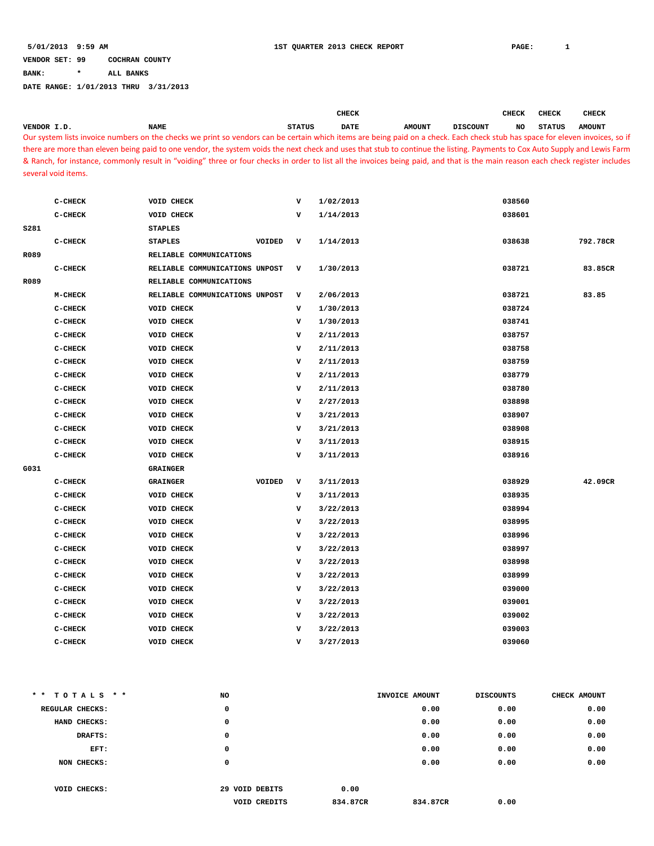**BANK: \* ALL BANKS**

|                     |                                                                                                                                                                                 |               | CHECK       |               |                 | <b>CHECK</b> | <b>CHECK</b>  | <b>CHECK</b>  |  |
|---------------------|---------------------------------------------------------------------------------------------------------------------------------------------------------------------------------|---------------|-------------|---------------|-----------------|--------------|---------------|---------------|--|
| VENDOR I.D.         | <b>NAME</b>                                                                                                                                                                     | <b>STATUS</b> | <b>DATE</b> | <b>AMOUNT</b> | <b>DISCOUNT</b> | NO.          | <b>STATUS</b> | <b>AMOUNT</b> |  |
|                     | Our system lists invoice numbers on the checks we print so vendors can be certain which items are being paid on a check. Each check stub has space for eleven invoices, so if   |               |             |               |                 |              |               |               |  |
|                     | there are more than eleven being paid to one vendor, the system voids the next check and uses that stub to continue the listing. Payments to Cox Auto Supply and Lewis Farm     |               |             |               |                 |              |               |               |  |
|                     | & Ranch, for instance, commonly result in "voiding" three or four checks in order to list all the invoices being paid, and that is the main reason each check register includes |               |             |               |                 |              |               |               |  |
| several void items. |                                                                                                                                                                                 |               |             |               |                 |              |               |               |  |

|      | $C-CHECK$ | VOID CHECK                     |        | v           | 1/02/2013 | 038560 |          |
|------|-----------|--------------------------------|--------|-------------|-----------|--------|----------|
|      | $C-CHECK$ | VOID CHECK                     |        | v           | 1/14/2013 | 038601 |          |
| S281 |           | <b>STAPLES</b>                 |        |             |           |        |          |
|      | $C-CHECK$ | <b>STAPLES</b>                 | VOIDED | v           | 1/14/2013 | 038638 | 792.78CR |
| R089 |           | RELIABLE COMMUNICATIONS        |        |             |           |        |          |
|      | C-CHECK   | RELIABLE COMMUNICATIONS UNPOST |        | v           | 1/30/2013 | 038721 | 83.85CR  |
| R089 |           | RELIABLE COMMUNICATIONS        |        |             |           |        |          |
|      | $M-CHECK$ | RELIABLE COMMUNICATIONS UNPOST |        | v           | 2/06/2013 | 038721 | 83.85    |
|      | $C-CHECK$ | VOID CHECK                     |        | v           | 1/30/2013 | 038724 |          |
|      | $C-CHECK$ | VOID CHECK                     |        | v           | 1/30/2013 | 038741 |          |
|      | $C-CHECK$ | VOID CHECK                     |        | v           | 2/11/2013 | 038757 |          |
|      | $C-CHECK$ | VOID CHECK                     |        | v           | 2/11/2013 | 038758 |          |
|      | $C-CHECK$ | <b>VOID CHECK</b>              |        | $\mathbf v$ | 2/11/2013 | 038759 |          |
|      | $C-CHECK$ | <b>VOID CHECK</b>              |        | v           | 2/11/2013 | 038779 |          |
|      | $C-CHECK$ | VOID CHECK                     |        | v           | 2/11/2013 | 038780 |          |
|      | $C-CHECK$ | VOID CHECK                     |        | v           | 2/27/2013 | 038898 |          |
|      | $C-CHECK$ | VOID CHECK                     |        | v           | 3/21/2013 | 038907 |          |
|      | $C-CHECK$ | <b>VOID CHECK</b>              |        | v           | 3/21/2013 | 038908 |          |
|      | C-CHECK   | VOID CHECK                     |        | v           | 3/11/2013 | 038915 |          |
|      | $C-CHECK$ | VOID CHECK                     |        | v           | 3/11/2013 | 038916 |          |
| G031 |           | <b>GRAINGER</b>                |        |             |           |        |          |
|      | $C-CHECK$ | <b>GRAINGER</b>                | VOIDED | v           | 3/11/2013 | 038929 | 42.09CR  |
|      | $C-CHECK$ | <b>VOID CHECK</b>              |        | $\mathbf v$ | 3/11/2013 | 038935 |          |
|      | $C-CHECK$ | VOID CHECK                     |        | v           | 3/22/2013 | 038994 |          |
|      | $C-CHECK$ | VOID CHECK                     |        | v           | 3/22/2013 | 038995 |          |
|      | $C-CHECK$ | <b>VOID CHECK</b>              |        | v           | 3/22/2013 | 038996 |          |
|      | $C-CHECK$ | VOID CHECK                     |        | v           | 3/22/2013 | 038997 |          |
|      | $C-CHECK$ | VOID CHECK                     |        | v           | 3/22/2013 | 038998 |          |
|      | $C-CHECK$ | VOID CHECK                     |        | v           | 3/22/2013 | 038999 |          |
|      | $C-CHECK$ | VOID CHECK                     |        | v           | 3/22/2013 | 039000 |          |
|      | $C-CHECK$ | <b>VOID CHECK</b>              |        | v           | 3/22/2013 | 039001 |          |
|      | $C-CHECK$ | <b>VOID CHECK</b>              |        | v           | 3/22/2013 | 039002 |          |
|      | $C-CHECK$ | VOID CHECK                     |        | v           | 3/22/2013 | 039003 |          |
|      | $C-CHECK$ | VOID CHECK                     |        | v           | 3/27/2013 | 039060 |          |
|      |           |                                |        |             |           |        |          |

| ** TOTALS **    | NO |                     | INVOICE AMOUNT |          | <b>DISCOUNTS</b> | CHECK AMOUNT |
|-----------------|----|---------------------|----------------|----------|------------------|--------------|
| REGULAR CHECKS: | 0  |                     |                | 0.00     | 0.00             | 0.00         |
| HAND CHECKS:    | 0  |                     |                | 0.00     | 0.00             | 0.00         |
| DRAFTS:         | 0  |                     |                | 0.00     | 0.00             | 0.00         |
| EFT:            | 0  |                     |                | 0.00     | 0.00             | 0.00         |
| NON CHECKS:     | 0  |                     |                | 0.00     | 0.00             | 0.00         |
|                 |    |                     |                |          |                  |              |
| VOID CHECKS:    |    | 29 VOID DEBITS      | 0.00           |          |                  |              |
|                 |    | <b>VOID CREDITS</b> | 834.87CR       | 834.87CR | 0.00             |              |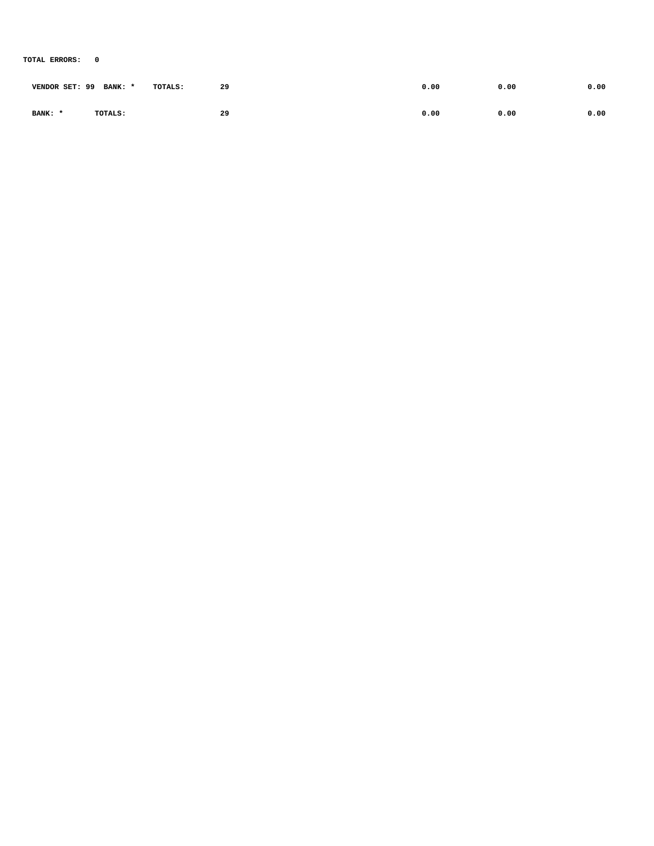**TOTAL ERRORS: 0**

| VENDOR SET: 99 | BANK: * | TOTALS: | 29 | 0.00 | 0.00 | 0.00 |
|----------------|---------|---------|----|------|------|------|
| BANK: *        | TOTALS: |         | 29 | 0.00 | 0.00 | 0.00 |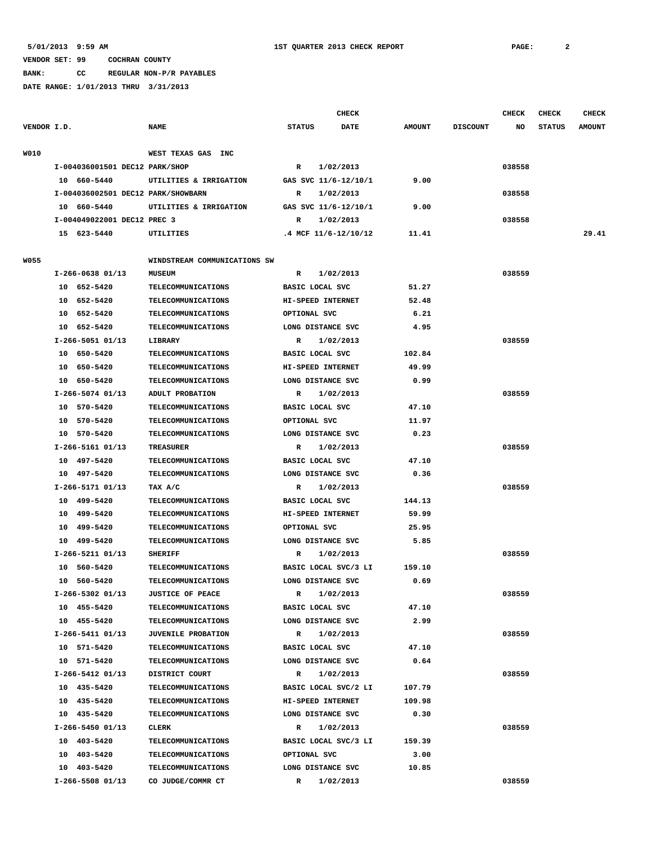**BANK: CC REGULAR NON-P/R PAYABLES**

|             |                                    |                              |                        | CHECK                |               |                 | <b>CHECK</b> | CHECK         | <b>CHECK</b>  |
|-------------|------------------------------------|------------------------------|------------------------|----------------------|---------------|-----------------|--------------|---------------|---------------|
| VENDOR I.D. |                                    | <b>NAME</b>                  | <b>STATUS</b>          | <b>DATE</b>          | <b>AMOUNT</b> | <b>DISCOUNT</b> | NO           | <b>STATUS</b> | <b>AMOUNT</b> |
| W010        |                                    | WEST TEXAS GAS<br>INC        |                        |                      |               |                 |              |               |               |
|             | I-004036001501 DEC12 PARK/SHOP     |                              | R                      | 1/02/2013            |               |                 | 038558       |               |               |
|             | 10 660-5440                        | UTILITIES & IRRIGATION       |                        | GAS SVC 11/6-12/10/1 | 9.00          |                 |              |               |               |
|             | I-004036002501 DEC12 PARK/SHOWBARN |                              | R                      | 1/02/2013            |               |                 | 038558       |               |               |
|             | 10 660-5440                        | UTILITIES & IRRIGATION       |                        | GAS SVC 11/6-12/10/1 | 9.00          |                 |              |               |               |
|             | I-004049022001 DEC12 PREC 3        |                              | R                      | 1/02/2013            |               |                 | 038558       |               |               |
|             | 15 623-5440                        | <b>UTILITIES</b>             |                        | .4 MCF 11/6-12/10/12 | 11.41         |                 |              |               | 29.41         |
| <b>W055</b> |                                    | WINDSTREAM COMMUNICATIONS SW |                        |                      |               |                 |              |               |               |
|             | $I-266-0638$ 01/13                 | <b>MUSEUM</b>                | R                      | 1/02/2013            |               |                 | 038559       |               |               |
|             | 10 652-5420                        | <b>TELECOMMUNICATIONS</b>    | BASIC LOCAL SVC        |                      | 51.27         |                 |              |               |               |
|             | 10 652-5420                        | <b>TELECOMMUNICATIONS</b>    | HI-SPEED INTERNET      |                      | 52.48         |                 |              |               |               |
|             | 10 652-5420                        | <b>TELECOMMUNICATIONS</b>    | OPTIONAL SVC           |                      | 6.21          |                 |              |               |               |
|             | 10 652-5420                        | <b>TELECOMMUNICATIONS</b>    | LONG DISTANCE SVC      |                      | 4.95          |                 |              |               |               |
|             | $I-266-5051$ 01/13                 | LIBRARY                      | R                      | 1/02/2013            |               |                 | 038559       |               |               |
|             | 10 650-5420                        | <b>TELECOMMUNICATIONS</b>    | <b>BASIC LOCAL SVC</b> |                      | 102.84        |                 |              |               |               |
|             | 10 650-5420                        | <b>TELECOMMUNICATIONS</b>    | HI-SPEED INTERNET      |                      | 49.99         |                 |              |               |               |
|             | 10 650-5420                        |                              |                        |                      | 0.99          |                 |              |               |               |
|             |                                    | <b>TELECOMMUNICATIONS</b>    | LONG DISTANCE SVC      |                      |               |                 |              |               |               |
|             | I-266-5074 01/13                   | ADULT PROBATION              | R                      | 1/02/2013            |               |                 | 038559       |               |               |
|             | 10 570-5420                        | <b>TELECOMMUNICATIONS</b>    | BASIC LOCAL SVC        |                      | 47.10         |                 |              |               |               |
|             | 10<br>570-5420                     | <b>TELECOMMUNICATIONS</b>    | OPTIONAL SVC           |                      | 11.97         |                 |              |               |               |
|             | 10 570-5420                        | <b>TELECOMMUNICATIONS</b>    | LONG DISTANCE SVC      |                      | 0.23          |                 |              |               |               |
|             | I-266-5161 01/13                   | <b>TREASURER</b>             | R                      | 1/02/2013            |               |                 | 038559       |               |               |
|             | 10 497-5420                        | <b>TELECOMMUNICATIONS</b>    | BASIC LOCAL SVC        |                      | 47.10         |                 |              |               |               |
|             | 10 497-5420                        | <b>TELECOMMUNICATIONS</b>    | LONG DISTANCE SVC      |                      | 0.36          |                 |              |               |               |
|             | I-266-5171 01/13                   | TAX A/C                      | R                      | 1/02/2013            |               |                 | 038559       |               |               |
|             | 10 499-5420                        | <b>TELECOMMUNICATIONS</b>    | BASIC LOCAL SVC        |                      | 144.13        |                 |              |               |               |
|             | 499-5420<br>10                     | <b>TELECOMMUNICATIONS</b>    | HI-SPEED INTERNET      |                      | 59.99         |                 |              |               |               |
|             | 499-5420<br>10                     | <b>TELECOMMUNICATIONS</b>    | OPTIONAL SVC           |                      | 25.95         |                 |              |               |               |
|             | 10<br>499–5420                     | <b>TELECOMMUNICATIONS</b>    | LONG DISTANCE SVC      |                      | 5.85          |                 |              |               |               |
|             | I-266-5211 01/13                   | <b>SHERIFF</b>               | R                      | 1/02/2013            |               |                 | 038559       |               |               |
|             | 560-5420<br>10                     | <b>TELECOMMUNICATIONS</b>    |                        | BASIC LOCAL SVC/3 LI | 159.10        |                 |              |               |               |
|             | 10 560-5420                        | <b>TELECOMMUNICATIONS</b>    | LONG DISTANCE SVC      |                      | 0.69          |                 |              |               |               |
|             | I-266-5302 01/13                   | <b>JUSTICE OF PEACE</b>      | R                      | 1/02/2013            |               |                 | 038559       |               |               |
|             | 10 455-5420                        | <b>TELECOMMUNICATIONS</b>    | BASIC LOCAL SVC        |                      | 47.10         |                 |              |               |               |
|             | 10 455-5420                        | <b>TELECOMMUNICATIONS</b>    | LONG DISTANCE SVC      |                      | 2.99          |                 |              |               |               |
|             | I-266-5411 01/13                   | <b>JUVENILE PROBATION</b>    | $\mathbf{R}$           | 1/02/2013            |               |                 | 038559       |               |               |
|             | 10 571-5420                        | TELECOMMUNICATIONS           | BASIC LOCAL SVC        |                      | 47.10         |                 |              |               |               |
|             | 10 571-5420                        | <b>TELECOMMUNICATIONS</b>    | LONG DISTANCE SVC      |                      | 0.64          |                 |              |               |               |
|             | I-266-5412 01/13                   | DISTRICT COURT               | $\mathbf R$            | 1/02/2013            |               |                 | 038559       |               |               |
|             | 10 435-5420                        | <b>TELECOMMUNICATIONS</b>    |                        | BASIC LOCAL SVC/2 LI | 107.79        |                 |              |               |               |
|             | 10 435-5420                        | <b>TELECOMMUNICATIONS</b>    | HI-SPEED INTERNET      |                      | 109.98        |                 |              |               |               |
|             | 10 435-5420                        | <b>TELECOMMUNICATIONS</b>    | LONG DISTANCE SVC      |                      | 0.30          |                 |              |               |               |
|             | I-266-5450 01/13                   | CLERK                        | R                      | 1/02/2013            |               |                 | 038559       |               |               |
|             | 10 403-5420                        | <b>TELECOMMUNICATIONS</b>    |                        | BASIC LOCAL SVC/3 LI | 159.39        |                 |              |               |               |
|             | 10 403-5420                        | <b>TELECOMMUNICATIONS</b>    | OPTIONAL SVC           |                      | 3.00          |                 |              |               |               |
|             | 10 403-5420                        | <b>TELECOMMUNICATIONS</b>    | LONG DISTANCE SVC      |                      | 10.85         |                 |              |               |               |
|             | I-266-5508 01/13                   | CO JUDGE/COMMR CT            | R                      | 1/02/2013            |               |                 | 038559       |               |               |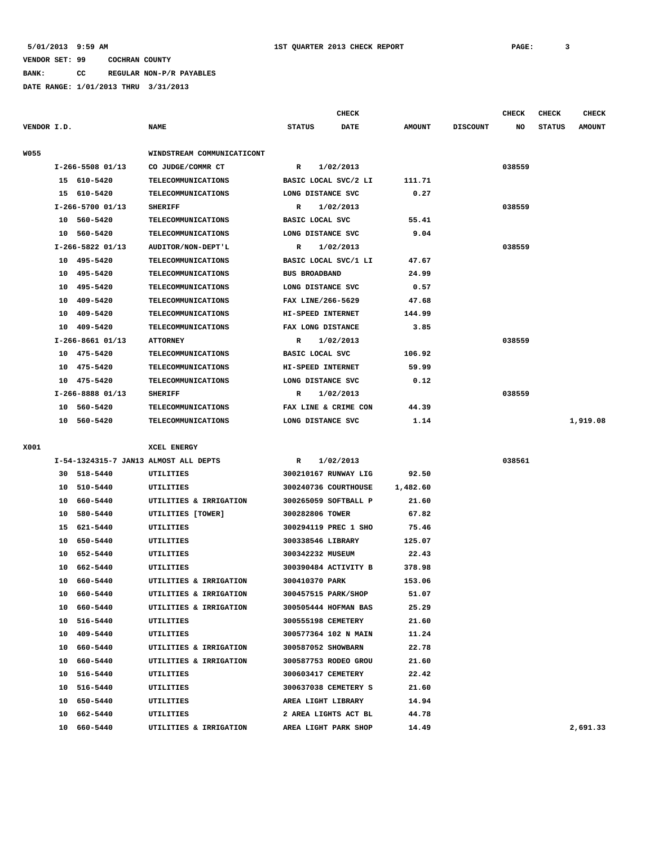**BANK: CC REGULAR NON-P/R PAYABLES**

|             |    |                    |                                       |                      | <b>CHECK</b> |               |                 | <b>CHECK</b> | CHECK         | <b>CHECK</b>  |
|-------------|----|--------------------|---------------------------------------|----------------------|--------------|---------------|-----------------|--------------|---------------|---------------|
| VENDOR I.D. |    |                    | <b>NAME</b>                           | <b>STATUS</b>        | <b>DATE</b>  | <b>AMOUNT</b> | <b>DISCOUNT</b> | NO           | <b>STATUS</b> | <b>AMOUNT</b> |
|             |    |                    |                                       |                      |              |               |                 |              |               |               |
| <b>W055</b> |    |                    | WINDSTREAM COMMUNICATICONT            |                      |              |               |                 |              |               |               |
|             |    | $I-266-5508$ 01/13 | CO JUDGE/COMMR CT                     | R                    | 1/02/2013    |               |                 | 038559       |               |               |
|             |    | 15 610-5420        | TELECOMMUNICATIONS                    | BASIC LOCAL SVC/2 LI |              | 111.71        |                 |              |               |               |
|             |    | 15 610-5420        | TELECOMMUNICATIONS                    | LONG DISTANCE SVC    |              | 0.27          |                 |              |               |               |
|             |    | $I-266-5700$ 01/13 | <b>SHERIFF</b>                        | R                    | 1/02/2013    |               |                 | 038559       |               |               |
|             |    | 10 560-5420        | <b>TELECOMMUNICATIONS</b>             | BASIC LOCAL SVC      |              | 55.41         |                 |              |               |               |
|             |    | 10 560-5420        | TELECOMMUNICATIONS                    | LONG DISTANCE SVC    |              | 9.04          |                 |              |               |               |
|             |    | $I-266-5822$ 01/13 | AUDITOR/NON-DEPT'L                    | R                    | 1/02/2013    |               |                 | 038559       |               |               |
|             |    | 10 495-5420        | TELECOMMUNICATIONS                    | BASIC LOCAL SVC/1 LI |              | 47.67         |                 |              |               |               |
|             |    | 10 495-5420        | TELECOMMUNICATIONS                    | <b>BUS BROADBAND</b> |              | 24.99         |                 |              |               |               |
|             |    | 10 495-5420        | TELECOMMUNICATIONS                    | LONG DISTANCE SVC    |              | 0.57          |                 |              |               |               |
|             | 10 | 409-5420           | <b>TELECOMMUNICATIONS</b>             | FAX LINE/266-5629    |              | 47.68         |                 |              |               |               |
|             | 10 | 409-5420           | <b>TELECOMMUNICATIONS</b>             | HI-SPEED INTERNET    |              | 144.99        |                 |              |               |               |
|             | 10 | 409-5420           | <b>TELECOMMUNICATIONS</b>             | FAX LONG DISTANCE    |              | 3.85          |                 |              |               |               |
|             |    | $I-266-8661$ 01/13 | <b>ATTORNEY</b>                       | R                    | 1/02/2013    |               |                 | 038559       |               |               |
|             | 10 | 475-5420           | TELECOMMUNICATIONS                    | BASIC LOCAL SVC      |              | 106.92        |                 |              |               |               |
|             | 10 | 475-5420           | TELECOMMUNICATIONS                    | HI-SPEED INTERNET    |              | 59.99         |                 |              |               |               |
|             | 10 | 475-5420           | <b>TELECOMMUNICATIONS</b>             | LONG DISTANCE SVC    |              | 0.12          |                 |              |               |               |
|             |    | I-266-8888 01/13   | <b>SHERIFF</b>                        | R                    | 1/02/2013    |               |                 | 038559       |               |               |
|             | 10 | 560-5420           | <b>TELECOMMUNICATIONS</b>             | FAX LINE & CRIME CON |              | 44.39         |                 |              |               |               |
|             |    | 10 560-5420        | <b>TELECOMMUNICATIONS</b>             | LONG DISTANCE SVC    |              | 1.14          |                 |              |               | 1,919.08      |
|             |    |                    |                                       |                      |              |               |                 |              |               |               |
| X001        |    |                    | XCEL ENERGY                           |                      |              |               |                 |              |               |               |
|             |    |                    | I-54-1324315-7 JAN13 ALMOST ALL DEPTS | R                    | 1/02/2013    |               |                 | 038561       |               |               |
|             |    | 30 518-5440        | UTILITIES                             | 300210167 RUNWAY LIG |              | 92.50         |                 |              |               |               |
|             | 10 | 510-5440           | UTILITIES                             | 300240736 COURTHOUSE |              | 1,482.60      |                 |              |               |               |
|             | 10 | 660-5440           | UTILITIES & IRRIGATION                | 300265059 SOFTBALL P |              | 21.60         |                 |              |               |               |
|             | 10 | 580-5440           | UTILITIES [TOWER]                     | 300282806 TOWER      |              | 67.82         |                 |              |               |               |
|             | 15 | 621-5440           | <b>UTILITIES</b>                      | 300294119 PREC 1 SHO |              | 75.46         |                 |              |               |               |
|             | 10 | 650-5440           | UTILITIES                             | 300338546 LIBRARY    |              | 125.07        |                 |              |               |               |
|             | 10 | 652-5440           | <b>UTILITIES</b>                      | 300342232 MUSEUM     |              | 22.43         |                 |              |               |               |
|             | 10 | 662-5440           | UTILITIES                             | 300390484 ACTIVITY B |              | 378.98        |                 |              |               |               |
|             | 10 | 660-5440           | UTILITIES & IRRIGATION                | 300410370 PARK       |              | 153.06        |                 |              |               |               |
|             |    | 10 660-5440        | UTILITIES & IRRIGATION                | 300457515 PARK/SHOP  |              | 51.07         |                 |              |               |               |
|             |    | 10 660-5440        | UTILITIES & IRRIGATION                | 300505444 HOFMAN BAS |              | 25.29         |                 |              |               |               |
|             |    | 10 516-5440        | UTILITIES                             | 300555198 CEMETERY   |              | 21.60         |                 |              |               |               |
|             |    | 10 409-5440        | UTILITIES                             | 300577364 102 N MAIN |              | 11.24         |                 |              |               |               |
|             |    | 10 660-5440        | UTILITIES & IRRIGATION                | 300587052 SHOWBARN   |              | 22.78         |                 |              |               |               |
|             |    | 10 660-5440        | UTILITIES & IRRIGATION                | 300587753 RODEO GROU |              | 21.60         |                 |              |               |               |
|             |    | 10 516-5440        | UTILITIES                             | 300603417 CEMETERY   |              | 22.42         |                 |              |               |               |
|             |    | 10 516-5440        | UTILITIES                             | 300637038 CEMETERY S |              | 21.60         |                 |              |               |               |
|             |    | 10 650-5440        | UTILITIES                             | AREA LIGHT LIBRARY   |              | 14.94         |                 |              |               |               |
|             |    | 10 662-5440        | UTILITIES                             | 2 AREA LIGHTS ACT BL |              | 44.78         |                 |              |               |               |
|             |    | 10 660-5440        | UTILITIES & IRRIGATION                | AREA LIGHT PARK SHOP |              | 14.49         |                 |              |               | 2,691.33      |
|             |    |                    |                                       |                      |              |               |                 |              |               |               |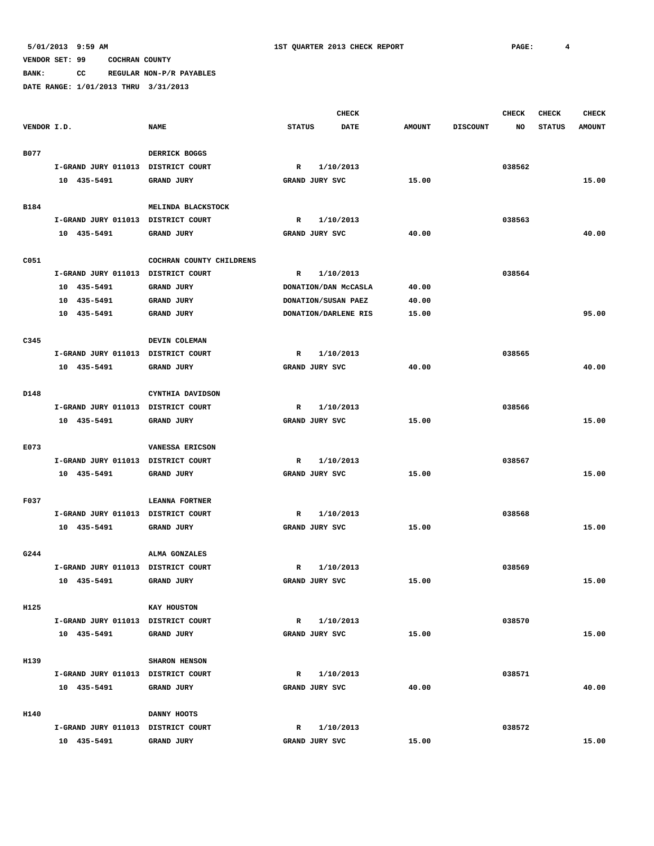**BANK: CC REGULAR NON-P/R PAYABLES**

|             |                                    |                          |                | <b>CHECK</b>                      |               |                 | <b>CHECK</b> | <b>CHECK</b>  | <b>CHECK</b>  |
|-------------|------------------------------------|--------------------------|----------------|-----------------------------------|---------------|-----------------|--------------|---------------|---------------|
| VENDOR I.D. |                                    | <b>NAME</b>              | <b>STATUS</b>  | DATE                              | <b>AMOUNT</b> | <b>DISCOUNT</b> | NO           | <b>STATUS</b> | <b>AMOUNT</b> |
|             |                                    |                          |                |                                   |               |                 |              |               |               |
| B077        |                                    | DERRICK BOGGS            |                |                                   |               |                 |              |               |               |
|             | I-GRAND JURY 011013 DISTRICT COURT |                          | $\mathbb{R}$   | 1/10/2013                         |               |                 | 038562       |               |               |
|             | 10 435-5491                        | <b>GRAND JURY</b>        | GRAND JURY SVC |                                   | 15.00         |                 |              |               | 15.00         |
|             |                                    |                          |                |                                   |               |                 |              |               |               |
| B184        |                                    | MELINDA BLACKSTOCK       |                |                                   |               |                 |              |               |               |
|             | I-GRAND JURY 011013 DISTRICT COURT |                          | R              | 1/10/2013                         |               |                 | 038563       |               |               |
|             | 10 435-5491                        | <b>GRAND JURY</b>        | GRAND JURY SVC |                                   | 40.00         |                 |              |               | 40.00         |
|             |                                    |                          |                |                                   |               |                 |              |               |               |
| C051        | I-GRAND JURY 011013 DISTRICT COURT | COCHRAN COUNTY CHILDRENS | $\mathbb{R}$   |                                   |               |                 | 038564       |               |               |
|             | 10 435-5491                        | <b>GRAND JURY</b>        |                | 1/10/2013<br>DONATION/DAN MCCASLA | 40.00         |                 |              |               |               |
|             | 10 435-5491                        | <b>GRAND JURY</b>        |                | DONATION/SUSAN PAEZ               | 40.00         |                 |              |               |               |
|             | 10 435-5491                        | <b>GRAND JURY</b>        |                | DONATION/DARLENE RIS              | 15.00         |                 |              |               | 95.00         |
|             |                                    |                          |                |                                   |               |                 |              |               |               |
| C345        |                                    | DEVIN COLEMAN            |                |                                   |               |                 |              |               |               |
|             | I-GRAND JURY 011013 DISTRICT COURT |                          | $\mathbb{R}$   | 1/10/2013                         |               |                 | 038565       |               |               |
|             | 10 435-5491                        | GRAND JURY               | GRAND JURY SVC |                                   | 40.00         |                 |              |               | 40.00         |
|             |                                    |                          |                |                                   |               |                 |              |               |               |
| D148        |                                    | CYNTHIA DAVIDSON         |                |                                   |               |                 |              |               |               |
|             | I-GRAND JURY 011013 DISTRICT COURT |                          | $\mathbb{R}$   | 1/10/2013                         |               |                 | 038566       |               |               |
|             | 10 435-5491                        | GRAND JURY               | GRAND JURY SVC |                                   | 15.00         |                 |              |               | 15.00         |
|             |                                    |                          |                |                                   |               |                 |              |               |               |
| E073        |                                    | VANESSA ERICSON          |                |                                   |               |                 |              |               |               |
|             | I-GRAND JURY 011013 DISTRICT COURT |                          | R              | 1/10/2013                         |               |                 | 038567       |               |               |
|             | 10 435-5491                        | <b>GRAND JURY</b>        | GRAND JURY SVC |                                   | 15.00         |                 |              |               | 15.00         |
|             |                                    |                          |                |                                   |               |                 |              |               |               |
| F037        |                                    | LEANNA FORTNER           |                |                                   |               |                 |              |               |               |
|             | I-GRAND JURY 011013 DISTRICT COURT |                          | R              | 1/10/2013                         |               |                 | 038568       |               |               |
|             | 10 435-5491                        | GRAND JURY               | GRAND JURY SVC |                                   | 15.00         |                 |              |               | 15.00         |
|             |                                    |                          |                |                                   |               |                 |              |               |               |
| G244        |                                    | <b>ALMA GONZALES</b>     |                |                                   |               |                 |              |               |               |
|             | I-GRAND JURY 011013 DISTRICT COURT |                          | R              | 1/10/2013                         |               |                 | 038569       |               |               |
|             | 10 435-5491                        | GRAND JURY               | GRAND JURY SVC |                                   | 15.00         |                 |              |               | 15.00         |
|             |                                    |                          |                |                                   |               |                 |              |               |               |
| H125        |                                    | KAY HOUSTON              |                |                                   |               |                 |              |               |               |
|             | I-GRAND JURY 011013 DISTRICT COURT |                          | $\mathbb{R}$   | 1/10/2013                         |               |                 | 038570       |               |               |
|             | 10 435-5491                        | <b>GRAND JURY</b>        | GRAND JURY SVC |                                   | 15.00         |                 |              |               | 15.00         |
|             |                                    |                          |                |                                   |               |                 |              |               |               |
| H139        |                                    | SHARON HENSON            |                |                                   |               |                 |              |               |               |
|             | I-GRAND JURY 011013 DISTRICT COURT |                          | $\mathbb{R}$   | 1/10/2013                         |               |                 | 038571       |               |               |
|             | 10 435-5491                        | GRAND JURY               | GRAND JURY SVC |                                   | 40.00         |                 |              |               | 40.00         |
|             |                                    |                          |                |                                   |               |                 |              |               |               |
| H140        |                                    | DANNY HOOTS              |                |                                   |               |                 |              |               |               |
|             | I-GRAND JURY 011013 DISTRICT COURT |                          | $\mathbb{R}$   | 1/10/2013                         |               |                 | 038572       |               |               |
|             | 10 435-5491                        | GRAND JURY               | GRAND JURY SVC |                                   | 15.00         |                 |              |               | 15.00         |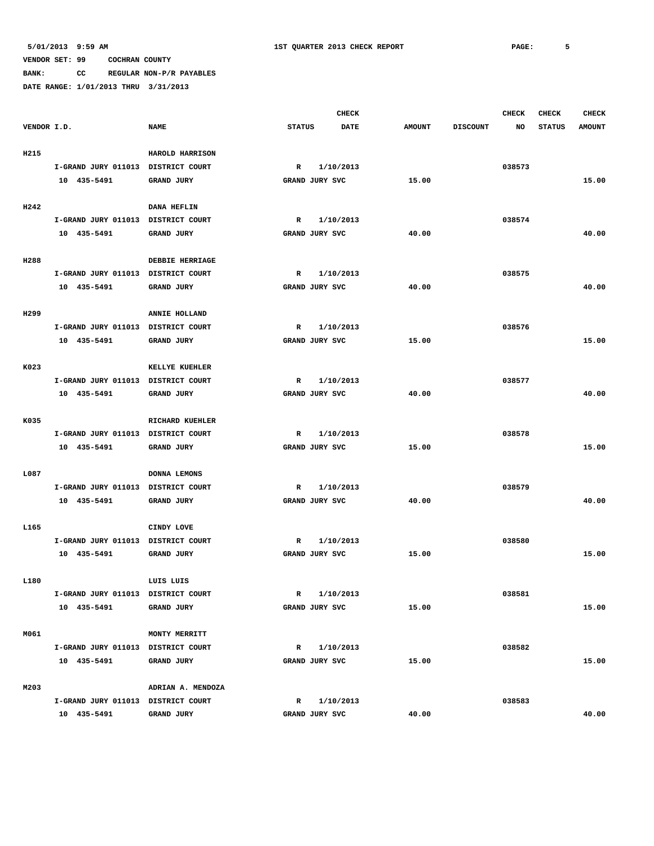**BANK: CC REGULAR NON-P/R PAYABLES**

**DATE RANGE: 1/01/2013 THRU 3/31/2013**

**CHECK CHECK CHECK CHECK** 

| VENDOR I.D. |                                    | <b>NAME</b>            | <b>STATUS</b> | <b>DATE</b>    | <b>AMOUNT</b> | <b>DISCOUNT</b> | <b>STATUS</b><br>NO | <b>AMOUNT</b> |
|-------------|------------------------------------|------------------------|---------------|----------------|---------------|-----------------|---------------------|---------------|
| H215        |                                    | HAROLD HARRISON        |               |                |               |                 |                     |               |
|             | I-GRAND JURY 011013 DISTRICT COURT |                        | $\mathbb{R}$  | 1/10/2013      |               | 038573          |                     |               |
|             | 10 435-5491                        | GRAND JURY             |               | GRAND JURY SVC | 15.00         |                 |                     | 15.00         |
| H242        |                                    | DANA HEFLIN            |               |                |               |                 |                     |               |
|             | I-GRAND JURY 011013 DISTRICT COURT |                        | $\mathbb{R}$  | 1/10/2013      |               |                 | 038574              |               |
|             | 10 435-5491                        | GRAND JURY             |               | GRAND JURY SVC | 40.00         |                 |                     | 40.00         |
| H288        |                                    | <b>DEBBIE HERRIAGE</b> |               |                |               |                 |                     |               |
|             | I-GRAND JURY 011013 DISTRICT COURT |                        | $\mathbb{R}$  | 1/10/2013      |               | 038575          |                     |               |
|             | 10 435-5491                        | GRAND JURY             |               | GRAND JURY SVC | 40.00         |                 |                     | 40.00         |
| H299        |                                    | ANNIE HOLLAND          |               |                |               |                 |                     |               |
|             | I-GRAND JURY 011013 DISTRICT COURT |                        | $\mathbb{R}$  | 1/10/2013      |               | 038576          |                     |               |
|             | 10 435-5491                        | GRAND JURY             |               | GRAND JURY SVC | 15.00         |                 |                     | 15.00         |
| K023        |                                    | KELLYE KUEHLER         |               |                |               |                 |                     |               |
|             | I-GRAND JURY 011013 DISTRICT COURT |                        | R             | 1/10/2013      |               | 038577          |                     |               |
|             | 10 435-5491                        | <b>GRAND JURY</b>      |               | GRAND JURY SVC | 40.00         |                 |                     | 40.00         |
| K035        |                                    | RICHARD KUEHLER        |               |                |               |                 |                     |               |
|             | I-GRAND JURY 011013 DISTRICT COURT |                        | $\mathbb{R}$  | 1/10/2013      |               | 038578          |                     |               |
|             | 10 435-5491                        | GRAND JURY             |               | GRAND JURY SVC | 15.00         |                 |                     | 15.00         |
| L087        |                                    | DONNA LEMONS           |               |                |               |                 |                     |               |
|             | I-GRAND JURY 011013 DISTRICT COURT |                        | R             | 1/10/2013      |               | 038579          |                     |               |
|             | 10 435-5491                        | GRAND JURY             |               | GRAND JURY SVC | 40.00         |                 |                     | 40.00         |
| L165        |                                    | CINDY LOVE             |               |                |               |                 |                     |               |
|             | I-GRAND JURY 011013 DISTRICT COURT |                        | R             | 1/10/2013      |               | 038580          |                     |               |
|             | 10 435-5491                        | <b>GRAND JURY</b>      |               | GRAND JURY SVC | 15.00         |                 |                     | 15.00         |
| L180        |                                    | LUIS LUIS              |               |                |               |                 |                     |               |
|             | I-GRAND JURY 011013 DISTRICT COURT |                        | $\mathbf R$   | 1/10/2013      |               | 038581          |                     |               |
|             | 10 435-5491                        | GRAND JURY             |               | GRAND JURY SVC | 15.00         |                 |                     | 15.00         |
| M061        |                                    | MONTY MERRITT          |               |                |               |                 |                     |               |
|             | I-GRAND JURY 011013 DISTRICT COURT |                        |               | R 1/10/2013    |               |                 | 038582              |               |
|             | 10 435-5491                        | GRAND JURY             |               | GRAND JURY SVC | 15.00         |                 |                     | 15.00         |
| M203        |                                    | ADRIAN A. MENDOZA      |               |                |               |                 |                     |               |
|             | I-GRAND JURY 011013 DISTRICT COURT |                        | R             | 1/10/2013      |               |                 | 038583              |               |
|             | 10 435-5491                        | GRAND JURY             |               | GRAND JURY SVC | 40.00         |                 |                     | 40.00         |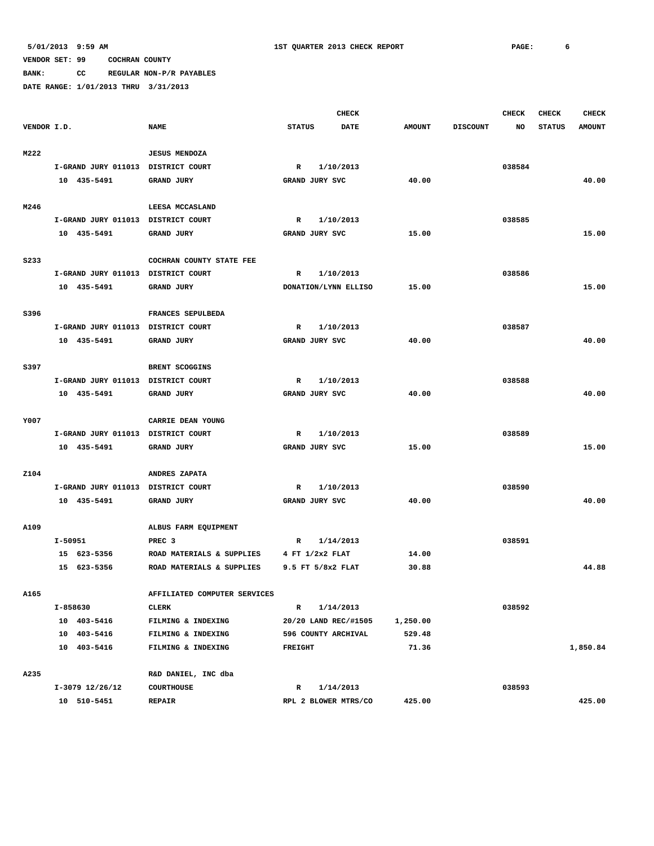**BANK: CC REGULAR NON-P/R PAYABLES**

|             |          |                                    |                              |                |                      | <b>CHECK</b> |               |                 | <b>CHECK</b> | CHECK         | <b>CHECK</b>  |
|-------------|----------|------------------------------------|------------------------------|----------------|----------------------|--------------|---------------|-----------------|--------------|---------------|---------------|
| VENDOR I.D. |          |                                    | <b>NAME</b>                  | <b>STATUS</b>  |                      | <b>DATE</b>  | <b>AMOUNT</b> | <b>DISCOUNT</b> | NO           | <b>STATUS</b> | <b>AMOUNT</b> |
|             |          |                                    |                              |                |                      |              |               |                 |              |               |               |
| M222        |          |                                    | <b>JESUS MENDOZA</b>         |                |                      |              |               |                 |              |               |               |
|             |          | I-GRAND JURY 011013 DISTRICT COURT |                              | $\mathbb{R}$   | 1/10/2013            |              |               |                 | 038584       |               |               |
|             |          | 10 435-5491                        | <b>GRAND JURY</b>            |                | GRAND JURY SVC       |              | 40.00         |                 |              |               | 40.00         |
|             |          |                                    |                              |                |                      |              |               |                 |              |               |               |
| M246        |          |                                    | LEESA MCCASLAND              |                |                      |              |               |                 |              |               |               |
|             |          | I-GRAND JURY 011013 DISTRICT COURT |                              | R              | 1/10/2013            |              |               |                 | 038585       |               |               |
|             |          | 10 435-5491                        | <b>GRAND JURY</b>            |                | GRAND JURY SVC       |              | 15.00         |                 |              |               | 15.00         |
|             |          |                                    |                              |                |                      |              |               |                 |              |               |               |
| S233        |          |                                    | COCHRAN COUNTY STATE FEE     |                |                      |              |               |                 |              |               |               |
|             |          | I-GRAND JURY 011013 DISTRICT COURT |                              | $\mathbf{R}$   | 1/10/2013            |              |               |                 | 038586       |               |               |
|             |          | 10 435-5491                        | GRAND JURY                   |                | DONATION/LYNN ELLISO |              | 15.00         |                 |              |               | 15.00         |
|             |          |                                    |                              |                |                      |              |               |                 |              |               |               |
| S396        |          |                                    | FRANCES SEPULBEDA            |                |                      |              |               |                 |              |               |               |
|             |          | I-GRAND JURY 011013 DISTRICT COURT |                              | R              | 1/10/2013            |              |               |                 | 038587       |               |               |
|             |          | 10 435-5491                        | <b>GRAND JURY</b>            |                | GRAND JURY SVC       |              | 40.00         |                 |              |               | 40.00         |
|             |          |                                    |                              |                |                      |              |               |                 |              |               |               |
| S397        |          |                                    | BRENT SCOGGINS               |                |                      |              |               |                 |              |               |               |
|             |          | I-GRAND JURY 011013 DISTRICT COURT |                              | R              | 1/10/2013            |              |               |                 | 038588       |               |               |
|             |          | 10 435-5491                        | <b>GRAND JURY</b>            |                | GRAND JURY SVC       |              | 40.00         |                 |              |               | 40.00         |
|             |          |                                    |                              |                |                      |              |               |                 |              |               |               |
| Y007        |          |                                    | CARRIE DEAN YOUNG            |                |                      |              |               |                 |              |               |               |
|             |          | I-GRAND JURY 011013 DISTRICT COURT |                              | $\mathbb{R}$   | 1/10/2013            |              |               |                 | 038589       |               |               |
|             |          |                                    |                              |                |                      |              |               |                 |              |               | 15.00         |
|             |          | 10 435-5491                        | GRAND JURY                   |                | GRAND JURY SVC       |              | 15.00         |                 |              |               |               |
|             |          |                                    |                              |                |                      |              |               |                 |              |               |               |
| Z104        |          |                                    | ANDRES ZAPATA                |                |                      |              |               |                 |              |               |               |
|             |          | I-GRAND JURY 011013 DISTRICT COURT |                              | R              | 1/10/2013            |              |               |                 | 038590       |               |               |
|             |          | 10 435-5491                        | <b>GRAND JURY</b>            |                | GRAND JURY SVC       |              | 40.00         |                 |              |               | 40.00         |
|             |          |                                    |                              |                |                      |              |               |                 |              |               |               |
| A109        |          |                                    | ALBUS FARM EQUIPMENT         |                |                      |              |               |                 |              |               |               |
|             | I-50951  |                                    | PREC <sub>3</sub>            | R              | 1/14/2013            |              |               |                 | 038591       |               |               |
|             |          | 15 623-5356                        | ROAD MATERIALS & SUPPLIES    |                | 4 FT 1/2x2 FLAT      |              | 14.00         |                 |              |               |               |
|             |          | 15 623-5356                        | ROAD MATERIALS & SUPPLIES    |                | 9.5 FT 5/8x2 FLAT    |              | 30.88         |                 |              |               | 44.88         |
|             |          |                                    |                              |                |                      |              |               |                 |              |               |               |
| A165        |          |                                    | AFFILIATED COMPUTER SERVICES |                |                      |              |               |                 |              |               |               |
|             | I-858630 |                                    | CLERK                        | $\mathbb{R}$   | 1/14/2013            |              |               |                 | 038592       |               |               |
|             |          | 10 403-5416                        | FILMING & INDEXING           |                | 20/20 LAND REC/#1505 |              | 1,250.00      |                 |              |               |               |
|             |          | 10 403-5416                        | FILMING & INDEXING           |                | 596 COUNTY ARCHIVAL  |              | 529.48        |                 |              |               |               |
|             |          | 10 403-5416                        | FILMING & INDEXING           | <b>FREIGHT</b> |                      |              | 71.36         |                 |              |               | 1,850.84      |
|             |          |                                    |                              |                |                      |              |               |                 |              |               |               |
| A235        |          |                                    | R&D DANIEL, INC dba          |                |                      |              |               |                 |              |               |               |
|             |          | I-3079 12/26/12                    | <b>COURTHOUSE</b>            | R              | 1/14/2013            |              |               |                 | 038593       |               |               |
|             |          | 10 510-5451                        | <b>REPAIR</b>                |                | RPL 2 BLOWER MTRS/CO |              | 425.00        |                 |              |               | 425.00        |
|             |          |                                    |                              |                |                      |              |               |                 |              |               |               |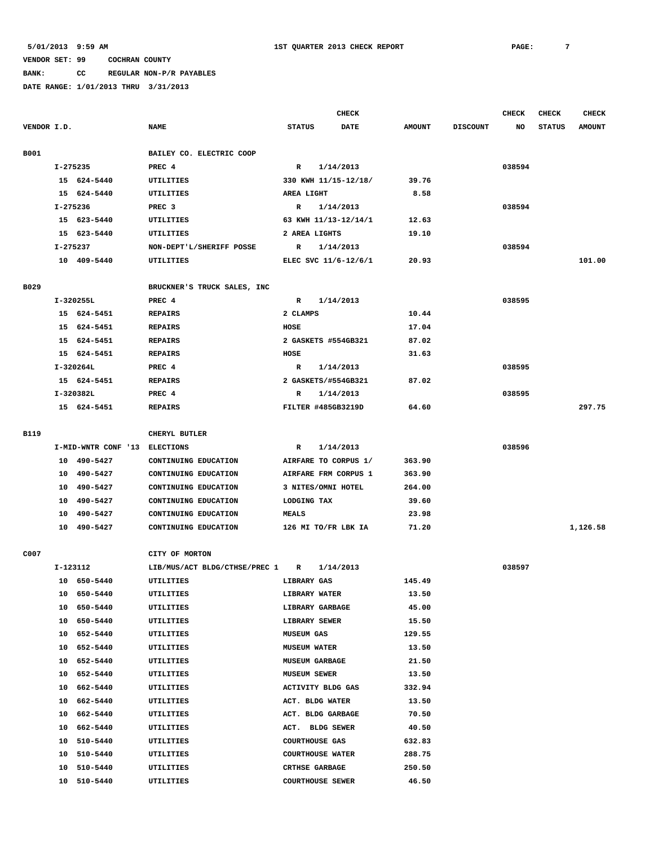## **BANK: CC REGULAR NON-P/R PAYABLES**

|             |          |                               |                               | <b>CHECK</b>        |                         |               |                 | <b>CHECK</b> | <b>CHECK</b>  | <b>CHECK</b>  |
|-------------|----------|-------------------------------|-------------------------------|---------------------|-------------------------|---------------|-----------------|--------------|---------------|---------------|
| VENDOR I.D. |          |                               | <b>NAME</b>                   | <b>STATUS</b>       | <b>DATE</b>             | <b>AMOUNT</b> | <b>DISCOUNT</b> | NO           | <b>STATUS</b> | <b>AMOUNT</b> |
|             |          |                               |                               |                     |                         |               |                 |              |               |               |
| B001        |          |                               | BAILEY CO. ELECTRIC COOP      |                     |                         |               |                 |              |               |               |
|             | I-275235 |                               | PREC <sub>4</sub>             | $\mathbb{R}$        | 1/14/2013               |               |                 | 038594       |               |               |
|             |          | 15 624-5440                   | UTILITIES                     |                     | 330 KWH 11/15-12/18/    | 39.76         |                 |              |               |               |
|             |          | 15 624-5440                   | UTILITIES                     | AREA LIGHT          |                         | 8.58          |                 |              |               |               |
|             | I-275236 |                               | PREC <sub>3</sub>             | $\mathbb{R}$        | 1/14/2013               |               |                 | 038594       |               |               |
|             |          | 15 623-5440                   | UTILITIES                     |                     | 63 KWH 11/13-12/14/1    | 12.63         |                 |              |               |               |
|             |          | 15 623-5440                   | UTILITIES                     | 2 AREA LIGHTS       |                         | 19.10         |                 |              |               |               |
|             | I-275237 |                               | NON-DEPT'L/SHERIFF POSSE      | $\mathbb{R}$        | 1/14/2013               |               |                 | 038594       |               |               |
|             |          | 10 409-5440                   | UTILITIES                     |                     | ELEC SVC 11/6-12/6/1    | 20.93         |                 |              |               | 101.00        |
|             |          |                               |                               |                     |                         |               |                 |              |               |               |
| <b>B029</b> |          |                               | BRUCKNER'S TRUCK SALES, INC   |                     |                         |               |                 |              |               |               |
|             |          | I-320255L                     | PREC 4                        | R                   | 1/14/2013               |               |                 | 038595       |               |               |
|             |          | 15 624-5451                   | <b>REPAIRS</b>                | 2 CLAMPS            |                         | 10.44         |                 |              |               |               |
|             |          | 15 624-5451                   | <b>REPAIRS</b>                | HOSE                |                         | 17.04         |                 |              |               |               |
|             |          | 15 624-5451                   | <b>REPAIRS</b>                |                     | 2 GASKETS #554GB321     | 87.02         |                 |              |               |               |
|             |          | 15 624-5451                   | <b>REPAIRS</b>                | HOSE                |                         | 31.63         |                 |              |               |               |
|             |          | I-320264L                     | PREC 4                        | R                   | 1/14/2013               |               |                 | 038595       |               |               |
|             |          | 15 624-5451                   | <b>REPAIRS</b>                |                     | 2 GASKETS/#554GB321     | 87.02         |                 |              |               |               |
|             |          | I-320382L                     | PREC 4                        | R                   | 1/14/2013               |               |                 | 038595       |               |               |
|             |          | 15 624-5451                   | <b>REPAIRS</b>                |                     | FILTER #485GB3219D      | 64.60         |                 |              |               | 297.75        |
|             |          |                               |                               |                     |                         |               |                 |              |               |               |
| B119        |          |                               | CHERYL BUTLER                 |                     |                         |               |                 |              |               |               |
|             |          | I-MID-WNTR CONF '13 ELECTIONS |                               | R                   | 1/14/2013               |               |                 | 038596       |               |               |
|             |          | 10 490-5427                   | CONTINUING EDUCATION          |                     | AIRFARE TO CORPUS 1/    | 363.90        |                 |              |               |               |
|             |          | 10 490-5427                   | CONTINUING EDUCATION          |                     | AIRFARE FRM CORPUS 1    | 363.90        |                 |              |               |               |
|             |          | 10 490-5427                   | CONTINUING EDUCATION          |                     | 3 NITES/OMNI HOTEL      | 264.00        |                 |              |               |               |
|             |          | 10 490-5427                   | CONTINUING EDUCATION          | LODGING TAX         |                         | 39.60         |                 |              |               |               |
|             |          | 10 490-5427                   | CONTINUING EDUCATION          | <b>MEALS</b>        |                         | 23.98         |                 |              |               |               |
|             |          | 10 490-5427                   | CONTINUING EDUCATION          |                     | 126 MI TO/FR LBK IA     | 71.20         |                 |              |               | 1,126.58      |
|             |          |                               |                               |                     |                         |               |                 |              |               |               |
| C007        |          |                               | CITY OF MORTON                |                     |                         |               |                 |              |               |               |
|             | I-123112 |                               | LIB/MUS/ACT BLDG/CTHSE/PREC 1 | R                   | 1/14/2013               |               |                 | 038597       |               |               |
|             |          | 10 650-5440                   | UTILITIES                     | LIBRARY GAS         |                         | 145.49        |                 |              |               |               |
|             |          | 10 650-5440                   | UTILITIES                     | LIBRARY WATER       |                         | 13.50         |                 |              |               |               |
|             |          | 10 650-5440                   | UTILITIES                     |                     | LIBRARY GARBAGE         | 45.00         |                 |              |               |               |
|             | 10       | 650-5440                      | UTILITIES                     | LIBRARY SEWER       |                         | 15.50         |                 |              |               |               |
|             |          | 10 652-5440                   | UTILITIES                     | <b>MUSEUM GAS</b>   |                         | 129.55        |                 |              |               |               |
|             |          | 10 652-5440                   | UTILITIES                     | <b>MUSEUM WATER</b> |                         | 13.50         |                 |              |               |               |
|             |          | 10 652-5440                   | UTILITIES                     |                     | <b>MUSEUM GARBAGE</b>   | 21.50         |                 |              |               |               |
|             | 10       | 652-5440                      | UTILITIES                     | <b>MUSEUM SEWER</b> |                         | 13.50         |                 |              |               |               |
|             | 10       | 662-5440                      | UTILITIES                     |                     | ACTIVITY BLDG GAS       | 332.94        |                 |              |               |               |
|             |          | 10 662-5440                   | UTILITIES                     |                     | ACT. BLDG WATER         | 13.50         |                 |              |               |               |
|             |          | 10 662-5440                   | UTILITIES                     |                     | ACT. BLDG GARBAGE       | 70.50         |                 |              |               |               |
|             |          | 10 662-5440                   | UTILITIES                     |                     | ACT. BLDG SEWER         | 40.50         |                 |              |               |               |
|             | 10       | 510-5440                      | UTILITIES                     |                     | <b>COURTHOUSE GAS</b>   | 632.83        |                 |              |               |               |
|             | 10       | 510-5440                      | UTILITIES                     |                     | <b>COURTHOUSE WATER</b> | 288.75        |                 |              |               |               |
|             | 10       | 510-5440                      | UTILITIES                     |                     | <b>CRTHSE GARBAGE</b>   | 250.50        |                 |              |               |               |
|             |          | 10 510-5440                   | UTILITIES                     |                     | <b>COURTHOUSE SEWER</b> | 46.50         |                 |              |               |               |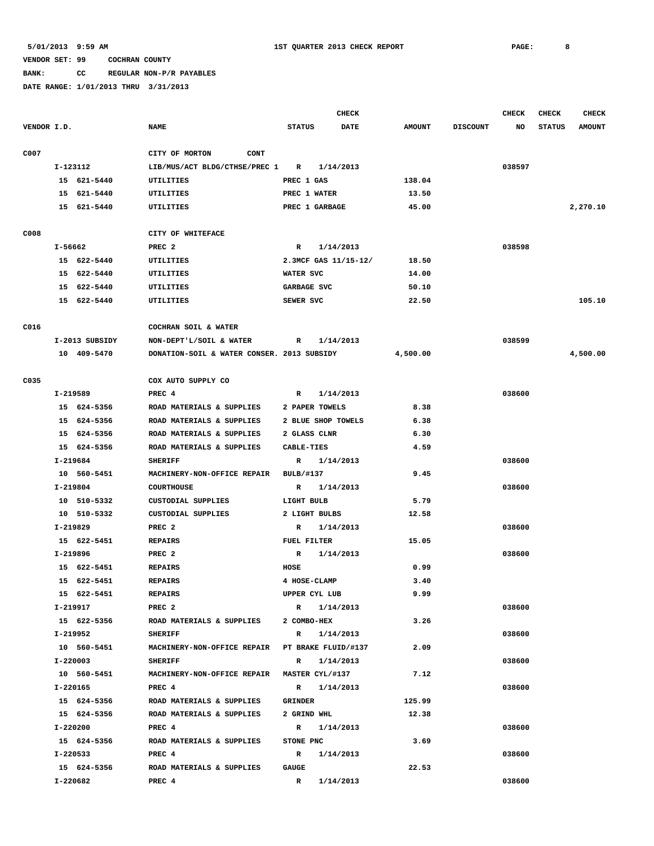## **BANK: CC REGULAR NON-P/R PAYABLES**

|             |          |                |                                                 |                   | <b>CHECK</b>           |               |                 | <b>CHECK</b> | <b>CHECK</b>  | <b>CHECK</b>  |
|-------------|----------|----------------|-------------------------------------------------|-------------------|------------------------|---------------|-----------------|--------------|---------------|---------------|
| VENDOR I.D. |          |                | <b>NAME</b>                                     | <b>STATUS</b>     | <b>DATE</b>            | <b>AMOUNT</b> | <b>DISCOUNT</b> | NO           | <b>STATUS</b> | <b>AMOUNT</b> |
| C007        |          |                | CITY OF MORTON<br><b>CONT</b>                   |                   |                        |               |                 |              |               |               |
|             | I-123112 |                | LIB/MUS/ACT BLDG/CTHSE/PREC 1                   | $\mathbb{R}$      | 1/14/2013              |               |                 | 038597       |               |               |
|             |          | 15 621-5440    | UTILITIES                                       | PREC 1 GAS        |                        | 138.04        |                 |              |               |               |
|             |          | 15 621-5440    | UTILITIES                                       | PREC 1 WATER      |                        | 13.50         |                 |              |               |               |
|             |          | 15 621-5440    | UTILITIES                                       |                   | PREC 1 GARBAGE         | 45.00         |                 |              |               | 2,270.10      |
|             |          |                |                                                 |                   |                        |               |                 |              |               |               |
| C008        |          |                | CITY OF WHITEFACE                               |                   |                        |               |                 |              |               |               |
|             | I-56662  |                | PREC <sub>2</sub>                               | R                 | 1/14/2013              |               |                 | 038598       |               |               |
|             |          | 15 622-5440    | UTILITIES                                       |                   | 2.3MCF GAS 11/15-12/   | 18.50         |                 |              |               |               |
|             |          | 15 622-5440    | UTILITIES                                       | WATER SVC         |                        | 14.00         |                 |              |               |               |
|             |          | 15 622-5440    | UTILITIES                                       | GARBAGE SVC       |                        | 50.10         |                 |              |               |               |
|             |          | 15 622-5440    | UTILITIES                                       | SEWER SVC         |                        | 22.50         |                 |              |               | 105.10        |
| C016        |          |                | COCHRAN SOIL & WATER                            |                   |                        |               |                 |              |               |               |
|             |          | I-2013 SUBSIDY | NON-DEPT'L/SOIL & WATER                         | R                 | 1/14/2013              |               |                 | 038599       |               |               |
|             |          | 10 409-5470    | DONATION-SOIL & WATER CONSER. 2013 SUBSIDY      |                   |                        | 4,500.00      |                 |              |               | 4,500.00      |
| C035        |          |                | COX AUTO SUPPLY CO                              |                   |                        |               |                 |              |               |               |
|             | I-219589 |                | PREC 4                                          | R                 | 1/14/2013              |               |                 | 038600       |               |               |
|             |          | 15 624-5356    | ROAD MATERIALS & SUPPLIES                       |                   | 2 PAPER TOWELS         | 8.38          |                 |              |               |               |
|             |          | 15 624-5356    | ROAD MATERIALS & SUPPLIES                       |                   | 2 BLUE SHOP TOWELS     | 6.38          |                 |              |               |               |
|             |          | 15 624-5356    | ROAD MATERIALS & SUPPLIES                       | 2 GLASS CLNR      |                        | 6.30          |                 |              |               |               |
|             |          | 15 624-5356    | ROAD MATERIALS & SUPPLIES                       | <b>CABLE-TIES</b> |                        | 4.59          |                 |              |               |               |
|             | I-219684 |                | <b>SHERIFF</b>                                  | $\mathbf R$       | 1/14/2013              |               |                 | 038600       |               |               |
|             |          | 10 560-5451    | MACHINERY-NON-OFFICE REPAIR                     | BULB/#137         |                        | 9.45          |                 |              |               |               |
|             | I-219804 |                | <b>COURTHOUSE</b>                               | R                 | 1/14/2013              |               |                 | 038600       |               |               |
|             |          | 10 510-5332    | CUSTODIAL SUPPLIES                              | LIGHT BULB        |                        | 5.79          |                 |              |               |               |
|             |          | 10 510-5332    | CUSTODIAL SUPPLIES                              | 2 LIGHT BULBS     |                        | 12.58         |                 |              |               |               |
|             | I-219829 |                | PREC <sub>2</sub>                               | R                 | 1/14/2013              |               |                 | 038600       |               |               |
|             |          | 15 622-5451    | <b>REPAIRS</b>                                  | FUEL FILTER       |                        | 15.05         |                 |              |               |               |
|             | I-219896 |                | PREC <sub>2</sub>                               | R                 | 1/14/2013              |               |                 | 038600       |               |               |
|             |          | 15 622-5451    | <b>REPAIRS</b>                                  | HOSE              |                        | 0.99          |                 |              |               |               |
|             |          | 15 622-5451    | <b>REPAIRS</b>                                  | 4 HOSE-CLAMP      |                        | 3.40          |                 |              |               |               |
|             |          | 15 622-5451    | REPAIRS                                         | UPPER CYL LUB     |                        | 9.99          |                 |              |               |               |
|             | I-219917 |                | PREC <sub>2</sub>                               |                   | R 1/14/2013            |               |                 | 038600       |               |               |
|             |          | 15 622-5356    | ROAD MATERIALS & SUPPLIES                       | 2 COMBO-HEX       |                        | 3.26          |                 |              |               |               |
|             | I-219952 |                | <b>SHERIFF</b>                                  |                   | R 1/14/2013            |               |                 | 038600       |               |               |
|             |          | 10 560-5451    | MACHINERY-NON-OFFICE REPAIR PT BRAKE FLUID/#137 |                   |                        | 2.09          |                 |              |               |               |
|             | I-220003 |                | <b>SHERIFF</b>                                  |                   | R 1/14/2013            |               |                 | 038600       |               |               |
|             |          | 10 560-5451    | MACHINERY-NON-OFFICE REPAIR                     |                   | <b>MASTER CYL/#137</b> | 7.12          |                 |              |               |               |
|             | I-220165 |                | PREC 4                                          |                   | R 1/14/2013            |               |                 | 038600       |               |               |
|             |          | 15 624-5356    | ROAD MATERIALS & SUPPLIES                       | GRINDER           |                        | 125.99        |                 |              |               |               |
|             |          | 15 624-5356    | ROAD MATERIALS & SUPPLIES                       | 2 GRIND WHL       |                        | 12.38         |                 |              |               |               |
|             | I-220200 |                | PREC 4                                          | $\mathbb{R}$      | 1/14/2013              |               |                 | 038600       |               |               |
|             |          | 15 624-5356    | ROAD MATERIALS & SUPPLIES                       | STONE PNC         |                        | 3.69          |                 |              |               |               |
|             | I-220533 |                | PREC 4                                          | R                 | 1/14/2013              |               |                 | 038600       |               |               |
|             |          | 15 624-5356    | ROAD MATERIALS & SUPPLIES                       | <b>GAUGE</b>      |                        | 22.53         |                 |              |               |               |
|             | I-220682 |                | PREC 4                                          | $\mathbf{R}$      | 1/14/2013              |               |                 | 038600       |               |               |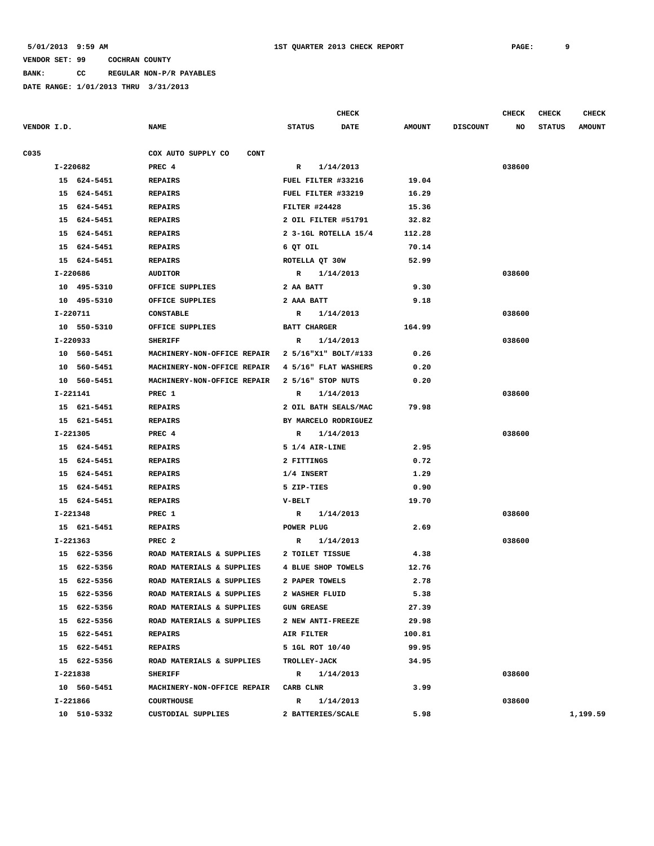**BANK: CC REGULAR NON-P/R PAYABLES**

|             |          |             |                                       |                      | <b>CHECK</b> |               |                 | <b>CHECK</b> | <b>CHECK</b>  | <b>CHECK</b>  |
|-------------|----------|-------------|---------------------------------------|----------------------|--------------|---------------|-----------------|--------------|---------------|---------------|
| VENDOR I.D. |          |             | <b>NAME</b>                           | <b>STATUS</b>        | DATE         | <b>AMOUNT</b> | <b>DISCOUNT</b> | NO           | <b>STATUS</b> | <b>AMOUNT</b> |
| C035        |          |             | COX AUTO SUPPLY CO<br><b>CONT</b>     |                      |              |               |                 |              |               |               |
|             | I-220682 |             | PREC 4                                | R                    | 1/14/2013    |               |                 | 038600       |               |               |
|             |          | 15 624-5451 | <b>REPAIRS</b>                        | FUEL FILTER #33216   |              | 19.04         |                 |              |               |               |
|             |          | 15 624-5451 | <b>REPAIRS</b>                        | FUEL FILTER #33219   |              | 16.29         |                 |              |               |               |
|             |          | 15 624-5451 | <b>REPAIRS</b>                        | FILTER #24428        |              | 15.36         |                 |              |               |               |
|             |          | 15 624-5451 | <b>REPAIRS</b>                        | 2 OIL FILTER #51791  |              | 32.82         |                 |              |               |               |
|             |          | 15 624-5451 | <b>REPAIRS</b>                        | 2 3-1GL ROTELLA 15/4 |              | 112.28        |                 |              |               |               |
|             |          | 15 624-5451 | <b>REPAIRS</b>                        | 6 QT OIL             |              | 70.14         |                 |              |               |               |
|             |          | 15 624-5451 | <b>REPAIRS</b>                        | ROTELLA QT 30W       |              | 52.99         |                 |              |               |               |
|             | I-220686 |             | <b>AUDITOR</b>                        | $\mathbb{R}$         | 1/14/2013    |               |                 | 038600       |               |               |
|             |          | 10 495-5310 | OFFICE SUPPLIES                       | 2 AA BATT            |              | 9.30          |                 |              |               |               |
|             |          | 10 495-5310 | OFFICE SUPPLIES                       | 2 AAA BATT           |              | 9.18          |                 |              |               |               |
|             | I-220711 |             | <b>CONSTABLE</b>                      | $\mathbb{R}$         | 1/14/2013    |               |                 | 038600       |               |               |
|             |          | 10 550-5310 | OFFICE SUPPLIES                       | <b>BATT CHARGER</b>  |              | 164.99        |                 |              |               |               |
|             | I-220933 |             | <b>SHERIFF</b>                        | $\mathbb{R}$         | 1/14/2013    |               |                 | 038600       |               |               |
|             |          | 10 560-5451 | MACHINERY-NON-OFFICE REPAIR           | 2 5/16"X1" BOLT/#133 |              | 0.26          |                 |              |               |               |
|             |          | 10 560-5451 | MACHINERY-NON-OFFICE REPAIR           | 4 5/16" FLAT WASHERS |              | 0.20          |                 |              |               |               |
|             |          | 10 560-5451 | MACHINERY-NON-OFFICE REPAIR           | 2 5/16" STOP NUTS    |              | 0.20          |                 |              |               |               |
|             | I-221141 |             | PREC 1                                | R                    | 1/14/2013    |               |                 | 038600       |               |               |
|             |          | 15 621-5451 | <b>REPAIRS</b>                        | 2 OIL BATH SEALS/MAC |              | 79.98         |                 |              |               |               |
|             |          | 15 621-5451 | <b>REPAIRS</b>                        | BY MARCELO RODRIGUEZ |              |               |                 |              |               |               |
|             | I-221305 |             | PREC 4                                | $\mathbb{R}$         | 1/14/2013    |               |                 | 038600       |               |               |
|             |          | 15 624-5451 | <b>REPAIRS</b>                        | 5 1/4 AIR-LINE       |              | 2.95          |                 |              |               |               |
|             |          | 15 624-5451 | <b>REPAIRS</b>                        | 2 FITTINGS           |              | 0.72          |                 |              |               |               |
|             |          | 15 624-5451 | <b>REPAIRS</b>                        | 1/4 INSERT           |              | 1.29          |                 |              |               |               |
|             |          | 15 624-5451 | <b>REPAIRS</b>                        | 5 ZIP-TIES           |              | 0.90          |                 |              |               |               |
|             |          | 15 624-5451 | <b>REPAIRS</b>                        | V-BELT               |              | 19.70         |                 |              |               |               |
|             | I-221348 |             | PREC 1                                | $\mathbb{R}$         | 1/14/2013    |               |                 | 038600       |               |               |
|             |          | 15 621-5451 | <b>REPAIRS</b>                        | POWER PLUG           |              | 2.69          |                 |              |               |               |
|             | I-221363 |             | PREC <sub>2</sub>                     | R                    | 1/14/2013    |               |                 | 038600       |               |               |
|             |          | 15 622-5356 | ROAD MATERIALS & SUPPLIES             | 2 TOILET TISSUE      |              | 4.38          |                 |              |               |               |
|             |          | 15 622-5356 | ROAD MATERIALS & SUPPLIES             | 4 BLUE SHOP TOWELS   |              | 12.76         |                 |              |               |               |
|             |          | 15 622-5356 | ROAD MATERIALS & SUPPLIES             | 2 PAPER TOWELS       |              | 2.78          |                 |              |               |               |
|             |          | 15 622-5356 | ROAD MATERIALS & SUPPLIES             | 2 WASHER FLUID       |              | 5.38          |                 |              |               |               |
|             |          | 15 622-5356 | ROAD MATERIALS & SUPPLIES             | <b>GUN GREASE</b>    |              | 27.39         |                 |              |               |               |
|             |          | 15 622-5356 | ROAD MATERIALS & SUPPLIES             | 2 NEW ANTI-FREEZE    |              | 29.98         |                 |              |               |               |
|             |          | 15 622-5451 | <b>REPAIRS</b>                        | AIR FILTER           |              | 100.81        |                 |              |               |               |
|             |          | 15 622-5451 | <b>REPAIRS</b>                        | 5 1GL ROT 10/40      |              | 99.95         |                 |              |               |               |
|             |          | 15 622-5356 | ROAD MATERIALS & SUPPLIES             | <b>TROLLEY-JACK</b>  |              | 34.95         |                 |              |               |               |
|             | I-221838 |             | <b>SHERIFF</b>                        | R 1/14/2013          |              |               |                 | 038600       |               |               |
|             |          | 10 560-5451 | MACHINERY-NON-OFFICE REPAIR CARB CLNR |                      |              | 3.99          |                 |              |               |               |
|             |          | I-221866    | <b>COURTHOUSE</b>                     | R                    | 1/14/2013    |               |                 | 038600       |               |               |
|             |          | 10 510-5332 | CUSTODIAL SUPPLIES                    | 2 BATTERIES/SCALE    |              | 5.98          |                 |              |               | 1,199.59      |
|             |          |             |                                       |                      |              |               |                 |              |               |               |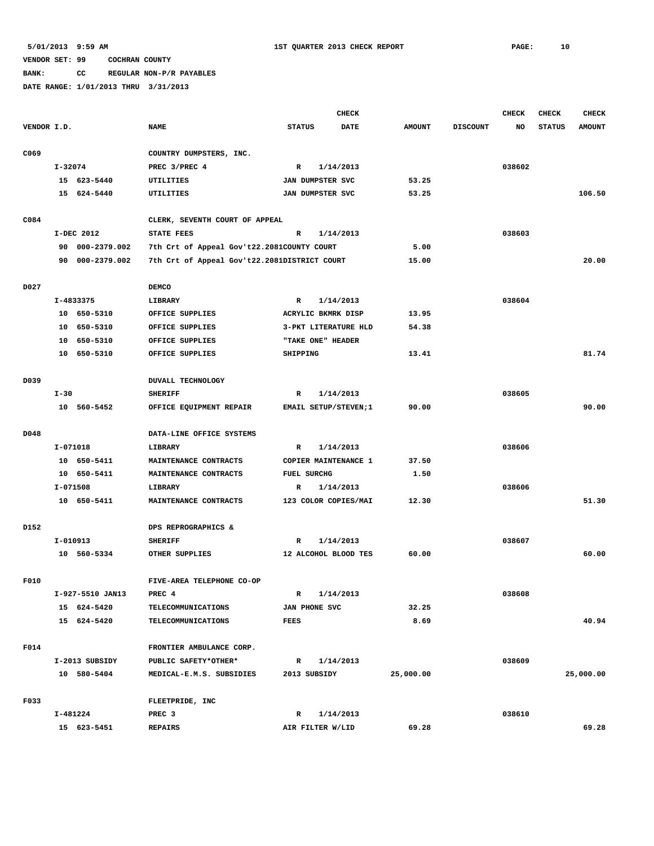**BANK: CC REGULAR NON-P/R PAYABLES**

|             |            |                  |                                              |                              | <b>CHECK</b> |               |                 | <b>CHECK</b> | <b>CHECK</b>  | <b>CHECK</b>  |
|-------------|------------|------------------|----------------------------------------------|------------------------------|--------------|---------------|-----------------|--------------|---------------|---------------|
| VENDOR I.D. |            |                  | <b>NAME</b>                                  | <b>STATUS</b><br><b>DATE</b> |              | <b>AMOUNT</b> | <b>DISCOUNT</b> | NO           | <b>STATUS</b> | <b>AMOUNT</b> |
| C069        |            |                  | COUNTRY DUMPSTERS, INC.                      |                              |              |               |                 |              |               |               |
|             | I-32074    |                  | PREC 3/PREC 4                                | $\mathbb{R}$                 | 1/14/2013    |               |                 | 038602       |               |               |
|             |            | 15 623-5440      | <b>UTILITIES</b>                             | JAN DUMPSTER SVC             |              | 53.25         |                 |              |               |               |
|             |            | 15 624-5440      | UTILITIES                                    | JAN DUMPSTER SVC             |              | 53.25         |                 |              |               | 106.50        |
|             |            |                  |                                              |                              |              |               |                 |              |               |               |
| C084        |            |                  | CLERK, SEVENTH COURT OF APPEAL               |                              |              |               |                 |              |               |               |
|             |            | I-DEC 2012       | <b>STATE FEES</b>                            | $\mathbb{R}$                 | 1/14/2013    |               |                 | 038603       |               |               |
|             |            | 90 000-2379.002  | 7th Crt of Appeal Gov't22.2081COUNTY COURT   |                              |              | 5.00          |                 |              |               |               |
|             |            | 90 000-2379.002  | 7th Crt of Appeal Gov't22.2081DISTRICT COURT |                              |              | 15.00         |                 |              |               | 20.00         |
| D027        |            |                  | <b>DEMCO</b>                                 |                              |              |               |                 |              |               |               |
|             |            | I-4833375        | LIBRARY                                      | R                            | 1/14/2013    |               |                 | 038604       |               |               |
|             |            | 10 650-5310      | OFFICE SUPPLIES                              | <b>ACRYLIC BKMRK DISP</b>    |              | 13.95         |                 |              |               |               |
|             |            | 10 650-5310      | OFFICE SUPPLIES                              | 3-PKT LITERATURE HLD         |              | 54.38         |                 |              |               |               |
|             |            | 10 650-5310      | OFFICE SUPPLIES                              | "TAKE ONE" HEADER            |              |               |                 |              |               |               |
|             |            | 10 650-5310      | OFFICE SUPPLIES                              | SHIPPING                     |              | 13.41         |                 |              |               | 81.74         |
|             |            |                  |                                              |                              |              |               |                 |              |               |               |
| D039        |            |                  | <b>DUVALL TECHNOLOGY</b>                     |                              |              |               |                 |              |               |               |
|             | $I-30$     |                  | <b>SHERIFF</b>                               | R                            | 1/14/2013    |               |                 | 038605       |               |               |
|             |            | 10 560-5452      | OFFICE EQUIPMENT REPAIR                      | EMAIL SETUP/STEVEN;1         |              | 90.00         |                 |              |               | 90.00         |
| D048        |            |                  | DATA-LINE OFFICE SYSTEMS                     |                              |              |               |                 |              |               |               |
|             | I-071018   |                  | LIBRARY                                      | R                            | 1/14/2013    |               |                 | 038606       |               |               |
|             |            | 10 650-5411      | MAINTENANCE CONTRACTS                        | COPIER MAINTENANCE 1         |              | 37.50         |                 |              |               |               |
|             |            | 10 650-5411      | MAINTENANCE CONTRACTS                        | <b>FUEL SURCHG</b>           |              | 1.50          |                 |              |               |               |
|             | I-071508   |                  | LIBRARY                                      | R                            | 1/14/2013    |               |                 | 038606       |               |               |
|             |            | 10 650-5411      | MAINTENANCE CONTRACTS                        | 123 COLOR COPIES/MAI         |              | 12.30         |                 |              |               | 51.30         |
|             |            |                  |                                              |                              |              |               |                 |              |               |               |
| D152        |            |                  | DPS REPROGRAPHICS &                          |                              |              |               |                 |              |               |               |
|             | $I-010913$ |                  | <b>SHERIFF</b>                               | R                            | 1/14/2013    |               |                 | 038607       |               |               |
|             |            | 10 560-5334      | OTHER SUPPLIES                               | 12 ALCOHOL BLOOD TES         |              | 60.00         |                 |              |               | 60.00         |
| F010        |            |                  | FIVE-AREA TELEPHONE CO-OP                    |                              |              |               |                 |              |               |               |
|             |            | I-927-5510 JAN13 | PREC 4                                       | R                            | 1/14/2013    |               |                 | 038608       |               |               |
|             |            | 15 624-5420      | <b>TELECOMMUNICATIONS</b>                    | JAN PHONE SVC                |              | 32.25         |                 |              |               |               |
|             |            | 15 624-5420      | <b>TELECOMMUNICATIONS</b>                    | <b>FEES</b>                  |              | 8.69          |                 |              |               | 40.94         |
|             |            |                  |                                              |                              |              |               |                 |              |               |               |
| F014        |            |                  | FRONTIER AMBULANCE CORP.                     |                              |              |               |                 |              |               |               |
|             |            | I-2013 SUBSIDY   | PUBLIC SAFETY*OTHER*                         | R                            | 1/14/2013    |               |                 | 038609       |               |               |
|             |            | 10 580-5404      | MEDICAL-E.M.S. SUBSIDIES                     | 2013 SUBSIDY                 |              | 25,000.00     |                 |              |               | 25,000.00     |
| F033        |            |                  | FLEETPRIDE, INC                              |                              |              |               |                 |              |               |               |
|             | I-481224   |                  | PREC 3                                       | $\mathbb{R}$                 | 1/14/2013    |               |                 | 038610       |               |               |
|             |            | 15 623-5451      | <b>REPAIRS</b>                               | AIR FILTER W/LID             |              | 69.28         |                 |              |               | 69.28         |
|             |            |                  |                                              |                              |              |               |                 |              |               |               |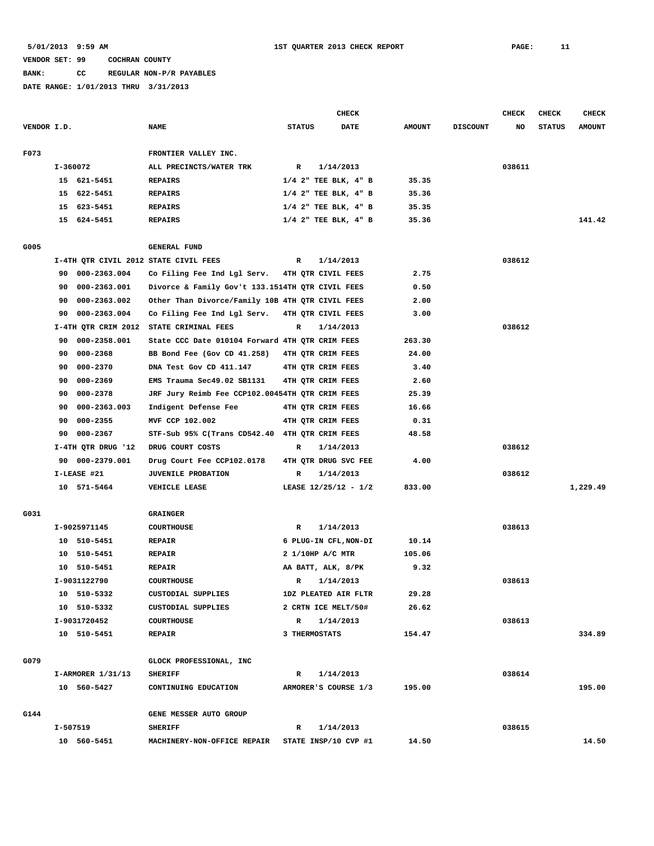## **BANK: CC REGULAR NON-P/R PAYABLES**

|             |          |                    |                                                  |                     | CHECK                    |               |                 | CHECK  | CHECK         | <b>CHECK</b>  |
|-------------|----------|--------------------|--------------------------------------------------|---------------------|--------------------------|---------------|-----------------|--------|---------------|---------------|
| VENDOR I.D. |          |                    | <b>NAME</b>                                      | <b>STATUS</b>       | <b>DATE</b>              | <b>AMOUNT</b> | <b>DISCOUNT</b> | NO     | <b>STATUS</b> | <b>AMOUNT</b> |
| F073        |          |                    | FRONTIER VALLEY INC.                             |                     |                          |               |                 |        |               |               |
|             | I-360072 |                    | ALL PRECINCTS/WATER TRK                          | $\mathbb{R}$        | 1/14/2013                |               |                 | 038611 |               |               |
|             |          | 15 621-5451        | <b>REPAIRS</b>                                   |                     | $1/4$ 2" TEE BLK, $4"$ B | 35.35         |                 |        |               |               |
|             | 15       | 622-5451           | <b>REPAIRS</b>                                   |                     | $1/4$ 2" TEE BLK, $4"$ B | 35.36         |                 |        |               |               |
|             | 15       | 623-5451           | <b>REPAIRS</b>                                   |                     | $1/4$ 2" TEE BLK, $4"$ B | 35.35         |                 |        |               |               |
|             |          | 15 624-5451        | <b>REPAIRS</b>                                   |                     | $1/4$ 2" TEE BLK, $4"$ B | 35.36         |                 |        |               | 141.42        |
|             |          |                    |                                                  |                     |                          |               |                 |        |               |               |
| G005        |          |                    | <b>GENERAL FUND</b>                              |                     |                          |               |                 |        |               |               |
|             |          |                    | I-4TH QTR CIVIL 2012 STATE CIVIL FEES            | R                   | 1/14/2013                |               |                 | 038612 |               |               |
|             | 90       | 000-2363.004       | Co Filing Fee Ind Lgl Serv.                      | 4TH QTR CIVIL FEES  |                          | 2.75          |                 |        |               |               |
|             | 90       | 000-2363.001       | Divorce & Family Gov't 133.1514TH QTR CIVIL FEES |                     |                          | 0.50          |                 |        |               |               |
|             | 90       | 000-2363.002       | Other Than Divorce/Family 10B 4TH QTR CIVIL FEES |                     |                          | 2.00          |                 |        |               |               |
|             | 90       | 000-2363.004       | Co Filing Fee Ind Lgl Serv.                      | 4TH QTR CIVIL FEES  |                          | 3.00          |                 |        |               |               |
|             |          |                    | I-4TH QTR CRIM 2012 STATE CRIMINAL FEES          | R                   | 1/14/2013                |               |                 | 038612 |               |               |
|             | 90       | 000-2358.001       | State CCC Date 010104 Forward 4TH QTR CRIM FEES  |                     |                          | 263.30        |                 |        |               |               |
|             | 90       | 000-2368           | BB Bond Fee (Gov CD 41.258)                      | 4TH QTR CRIM FEES   |                          | 24.00         |                 |        |               |               |
|             | 90       | 000-2370           | DNA Test Gov CD 411.147                          | 4TH QTR CRIM FEES   |                          | 3.40          |                 |        |               |               |
|             | 90       | 000-2369           | EMS Trauma Sec49.02 SB1131                       | 4TH OTR CRIM FEES   |                          | 2.60          |                 |        |               |               |
|             | 90       | 000-2378           | JRF Jury Reimb Fee CCP102.00454TH QTR CRIM FEES  |                     |                          | 25.39         |                 |        |               |               |
|             | 90       | 000-2363.003       | Indigent Defense Fee                             | 4TH QTR CRIM FEES   |                          | 16.66         |                 |        |               |               |
|             | 90       | 000-2355           | MVF CCP 102.002                                  | 4TH QTR CRIM FEES   |                          | 0.31          |                 |        |               |               |
|             | 90       | 000-2367           | STF-Sub 95% C(Trans CD542.40 4TH QTR CRIM FEES   |                     |                          | 48.58         |                 |        |               |               |
|             |          | I-4TH QTR DRUG '12 | DRUG COURT COSTS                                 | R                   | 1/14/2013                |               |                 | 038612 |               |               |
|             |          | 90 000-2379.001    | Drug Court Fee CCP102.0178                       |                     | 4TH QTR DRUG SVC FEE     | 4.00          |                 |        |               |               |
|             |          | I-LEASE #21        | <b>JUVENILE PROBATION</b>                        | R                   | 1/14/2013                |               |                 | 038612 |               |               |
|             |          | 10 571-5464        | <b>VEHICLE LEASE</b>                             |                     | LEASE 12/25/12 - 1/2     | 833.00        |                 |        |               | 1,229.49      |
|             |          |                    |                                                  |                     |                          |               |                 |        |               |               |
| G031        |          |                    | GRAINGER                                         |                     |                          |               |                 |        |               |               |
|             |          | I-9025971145       | <b>COURTHOUSE</b>                                | R                   | 1/14/2013                |               |                 | 038613 |               |               |
|             |          | 10 510-5451        | <b>REPAIR</b>                                    |                     | 6 PLUG-IN CFL, NON-DI    | 10.14         |                 |        |               |               |
|             | 10       | 510-5451           | <b>REPAIR</b>                                    | 2 1/10HP A/C MTR    |                          | 105.06        |                 |        |               |               |
|             | 10       | 510-5451           | <b>REPAIR</b>                                    | AA BATT, ALK, 8/PK  |                          | 9.32          |                 |        |               |               |
|             |          | I-9031122790       | <b>COURTHOUSE</b>                                | $\mathbb{R}$        | 1/14/2013                |               |                 | 038613 |               |               |
|             |          | 10 510-5332        | CUSTODIAL SUPPLIES                               |                     | 1DZ PLEATED AIR FLTR     | 29.28         |                 |        |               |               |
|             |          | 10 510-5332        | CUSTODIAL SUPPLIES                               | 2 CRTN ICE MELT/50# |                          | 26.62         |                 |        |               |               |
|             |          | I-9031720452       | <b>COURTHOUSE</b>                                | $\mathbb{R}$        | 1/14/2013                |               |                 | 038613 |               |               |
|             |          | 10 510-5451        | <b>REPAIR</b>                                    | 3 THERMOSTATS       |                          | 154.47        |                 |        |               | 334.89        |
|             |          |                    |                                                  |                     |                          |               |                 |        |               |               |
| G079        |          |                    | GLOCK PROFESSIONAL, INC                          |                     |                          |               |                 |        |               |               |
|             |          | I-ARMORER 1/31/13  | <b>SHERIFF</b>                                   | R                   | 1/14/2013                |               |                 | 038614 |               |               |
|             |          | 10 560-5427        | CONTINUING EDUCATION                             |                     | ARMORER'S COURSE 1/3     | 195.00        |                 |        |               | 195.00        |
| G144        |          |                    | GENE MESSER AUTO GROUP                           |                     |                          |               |                 |        |               |               |
|             | I-507519 |                    | <b>SHERIFF</b>                                   | R                   | 1/14/2013                |               |                 | 038615 |               |               |
|             |          | 10 560-5451        | <b>MACHINERY-NON-OFFICE REPAIR</b>               |                     | STATE INSP/10 CVP #1     | 14.50         |                 |        |               | 14.50         |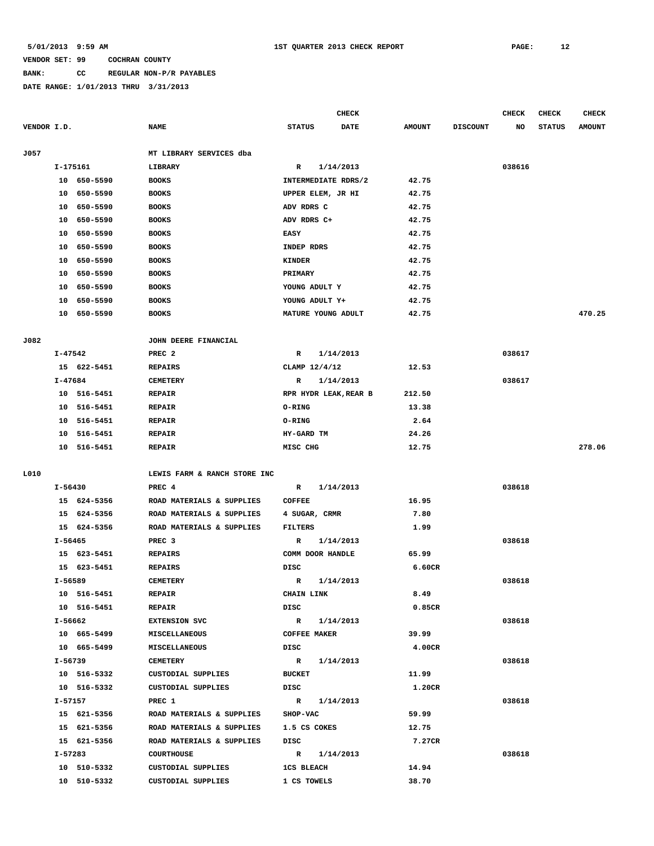# **BANK: CC REGULAR NON-P/R PAYABLES**

|             |          |             |                              |                     | <b>CHECK</b>          |               |                 | CHECK  | <b>CHECK</b>  | <b>CHECK</b>  |
|-------------|----------|-------------|------------------------------|---------------------|-----------------------|---------------|-----------------|--------|---------------|---------------|
| VENDOR I.D. |          |             | <b>NAME</b>                  | <b>STATUS</b>       | DATE                  | <b>AMOUNT</b> | <b>DISCOUNT</b> | NO     | <b>STATUS</b> | <b>AMOUNT</b> |
| J057        |          |             | MT LIBRARY SERVICES dba      |                     |                       |               |                 |        |               |               |
|             | I-175161 |             | LIBRARY                      | $\mathbb{R}$        | 1/14/2013             |               |                 | 038616 |               |               |
|             |          | 10 650-5590 | <b>BOOKS</b>                 |                     | INTERMEDIATE RDRS/2   | 42.75         |                 |        |               |               |
|             |          | 10 650-5590 | <b>BOOKS</b>                 |                     | UPPER ELEM, JR HI     | 42.75         |                 |        |               |               |
|             | 10       | 650-5590    | <b>BOOKS</b>                 | ADV RDRS C          |                       | 42.75         |                 |        |               |               |
|             | 10       | 650-5590    | <b>BOOKS</b>                 | ADV RDRS C+         |                       | 42.75         |                 |        |               |               |
|             | 10       | 650-5590    | <b>BOOKS</b>                 | <b>EASY</b>         |                       | 42.75         |                 |        |               |               |
|             | 10       | 650-5590    | <b>BOOKS</b>                 | INDEP RDRS          |                       | 42.75         |                 |        |               |               |
|             | 10       | 650-5590    | <b>BOOKS</b>                 | <b>KINDER</b>       |                       | 42.75         |                 |        |               |               |
|             | 10       | 650-5590    | <b>BOOKS</b>                 | PRIMARY             |                       | 42.75         |                 |        |               |               |
|             | 10       | 650-5590    | <b>BOOKS</b>                 | YOUNG ADULT Y       |                       | 42.75         |                 |        |               |               |
|             | 10       | 650-5590    | <b>BOOKS</b>                 | YOUNG ADULT Y+      |                       | 42.75         |                 |        |               |               |
|             |          | 10 650-5590 | <b>BOOKS</b>                 |                     | MATURE YOUNG ADULT    | 42.75         |                 |        |               | 470.25        |
| J082        |          |             | JOHN DEERE FINANCIAL         |                     |                       |               |                 |        |               |               |
|             | I-47542  |             | PREC <sub>2</sub>            | R                   | 1/14/2013             |               |                 | 038617 |               |               |
|             |          | 15 622-5451 | <b>REPAIRS</b>               | CLAMP 12/4/12       |                       | 12.53         |                 |        |               |               |
|             | I-47684  |             | <b>CEMETERY</b>              | R                   | 1/14/2013             |               |                 | 038617 |               |               |
|             |          | 10 516-5451 | <b>REPAIR</b>                |                     | RPR HYDR LEAK, REAR B | 212.50        |                 |        |               |               |
|             | 10       | 516-5451    | <b>REPAIR</b>                | O-RING              |                       | 13.38         |                 |        |               |               |
|             | 10       | 516-5451    | <b>REPAIR</b>                | O-RING              |                       | 2.64          |                 |        |               |               |
|             | 10       | 516-5451    | <b>REPAIR</b>                | HY-GARD TM          |                       | 24.26         |                 |        |               |               |
|             |          | 10 516-5451 | <b>REPAIR</b>                | MISC CHG            |                       | 12.75         |                 |        |               | 278.06        |
| L010        |          |             | LEWIS FARM & RANCH STORE INC |                     |                       |               |                 |        |               |               |
|             | I-56430  |             | PREC 4                       | $\mathbb{R}$        | 1/14/2013             |               |                 | 038618 |               |               |
|             |          | 15 624-5356 | ROAD MATERIALS & SUPPLIES    | <b>COFFEE</b>       |                       | 16.95         |                 |        |               |               |
|             |          | 15 624-5356 | ROAD MATERIALS & SUPPLIES    | 4 SUGAR, CRMR       |                       | 7.80          |                 |        |               |               |
|             |          | 15 624-5356 | ROAD MATERIALS & SUPPLIES    | FILTERS             |                       | 1.99          |                 |        |               |               |
|             | I-56465  |             | PREC <sub>3</sub>            | R                   | 1/14/2013             |               |                 | 038618 |               |               |
|             |          | 15 623-5451 | <b>REPAIRS</b>               |                     | COMM DOOR HANDLE      | 65.99         |                 |        |               |               |
|             |          | 15 623-5451 | <b>REPAIRS</b>               | DISC                |                       | 6.60CR        |                 |        |               |               |
|             | I-56589  |             | <b>CEMETERY</b>              | R                   | 1/14/2013             |               |                 | 038618 |               |               |
|             |          | 10 516-5451 | <b>REPAIR</b>                | CHAIN LINK          |                       | 8.49          |                 |        |               |               |
|             |          | 10 516-5451 | <b>REPAIR</b>                | DISC                |                       | 0.85CR        |                 |        |               |               |
|             |          | I-56662     | <b>EXTENSION SVC</b>         |                     | R 1/14/2013           |               |                 | 038618 |               |               |
|             |          | 10 665-5499 | MISCELLANEOUS                | <b>COFFEE MAKER</b> |                       | 39.99         |                 |        |               |               |
|             |          | 10 665-5499 | <b>MISCELLANEOUS</b>         | DISC                |                       | 4.00CR        |                 |        |               |               |
|             |          | I-56739     | <b>CEMETERY</b>              |                     | R 1/14/2013           |               |                 | 038618 |               |               |
|             |          | 10 516-5332 | CUSTODIAL SUPPLIES           | <b>BUCKET</b>       |                       | 11.99         |                 |        |               |               |
|             |          | 10 516-5332 | CUSTODIAL SUPPLIES           | DISC                |                       | 1.20CR        |                 |        |               |               |
|             |          | I-57157     | PREC 1                       |                     | R 1/14/2013           |               |                 | 038618 |               |               |
|             |          | 15 621-5356 | ROAD MATERIALS & SUPPLIES    | <b>SHOP-VAC</b>     |                       | 59.99         |                 |        |               |               |
|             |          | 15 621-5356 | ROAD MATERIALS & SUPPLIES    | 1.5 CS COKES        |                       | 12.75         |                 |        |               |               |
|             |          | 15 621-5356 | ROAD MATERIALS & SUPPLIES    | DISC                |                       | 7.27CR        |                 |        |               |               |
|             | I-57283  |             | <b>COURTHOUSE</b>            |                     | R 1/14/2013           |               |                 | 038618 |               |               |
|             |          | 10 510-5332 | CUSTODIAL SUPPLIES           | <b>1CS BLEACH</b>   |                       | 14.94         |                 |        |               |               |
|             |          | 10 510-5332 | CUSTODIAL SUPPLIES           | 1 CS TOWELS         |                       | 38.70         |                 |        |               |               |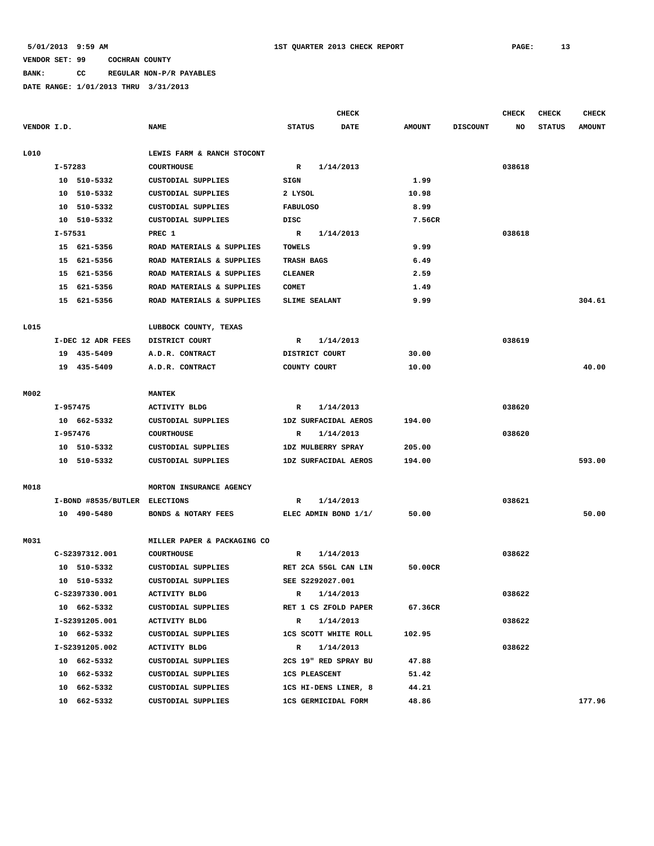# **BANK: CC REGULAR NON-P/R PAYABLES**

|             |         |                               |                             |                      | <b>CHECK</b>                |               |                 | <b>CHECK</b> | <b>CHECK</b>  | <b>CHECK</b>  |
|-------------|---------|-------------------------------|-----------------------------|----------------------|-----------------------------|---------------|-----------------|--------------|---------------|---------------|
| VENDOR I.D. |         |                               | <b>NAME</b>                 | <b>STATUS</b>        | <b>DATE</b>                 | <b>AMOUNT</b> | <b>DISCOUNT</b> | NO           | <b>STATUS</b> | <b>AMOUNT</b> |
| L010        |         |                               | LEWIS FARM & RANCH STOCONT  |                      |                             |               |                 |              |               |               |
|             | I-57283 |                               | <b>COURTHOUSE</b>           | $\mathbb{R}$         | 1/14/2013                   |               |                 | 038618       |               |               |
|             |         | 10 510-5332                   | CUSTODIAL SUPPLIES          | SIGN                 |                             | 1.99          |                 |              |               |               |
|             |         | 10 510-5332                   | CUSTODIAL SUPPLIES          | 2 LYSOL              |                             | 10.98         |                 |              |               |               |
|             |         | 10 510-5332                   | CUSTODIAL SUPPLIES          | <b>FABULOSO</b>      |                             | 8.99          |                 |              |               |               |
|             |         | 10 510-5332                   | CUSTODIAL SUPPLIES          | <b>DISC</b>          |                             | 7.56CR        |                 |              |               |               |
|             | I-57531 |                               | PREC 1                      | $\mathbb{R}$         | 1/14/2013                   |               |                 | 038618       |               |               |
|             |         | 15 621-5356                   | ROAD MATERIALS & SUPPLIES   | <b>TOWELS</b>        |                             | 9.99          |                 |              |               |               |
|             |         | 15 621-5356                   | ROAD MATERIALS & SUPPLIES   | TRASH BAGS           |                             | 6.49          |                 |              |               |               |
|             |         | 15 621-5356                   | ROAD MATERIALS & SUPPLIES   | <b>CLEANER</b>       |                             | 2.59          |                 |              |               |               |
|             |         | 15 621-5356                   | ROAD MATERIALS & SUPPLIES   | <b>COMET</b>         |                             | 1.49          |                 |              |               |               |
|             |         | 15 621-5356                   | ROAD MATERIALS & SUPPLIES   | SLIME SEALANT        |                             | 9.99          |                 |              |               | 304.61        |
| L015        |         |                               | LUBBOCK COUNTY, TEXAS       |                      |                             |               |                 |              |               |               |
|             |         | I-DEC 12 ADR FEES             | DISTRICT COURT              | R                    | 1/14/2013                   |               |                 | 038619       |               |               |
|             |         | 19 435-5409                   | A.D.R. CONTRACT             | DISTRICT COURT       |                             | 30.00         |                 |              |               |               |
|             |         | 19 435-5409                   | A.D.R. CONTRACT             | COUNTY COURT         |                             | 10.00         |                 |              |               | 40.00         |
|             |         |                               |                             |                      |                             |               |                 |              |               |               |
| M002        |         |                               | <b>MANTEK</b>               |                      |                             |               |                 |              |               |               |
|             |         | I-957475                      | <b>ACTIVITY BLDG</b>        | R                    | 1/14/2013                   |               |                 | 038620       |               |               |
|             |         | 10 662-5332                   | CUSTODIAL SUPPLIES          |                      | 1DZ SURFACIDAL AEROS        | 194.00        |                 |              |               |               |
|             |         | I-957476                      | <b>COURTHOUSE</b>           | R                    | 1/14/2013                   |               |                 | 038620       |               |               |
|             |         | 10 510-5332                   | CUSTODIAL SUPPLIES          |                      | <b>1DZ MULBERRY SPRAY</b>   | 205.00        |                 |              |               |               |
|             |         | 10 510-5332                   | CUSTODIAL SUPPLIES          |                      | 1DZ SURFACIDAL AEROS        | 194.00        |                 |              |               | 593.00        |
| M018        |         |                               | MORTON INSURANCE AGENCY     |                      |                             |               |                 |              |               |               |
|             |         | I-BOND #8535/BUTLER ELECTIONS |                             | R                    | 1/14/2013                   |               |                 | 038621       |               |               |
|             |         | 10 490-5480                   | BONDS & NOTARY FEES         |                      | ELEC ADMIN BOND 1/1/        | 50.00         |                 |              |               | 50.00         |
|             |         |                               |                             |                      |                             |               |                 |              |               |               |
| M031        |         |                               | MILLER PAPER & PACKAGING CO |                      |                             |               |                 |              |               |               |
|             |         | C-S2397312.001                | <b>COURTHOUSE</b>           | R                    | 1/14/2013                   |               |                 | 038622       |               |               |
|             |         | 10 510-5332<br>10 510-5332    | CUSTODIAL SUPPLIES          |                      | RET 2CA 55GL CAN LIN        | 50.00CR       |                 |              |               |               |
|             |         |                               | CUSTODIAL SUPPLIES          |                      | SEE S2292027.001            |               |                 |              |               |               |
|             |         | C-S2397330.001                | ACTIVITY BLDG               | R                    | 1/14/2013                   |               |                 | 038622       |               |               |
|             |         | 10 662-5332                   | CUSTODIAL SUPPLIES          |                      | RET 1 CS ZFOLD PAPER        | 67.36CR       |                 |              |               |               |
|             |         | I-S2391205.001<br>10 662-5332 | ACTIVITY BLDG               | $\mathbb{R}$         | 1/14/2013                   |               |                 | 038622       |               |               |
|             |         |                               | CUSTODIAL SUPPLIES          |                      | <b>1CS SCOTT WHITE ROLL</b> | 102.95        |                 |              |               |               |
|             |         | I-S2391205.002                | ACTIVITY BLDG               | $\mathbf{R}$         | 1/14/2013                   |               |                 | 038622       |               |               |
|             |         | 10 662-5332<br>10 662-5332    | CUSTODIAL SUPPLIES          |                      | 2CS 19" RED SPRAY BU        | 47.88         |                 |              |               |               |
|             |         |                               | CUSTODIAL SUPPLIES          | <b>1CS PLEASCENT</b> |                             | 51.42         |                 |              |               |               |
|             |         | 10 662-5332                   | CUSTODIAL SUPPLIES          |                      | 1CS HI-DENS LINER, 8        | 44.21         |                 |              |               |               |
|             |         | 10 662-5332                   | CUSTODIAL SUPPLIES          |                      | <b>1CS GERMICIDAL FORM</b>  | 48.86         |                 |              |               | 177.96        |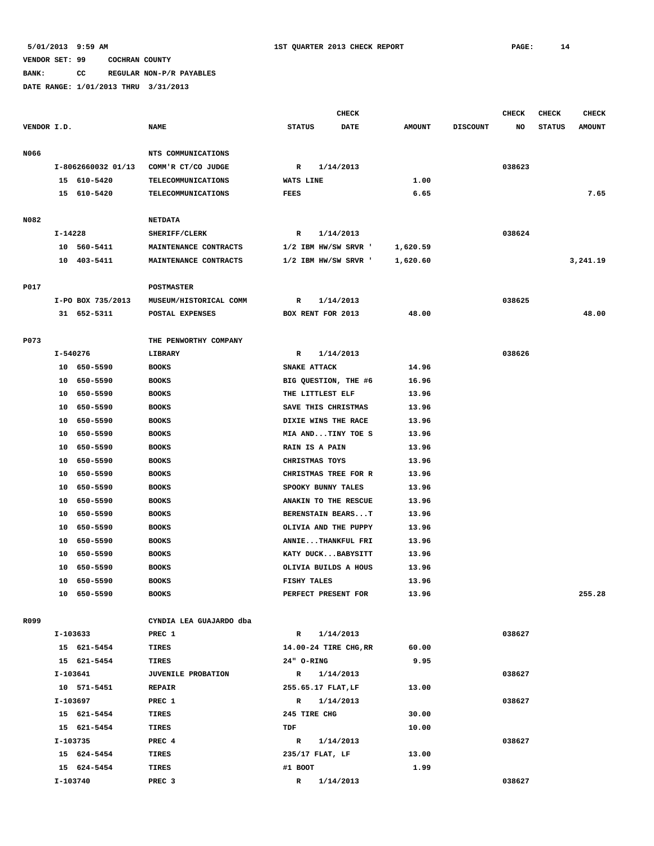# **BANK: CC REGULAR NON-P/R PAYABLES**

|             |          |                    |                           |                     | <b>CHECK</b>           |               |                 | <b>CHECK</b> | <b>CHECK</b>  | <b>CHECK</b>  |
|-------------|----------|--------------------|---------------------------|---------------------|------------------------|---------------|-----------------|--------------|---------------|---------------|
| VENDOR I.D. |          |                    | <b>NAME</b>               | <b>STATUS</b>       | <b>DATE</b>            | <b>AMOUNT</b> | <b>DISCOUNT</b> | NO           | <b>STATUS</b> | <b>AMOUNT</b> |
|             |          |                    |                           |                     |                        |               |                 |              |               |               |
| N066        |          |                    | NTS COMMUNICATIONS        |                     |                        |               |                 |              |               |               |
|             |          | I-8062660032 01/13 | COMM'R CT/CO JUDGE        | R                   | 1/14/2013              |               |                 | 038623       |               |               |
|             |          | 15 610-5420        | <b>TELECOMMUNICATIONS</b> | WATS LINE           |                        | 1.00          |                 |              |               |               |
|             |          | 15 610-5420        | <b>TELECOMMUNICATIONS</b> | FEES                |                        | 6.65          |                 |              |               | 7.65          |
|             |          |                    |                           |                     |                        |               |                 |              |               |               |
| N082        |          |                    | <b>NETDATA</b>            |                     |                        |               |                 |              |               |               |
|             | I-14228  |                    | SHERIFF/CLERK             | R                   | 1/14/2013              |               |                 | 038624       |               |               |
|             |          | 10 560-5411        | MAINTENANCE CONTRACTS     |                     | 1/2 IBM HW/SW SRVR '   | 1,620.59      |                 |              |               |               |
|             |          | 10 403-5411        | MAINTENANCE CONTRACTS     |                     | $1/2$ IBM HW/SW SRVR ' | 1,620.60      |                 |              |               | 3,241.19      |
|             |          |                    |                           |                     |                        |               |                 |              |               |               |
| P017        |          |                    | POSTMASTER                |                     |                        |               |                 |              |               |               |
|             |          | I-PO BOX 735/2013  | MUSEUM/HISTORICAL COMM    | R                   | 1/14/2013              |               |                 | 038625       |               |               |
|             |          | 31 652-5311        | POSTAL EXPENSES           | BOX RENT FOR 2013   |                        | 48.00         |                 |              |               | 48.00         |
|             |          |                    |                           |                     |                        |               |                 |              |               |               |
| P073        |          |                    | THE PENWORTHY COMPANY     |                     |                        |               |                 |              |               |               |
|             | I-540276 |                    | LIBRARY                   | R                   | 1/14/2013              |               |                 | 038626       |               |               |
|             |          | 10 650-5590        | <b>BOOKS</b>              | SNAKE ATTACK        |                        | 14.96         |                 |              |               |               |
|             |          | 10 650-5590        | <b>BOOKS</b>              |                     | BIG QUESTION, THE #6   | 16.96         |                 |              |               |               |
|             |          | 10 650-5590        | <b>BOOKS</b>              | THE LITTLEST ELF    |                        | 13.96         |                 |              |               |               |
|             | 10       | 650-5590           | <b>BOOKS</b>              | SAVE THIS CHRISTMAS |                        | 13.96         |                 |              |               |               |
|             | 10       | 650-5590           | <b>BOOKS</b>              | DIXIE WINS THE RACE |                        | 13.96         |                 |              |               |               |
|             | 10       | 650-5590           | <b>BOOKS</b>              |                     | MIA ANDTINY TOE S      | 13.96         |                 |              |               |               |
|             | 10       | 650-5590           | <b>BOOKS</b>              | RAIN IS A PAIN      |                        | 13.96         |                 |              |               |               |
|             | 10       | 650-5590           | <b>BOOKS</b>              | CHRISTMAS TOYS      |                        | 13.96         |                 |              |               |               |
|             | 10       | 650-5590           | <b>BOOKS</b>              |                     | CHRISTMAS TREE FOR R   | 13.96         |                 |              |               |               |
|             | 10       | 650-5590           | <b>BOOKS</b>              | SPOOKY BUNNY TALES  |                        | 13.96         |                 |              |               |               |
|             | 10       | 650-5590           | <b>BOOKS</b>              |                     | ANAKIN TO THE RESCUE   | 13.96         |                 |              |               |               |
|             | 10       | 650-5590           | <b>BOOKS</b>              |                     | BERENSTAIN BEARST      | 13.96         |                 |              |               |               |
|             | 10       | 650-5590           | <b>BOOKS</b>              |                     | OLIVIA AND THE PUPPY   | 13.96         |                 |              |               |               |
|             | 10       | 650-5590           | <b>BOOKS</b>              |                     | ANNIETHANKFUL FRI      | 13.96         |                 |              |               |               |
|             | 10       | 650-5590           | <b>BOOKS</b>              |                     | KATY DUCKBABYSITT      | 13.96         |                 |              |               |               |
|             | 10       | 650-5590           | <b>BOOKS</b>              |                     | OLIVIA BUILDS A HOUS   | 13.96         |                 |              |               |               |
|             | 10       | 650-5590           | <b>BOOKS</b>              | FISHY TALES         |                        | 13.96         |                 |              |               |               |
|             |          | 10 650-5590        | <b>BOOKS</b>              | PERFECT PRESENT FOR |                        | 13.96         |                 |              |               | 255.28        |
|             |          |                    |                           |                     |                        |               |                 |              |               |               |
| R099        |          |                    | CYNDIA LEA GUAJARDO dba   |                     |                        |               |                 |              |               |               |
|             |          | I-103633           | PREC 1                    | R 1/14/2013         |                        |               |                 | 038627       |               |               |
|             |          | 15 621-5454        | TIRES                     |                     | 14.00-24 TIRE CHG, RR  | 60.00         |                 |              |               |               |
|             |          | 15 621-5454        | <b>TIRES</b>              | 24" O-RING          |                        | 9.95          |                 |              |               |               |
|             |          | I-103641           | JUVENILE PROBATION        | R 1/14/2013         |                        |               |                 | 038627       |               |               |
|             |          | 10 571-5451        | <b>REPAIR</b>             | 255.65.17 FLAT, LF  |                        | 13.00         |                 |              |               |               |
|             |          | I-103697           | PREC 1                    | $\mathbb{R}$        | 1/14/2013              |               |                 | 038627       |               |               |
|             |          | 15 621-5454        | TIRES                     | 245 TIRE CHG        |                        | 30.00         |                 |              |               |               |
|             |          | 15 621-5454        | TIRES                     | TDF                 |                        | 10.00         |                 |              |               |               |
|             |          | I-103735           | PREC 4                    | R 1/14/2013         |                        |               |                 | 038627       |               |               |
|             |          | 15 624-5454        | TIRES                     | 235/17 FLAT, LF     |                        | 13.00         |                 |              |               |               |
|             |          | 15 624-5454        | <b>TIRES</b>              | #1 BOOT             |                        | 1.99          |                 |              |               |               |
|             | I-103740 |                    | PREC <sub>3</sub>         | $\mathbb{R}$        | 1/14/2013              |               |                 | 038627       |               |               |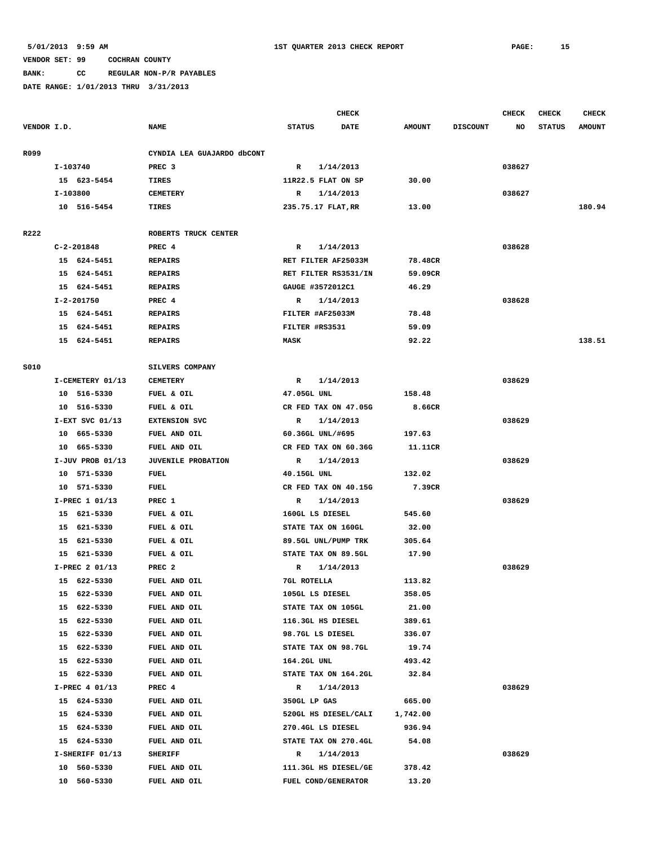**BANK: CC REGULAR NON-P/R PAYABLES**

|             |                     |                            |                      | <b>CHECK</b> |               |                 | <b>CHECK</b> | <b>CHECK</b>  | <b>CHECK</b>  |
|-------------|---------------------|----------------------------|----------------------|--------------|---------------|-----------------|--------------|---------------|---------------|
| VENDOR I.D. |                     | <b>NAME</b>                | <b>STATUS</b>        | <b>DATE</b>  | <b>AMOUNT</b> | <b>DISCOUNT</b> | NO           | <b>STATUS</b> | <b>AMOUNT</b> |
|             |                     |                            |                      |              |               |                 |              |               |               |
| R099        |                     | CYNDIA LEA GUAJARDO dbCONT |                      |              |               |                 |              |               |               |
|             | I-103740            | PREC <sub>3</sub>          | R                    | 1/14/2013    |               |                 | 038627       |               |               |
|             | 15 623-5454         | TIRES                      | 11R22.5 FLAT ON SP   |              | 30.00         |                 |              |               |               |
|             | I-103800            | <b>CEMETERY</b>            | R                    | 1/14/2013    |               |                 | 038627       |               |               |
|             | 10 516-5454         | TIRES                      | 235.75.17 FLAT, RR   |              | 13.00         |                 |              |               | 180.94        |
|             |                     |                            |                      |              |               |                 |              |               |               |
| R222        |                     | ROBERTS TRUCK CENTER       |                      |              |               |                 |              |               |               |
|             | $C - 2 - 201848$    | PREC 4                     | R                    | 1/14/2013    |               |                 | 038628       |               |               |
|             | 15 624-5451         | <b>REPAIRS</b>             | RET FILTER AF25033M  |              | 78.48CR       |                 |              |               |               |
|             | 15 624-5451         | <b>REPAIRS</b>             | RET FILTER RS3531/IN |              | 59.09CR       |                 |              |               |               |
|             | 15 624-5451         | <b>REPAIRS</b>             | GAUGE #3572012C1     |              | 46.29         |                 |              |               |               |
|             | $I - 2 - 201750$    | PREC 4                     | R                    | 1/14/2013    |               |                 | 038628       |               |               |
|             | 15 624-5451         | <b>REPAIRS</b>             | FILTER #AF25033M     |              | 78.48         |                 |              |               |               |
|             | 15 624-5451         | <b>REPAIRS</b>             | FILTER #RS3531       |              | 59.09         |                 |              |               |               |
|             | 15 624-5451         | <b>REPAIRS</b>             | <b>MASK</b>          |              | 92.22         |                 |              |               | 138.51        |
|             |                     |                            |                      |              |               |                 |              |               |               |
| S010        |                     | SILVERS COMPANY            |                      |              |               |                 |              |               |               |
|             | I-CEMETERY 01/13    | <b>CEMETERY</b>            | R                    | 1/14/2013    |               |                 | 038629       |               |               |
|             | 10 516-5330         | FUEL & OIL                 | 47.05GL UNL          |              | 158.48        |                 |              |               |               |
|             | 10 516-5330         | FUEL & OIL                 | CR FED TAX ON 47.05G |              | 8.66CR        |                 |              |               |               |
|             | $I-EXT$ SVC $01/13$ | <b>EXTENSION SVC</b>       | R                    | 1/14/2013    |               |                 | 038629       |               |               |
|             | 10 665-5330         | FUEL AND OIL               | 60.36GL UNL/#695     |              | 197.63        |                 |              |               |               |
|             | 10 665-5330         | FUEL AND OIL               | CR FED TAX ON 60.36G |              | 11.11CR       |                 |              |               |               |
|             | $I-JUV$ PROB 01/13  | <b>JUVENILE PROBATION</b>  | R                    | 1/14/2013    |               |                 | 038629       |               |               |
|             | 10 571-5330         | FUEL                       | 40.15GL UNL          |              | 132.02        |                 |              |               |               |
|             | 10 571-5330         | FUEL                       | CR FED TAX ON 40.15G |              | 7.39CR        |                 |              |               |               |
|             | I-PREC 1 01/13      | PREC 1                     | R                    | 1/14/2013    |               |                 | 038629       |               |               |
|             | 15 621-5330         | FUEL & OIL                 | 160GL LS DIESEL      |              | 545.60        |                 |              |               |               |
|             | 15 621-5330         | FUEL & OIL                 | STATE TAX ON 160GL   |              | 32.00         |                 |              |               |               |
|             | 15<br>621-5330      | FUEL & OIL                 | 89.5GL UNL/PUMP TRK  |              | 305.64        |                 |              |               |               |
|             | 15 621-5330         | FUEL & OIL                 | STATE TAX ON 89.5GL  |              | 17.90         |                 |              |               |               |
|             | I-PREC 2 01/13      | PREC <sub>2</sub>          | R                    | 1/14/2013    |               |                 | 038629       |               |               |
|             | 15 622-5330         | FUEL AND OIL               | 7GL ROTELLA          |              | 113.82        |                 |              |               |               |
|             | 15 622-5330         | FUEL AND OIL               | 105GL LS DIESEL      |              | 358.05        |                 |              |               |               |
|             | 15 622-5330         | FUEL AND OIL               | STATE TAX ON 105GL   |              | 21.00         |                 |              |               |               |
|             | 622-5330<br>15      | FUEL AND OIL               | 116.3GL HS DIESEL    |              | 389.61        |                 |              |               |               |
|             | 15 622-5330         | FUEL AND OIL               | 98.7GL LS DIESEL     |              | 336.07        |                 |              |               |               |
|             | 622-5330<br>15      | FUEL AND OIL               | STATE TAX ON 98.7GL  |              | 19.74         |                 |              |               |               |
|             | 622-5330<br>15      | FUEL AND OIL               | 164.2GL UNL          |              | 493.42        |                 |              |               |               |
|             | 15 622-5330         | FUEL AND OIL               | STATE TAX ON 164.2GL |              | 32.84         |                 |              |               |               |
|             | I-PREC 4 01/13      | PREC 4                     | R                    | 1/14/2013    |               |                 | 038629       |               |               |
|             | 15 624-5330         | FUEL AND OIL               | 350GL LP GAS         |              | 665.00        |                 |              |               |               |
|             | 15 624-5330         | FUEL AND OIL               | 520GL HS DIESEL/CALI |              | 1,742.00      |                 |              |               |               |
|             | 624-5330<br>15      | FUEL AND OIL               | 270.4GL LS DIESEL    |              | 936.94        |                 |              |               |               |
|             | 15<br>624-5330      | FUEL AND OIL               | STATE TAX ON 270.4GL |              | 54.08         |                 |              |               |               |
|             | I-SHERIFF 01/13     | <b>SHERIFF</b>             | R                    | 1/14/2013    |               |                 | 038629       |               |               |
|             | 10 560-5330         | FUEL AND OIL               | 111.3GL HS DIESEL/GE |              | 378.42        |                 |              |               |               |
|             | 10 560-5330         | FUEL AND OIL               | FUEL COND/GENERATOR  |              | 13.20         |                 |              |               |               |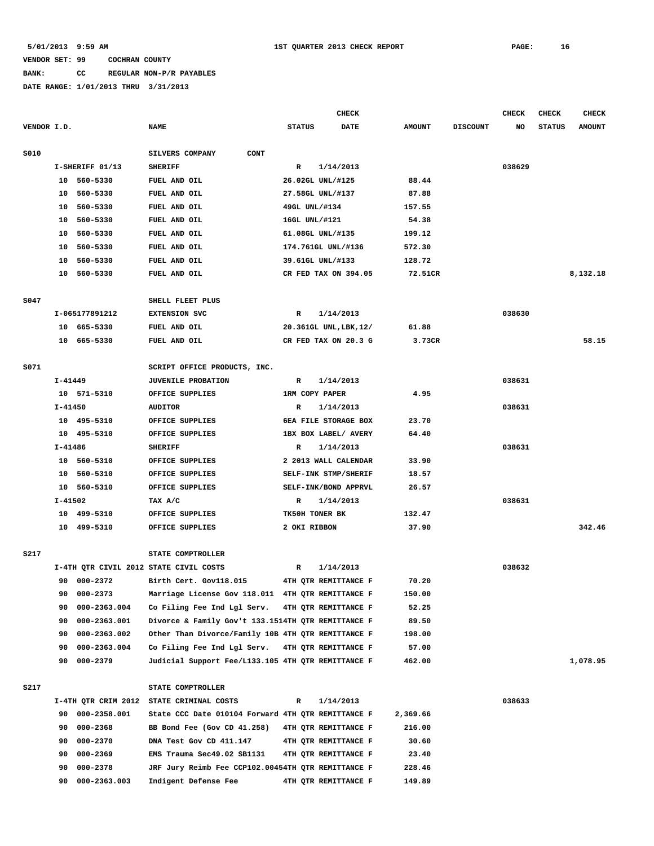**BANK: CC REGULAR NON-P/R PAYABLES**

|             |             |                 | <b>CHECK</b>                                                  |                        |             |               |                 |        | <b>CHECK</b>  | <b>CHECK</b>  |
|-------------|-------------|-----------------|---------------------------------------------------------------|------------------------|-------------|---------------|-----------------|--------|---------------|---------------|
| VENDOR I.D. |             |                 | <b>NAME</b>                                                   | <b>STATUS</b>          | <b>DATE</b> | <b>AMOUNT</b> | <b>DISCOUNT</b> | NO     | <b>STATUS</b> | <b>AMOUNT</b> |
|             |             |                 |                                                               |                        |             |               |                 |        |               |               |
| S010        |             |                 | <b>SILVERS COMPANY</b><br><b>CONT</b>                         |                        |             |               |                 |        |               |               |
|             |             | I-SHERIFF 01/13 | <b>SHERIFF</b>                                                | $\mathbb{R}$           | 1/14/2013   |               |                 | 038629 |               |               |
|             |             | 10 560-5330     | <b>FUEL AND OIL</b>                                           | 26.02GL UNL/#125       |             | 88.44         |                 |        |               |               |
|             | 10          | 560-5330        | FUEL AND OIL                                                  | 27.58GL UNL/#137       |             | 87.88         |                 |        |               |               |
|             | 10          | 560-5330        | FUEL AND OIL                                                  | 49GL UNL/#134          |             | 157.55        |                 |        |               |               |
|             | 10          | 560-5330        | FUEL AND OIL                                                  | 16GL UNL/#121          |             | 54.38         |                 |        |               |               |
|             | 10          | 560-5330        | FUEL AND OIL                                                  | 61.08GL UNL/#135       |             | 199.12        |                 |        |               |               |
|             | 10          | 560-5330        | FUEL AND OIL                                                  | 174.761GL UNL/#136     |             | 572.30        |                 |        |               |               |
|             | 10          | 560-5330        | FUEL AND OIL                                                  | 39.61GL UNL/#133       |             | 128.72        |                 |        |               |               |
|             | 10          | 560-5330        | FUEL AND OIL                                                  | CR FED TAX ON 394.05   |             | 72.51CR       |                 |        |               | 8,132.18      |
| S047        |             |                 | SHELL FLEET PLUS                                              |                        |             |               |                 |        |               |               |
|             |             | I-065177891212  | <b>EXTENSION SVC</b>                                          | R                      | 1/14/2013   |               |                 | 038630 |               |               |
|             |             | 10 665-5330     | FUEL AND OIL                                                  | 20.361GL UNL, LBK, 12/ |             | 61.88         |                 |        |               |               |
|             |             | 10 665-5330     | FUEL AND OIL                                                  | CR FED TAX ON 20.3 G   |             | 3.73CR        |                 |        |               | 58.15         |
|             |             |                 |                                                               |                        |             |               |                 |        |               |               |
| S071        |             |                 | SCRIPT OFFICE PRODUCTS, INC.                                  |                        |             |               |                 |        |               |               |
|             | I-41449     |                 | <b>JUVENILE PROBATION</b>                                     | R                      | 1/14/2013   |               |                 | 038631 |               |               |
|             |             | 10 571-5310     | OFFICE SUPPLIES                                               | 1RM COPY PAPER         |             | 4.95          |                 |        |               |               |
|             | $I - 41450$ |                 | <b>AUDITOR</b>                                                | R                      | 1/14/2013   |               |                 | 038631 |               |               |
|             |             | 10 495-5310     | OFFICE SUPPLIES                                               | 6EA FILE STORAGE BOX   |             | 23.70         |                 |        |               |               |
|             |             | 10 495-5310     | OFFICE SUPPLIES                                               | 1BX BOX LABEL/ AVERY   |             | 64.40         |                 |        |               |               |
|             | I-41486     |                 | <b>SHERIFF</b>                                                | R                      | 1/14/2013   |               |                 | 038631 |               |               |
|             |             | 10 560-5310     | OFFICE SUPPLIES                                               | 2 2013 WALL CALENDAR   |             | 33.90         |                 |        |               |               |
|             |             | 10 560-5310     | OFFICE SUPPLIES                                               | SELF-INK STMP/SHERIF   |             | 18.57         |                 |        |               |               |
|             |             | 10 560-5310     | OFFICE SUPPLIES                                               | SELF-INK/BOND APPRVL   |             | 26.57         |                 |        |               |               |
|             | I-41502     |                 | TAX A/C                                                       | R                      | 1/14/2013   |               |                 | 038631 |               |               |
|             |             | 10 499-5310     | OFFICE SUPPLIES                                               | TK50H TONER BK         |             | 132.47        |                 |        |               |               |
|             |             | 10 499-5310     | OFFICE SUPPLIES                                               | 2 OKI RIBBON           |             | 37.90         |                 |        |               | 342.46        |
| S217        |             |                 | STATE COMPTROLLER                                             |                        |             |               |                 |        |               |               |
|             |             |                 | I-4TH QTR CIVIL 2012 STATE CIVIL COSTS                        | R                      | 1/14/2013   |               |                 | 038632 |               |               |
|             |             | 90 000-2372     | Birth Cert. Gov118.015                                        | 4TH OTR REMITTANCE F   |             | 70.20         |                 |        |               |               |
|             | 90          | 000-2373        | Marriage License Gov 118.011 4TH QTR REMITTANCE F             |                        |             | 150.00        |                 |        |               |               |
|             | 90          | 000-2363.004    | Co Filing Fee Ind Lgl Serv.                                   | 4TH QTR REMITTANCE F   |             | 52.25         |                 |        |               |               |
|             | 90          | 000-2363.001    | Divorce & Family Gov't 133.1514TH QTR REMITTANCE F            |                        |             | 89.50         |                 |        |               |               |
|             | 90          | 000-2363.002    | Other Than Divorce/Family 10B 4TH QTR REMITTANCE F            |                        |             | 198.00        |                 |        |               |               |
|             | 90          | 000-2363.004    | Co Filing Fee Ind Lgl Serv.                                   | 4TH QTR REMITTANCE F   |             | 57.00         |                 |        |               |               |
|             | 90          | 000-2379        | Judicial Support Fee/L133.105 4TH QTR REMITTANCE F            |                        |             | 462.00        |                 |        |               | 1,078.95      |
|             |             |                 |                                                               |                        |             |               |                 |        |               |               |
| <b>S217</b> |             |                 | STATE COMPTROLLER<br>I-4TH QTR CRIM 2012 STATE CRIMINAL COSTS | R                      | 1/14/2013   |               |                 | 038633 |               |               |
|             | 90          | 000-2358.001    | State CCC Date 010104 Forward 4TH QTR REMITTANCE F            |                        |             | 2,369.66      |                 |        |               |               |
|             | 90          | 000-2368        | BB Bond Fee (Gov CD 41.258)                                   | 4TH QTR REMITTANCE F   |             | 216.00        |                 |        |               |               |
|             | 90          | 000-2370        | DNA Test Gov CD 411.147                                       | 4TH QTR REMITTANCE F   |             | 30.60         |                 |        |               |               |
|             | 90          | 000-2369        | EMS Trauma Sec49.02 SB1131                                    | 4TH QTR REMITTANCE F   |             | 23.40         |                 |        |               |               |
|             | 90          | 000-2378        | JRF Jury Reimb Fee CCP102.00454TH QTR REMITTANCE F            |                        |             | 228.46        |                 |        |               |               |
|             | 90          | 000-2363.003    | Indigent Defense Fee                                          | 4TH QTR REMITTANCE F   |             | 149.89        |                 |        |               |               |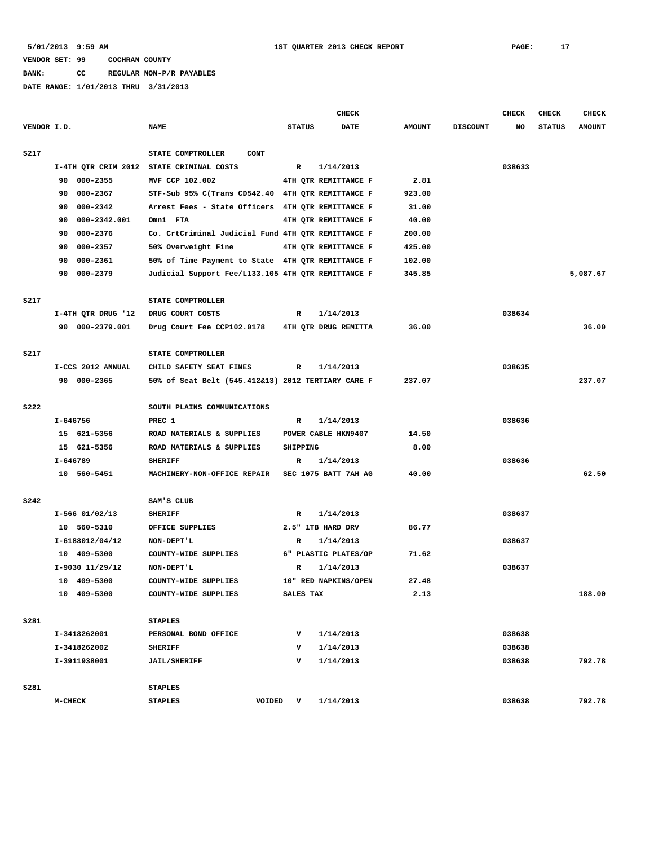**BANK: CC REGULAR NON-P/R PAYABLES**

|  |  | DATE RANGE: 1/01/2013 THRU 3/31/2013 |
|--|--|--------------------------------------|
|  |  |                                      |

|             |              |                    |                                                    |               | <b>CHECK</b>         |               |                 | <b>CHECK</b> | CHECK         | <b>CHECK</b>  |
|-------------|--------------|--------------------|----------------------------------------------------|---------------|----------------------|---------------|-----------------|--------------|---------------|---------------|
| VENDOR I.D. |              |                    | <b>NAME</b>                                        | <b>STATUS</b> | DATE                 | <b>AMOUNT</b> | <b>DISCOUNT</b> | NO           | <b>STATUS</b> | <b>AMOUNT</b> |
| S217        |              |                    | STATE COMPTROLLER<br>CONT                          |               |                      |               |                 |              |               |               |
|             |              |                    | I-4TH QTR CRIM 2012 STATE CRIMINAL COSTS           | $\mathbf R$   | 1/14/2013            |               |                 | 038633       |               |               |
|             | 90           | 000-2355           | MVF CCP 102.002                                    |               | 4TH QTR REMITTANCE F | 2.81          |                 |              |               |               |
|             | 90           | 000-2367           | STF-Sub 95% C(Trans CD542.40 4TH QTR REMITTANCE F  |               |                      | 923.00        |                 |              |               |               |
|             | 90           | 000-2342           | Arrest Fees - State Officers 4TH QTR REMITTANCE F  |               |                      | 31.00         |                 |              |               |               |
|             | 90           | 000-2342.001       | Omni FTA                                           |               | 4TH QTR REMITTANCE F | 40.00         |                 |              |               |               |
|             | 90           | 000-2376           | Co. CrtCriminal Judicial Fund 4TH QTR REMITTANCE F |               |                      | 200.00        |                 |              |               |               |
|             | 90           | 000-2357           | 50% Overweight Fine                                |               | 4TH OTR REMITTANCE F | 425.00        |                 |              |               |               |
|             | 90           | 000-2361           | 50% of Time Payment to State 4TH QTR REMITTANCE F  |               |                      | 102.00        |                 |              |               |               |
|             | 90           | 000-2379           | Judicial Support Fee/L133.105 4TH QTR REMITTANCE F |               |                      | 345.85        |                 |              |               | 5,087.67      |
|             |              |                    |                                                    |               |                      |               |                 |              |               |               |
| S217        |              |                    | STATE COMPTROLLER                                  |               |                      |               |                 |              |               |               |
|             |              | I-4TH QTR DRUG '12 | DRUG COURT COSTS                                   | R             | 1/14/2013            |               |                 | 038634       |               |               |
|             |              | 90 000-2379.001    | Drug Court Fee CCP102.0178                         |               | 4TH OTR DRUG REMITTA | 36.00         |                 |              |               | 36.00         |
|             |              |                    |                                                    |               |                      |               |                 |              |               |               |
| S217        |              |                    | STATE COMPTROLLER                                  |               |                      |               |                 |              |               |               |
|             |              | I-CCS 2012 ANNUAL  | CHILD SAFETY SEAT FINES                            | $\mathbb{R}$  | 1/14/2013            |               |                 | 038635       |               |               |
|             |              | 90 000-2365        | 50% of Seat Belt (545.412&13) 2012 TERTIARY CARE F |               |                      | 237.07        |                 |              |               | 237.07        |
|             |              |                    |                                                    |               |                      |               |                 |              |               |               |
| <b>S222</b> |              |                    | SOUTH PLAINS COMMUNICATIONS                        |               |                      |               |                 |              |               |               |
|             | $I - 646756$ |                    | PREC 1                                             | R             | 1/14/2013            |               |                 | 038636       |               |               |
|             |              | 15 621-5356        | ROAD MATERIALS & SUPPLIES                          |               | POWER CABLE HKN9407  | 14.50         |                 |              |               |               |
|             |              | 15 621-5356        | ROAD MATERIALS & SUPPLIES                          | SHIPPING      |                      | 8.00          |                 |              |               |               |
|             | I-646789     |                    | <b>SHERIFF</b>                                     | R             | 1/14/2013            |               |                 | 038636       |               |               |
|             |              | 10 560-5451        | MACHINERY-NON-OFFICE REPAIR                        |               | SEC 1075 BATT 7AH AG | 40.00         |                 |              |               | 62.50         |
|             |              |                    |                                                    |               |                      |               |                 |              |               |               |
| <b>S242</b> |              |                    | SAM'S CLUB                                         |               |                      |               |                 |              |               |               |
|             |              | $I-566$ 01/02/13   | <b>SHERIFF</b>                                     | R             | 1/14/2013            |               |                 | 038637       |               |               |
|             |              | 10 560-5310        | OFFICE SUPPLIES                                    |               | 2.5" 1TB HARD DRV    | 86.77         |                 |              |               |               |
|             |              | I-6188012/04/12    | NON-DEPT'L                                         | R             | 1/14/2013            |               |                 | 038637       |               |               |
|             |              | 10 409-5300        | COUNTY-WIDE SUPPLIES                               |               | 6" PLASTIC PLATES/OP | 71.62         |                 |              |               |               |
|             |              | I-9030 11/29/12    | NON-DEPT'L                                         | R             | 1/14/2013            |               |                 | 038637       |               |               |
|             |              | 10 409-5300        | COUNTY-WIDE SUPPLIES                               |               | 10" RED NAPKINS/OPEN | 27.48         |                 |              |               |               |
|             |              | 10 409-5300        | COUNTY-WIDE SUPPLIES                               | SALES TAX     |                      | 2.13          |                 |              |               | 188.00        |
|             |              |                    |                                                    |               |                      |               |                 |              |               |               |
| <b>S281</b> |              |                    | <b>STAPLES</b>                                     |               |                      |               |                 |              |               |               |
|             |              | I-3418262001       | PERSONAL BOND OFFICE                               | v             | 1/14/2013            |               |                 | 038638       |               |               |
|             |              | I-3418262002       | <b>SHERIFF</b>                                     | v             | 1/14/2013            |               |                 | 038638       |               |               |
|             |              | I-3911938001       | <b>JAIL/SHERIFF</b>                                | v             | 1/14/2013            |               |                 | 038638       |               | 792.78        |
|             |              |                    |                                                    |               |                      |               |                 |              |               |               |
| <b>S281</b> |              |                    | <b>STAPLES</b>                                     |               |                      |               |                 |              |               |               |
|             | M-CHECK      |                    | VOIDED<br><b>STAPLES</b>                           | $\mathbf v$   | 1/14/2013            |               |                 | 038638       |               | 792.78        |
|             |              |                    |                                                    |               |                      |               |                 |              |               |               |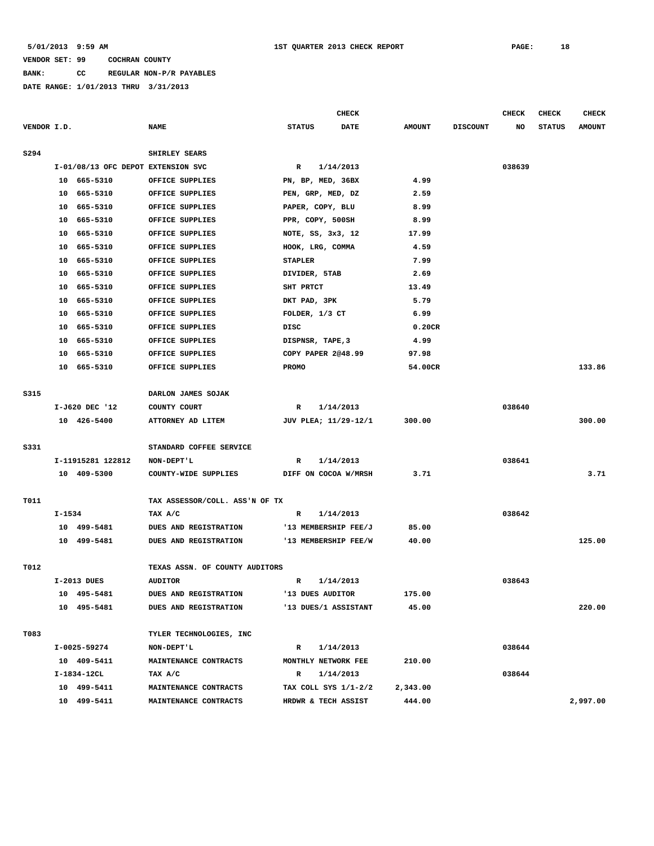**BANK: CC REGULAR NON-P/R PAYABLES**

|             |          |                                    |                                |                      |           | <b>CHECK</b> |               |                 | <b>CHECK</b> | <b>CHECK</b>  | <b>CHECK</b>  |
|-------------|----------|------------------------------------|--------------------------------|----------------------|-----------|--------------|---------------|-----------------|--------------|---------------|---------------|
| VENDOR I.D. |          |                                    | <b>NAME</b>                    | <b>STATUS</b>        |           | <b>DATE</b>  | <b>AMOUNT</b> | <b>DISCOUNT</b> | NO           | <b>STATUS</b> | <b>AMOUNT</b> |
|             |          |                                    |                                |                      |           |              |               |                 |              |               |               |
| S294        |          |                                    | SHIRLEY SEARS                  |                      |           |              |               |                 |              |               |               |
|             |          | I-01/08/13 OFC DEPOT EXTENSION SVC |                                | $\mathbb{R}$         | 1/14/2013 |              |               |                 | 038639       |               |               |
|             |          | 10 665-5310                        | OFFICE SUPPLIES                | PN, BP, MED, 36BX    |           |              | 4.99          |                 |              |               |               |
|             |          | 10 665-5310                        | OFFICE SUPPLIES                | PEN, GRP, MED, DZ    |           |              | 2.59          |                 |              |               |               |
|             |          | 10 665-5310                        | OFFICE SUPPLIES                | PAPER, COPY, BLU     |           |              | 8.99          |                 |              |               |               |
|             |          | 10 665-5310                        | OFFICE SUPPLIES                | PPR, COPY, 500SH     |           |              | 8.99          |                 |              |               |               |
|             | 10       | 665-5310                           | OFFICE SUPPLIES                | NOTE, SS, 3x3, 12    |           |              | 17.99         |                 |              |               |               |
|             |          | 10 665-5310                        | OFFICE SUPPLIES                | HOOK, LRG, COMMA     |           |              | 4.59          |                 |              |               |               |
|             |          | 10 665-5310                        | OFFICE SUPPLIES                | <b>STAPLER</b>       |           |              | 7.99          |                 |              |               |               |
|             | 10       | 665-5310                           | OFFICE SUPPLIES                | DIVIDER, 5TAB        |           |              | 2.69          |                 |              |               |               |
|             | 10       | 665-5310                           | OFFICE SUPPLIES                | SHT PRTCT            |           |              | 13.49         |                 |              |               |               |
|             | 10       | 665-5310                           | OFFICE SUPPLIES                | DKT PAD, 3PK         |           |              | 5.79          |                 |              |               |               |
|             | 10       | 665-5310                           | OFFICE SUPPLIES                | FOLDER, 1/3 CT       |           |              | 6.99          |                 |              |               |               |
|             | 10       | 665-5310                           | OFFICE SUPPLIES                | DISC                 |           |              | 0.20CR        |                 |              |               |               |
|             | 10       | 665-5310                           | OFFICE SUPPLIES                | DISPNSR, TAPE, 3     |           |              | 4.99          |                 |              |               |               |
|             | 10       | 665-5310                           | OFFICE SUPPLIES                | COPY PAPER 2048.99   |           |              | 97.98         |                 |              |               |               |
|             |          | 10 665-5310                        | OFFICE SUPPLIES                | PROMO                |           |              | 54.00CR       |                 |              |               | 133.86        |
|             |          |                                    |                                |                      |           |              |               |                 |              |               |               |
| S315        |          |                                    | DARLON JAMES SOJAK             |                      |           |              |               |                 |              |               |               |
|             |          | I-J620 DEC '12                     | COUNTY COURT                   | R                    | 1/14/2013 |              |               |                 | 038640       |               |               |
|             |          | 10 426-5400                        | ATTORNEY AD LITEM              | JUV PLEA; 11/29-12/1 |           |              | 300.00        |                 |              |               | 300.00        |
|             |          |                                    |                                |                      |           |              |               |                 |              |               |               |
| S331        |          |                                    | STANDARD COFFEE SERVICE        |                      |           |              |               |                 |              |               |               |
|             |          | I-11915281 122812                  | NON-DEPT'L                     | R                    | 1/14/2013 |              |               |                 | 038641       |               |               |
|             |          | 10 409-5300                        | COUNTY-WIDE SUPPLIES           | DIFF ON COCOA W/MRSH |           |              | 3.71          |                 |              |               | 3.71          |
|             |          |                                    |                                |                      |           |              |               |                 |              |               |               |
| T011        |          |                                    | TAX ASSESSOR/COLL. ASS'N OF TX |                      |           |              |               |                 |              |               |               |
|             | $I-1534$ |                                    | TAX A/C                        | R                    | 1/14/2013 |              |               |                 | 038642       |               |               |
|             |          | 10 499-5481                        | DUES AND REGISTRATION          | '13 MEMBERSHIP FEE/J |           |              | 85.00         |                 |              |               |               |
|             |          | 10 499-5481                        | DUES AND REGISTRATION          | '13 MEMBERSHIP FEE/W |           |              | 40.00         |                 |              |               | 125.00        |
|             |          |                                    |                                |                      |           |              |               |                 |              |               |               |
| T012        |          |                                    | TEXAS ASSN. OF COUNTY AUDITORS |                      |           |              |               |                 |              |               |               |
|             |          | I-2013 DUES                        | <b>AUDITOR</b>                 | R                    | 1/14/2013 |              |               |                 | 038643       |               |               |
|             |          | 10 495-5481                        | DUES AND REGISTRATION          | '13 DUES AUDITOR     |           |              | 175.00        |                 |              |               |               |
|             |          | 10 495-5481                        | DUES AND REGISTRATION          | '13 DUES/1 ASSISTANT |           |              | 45.00         |                 |              |               | 220.00        |
|             |          |                                    |                                |                      |           |              |               |                 |              |               |               |
| T083        |          |                                    | TYLER TECHNOLOGIES, INC        |                      |           |              |               |                 |              |               |               |
|             |          | I-0025-59274                       | NON-DEPT'L                     | R                    | 1/14/2013 |              |               |                 | 038644       |               |               |
|             |          | 10 409-5411                        | MAINTENANCE CONTRACTS          | MONTHLY NETWORK FEE  |           |              | 210.00        |                 |              |               |               |
|             |          | I-1834-12CL                        | TAX A/C                        | R                    | 1/14/2013 |              |               |                 | 038644       |               |               |
|             |          | 10 499-5411                        | MAINTENANCE CONTRACTS          | TAX COLL SYS 1/1-2/2 |           |              | 2,343.00      |                 |              |               |               |
|             |          | 10 499-5411                        | MAINTENANCE CONTRACTS          | HRDWR & TECH ASSIST  |           |              | 444.00        |                 |              |               | 2,997.00      |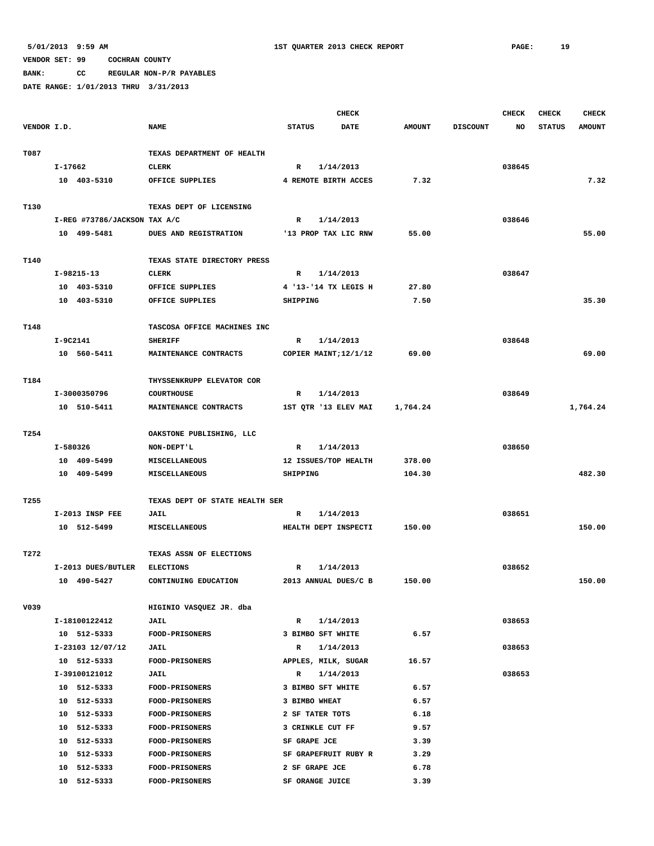**BANK: CC REGULAR NON-P/R PAYABLES**

|             |          |                              |                                         |                                   | <b>CHECK</b> |               |                 | CHECK  | <b>CHECK</b>  | <b>CHECK</b>  |
|-------------|----------|------------------------------|-----------------------------------------|-----------------------------------|--------------|---------------|-----------------|--------|---------------|---------------|
| VENDOR I.D. |          |                              | <b>NAME</b>                             | <b>STATUS</b>                     | <b>DATE</b>  | <b>AMOUNT</b> | <b>DISCOUNT</b> | NO     | <b>STATUS</b> | <b>AMOUNT</b> |
|             |          |                              |                                         |                                   |              |               |                 |        |               |               |
| T087        |          |                              | TEXAS DEPARTMENT OF HEALTH              |                                   |              |               |                 |        |               |               |
|             | I-17662  |                              | <b>CLERK</b>                            | R                                 | 1/14/2013    |               |                 | 038645 |               |               |
|             |          | 10 403-5310                  | OFFICE SUPPLIES                         | 4 REMOTE BIRTH ACCES              |              | 7.32          |                 |        |               | 7.32          |
|             |          |                              |                                         |                                   |              |               |                 |        |               |               |
| T130        |          |                              | TEXAS DEPT OF LICENSING                 |                                   |              |               |                 |        |               |               |
|             |          | I-REG #73786/JACKSON TAX A/C |                                         | $\mathbb{R}$                      | 1/14/2013    |               |                 | 038646 |               |               |
|             |          | 10 499-5481                  | DUES AND REGISTRATION                   | '13 PROP TAX LIC RNW              |              | 55.00         |                 |        |               | 55.00         |
|             |          |                              |                                         |                                   |              |               |                 |        |               |               |
| T140        |          |                              | TEXAS STATE DIRECTORY PRESS             |                                   |              |               |                 |        |               |               |
|             |          | I-98215-13                   | <b>CLERK</b>                            | R                                 | 1/14/2013    |               |                 | 038647 |               |               |
|             |          | 10 403-5310                  | OFFICE SUPPLIES                         | 4 '13-'14 TX LEGIS H              |              | 27.80         |                 |        |               |               |
|             |          | 10 403-5310                  | OFFICE SUPPLIES                         | SHIPPING                          |              | 7.50          |                 |        |               | 35.30         |
|             |          |                              |                                         |                                   |              |               |                 |        |               |               |
| T148        |          |                              | TASCOSA OFFICE MACHINES INC             |                                   |              |               |                 |        |               |               |
|             | I-9C2141 |                              | <b>SHERIFF</b>                          | $\mathbb{R}$                      | 1/14/2013    |               |                 | 038648 |               |               |
|             |          | 10 560-5411                  | MAINTENANCE CONTRACTS                   | COPIER MAINT; 12/1/12             |              | 69.00         |                 |        |               | 69.00         |
| T184        |          |                              | THYSSENKRUPP ELEVATOR COR               |                                   |              |               |                 |        |               |               |
|             |          | I-3000350796                 | <b>COURTHOUSE</b>                       | $\mathbb{R}$                      | 1/14/2013    |               |                 | 038649 |               |               |
|             |          | 10 510-5411                  | MAINTENANCE CONTRACTS                   | 1ST QTR '13 ELEV MAI              |              | 1,764.24      |                 |        |               | 1,764.24      |
|             |          |                              |                                         |                                   |              |               |                 |        |               |               |
| T254        |          |                              | OAKSTONE PUBLISHING, LLC                |                                   |              |               |                 |        |               |               |
|             | I-580326 |                              | NON-DEPT'L                              | $\mathbb{R}$                      | 1/14/2013    |               |                 | 038650 |               |               |
|             |          | 10 409-5499                  | MISCELLANEOUS                           | 12 ISSUES/TOP HEALTH              |              | 378.00        |                 |        |               |               |
|             |          | 10 409-5499                  | MISCELLANEOUS                           | SHIPPING                          |              | 104.30        |                 |        |               | 482.30        |
|             |          |                              |                                         |                                   |              |               |                 |        |               |               |
| T255        |          |                              | TEXAS DEPT OF STATE HEALTH SER          |                                   |              |               |                 |        |               |               |
|             |          | I-2013 INSP FEE              | JAIL                                    | R                                 | 1/14/2013    |               |                 | 038651 |               |               |
|             |          | 10 512-5499                  | MISCELLANEOUS                           | HEALTH DEPT INSPECTI              |              | 150.00        |                 |        |               | 150.00        |
|             |          |                              |                                         |                                   |              |               |                 |        |               |               |
| T272        |          |                              | TEXAS ASSN OF ELECTIONS                 |                                   |              |               |                 |        |               |               |
|             |          | I-2013 DUES/BUTLER           | <b>ELECTIONS</b>                        | R                                 | 1/14/2013    |               |                 | 038652 |               |               |
|             |          | 10 490-5427                  | CONTINUING EDUCATION                    | 2013 ANNUAL DUES/C B              |              | 150.00        |                 |        |               | 150.00        |
|             |          |                              |                                         |                                   |              |               |                 |        |               |               |
| V039        |          |                              | HIGINIO VASQUEZ JR. dba                 |                                   |              |               |                 |        |               |               |
|             |          | I-18100122412                | JAIL                                    | $\mathbb{R}$                      | 1/14/2013    |               |                 | 038653 |               |               |
|             |          | 10 512-5333                  | FOOD-PRISONERS                          | 3 BIMBO SFT WHITE                 |              | 6.57          |                 |        |               |               |
|             |          | I-23103 12/07/12             | <b>JAIL</b>                             | $\mathbb{R}$                      | 1/14/2013    |               |                 | 038653 |               |               |
|             |          | 10 512-5333                  | <b>FOOD-PRISONERS</b>                   | APPLES, MILK, SUGAR               |              | 16.57         |                 |        |               |               |
|             |          | I-39100121012                | JAIL                                    | $\mathbb{R}$                      | 1/14/2013    |               |                 | 038653 |               |               |
|             |          | 10 512-5333                  | <b>FOOD-PRISONERS</b>                   | 3 BIMBO SFT WHITE                 |              | 6.57          |                 |        |               |               |
|             |          | 10 512-5333                  | <b>FOOD-PRISONERS</b>                   | 3 BIMBO WHEAT                     |              | 6.57          |                 |        |               |               |
|             |          | 10 512-5333                  | <b>FOOD-PRISONERS</b>                   | 2 SF TATER TOTS                   |              | 6.18          |                 |        |               |               |
|             |          | 10 512-5333                  | <b>FOOD-PRISONERS</b>                   | 3 CRINKLE CUT FF                  |              | 9.57          |                 |        |               |               |
|             |          | 10 512-5333                  | <b>FOOD-PRISONERS</b>                   | SF GRAPE JCE                      |              | 3.39          |                 |        |               |               |
|             |          | 10 512-5333                  | FOOD-PRISONERS<br><b>FOOD-PRISONERS</b> | SF GRAPEFRUIT RUBY R              |              | 3.29          |                 |        |               |               |
|             |          | 10 512-5333<br>10 512-5333   | FOOD-PRISONERS                          | 2 SF GRAPE JCE<br>SF ORANGE JUICE |              | 6.78<br>3.39  |                 |        |               |               |
|             |          |                              |                                         |                                   |              |               |                 |        |               |               |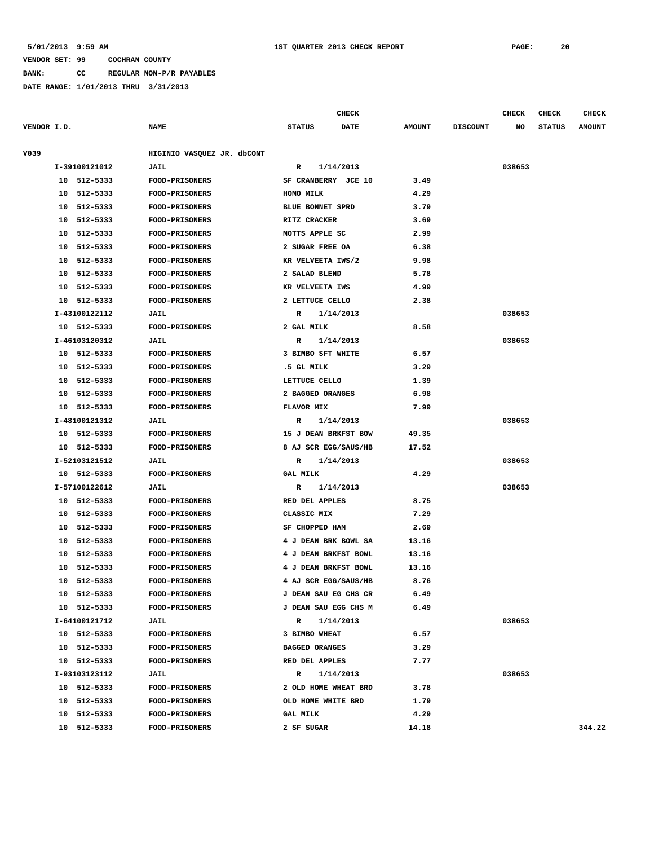**BANK: CC REGULAR NON-P/R PAYABLES**

|             |    |               |                            |                       | <b>CHECK</b> |               |                 | <b>CHECK</b> | <b>CHECK</b>  | <b>CHECK</b>  |
|-------------|----|---------------|----------------------------|-----------------------|--------------|---------------|-----------------|--------------|---------------|---------------|
| VENDOR I.D. |    |               | <b>NAME</b>                | <b>STATUS</b>         | <b>DATE</b>  | <b>AMOUNT</b> | <b>DISCOUNT</b> | NO           | <b>STATUS</b> | <b>AMOUNT</b> |
| V039        |    |               | HIGINIO VASQUEZ JR. dbCONT |                       |              |               |                 |              |               |               |
|             |    | I-39100121012 | JAIL                       | R                     | 1/14/2013    |               |                 | 038653       |               |               |
|             |    | 10 512-5333   | <b>FOOD-PRISONERS</b>      | SF CRANBERRY JCE 10   |              | 3.49          |                 |              |               |               |
|             |    | 10 512-5333   | <b>FOOD-PRISONERS</b>      | HOMO MILK             |              | 4.29          |                 |              |               |               |
|             |    | 10 512-5333   | <b>FOOD-PRISONERS</b>      | BLUE BONNET SPRD      |              | 3.79          |                 |              |               |               |
|             |    | 10 512-5333   | <b>FOOD-PRISONERS</b>      | RITZ CRACKER          |              | 3.69          |                 |              |               |               |
|             |    | 10 512-5333   | <b>FOOD-PRISONERS</b>      | MOTTS APPLE SC        |              | 2.99          |                 |              |               |               |
|             |    | 10 512-5333   | FOOD-PRISONERS             | 2 SUGAR FREE OA       |              | 6.38          |                 |              |               |               |
|             |    | 10 512-5333   | <b>FOOD-PRISONERS</b>      | KR VELVEETA IWS/2     |              | 9.98          |                 |              |               |               |
|             | 10 | 512-5333      | <b>FOOD-PRISONERS</b>      | 2 SALAD BLEND         |              | 5.78          |                 |              |               |               |
|             | 10 | 512-5333      | <b>FOOD-PRISONERS</b>      | KR VELVEETA IWS       |              | 4.99          |                 |              |               |               |
|             |    | 10 512-5333   | <b>FOOD-PRISONERS</b>      | 2 LETTUCE CELLO       |              | 2.38          |                 |              |               |               |
|             |    | I-43100122112 | JAIL                       | $\mathbb{R}$          | 1/14/2013    |               |                 | 038653       |               |               |
|             |    | 10 512-5333   | FOOD-PRISONERS             | 2 GAL MILK            |              | 8.58          |                 |              |               |               |
|             |    | I-46103120312 | JAIL                       | R                     | 1/14/2013    |               |                 | 038653       |               |               |
|             |    | 10 512-5333   | <b>FOOD-PRISONERS</b>      | 3 BIMBO SFT WHITE     |              | 6.57          |                 |              |               |               |
|             |    | 10 512-5333   | FOOD-PRISONERS             | .5 GL MILK            |              | 3.29          |                 |              |               |               |
|             |    | 10 512-5333   | <b>FOOD-PRISONERS</b>      | LETTUCE CELLO         |              | 1.39          |                 |              |               |               |
|             |    | 10 512-5333   | FOOD-PRISONERS             | 2 BAGGED ORANGES      |              | 6.98          |                 |              |               |               |
|             |    | 10 512-5333   | <b>FOOD-PRISONERS</b>      | FLAVOR MIX            |              | 7.99          |                 |              |               |               |
|             |    | I-48100121312 | JAIL                       | R                     | 1/14/2013    |               |                 | 038653       |               |               |
|             |    | 10 512-5333   | <b>FOOD-PRISONERS</b>      | 15 J DEAN BRKFST BOW  |              | 49.35         |                 |              |               |               |
|             |    | 10 512-5333   | <b>FOOD-PRISONERS</b>      | 8 AJ SCR EGG/SAUS/HB  |              | 17.52         |                 |              |               |               |
|             |    | I-52103121512 | JAIL                       | R                     | 1/14/2013    |               |                 | 038653       |               |               |
|             |    | 10 512-5333   | <b>FOOD-PRISONERS</b>      | <b>GAL MILK</b>       |              | 4.29          |                 |              |               |               |
|             |    | I-57100122612 | JAIL                       | R                     | 1/14/2013    |               |                 | 038653       |               |               |
|             |    | 10 512-5333   | <b>FOOD-PRISONERS</b>      | RED DEL APPLES        |              | 8.75          |                 |              |               |               |
|             |    | 10 512-5333   | <b>FOOD-PRISONERS</b>      | CLASSIC MIX           |              | 7.29          |                 |              |               |               |
|             |    | 10 512-5333   | <b>FOOD-PRISONERS</b>      | SF CHOPPED HAM        |              | 2.69          |                 |              |               |               |
|             |    | 10 512-5333   | <b>FOOD-PRISONERS</b>      | 4 J DEAN BRK BOWL SA  |              | 13.16         |                 |              |               |               |
|             |    | 10 512-5333   | <b>FOOD-PRISONERS</b>      | 4 J DEAN BRKFST BOWL  |              | 13.16         |                 |              |               |               |
|             | 10 | 512-5333      | <b>FOOD-PRISONERS</b>      | 4 J DEAN BRKFST BOWL  |              | 13.16         |                 |              |               |               |
|             |    | 10 512-5333   | FOOD-PRISONERS             | 4 AJ SCR EGG/SAUS/HB  |              | 8.76          |                 |              |               |               |
|             |    | 10 512-5333   | <b>FOOD-PRISONERS</b>      | J DEAN SAU EG CHS CR  |              | 6.49          |                 |              |               |               |
|             |    | 10 512-5333   | FOOD-PRISONERS             | J DEAN SAU EGG CHS M  |              | 6.49          |                 |              |               |               |
|             |    | I-64100121712 | JAIL                       | R                     | 1/14/2013    |               |                 | 038653       |               |               |
|             |    | 10 512-5333   | <b>FOOD-PRISONERS</b>      | 3 BIMBO WHEAT         |              | 6.57          |                 |              |               |               |
|             |    | 10 512-5333   | <b>FOOD-PRISONERS</b>      | <b>BAGGED ORANGES</b> |              | 3.29          |                 |              |               |               |
|             |    | 10 512-5333   | <b>FOOD-PRISONERS</b>      | RED DEL APPLES        |              | 7.77          |                 |              |               |               |
|             |    | I-93103123112 | <b>JAIL</b>                | $\mathbb{R}$          | 1/14/2013    |               |                 | 038653       |               |               |
|             |    | 10 512-5333   | <b>FOOD-PRISONERS</b>      | 2 OLD HOME WHEAT BRD  |              | 3.78          |                 |              |               |               |
|             |    | 10 512-5333   | <b>FOOD-PRISONERS</b>      | OLD HOME WHITE BRD    |              | 1.79          |                 |              |               |               |
|             |    | 10 512-5333   | <b>FOOD-PRISONERS</b>      | GAL MILK              |              | 4.29          |                 |              |               |               |
|             |    | 10 512-5333   | <b>FOOD-PRISONERS</b>      | 2 SF SUGAR            |              | 14.18         |                 |              |               | 344.22        |
|             |    |               |                            |                       |              |               |                 |              |               |               |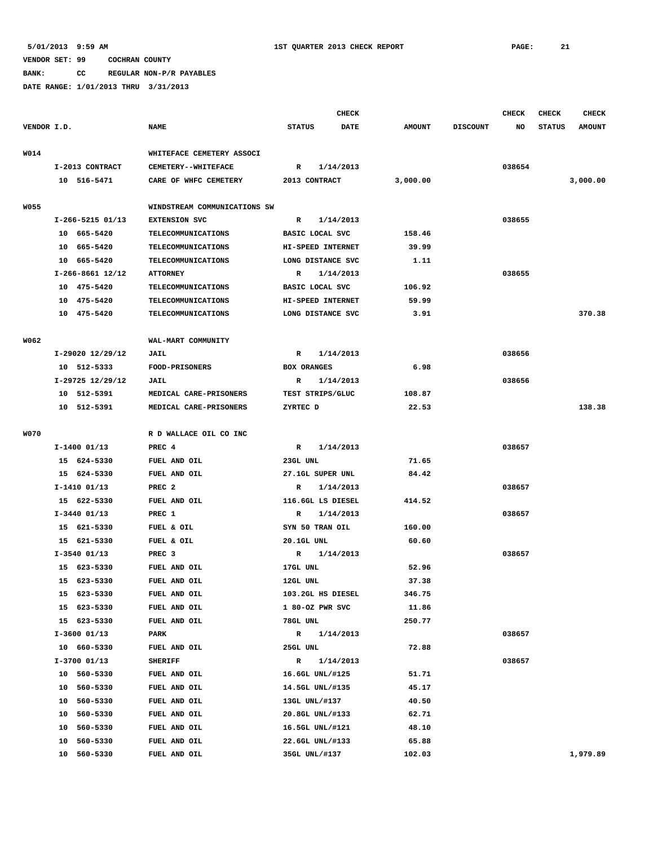**BANK: CC REGULAR NON-P/R PAYABLES**

|             |                            |                                                      |                               | <b>CHECK</b> |                 |                 | CHECK  | <b>CHECK</b>  | <b>CHECK</b>  |
|-------------|----------------------------|------------------------------------------------------|-------------------------------|--------------|-----------------|-----------------|--------|---------------|---------------|
| VENDOR I.D. |                            | <b>NAME</b>                                          | <b>STATUS</b>                 | DATE         | <b>AMOUNT</b>   | <b>DISCOUNT</b> | NO     | <b>STATUS</b> | <b>AMOUNT</b> |
|             |                            |                                                      |                               |              |                 |                 |        |               |               |
| W014        |                            | WHITEFACE CEMETERY ASSOCI                            |                               |              |                 |                 |        |               |               |
|             | I-2013 CONTRACT            | CEMETERY--WHITEFACE                                  | $\mathbb{R}$                  | 1/14/2013    |                 |                 | 038654 |               |               |
|             | 10 516-5471                | CARE OF WHFC CEMETERY                                | 2013 CONTRACT                 |              | 3,000.00        |                 |        |               | 3,000.00      |
|             |                            |                                                      |                               |              |                 |                 |        |               |               |
| <b>W055</b> | I-266-5215 01/13           | WINDSTREAM COMMUNICATIONS SW<br><b>EXTENSION SVC</b> | R                             | 1/14/2013    |                 |                 | 038655 |               |               |
|             | 10 665-5420                | <b>TELECOMMUNICATIONS</b>                            | BASIC LOCAL SVC               |              | 158.46          |                 |        |               |               |
|             | 10 665-5420                | <b>TELECOMMUNICATIONS</b>                            | HI-SPEED INTERNET             |              | 39.99           |                 |        |               |               |
|             | 10 665-5420                | <b>TELECOMMUNICATIONS</b>                            | LONG DISTANCE SVC             |              | 1.11            |                 |        |               |               |
|             | I-266-8661 12/12           | <b>ATTORNEY</b>                                      | R                             | 1/14/2013    |                 |                 | 038655 |               |               |
|             | 10 475-5420                | <b>TELECOMMUNICATIONS</b>                            | BASIC LOCAL SVC               |              | 106.92          |                 |        |               |               |
|             | 10 475-5420                | TELECOMMUNICATIONS                                   | HI-SPEED INTERNET             |              | 59.99           |                 |        |               |               |
|             | 10 475-5420                | <b>TELECOMMUNICATIONS</b>                            | LONG DISTANCE SVC             |              | 3.91            |                 |        |               | 370.38        |
|             |                            |                                                      |                               |              |                 |                 |        |               |               |
| W062        |                            | WAL-MART COMMUNITY                                   |                               |              |                 |                 |        |               |               |
|             | I-29020 12/29/12           | <b>JAIL</b>                                          | $\mathbb{R}$                  | 1/14/2013    |                 |                 | 038656 |               |               |
|             | 10 512-5333                | FOOD-PRISONERS                                       | <b>BOX ORANGES</b>            |              | 6.98            |                 |        |               |               |
|             | I-29725 12/29/12           | <b>JAIL</b>                                          | R                             | 1/14/2013    |                 |                 | 038656 |               |               |
|             | 10 512-5391                | MEDICAL CARE-PRISONERS                               | TEST STRIPS/GLUC              |              | 108.87          |                 |        |               |               |
|             | 10 512-5391                | MEDICAL CARE-PRISONERS                               | ZYRTEC D                      |              | 22.53           |                 |        |               | 138.38        |
|             |                            |                                                      |                               |              |                 |                 |        |               |               |
| W070        |                            | R D WALLACE OIL CO INC                               |                               |              |                 |                 |        |               |               |
|             | $I-1400$ 01/13             | PREC 4                                               | $\mathbb{R}$                  | 1/14/2013    |                 |                 | 038657 |               |               |
|             | 15 624-5330                | FUEL AND OIL                                         | 23GL UNL                      |              | 71.65           |                 |        |               |               |
|             | 15 624-5330                | FUEL AND OIL                                         | 27.1GL SUPER UNL              |              | 84.42           |                 |        |               |               |
|             | $I-1410$ 01/13             | PREC <sub>2</sub>                                    | R                             | 1/14/2013    |                 |                 | 038657 |               |               |
|             | 15 622-5330                | FUEL AND OIL                                         | 116.6GL LS DIESEL             |              | 414.52          |                 |        |               |               |
|             | $I-3440$ 01/13             | PREC 1                                               | R                             | 1/14/2013    |                 |                 | 038657 |               |               |
|             | 15 621-5330<br>15 621-5330 | FUEL & OIL<br>FUEL & OIL                             | SYN 50 TRAN OIL<br>20.1GL UNL |              | 160.00<br>60.60 |                 |        |               |               |
|             | $I-3540$ 01/13             | PREC <sub>3</sub>                                    | R                             | 1/14/2013    |                 |                 | 038657 |               |               |
|             | 15 623-5330                | FUEL AND OIL                                         | 17GL UNL                      |              | 52.96           |                 |        |               |               |
|             | 15 623-5330                | FUEL AND OIL                                         | 12GL UNL                      |              | 37.38           |                 |        |               |               |
|             | 15 623-5330                | FUEL AND OIL                                         | 103.2GL HS DIESEL             |              | 346.75          |                 |        |               |               |
|             | 15 623-5330                | FUEL AND OIL                                         | 1 80-OZ PWR SVC               |              | 11.86           |                 |        |               |               |
|             | 15 623-5330                | FUEL AND OIL                                         | 78GL UNL                      |              | 250.77          |                 |        |               |               |
|             | $I-3600$ 01/13             | PARK                                                 | R                             | 1/14/2013    |                 |                 | 038657 |               |               |
|             | 10 660-5330                | FUEL AND OIL                                         | 25GL UNL                      |              | 72.88           |                 |        |               |               |
|             | I-3700 01/13               | <b>SHERIFF</b>                                       | R                             | 1/14/2013    |                 |                 | 038657 |               |               |
|             | 10 560-5330                | FUEL AND OIL                                         | 16.6GL UNL/#125               |              | 51.71           |                 |        |               |               |
|             | 560-5330<br>10             | FUEL AND OIL                                         | 14.5GL UNL/#135               |              | 45.17           |                 |        |               |               |
|             | 560-5330<br>10             | FUEL AND OIL                                         | 13GL UNL/#137                 |              | 40.50           |                 |        |               |               |
|             | 10<br>560-5330             | FUEL AND OIL                                         | 20.8GL UNL/#133               |              | 62.71           |                 |        |               |               |
|             | 560-5330<br>10             | FUEL AND OIL                                         | 16.5GL UNL/#121               |              | 48.10           |                 |        |               |               |
|             | 560-5330<br>10             | FUEL AND OIL                                         | 22.6GL UNL/#133               |              | 65.88           |                 |        |               |               |
|             | 10<br>560-5330             | FUEL AND OIL                                         | 35GL UNL/#137                 |              | 102.03          |                 |        |               | 1,979.89      |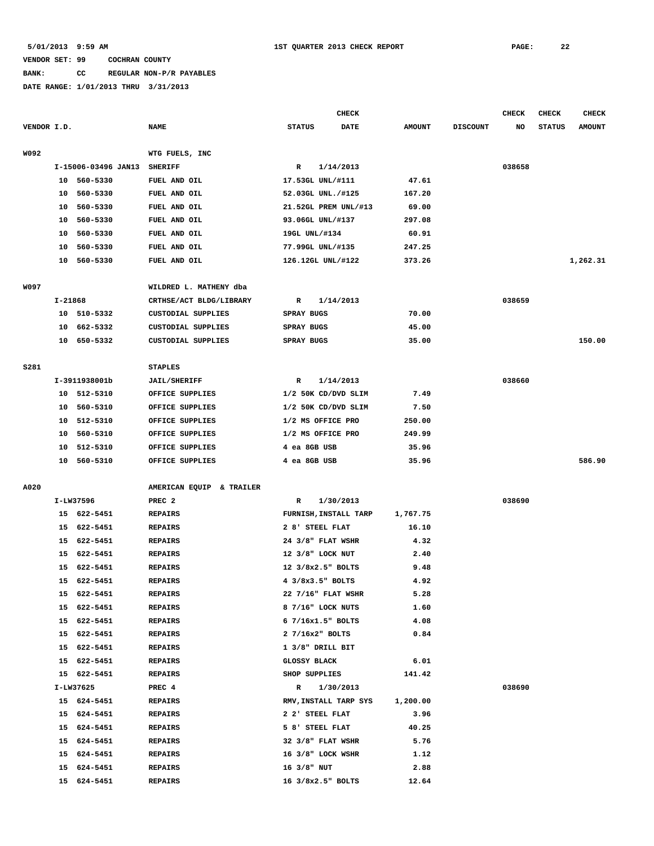# **BANK: CC REGULAR NON-P/R PAYABLES**

|             |         |                            |                                                      |                        | <b>CHECK</b>          |               |                 | <b>CHECK</b> | <b>CHECK</b>  | <b>CHECK</b>  |
|-------------|---------|----------------------------|------------------------------------------------------|------------------------|-----------------------|---------------|-----------------|--------------|---------------|---------------|
| VENDOR I.D. |         |                            | <b>NAME</b>                                          | <b>STATUS</b>          | <b>DATE</b>           | <b>AMOUNT</b> | <b>DISCOUNT</b> | NO           | <b>STATUS</b> | <b>AMOUNT</b> |
| W092        |         |                            | WTG FUELS, INC                                       |                        |                       |               |                 |              |               |               |
|             |         | I-15006-03496 JAN13        | <b>SHERIFF</b>                                       | R                      | 1/14/2013             |               |                 | 038658       |               |               |
|             |         | 10 560-5330                | FUEL AND OIL                                         | 17.53GL UNL/#111       |                       | 47.61         |                 |              |               |               |
|             | 10      | 560-5330                   | FUEL AND OIL                                         | 52.03GL UNL./#125      |                       | 167.20        |                 |              |               |               |
|             | 10      | 560-5330                   | FUEL AND OIL                                         | 21.52GL PREM UNL/#13   |                       | 69.00         |                 |              |               |               |
|             | 10      | 560-5330                   | FUEL AND OIL                                         | 93.06GL UNL/#137       |                       | 297.08        |                 |              |               |               |
|             | 10      | 560-5330                   | FUEL AND OIL                                         | 19GL UNL/#134          |                       | 60.91         |                 |              |               |               |
|             | 10      | 560-5330                   | FUEL AND OIL                                         | 77.99GL UNL/#135       |                       | 247.25        |                 |              |               |               |
|             |         | 10 560-5330                | FUEL AND OIL                                         | 126.12GL UNL/#122      |                       | 373.26        |                 |              |               | 1,262.31      |
|             |         |                            |                                                      |                        |                       |               |                 |              |               |               |
| W097        | I-21868 |                            | WILDRED L. MATHENY dba                               |                        |                       |               |                 | 038659       |               |               |
|             |         | 10 510-5332                | CRTHSE/ACT BLDG/LIBRARY<br><b>CUSTODIAL SUPPLIES</b> | R<br><b>SPRAY BUGS</b> | 1/14/2013             | 70.00         |                 |              |               |               |
|             |         |                            |                                                      |                        |                       |               |                 |              |               |               |
|             |         | 10 662-5332<br>10 650-5332 | <b>CUSTODIAL SUPPLIES</b>                            | <b>SPRAY BUGS</b>      |                       | 45.00         |                 |              |               | 150.00        |
|             |         |                            | CUSTODIAL SUPPLIES                                   | <b>SPRAY BUGS</b>      |                       | 35.00         |                 |              |               |               |
| S281        |         |                            | <b>STAPLES</b>                                       |                        |                       |               |                 |              |               |               |
|             |         | I-3911938001b              | <b>JAIL/SHERIFF</b>                                  | R                      | 1/14/2013             |               |                 | 038660       |               |               |
|             |         | 10 512-5310                | OFFICE SUPPLIES                                      | 1/2 50K CD/DVD SLIM    |                       | 7.49          |                 |              |               |               |
|             | 10      | 560-5310                   | OFFICE SUPPLIES                                      | 1/2 50K CD/DVD SLIM    |                       | 7.50          |                 |              |               |               |
|             | 10      | 512-5310                   | OFFICE SUPPLIES                                      | 1/2 MS OFFICE PRO      |                       | 250.00        |                 |              |               |               |
|             | 10      | 560-5310                   | OFFICE SUPPLIES                                      | 1/2 MS OFFICE PRO      |                       | 249.99        |                 |              |               |               |
|             | 10      | 512-5310                   | OFFICE SUPPLIES                                      | 4 ea 8GB USB           |                       | 35.96         |                 |              |               |               |
|             | 10      | 560-5310                   | OFFICE SUPPLIES                                      | 4 ea 8GB USB           |                       | 35.96         |                 |              |               | 586.90        |
| A020        |         |                            | AMERICAN EQUIP & TRAILER                             |                        |                       |               |                 |              |               |               |
|             |         | I-LW37596                  | PREC <sub>2</sub>                                    | R                      | 1/30/2013             |               |                 | 038690       |               |               |
|             |         | 15 622-5451                | <b>REPAIRS</b>                                       | FURNISH, INSTALL TARP  |                       | 1,767.75      |                 |              |               |               |
|             | 15      | 622-5451                   | <b>REPAIRS</b>                                       | 2 8' STEEL FLAT        |                       | 16.10         |                 |              |               |               |
|             |         | 15 622-5451                | <b>REPAIRS</b>                                       | 24 3/8" FLAT WSHR      |                       | 4.32          |                 |              |               |               |
|             |         | 15 622-5451                | <b>REPAIRS</b>                                       | 12 3/8" LOCK NUT       |                       | 2.40          |                 |              |               |               |
|             | 15      | 622-5451                   | <b>REPAIRS</b>                                       | 12 3/8x2.5" BOLTS      |                       | 9.48          |                 |              |               |               |
|             |         | 15 622-5451                | <b>REPAIRS</b>                                       | 4 3/8x3.5" BOLTS       |                       | 4.92          |                 |              |               |               |
|             |         | 15 622-5451                | <b>REPAIRS</b>                                       | 22 7/16" FLAT WSHR     |                       | 5.28          |                 |              |               |               |
|             |         | 15 622-5451                | <b>REPAIRS</b>                                       | 8 7/16" LOCK NUTS      |                       | 1.60          |                 |              |               |               |
|             |         | 15 622-5451                | <b>REPAIRS</b>                                       | 6 7/16x1.5" BOLTS      |                       | 4.08          |                 |              |               |               |
|             |         | 15 622-5451                | <b>REPAIRS</b>                                       | 2 7/16x2" BOLTS        |                       | 0.84          |                 |              |               |               |
|             |         | 15 622-5451                | <b>REPAIRS</b>                                       | 1 3/8" DRILL BIT       |                       |               |                 |              |               |               |
|             |         | 15 622-5451                | <b>REPAIRS</b>                                       | <b>GLOSSY BLACK</b>    |                       | 6.01          |                 |              |               |               |
|             |         | 15 622-5451                | <b>REPAIRS</b>                                       | SHOP SUPPLIES          |                       | 141.42        |                 |              |               |               |
|             |         | I-LW37625                  | PREC 4                                               | $\mathbb{R}$           | 1/30/2013             |               |                 | 038690       |               |               |
|             |         | 15 624-5451                | <b>REPAIRS</b>                                       |                        | RMV, INSTALL TARP SYS | 1,200.00      |                 |              |               |               |
|             |         | 15 624-5451                | <b>REPAIRS</b>                                       | 2 2' STEEL FLAT        |                       | 3.96          |                 |              |               |               |
|             |         | 15 624-5451                | <b>REPAIRS</b>                                       | 5 8' STEEL FLAT        |                       | 40.25         |                 |              |               |               |
|             |         | 15 624-5451                | <b>REPAIRS</b>                                       | 32 3/8" FLAT WSHR      |                       | 5.76          |                 |              |               |               |
|             |         | 15 624-5451                | <b>REPAIRS</b>                                       | 16 3/8" LOCK WSHR      |                       | 1.12          |                 |              |               |               |
|             |         | 15 624-5451                | <b>REPAIRS</b>                                       | 16 3/8" NUT            |                       | 2.88          |                 |              |               |               |
|             |         | 15 624-5451                | <b>REPAIRS</b>                                       | 16 3/8x2.5" BOLTS      |                       | 12.64         |                 |              |               |               |
|             |         |                            |                                                      |                        |                       |               |                 |              |               |               |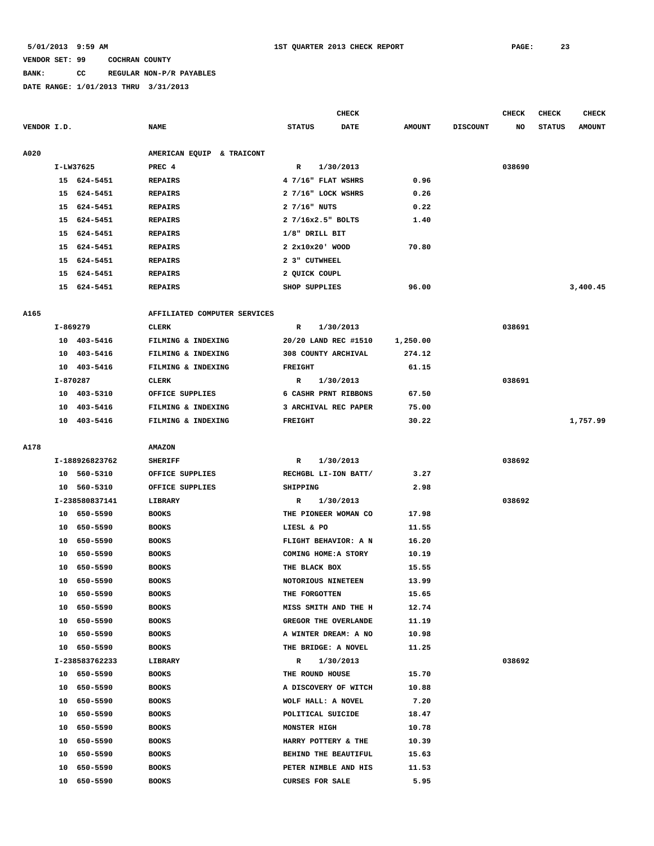## **BANK: CC REGULAR NON-P/R PAYABLES**

|             |          |                |                              |                        | <b>CHECK</b> |               |                 | <b>CHECK</b> | <b>CHECK</b>  | <b>CHECK</b>  |
|-------------|----------|----------------|------------------------------|------------------------|--------------|---------------|-----------------|--------------|---------------|---------------|
| VENDOR I.D. |          |                | <b>NAME</b>                  | <b>STATUS</b>          | DATE         | <b>AMOUNT</b> | <b>DISCOUNT</b> | NO           | <b>STATUS</b> | <b>AMOUNT</b> |
| A020        |          |                | AMERICAN EQUIP & TRAICONT    |                        |              |               |                 |              |               |               |
|             |          | I-LW37625      | PREC <sub>4</sub>            | $\mathbb{R}$           | 1/30/2013    |               |                 | 038690       |               |               |
|             |          | 15 624-5451    | <b>REPAIRS</b>               | 4 7/16" FLAT WSHRS     |              | 0.96          |                 |              |               |               |
|             | 15       | 624-5451       | <b>REPAIRS</b>               | 2 7/16" LOCK WSHRS     |              | 0.26          |                 |              |               |               |
|             | 15       | 624-5451       | <b>REPAIRS</b>               | 2 7/16" NUTS           |              | 0.22          |                 |              |               |               |
|             | 15       | 624-5451       | <b>REPAIRS</b>               | 2 7/16x2.5" BOLTS      |              | 1.40          |                 |              |               |               |
|             |          | 15 624-5451    | <b>REPAIRS</b>               | 1/8" DRILL BIT         |              |               |                 |              |               |               |
|             |          | 15 624-5451    | <b>REPAIRS</b>               | 2 2x10x20' WOOD        |              | 70.80         |                 |              |               |               |
|             | 15       | 624-5451       | <b>REPAIRS</b>               | 2 3" CUTWHEEL          |              |               |                 |              |               |               |
|             | 15       | 624-5451       | <b>REPAIRS</b>               | 2 QUICK COUPL          |              |               |                 |              |               |               |
|             |          | 15 624-5451    | <b>REPAIRS</b>               | SHOP SUPPLIES          |              | 96.00         |                 |              |               | 3,400.45      |
| A165        |          |                | AFFILIATED COMPUTER SERVICES |                        |              |               |                 |              |               |               |
|             | I-869279 |                | <b>CLERK</b>                 | $\mathbb{R}$           | 1/30/2013    |               |                 | 038691       |               |               |
|             |          | 10 403-5416    | FILMING & INDEXING           | 20/20 LAND REC #1510   |              | 1,250.00      |                 |              |               |               |
|             | 10       | 403-5416       | FILMING & INDEXING           | 308 COUNTY ARCHIVAL    |              | 274.12        |                 |              |               |               |
|             | 10       | 403-5416       | FILMING & INDEXING           | <b>FREIGHT</b>         |              | 61.15         |                 |              |               |               |
|             | I-870287 |                | <b>CLERK</b>                 | $\mathbb{R}$           | 1/30/2013    |               |                 | 038691       |               |               |
|             |          | 10 403-5310    | OFFICE SUPPLIES              | 6 CASHR PRNT RIBBONS   |              | 67.50         |                 |              |               |               |
|             |          | 10 403-5416    | FILMING & INDEXING           | 3 ARCHIVAL REC PAPER   |              | 75.00         |                 |              |               |               |
|             |          | 10 403-5416    | FILMING & INDEXING           | <b>FREIGHT</b>         |              | 30.22         |                 |              |               | 1,757.99      |
|             |          |                |                              |                        |              |               |                 |              |               |               |
| A178        |          |                | <b>AMAZON</b>                |                        |              |               |                 |              |               |               |
|             |          | I-188926823762 | <b>SHERIFF</b>               | R                      | 1/30/2013    |               |                 | 038692       |               |               |
|             |          | 10 560-5310    | OFFICE SUPPLIES              | RECHGBL LI-ION BATT/   |              | 3.27          |                 |              |               |               |
|             |          | 10 560-5310    | OFFICE SUPPLIES              | SHIPPING               |              | 2.98          |                 |              |               |               |
|             |          | I-238580837141 | LIBRARY                      | $\mathbb{R}$           | 1/30/2013    |               |                 | 038692       |               |               |
|             |          | 10 650-5590    | <b>BOOKS</b>                 | THE PIONEER WOMAN CO   |              | 17.98         |                 |              |               |               |
|             | 10       | 650-5590       | <b>BOOKS</b>                 | LIESL & PO             |              | 11.55         |                 |              |               |               |
|             | 10       | 650-5590       | <b>BOOKS</b>                 | FLIGHT BEHAVIOR: A N   |              | 16.20         |                 |              |               |               |
|             | 10       | 650-5590       | <b>BOOKS</b>                 | COMING HOME: A STORY   |              | 10.19         |                 |              |               |               |
|             | 10       | 650-5590       | <b>BOOKS</b>                 | THE BLACK BOX          |              | 15.55         |                 |              |               |               |
|             |          | 10 650-5590    | <b>BOOKS</b>                 | NOTORIOUS NINETEEN     |              | 13.99         |                 |              |               |               |
|             |          | 10 650-5590    | <b>BOOKS</b>                 | THE FORGOTTEN          |              | 15.65         |                 |              |               |               |
|             |          | 10 650-5590    | <b>BOOKS</b>                 | MISS SMITH AND THE H   |              | 12.74         |                 |              |               |               |
|             |          | 10 650-5590    | <b>BOOKS</b>                 | GREGOR THE OVERLANDE   |              | 11.19         |                 |              |               |               |
|             | 10       | 650–5590       | <b>BOOKS</b>                 | A WINTER DREAM: A NO   |              | 10.98         |                 |              |               |               |
|             |          | 10 650-5590    | <b>BOOKS</b>                 | THE BRIDGE: A NOVEL    |              | 11.25         |                 |              |               |               |
|             |          | I-238583762233 | LIBRARY                      | R                      | 1/30/2013    |               |                 | 038692       |               |               |
|             |          | 10 650-5590    | <b>BOOKS</b>                 | THE ROUND HOUSE        |              | 15.70         |                 |              |               |               |
|             | 10       | 650-5590       | <b>BOOKS</b>                 | A DISCOVERY OF WITCH   |              | 10.88         |                 |              |               |               |
|             | 10       | 650-5590       | <b>BOOKS</b>                 | WOLF HALL: A NOVEL     |              | 7.20          |                 |              |               |               |
|             |          | 10 650-5590    | <b>BOOKS</b>                 | POLITICAL SUICIDE      |              | 18.47         |                 |              |               |               |
|             |          | 10 650-5590    | <b>BOOKS</b>                 | MONSTER HIGH           |              | 10.78         |                 |              |               |               |
|             | 10       | 650-5590       | <b>BOOKS</b>                 | HARRY POTTERY & THE    |              | 10.39         |                 |              |               |               |
|             | 10       | 650-5590       | <b>BOOKS</b>                 | BEHIND THE BEAUTIFUL   |              | 15.63         |                 |              |               |               |
|             | 10       | 650-5590       | <b>BOOKS</b>                 | PETER NIMBLE AND HIS   |              | 11.53         |                 |              |               |               |
|             |          | 10 650-5590    | <b>BOOKS</b>                 | <b>CURSES FOR SALE</b> |              | 5.95          |                 |              |               |               |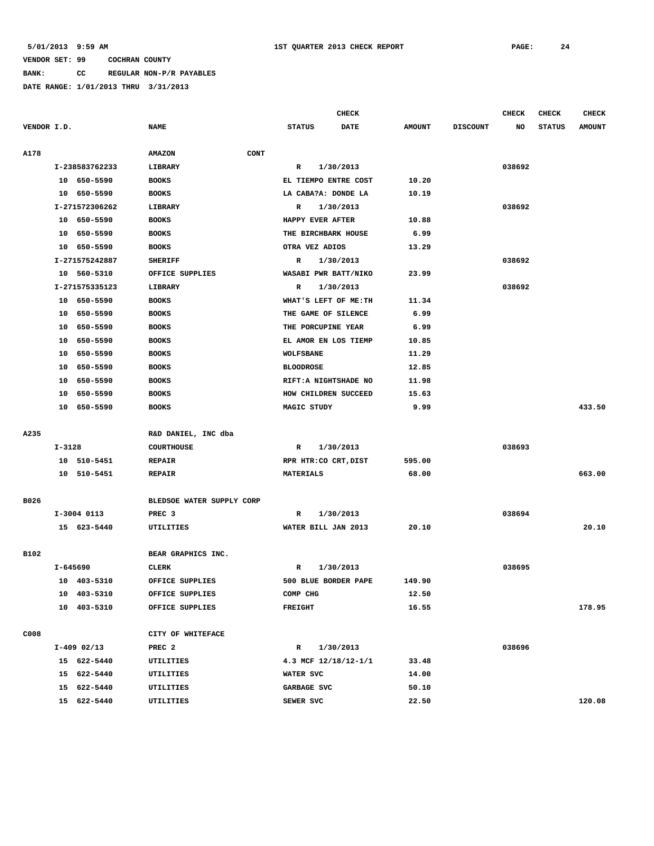**BANK: CC REGULAR NON-P/R PAYABLES**

|             |            |                |                              |                       | <b>CHECK</b>          |               |                 | <b>CHECK</b> | <b>CHECK</b>  | <b>CHECK</b>  |
|-------------|------------|----------------|------------------------------|-----------------------|-----------------------|---------------|-----------------|--------------|---------------|---------------|
| VENDOR I.D. |            |                | <b>NAME</b>                  | <b>STATUS</b>         | DATE                  | <b>AMOUNT</b> | <b>DISCOUNT</b> | NO           | <b>STATUS</b> | <b>AMOUNT</b> |
|             |            |                |                              |                       |                       |               |                 |              |               |               |
| A178        |            |                | <b>CONT</b><br><b>AMAZON</b> |                       |                       |               |                 |              |               |               |
|             |            | I-238583762233 | LIBRARY                      | $\mathbb{R}$          | 1/30/2013             |               |                 | 038692       |               |               |
|             |            | 10 650-5590    | <b>BOOKS</b>                 | EL TIEMPO ENTRE COST  |                       | 10.20         |                 |              |               |               |
|             |            | 10 650-5590    | <b>BOOKS</b>                 | LA CABA?A: DONDE LA   |                       | 10.19         |                 |              |               |               |
|             |            | I-271572306262 | LIBRARY                      | R                     | 1/30/2013             |               |                 | 038692       |               |               |
|             |            | 10 650-5590    | <b>BOOKS</b>                 | HAPPY EVER AFTER      |                       | 10.88         |                 |              |               |               |
|             |            | 10 650-5590    | <b>BOOKS</b>                 | THE BIRCHBARK HOUSE   |                       | 6.99          |                 |              |               |               |
|             |            | 10 650-5590    | <b>BOOKS</b>                 | OTRA VEZ ADIOS        |                       | 13.29         |                 |              |               |               |
|             |            | I-271575242887 | <b>SHERIFF</b>               | R                     | 1/30/2013             |               |                 | 038692       |               |               |
|             |            | 10 560-5310    | OFFICE SUPPLIES              | WASABI PWR BATT/NIKO  |                       | 23.99         |                 |              |               |               |
|             |            | I-271575335123 | LIBRARY                      | R                     | 1/30/2013             |               |                 | 038692       |               |               |
|             |            | 10 650-5590    | <b>BOOKS</b>                 |                       | WHAT'S LEFT OF ME: TH | 11.34         |                 |              |               |               |
|             |            | 10 650-5590    | <b>BOOKS</b>                 | THE GAME OF SILENCE   |                       | 6.99          |                 |              |               |               |
|             |            | 10 650-5590    | <b>BOOKS</b>                 | THE PORCUPINE YEAR    |                       | 6.99          |                 |              |               |               |
|             |            | 10 650-5590    | <b>BOOKS</b>                 | EL AMOR EN LOS TIEMP  |                       | 10.85         |                 |              |               |               |
|             |            | 10 650-5590    | <b>BOOKS</b>                 | <b>WOLFSBANE</b>      |                       | 11.29         |                 |              |               |               |
|             |            | 10 650-5590    | <b>BOOKS</b>                 | <b>BLOODROSE</b>      |                       | 12.85         |                 |              |               |               |
|             |            | 10 650-5590    | <b>BOOKS</b>                 | RIFT:A NIGHTSHADE NO  |                       | 11.98         |                 |              |               |               |
|             |            | 10 650-5590    | <b>BOOKS</b>                 | HOW CHILDREN SUCCEED  |                       | 15.63         |                 |              |               |               |
|             |            | 10 650-5590    | <b>BOOKS</b>                 | MAGIC STUDY           |                       | 9.99          |                 |              |               | 433.50        |
|             |            |                |                              |                       |                       |               |                 |              |               |               |
| A235        |            |                | R&D DANIEL, INC dba          |                       |                       |               |                 |              |               |               |
|             | $I - 3128$ |                | COURTHOUSE                   | R                     | 1/30/2013             |               |                 | 038693       |               |               |
|             |            | 10 510-5451    | <b>REPAIR</b>                | RPR HTR: CO CRT, DIST |                       | 595.00        |                 |              |               |               |
|             |            | 10 510-5451    | <b>REPAIR</b>                | <b>MATERIALS</b>      |                       | 68.00         |                 |              |               | 663.00        |
|             |            |                |                              |                       |                       |               |                 |              |               |               |
| B026        |            |                | BLEDSOE WATER SUPPLY CORP    |                       |                       |               |                 |              |               |               |
|             |            | I-3004 0113    | PREC <sub>3</sub>            | R                     | 1/30/2013             |               |                 | 038694       |               |               |
|             |            | 15 623-5440    | UTILITIES                    | WATER BILL JAN 2013   |                       | 20.10         |                 |              |               | 20.10         |
|             |            |                |                              |                       |                       |               |                 |              |               |               |
| B102        |            |                | BEAR GRAPHICS INC.           |                       |                       |               |                 |              |               |               |
|             |            | I-645690       | CLERK                        | R                     | 1/30/2013             |               |                 | 038695       |               |               |
|             |            | 10 403-5310    | OFFICE SUPPLIES              |                       | 500 BLUE BORDER PAPE  | 149.90        |                 |              |               |               |
|             |            | 10 403-5310    | OFFICE SUPPLIES              | COMP CHG              |                       | 12.50         |                 |              |               |               |
|             |            | 10 403-5310    | OFFICE SUPPLIES              | <b>FREIGHT</b>        |                       | 16.55         |                 |              |               | 178.95        |
| C008        |            |                | CITY OF WHITEFACE            |                       |                       |               |                 |              |               |               |
|             |            | $I-409$ 02/13  | PREC <sub>2</sub>            | $\mathbb{R}$          | 1/30/2013             |               |                 | 038696       |               |               |
|             |            | 15 622-5440    | UTILITIES                    |                       | 4.3 MCF 12/18/12-1/1  | 33.48         |                 |              |               |               |
|             |            | 15 622-5440    | UTILITIES                    | WATER SVC             |                       | 14.00         |                 |              |               |               |
|             |            | 15 622-5440    | UTILITIES                    | GARBAGE SVC           |                       | 50.10         |                 |              |               |               |
|             |            | 15 622-5440    | UTILITIES                    | SEWER SVC             |                       | 22.50         |                 |              |               | 120.08        |
|             |            |                |                              |                       |                       |               |                 |              |               |               |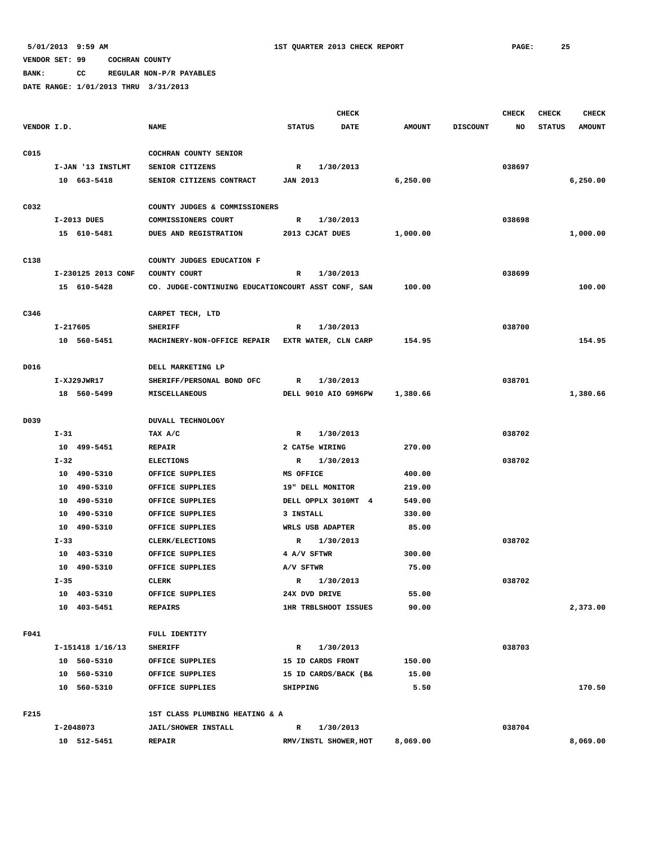**BANK: CC REGULAR NON-P/R PAYABLES**

|             |          |                    |                                                    |                       | <b>CHECK</b> |               |                 | <b>CHECK</b> | <b>CHECK</b>  | <b>CHECK</b>  |
|-------------|----------|--------------------|----------------------------------------------------|-----------------------|--------------|---------------|-----------------|--------------|---------------|---------------|
| VENDOR I.D. |          |                    | <b>NAME</b>                                        | <b>STATUS</b>         | DATE         | <b>AMOUNT</b> | <b>DISCOUNT</b> | NO           | <b>STATUS</b> | <b>AMOUNT</b> |
|             |          |                    |                                                    |                       |              |               |                 |              |               |               |
| C015        |          |                    | COCHRAN COUNTY SENIOR                              |                       |              |               |                 |              |               |               |
|             |          | I-JAN '13 INSTLMT  | SENIOR CITIZENS                                    | $\mathbb{R}$          | 1/30/2013    |               |                 | 038697       |               |               |
|             |          | 10 663-5418        | SENIOR CITIZENS CONTRACT                           | <b>JAN 2013</b>       |              | 6, 250.00     |                 |              |               | 6,250.00      |
| C032        |          |                    | COUNTY JUDGES & COMMISSIONERS                      |                       |              |               |                 |              |               |               |
|             |          | I-2013 DUES        | COMMISSIONERS COURT                                | R                     | 1/30/2013    |               |                 | 038698       |               |               |
|             |          | 15 610-5481        | DUES AND REGISTRATION                              | 2013 CJCAT DUES       |              | 1,000.00      |                 |              |               | 1,000.00      |
|             |          |                    |                                                    |                       |              |               |                 |              |               |               |
| C138        |          |                    | COUNTY JUDGES EDUCATION F                          |                       |              |               |                 |              |               |               |
|             |          | I-230125 2013 CONF | COUNTY COURT                                       | R                     | 1/30/2013    |               |                 | 038699       |               |               |
|             |          | 15 610-5428        | CO. JUDGE-CONTINUING EDUCATIONCOURT ASST CONF, SAN |                       |              | 100.00        |                 |              |               | 100.00        |
| C346        |          |                    | CARPET TECH, LTD                                   |                       |              |               |                 |              |               |               |
|             | I-217605 |                    | <b>SHERIFF</b>                                     | R                     | 1/30/2013    |               |                 | 038700       |               |               |
|             |          | 10 560-5451        | MACHINERY-NON-OFFICE REPAIR EXTR WATER, CLN CARP   |                       |              | 154.95        |                 |              |               | 154.95        |
|             |          |                    |                                                    |                       |              |               |                 |              |               |               |
| D016        |          |                    | DELL MARKETING LP                                  |                       |              |               |                 |              |               |               |
|             |          | I-XJ29JWR17        | SHERIFF/PERSONAL BOND OFC                          | R                     | 1/30/2013    |               |                 | 038701       |               |               |
|             |          | 18 560-5499        | <b>MISCELLANEOUS</b>                               | DELL 9010 AIO G9M6PW  |              | 1,380.66      |                 |              |               | 1,380.66      |
| D039        |          |                    | DUVALL TECHNOLOGY                                  |                       |              |               |                 |              |               |               |
|             | $I-31$   |                    | TAX A/C                                            | $\mathbb{R}$          | 1/30/2013    |               |                 | 038702       |               |               |
|             |          | 10 499-5451        | <b>REPAIR</b>                                      | 2 CAT5e WIRING        |              | 270.00        |                 |              |               |               |
|             | $I-32$   |                    | <b>ELECTIONS</b>                                   | R                     | 1/30/2013    |               |                 | 038702       |               |               |
|             |          | 10 490-5310        | OFFICE SUPPLIES                                    | MS OFFICE             |              | 400.00        |                 |              |               |               |
|             |          | 10 490-5310        | OFFICE SUPPLIES                                    | 19" DELL MONITOR      |              | 219.00        |                 |              |               |               |
|             |          | 10 490-5310        | OFFICE SUPPLIES                                    | DELL OPPLX 3010MT 4   |              | 549.00        |                 |              |               |               |
|             |          | 10 490-5310        | OFFICE SUPPLIES                                    | 3 INSTALL             |              | 330.00        |                 |              |               |               |
|             |          | 10 490-5310        | OFFICE SUPPLIES                                    | WRLS USB ADAPTER      |              | 85.00         |                 |              |               |               |
|             | $I-33$   |                    | CLERK/ELECTIONS                                    | R                     | 1/30/2013    |               |                 | 038702       |               |               |
|             |          | 10 403-5310        | OFFICE SUPPLIES                                    | 4 A/V SFTWR           |              | 300.00        |                 |              |               |               |
|             |          | 10 490-5310        | OFFICE SUPPLIES                                    | A/V SFTWR             |              | 75.00         |                 |              |               |               |
|             | $I - 35$ |                    | <b>CLERK</b>                                       | $\mathbb{R}$          | 1/30/2013    |               |                 | 038702       |               |               |
|             |          | 10 403-5310        | OFFICE SUPPLIES                                    | 24X DVD DRIVE         |              | 55.00         |                 |              |               |               |
|             |          | 10 403-5451        | <b>REPAIRS</b>                                     | 1HR TRBLSHOOT ISSUES  |              | 90.00         |                 |              |               | 2,373.00      |
| F041        |          |                    | FULL IDENTITY                                      |                       |              |               |                 |              |               |               |
|             |          | I-151418 1/16/13   | <b>SHERIFF</b>                                     | R                     | 1/30/2013    |               |                 | 038703       |               |               |
|             |          | 10 560-5310        | OFFICE SUPPLIES                                    | 15 ID CARDS FRONT     |              | 150.00        |                 |              |               |               |
|             |          | 10 560-5310        | OFFICE SUPPLIES                                    | 15 ID CARDS/BACK (B&  |              | 15.00         |                 |              |               |               |
|             |          | 10 560-5310        | OFFICE SUPPLIES                                    | SHIPPING              |              | 5.50          |                 |              |               | 170.50        |
|             |          |                    |                                                    |                       |              |               |                 |              |               |               |
| F215        |          |                    | 1ST CLASS PLUMBING HEATING & A                     |                       |              |               |                 |              |               |               |
|             |          | I-2048073          | <b>JAIL/SHOWER INSTALL</b>                         | R                     | 1/30/2013    |               |                 | 038704       |               |               |
|             |          | 10 512-5451        | <b>REPAIR</b>                                      | RMV/INSTL SHOWER, HOT |              | 8,069.00      |                 |              |               | 8,069.00      |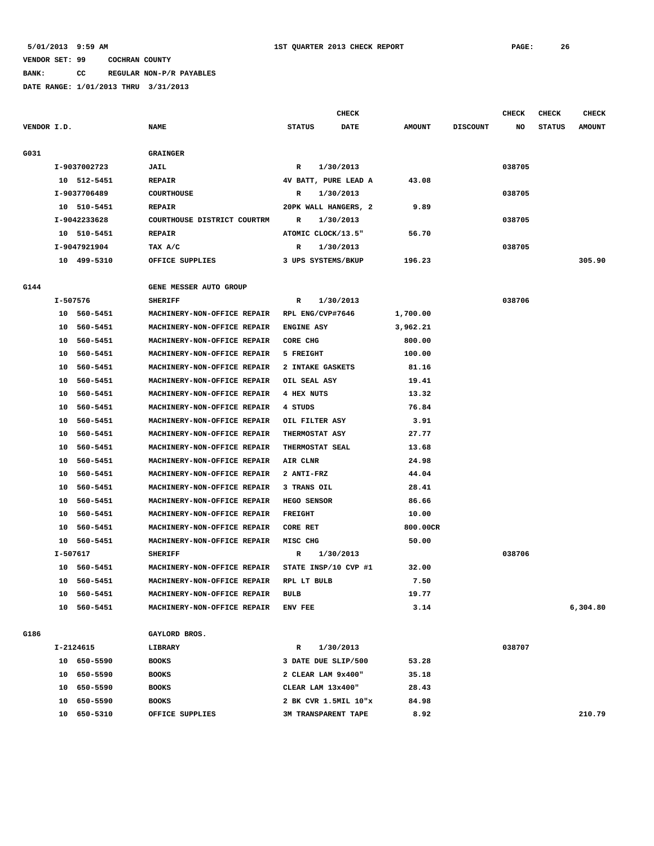## **BANK: CC REGULAR NON-P/R PAYABLES**

|             |    |              |                               |                     | CHECK                |               |                 | CHECK  | <b>CHECK</b>  | <b>CHECK</b>  |
|-------------|----|--------------|-------------------------------|---------------------|----------------------|---------------|-----------------|--------|---------------|---------------|
| VENDOR I.D. |    |              | <b>NAME</b>                   | <b>STATUS</b>       | <b>DATE</b>          | <b>AMOUNT</b> | <b>DISCOUNT</b> | NO     | <b>STATUS</b> | <b>AMOUNT</b> |
|             |    |              |                               |                     |                      |               |                 |        |               |               |
| G031        |    |              | <b>GRAINGER</b>               |                     |                      |               |                 |        |               |               |
|             |    | I-9037002723 | JAIL                          | R                   | 1/30/2013            |               |                 | 038705 |               |               |
|             |    | 10 512-5451  | <b>REPAIR</b>                 |                     | 4V BATT, PURE LEAD A | 43.08         |                 |        |               |               |
|             |    | I-9037706489 | <b>COURTHOUSE</b>             | R                   | 1/30/2013            |               |                 | 038705 |               |               |
|             |    | 10 510-5451  | <b>REPAIR</b>                 |                     | 20PK WALL HANGERS, 2 | 9.89          |                 |        |               |               |
|             |    | I-9042233628 | COURTHOUSE DISTRICT COURTRM   | R                   | 1/30/2013            |               |                 | 038705 |               |               |
|             |    | 10 510-5451  | <b>REPAIR</b>                 | ATOMIC CLOCK/13.5"  |                      | 56.70         |                 |        |               |               |
|             |    | I-9047921904 | TAX A/C                       | R                   | 1/30/2013            |               |                 | 038705 |               |               |
|             |    | 10 499-5310  | OFFICE SUPPLIES               | 3 UPS SYSTEMS/BKUP  |                      | 196.23        |                 |        |               | 305.90        |
| G144        |    |              | <b>GENE MESSER AUTO GROUP</b> |                     |                      |               |                 |        |               |               |
|             |    | I-507576     | <b>SHERIFF</b>                | R                   | 1/30/2013            |               |                 | 038706 |               |               |
|             |    | 10 560-5451  | MACHINERY-NON-OFFICE REPAIR   | RPL ENG/CVP#7646    |                      | 1,700.00      |                 |        |               |               |
|             |    | 10 560-5451  | MACHINERY-NON-OFFICE REPAIR   | <b>ENGINE ASY</b>   |                      | 3,962.21      |                 |        |               |               |
|             |    | 10 560-5451  | MACHINERY-NON-OFFICE REPAIR   | CORE CHG            |                      | 800.00        |                 |        |               |               |
|             |    | 10 560-5451  | MACHINERY-NON-OFFICE REPAIR   | 5 FREIGHT           |                      | 100.00        |                 |        |               |               |
|             |    | 10 560-5451  | MACHINERY-NON-OFFICE REPAIR   | 2 INTAKE GASKETS    |                      | 81.16         |                 |        |               |               |
|             |    | 10 560-5451  | MACHINERY-NON-OFFICE REPAIR   | OIL SEAL ASY        |                      | 19.41         |                 |        |               |               |
|             |    | 10 560-5451  | MACHINERY-NON-OFFICE REPAIR   | 4 HEX NUTS          |                      | 13.32         |                 |        |               |               |
|             | 10 | 560-5451     | MACHINERY-NON-OFFICE REPAIR   | 4 STUDS             |                      | 76.84         |                 |        |               |               |
|             |    | 10 560-5451  | MACHINERY-NON-OFFICE REPAIR   | OIL FILTER ASY      |                      | 3.91          |                 |        |               |               |
|             |    | 10 560-5451  | MACHINERY-NON-OFFICE REPAIR   | THERMOSTAT ASY      |                      | 27.77         |                 |        |               |               |
|             |    | 10 560-5451  | MACHINERY-NON-OFFICE REPAIR   | THERMOSTAT SEAL     |                      | 13.68         |                 |        |               |               |
|             |    | 10 560-5451  | MACHINERY-NON-OFFICE REPAIR   | AIR CLNR            |                      | 24.98         |                 |        |               |               |
|             |    | 10 560-5451  | MACHINERY-NON-OFFICE REPAIR   | 2 ANTI-FRZ          |                      | 44.04         |                 |        |               |               |
|             |    | 10 560-5451  | MACHINERY-NON-OFFICE REPAIR   | 3 TRANS OIL         |                      | 28.41         |                 |        |               |               |
|             |    | 10 560-5451  | MACHINERY-NON-OFFICE REPAIR   | HEGO SENSOR         |                      | 86.66         |                 |        |               |               |
|             |    | 10 560-5451  | MACHINERY-NON-OFFICE REPAIR   | FREIGHT             |                      | 10.00         |                 |        |               |               |
|             |    | 10 560-5451  | MACHINERY-NON-OFFICE REPAIR   | CORE RET            |                      | 800.00CR      |                 |        |               |               |
|             |    | 10 560-5451  | MACHINERY-NON-OFFICE REPAIR   | MISC CHG            |                      | 50.00         |                 |        |               |               |
|             |    | I-507617     | <b>SHERIFF</b>                | R                   | 1/30/2013            |               |                 | 038706 |               |               |
|             |    | 10 560-5451  | MACHINERY-NON-OFFICE REPAIR   |                     | STATE INSP/10 CVP #1 | 32.00         |                 |        |               |               |
|             |    | 10 560-5451  | MACHINERY-NON-OFFICE REPAIR   | RPL LT BULB         |                      | 7.50          |                 |        |               |               |
|             |    | 10 560-5451  | MACHINERY-NON-OFFICE REPAIR   | <b>BULB</b>         |                      | 19.77         |                 |        |               |               |
|             |    | 10 560-5451  | MACHINERY-NON-OFFICE REPAIR   | ENV FEE             |                      | 3.14          |                 |        |               | 6,304.80      |
| G186        |    |              | GAYLORD BROS.                 |                     |                      |               |                 |        |               |               |
|             |    | I-2124615    | LIBRARY                       | R                   | 1/30/2013            |               |                 | 038707 |               |               |
|             |    | 10 650-5590  | <b>BOOKS</b>                  | 3 DATE DUE SLIP/500 |                      | 53.28         |                 |        |               |               |
|             |    | 10 650-5590  | <b>BOOKS</b>                  | 2 CLEAR LAM 9x400"  |                      | 35.18         |                 |        |               |               |
|             |    | 10 650-5590  | <b>BOOKS</b>                  | CLEAR LAM 13x400"   |                      | 28.43         |                 |        |               |               |
|             |    | 10 650-5590  | <b>BOOKS</b>                  |                     | 2 BK CVR 1.5MIL 10"x | 84.98         |                 |        |               |               |
|             |    | 10 650-5310  | OFFICE SUPPLIES               | 3M TRANSPARENT TAPE |                      | 8.92          |                 |        |               | 210.79        |
|             |    |              |                               |                     |                      |               |                 |        |               |               |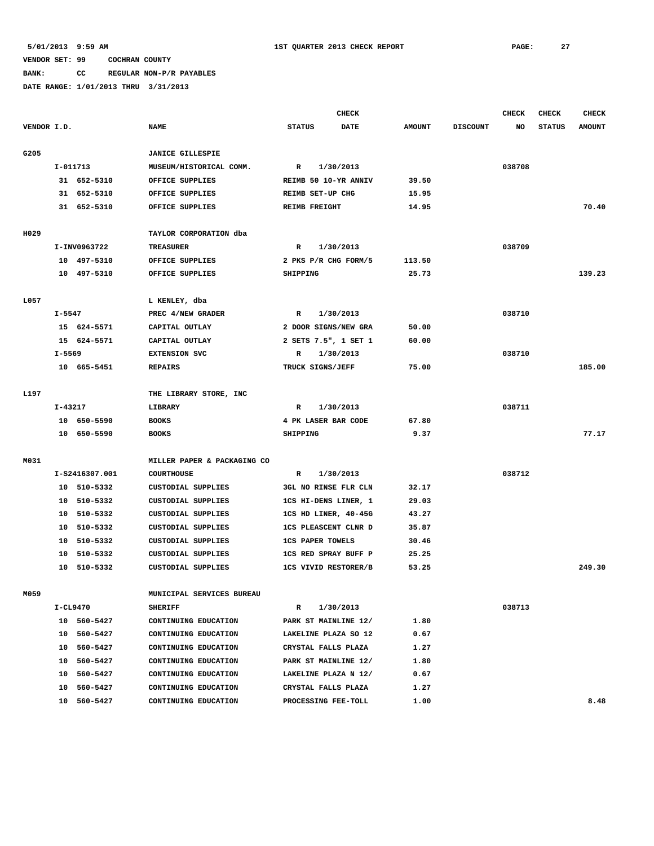## **BANK: CC REGULAR NON-P/R PAYABLES**

|             |         |                |                             |               |                         | CHECK                       |               |                 | CHECK  | <b>CHECK</b>  | <b>CHECK</b>  |
|-------------|---------|----------------|-----------------------------|---------------|-------------------------|-----------------------------|---------------|-----------------|--------|---------------|---------------|
| VENDOR I.D. |         |                | <b>NAME</b>                 | <b>STATUS</b> |                         | <b>DATE</b>                 | <b>AMOUNT</b> | <b>DISCOUNT</b> | NO     | <b>STATUS</b> | <b>AMOUNT</b> |
| G205        |         |                | <b>JANICE GILLESPIE</b>     |               |                         |                             |               |                 |        |               |               |
|             |         | $I-011713$     | MUSEUM/HISTORICAL COMM.     | R             | 1/30/2013               |                             |               |                 | 038708 |               |               |
|             |         | 31 652-5310    | OFFICE SUPPLIES             |               |                         | REIMB 50 10-YR ANNIV        | 39.50         |                 |        |               |               |
|             |         | 31 652-5310    | OFFICE SUPPLIES             |               | REIMB SET-UP CHG        |                             | 15.95         |                 |        |               |               |
|             |         | 31 652-5310    | OFFICE SUPPLIES             |               | <b>REIMB FREIGHT</b>    |                             | 14.95         |                 |        |               | 70.40         |
| H029        |         |                | TAYLOR CORPORATION dba      |               |                         |                             |               |                 |        |               |               |
|             |         | I-INV0963722   | <b>TREASURER</b>            | R             | 1/30/2013               |                             |               |                 | 038709 |               |               |
|             |         | 10 497-5310    | OFFICE SUPPLIES             |               |                         | 2 PKS P/R CHG FORM/5        | 113.50        |                 |        |               |               |
|             |         | 10 497-5310    | OFFICE SUPPLIES             | SHIPPING      |                         |                             | 25.73         |                 |        |               | 139.23        |
| L057        |         |                | L KENLEY, dba               |               |                         |                             |               |                 |        |               |               |
|             | I-5547  |                | PREC 4/NEW GRADER           | $\mathbb{R}$  | 1/30/2013               |                             |               |                 | 038710 |               |               |
|             |         | 15 624-5571    | CAPITAL OUTLAY              |               |                         | 2 DOOR SIGNS/NEW GRA        | 50.00         |                 |        |               |               |
|             |         | 15 624-5571    | CAPITAL OUTLAY              |               |                         | 2 SETS 7.5", 1 SET 1        | 60.00         |                 |        |               |               |
|             | I-5569  |                | <b>EXTENSION SVC</b>        | R             | 1/30/2013               |                             |               |                 | 038710 |               |               |
|             |         | 10 665-5451    | <b>REPAIRS</b>              |               | TRUCK SIGNS/JEFF        |                             | 75.00         |                 |        |               | 185.00        |
| L197        |         |                | THE LIBRARY STORE, INC      |               |                         |                             |               |                 |        |               |               |
|             | I-43217 |                | LIBRARY                     | R             | 1/30/2013               |                             |               |                 | 038711 |               |               |
|             |         | 10 650-5590    | <b>BOOKS</b>                |               | 4 PK LASER BAR CODE     |                             | 67.80         |                 |        |               |               |
|             |         | 10 650-5590    | <b>BOOKS</b>                | SHIPPING      |                         |                             | 9.37          |                 |        |               | 77.17         |
| M031        |         |                | MILLER PAPER & PACKAGING CO |               |                         |                             |               |                 |        |               |               |
|             |         | I-S2416307.001 | <b>COURTHOUSE</b>           | R             | 1/30/2013               |                             |               |                 | 038712 |               |               |
|             |         | 10 510-5332    | CUSTODIAL SUPPLIES          |               |                         | 3GL NO RINSE FLR CLN        | 32.17         |                 |        |               |               |
|             |         | 10 510-5332    | CUSTODIAL SUPPLIES          |               |                         | 1CS HI-DENS LINER, 1        | 29.03         |                 |        |               |               |
|             |         | 10 510-5332    | CUSTODIAL SUPPLIES          |               |                         | 1CS HD LINER, 40-45G        | 43.27         |                 |        |               |               |
|             |         | 10 510-5332    | CUSTODIAL SUPPLIES          |               |                         | <b>1CS PLEASCENT CLNR D</b> | 35.87         |                 |        |               |               |
|             |         | 10 510-5332    | CUSTODIAL SUPPLIES          |               | <b>1CS PAPER TOWELS</b> |                             | 30.46         |                 |        |               |               |
|             | 10      | 510-5332       | CUSTODIAL SUPPLIES          |               |                         | <b>1CS RED SPRAY BUFF P</b> | 25.25         |                 |        |               |               |
|             |         | 10 510-5332    | <b>CUSTODIAL SUPPLIES</b>   |               |                         | 1CS VIVID RESTORER/B        | 53.25         |                 |        |               | 249.30        |
| M059        |         |                | MUNICIPAL SERVICES BUREAU   |               |                         |                             |               |                 |        |               |               |
|             |         | I-CL9470       | <b>SHERIFF</b>              | $\mathbb{R}$  | 1/30/2013               |                             |               |                 | 038713 |               |               |
|             |         | 10 560-5427    | CONTINUING EDUCATION        |               |                         | PARK ST MAINLINE 12/        | 1.80          |                 |        |               |               |
|             |         | 10 560-5427    | CONTINUING EDUCATION        |               |                         | LAKELINE PLAZA SO 12        | 0.67          |                 |        |               |               |
|             |         | 10 560-5427    | CONTINUING EDUCATION        |               | CRYSTAL FALLS PLAZA     |                             | 1.27          |                 |        |               |               |
|             |         | 10 560-5427    | CONTINUING EDUCATION        |               |                         | PARK ST MAINLINE 12/        | 1.80          |                 |        |               |               |
|             |         | 10 560-5427    | CONTINUING EDUCATION        |               |                         | LAKELINE PLAZA N 12/        | 0.67          |                 |        |               |               |
|             |         | 10 560-5427    | CONTINUING EDUCATION        |               | CRYSTAL FALLS PLAZA     |                             | 1.27          |                 |        |               |               |
|             |         | 10 560-5427    | CONTINUING EDUCATION        |               | PROCESSING FEE-TOLL     |                             | 1.00          |                 |        |               | 8.48          |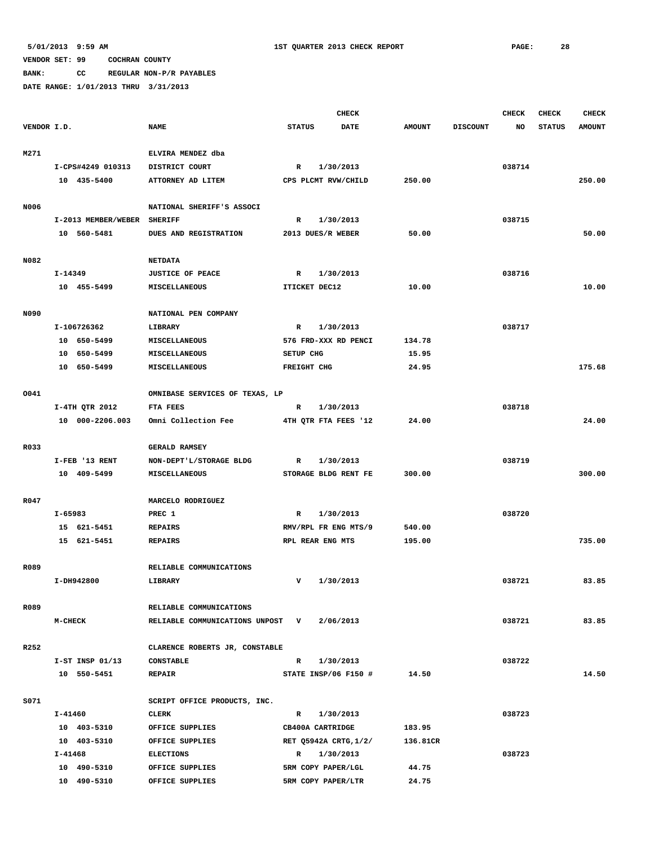**BANK: CC REGULAR NON-P/R PAYABLES**

|             |                     |                                  |                      | <b>CHECK</b>          |               |                 | <b>CHECK</b> | <b>CHECK</b>  | <b>CHECK</b>  |
|-------------|---------------------|----------------------------------|----------------------|-----------------------|---------------|-----------------|--------------|---------------|---------------|
| VENDOR I.D. |                     | <b>NAME</b>                      | <b>STATUS</b>        | <b>DATE</b>           | <b>AMOUNT</b> | <b>DISCOUNT</b> | NO           | <b>STATUS</b> | <b>AMOUNT</b> |
| M271        |                     | ELVIRA MENDEZ dba                |                      |                       |               |                 |              |               |               |
|             | I-CPS#4249 010313   | DISTRICT COURT                   | $\mathbb{R}$         | 1/30/2013             |               |                 | 038714       |               |               |
|             | 10 435-5400         | ATTORNEY AD LITEM                | CPS PLCMT RVW/CHILD  |                       | 250.00        |                 |              |               | 250.00        |
|             |                     |                                  |                      |                       |               |                 |              |               |               |
| N006        |                     | NATIONAL SHERIFF'S ASSOCI        |                      |                       |               |                 |              |               |               |
|             | I-2013 MEMBER/WEBER | <b>SHERIFF</b>                   | R                    | 1/30/2013             |               |                 | 038715       |               |               |
|             | 10 560-5481         | DUES AND REGISTRATION            | 2013 DUES/R WEBER    |                       | 50.00         |                 |              |               | 50.00         |
| N082        |                     | <b>NETDATA</b>                   |                      |                       |               |                 |              |               |               |
|             | I-14349             | <b>JUSTICE OF PEACE</b>          | R                    | 1/30/2013             |               |                 | 038716       |               |               |
|             | 10 455-5499         | MISCELLANEOUS                    | ITICKET DEC12        |                       | 10.00         |                 |              |               | 10.00         |
|             |                     |                                  |                      |                       |               |                 |              |               |               |
| N090        |                     | NATIONAL PEN COMPANY             |                      |                       |               |                 |              |               |               |
|             | I-106726362         | LIBRARY                          | $\mathbb{R}$         | 1/30/2013             |               |                 | 038717       |               |               |
|             | 10 650-5499         | MISCELLANEOUS                    | 576 FRD-XXX RD PENCI |                       | 134.78        |                 |              |               |               |
|             | 10 650-5499         | MISCELLANEOUS                    | <b>SETUP CHG</b>     |                       | 15.95         |                 |              |               |               |
|             | 10 650-5499         | MISCELLANEOUS                    | FREIGHT CHG          |                       | 24.95         |                 |              |               | 175.68        |
| 0041        |                     | OMNIBASE SERVICES OF TEXAS, LP   |                      |                       |               |                 |              |               |               |
|             | I-4TH QTR 2012      | FTA FEES                         | R                    | 1/30/2013             |               |                 | 038718       |               |               |
|             | 10 000-2206.003     | Omni Collection Fee              | 4TH QTR FTA FEES '12 |                       | 24.00         |                 |              |               | 24.00         |
|             |                     |                                  |                      |                       |               |                 |              |               |               |
| R033        |                     | <b>GERALD RAMSEY</b>             |                      |                       |               |                 |              |               |               |
|             | I-FEB '13 RENT      | NON-DEPT'L/STORAGE BLDG          | R                    | 1/30/2013             |               |                 | 038719       |               |               |
|             | 10 409-5499         | MISCELLANEOUS                    | STORAGE BLDG RENT FE |                       | 300.00        |                 |              |               | 300.00        |
| R047        |                     | MARCELO RODRIGUEZ                |                      |                       |               |                 |              |               |               |
|             | I-65983             | PREC 1                           | R                    | 1/30/2013             |               |                 | 038720       |               |               |
|             | 15 621-5451         | <b>REPAIRS</b>                   | RMV/RPL FR ENG MTS/9 |                       | 540.00        |                 |              |               |               |
|             | 15 621-5451         | <b>REPAIRS</b>                   | RPL REAR ENG MTS     |                       | 195.00        |                 |              |               | 735.00        |
|             |                     |                                  |                      |                       |               |                 |              |               |               |
| R089        |                     | RELIABLE COMMUNICATIONS          |                      |                       |               |                 |              |               |               |
|             | I-DH942800          | LIBRARY                          | v                    | 1/30/2013             |               |                 | 038721       |               | 83.85         |
| R089        |                     | RELIABLE COMMUNICATIONS          |                      |                       |               |                 |              |               |               |
|             | <b>M-CHECK</b>      | RELIABLE COMMUNICATIONS UNPOST V |                      | 2/06/2013             |               |                 | 038721       |               | 83.85         |
| R252        |                     | CLARENCE ROBERTS JR, CONSTABLE   |                      |                       |               |                 |              |               |               |
|             |                     |                                  |                      |                       |               |                 |              |               |               |
|             | $I-ST$ INSP $01/13$ | <b>CONSTABLE</b>                 | R                    | 1/30/2013             |               |                 | 038722       |               |               |
|             | 10 550-5451         | <b>REPAIR</b>                    |                      | STATE INSP/06 F150 #  | 14.50         |                 |              |               | 14.50         |
| S071        |                     | SCRIPT OFFICE PRODUCTS, INC.     |                      |                       |               |                 |              |               |               |
|             | I-41460             | CLERK                            | $\mathbb{R}$         | 1/30/2013             |               |                 | 038723       |               |               |
|             | 10 403-5310         | OFFICE SUPPLIES                  | CB400A CARTRIDGE     |                       | 183.95        |                 |              |               |               |
|             | 10 403-5310         | OFFICE SUPPLIES                  |                      | RET Q5942A CRTG, 1/2/ | 136.81CR      |                 |              |               |               |
|             | I-41468             | <b>ELECTIONS</b>                 | R                    | 1/30/2013             |               |                 | 038723       |               |               |
|             | 10 490-5310         | OFFICE SUPPLIES                  | 5RM COPY PAPER/LGL   |                       | 44.75         |                 |              |               |               |
|             | 10 490-5310         | OFFICE SUPPLIES                  | 5RM COPY PAPER/LTR   |                       | 24.75         |                 |              |               |               |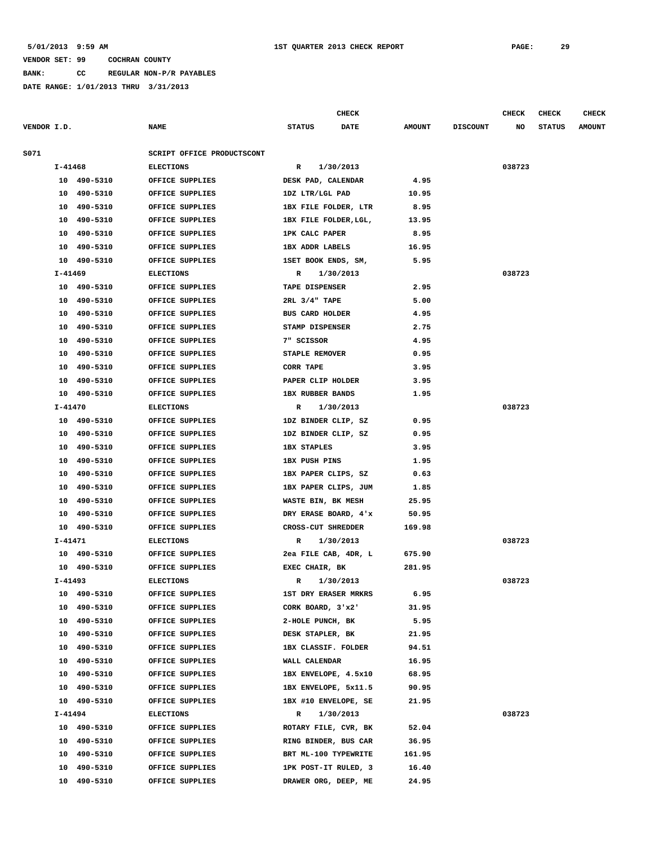**BANK: CC REGULAR NON-P/R PAYABLES**

|             |         |             |                            |                         | <b>CHECK</b> |               |                 | <b>CHECK</b> | CHECK         | <b>CHECK</b>  |
|-------------|---------|-------------|----------------------------|-------------------------|--------------|---------------|-----------------|--------------|---------------|---------------|
| VENDOR I.D. |         |             | <b>NAME</b>                | <b>STATUS</b>           | <b>DATE</b>  | <b>AMOUNT</b> | <b>DISCOUNT</b> | NO           | <b>STATUS</b> | <b>AMOUNT</b> |
| S071        |         |             | SCRIPT OFFICE PRODUCTSCONT |                         |              |               |                 |              |               |               |
|             | I-41468 |             | <b>ELECTIONS</b>           | $\mathbf R$             | 1/30/2013    |               |                 | 038723       |               |               |
|             |         | 10 490-5310 | OFFICE SUPPLIES            | DESK PAD, CALENDAR      |              | 4.95          |                 |              |               |               |
|             |         | 10 490-5310 | OFFICE SUPPLIES            | 1DZ LTR/LGL PAD         |              | 10.95         |                 |              |               |               |
|             |         | 10 490-5310 | OFFICE SUPPLIES            | 1BX FILE FOLDER, LTR    |              | 8.95          |                 |              |               |               |
|             |         | 10 490-5310 | OFFICE SUPPLIES            | 1BX FILE FOLDER, LGL,   |              | 13.95         |                 |              |               |               |
|             |         | 10 490-5310 | OFFICE SUPPLIES            | 1PK CALC PAPER          |              | 8.95          |                 |              |               |               |
|             |         | 10 490-5310 | OFFICE SUPPLIES            | 1BX ADDR LABELS         |              | 16.95         |                 |              |               |               |
|             |         | 10 490-5310 | OFFICE SUPPLIES            | 1SET BOOK ENDS, SM,     |              | 5.95          |                 |              |               |               |
|             | I-41469 |             | <b>ELECTIONS</b>           | R                       | 1/30/2013    |               |                 | 038723       |               |               |
|             |         | 10 490-5310 | OFFICE SUPPLIES            | TAPE DISPENSER          |              | 2.95          |                 |              |               |               |
|             |         | 10 490-5310 | OFFICE SUPPLIES            | 2RL 3/4" TAPE           |              | 5.00          |                 |              |               |               |
|             |         | 10 490-5310 | OFFICE SUPPLIES            | BUS CARD HOLDER         |              | 4.95          |                 |              |               |               |
|             |         | 10 490-5310 | OFFICE SUPPLIES            | STAMP DISPENSER         |              | 2.75          |                 |              |               |               |
|             |         | 10 490-5310 | OFFICE SUPPLIES            | 7" SCISSOR              |              | 4.95          |                 |              |               |               |
|             | 10      | 490-5310    | OFFICE SUPPLIES            | <b>STAPLE REMOVER</b>   |              | 0.95          |                 |              |               |               |
|             | 10      | 490-5310    | OFFICE SUPPLIES            | <b>CORR TAPE</b>        |              | 3.95          |                 |              |               |               |
|             |         | 10 490-5310 | OFFICE SUPPLIES            | PAPER CLIP HOLDER       |              | 3.95          |                 |              |               |               |
|             |         | 10 490-5310 | OFFICE SUPPLIES            | <b>1BX RUBBER BANDS</b> |              | 1.95          |                 |              |               |               |
|             | I-41470 |             | <b>ELECTIONS</b>           | R                       | 1/30/2013    |               |                 | 038723       |               |               |
|             |         | 10 490-5310 | OFFICE SUPPLIES            | 1DZ BINDER CLIP, SZ     |              | 0.95          |                 |              |               |               |
|             |         | 10 490-5310 | OFFICE SUPPLIES            | 1DZ BINDER CLIP, SZ     |              | 0.95          |                 |              |               |               |
|             | 10      | 490-5310    | OFFICE SUPPLIES            | <b>1BX STAPLES</b>      |              | 3.95          |                 |              |               |               |
|             |         | 10 490-5310 | OFFICE SUPPLIES            | <b>1BX PUSH PINS</b>    |              | 1.95          |                 |              |               |               |
|             |         | 10 490-5310 | OFFICE SUPPLIES            | 1BX PAPER CLIPS, SZ     |              | 0.63          |                 |              |               |               |
|             |         | 10 490-5310 | OFFICE SUPPLIES            | 1BX PAPER CLIPS, JUM    |              | 1.85          |                 |              |               |               |
|             |         | 10 490-5310 | OFFICE SUPPLIES            | WASTE BIN, BK MESH      |              | 25.95         |                 |              |               |               |
|             |         | 10 490-5310 | OFFICE SUPPLIES            | DRY ERASE BOARD, 4'x    |              | 50.95         |                 |              |               |               |
|             |         | 10 490-5310 | OFFICE SUPPLIES            | CROSS-CUT SHREDDER      |              | 169.98        |                 |              |               |               |
|             | I-41471 |             | <b>ELECTIONS</b>           | R                       | 1/30/2013    |               |                 | 038723       |               |               |
|             |         | 10 490-5310 | OFFICE SUPPLIES            | 2ea FILE CAB, 4DR, L    |              | 675.90        |                 |              |               |               |
|             |         | 10 490-5310 | OFFICE SUPPLIES            | EXEC CHAIR, BK          |              | 281.95        |                 |              |               |               |
|             | I-41493 |             | <b>ELECTIONS</b>           | $\mathbb{R}$            | 1/30/2013    |               |                 | 038723       |               |               |
|             |         | 10 490-5310 | OFFICE SUPPLIES            | 1ST DRY ERASER MRKRS    |              | 6.95          |                 |              |               |               |
|             | 10      | 490-5310    | OFFICE SUPPLIES            | CORK BOARD, 3'x2'       |              | 31.95         |                 |              |               |               |
|             |         | 10 490-5310 | OFFICE SUPPLIES            | 2-HOLE PUNCH, BK        |              | 5.95          |                 |              |               |               |
|             |         | 10 490-5310 | OFFICE SUPPLIES            | DESK STAPLER, BK        |              | 21.95         |                 |              |               |               |
|             |         | 10 490-5310 | OFFICE SUPPLIES            | 1BX CLASSIF. FOLDER     |              | 94.51         |                 |              |               |               |
|             |         | 10 490-5310 | OFFICE SUPPLIES            | WALL CALENDAR           |              | 16.95         |                 |              |               |               |
|             |         | 10 490-5310 | OFFICE SUPPLIES            | 1BX ENVELOPE, 4.5x10    |              | 68.95         |                 |              |               |               |
|             |         | 10 490-5310 | OFFICE SUPPLIES            | 1BX ENVELOPE, 5x11.5    |              | 90.95         |                 |              |               |               |
|             |         | 10 490-5310 | OFFICE SUPPLIES            | 1BX #10 ENVELOPE, SE    |              | 21.95         |                 |              |               |               |
|             | I-41494 |             | <b>ELECTIONS</b>           | R                       | 1/30/2013    |               |                 | 038723       |               |               |
|             |         | 10 490-5310 | OFFICE SUPPLIES            | ROTARY FILE, CVR, BK    |              | 52.04         |                 |              |               |               |
|             |         | 10 490-5310 | OFFICE SUPPLIES            | RING BINDER, BUS CAR    |              | 36.95         |                 |              |               |               |
|             |         | 10 490-5310 | OFFICE SUPPLIES            | BRT ML-100 TYPEWRITE    |              | 161.95        |                 |              |               |               |
|             |         | 10 490-5310 | OFFICE SUPPLIES            | 1PK POST-IT RULED, 3    |              | 16.40         |                 |              |               |               |
|             |         | 10 490-5310 | OFFICE SUPPLIES            | DRAWER ORG, DEEP, ME    |              | 24.95         |                 |              |               |               |
|             |         |             |                            |                         |              |               |                 |              |               |               |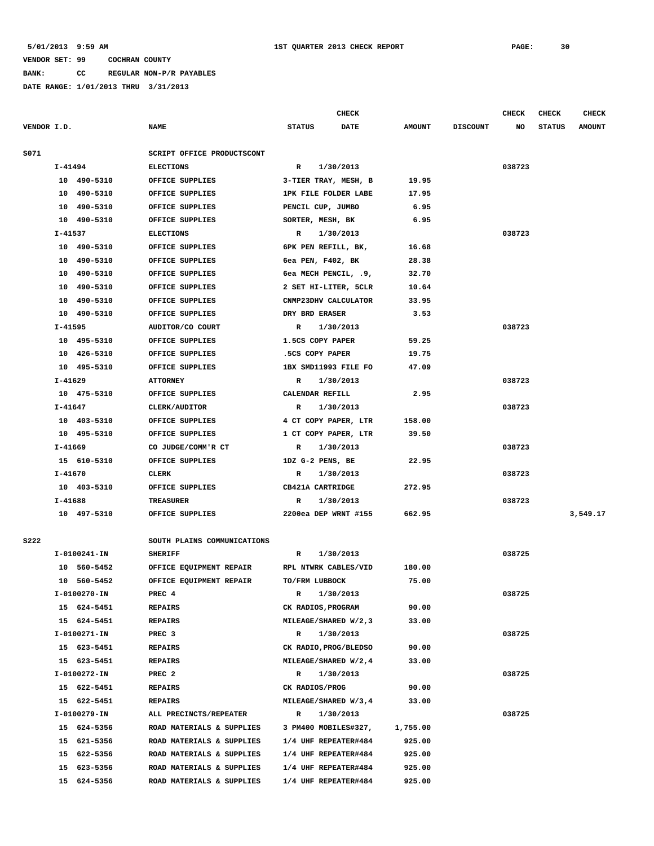**BANK: CC REGULAR NON-P/R PAYABLES**

|             |             |              |                             |                       | CHECK     |               |                 | <b>CHECK</b> | CHECK         | <b>CHECK</b>  |
|-------------|-------------|--------------|-----------------------------|-----------------------|-----------|---------------|-----------------|--------------|---------------|---------------|
| VENDOR I.D. |             |              | <b>NAME</b>                 | <b>STATUS</b>         | DATE      | <b>AMOUNT</b> | <b>DISCOUNT</b> | NO           | <b>STATUS</b> | <b>AMOUNT</b> |
| S071        |             |              | SCRIPT OFFICE PRODUCTSCONT  |                       |           |               |                 |              |               |               |
|             | I-41494     |              | <b>ELECTIONS</b>            | R                     | 1/30/2013 |               |                 | 038723       |               |               |
|             |             | 10 490-5310  | OFFICE SUPPLIES             | 3-TIER TRAY, MESH, B  |           | 19.95         |                 |              |               |               |
|             |             | 10 490-5310  | OFFICE SUPPLIES             | 1PK FILE FOLDER LABE  |           | 17.95         |                 |              |               |               |
|             |             | 10 490-5310  | OFFICE SUPPLIES             | PENCIL CUP, JUMBO     |           | 6.95          |                 |              |               |               |
|             |             | 10 490-5310  | OFFICE SUPPLIES             | SORTER, MESH, BK      |           | 6.95          |                 |              |               |               |
|             | I-41537     |              | <b>ELECTIONS</b>            | R                     | 1/30/2013 |               |                 | 038723       |               |               |
|             |             | 10 490-5310  | OFFICE SUPPLIES             | 6PK PEN REFILL, BK,   |           | 16.68         |                 |              |               |               |
|             |             | 10 490-5310  | OFFICE SUPPLIES             | 6ea PEN, F402, BK     |           | 28.38         |                 |              |               |               |
|             |             | 10 490-5310  | OFFICE SUPPLIES             | 6ea MECH PENCIL, .9,  |           | 32.70         |                 |              |               |               |
|             |             | 10 490-5310  | OFFICE SUPPLIES             | 2 SET HI-LITER, 5CLR  |           | 10.64         |                 |              |               |               |
|             |             | 10 490-5310  | OFFICE SUPPLIES             | CNMP23DHV CALCULATOR  |           | 33.95         |                 |              |               |               |
|             |             | 10 490-5310  | OFFICE SUPPLIES             | DRY BRD ERASER        |           | 3.53          |                 |              |               |               |
|             | $I - 41595$ |              | AUDITOR/CO COURT            | R                     | 1/30/2013 |               |                 | 038723       |               |               |
|             |             | 10 495-5310  | OFFICE SUPPLIES             | 1.5CS COPY PAPER      |           | 59.25         |                 |              |               |               |
|             |             | 10 426-5310  | OFFICE SUPPLIES             | .5CS COPY PAPER       |           | 19.75         |                 |              |               |               |
|             |             | 10 495-5310  | OFFICE SUPPLIES             | 1BX SMD11993 FILE FO  |           | 47.09         |                 |              |               |               |
|             | I-41629     |              | <b>ATTORNEY</b>             | R                     | 1/30/2013 |               |                 | 038723       |               |               |
|             |             | 10 475-5310  | OFFICE SUPPLIES             | CALENDAR REFILL       |           | 2.95          |                 |              |               |               |
|             | I-41647     |              | CLERK/AUDITOR               | R                     | 1/30/2013 |               |                 | 038723       |               |               |
|             |             | 10 403-5310  | OFFICE SUPPLIES             | 4 CT COPY PAPER, LTR  |           | 158.00        |                 |              |               |               |
|             |             | 10 495-5310  | OFFICE SUPPLIES             | 1 CT COPY PAPER, LTR  |           | 39.50         |                 |              |               |               |
|             | I-41669     |              | CO JUDGE/COMM'R CT          | R                     | 1/30/2013 |               |                 | 038723       |               |               |
|             |             | 15 610-5310  | OFFICE SUPPLIES             | 1DZ G-2 PENS, BE      |           | 22.95         |                 |              |               |               |
|             | I-41670     |              | CLERK                       | $\mathbb{R}$          | 1/30/2013 |               |                 | 038723       |               |               |
|             |             | 10 403-5310  | OFFICE SUPPLIES             | CB421A CARTRIDGE      |           | 272.95        |                 |              |               |               |
|             | I-41688     |              | TREASURER                   | R                     | 1/30/2013 |               |                 | 038723       |               |               |
|             |             | 10 497-5310  | OFFICE SUPPLIES             | 2200ea DEP WRNT #155  |           | 662.95        |                 |              |               | 3,549.17      |
|             |             |              |                             |                       |           |               |                 |              |               |               |
| <b>S222</b> |             |              | SOUTH PLAINS COMMUNICATIONS |                       |           |               |                 |              |               |               |
|             |             | I-0100241-IN | <b>SHERIFF</b>              | R                     | 1/30/2013 |               |                 | 038725       |               |               |
|             |             | 10 560-5452  | OFFICE EQUIPMENT REPAIR     | RPL NTWRK CABLES/VID  |           | 180.00        |                 |              |               |               |
|             |             | 10 560-5452  | OFFICE EQUIPMENT REPAIR     | TO/FRM LUBBOCK        |           | 75.00         |                 |              |               |               |
|             |             | I-0100270-IN | PREC 4                      | R                     | 1/30/2013 |               |                 | 038725       |               |               |
|             |             | 15 624-5451  | <b>REPAIRS</b>              | CK RADIOS, PROGRAM    |           | 90.00         |                 |              |               |               |
|             |             | 15 624-5451  | <b>REPAIRS</b>              | MILEAGE/SHARED W/2,3  |           | 33.00         |                 |              |               |               |
|             |             | I-0100271-IN | PREC <sub>3</sub>           | R                     | 1/30/2013 |               |                 | 038725       |               |               |
|             |             | 15 623-5451  | <b>REPAIRS</b>              | CK RADIO, PROG/BLEDSO |           | 90.00         |                 |              |               |               |
|             |             | 15 623-5451  | <b>REPAIRS</b>              | MILEAGE/SHARED W/2,4  |           | 33.00         |                 |              |               |               |
|             |             | I-0100272-IN | PREC <sub>2</sub>           | R                     | 1/30/2013 |               |                 | 038725       |               |               |
|             |             | 15 622-5451  | <b>REPAIRS</b>              | CK RADIOS/PROG        |           | 90.00         |                 |              |               |               |
|             |             | 15 622-5451  | <b>REPAIRS</b>              | MILEAGE/SHARED W/3,4  |           | 33.00         |                 |              |               |               |
|             |             | I-0100279-IN | ALL PRECINCTS/REPEATER      | R                     | 1/30/2013 |               |                 | 038725       |               |               |
|             |             | 15 624-5356  | ROAD MATERIALS & SUPPLIES   | 3 PM400 MOBILES#327,  |           | 1,755.00      |                 |              |               |               |
|             |             | 15 621-5356  | ROAD MATERIALS & SUPPLIES   | 1/4 UHF REPEATER#484  |           | 925.00        |                 |              |               |               |
|             | 15          | 622-5356     | ROAD MATERIALS & SUPPLIES   | 1/4 UHF REPEATER#484  |           | 925.00        |                 |              |               |               |
|             | 15          | 623-5356     | ROAD MATERIALS & SUPPLIES   | 1/4 UHF REPEATER#484  |           | 925.00        |                 |              |               |               |
|             |             | 15 624-5356  | ROAD MATERIALS & SUPPLIES   | 1/4 UHF REPEATER#484  |           | 925.00        |                 |              |               |               |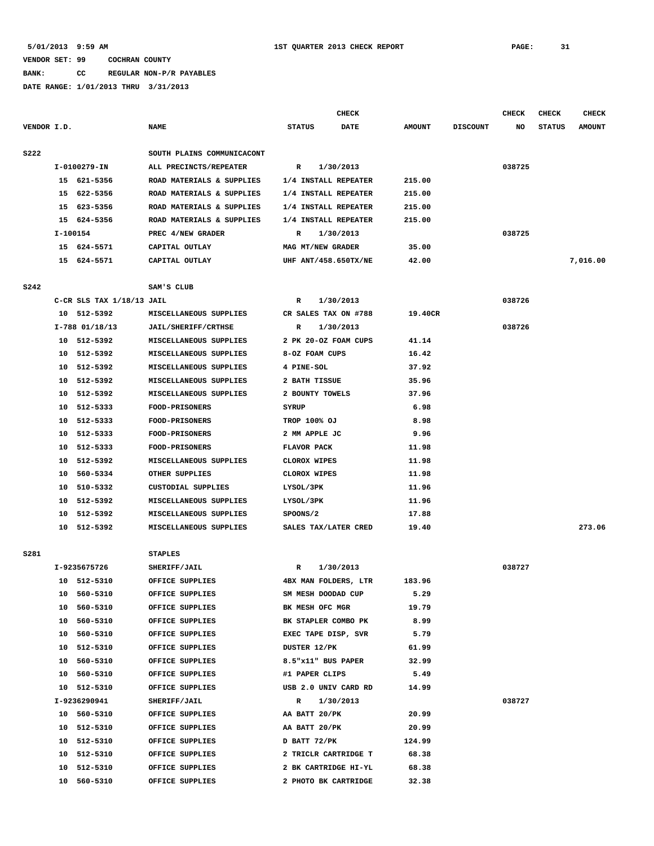# **BANK: CC REGULAR NON-P/R PAYABLES**

|             |          |                           |                            |                      | <b>CHECK</b> |               |                 | <b>CHECK</b> | <b>CHECK</b>  | <b>CHECK</b>  |
|-------------|----------|---------------------------|----------------------------|----------------------|--------------|---------------|-----------------|--------------|---------------|---------------|
| VENDOR I.D. |          |                           | <b>NAME</b>                | <b>STATUS</b>        | <b>DATE</b>  | <b>AMOUNT</b> | <b>DISCOUNT</b> | NO           | <b>STATUS</b> | <b>AMOUNT</b> |
|             |          |                           |                            |                      |              |               |                 |              |               |               |
| <b>S222</b> |          |                           | SOUTH PLAINS COMMUNICACONT |                      |              |               |                 |              |               |               |
|             |          | I-0100279-IN              | ALL PRECINCTS/REPEATER     | R                    | 1/30/2013    |               |                 | 038725       |               |               |
|             |          | 15 621-5356               | ROAD MATERIALS & SUPPLIES  | 1/4 INSTALL REPEATER |              | 215.00        |                 |              |               |               |
|             |          | 15 622-5356               | ROAD MATERIALS & SUPPLIES  | 1/4 INSTALL REPEATER |              | 215.00        |                 |              |               |               |
|             |          | 15 623-5356               | ROAD MATERIALS & SUPPLIES  | 1/4 INSTALL REPEATER |              | 215.00        |                 |              |               |               |
|             |          | 15 624-5356               | ROAD MATERIALS & SUPPLIES  | 1/4 INSTALL REPEATER |              | 215.00        |                 |              |               |               |
|             | I-100154 |                           | PREC 4/NEW GRADER          | R                    | 1/30/2013    |               |                 | 038725       |               |               |
|             |          | 15 624-5571               | CAPITAL OUTLAY             | MAG MT/NEW GRADER    |              | 35.00         |                 |              |               |               |
|             |          | 15 624-5571               | CAPITAL OUTLAY             | UHF ANT/458.650TX/NE |              | 42.00         |                 |              |               | 7,016.00      |
|             |          |                           |                            |                      |              |               |                 |              |               |               |
| \$242       |          |                           | SAM'S CLUB                 |                      |              |               |                 |              |               |               |
|             |          | C-CR SLS TAX 1/18/13 JAIL |                            | R                    | 1/30/2013    |               |                 | 038726       |               |               |
|             |          | 10 512-5392               | MISCELLANEOUS SUPPLIES     | CR SALES TAX ON #788 |              | 19.40CR       |                 |              |               |               |
|             |          | $I-788$ 01/18/13          | <b>JAIL/SHERIFF/CRTHSE</b> | R                    | 1/30/2013    |               |                 | 038726       |               |               |
|             |          | 10 512-5392               | MISCELLANEOUS SUPPLIES     | 2 PK 20-OZ FOAM CUPS |              | 41.14         |                 |              |               |               |
|             |          | 10 512-5392               | MISCELLANEOUS SUPPLIES     | 8-OZ FOAM CUPS       |              | 16.42         |                 |              |               |               |
|             |          | 10 512-5392               | MISCELLANEOUS SUPPLIES     | 4 PINE-SOL           |              | 37.92         |                 |              |               |               |
|             |          | 10 512-5392               | MISCELLANEOUS SUPPLIES     | 2 BATH TISSUE        |              | 35.96         |                 |              |               |               |
|             |          | 10 512-5392               | MISCELLANEOUS SUPPLIES     | 2 BOUNTY TOWELS      |              | 37.96         |                 |              |               |               |
|             |          | 10 512-5333               | <b>FOOD-PRISONERS</b>      | SYRUP                |              | 6.98          |                 |              |               |               |
|             |          | 10 512-5333               | <b>FOOD-PRISONERS</b>      | TROP 100% OJ         |              | 8.98          |                 |              |               |               |
|             |          | 10 512-5333               | <b>FOOD-PRISONERS</b>      | 2 MM APPLE JC        |              | 9.96          |                 |              |               |               |
|             |          | 10 512-5333               | <b>FOOD-PRISONERS</b>      | FLAVOR PACK          |              | 11.98         |                 |              |               |               |
|             |          | 10 512-5392               | MISCELLANEOUS SUPPLIES     | CLOROX WIPES         |              | 11.98         |                 |              |               |               |
|             |          | 10 560-5334               | OTHER SUPPLIES             | CLOROX WIPES         |              | 11.98         |                 |              |               |               |
|             |          | 10 510-5332               | CUSTODIAL SUPPLIES         | LYSOL/3PK            |              | 11.96         |                 |              |               |               |
|             |          | 10 512-5392               | MISCELLANEOUS SUPPLIES     | LYSOL/3PK            |              | 11.96         |                 |              |               |               |
|             |          | 10 512-5392               | MISCELLANEOUS SUPPLIES     | SPOONS/2             |              | 17.88         |                 |              |               |               |
|             |          | 10 512-5392               | MISCELLANEOUS SUPPLIES     | SALES TAX/LATER CRED |              | 19.40         |                 |              |               | 273.06        |
| S281        |          |                           | <b>STAPLES</b>             |                      |              |               |                 |              |               |               |
|             |          | I-9235675726              | SHERIFF/JAIL               | R                    | 1/30/2013    |               |                 | 038727       |               |               |
|             |          | 10 512-5310               | OFFICE SUPPLIES            | 4BX MAN FOLDERS, LTR |              | 183.96        |                 |              |               |               |
|             |          | 10 560-5310               | OFFICE SUPPLIES            | SM MESH DOODAD CUP   |              | 5.29          |                 |              |               |               |
|             |          | 10 560-5310               | OFFICE SUPPLIES            | BK MESH OFC MGR      |              | 19.79         |                 |              |               |               |
|             |          | 10 560-5310               | OFFICE SUPPLIES            | BK STAPLER COMBO PK  |              | 8.99          |                 |              |               |               |
|             |          | 10 560-5310               | OFFICE SUPPLIES            | EXEC TAPE DISP, SVR  |              | 5.79          |                 |              |               |               |
|             |          | 10 512-5310               | OFFICE SUPPLIES            | DUSTER 12/PK         |              | 61.99         |                 |              |               |               |
|             |          | 10 560-5310               | OFFICE SUPPLIES            | 8.5"x11" BUS PAPER   |              | 32.99         |                 |              |               |               |
|             |          | 10 560-5310               | OFFICE SUPPLIES            | #1 PAPER CLIPS       |              | 5.49          |                 |              |               |               |
|             |          | 10 512-5310               | OFFICE SUPPLIES            | USB 2.0 UNIV CARD RD |              | 14.99         |                 |              |               |               |
|             |          | I-9236290941              | SHERIFF/JAIL               | R 1/30/2013          |              |               |                 | 038727       |               |               |
|             |          | 10 560-5310               | OFFICE SUPPLIES            | AA BATT 20/PK        |              | 20.99         |                 |              |               |               |
|             |          | 10 512-5310               | OFFICE SUPPLIES            | AA BATT 20/PK        |              | 20.99         |                 |              |               |               |
|             |          | 10 512-5310               | OFFICE SUPPLIES            | D BATT 72/PK         |              | 124.99        |                 |              |               |               |
|             |          | 10 512-5310               | OFFICE SUPPLIES            | 2 TRICLR CARTRIDGE T |              | 68.38         |                 |              |               |               |
|             |          | 10 512-5310               | OFFICE SUPPLIES            | 2 BK CARTRIDGE HI-YL |              | 68.38         |                 |              |               |               |
|             |          | 10 560-5310               | OFFICE SUPPLIES            | 2 PHOTO BK CARTRIDGE |              | 32.38         |                 |              |               |               |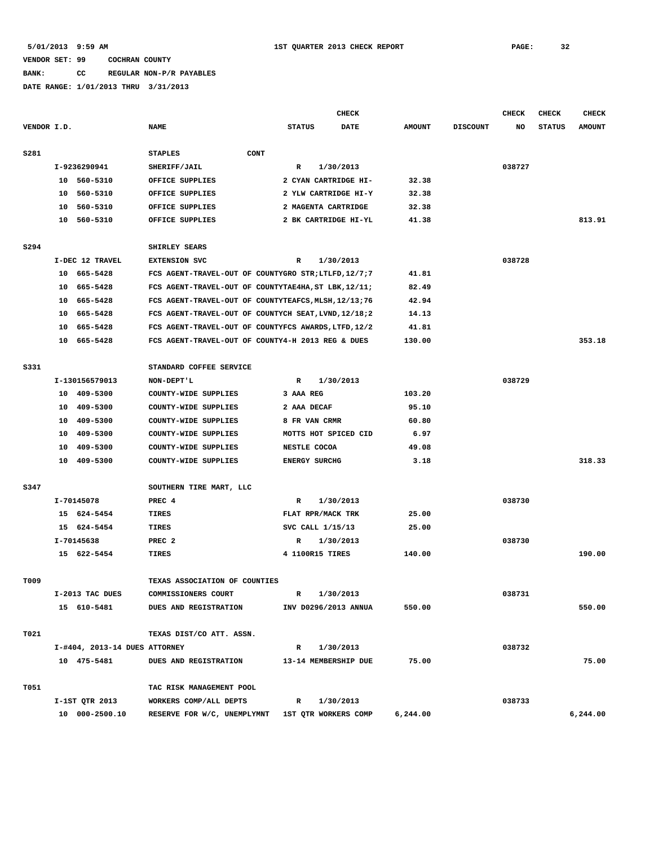## **BANK: CC REGULAR NON-P/R PAYABLES**

|             |    |                               |                                                      |                      | CHECK     |               |                 | <b>CHECK</b> | <b>CHECK</b>  | <b>CHECK</b>  |
|-------------|----|-------------------------------|------------------------------------------------------|----------------------|-----------|---------------|-----------------|--------------|---------------|---------------|
| VENDOR I.D. |    |                               | <b>NAME</b>                                          | <b>STATUS</b>        | DATE      | <b>AMOUNT</b> | <b>DISCOUNT</b> | NO           | <b>STATUS</b> | <b>AMOUNT</b> |
| <b>S281</b> |    |                               | CONT<br><b>STAPLES</b>                               |                      |           |               |                 |              |               |               |
|             |    | I-9236290941                  | SHERIFF/JAIL                                         | R                    | 1/30/2013 |               |                 | 038727       |               |               |
|             |    | 10 560-5310                   | OFFICE SUPPLIES                                      | 2 CYAN CARTRIDGE HI- |           | 32.38         |                 |              |               |               |
|             |    | 10 560-5310                   | OFFICE SUPPLIES                                      | 2 YLW CARTRIDGE HI-Y |           | 32.38         |                 |              |               |               |
|             | 10 | 560-5310                      | OFFICE SUPPLIES                                      | 2 MAGENTA CARTRIDGE  |           | 32.38         |                 |              |               |               |
|             |    | 10 560-5310                   | OFFICE SUPPLIES                                      | 2 BK CARTRIDGE HI-YL |           | 41.38         |                 |              |               | 813.91        |
| S294        |    |                               | SHIRLEY SEARS                                        |                      |           |               |                 |              |               |               |
|             |    | I-DEC 12 TRAVEL               | <b>EXTENSION SVC</b>                                 | R                    | 1/30/2013 |               |                 | 038728       |               |               |
|             |    | 10 665-5428                   | FCS AGENT-TRAVEL-OUT OF COUNTYGRO STR; LTLFD, 12/7;7 |                      |           | 41.81         |                 |              |               |               |
|             | 10 | 665-5428                      | FCS AGENT-TRAVEL-OUT OF COUNTYTAE4HA, ST LBK, 12/11; |                      |           | 82.49         |                 |              |               |               |
|             | 10 | 665-5428                      | FCS AGENT-TRAVEL-OUT OF COUNTYTEAFCS, MLSH, 12/13;76 |                      |           | 42.94         |                 |              |               |               |
|             | 10 | 665-5428                      | FCS AGENT-TRAVEL-OUT OF COUNTYCH SEAT, LVND, 12/18;2 |                      |           | 14.13         |                 |              |               |               |
|             | 10 | 665-5428                      | FCS AGENT-TRAVEL-OUT OF COUNTYFCS AWARDS, LTFD, 12/2 |                      |           | 41.81         |                 |              |               |               |
|             | 10 | 665-5428                      | FCS AGENT-TRAVEL-OUT OF COUNTY4-H 2013 REG & DUES    |                      |           | 130.00        |                 |              |               | 353.18        |
| S331        |    |                               | STANDARD COFFEE SERVICE                              |                      |           |               |                 |              |               |               |
|             |    | I-130156579013                | NON-DEPT'L                                           | $\mathbb{R}$         | 1/30/2013 |               |                 | 038729       |               |               |
|             |    | 10 409-5300                   | COUNTY-WIDE SUPPLIES                                 | 3 AAA REG            |           | 103.20        |                 |              |               |               |
|             | 10 | 409-5300                      | COUNTY-WIDE SUPPLIES                                 | 2 AAA DECAF          |           | 95.10         |                 |              |               |               |
|             | 10 | 409-5300                      | COUNTY-WIDE SUPPLIES                                 | 8 FR VAN CRMR        |           | 60.80         |                 |              |               |               |
|             | 10 | 409-5300                      | COUNTY-WIDE SUPPLIES                                 | MOTTS HOT SPICED CID |           | 6.97          |                 |              |               |               |
|             | 10 | 409-5300                      | COUNTY-WIDE SUPPLIES                                 | NESTLE COCOA         |           | 49.08         |                 |              |               |               |
|             |    | 10 409-5300                   | COUNTY-WIDE SUPPLIES                                 | <b>ENERGY SURCHG</b> |           | 3.18          |                 |              |               | 318.33        |
|             |    |                               |                                                      |                      |           |               |                 |              |               |               |
| S347        |    |                               | SOUTHERN TIRE MART, LLC                              |                      |           |               |                 |              |               |               |
|             |    | I-70145078                    | PREC 4                                               | R                    | 1/30/2013 |               |                 | 038730       |               |               |
|             |    | 15 624-5454                   | TIRES                                                | FLAT RPR/MACK TRK    |           | 25.00         |                 |              |               |               |
|             |    | 15 624-5454                   | TIRES                                                | SVC CALL 1/15/13     |           | 25.00         |                 |              |               |               |
|             |    | I-70145638                    | PREC <sub>2</sub>                                    | R                    | 1/30/2013 |               |                 | 038730       |               |               |
|             |    | 15 622-5454                   | TIRES                                                | 4 1100R15 TIRES      |           | 140.00        |                 |              |               | 190.00        |
| T009        |    |                               | TEXAS ASSOCIATION OF COUNTIES                        |                      |           |               |                 |              |               |               |
|             |    | I-2013 TAC DUES               | COMMISSIONERS COURT                                  | R                    | 1/30/2013 |               |                 | 038731       |               |               |
|             |    | 15 610-5481                   | DUES AND REGISTRATION                                | INV D0296/2013 ANNUA |           | 550.00        |                 |              |               | 550.00        |
| T021        |    |                               | TEXAS DIST/CO ATT. ASSN.                             |                      |           |               |                 |              |               |               |
|             |    | I-#404, 2013-14 DUES ATTORNEY |                                                      | R                    | 1/30/2013 |               |                 | 038732       |               |               |
|             |    | 10 475-5481                   | DUES AND REGISTRATION                                | 13-14 MEMBERSHIP DUE |           | 75.00         |                 |              |               | 75.00         |
| T051        |    |                               | TAC RISK MANAGEMENT POOL                             |                      |           |               |                 |              |               |               |
|             |    | I-1ST QTR 2013                | WORKERS COMP/ALL DEPTS                               | R                    | 1/30/2013 |               |                 | 038733       |               |               |
|             |    | 10 000-2500.10                | RESERVE FOR W/C, UNEMPLYMNT 1ST QTR WORKERS COMP     |                      |           | 6, 244.00     |                 |              |               | 6, 244.00     |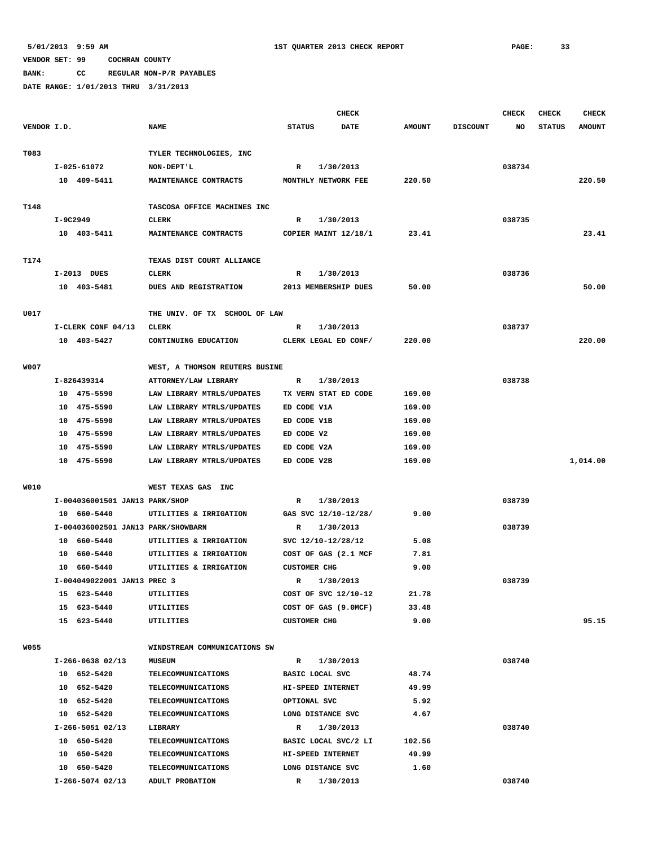**BANK: CC REGULAR NON-P/R PAYABLES**

|             |          |                                    |                                                        | <b>CHECK</b>                      |           |             |               |                 | <b>CHECK</b> | <b>CHECK</b>  | <b>CHECK</b>  |
|-------------|----------|------------------------------------|--------------------------------------------------------|-----------------------------------|-----------|-------------|---------------|-----------------|--------------|---------------|---------------|
| VENDOR I.D. |          |                                    | <b>NAME</b>                                            | <b>STATUS</b>                     |           | <b>DATE</b> | <b>AMOUNT</b> | <b>DISCOUNT</b> | NO           | <b>STATUS</b> | <b>AMOUNT</b> |
|             |          |                                    |                                                        |                                   |           |             |               |                 |              |               |               |
| T083        |          |                                    | TYLER TECHNOLOGIES, INC                                |                                   |           |             |               |                 |              |               |               |
|             |          | I-025-61072                        | NON-DEPT'L                                             | R                                 | 1/30/2013 |             |               |                 | 038734       |               |               |
|             |          | 10 409-5411                        | MAINTENANCE CONTRACTS                                  | MONTHLY NETWORK FEE               |           |             | 220.50        |                 |              |               | 220.50        |
|             |          |                                    |                                                        |                                   |           |             |               |                 |              |               |               |
| T148        |          |                                    | TASCOSA OFFICE MACHINES INC                            |                                   |           |             |               |                 |              |               |               |
|             | I-9C2949 |                                    | CLERK                                                  | R                                 | 1/30/2013 |             |               |                 | 038735       |               |               |
|             |          | 10 403-5411                        | MAINTENANCE CONTRACTS                                  | COPIER MAINT 12/18/1              |           |             | 23.41         |                 |              |               | 23.41         |
|             |          |                                    |                                                        |                                   |           |             |               |                 |              |               |               |
| T174        |          |                                    | TEXAS DIST COURT ALLIANCE                              |                                   |           |             |               |                 |              |               |               |
|             |          | I-2013 DUES                        | CLERK                                                  | R                                 | 1/30/2013 |             |               |                 | 038736       |               |               |
|             |          | 10 403-5481                        | DUES AND REGISTRATION                                  | 2013 MEMBERSHIP DUES              |           |             | 50.00         |                 |              |               | 50.00         |
| U017        |          |                                    | THE UNIV. OF TX SCHOOL OF LAW                          |                                   |           |             |               |                 |              |               |               |
|             |          | I-CLERK CONF 04/13                 | CLERK                                                  | R                                 | 1/30/2013 |             |               |                 | 038737       |               |               |
|             |          | 10 403-5427                        | CONTINUING EDUCATION                                   | CLERK LEGAL ED CONF/              |           |             | 220.00        |                 |              |               | 220.00        |
|             |          |                                    |                                                        |                                   |           |             |               |                 |              |               |               |
| W007        |          |                                    | WEST, A THOMSON REUTERS BUSINE                         |                                   |           |             |               |                 |              |               |               |
|             |          | I-826439314                        | ATTORNEY/LAW LIBRARY                                   | R                                 | 1/30/2013 |             |               |                 | 038738       |               |               |
|             |          | 10 475-5590                        | LAW LIBRARY MTRLS/UPDATES                              | TX VERN STAT ED CODE              |           |             | 169.00        |                 |              |               |               |
|             |          | 10 475-5590                        | LAW LIBRARY MTRLS/UPDATES                              | ED CODE V1A                       |           |             | 169.00        |                 |              |               |               |
|             |          | 10 475-5590                        | LAW LIBRARY MTRLS/UPDATES                              | ED CODE V1B                       |           |             | 169.00        |                 |              |               |               |
|             |          | 10 475-5590                        | LAW LIBRARY MTRLS/UPDATES                              | ED CODE V2                        |           |             | 169.00        |                 |              |               |               |
|             |          | 10 475-5590                        | LAW LIBRARY MTRLS/UPDATES                              | ED CODE V2A                       |           |             | 169.00        |                 |              |               |               |
|             |          | 10 475-5590                        | LAW LIBRARY MTRLS/UPDATES                              | ED CODE V2B                       |           |             | 169.00        |                 |              |               | 1,014.00      |
|             |          |                                    |                                                        |                                   |           |             |               |                 |              |               |               |
| W010        |          |                                    | WEST TEXAS GAS<br>INC                                  |                                   |           |             |               |                 |              |               |               |
|             |          | I-004036001501 JAN13 PARK/SHOP     |                                                        | R                                 | 1/30/2013 |             |               |                 | 038739       |               |               |
|             |          | 10 660-5440                        | UTILITIES & IRRIGATION                                 | GAS SVC 12/10-12/28/              |           |             | 9.00          |                 |              |               |               |
|             |          | I-004036002501 JAN13 PARK/SHOWBARN |                                                        | R                                 | 1/30/2013 |             |               |                 | 038739       |               |               |
|             |          | 10 660-5440                        | UTILITIES & IRRIGATION                                 | svc 12/10-12/28/12                |           |             | 5.08          |                 |              |               |               |
|             |          | 10 660-5440                        | UTILITIES & IRRIGATION                                 | COST OF GAS (2.1 MCF              |           |             | 7.81          |                 |              |               |               |
|             | 10       | 660-5440                           | UTILITIES & IRRIGATION                                 | <b>CUSTOMER CHG</b>               |           |             | 9.00          |                 |              |               |               |
|             |          | I-004049022001 JAN13 PREC 3        |                                                        | R                                 | 1/30/2013 |             |               |                 | 038739       |               |               |
|             |          | 15 623-5440                        | UTILITIES                                              | COST OF SVC 12/10-12              |           |             | 21.78         |                 |              |               |               |
|             |          | 15 623-5440                        | UTILITIES                                              | COST OF GAS (9.0MCF)              |           |             | 33.48         |                 |              |               |               |
|             |          | 15 623-5440                        | UTILITIES                                              | <b>CUSTOMER CHG</b>               |           |             | 9.00          |                 |              |               | 95.15         |
|             |          |                                    |                                                        |                                   |           |             |               |                 |              |               |               |
| W055        |          |                                    | WINDSTREAM COMMUNICATIONS SW                           |                                   |           |             |               |                 |              |               |               |
|             |          | $I-266-0638$ 02/13                 | <b>MUSEUM</b>                                          | R                                 | 1/30/2013 |             |               |                 | 038740       |               |               |
|             |          | 10 652-5420                        | <b>TELECOMMUNICATIONS</b>                              | BASIC LOCAL SVC                   |           |             | 48.74         |                 |              |               |               |
|             |          | 10 652-5420                        | <b>TELECOMMUNICATIONS</b>                              | HI-SPEED INTERNET                 |           |             | 49.99         |                 |              |               |               |
|             |          | 10 652-5420                        | <b>TELECOMMUNICATIONS</b><br><b>TELECOMMUNICATIONS</b> | OPTIONAL SVC<br>LONG DISTANCE SVC |           |             | 5.92<br>4.67  |                 |              |               |               |
|             |          | 10 652-5420<br>$I-266-5051$ 02/13  | LIBRARY                                                | $\mathbb{R}$                      | 1/30/2013 |             |               |                 | 038740       |               |               |
|             |          | 10 650-5420                        | <b>TELECOMMUNICATIONS</b>                              | BASIC LOCAL SVC/2 LI              |           |             | 102.56        |                 |              |               |               |
|             |          | 10 650-5420                        | <b>TELECOMMUNICATIONS</b>                              | HI-SPEED INTERNET                 |           |             | 49.99         |                 |              |               |               |
|             |          | 10 650-5420                        | <b>TELECOMMUNICATIONS</b>                              | LONG DISTANCE SVC                 |           |             | 1.60          |                 |              |               |               |
|             |          | I-266-5074 02/13                   | ADULT PROBATION                                        | $\mathbb{R}$                      | 1/30/2013 |             |               |                 | 038740       |               |               |
|             |          |                                    |                                                        |                                   |           |             |               |                 |              |               |               |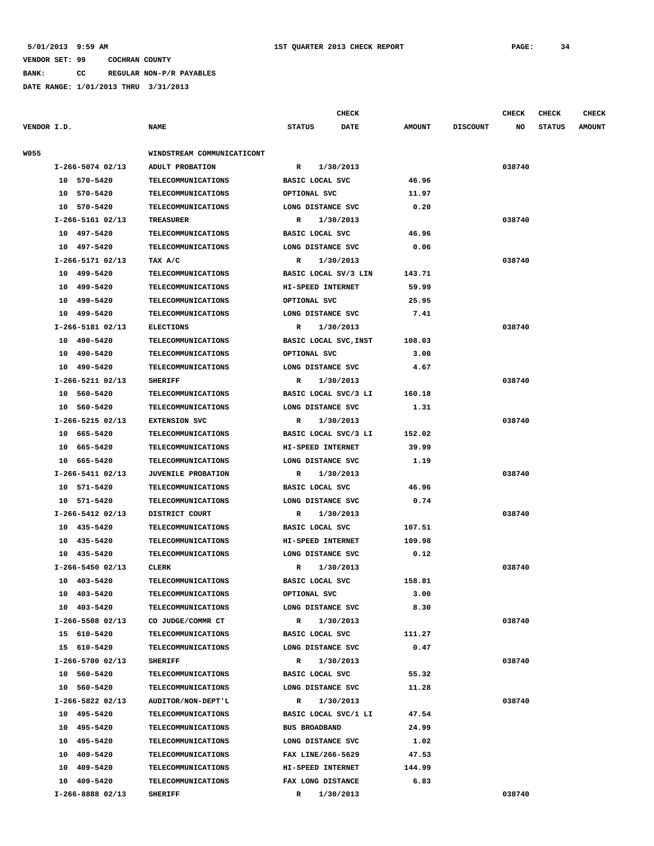**BANK: CC REGULAR NON-P/R PAYABLES**

|             |                    |                            |                        | <b>CHECK</b> |               |                 | <b>CHECK</b> | CHECK         | <b>CHECK</b>  |
|-------------|--------------------|----------------------------|------------------------|--------------|---------------|-----------------|--------------|---------------|---------------|
| VENDOR I.D. |                    | <b>NAME</b>                | <b>STATUS</b>          | <b>DATE</b>  | <b>AMOUNT</b> | <b>DISCOUNT</b> | NO           | <b>STATUS</b> | <b>AMOUNT</b> |
| W055        |                    | WINDSTREAM COMMUNICATICONT |                        |              |               |                 |              |               |               |
|             | $I-266-5074$ 02/13 | ADULT PROBATION            | R                      | 1/30/2013    |               |                 | 038740       |               |               |
|             | 10 570-5420        | TELECOMMUNICATIONS         | BASIC LOCAL SVC        |              | 46.96         |                 |              |               |               |
|             | 10 570-5420        | TELECOMMUNICATIONS         | OPTIONAL SVC           |              | 11.97         |                 |              |               |               |
|             | 10<br>570-5420     | <b>TELECOMMUNICATIONS</b>  | LONG DISTANCE SVC      |              | 0.20          |                 |              |               |               |
|             | I-266-5161 02/13   | <b>TREASURER</b>           | R                      | 1/30/2013    |               |                 | 038740       |               |               |
|             | 10 497-5420        | <b>TELECOMMUNICATIONS</b>  | BASIC LOCAL SVC        |              | 46.96         |                 |              |               |               |
|             | 10 497-5420        | <b>TELECOMMUNICATIONS</b>  | LONG DISTANCE SVC      |              | 0.06          |                 |              |               |               |
|             | I-266-5171 02/13   | TAX A/C                    | R                      | 1/30/2013    |               |                 | 038740       |               |               |
|             | 10 499-5420        | <b>TELECOMMUNICATIONS</b>  | BASIC LOCAL SV/3 LIN   |              | 143.71        |                 |              |               |               |
|             | 499-5420<br>10     | <b>TELECOMMUNICATIONS</b>  | HI-SPEED INTERNET      |              | 59.99         |                 |              |               |               |
|             | 10 499-5420        | <b>TELECOMMUNICATIONS</b>  | OPTIONAL SVC           |              | 25.95         |                 |              |               |               |
|             | 10 499-5420        | TELECOMMUNICATIONS         | LONG DISTANCE SVC      |              | 7.41          |                 |              |               |               |
|             | $I-266-5181$ 02/13 |                            |                        |              |               |                 |              |               |               |
|             |                    | <b>ELECTIONS</b>           | R                      | 1/30/2013    |               |                 | 038740       |               |               |
|             | 10 490-5420        | <b>TELECOMMUNICATIONS</b>  | BASIC LOCAL SVC, INST  |              | 108.03        |                 |              |               |               |
|             | 10 490-5420        | <b>TELECOMMUNICATIONS</b>  | OPTIONAL SVC           |              | 3.00          |                 |              |               |               |
|             | 10 490-5420        | <b>TELECOMMUNICATIONS</b>  | LONG DISTANCE SVC      |              | 4.67          |                 |              |               |               |
|             | I-266-5211 02/13   | <b>SHERIFF</b>             | R                      | 1/30/2013    |               |                 | 038740       |               |               |
|             | 10 560-5420        | TELECOMMUNICATIONS         | BASIC LOCAL SVC/3 LI   |              | 160.18        |                 |              |               |               |
|             | 10 560-5420        | <b>TELECOMMUNICATIONS</b>  | LONG DISTANCE SVC      |              | 1.31          |                 |              |               |               |
|             | I-266-5215 02/13   | <b>EXTENSION SVC</b>       | $\mathbb{R}$           | 1/30/2013    |               |                 | 038740       |               |               |
|             | 10 665-5420        | <b>TELECOMMUNICATIONS</b>  | BASIC LOCAL SVC/3 LI   |              | 152.02        |                 |              |               |               |
|             | 10 665-5420        | <b>TELECOMMUNICATIONS</b>  | HI-SPEED INTERNET      |              | 39.99         |                 |              |               |               |
|             | 10 665-5420        | <b>TELECOMMUNICATIONS</b>  | LONG DISTANCE SVC      |              | 1.19          |                 |              |               |               |
|             | I-266-5411 02/13   | <b>JUVENILE PROBATION</b>  | R                      | 1/30/2013    |               |                 | 038740       |               |               |
|             | 10 571-5420        | <b>TELECOMMUNICATIONS</b>  | BASIC LOCAL SVC        |              | 46.96         |                 |              |               |               |
|             | 10 571-5420        | <b>TELECOMMUNICATIONS</b>  | LONG DISTANCE SVC      |              | 0.74          |                 |              |               |               |
|             | I-266-5412 02/13   | DISTRICT COURT             | R                      | 1/30/2013    |               |                 | 038740       |               |               |
|             | 10 435-5420        | <b>TELECOMMUNICATIONS</b>  | BASIC LOCAL SVC        |              | 107.51        |                 |              |               |               |
|             | 10 435-5420        | <b>TELECOMMUNICATIONS</b>  | HI-SPEED INTERNET      |              | 109.98        |                 |              |               |               |
|             | 10 435-5420        | <b>TELECOMMUNICATIONS</b>  | LONG DISTANCE SVC      |              | 0.12          |                 |              |               |               |
|             | I-266-5450 02/13   | CLERK                      | R                      | 1/30/2013    |               |                 | 038740       |               |               |
|             | 10 403-5420        | <b>TELECOMMUNICATIONS</b>  | <b>BASIC LOCAL SVC</b> |              | 158.81        |                 |              |               |               |
|             | 10 403-5420        | TELECOMMUNICATIONS         | OPTIONAL SVC           |              | 3.00          |                 |              |               |               |
|             | 10 403-5420        | <b>TELECOMMUNICATIONS</b>  | LONG DISTANCE SVC      |              | 8.30          |                 |              |               |               |
|             | I-266-5508 02/13   | CO JUDGE/COMMR CT          | $\mathbf{R}$           | 1/30/2013    |               |                 | 038740       |               |               |
|             | 15 610-5420        | TELECOMMUNICATIONS         | BASIC LOCAL SVC        |              | 111.27        |                 |              |               |               |
|             | 15 610-5420        | <b>TELECOMMUNICATIONS</b>  | LONG DISTANCE SVC      |              | 0.47          |                 |              |               |               |
|             | I-266-5700 02/13   | <b>SHERIFF</b>             | R                      | 1/30/2013    |               |                 | 038740       |               |               |
|             | 10 560-5420        | TELECOMMUNICATIONS         | BASIC LOCAL SVC        |              | 55.32         |                 |              |               |               |
|             | 10 560-5420        | <b>TELECOMMUNICATIONS</b>  | LONG DISTANCE SVC      |              | 11.28         |                 |              |               |               |
|             | I-266-5822 02/13   | AUDITOR/NON-DEPT'L         | R                      | 1/30/2013    |               |                 | 038740       |               |               |
|             | 10 495-5420        | <b>TELECOMMUNICATIONS</b>  | BASIC LOCAL SVC/1 LI   |              | 47.54         |                 |              |               |               |
|             | 10 495-5420        | <b>TELECOMMUNICATIONS</b>  | <b>BUS BROADBAND</b>   |              | 24.99         |                 |              |               |               |
|             | 10 495-5420        | <b>TELECOMMUNICATIONS</b>  | LONG DISTANCE SVC      |              | 1.02          |                 |              |               |               |
|             | 10 409-5420        | <b>TELECOMMUNICATIONS</b>  | FAX LINE/266-5629      |              | 47.53         |                 |              |               |               |
|             | 10 409-5420        | <b>TELECOMMUNICATIONS</b>  | HI-SPEED INTERNET      |              | 144.99        |                 |              |               |               |
|             | 10 409-5420        | <b>TELECOMMUNICATIONS</b>  | FAX LONG DISTANCE      |              | 6.83          |                 |              |               |               |
|             | I-266-8888 02/13   | SHERIFF                    | $\mathbb{R}$           | 1/30/2013    |               |                 | 038740       |               |               |
|             |                    |                            |                        |              |               |                 |              |               |               |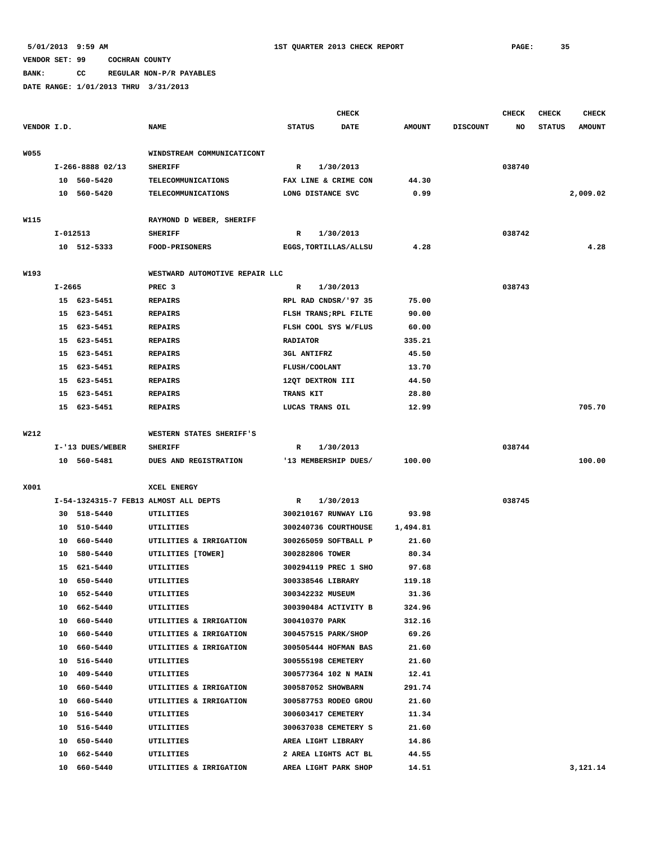## **BANK: CC REGULAR NON-P/R PAYABLES**

|             |            |                  |                                       | <b>CHECK</b>                 |                      |               |                 | CHECK  | <b>CHECK</b>  | <b>CHECK</b>  |
|-------------|------------|------------------|---------------------------------------|------------------------------|----------------------|---------------|-----------------|--------|---------------|---------------|
| VENDOR I.D. |            |                  | <b>NAME</b>                           | <b>STATUS</b>                | DATE                 | <b>AMOUNT</b> | <b>DISCOUNT</b> | NO     | <b>STATUS</b> | <b>AMOUNT</b> |
|             |            |                  |                                       |                              |                      |               |                 |        |               |               |
| <b>W055</b> |            |                  | WINDSTREAM COMMUNICATICONT            |                              |                      |               |                 |        |               |               |
|             |            | I-266-8888 02/13 | <b>SHERIFF</b>                        | R                            | 1/30/2013            |               |                 | 038740 |               |               |
|             |            | 10 560-5420      | <b>TELECOMMUNICATIONS</b>             | FAX LINE & CRIME CON         |                      | 44.30         |                 |        |               |               |
|             |            | 10 560-5420      | TELECOMMUNICATIONS                    | LONG DISTANCE SVC            |                      | 0.99          |                 |        |               | 2,009.02      |
|             |            |                  |                                       |                              |                      |               |                 |        |               |               |
| W115        |            |                  | RAYMOND D WEBER, SHERIFF              |                              |                      |               |                 |        |               |               |
|             | $I-012513$ |                  | <b>SHERIFF</b>                        | R                            | 1/30/2013            |               |                 | 038742 |               |               |
|             |            | 10 512-5333      | FOOD-PRISONERS                        | <b>EGGS, TORTILLAS/ALLSU</b> |                      | 4.28          |                 |        |               | 4.28          |
|             |            |                  |                                       |                              |                      |               |                 |        |               |               |
| W193        |            |                  | WESTWARD AUTOMOTIVE REPAIR LLC        |                              |                      |               |                 |        |               |               |
|             | I-2665     |                  | PREC 3                                | R                            | 1/30/2013            |               |                 | 038743 |               |               |
|             |            | 15 623-5451      | <b>REPAIRS</b>                        | RPL RAD CNDSR/ '97 35        |                      | 75.00         |                 |        |               |               |
|             | 15         | 623-5451         | <b>REPAIRS</b>                        | FLSH TRANS; RPL FILTE        |                      | 90.00         |                 |        |               |               |
|             | 15         | 623-5451         | <b>REPAIRS</b>                        | FLSH COOL SYS W/FLUS         |                      | 60.00         |                 |        |               |               |
|             | 15         | 623-5451         | <b>REPAIRS</b>                        | <b>RADIATOR</b>              |                      | 335.21        |                 |        |               |               |
|             | 15         | 623-5451         | <b>REPAIRS</b>                        | <b>3GL ANTIFRZ</b>           |                      | 45.50         |                 |        |               |               |
|             | 15         | 623-5451         | <b>REPAIRS</b>                        | FLUSH/COOLANT                |                      | 13.70         |                 |        |               |               |
|             | 15         | 623-5451         | <b>REPAIRS</b>                        | 12QT DEXTRON III             |                      | 44.50         |                 |        |               |               |
|             | 15         | 623-5451         | <b>REPAIRS</b>                        | TRANS KIT                    |                      | 28.80         |                 |        |               |               |
|             |            | 15 623-5451      | <b>REPAIRS</b>                        | LUCAS TRANS OIL              |                      | 12.99         |                 |        |               | 705.70        |
|             |            |                  |                                       |                              |                      |               |                 |        |               |               |
| W212        |            |                  | WESTERN STATES SHERIFF'S              |                              |                      |               |                 |        |               |               |
|             |            | I-'13 DUES/WEBER | <b>SHERIFF</b>                        | R                            | 1/30/2013            |               |                 | 038744 |               |               |
|             |            | 10 560-5481      | DUES AND REGISTRATION                 | '13 MEMBERSHIP DUES/         |                      | 100.00        |                 |        |               | 100.00        |
|             |            |                  |                                       |                              |                      |               |                 |        |               |               |
| X001        |            |                  | XCEL ENERGY                           |                              |                      |               |                 |        |               |               |
|             |            |                  | I-54-1324315-7 FEB13 ALMOST ALL DEPTS | R                            | 1/30/2013            |               |                 | 038745 |               |               |
|             |            | 30 518-5440      | UTILITIES                             | 300210167 RUNWAY LIG         |                      | 93.98         |                 |        |               |               |
|             | 10         | 510-5440         | UTILITIES                             | 300240736 COURTHOUSE         |                      | 1,494.81      |                 |        |               |               |
|             | 10         | 660-5440         | UTILITIES & IRRIGATION                | 300265059 SOFTBALL P         |                      | 21.60         |                 |        |               |               |
|             | 10         | 580-5440         | UTILITIES [TOWER]                     | 300282806 TOWER              |                      | 80.34         |                 |        |               |               |
|             | 15         | 621-5440         | UTILITIES                             | 300294119 PREC 1 SHO         |                      | 97.68         |                 |        |               |               |
|             | 10         | 650-5440         | UTILITIES                             | 300338546 LIBRARY            |                      | 119.18        |                 |        |               |               |
|             |            | 10 652-5440      | UTILITIES                             | 300342232 MUSEUM             |                      | 31.36         |                 |        |               |               |
|             |            | 10 662-5440      | UTILITIES                             | 300390484 ACTIVITY B         |                      | 324.96        |                 |        |               |               |
|             |            | 10 660-5440      | UTILITIES & IRRIGATION                | 300410370 PARK               |                      | 312.16        |                 |        |               |               |
|             |            | 10 660-5440      | UTILITIES & IRRIGATION                | 300457515 PARK/SHOP          |                      | 69.26         |                 |        |               |               |
|             |            | 10 660-5440      | UTILITIES & IRRIGATION                | 300505444 HOFMAN BAS         |                      | 21.60         |                 |        |               |               |
|             |            | 10 516-5440      | UTILITIES                             | 300555198 CEMETERY           |                      | 21.60         |                 |        |               |               |
|             |            | 10 409-5440      | <b>UTILITIES</b>                      | 300577364 102 N MAIN         |                      | 12.41         |                 |        |               |               |
|             |            | 10 660-5440      | UTILITIES & IRRIGATION                | 300587052 SHOWBARN           |                      | 291.74        |                 |        |               |               |
|             |            | 10 660-5440      | UTILITIES & IRRIGATION                |                              | 300587753 RODEO GROU | 21.60         |                 |        |               |               |
|             |            | 10 516-5440      | UTILITIES                             | 300603417 CEMETERY           |                      | 11.34         |                 |        |               |               |
|             |            | 10 516-5440      | UTILITIES                             | 300637038 CEMETERY S         |                      | 21.60         |                 |        |               |               |
|             |            | 10 650-5440      | UTILITIES                             | AREA LIGHT LIBRARY           |                      | 14.86         |                 |        |               |               |
|             |            | 10 662-5440      | UTILITIES                             | 2 AREA LIGHTS ACT BL         |                      | 44.55         |                 |        |               |               |
|             |            | 10 660-5440      | UTILITIES & IRRIGATION                | AREA LIGHT PARK SHOP         |                      | 14.51         |                 |        |               | 3,121.14      |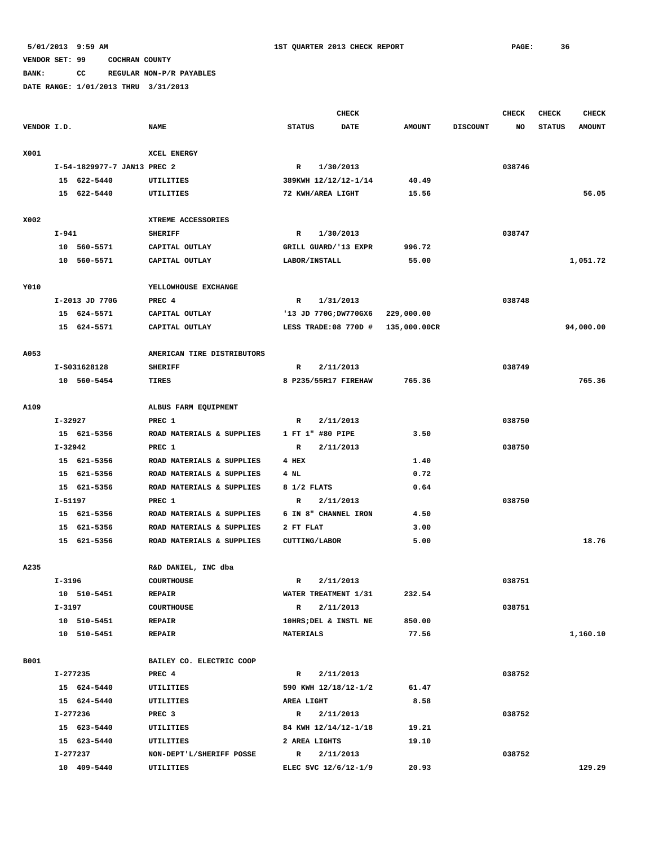**BANK: CC REGULAR NON-P/R PAYABLES**

| VENDOR I.D.<br><b>NAME</b><br><b>STATUS</b><br><b>DATE</b><br><b>AMOUNT</b><br><b>DISCOUNT</b><br>NO<br><b>STATUS</b><br>X001<br>XCEL ENERGY<br>I-54-1829977-7 JAN13 PREC 2<br>038746<br>1/30/2013<br>R<br>15 622-5440<br>389KWH 12/12/12-1/14<br>40.49<br>UTILITIES<br>15 622-5440<br>UTILITIES<br>72 KWH/AREA LIGHT<br>15.56<br>X002<br>XTREME ACCESSORIES<br>I-941<br><b>SHERIFF</b><br>1/30/2013<br>038747<br>R<br>996.72<br>10 560-5571<br>GRILL GUARD/'13 EXPR<br>CAPITAL OUTLAY<br>10 560-5571<br>LABOR/INSTALL<br>CAPITAL OUTLAY<br>55.00<br>Y010<br>YELLOWHOUSE EXCHANGE<br>038748<br>I-2013 JD 770G<br>PREC 4<br>1/31/2013<br>R<br>15 624-5571<br>CAPITAL OUTLAY<br>'13 JD 770G;DW770GX6<br>229,000.00<br>94,000.00<br>15 624-5571<br>CAPITAL OUTLAY<br>LESS TRADE:08 770D #<br>135,000.00CR<br>A053<br>AMERICAN TIRE DISTRIBUTORS<br>038749<br>I-S031628128<br><b>SHERIFF</b><br>2/11/2013<br>R<br>TIRES<br>8 P235/55R17 FIREHAW<br>765.36<br>10 560-5454<br>A109<br>ALBUS FARM EQUIPMENT<br>I-32927<br>PREC 1<br>2/11/2013<br>038750<br>R<br>ROAD MATERIALS & SUPPLIES<br>1 FT 1" #80 PIPE<br>15 621-5356<br>3.50<br>I-32942<br>PREC 1<br>2/11/2013<br>038750<br>R<br>15 621-5356<br>ROAD MATERIALS & SUPPLIES<br>1.40<br>4 HEX<br>0.72<br>15 621-5356<br>ROAD MATERIALS & SUPPLIES<br>4 NL<br>15 621-5356<br>0.64<br>ROAD MATERIALS & SUPPLIES<br>8 1/2 FLATS<br>I-51197<br>PREC 1<br>2/11/2013<br>038750<br>R<br>15 621-5356<br>6 IN 8" CHANNEL IRON<br>4.50<br>ROAD MATERIALS & SUPPLIES<br>3.00<br>15 621-5356<br>ROAD MATERIALS & SUPPLIES<br>2 FT FLAT |  |  | <b>CHECK</b> |  | <b>CHECK</b> | <b>CHECK</b> | <b>CHECK</b>  |
|--------------------------------------------------------------------------------------------------------------------------------------------------------------------------------------------------------------------------------------------------------------------------------------------------------------------------------------------------------------------------------------------------------------------------------------------------------------------------------------------------------------------------------------------------------------------------------------------------------------------------------------------------------------------------------------------------------------------------------------------------------------------------------------------------------------------------------------------------------------------------------------------------------------------------------------------------------------------------------------------------------------------------------------------------------------------------------------------------------------------------------------------------------------------------------------------------------------------------------------------------------------------------------------------------------------------------------------------------------------------------------------------------------------------------------------------------------------------------------------------------------------------------------------------------------------------------|--|--|--------------|--|--------------|--------------|---------------|
|                                                                                                                                                                                                                                                                                                                                                                                                                                                                                                                                                                                                                                                                                                                                                                                                                                                                                                                                                                                                                                                                                                                                                                                                                                                                                                                                                                                                                                                                                                                                                                          |  |  |              |  |              |              | <b>AMOUNT</b> |
|                                                                                                                                                                                                                                                                                                                                                                                                                                                                                                                                                                                                                                                                                                                                                                                                                                                                                                                                                                                                                                                                                                                                                                                                                                                                                                                                                                                                                                                                                                                                                                          |  |  |              |  |              |              |               |
|                                                                                                                                                                                                                                                                                                                                                                                                                                                                                                                                                                                                                                                                                                                                                                                                                                                                                                                                                                                                                                                                                                                                                                                                                                                                                                                                                                                                                                                                                                                                                                          |  |  |              |  |              |              |               |
|                                                                                                                                                                                                                                                                                                                                                                                                                                                                                                                                                                                                                                                                                                                                                                                                                                                                                                                                                                                                                                                                                                                                                                                                                                                                                                                                                                                                                                                                                                                                                                          |  |  |              |  |              |              |               |
|                                                                                                                                                                                                                                                                                                                                                                                                                                                                                                                                                                                                                                                                                                                                                                                                                                                                                                                                                                                                                                                                                                                                                                                                                                                                                                                                                                                                                                                                                                                                                                          |  |  |              |  |              |              |               |
|                                                                                                                                                                                                                                                                                                                                                                                                                                                                                                                                                                                                                                                                                                                                                                                                                                                                                                                                                                                                                                                                                                                                                                                                                                                                                                                                                                                                                                                                                                                                                                          |  |  |              |  |              |              | 56.05         |
|                                                                                                                                                                                                                                                                                                                                                                                                                                                                                                                                                                                                                                                                                                                                                                                                                                                                                                                                                                                                                                                                                                                                                                                                                                                                                                                                                                                                                                                                                                                                                                          |  |  |              |  |              |              |               |
|                                                                                                                                                                                                                                                                                                                                                                                                                                                                                                                                                                                                                                                                                                                                                                                                                                                                                                                                                                                                                                                                                                                                                                                                                                                                                                                                                                                                                                                                                                                                                                          |  |  |              |  |              |              |               |
|                                                                                                                                                                                                                                                                                                                                                                                                                                                                                                                                                                                                                                                                                                                                                                                                                                                                                                                                                                                                                                                                                                                                                                                                                                                                                                                                                                                                                                                                                                                                                                          |  |  |              |  |              |              |               |
|                                                                                                                                                                                                                                                                                                                                                                                                                                                                                                                                                                                                                                                                                                                                                                                                                                                                                                                                                                                                                                                                                                                                                                                                                                                                                                                                                                                                                                                                                                                                                                          |  |  |              |  |              |              |               |
|                                                                                                                                                                                                                                                                                                                                                                                                                                                                                                                                                                                                                                                                                                                                                                                                                                                                                                                                                                                                                                                                                                                                                                                                                                                                                                                                                                                                                                                                                                                                                                          |  |  |              |  |              |              | 1,051.72      |
|                                                                                                                                                                                                                                                                                                                                                                                                                                                                                                                                                                                                                                                                                                                                                                                                                                                                                                                                                                                                                                                                                                                                                                                                                                                                                                                                                                                                                                                                                                                                                                          |  |  |              |  |              |              |               |
|                                                                                                                                                                                                                                                                                                                                                                                                                                                                                                                                                                                                                                                                                                                                                                                                                                                                                                                                                                                                                                                                                                                                                                                                                                                                                                                                                                                                                                                                                                                                                                          |  |  |              |  |              |              |               |
|                                                                                                                                                                                                                                                                                                                                                                                                                                                                                                                                                                                                                                                                                                                                                                                                                                                                                                                                                                                                                                                                                                                                                                                                                                                                                                                                                                                                                                                                                                                                                                          |  |  |              |  |              |              |               |
|                                                                                                                                                                                                                                                                                                                                                                                                                                                                                                                                                                                                                                                                                                                                                                                                                                                                                                                                                                                                                                                                                                                                                                                                                                                                                                                                                                                                                                                                                                                                                                          |  |  |              |  |              |              |               |
|                                                                                                                                                                                                                                                                                                                                                                                                                                                                                                                                                                                                                                                                                                                                                                                                                                                                                                                                                                                                                                                                                                                                                                                                                                                                                                                                                                                                                                                                                                                                                                          |  |  |              |  |              |              |               |
|                                                                                                                                                                                                                                                                                                                                                                                                                                                                                                                                                                                                                                                                                                                                                                                                                                                                                                                                                                                                                                                                                                                                                                                                                                                                                                                                                                                                                                                                                                                                                                          |  |  |              |  |              |              |               |
|                                                                                                                                                                                                                                                                                                                                                                                                                                                                                                                                                                                                                                                                                                                                                                                                                                                                                                                                                                                                                                                                                                                                                                                                                                                                                                                                                                                                                                                                                                                                                                          |  |  |              |  |              |              |               |
|                                                                                                                                                                                                                                                                                                                                                                                                                                                                                                                                                                                                                                                                                                                                                                                                                                                                                                                                                                                                                                                                                                                                                                                                                                                                                                                                                                                                                                                                                                                                                                          |  |  |              |  |              |              |               |
|                                                                                                                                                                                                                                                                                                                                                                                                                                                                                                                                                                                                                                                                                                                                                                                                                                                                                                                                                                                                                                                                                                                                                                                                                                                                                                                                                                                                                                                                                                                                                                          |  |  |              |  |              |              | 765.36        |
|                                                                                                                                                                                                                                                                                                                                                                                                                                                                                                                                                                                                                                                                                                                                                                                                                                                                                                                                                                                                                                                                                                                                                                                                                                                                                                                                                                                                                                                                                                                                                                          |  |  |              |  |              |              |               |
|                                                                                                                                                                                                                                                                                                                                                                                                                                                                                                                                                                                                                                                                                                                                                                                                                                                                                                                                                                                                                                                                                                                                                                                                                                                                                                                                                                                                                                                                                                                                                                          |  |  |              |  |              |              |               |
|                                                                                                                                                                                                                                                                                                                                                                                                                                                                                                                                                                                                                                                                                                                                                                                                                                                                                                                                                                                                                                                                                                                                                                                                                                                                                                                                                                                                                                                                                                                                                                          |  |  |              |  |              |              |               |
|                                                                                                                                                                                                                                                                                                                                                                                                                                                                                                                                                                                                                                                                                                                                                                                                                                                                                                                                                                                                                                                                                                                                                                                                                                                                                                                                                                                                                                                                                                                                                                          |  |  |              |  |              |              |               |
|                                                                                                                                                                                                                                                                                                                                                                                                                                                                                                                                                                                                                                                                                                                                                                                                                                                                                                                                                                                                                                                                                                                                                                                                                                                                                                                                                                                                                                                                                                                                                                          |  |  |              |  |              |              |               |
|                                                                                                                                                                                                                                                                                                                                                                                                                                                                                                                                                                                                                                                                                                                                                                                                                                                                                                                                                                                                                                                                                                                                                                                                                                                                                                                                                                                                                                                                                                                                                                          |  |  |              |  |              |              |               |
|                                                                                                                                                                                                                                                                                                                                                                                                                                                                                                                                                                                                                                                                                                                                                                                                                                                                                                                                                                                                                                                                                                                                                                                                                                                                                                                                                                                                                                                                                                                                                                          |  |  |              |  |              |              |               |
|                                                                                                                                                                                                                                                                                                                                                                                                                                                                                                                                                                                                                                                                                                                                                                                                                                                                                                                                                                                                                                                                                                                                                                                                                                                                                                                                                                                                                                                                                                                                                                          |  |  |              |  |              |              |               |
|                                                                                                                                                                                                                                                                                                                                                                                                                                                                                                                                                                                                                                                                                                                                                                                                                                                                                                                                                                                                                                                                                                                                                                                                                                                                                                                                                                                                                                                                                                                                                                          |  |  |              |  |              |              |               |
|                                                                                                                                                                                                                                                                                                                                                                                                                                                                                                                                                                                                                                                                                                                                                                                                                                                                                                                                                                                                                                                                                                                                                                                                                                                                                                                                                                                                                                                                                                                                                                          |  |  |              |  |              |              |               |
|                                                                                                                                                                                                                                                                                                                                                                                                                                                                                                                                                                                                                                                                                                                                                                                                                                                                                                                                                                                                                                                                                                                                                                                                                                                                                                                                                                                                                                                                                                                                                                          |  |  |              |  |              |              |               |
| 15 621-5356<br>ROAD MATERIALS & SUPPLIES<br>5.00<br><b>CUTTING/LABOR</b>                                                                                                                                                                                                                                                                                                                                                                                                                                                                                                                                                                                                                                                                                                                                                                                                                                                                                                                                                                                                                                                                                                                                                                                                                                                                                                                                                                                                                                                                                                 |  |  |              |  |              |              | 18.76         |
|                                                                                                                                                                                                                                                                                                                                                                                                                                                                                                                                                                                                                                                                                                                                                                                                                                                                                                                                                                                                                                                                                                                                                                                                                                                                                                                                                                                                                                                                                                                                                                          |  |  |              |  |              |              |               |
| A235<br>R&D DANIEL, INC dba                                                                                                                                                                                                                                                                                                                                                                                                                                                                                                                                                                                                                                                                                                                                                                                                                                                                                                                                                                                                                                                                                                                                                                                                                                                                                                                                                                                                                                                                                                                                              |  |  |              |  |              |              |               |
| $I - 3196$<br>2/11/2013<br>038751<br><b>COURTHOUSE</b><br>R<br><b>REPAIR</b>                                                                                                                                                                                                                                                                                                                                                                                                                                                                                                                                                                                                                                                                                                                                                                                                                                                                                                                                                                                                                                                                                                                                                                                                                                                                                                                                                                                                                                                                                             |  |  |              |  |              |              |               |
| 10 510-5451<br>WATER TREATMENT 1/31<br>232.54<br>I-3197<br>2/11/2013                                                                                                                                                                                                                                                                                                                                                                                                                                                                                                                                                                                                                                                                                                                                                                                                                                                                                                                                                                                                                                                                                                                                                                                                                                                                                                                                                                                                                                                                                                     |  |  |              |  |              |              |               |
| <b>COURTHOUSE</b><br>038751<br>$\mathbf{R}$<br>10 510-5451<br><b>REPAIR</b><br>10HRS; DEL & INSTL NE<br>850.00                                                                                                                                                                                                                                                                                                                                                                                                                                                                                                                                                                                                                                                                                                                                                                                                                                                                                                                                                                                                                                                                                                                                                                                                                                                                                                                                                                                                                                                           |  |  |              |  |              |              |               |
| 10 510-5451<br><b>REPAIR</b><br>MATERIALS<br>77.56                                                                                                                                                                                                                                                                                                                                                                                                                                                                                                                                                                                                                                                                                                                                                                                                                                                                                                                                                                                                                                                                                                                                                                                                                                                                                                                                                                                                                                                                                                                       |  |  |              |  |              |              | 1,160.10      |
|                                                                                                                                                                                                                                                                                                                                                                                                                                                                                                                                                                                                                                                                                                                                                                                                                                                                                                                                                                                                                                                                                                                                                                                                                                                                                                                                                                                                                                                                                                                                                                          |  |  |              |  |              |              |               |
| B001<br>BAILEY CO. ELECTRIC COOP                                                                                                                                                                                                                                                                                                                                                                                                                                                                                                                                                                                                                                                                                                                                                                                                                                                                                                                                                                                                                                                                                                                                                                                                                                                                                                                                                                                                                                                                                                                                         |  |  |              |  |              |              |               |
| I-277235<br>PREC 4<br>2/11/2013<br>038752<br>$\mathbb{R}$                                                                                                                                                                                                                                                                                                                                                                                                                                                                                                                                                                                                                                                                                                                                                                                                                                                                                                                                                                                                                                                                                                                                                                                                                                                                                                                                                                                                                                                                                                                |  |  |              |  |              |              |               |
| 15 624-5440<br>590 KWH 12/18/12-1/2<br>61.47<br>UTILITIES                                                                                                                                                                                                                                                                                                                                                                                                                                                                                                                                                                                                                                                                                                                                                                                                                                                                                                                                                                                                                                                                                                                                                                                                                                                                                                                                                                                                                                                                                                                |  |  |              |  |              |              |               |
| 15 624-5440<br>8.58<br>UTILITIES<br>AREA LIGHT                                                                                                                                                                                                                                                                                                                                                                                                                                                                                                                                                                                                                                                                                                                                                                                                                                                                                                                                                                                                                                                                                                                                                                                                                                                                                                                                                                                                                                                                                                                           |  |  |              |  |              |              |               |
| I-277236<br>PREC 3<br>R 2/11/2013<br>038752                                                                                                                                                                                                                                                                                                                                                                                                                                                                                                                                                                                                                                                                                                                                                                                                                                                                                                                                                                                                                                                                                                                                                                                                                                                                                                                                                                                                                                                                                                                              |  |  |              |  |              |              |               |
| 15 623-5440<br>84 KWH 12/14/12-1/18<br>19.21<br>UTILITIES                                                                                                                                                                                                                                                                                                                                                                                                                                                                                                                                                                                                                                                                                                                                                                                                                                                                                                                                                                                                                                                                                                                                                                                                                                                                                                                                                                                                                                                                                                                |  |  |              |  |              |              |               |
| 15 623-5440<br>2 AREA LIGHTS<br>19.10<br>UTILITIES                                                                                                                                                                                                                                                                                                                                                                                                                                                                                                                                                                                                                                                                                                                                                                                                                                                                                                                                                                                                                                                                                                                                                                                                                                                                                                                                                                                                                                                                                                                       |  |  |              |  |              |              |               |
| I-277237<br>NON-DEPT'L/SHERIFF POSSE<br>R 2/11/2013<br>038752                                                                                                                                                                                                                                                                                                                                                                                                                                                                                                                                                                                                                                                                                                                                                                                                                                                                                                                                                                                                                                                                                                                                                                                                                                                                                                                                                                                                                                                                                                            |  |  |              |  |              |              |               |
| ELEC SVC 12/6/12-1/9<br>20.93<br>10 409-5440<br>UTILITIES                                                                                                                                                                                                                                                                                                                                                                                                                                                                                                                                                                                                                                                                                                                                                                                                                                                                                                                                                                                                                                                                                                                                                                                                                                                                                                                                                                                                                                                                                                                |  |  |              |  |              |              | 129.29        |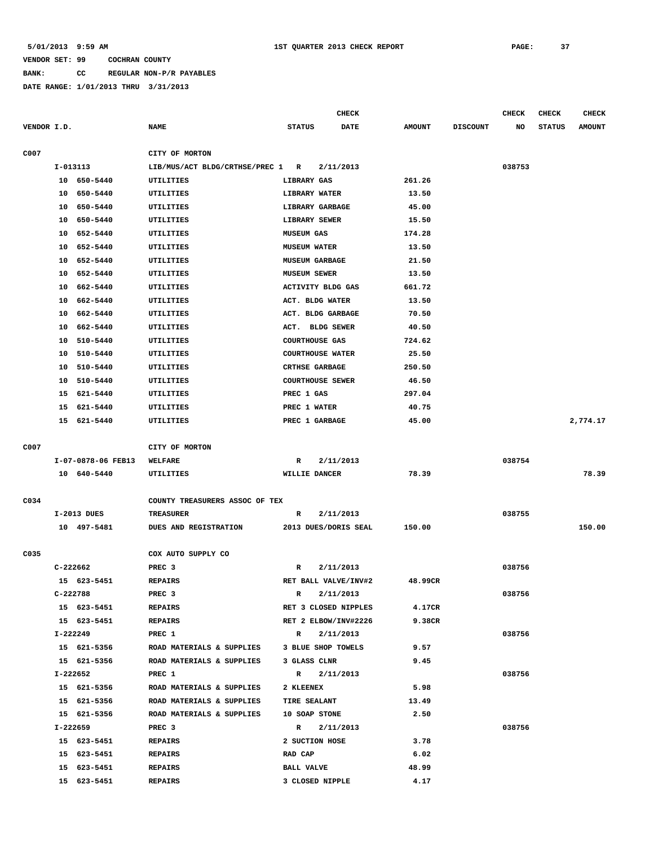**BANK: CC REGULAR NON-P/R PAYABLES**

|             |                    |                                  | <b>CHECK</b>                 |               |                 | <b>CHECK</b> | CHECK         | <b>CHECK</b>  |
|-------------|--------------------|----------------------------------|------------------------------|---------------|-----------------|--------------|---------------|---------------|
| VENDOR I.D. |                    | <b>NAME</b>                      | <b>STATUS</b><br><b>DATE</b> | <b>AMOUNT</b> | <b>DISCOUNT</b> | NO           | <b>STATUS</b> | <b>AMOUNT</b> |
| C007        |                    | CITY OF MORTON                   |                              |               |                 |              |               |               |
|             | I-013113           | LIB/MUS/ACT BLDG/CRTHSE/PREC 1 R | 2/11/2013                    |               |                 | 038753       |               |               |
|             | 10 650-5440        | <b>UTILITIES</b>                 | LIBRARY GAS                  | 261.26        |                 |              |               |               |
|             | 10 650-5440        | UTILITIES                        | LIBRARY WATER                | 13.50         |                 |              |               |               |
|             | 10<br>650-5440     | UTILITIES                        | LIBRARY GARBAGE              | 45.00         |                 |              |               |               |
|             | 650-5440<br>10     | UTILITIES                        | <b>LIBRARY SEWER</b>         | 15.50         |                 |              |               |               |
|             | 652-5440<br>10     | UTILITIES                        | <b>MUSEUM GAS</b>            | 174.28        |                 |              |               |               |
|             | 10<br>652-5440     | UTILITIES                        | <b>MUSEUM WATER</b>          | 13.50         |                 |              |               |               |
|             | 652-5440<br>10     | UTILITIES                        | <b>MUSEUM GARBAGE</b>        | 21.50         |                 |              |               |               |
|             | 652-5440<br>10     | UTILITIES                        | MUSEUM SEWER                 | 13.50         |                 |              |               |               |
|             | 662-5440<br>10     | UTILITIES                        | <b>ACTIVITY BLDG GAS</b>     | 661.72        |                 |              |               |               |
|             | 662-5440<br>10     | UTILITIES                        | ACT. BLDG WATER              | 13.50         |                 |              |               |               |
|             | 662-5440<br>10     | UTILITIES                        | ACT. BLDG GARBAGE            | 70.50         |                 |              |               |               |
|             | 662-5440<br>10     | UTILITIES                        | ACT.<br><b>BLDG SEWER</b>    | 40.50         |                 |              |               |               |
|             | 510-5440<br>10     | UTILITIES                        | <b>COURTHOUSE GAS</b>        | 724.62        |                 |              |               |               |
|             | 510-5440<br>10     |                                  | <b>COURTHOUSE WATER</b>      | 25.50         |                 |              |               |               |
|             | 10<br>510-5440     | UTILITIES<br>UTILITIES           | <b>CRTHSE GARBAGE</b>        | 250.50        |                 |              |               |               |
|             |                    |                                  | <b>COURTHOUSE SEWER</b>      |               |                 |              |               |               |
|             | 510-5440<br>10     | UTILITIES                        |                              | 46.50         |                 |              |               |               |
|             | 621-5440<br>15     | UTILITIES                        | PREC 1 GAS                   | 297.04        |                 |              |               |               |
|             | 621-5440<br>15     | UTILITIES                        | PREC 1 WATER                 | 40.75         |                 |              |               |               |
|             | 15 621-5440        | UTILITIES                        | PREC 1 GARBAGE               | 45.00         |                 |              |               | 2,774.17      |
| C007        |                    | CITY OF MORTON                   |                              |               |                 |              |               |               |
|             | I-07-0878-06 FEB13 | WELFARE                          | 2/11/2013<br>R               |               |                 | 038754       |               |               |
|             | 10 640-5440        | UTILITIES                        | WILLIE DANCER                | 78.39         |                 |              |               | 78.39         |
|             |                    |                                  |                              |               |                 |              |               |               |
| C034        |                    | COUNTY TREASURERS ASSOC OF TEX   |                              |               |                 |              |               |               |
|             | I-2013 DUES        | <b>TREASURER</b>                 | 2/11/2013<br>R               |               |                 | 038755       |               |               |
|             | 10 497-5481        | DUES AND REGISTRATION            | 2013 DUES/DORIS SEAL         | 150.00        |                 |              |               | 150.00        |
|             |                    |                                  |                              |               |                 |              |               |               |
| C035        |                    | COX AUTO SUPPLY CO               |                              |               |                 |              |               |               |
|             | $C-222662$         | PREC <sub>3</sub>                | R<br>2/11/2013               |               |                 | 038756       |               |               |
|             | 15 623-5451        | <b>REPAIRS</b>                   | RET BALL VALVE/INV#2         | 48.99CR       |                 |              |               |               |
|             | C-222788           | PREC 3                           | $\mathbb{R}$<br>2/11/2013    |               |                 | 038756       |               |               |
|             | 15 623-5451        | REPAIRS                          | RET 3 CLOSED NIPPLES         | 4.17CR        |                 |              |               |               |
|             | 15 623-5451        | <b>REPAIRS</b>                   | RET 2 ELBOW/INV#2226         | 9.38CR        |                 |              |               |               |
|             | I-222249           | PREC 1                           | R 2/11/2013                  |               |                 | 038756       |               |               |
|             | 15 621-5356        | ROAD MATERIALS & SUPPLIES        | 3 BLUE SHOP TOWELS           | 9.57          |                 |              |               |               |
|             | 15 621-5356        | ROAD MATERIALS & SUPPLIES        | 3 GLASS CLNR                 | 9.45          |                 |              |               |               |
|             | I-222652           | PREC 1                           | R 2/11/2013                  |               |                 | 038756       |               |               |
|             | 15 621-5356        | ROAD MATERIALS & SUPPLIES        | 2 KLEENEX                    | 5.98          |                 |              |               |               |
|             | 15 621-5356        | ROAD MATERIALS & SUPPLIES        | <b>TIRE SEALANT</b>          | 13.49         |                 |              |               |               |
|             | 15 621-5356        | ROAD MATERIALS & SUPPLIES        | 10 SOAP STONE                | 2.50          |                 |              |               |               |
|             | I-222659           | PREC 3                           | R 2/11/2013                  |               |                 | 038756       |               |               |
|             | 15 623-5451        | <b>REPAIRS</b>                   | 2 SUCTION HOSE               | 3.78          |                 |              |               |               |
|             | 15 623-5451        | <b>REPAIRS</b>                   | RAD CAP                      | 6.02          |                 |              |               |               |
|             | 15 623-5451        | REPAIRS                          | <b>BALL VALVE</b>            | 48.99         |                 |              |               |               |
|             | 15 623-5451        | <b>REPAIRS</b>                   | 3 CLOSED NIPPLE              | 4.17          |                 |              |               |               |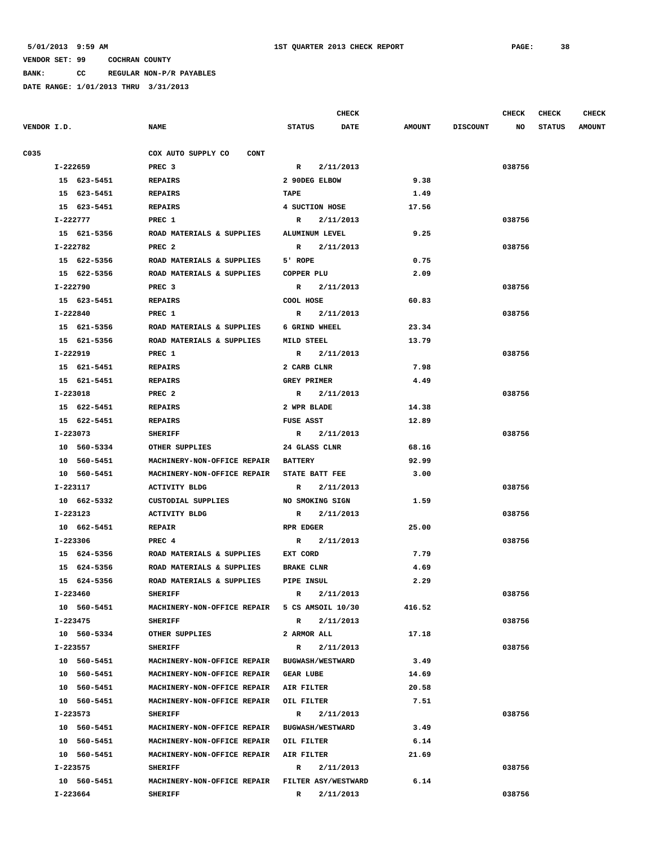**BANK: CC REGULAR NON-P/R PAYABLES**

|             |             |                                               |                         | <b>CHECK</b> |               |                 | <b>CHECK</b> | <b>CHECK</b>  | <b>CHECK</b>  |
|-------------|-------------|-----------------------------------------------|-------------------------|--------------|---------------|-----------------|--------------|---------------|---------------|
| VENDOR I.D. |             | <b>NAME</b>                                   | <b>STATUS</b>           | <b>DATE</b>  | <b>AMOUNT</b> | <b>DISCOUNT</b> | NO           | <b>STATUS</b> | <b>AMOUNT</b> |
|             |             |                                               |                         |              |               |                 |              |               |               |
| C035        |             | COX AUTO SUPPLY CO<br><b>CONT</b>             |                         |              |               |                 |              |               |               |
|             | I-222659    | PREC <sub>3</sub>                             | $\mathbb{R}$            | 2/11/2013    |               |                 | 038756       |               |               |
|             | 15 623-5451 | <b>REPAIRS</b>                                | 2 90DEG ELBOW           |              | 9.38          |                 |              |               |               |
|             | 15 623-5451 | <b>REPAIRS</b>                                | <b>TAPE</b>             |              | 1.49          |                 |              |               |               |
|             | 15 623-5451 | <b>REPAIRS</b>                                | 4 SUCTION HOSE          |              | 17.56         |                 |              |               |               |
|             | I-222777    | PREC 1                                        | R                       | 2/11/2013    |               |                 | 038756       |               |               |
|             | 15 621-5356 | ROAD MATERIALS & SUPPLIES                     | <b>ALUMINUM LEVEL</b>   |              | 9.25          |                 |              |               |               |
|             | I-222782    | PREC <sub>2</sub>                             | R 2/11/2013             |              |               |                 | 038756       |               |               |
|             | 15 622-5356 | ROAD MATERIALS & SUPPLIES                     | 5' ROPE                 |              | 0.75          |                 |              |               |               |
|             | 15 622-5356 | ROAD MATERIALS & SUPPLIES                     | COPPER PLU              |              | 2.09          |                 |              |               |               |
|             | I-222790    | PREC <sub>3</sub>                             | R 2/11/2013             |              |               |                 | 038756       |               |               |
|             | 15 623-5451 | <b>REPAIRS</b>                                | COOL HOSE               |              | 60.83         |                 |              |               |               |
|             | I-222840    | PREC 1                                        | R                       | 2/11/2013    |               |                 | 038756       |               |               |
|             | 15 621-5356 | ROAD MATERIALS & SUPPLIES                     | 6 GRIND WHEEL           |              | 23.34         |                 |              |               |               |
|             | 15 621-5356 | ROAD MATERIALS & SUPPLIES                     | MILD STEEL              |              | 13.79         |                 |              |               |               |
|             | I-222919    | PREC 1                                        | R 2/11/2013             |              |               |                 | 038756       |               |               |
|             | 15 621-5451 | <b>REPAIRS</b>                                | 2 CARB CLNR             |              | 7.98          |                 |              |               |               |
|             | 15 621-5451 | <b>REPAIRS</b>                                | <b>GREY PRIMER</b>      |              | 4.49          |                 |              |               |               |
|             | I-223018    | PREC <sub>2</sub>                             | $\mathbb{R}$            | 2/11/2013    |               |                 | 038756       |               |               |
|             | 15 622-5451 | <b>REPAIRS</b>                                | 2 WPR BLADE             |              | 14.38         |                 |              |               |               |
|             | 15 622-5451 | <b>REPAIRS</b>                                | FUSE ASST               |              | 12.89         |                 |              |               |               |
|             | I-223073    | <b>SHERIFF</b>                                | R 2/11/2013             |              |               |                 | 038756       |               |               |
|             | 10 560-5334 | OTHER SUPPLIES                                | 24 GLASS CLNR           |              | 68.16         |                 |              |               |               |
|             | 10 560-5451 | MACHINERY-NON-OFFICE REPAIR BATTERY           |                         |              | 92.99         |                 |              |               |               |
|             | 10 560-5451 | MACHINERY-NON-OFFICE REPAIR STATE BATT FEE    |                         |              | 3.00          |                 |              |               |               |
|             | I-223117    | <b>ACTIVITY BLDG</b>                          | R                       | 2/11/2013    |               |                 | 038756       |               |               |
|             | 10 662-5332 | CUSTODIAL SUPPLIES                            | NO SMOKING SIGN         |              | 1.59          |                 |              |               |               |
|             | I-223123    | <b>ACTIVITY BLDG</b>                          | $\mathbb{R}$            | 2/11/2013    |               |                 | 038756       |               |               |
|             | 10 662-5451 | <b>REPAIR</b>                                 | RPR EDGER               |              | 25.00         |                 |              |               |               |
|             | I-223306    | PREC 4                                        | $\mathbb{R}$            | 2/11/2013    |               |                 | 038756       |               |               |
|             | 15 624-5356 | ROAD MATERIALS & SUPPLIES                     | EXT CORD                |              | 7.79          |                 |              |               |               |
|             | 15 624-5356 | ROAD MATERIALS & SUPPLIES                     | <b>BRAKE CLNR</b>       |              | 4.69          |                 |              |               |               |
|             | 15 624-5356 | ROAD MATERIALS & SUPPLIES                     | PIPE INSUL              |              | 2.29          |                 |              |               |               |
|             | I-223460    | <b>SHERIFF</b>                                | R                       | 2/11/2013    |               |                 | 038756       |               |               |
|             | 10 560-5451 | MACHINERY-NON-OFFICE REPAIR 5 CS AMSOIL 10/30 |                         |              | 416.52        |                 |              |               |               |
|             | I-223475    | <b>SHERIFF</b>                                | R                       | 2/11/2013    |               |                 | 038756       |               |               |
|             | 10 560-5334 | OTHER SUPPLIES                                | 2 ARMOR ALL             |              | 17.18         |                 |              |               |               |
|             | I-223557    | <b>SHERIFF</b>                                | $\mathbb{R}$            | 2/11/2013    |               |                 | 038756       |               |               |
|             | 10 560-5451 | MACHINERY-NON-OFFICE REPAIR                   | <b>BUGWASH/WESTWARD</b> |              | 3.49          |                 |              |               |               |
|             | 10 560-5451 | MACHINERY-NON-OFFICE REPAIR                   | <b>GEAR LUBE</b>        |              | 14.69         |                 |              |               |               |
|             | 10 560-5451 | MACHINERY-NON-OFFICE REPAIR                   | AIR FILTER              |              | 20.58         |                 |              |               |               |
|             | 10 560-5451 | MACHINERY-NON-OFFICE REPAIR                   | OIL FILTER              |              | 7.51          |                 |              |               |               |
|             | I-223573    | <b>SHERIFF</b>                                | R                       | 2/11/2013    |               |                 | 038756       |               |               |
|             | 10 560-5451 | MACHINERY-NON-OFFICE REPAIR                   | <b>BUGWASH/WESTWARD</b> |              | 3.49          |                 |              |               |               |
|             | 10 560-5451 | MACHINERY-NON-OFFICE REPAIR                   | OIL FILTER              |              | 6.14          |                 |              |               |               |
|             | 10 560-5451 | MACHINERY-NON-OFFICE REPAIR                   | AIR FILTER              |              | 21.69         |                 |              |               |               |
|             | I-223575    | <b>SHERIFF</b>                                | R                       | 2/11/2013    |               |                 | 038756       |               |               |
|             | 10 560-5451 | MACHINERY-NON-OFFICE REPAIR                   | FILTER ASY/WESTWARD     |              | 6.14          |                 |              |               |               |
|             | I-223664    | <b>SHERIFF</b>                                | R                       | 2/11/2013    |               |                 | 038756       |               |               |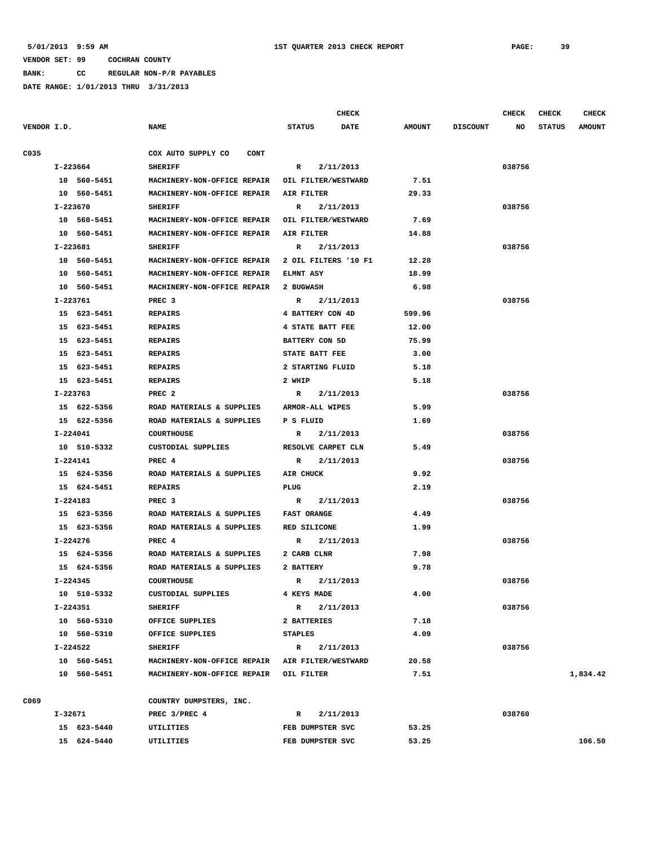**BANK: CC REGULAR NON-P/R PAYABLES**

|      |             |                                   | <b>CHECK</b>                 |               |                 | CHECK  | <b>CHECK</b>  | CHECK         |
|------|-------------|-----------------------------------|------------------------------|---------------|-----------------|--------|---------------|---------------|
|      | VENDOR I.D. | <b>NAME</b>                       | <b>STATUS</b><br><b>DATE</b> | <b>AMOUNT</b> | <b>DISCOUNT</b> | NO     | <b>STATUS</b> | <b>AMOUNT</b> |
| C035 |             | COX AUTO SUPPLY CO<br><b>CONT</b> |                              |               |                 |        |               |               |
|      | I-223664    | <b>SHERIFF</b>                    | 2/11/2013<br>$\mathbb{R}$    |               |                 | 038756 |               |               |
|      | 10 560-5451 | MACHINERY-NON-OFFICE REPAIR       | OIL FILTER/WESTWARD          | 7.51          |                 |        |               |               |
|      | 10 560-5451 | MACHINERY-NON-OFFICE REPAIR       | AIR FILTER                   | 29.33         |                 |        |               |               |
|      | I-223670    | <b>SHERIFF</b>                    | R<br>2/11/2013               |               |                 | 038756 |               |               |
|      | 10 560-5451 | MACHINERY-NON-OFFICE REPAIR       | OIL FILTER/WESTWARD          | 7.69          |                 |        |               |               |
|      | 10 560-5451 | MACHINERY-NON-OFFICE REPAIR       | AIR FILTER                   | 14.88         |                 |        |               |               |
|      | I-223681    | <b>SHERIFF</b>                    | R<br>2/11/2013               |               |                 | 038756 |               |               |
|      | 10 560-5451 | MACHINERY-NON-OFFICE REPAIR       | 2 OIL FILTERS '10 F1         | 12.28         |                 |        |               |               |
|      | 10 560-5451 | MACHINERY-NON-OFFICE REPAIR       | <b>ELMNT ASY</b>             | 18.99         |                 |        |               |               |
|      | 10 560-5451 | MACHINERY-NON-OFFICE REPAIR       | 2 BUGWASH                    | 6.98          |                 |        |               |               |
|      | I-223761    | PREC <sub>3</sub>                 | 2/11/2013<br>R               |               |                 | 038756 |               |               |
|      | 15 623-5451 | <b>REPAIRS</b>                    | 4 BATTERY CON 4D             | 599.96        |                 |        |               |               |
|      | 15 623-5451 | <b>REPAIRS</b>                    | 4 STATE BATT FEE             | 12.00         |                 |        |               |               |
|      | 15 623-5451 | <b>REPAIRS</b>                    | BATTERY CON 5D               | 75.99         |                 |        |               |               |
|      | 15 623-5451 | <b>REPAIRS</b>                    | STATE BATT FEE               | 3.00          |                 |        |               |               |
|      | 15 623-5451 | <b>REPAIRS</b>                    | 2 STARTING FLUID             | 5.18          |                 |        |               |               |
|      | 15 623-5451 | <b>REPAIRS</b>                    | 2 WHIP                       | 5.18          |                 |        |               |               |
|      | I-223763    | PREC <sub>2</sub>                 | 2/11/2013<br>$\mathbb{R}$    |               |                 | 038756 |               |               |
|      | 15 622-5356 | ROAD MATERIALS & SUPPLIES         | ARMOR-ALL WIPES              | 5.99          |                 |        |               |               |
|      | 15 622-5356 | ROAD MATERIALS & SUPPLIES         | P S FLUID                    | 1.69          |                 |        |               |               |
|      | I-224041    | <b>COURTHOUSE</b>                 | 2/11/2013<br>R               |               |                 | 038756 |               |               |
|      | 10 510-5332 | CUSTODIAL SUPPLIES                | RESOLVE CARPET CLN           | 5.49          |                 |        |               |               |
|      | I-224141    | PREC 4                            | 2/11/2013<br>$\mathbb{R}$    |               |                 | 038756 |               |               |
|      | 15 624-5356 | ROAD MATERIALS & SUPPLIES         | AIR CHUCK                    | 9.92          |                 |        |               |               |
|      | 15 624-5451 | <b>REPAIRS</b>                    | PLUG                         | 2.19          |                 |        |               |               |
|      | I-224183    | PREC <sub>3</sub>                 | 2/11/2013<br>R               |               |                 | 038756 |               |               |
|      | 15 623-5356 | ROAD MATERIALS & SUPPLIES         | <b>FAST ORANGE</b>           | 4.49          |                 |        |               |               |
|      | 15 623-5356 | ROAD MATERIALS & SUPPLIES         | RED SILICONE                 | 1.99          |                 |        |               |               |
|      | I-224276    | PREC 4                            | 2/11/2013<br>R               |               |                 | 038756 |               |               |
|      | 15 624-5356 | ROAD MATERIALS & SUPPLIES         | 2 CARB CLNR                  | 7.98          |                 |        |               |               |
|      | 15 624-5356 | ROAD MATERIALS & SUPPLIES         | 2 BATTERY                    | 9.78          |                 |        |               |               |
|      | I-224345    | <b>COURTHOUSE</b>                 | 2/11/2013<br>R               |               |                 | 038756 |               |               |
|      | 10 510-5332 | CUSTODIAL SUPPLIES                | 4 KEYS MADE                  | 4.00          |                 |        |               |               |
|      | I-224351    | <b>SHERIFF</b>                    | 2/11/2013<br>$\mathbb{R}$    |               |                 | 038756 |               |               |
|      | 10 560-5310 | OFFICE SUPPLIES                   | 2 BATTERIES                  | 7.18          |                 |        |               |               |
|      | 10 560-5310 | OFFICE SUPPLIES                   | <b>STAPLES</b>               | 4.09          |                 |        |               |               |
|      | I-224522    | <b>SHERIFF</b>                    | 2/11/2013<br>$\mathbf{R}$    |               |                 | 038756 |               |               |
|      | 10 560-5451 | MACHINERY-NON-OFFICE REPAIR       | AIR FILTER/WESTWARD          | 20.58         |                 |        |               |               |
|      | 10 560-5451 | MACHINERY-NON-OFFICE REPAIR       | OIL FILTER                   | 7.51          |                 |        |               | 1,834.42      |
| C069 |             | COUNTRY DUMPSTERS, INC.           |                              |               |                 |        |               |               |
|      | I-32671     | PREC 3/PREC 4                     | 2/11/2013<br>$\mathbf{R}$    |               |                 | 038760 |               |               |
|      | 15 623-5440 | UTILITIES                         | FEB DUMPSTER SVC             | 53.25         |                 |        |               |               |
|      | 15 624-5440 | UTILITIES                         | FEB DUMPSTER SVC             | 53.25         |                 |        |               | 106.50        |
|      |             |                                   |                              |               |                 |        |               |               |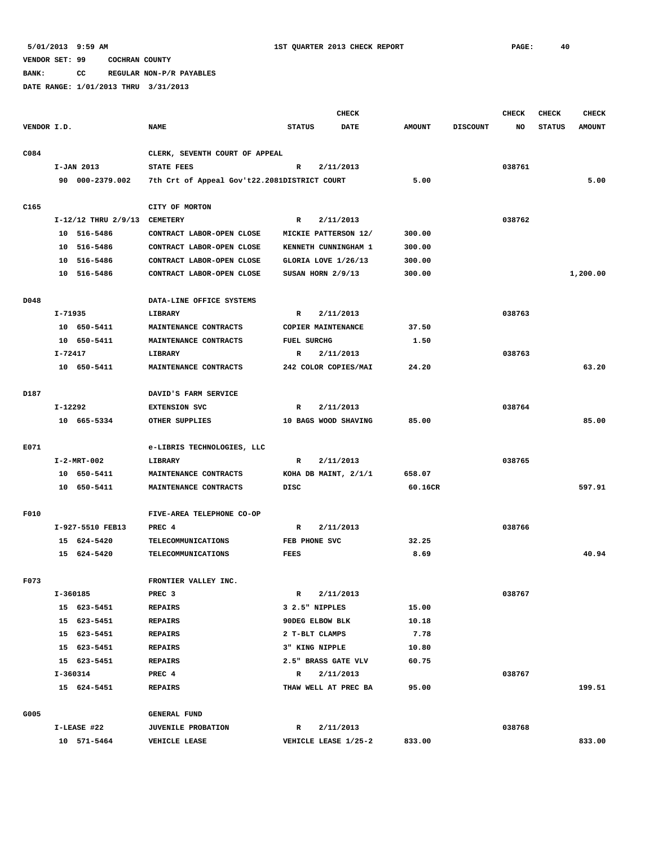**BANK: CC REGULAR NON-P/R PAYABLES**

|             |         |                              |                                              | <b>CHECK</b>         |             |               |                 | CHECK  | <b>CHECK</b>  | <b>CHECK</b>  |
|-------------|---------|------------------------------|----------------------------------------------|----------------------|-------------|---------------|-----------------|--------|---------------|---------------|
| VENDOR I.D. |         |                              | <b>NAME</b>                                  | <b>STATUS</b>        | <b>DATE</b> | <b>AMOUNT</b> | <b>DISCOUNT</b> | NO     | <b>STATUS</b> | <b>AMOUNT</b> |
|             |         |                              |                                              |                      |             |               |                 |        |               |               |
| C084        |         |                              | CLERK, SEVENTH COURT OF APPEAL               |                      |             |               |                 |        |               |               |
|             |         | I-JAN 2013                   | <b>STATE FEES</b>                            | $\mathbb{R}$         | 2/11/2013   |               |                 | 038761 |               |               |
|             |         | 90 000-2379.002              | 7th Crt of Appeal Gov't22.2081DISTRICT COURT |                      |             | 5.00          |                 |        |               | 5.00          |
|             |         |                              |                                              |                      |             |               |                 |        |               |               |
| C165        |         |                              | CITY OF MORTON                               |                      |             |               |                 |        |               |               |
|             |         | I-12/12 THRU 2/9/13 CEMETERY |                                              | $\mathbb{R}$         | 2/11/2013   |               |                 | 038762 |               |               |
|             |         | 10 516-5486                  | CONTRACT LABOR-OPEN CLOSE                    | MICKIE PATTERSON 12/ |             | 300.00        |                 |        |               |               |
|             |         | 10 516-5486                  | CONTRACT LABOR-OPEN CLOSE                    | KENNETH CUNNINGHAM 1 |             | 300.00        |                 |        |               |               |
|             |         | 10 516-5486                  | CONTRACT LABOR-OPEN CLOSE                    | GLORIA LOVE 1/26/13  |             | 300.00        |                 |        |               |               |
|             |         | 10 516-5486                  | CONTRACT LABOR-OPEN CLOSE                    | SUSAN HORN 2/9/13    |             | 300.00        |                 |        |               | 1,200.00      |
|             |         |                              |                                              |                      |             |               |                 |        |               |               |
| D048        |         |                              | DATA-LINE OFFICE SYSTEMS                     |                      |             |               |                 |        |               |               |
|             | I-71935 |                              | LIBRARY                                      | R                    | 2/11/2013   |               |                 | 038763 |               |               |
|             |         | 10 650-5411                  | MAINTENANCE CONTRACTS                        | COPIER MAINTENANCE   |             | 37.50         |                 |        |               |               |
|             |         | 10 650-5411                  | MAINTENANCE CONTRACTS                        | FUEL SURCHG          |             | 1.50          |                 |        |               |               |
|             | I-72417 |                              | LIBRARY                                      | R                    | 2/11/2013   |               |                 | 038763 |               |               |
|             |         | 10 650-5411                  | MAINTENANCE CONTRACTS                        | 242 COLOR COPIES/MAI |             | 24.20         |                 |        |               | 63.20         |
| D187        |         |                              | DAVID'S FARM SERVICE                         |                      |             |               |                 |        |               |               |
|             | I-12292 |                              | <b>EXTENSION SVC</b>                         | R                    | 2/11/2013   |               |                 | 038764 |               |               |
|             |         | 10 665-5334                  | OTHER SUPPLIES                               | 10 BAGS WOOD SHAVING |             | 85.00         |                 |        |               | 85.00         |
|             |         |                              |                                              |                      |             |               |                 |        |               |               |
| E071        |         |                              | e-LIBRIS TECHNOLOGIES, LLC                   |                      |             |               |                 |        |               |               |
|             |         | $I-2-MRT-002$                | LIBRARY                                      | R                    | 2/11/2013   |               |                 | 038765 |               |               |
|             |         | 10 650-5411                  | MAINTENANCE CONTRACTS                        | KOHA DB MAINT, 2/1/1 |             | 658.07        |                 |        |               |               |
|             |         | 10 650-5411                  | MAINTENANCE CONTRACTS                        | DISC                 |             | 60.16CR       |                 |        |               | 597.91        |
|             |         |                              |                                              |                      |             |               |                 |        |               |               |
| F010        |         |                              | FIVE-AREA TELEPHONE CO-OP                    |                      |             |               |                 |        |               |               |
|             |         | I-927-5510 FEB13             | PREC <sub>4</sub>                            | $\mathbb{R}$         | 2/11/2013   |               |                 | 038766 |               |               |
|             |         | 15 624-5420                  | TELECOMMUNICATIONS                           | FEB PHONE SVC        |             | 32.25         |                 |        |               |               |
|             |         | 15 624-5420                  | TELECOMMUNICATIONS                           | <b>FEES</b>          |             | 8.69          |                 |        |               | 40.94         |
|             |         |                              |                                              |                      |             |               |                 |        |               |               |
| F073        |         |                              | FRONTIER VALLEY INC.                         |                      |             |               |                 |        |               |               |
|             |         | I-360185                     | PREC 3                                       | R                    | 2/11/2013   |               |                 | 038767 |               |               |
|             |         | 15 623-5451                  | <b>REPAIRS</b>                               | 3 2.5" NIPPLES       |             | 15.00         |                 |        |               |               |
|             |         | 15 623-5451                  | <b>REPAIRS</b>                               | 90DEG ELBOW BLK      |             | 10.18         |                 |        |               |               |
|             |         | 15 623-5451                  | <b>REPAIRS</b>                               | 2 T-BLT CLAMPS       |             | 7.78          |                 |        |               |               |
|             |         | 15 623-5451                  | <b>REPAIRS</b>                               | 3" KING NIPPLE       |             | 10.80         |                 |        |               |               |
|             |         | 15 623-5451                  | <b>REPAIRS</b>                               | 2.5" BRASS GATE VLV  |             | 60.75         |                 |        |               |               |
|             |         | I-360314                     | PREC 4                                       | $\mathbb{R}$         | 2/11/2013   |               |                 | 038767 |               |               |
|             |         | 15 624-5451                  | <b>REPAIRS</b>                               | THAW WELL AT PREC BA |             | 95.00         |                 |        |               | 199.51        |
|             |         |                              |                                              |                      |             |               |                 |        |               |               |
| G005        |         |                              | <b>GENERAL FUND</b>                          |                      |             |               |                 |        |               |               |
|             |         | I-LEASE #22                  | <b>JUVENILE PROBATION</b>                    | $\mathbb R$          | 2/11/2013   |               |                 | 038768 |               |               |
|             |         | 10 571-5464                  | <b>VEHICLE LEASE</b>                         | VEHICLE LEASE 1/25-2 |             | 833.00        |                 |        |               | 833.00        |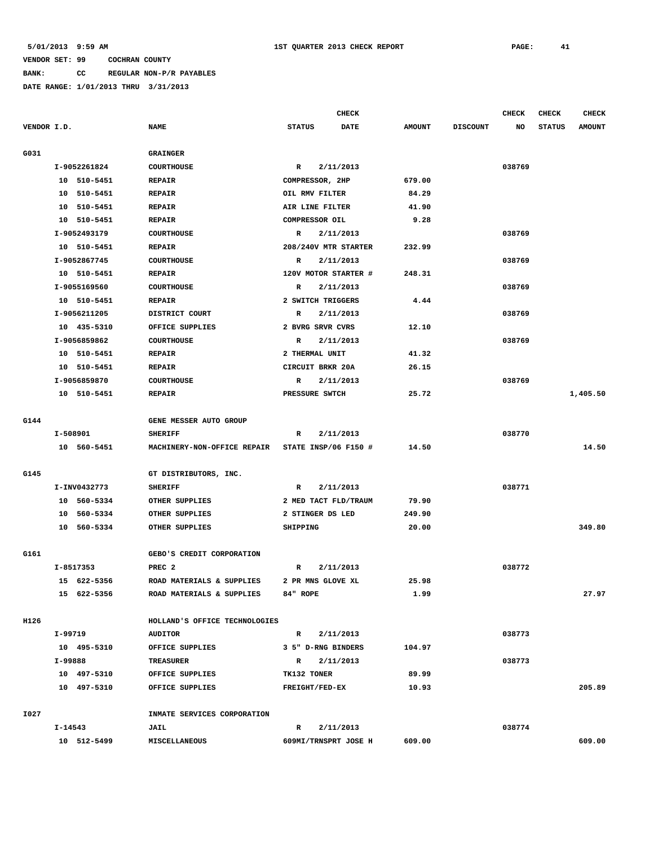**BANK: CC REGULAR NON-P/R PAYABLES**

|             |          |              |                               | <b>CHECK</b>  |                             |               |                 | <b>CHECK</b><br><b>CHECK</b><br><b>CHECK</b> |               |               |  |  |
|-------------|----------|--------------|-------------------------------|---------------|-----------------------------|---------------|-----------------|----------------------------------------------|---------------|---------------|--|--|
| VENDOR I.D. |          |              | <b>NAME</b>                   | <b>STATUS</b> | <b>DATE</b>                 | <b>AMOUNT</b> | <b>DISCOUNT</b> | NO                                           | <b>STATUS</b> | <b>AMOUNT</b> |  |  |
|             |          |              |                               |               |                             |               |                 |                                              |               |               |  |  |
| G031        |          |              | <b>GRAINGER</b>               |               |                             |               |                 |                                              |               |               |  |  |
|             |          | I-9052261824 | <b>COURTHOUSE</b>             | $\mathbb{R}$  | 2/11/2013                   |               |                 | 038769                                       |               |               |  |  |
|             |          | 10 510-5451  | <b>REPAIR</b>                 |               | COMPRESSOR, 2HP             | 679.00        |                 |                                              |               |               |  |  |
|             |          | 10 510-5451  | <b>REPAIR</b>                 |               | OIL RMV FILTER              | 84.29         |                 |                                              |               |               |  |  |
|             |          | 10 510-5451  | <b>REPAIR</b>                 |               | AIR LINE FILTER             | 41.90         |                 |                                              |               |               |  |  |
|             |          | 10 510-5451  | <b>REPAIR</b>                 |               | COMPRESSOR OIL              | 9.28          |                 |                                              |               |               |  |  |
|             |          | I-9052493179 | <b>COURTHOUSE</b>             | R             | 2/11/2013                   |               |                 | 038769                                       |               |               |  |  |
|             |          | 10 510-5451  | <b>REPAIR</b>                 |               | 208/240V MTR STARTER        | 232.99        |                 |                                              |               |               |  |  |
|             |          | I-9052867745 | <b>COURTHOUSE</b>             | R             | 2/11/2013                   |               |                 | 038769                                       |               |               |  |  |
|             |          | 10 510-5451  | <b>REPAIR</b>                 |               | 120V MOTOR STARTER #        | 248.31        |                 |                                              |               |               |  |  |
|             |          | I-9055169560 | <b>COURTHOUSE</b>             | R             | 2/11/2013                   |               |                 | 038769                                       |               |               |  |  |
|             |          | 10 510-5451  | <b>REPAIR</b>                 |               | 2 SWITCH TRIGGERS           | 4.44          |                 |                                              |               |               |  |  |
|             |          | I-9056211205 | DISTRICT COURT                | R             | 2/11/2013                   |               |                 | 038769                                       |               |               |  |  |
|             |          | 10 435-5310  | OFFICE SUPPLIES               |               | 2 BVRG SRVR CVRS            | 12.10         |                 |                                              |               |               |  |  |
|             |          | I-9056859862 | <b>COURTHOUSE</b>             | R             | 2/11/2013                   |               |                 | 038769                                       |               |               |  |  |
|             |          | 10 510-5451  | <b>REPAIR</b>                 |               | 2 THERMAL UNIT              | 41.32         |                 |                                              |               |               |  |  |
|             |          | 10 510-5451  | <b>REPAIR</b>                 |               | CIRCUIT BRKR 20A            | 26.15         |                 |                                              |               |               |  |  |
|             |          | I-9056859870 | <b>COURTHOUSE</b>             | R             | 2/11/2013                   |               |                 | 038769                                       |               |               |  |  |
|             |          | 10 510-5451  | <b>REPAIR</b>                 |               | PRESSURE SWTCH              | 25.72         |                 |                                              |               | 1,405.50      |  |  |
|             |          |              |                               |               |                             |               |                 |                                              |               |               |  |  |
| G144        |          |              | GENE MESSER AUTO GROUP        |               |                             |               |                 |                                              |               |               |  |  |
|             | I-508901 |              | <b>SHERIFF</b>                | R             | 2/11/2013                   |               |                 | 038770                                       |               |               |  |  |
|             |          | 10 560-5451  | MACHINERY-NON-OFFICE REPAIR   |               | <b>STATE INSP/06 F150 #</b> | 14.50         |                 |                                              |               | 14.50         |  |  |
|             |          |              |                               |               |                             |               |                 |                                              |               |               |  |  |
| G145        |          |              | GT DISTRIBUTORS, INC.         |               |                             |               |                 |                                              |               |               |  |  |
|             |          | I-INV0432773 | <b>SHERIFF</b>                | R             | 2/11/2013                   |               |                 | 038771                                       |               |               |  |  |
|             |          | 10 560-5334  | OTHER SUPPLIES                |               | 2 MED TACT FLD/TRAUM        | 79.90         |                 |                                              |               |               |  |  |
|             |          | 10 560-5334  | OTHER SUPPLIES                |               | 2 STINGER DS LED            | 249.90        |                 |                                              |               |               |  |  |
|             |          | 10 560-5334  | OTHER SUPPLIES                | SHIPPING      |                             | 20.00         |                 |                                              |               | 349.80        |  |  |
|             |          |              |                               |               |                             |               |                 |                                              |               |               |  |  |
| G161        |          |              | GEBO'S CREDIT CORPORATION     |               |                             |               |                 |                                              |               |               |  |  |
|             |          | I-8517353    | PREC <sub>2</sub>             | R             | 2/11/2013                   |               |                 | 038772                                       |               |               |  |  |
|             |          | 15 622-5356  | ROAD MATERIALS & SUPPLIES     |               | 2 PR MNS GLOVE XL           | 25.98         |                 |                                              |               |               |  |  |
|             |          | 15 622-5356  | ROAD MATERIALS & SUPPLIES     | 84" ROPE      |                             | 1.99          |                 |                                              |               | 27.97         |  |  |
|             |          |              |                               |               |                             |               |                 |                                              |               |               |  |  |
| H126        |          |              | HOLLAND'S OFFICE TECHNOLOGIES |               |                             |               |                 |                                              |               |               |  |  |
|             | I-99719  |              | <b>AUDITOR</b>                | $\mathbf{R}$  | 2/11/2013                   |               |                 | 038773                                       |               |               |  |  |
|             |          | 10 495-5310  | OFFICE SUPPLIES               |               | 3 5" D-RNG BINDERS          | 104.97        |                 |                                              |               |               |  |  |
|             | I-99888  |              | <b>TREASURER</b>              | $\mathbb{R}$  | 2/11/2013                   |               |                 | 038773                                       |               |               |  |  |
|             |          | 10 497-5310  | OFFICE SUPPLIES               | TK132 TONER   |                             | 89.99         |                 |                                              |               |               |  |  |
|             |          | 10 497-5310  | OFFICE SUPPLIES               |               | <b>FREIGHT/FED-EX</b>       | 10.93         |                 |                                              |               | 205.89        |  |  |
|             |          |              |                               |               |                             |               |                 |                                              |               |               |  |  |
| I027        |          |              | INMATE SERVICES CORPORATION   |               |                             |               |                 |                                              |               |               |  |  |
|             | I-14543  |              | JAIL                          | R             | 2/11/2013                   |               |                 | 038774                                       |               |               |  |  |
|             |          | 10 512-5499  | MISCELLANEOUS                 |               | 609MI/TRNSPRT JOSE H        | 609.00        |                 |                                              |               | 609.00        |  |  |
|             |          |              |                               |               |                             |               |                 |                                              |               |               |  |  |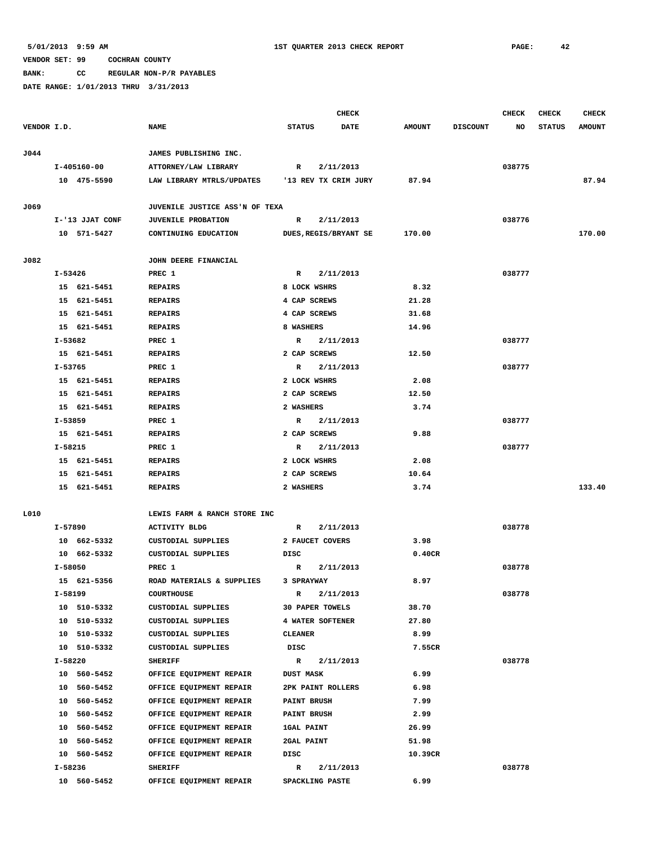**BANK: CC REGULAR NON-P/R PAYABLES**

|             |                 |                                                | <b>CHECK</b>           |           |               |                 |        |               | <b>CHECK</b>  |
|-------------|-----------------|------------------------------------------------|------------------------|-----------|---------------|-----------------|--------|---------------|---------------|
| VENDOR I.D. |                 | <b>NAME</b>                                    | <b>STATUS</b>          | DATE      | <b>AMOUNT</b> | <b>DISCOUNT</b> | NO     | <b>STATUS</b> | <b>AMOUNT</b> |
| J044        |                 | JAMES PUBLISHING INC.                          |                        |           |               |                 |        |               |               |
|             | I-405160-00     | ATTORNEY/LAW LIBRARY                           | $\mathbb{R}$           | 2/11/2013 |               |                 | 038775 |               |               |
|             | 10 475-5590     | LAW LIBRARY MTRLS/UPDATES '13 REV TX CRIM JURY |                        |           | 87.94         |                 |        |               | 87.94         |
|             |                 |                                                |                        |           |               |                 |        |               |               |
| J069        |                 | JUVENILE JUSTICE ASS'N OF TEXA                 |                        |           |               |                 |        |               |               |
|             | I-'13 JJAT CONF | <b>JUVENILE PROBATION</b>                      | R                      | 2/11/2013 |               |                 | 038776 |               |               |
|             | 10 571-5427     | CONTINUING EDUCATION                           | DUES, REGIS/BRYANT SE  |           | 170.00        |                 |        |               | 170.00        |
| J082        |                 | JOHN DEERE FINANCIAL                           |                        |           |               |                 |        |               |               |
|             | I-53426         | PREC 1                                         | R                      | 2/11/2013 |               |                 | 038777 |               |               |
|             | 15 621-5451     | <b>REPAIRS</b>                                 | 8 LOCK WSHRS           |           | 8.32          |                 |        |               |               |
|             | 15 621-5451     | <b>REPAIRS</b>                                 | 4 CAP SCREWS           |           | 21.28         |                 |        |               |               |
|             | 15 621-5451     | <b>REPAIRS</b>                                 | 4 CAP SCREWS           |           | 31.68         |                 |        |               |               |
|             | 15 621-5451     | <b>REPAIRS</b>                                 | 8 WASHERS              |           | 14.96         |                 |        |               |               |
|             | I-53682         | PREC 1                                         | R                      | 2/11/2013 |               |                 | 038777 |               |               |
|             | 15 621-5451     | <b>REPAIRS</b>                                 | 2 CAP SCREWS           |           | 12.50         |                 |        |               |               |
|             | I-53765         | PREC 1                                         | R                      | 2/11/2013 |               |                 | 038777 |               |               |
|             | 15 621-5451     | <b>REPAIRS</b>                                 | 2 LOCK WSHRS           |           | 2.08          |                 |        |               |               |
|             | 15 621-5451     | <b>REPAIRS</b>                                 | 2 CAP SCREWS           |           | 12.50         |                 |        |               |               |
|             | 15 621-5451     | <b>REPAIRS</b>                                 | 2 WASHERS              |           | 3.74          |                 |        |               |               |
|             | I-53859         | PREC 1                                         | R                      | 2/11/2013 |               |                 | 038777 |               |               |
|             | 15 621-5451     | <b>REPAIRS</b>                                 | 2 CAP SCREWS           |           | 9.88          |                 |        |               |               |
|             | I-58215         | PREC 1                                         | R                      | 2/11/2013 |               |                 | 038777 |               |               |
|             | 15 621-5451     | <b>REPAIRS</b>                                 | 2 LOCK WSHRS           |           | 2.08          |                 |        |               |               |
|             | 15 621-5451     | <b>REPAIRS</b>                                 | 2 CAP SCREWS           |           | 10.64         |                 |        |               |               |
|             | 15 621-5451     | <b>REPAIRS</b>                                 | 2 WASHERS              |           | 3.74          |                 |        |               | 133.40        |
| L010        |                 | LEWIS FARM & RANCH STORE INC                   |                        |           |               |                 |        |               |               |
|             | I-57890         | <b>ACTIVITY BLDG</b>                           | R                      | 2/11/2013 |               |                 | 038778 |               |               |
|             | 10 662-5332     | CUSTODIAL SUPPLIES                             | 2 FAUCET COVERS        |           | 3.98          |                 |        |               |               |
|             | 10 662-5332     | CUSTODIAL SUPPLIES                             | DISC                   |           | 0.40CR        |                 |        |               |               |
|             | I-58050         | PREC 1                                         | R                      | 2/11/2013 |               |                 | 038778 |               |               |
|             | 15 621-5356     | ROAD MATERIALS & SUPPLIES                      | 3 SPRAYWAY             |           | 8.97          |                 |        |               |               |
|             | I-58199         | <b>COURTHOUSE</b>                              | R                      | 2/11/2013 |               |                 | 038778 |               |               |
|             | 10 510-5332     | CUSTODIAL SUPPLIES                             | <b>30 PAPER TOWELS</b> |           | 38.70         |                 |        |               |               |
|             | 10 510-5332     | CUSTODIAL SUPPLIES                             | 4 WATER SOFTENER       |           | 27.80         |                 |        |               |               |
|             | 10 510-5332     | CUSTODIAL SUPPLIES                             | <b>CLEANER</b>         |           | 8.99          |                 |        |               |               |
|             | 10 510-5332     | CUSTODIAL SUPPLIES                             | DISC                   |           | 7.55CR        |                 |        |               |               |
|             | I-58220         | <b>SHERIFF</b>                                 | R                      | 2/11/2013 |               |                 | 038778 |               |               |
|             | 10 560-5452     | OFFICE EQUIPMENT REPAIR                        | <b>DUST MASK</b>       |           | 6.99          |                 |        |               |               |
|             | 10 560-5452     | OFFICE EQUIPMENT REPAIR                        | 2PK PAINT ROLLERS      |           | 6.98          |                 |        |               |               |
|             | 10 560-5452     | OFFICE EQUIPMENT REPAIR                        | PAINT BRUSH            |           | 7.99          |                 |        |               |               |
|             | 10 560-5452     | OFFICE EQUIPMENT REPAIR                        | <b>PAINT BRUSH</b>     |           | 2.99          |                 |        |               |               |
|             | 10 560-5452     | OFFICE EQUIPMENT REPAIR                        | <b>1GAL PAINT</b>      |           | 26.99         |                 |        |               |               |
|             | 10 560-5452     | OFFICE EQUIPMENT REPAIR                        | 2GAL PAINT             |           | 51.98         |                 |        |               |               |
|             | 10 560-5452     | OFFICE EQUIPMENT REPAIR                        | DISC                   |           | 10.39CR       |                 |        |               |               |
|             | I-58236         | <b>SHERIFF</b>                                 | R                      | 2/11/2013 |               |                 | 038778 |               |               |
|             | 10 560-5452     | OFFICE EQUIPMENT REPAIR                        | SPACKLING PASTE        |           | 6.99          |                 |        |               |               |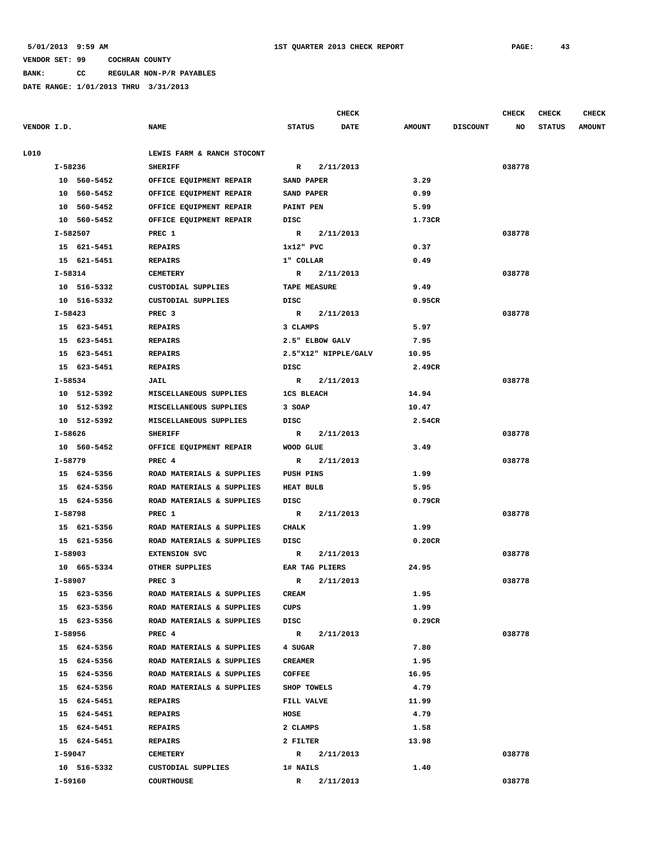**BANK: CC REGULAR NON-P/R PAYABLES**

|             |          |             |                            |                      | <b>CHECK</b> |               |                 | <b>CHECK</b> | CHECK         | <b>CHECK</b>  |
|-------------|----------|-------------|----------------------------|----------------------|--------------|---------------|-----------------|--------------|---------------|---------------|
| VENDOR I.D. |          |             | <b>NAME</b>                | <b>STATUS</b>        | <b>DATE</b>  | <b>AMOUNT</b> | <b>DISCOUNT</b> | NO           | <b>STATUS</b> | <b>AMOUNT</b> |
| L010        |          |             | LEWIS FARM & RANCH STOCONT |                      |              |               |                 |              |               |               |
|             | I-58236  |             | <b>SHERIFF</b>             | R                    | 2/11/2013    |               |                 | 038778       |               |               |
|             |          | 10 560-5452 | OFFICE EQUIPMENT REPAIR    | SAND PAPER           |              | 3.29          |                 |              |               |               |
|             |          | 10 560-5452 | OFFICE EQUIPMENT REPAIR    | SAND PAPER           |              | 0.99          |                 |              |               |               |
|             |          | 10 560-5452 | OFFICE EQUIPMENT REPAIR    | PAINT PEN            |              | 5.99          |                 |              |               |               |
|             |          | 10 560-5452 | OFFICE EQUIPMENT REPAIR    | DISC                 |              | 1.73CR        |                 |              |               |               |
|             | I-582507 |             | PREC 1                     | R                    | 2/11/2013    |               |                 | 038778       |               |               |
|             |          | 15 621-5451 | <b>REPAIRS</b>             | $1x12"$ PVC          |              | 0.37          |                 |              |               |               |
|             |          | 15 621-5451 | <b>REPAIRS</b>             | 1" COLLAR            |              | 0.49          |                 |              |               |               |
|             | I-58314  |             | <b>CEMETERY</b>            | R                    | 2/11/2013    |               |                 | 038778       |               |               |
|             |          | 10 516-5332 | CUSTODIAL SUPPLIES         | <b>TAPE MEASURE</b>  |              | 9.49          |                 |              |               |               |
|             |          | 10 516-5332 | <b>CUSTODIAL SUPPLIES</b>  | DISC                 |              | 0.95CR        |                 |              |               |               |
|             | I-58423  |             | PREC <sub>3</sub>          | $\mathbf{R}$         | 2/11/2013    |               |                 | 038778       |               |               |
|             |          | 15 623-5451 | <b>REPAIRS</b>             | 3 CLAMPS             |              | 5.97          |                 |              |               |               |
|             |          | 15 623-5451 | <b>REPAIRS</b>             | 2.5" ELBOW GALV      |              | 7.95          |                 |              |               |               |
|             |          | 15 623-5451 | <b>REPAIRS</b>             | 2.5"X12" NIPPLE/GALV |              | 10.95         |                 |              |               |               |
|             |          | 15 623-5451 | <b>REPAIRS</b>             | DISC                 |              | 2.49CR        |                 |              |               |               |
|             | I-58534  |             | JAIL                       | R                    | 2/11/2013    |               |                 | 038778       |               |               |
|             |          | 10 512-5392 | MISCELLANEOUS SUPPLIES     | <b>1CS BLEACH</b>    |              | 14.94         |                 |              |               |               |
|             |          | 10 512-5392 | MISCELLANEOUS SUPPLIES     | 3 SOAP               |              | 10.47         |                 |              |               |               |
|             |          | 10 512-5392 | MISCELLANEOUS SUPPLIES     | DISC                 |              | 2.54CR        |                 |              |               |               |
|             | I-58626  |             | <b>SHERIFF</b>             | R                    | 2/11/2013    |               |                 | 038778       |               |               |
|             |          | 10 560-5452 | OFFICE EQUIPMENT REPAIR    | WOOD GLUE            |              | 3.49          |                 |              |               |               |
|             | I-58779  |             | PREC <sub>4</sub>          | R                    | 2/11/2013    |               |                 | 038778       |               |               |
|             |          | 15 624-5356 | ROAD MATERIALS & SUPPLIES  | <b>PUSH PINS</b>     |              | 1.99          |                 |              |               |               |
|             |          | 15 624-5356 | ROAD MATERIALS & SUPPLIES  | HEAT BULB            |              | 5.95          |                 |              |               |               |
|             |          | 15 624-5356 | ROAD MATERIALS & SUPPLIES  | DISC                 |              | 0.79CR        |                 |              |               |               |
|             | I-58798  |             | PREC 1                     | R                    | 2/11/2013    |               |                 | 038778       |               |               |
|             |          | 15 621-5356 | ROAD MATERIALS & SUPPLIES  | CHALK                |              | 1.99          |                 |              |               |               |
|             |          | 15 621-5356 | ROAD MATERIALS & SUPPLIES  | DISC                 |              | 0.20CR        |                 |              |               |               |
|             | I-58903  |             | <b>EXTENSION SVC</b>       | R                    | 2/11/2013    |               |                 | 038778       |               |               |
|             |          | 10 665-5334 | <b>OTHER SUPPLIES</b>      | EAR TAG PLIERS       |              | 24.95         |                 |              |               |               |
|             | I-58907  |             | PREC <sub>3</sub>          | $\mathbb{R}$         | 2/11/2013    |               |                 | 038778       |               |               |
|             |          | 15 623-5356 | ROAD MATERIALS & SUPPLIES  | <b>CREAM</b>         |              | 1.95          |                 |              |               |               |
|             |          | 15 623-5356 | ROAD MATERIALS & SUPPLIES  | CUPS                 |              | 1.99          |                 |              |               |               |
|             |          | 15 623-5356 | ROAD MATERIALS & SUPPLIES  | DISC                 |              | 0.29CR        |                 |              |               |               |
|             | I-58956  |             | PREC 4                     | $\mathbb{R}$         | 2/11/2013    |               |                 | 038778       |               |               |
|             |          | 15 624-5356 | ROAD MATERIALS & SUPPLIES  | 4 SUGAR              |              | 7.80          |                 |              |               |               |
|             |          | 15 624-5356 | ROAD MATERIALS & SUPPLIES  | <b>CREAMER</b>       |              | 1.95          |                 |              |               |               |
|             |          | 15 624-5356 | ROAD MATERIALS & SUPPLIES  | <b>COFFEE</b>        |              | 16.95         |                 |              |               |               |
|             |          | 15 624-5356 | ROAD MATERIALS & SUPPLIES  | SHOP TOWELS          |              | 4.79          |                 |              |               |               |
|             |          | 15 624-5451 | <b>REPAIRS</b>             | FILL VALVE           |              | 11.99         |                 |              |               |               |
|             |          | 15 624-5451 | <b>REPAIRS</b>             | HOSE                 |              | 4.79          |                 |              |               |               |
|             |          | 15 624-5451 | <b>REPAIRS</b>             | 2 CLAMPS             |              | 1.58          |                 |              |               |               |
|             |          | 15 624-5451 | <b>REPAIRS</b>             | 2 FILTER             |              | 13.98         |                 |              |               |               |
|             | I-59047  |             | <b>CEMETERY</b>            | R 2/11/2013          |              |               |                 | 038778       |               |               |
|             |          | 10 516-5332 | CUSTODIAL SUPPLIES         | 1# NAILS             |              | 1.40          |                 |              |               |               |
|             | I-59160  |             | <b>COURTHOUSE</b>          | R 2/11/2013          |              |               |                 | 038778       |               |               |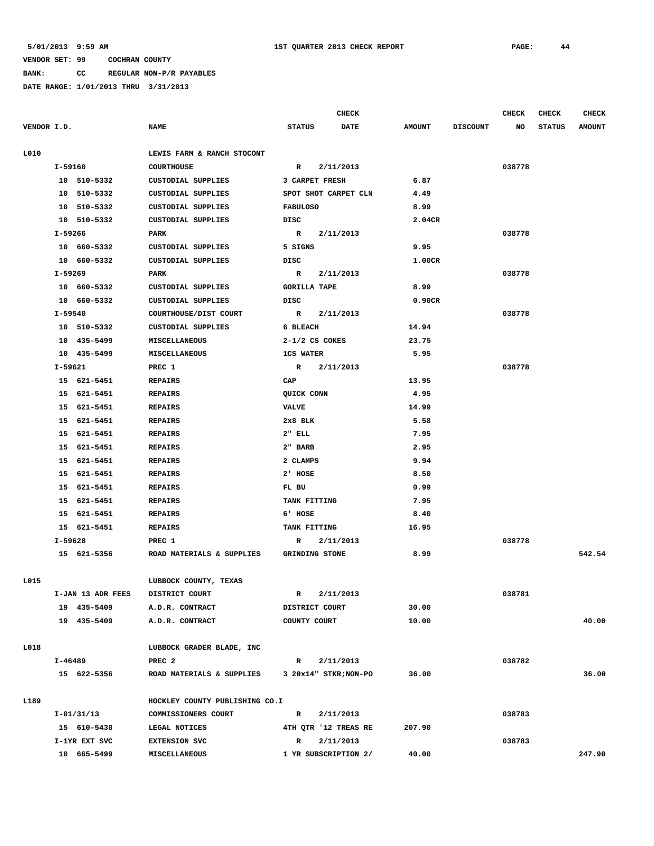**BANK: CC REGULAR NON-P/R PAYABLES**

|             |                   |                                | <b>CHECK</b>                 |               |                 | <b>CHECK</b> | <b>CHECK</b>  | <b>CHECK</b>  |
|-------------|-------------------|--------------------------------|------------------------------|---------------|-----------------|--------------|---------------|---------------|
| VENDOR I.D. |                   | <b>NAME</b>                    | <b>STATUS</b><br><b>DATE</b> | <b>AMOUNT</b> | <b>DISCOUNT</b> | NO           | <b>STATUS</b> | <b>AMOUNT</b> |
| L010        |                   | LEWIS FARM & RANCH STOCONT     |                              |               |                 |              |               |               |
|             | I-59160           | <b>COURTHOUSE</b>              | 2/11/2013<br>R               |               |                 | 038778       |               |               |
|             | 10 510-5332       | CUSTODIAL SUPPLIES             | 3 CARPET FRESH               | 6.87          |                 |              |               |               |
|             | 10 510-5332       | CUSTODIAL SUPPLIES             | SPOT SHOT CARPET CLN         | 4.49          |                 |              |               |               |
|             | 10 510-5332       | CUSTODIAL SUPPLIES             | <b>FABULOSO</b>              | 8.99          |                 |              |               |               |
|             | 10 510-5332       | CUSTODIAL SUPPLIES             | DISC                         | 2.04CR        |                 |              |               |               |
|             | I-59266           | PARK                           | $\mathbf{R}$<br>2/11/2013    |               |                 | 038778       |               |               |
|             | 10 660-5332       | CUSTODIAL SUPPLIES             | 5 SIGNS                      | 9.95          |                 |              |               |               |
|             | 10 660-5332       | CUSTODIAL SUPPLIES             | DISC                         | 1.00CR        |                 |              |               |               |
|             | I-59269           | PARK                           | R<br>2/11/2013               |               |                 | 038778       |               |               |
|             | 10 660-5332       | CUSTODIAL SUPPLIES             | <b>GORILLA TAPE</b>          | 8.99          |                 |              |               |               |
|             | 10 660-5332       | CUSTODIAL SUPPLIES             | DISC                         | 0.90CR        |                 |              |               |               |
|             | I-59540           | COURTHOUSE/DIST COURT          | $\mathbb{R}$<br>2/11/2013    |               |                 | 038778       |               |               |
|             | 10 510-5332       | <b>CUSTODIAL SUPPLIES</b>      | 6 BLEACH                     | 14.94         |                 |              |               |               |
|             | 10 435-5499       | <b>MISCELLANEOUS</b>           | $2 - 1/2$ CS COKES           | 23.75         |                 |              |               |               |
|             | 10 435-5499       | MISCELLANEOUS                  | <b>1CS WATER</b>             | 5.95          |                 |              |               |               |
|             | I-59621           | PREC 1                         | R<br>2/11/2013               |               |                 | 038778       |               |               |
|             | 15 621-5451       | <b>REPAIRS</b>                 | CAP                          | 13.95         |                 |              |               |               |
|             | 15 621-5451       | <b>REPAIRS</b>                 | QUICK CONN                   | 4.95          |                 |              |               |               |
|             | 15<br>621-5451    | <b>REPAIRS</b>                 | <b>VALVE</b>                 | 14.99         |                 |              |               |               |
|             | 621-5451<br>15    | <b>REPAIRS</b>                 | $2x8$ BLK                    | 5.58          |                 |              |               |               |
|             | 621-5451<br>15    | <b>REPAIRS</b>                 | $2"$ ELL                     | 7.95          |                 |              |               |               |
|             | 621-5451<br>15    | <b>REPAIRS</b>                 | 2" BARB                      | 2.95          |                 |              |               |               |
|             | 15 621-5451       | <b>REPAIRS</b>                 | 2 CLAMPS                     | 9.94          |                 |              |               |               |
|             | 15 621-5451       | <b>REPAIRS</b>                 | 2' HOSE                      | 8.50          |                 |              |               |               |
|             | 15 621-5451       | <b>REPAIRS</b>                 | FL BU                        | 0.99          |                 |              |               |               |
|             | 15 621-5451       | <b>REPAIRS</b>                 | TANK FITTING                 | 7.95          |                 |              |               |               |
|             | 15 621-5451       | <b>REPAIRS</b>                 | 6' HOSE                      | 8.40          |                 |              |               |               |
|             | 15<br>621–5451    | <b>REPAIRS</b>                 | TANK FITTING                 | 16.95         |                 |              |               |               |
|             | I-59628           | PREC 1                         | 2/11/2013<br>R               |               |                 | 038778       |               |               |
|             | 15 621-5356       | ROAD MATERIALS & SUPPLIES      | GRINDING STONE               | 8.99          |                 |              |               | 542.54        |
|             |                   |                                |                              |               |                 |              |               |               |
| L015        |                   | LUBBOCK COUNTY, TEXAS          |                              |               |                 |              |               |               |
|             | I-JAN 13 ADR FEES | DISTRICT COURT                 | 2/11/2013<br>R               |               |                 | 038781       |               |               |
|             | 19 435-5409       | A.D.R. CONTRACT                | DISTRICT COURT               | 30.00         |                 |              |               |               |
|             | 19 435-5409       | A.D.R. CONTRACT                | COUNTY COURT                 | 10.00         |                 |              |               | 40.00         |
| L018        |                   | LUBBOCK GRADER BLADE, INC      |                              |               |                 |              |               |               |
|             | I-46489           | PREC <sub>2</sub>              | 2/11/2013<br>R               |               |                 | 038782       |               |               |
|             | 15 622-5356       | ROAD MATERIALS & SUPPLIES      | 3 20x14" STKR; NON-PO        | 36.00         |                 |              |               | 36.00         |
|             |                   |                                |                              |               |                 |              |               |               |
| L189        |                   | HOCKLEY COUNTY PUBLISHING CO.I |                              |               |                 |              |               |               |
|             | I-01/31/13        | COMMISSIONERS COURT            | 2/11/2013<br>$\mathbf{R}$    |               |                 | 038783       |               |               |
|             | 15 610-5430       | LEGAL NOTICES                  | 4TH QTR '12 TREAS RE         | 207.90        |                 |              |               |               |
|             | I-1YR EXT SVC     | <b>EXTENSION SVC</b>           | 2/11/2013<br>R               |               |                 | 038783       |               |               |
|             | 10 665-5499       | MISCELLANEOUS                  | 1 YR SUBSCRIPTION 2/         | 40.00         |                 |              |               | 247.90        |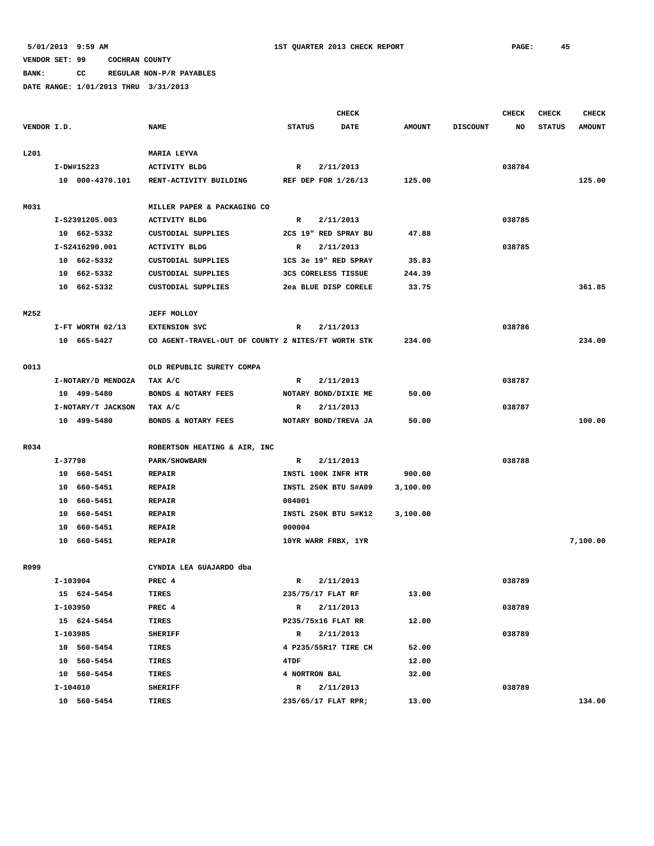**BANK: CC REGULAR NON-P/R PAYABLES**

|             |            |                      |                                                    |               | <b>CHECK</b>         |               |                 | <b>CHECK</b> | <b>CHECK</b>  | <b>CHECK</b>  |
|-------------|------------|----------------------|----------------------------------------------------|---------------|----------------------|---------------|-----------------|--------------|---------------|---------------|
| VENDOR I.D. |            |                      | <b>NAME</b>                                        | <b>STATUS</b> | <b>DATE</b>          | <b>AMOUNT</b> | <b>DISCOUNT</b> | NO           | <b>STATUS</b> | <b>AMOUNT</b> |
|             |            |                      |                                                    |               |                      |               |                 |              |               |               |
| L201        |            |                      | <b>MARIA LEYVA</b>                                 |               |                      |               |                 |              |               |               |
|             | I-DW#15223 |                      | <b>ACTIVITY BLDG</b>                               | R             | 2/11/2013            |               |                 | 038784       |               |               |
|             |            | 10 000-4370.101      | RENT-ACTIVITY BUILDING                             |               | REF DEP FOR 1/26/13  | 125.00        |                 |              |               | 125.00        |
|             |            |                      |                                                    |               |                      |               |                 |              |               |               |
| M031        |            |                      | MILLER PAPER & PACKAGING CO                        |               |                      |               |                 |              |               |               |
|             |            | I-S2391205.003       | <b>ACTIVITY BLDG</b>                               | $\mathbb{R}$  | 2/11/2013            |               |                 | 038785       |               |               |
|             |            | 10 662-5332          | CUSTODIAL SUPPLIES                                 |               | 2CS 19" RED SPRAY BU | 47.88         |                 |              |               |               |
|             |            | I-S2416290.001       | <b>ACTIVITY BLDG</b>                               | R             | 2/11/2013            |               |                 | 038785       |               |               |
|             |            | 10 662-5332          | CUSTODIAL SUPPLIES                                 |               | 1CS 3e 19" RED SPRAY | 35.83         |                 |              |               |               |
|             |            | 10 662-5332          | CUSTODIAL SUPPLIES                                 |               | 3CS CORELESS TISSUE  | 244.39        |                 |              |               |               |
|             |            | 10 662-5332          | CUSTODIAL SUPPLIES                                 |               | 2ea BLUE DISP CORELE | 33.75         |                 |              |               | 361.85        |
|             |            |                      |                                                    |               |                      |               |                 |              |               |               |
| M252        |            |                      | <b>JEFF MOLLOY</b>                                 |               |                      |               |                 |              |               |               |
|             |            | $I-FT$ WORTH $02/13$ | <b>EXTENSION SVC</b>                               | R             | 2/11/2013            |               |                 | 038786       |               |               |
|             |            | 10 665-5427          | CO AGENT-TRAVEL-OUT OF COUNTY 2 NITES/FT WORTH STK |               |                      | 234.00        |                 |              |               | 234.00        |
|             |            |                      |                                                    |               |                      |               |                 |              |               |               |
| 0013        |            |                      | OLD REPUBLIC SURETY COMPA                          |               |                      |               |                 |              |               |               |
|             |            | I-NOTARY/D MENDOZA   | TAX A/C                                            | $\mathbb{R}$  | 2/11/2013            |               |                 | 038787       |               |               |
|             |            | 10 499-5480          | BONDS & NOTARY FEES                                |               | NOTARY BOND/DIXIE ME | 50.00         |                 |              |               |               |
|             |            | I-NOTARY/T JACKSON   | TAX A/C                                            | R             | 2/11/2013            |               |                 | 038787       |               |               |
|             |            | 10 499-5480          | BONDS & NOTARY FEES                                |               | NOTARY BOND/TREVA JA | 50.00         |                 |              |               | 100.00        |
|             |            |                      |                                                    |               |                      |               |                 |              |               |               |
| R034        |            |                      | ROBERTSON HEATING & AIR, INC                       |               |                      |               |                 |              |               |               |
|             | I-37798    |                      | PARK/SHOWBARN                                      | R             | 2/11/2013            |               |                 | 038788       |               |               |
|             |            | 10 660-5451          | <b>REPAIR</b>                                      |               | INSTL 100K INFR HTR  | 900.00        |                 |              |               |               |
|             |            | 10 660-5451          | <b>REPAIR</b>                                      |               | INSTL 250K BTU S#A09 | 3,100.00      |                 |              |               |               |
|             |            | 10 660-5451          | <b>REPAIR</b>                                      | 004001        |                      |               |                 |              |               |               |
|             |            | 10 660-5451          | <b>REPAIR</b>                                      |               | INSTL 250K BTU S#K12 | 3,100.00      |                 |              |               |               |
|             |            | 10 660-5451          | <b>REPAIR</b>                                      | 000004        |                      |               |                 |              |               |               |
|             |            | 10 660-5451          | <b>REPAIR</b>                                      |               | 10YR WARR FRBX, 1YR  |               |                 |              |               | 7,100.00      |
|             |            |                      |                                                    |               |                      |               |                 |              |               |               |
| R099        |            |                      | CYNDIA LEA GUAJARDO dba                            |               |                      |               |                 |              |               |               |
|             | I-103904   |                      | PREC 4                                             | $\mathbf R$   | 2/11/2013            |               |                 | 038789       |               |               |
|             |            | 15 624-5454          | TIRES                                              |               | 235/75/17 FLAT RF    | 13.00         |                 |              |               |               |
|             | I-103950   |                      | PREC 4                                             | $\mathbb{R}$  | 2/11/2013            |               |                 | 038789       |               |               |
|             |            | 15 624-5454          | TIRES                                              |               | P235/75x16 FLAT RR   | 12.00         |                 |              |               |               |
|             | I-103985   |                      | <b>SHERIFF</b>                                     | R             | 2/11/2013            |               |                 | 038789       |               |               |
|             |            | 10 560-5454          | TIRES                                              |               | 4 P235/55R17 TIRE CH | 52.00         |                 |              |               |               |
|             |            | 10 560-5454          | TIRES                                              | 4TDF          |                      | 12.00         |                 |              |               |               |
|             |            | 10 560-5454          | TIRES                                              | 4 NORTRON BAL |                      | 32.00         |                 |              |               |               |
|             | I-104010   |                      | <b>SHERIFF</b>                                     | R             | 2/11/2013            |               |                 | 038789       |               |               |
|             |            | 10 560-5454          | TIRES                                              |               | 235/65/17 FLAT RPR;  | 13.00         |                 |              |               | 134.00        |
|             |            |                      |                                                    |               |                      |               |                 |              |               |               |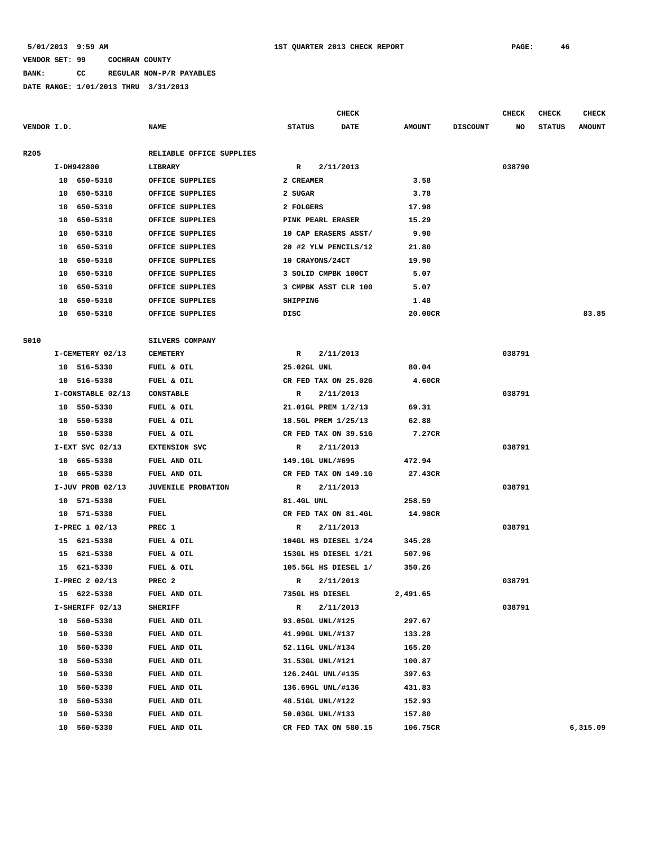# **BANK: CC REGULAR NON-P/R PAYABLES**

|             |    |                   |                           |                  | <b>CHECK</b>         |               |                 | CHECK  | CHECK         | <b>CHECK</b>  |
|-------------|----|-------------------|---------------------------|------------------|----------------------|---------------|-----------------|--------|---------------|---------------|
| VENDOR I.D. |    |                   | <b>NAME</b>               | <b>STATUS</b>    | DATE                 | <b>AMOUNT</b> | <b>DISCOUNT</b> | NO     | <b>STATUS</b> | <b>AMOUNT</b> |
| R205        |    |                   | RELIABLE OFFICE SUPPLIES  |                  |                      |               |                 |        |               |               |
|             |    | I-DH942800        | LIBRARY                   | R                | 2/11/2013            |               |                 | 038790 |               |               |
|             |    | 10 650-5310       | OFFICE SUPPLIES           | 2 CREAMER        |                      | 3.58          |                 |        |               |               |
|             | 10 | 650-5310          | OFFICE SUPPLIES           | 2 SUGAR          |                      | 3.78          |                 |        |               |               |
|             | 10 | 650-5310          | OFFICE SUPPLIES           | 2 FOLGERS        |                      | 17.98         |                 |        |               |               |
|             | 10 | 650-5310          | OFFICE SUPPLIES           |                  | PINK PEARL ERASER    | 15.29         |                 |        |               |               |
|             | 10 | 650-5310          | OFFICE SUPPLIES           |                  | 10 CAP ERASERS ASST/ | 9.90          |                 |        |               |               |
|             | 10 | 650-5310          | OFFICE SUPPLIES           |                  | 20 #2 YLW PENCILS/12 | 21.80         |                 |        |               |               |
|             | 10 | 650-5310          | OFFICE SUPPLIES           | 10 CRAYONS/24CT  |                      | 19.90         |                 |        |               |               |
|             | 10 | 650-5310          | OFFICE SUPPLIES           |                  | 3 SOLID CMPBK 100CT  | 5.07          |                 |        |               |               |
|             | 10 | 650-5310          | OFFICE SUPPLIES           |                  | 3 CMPBK ASST CLR 100 | 5.07          |                 |        |               |               |
|             | 10 | 650-5310          | OFFICE SUPPLIES           | SHIPPING         |                      | 1.48          |                 |        |               |               |
|             | 10 | 650-5310          | OFFICE SUPPLIES           | DISC             |                      | 20.00CR       |                 |        |               | 83.85         |
| S010        |    |                   | SILVERS COMPANY           |                  |                      |               |                 |        |               |               |
|             |    | I-CEMETERY 02/13  | <b>CEMETERY</b>           | R                | 2/11/2013            |               |                 | 038791 |               |               |
|             |    | 10 516-5330       | FUEL & OIL                | 25.02GL UNL      |                      | 80.04         |                 |        |               |               |
|             | 10 | 516-5330          | FUEL & OIL                |                  | CR FED TAX ON 25.02G | 4.60CR        |                 |        |               |               |
|             |    | I-CONSTABLE 02/13 | <b>CONSTABLE</b>          | R                | 2/11/2013            |               |                 | 038791 |               |               |
|             |    | 10 550-5330       | FUEL & OIL                |                  | 21.01GL PREM 1/2/13  | 69.31         |                 |        |               |               |
|             |    | 10 550-5330       | FUEL & OIL                |                  | 18.5GL PREM 1/25/13  | 62.88         |                 |        |               |               |
|             | 10 | 550-5330          | FUEL & OIL                |                  | CR FED TAX ON 39.51G | 7.27CR        |                 |        |               |               |
|             |    | I-EXT SVC 02/13   | <b>EXTENSION SVC</b>      | R                | 2/11/2013            |               |                 | 038791 |               |               |
|             |    | 10 665-5330       | FUEL AND OIL              | 149.1GL UNL/#695 |                      | 472.94        |                 |        |               |               |
|             | 10 | 665-5330          | FUEL AND OIL              |                  | CR FED TAX ON 149.1G | 27.43CR       |                 |        |               |               |
|             |    | I-JUV PROB 02/13  | <b>JUVENILE PROBATION</b> | R                | 2/11/2013            |               |                 | 038791 |               |               |
|             |    | 10 571-5330       | <b>FUEL</b>               | 81.4GL UNL       |                      | 258.59        |                 |        |               |               |
|             | 10 | 571-5330          | <b>FUEL</b>               |                  | CR FED TAX ON 81.4GL | 14.98CR       |                 |        |               |               |
|             |    | I-PREC 1 02/13    | PREC 1                    | R                | 2/11/2013            |               |                 | 038791 |               |               |
|             |    | 15 621-5330       | FUEL & OIL                |                  | 104GL HS DIESEL 1/24 | 345.28        |                 |        |               |               |
|             | 15 | 621-5330          | FUEL & OIL                |                  | 153GL HS DIESEL 1/21 | 507.96        |                 |        |               |               |
|             |    | 15 621-5330       | FUEL & OIL                |                  | 105.5GL HS DIESEL 1/ | 350.26        |                 |        |               |               |
|             |    | I-PREC 2 02/13    | PREC <sub>2</sub>         | R                | 2/11/2013            |               |                 | 038791 |               |               |
|             |    | 15 622-5330       | FUEL AND OIL              | 735GL HS DIESEL  |                      | 2,491.65      |                 |        |               |               |
|             |    | I-SHERIFF 02/13   | <b>SHERIFF</b>            | R                | 2/11/2013            |               |                 | 038791 |               |               |
|             | 10 | 560-5330          | FUEL AND OIL              | 93.05GL UNL/#125 |                      | 297.67        |                 |        |               |               |
|             | 10 | 560-5330          | <b>FUEL AND OIL</b>       | 41.99GL UNL/#137 |                      | 133.28        |                 |        |               |               |
|             | 10 | 560-5330          | FUEL AND OIL              | 52.11GL UNL/#134 |                      | 165.20        |                 |        |               |               |
|             | 10 | 560-5330          | FUEL AND OIL              | 31.53GL UNL/#121 |                      | 100.87        |                 |        |               |               |
|             | 10 | 560-5330          | <b>FUEL AND OIL</b>       |                  | 126.24GL UNL/#135    | 397.63        |                 |        |               |               |
|             | 10 | 560-5330          | FUEL AND OIL              |                  | 136.69GL UNL/#136    | 431.83        |                 |        |               |               |
|             | 10 | 560-5330          | FUEL AND OIL              | 48.51GL UNL/#122 |                      | 152.93        |                 |        |               |               |
|             | 10 | 560-5330          | <b>FUEL AND OIL</b>       | 50.03GL UNL/#133 |                      | 157.80        |                 |        |               |               |
|             | 10 | 560-5330          | <b>FUEL AND OIL</b>       |                  | CR FED TAX ON 580.15 | 106.75CR      |                 |        |               | 6,315.09      |
|             |    |                   |                           |                  |                      |               |                 |        |               |               |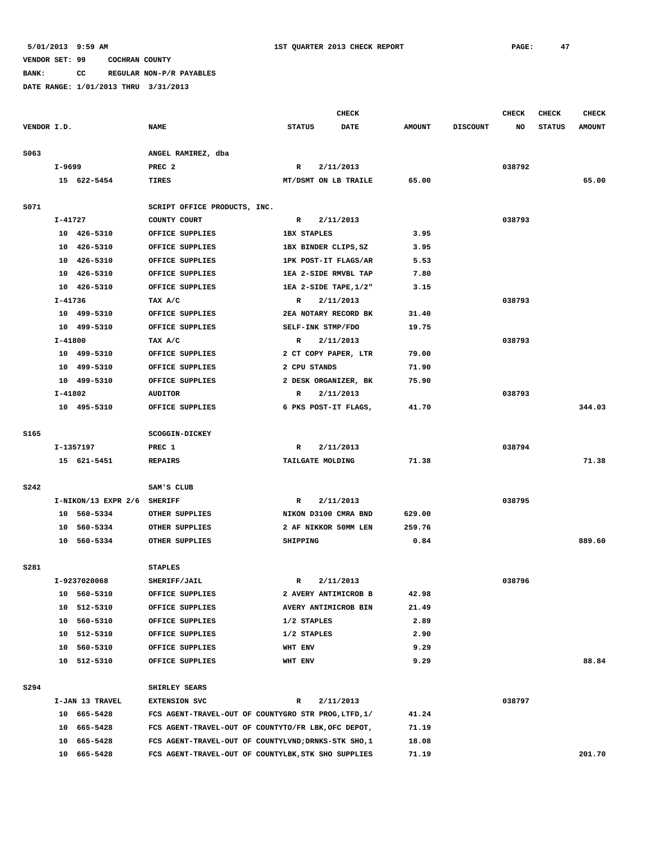**BANK: CC REGULAR NON-P/R PAYABLES**

|             |         |                             |                                                      |                       | <b>CHECK</b>         |               |                 | <b>CHECK</b> | <b>CHECK</b>  | <b>CHECK</b>  |
|-------------|---------|-----------------------------|------------------------------------------------------|-----------------------|----------------------|---------------|-----------------|--------------|---------------|---------------|
| VENDOR I.D. |         |                             | <b>NAME</b>                                          | <b>STATUS</b>         | <b>DATE</b>          | <b>AMOUNT</b> | <b>DISCOUNT</b> | NO           | <b>STATUS</b> | <b>AMOUNT</b> |
| S063        |         |                             | ANGEL RAMIREZ, dba                                   |                       |                      |               |                 |              |               |               |
|             | I-9699  |                             | PREC <sub>2</sub>                                    | $\mathbb{R}$          | 2/11/2013            |               |                 | 038792       |               |               |
|             |         | 15 622-5454                 | <b>TIRES</b>                                         | MT/DSMT ON LB TRAILE  |                      | 65.00         |                 |              |               | 65.00         |
| S071        |         |                             | SCRIPT OFFICE PRODUCTS, INC.                         |                       |                      |               |                 |              |               |               |
|             | I-41727 |                             | COUNTY COURT                                         | R                     | 2/11/2013            |               |                 | 038793       |               |               |
|             |         | 10 426-5310                 | OFFICE SUPPLIES                                      | <b>1BX STAPLES</b>    |                      | 3.95          |                 |              |               |               |
|             |         | 10 426-5310                 | OFFICE SUPPLIES                                      | 1BX BINDER CLIPS, SZ  |                      | 3.95          |                 |              |               |               |
|             |         | 10 426-5310                 | OFFICE SUPPLIES                                      | 1PK POST-IT FLAGS/AR  |                      | 5.53          |                 |              |               |               |
|             |         | 10 426-5310                 | OFFICE SUPPLIES                                      | 1EA 2-SIDE RMVBL TAP  |                      | 7.80          |                 |              |               |               |
|             |         | 10 426-5310                 | OFFICE SUPPLIES                                      | 1EA 2-SIDE TAPE, 1/2" |                      | 3.15          |                 |              |               |               |
|             | I-41736 |                             | TAX A/C                                              | R                     | 2/11/2013            |               |                 | 038793       |               |               |
|             |         | 10 499-5310                 | OFFICE SUPPLIES                                      | 2EA NOTARY RECORD BK  |                      | 31.40         |                 |              |               |               |
|             |         | 10 499-5310                 | OFFICE SUPPLIES                                      | SELF-INK STMP/FDO     |                      | 19.75         |                 |              |               |               |
|             | I-41800 |                             | TAX A/C                                              | R                     | 2/11/2013            |               |                 | 038793       |               |               |
|             |         | 10 499-5310                 | OFFICE SUPPLIES                                      | 2 CT COPY PAPER, LTR  |                      | 79.00         |                 |              |               |               |
|             |         | 10 499-5310                 | OFFICE SUPPLIES                                      | 2 CPU STANDS          |                      | 71.90         |                 |              |               |               |
|             |         | 10 499-5310                 | OFFICE SUPPLIES                                      |                       | 2 DESK ORGANIZER, BK | 75.90         |                 |              |               |               |
|             | I-41802 |                             | <b>AUDITOR</b>                                       | R                     | 2/11/2013            |               |                 | 038793       |               |               |
|             |         | 10 495-5310                 | OFFICE SUPPLIES                                      | 6 PKS POST-IT FLAGS,  |                      | 41.70         |                 |              |               | 344.03        |
| S165        |         |                             | <b>SCOGGIN-DICKEY</b>                                |                       |                      |               |                 |              |               |               |
|             |         | I-1357197                   | PREC 1                                               | R                     | 2/11/2013            |               |                 | 038794       |               |               |
|             |         | 15 621-5451                 | <b>REPAIRS</b>                                       | TAILGATE MOLDING      |                      | 71.38         |                 |              |               | 71.38         |
| <b>S242</b> |         |                             | SAM'S CLUB                                           |                       |                      |               |                 |              |               |               |
|             |         | I-NIKON/13 EXPR 2/6 SHERIFF |                                                      | $\mathbf R$           | 2/11/2013            |               |                 | 038795       |               |               |
|             |         | 10 560-5334                 | OTHER SUPPLIES                                       | NIKON D3100 CMRA BND  |                      | 629.00        |                 |              |               |               |
|             |         | 10 560-5334                 | OTHER SUPPLIES                                       | 2 AF NIKKOR 50MM LEN  |                      | 259.76        |                 |              |               |               |
|             |         | 10 560-5334                 | OTHER SUPPLIES                                       | SHIPPING              |                      | 0.84          |                 |              |               | 889.60        |
| S281        |         |                             | <b>STAPLES</b>                                       |                       |                      |               |                 |              |               |               |
|             |         | I-9237020068                | SHERIFF/JAIL                                         | R                     | 2/11/2013            |               |                 | 038796       |               |               |
|             |         | 10 560-5310                 | OFFICE SUPPLIES                                      | 2 AVERY ANTIMICROB B  |                      | 42.98         |                 |              |               |               |
|             |         | 10 512-5310                 | OFFICE SUPPLIES                                      | AVERY ANTIMICROB BIN  |                      | 21.49         |                 |              |               |               |
|             |         | 10 560-5310                 | OFFICE SUPPLIES                                      | 1/2 STAPLES           |                      | 2.89          |                 |              |               |               |
|             |         | 10 512-5310                 | OFFICE SUPPLIES                                      | 1/2 STAPLES           |                      | 2.90          |                 |              |               |               |
|             |         | 10 560-5310                 | OFFICE SUPPLIES                                      | WHT ENV               |                      | 9.29          |                 |              |               |               |
|             |         | 10 512-5310                 | OFFICE SUPPLIES                                      | WHT ENV               |                      | 9.29          |                 |              |               | 88.84         |
| S294        |         |                             | SHIRLEY SEARS                                        |                       |                      |               |                 |              |               |               |
|             |         | I-JAN 13 TRAVEL             | <b>EXTENSION SVC</b>                                 | R                     | 2/11/2013            |               |                 | 038797       |               |               |
|             |         | 10 665-5428                 | FCS AGENT-TRAVEL-OUT OF COUNTYGRO STR PROG, LTFD, 1/ |                       |                      | 41.24         |                 |              |               |               |
|             |         | 10 665-5428                 | FCS AGENT-TRAVEL-OUT OF COUNTYTO/FR LBK, OFC DEPOT,  |                       |                      | 71.19         |                 |              |               |               |
|             |         | 10 665-5428                 | FCS AGENT-TRAVEL-OUT OF COUNTYLVND; DRNKS-STK SHO, 1 |                       |                      | 18.08         |                 |              |               |               |
|             |         | 10 665-5428                 | FCS AGENT-TRAVEL-OUT OF COUNTYLBK, STK SHO SUPPLIES  |                       |                      | 71.19         |                 |              |               | 201.70        |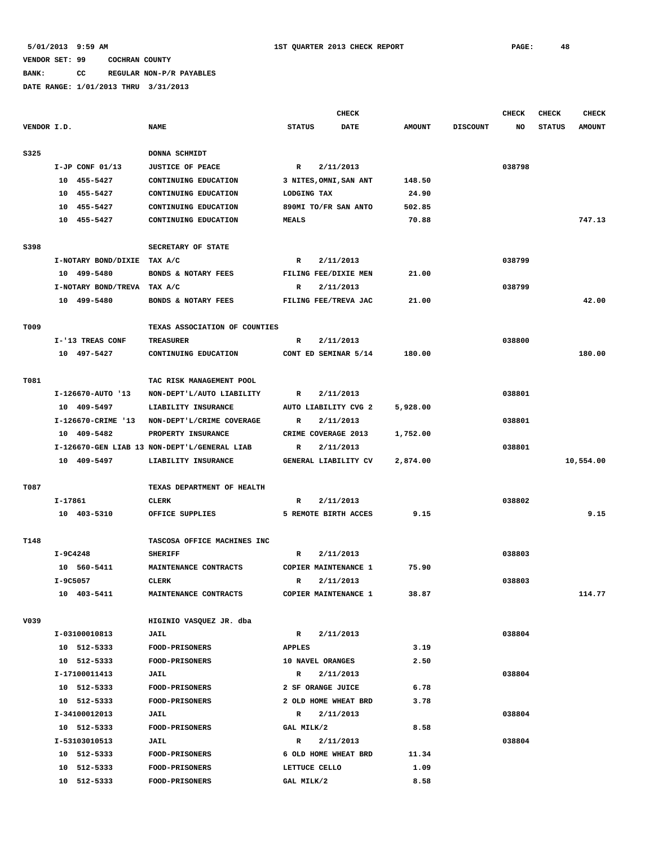# **BANK: CC REGULAR NON-P/R PAYABLES**

|             |            |                     |                                              |                  | <b>CHECK</b>           |               |                 | <b>CHECK</b> | <b>CHECK</b>  | <b>CHECK</b>  |
|-------------|------------|---------------------|----------------------------------------------|------------------|------------------------|---------------|-----------------|--------------|---------------|---------------|
| VENDOR I.D. |            |                     | <b>NAME</b>                                  | <b>STATUS</b>    | <b>DATE</b>            | <b>AMOUNT</b> | <b>DISCOUNT</b> | NO           | <b>STATUS</b> | <b>AMOUNT</b> |
| S325        |            |                     | DONNA SCHMIDT                                |                  |                        |               |                 |              |               |               |
|             |            | $I-JP$ CONF 01/13   | <b>JUSTICE OF PEACE</b>                      | R                | 2/11/2013              |               |                 | 038798       |               |               |
|             |            | 10 455-5427         | CONTINUING EDUCATION                         |                  | 3 NITES, OMNI, SAN ANT | 148.50        |                 |              |               |               |
|             |            | 10 455-5427         | CONTINUING EDUCATION                         | LODGING TAX      |                        | 24.90         |                 |              |               |               |
|             | 10         | 455-5427            | CONTINUING EDUCATION                         |                  | 890MI TO/FR SAN ANTO   | 502.85        |                 |              |               |               |
|             |            |                     |                                              | <b>MEALS</b>     |                        |               |                 |              |               | 747.13        |
|             |            | 10 455-5427         | CONTINUING EDUCATION                         |                  |                        | 70.88         |                 |              |               |               |
| S398        |            |                     | SECRETARY OF STATE                           |                  |                        |               |                 |              |               |               |
|             |            | I-NOTARY BOND/DIXIE | TAX A/C                                      | R                | 2/11/2013              |               |                 | 038799       |               |               |
|             |            | 10 499-5480         | BONDS & NOTARY FEES                          |                  | FILING FEE/DIXIE MEN   | 21.00         |                 |              |               |               |
|             |            | I-NOTARY BOND/TREVA | TAX A/C                                      | R                | 2/11/2013              |               |                 | 038799       |               |               |
|             |            | 10 499-5480         | BONDS & NOTARY FEES                          |                  | FILING FEE/TREVA JAC   | 21.00         |                 |              |               | 42.00         |
|             |            |                     |                                              |                  |                        |               |                 |              |               |               |
| T009        |            |                     | TEXAS ASSOCIATION OF COUNTIES                |                  |                        |               |                 |              |               |               |
|             |            | I-'13 TREAS CONF    | <b>TREASURER</b>                             | R                | 2/11/2013              |               |                 | 038800       |               |               |
|             |            | 10 497-5427         | CONTINUING EDUCATION                         |                  | CONT ED SEMINAR 5/14   | 180.00        |                 |              |               | 180.00        |
|             |            |                     |                                              |                  |                        |               |                 |              |               |               |
| T081        |            |                     | TAC RISK MANAGEMENT POOL                     |                  |                        |               |                 |              |               |               |
|             |            | I-126670-AUTO '13   | NON-DEPT'L/AUTO LIABILITY                    | R                | 2/11/2013              |               |                 | 038801       |               |               |
|             |            | 10 409-5497         | LIABILITY INSURANCE                          |                  | AUTO LIABILITY CVG 2   | 5,928.00      |                 |              |               |               |
|             |            | I-126670-CRIME '13  | NON-DEPT'L/CRIME COVERAGE                    | R                | 2/11/2013              |               |                 | 038801       |               |               |
|             |            | 10 409-5482         | PROPERTY INSURANCE                           |                  | CRIME COVERAGE 2013    | 1,752.00      |                 |              |               |               |
|             |            |                     | I-126670-GEN LIAB 13 NON-DEPT'L/GENERAL LIAB | R                | 2/11/2013              |               |                 | 038801       |               |               |
|             |            | 10 409-5497         | LIABILITY INSURANCE                          |                  | GENERAL LIABILITY CV   |               |                 |              |               |               |
|             |            |                     |                                              |                  |                        | 2,874.00      |                 |              |               | 10,554.00     |
| T087        |            |                     | TEXAS DEPARTMENT OF HEALTH                   |                  |                        |               |                 |              |               |               |
|             | I-17861    |                     | CLERK                                        | R                | 2/11/2013              |               |                 | 038802       |               |               |
|             |            | 10 403-5310         | OFFICE SUPPLIES                              |                  | 5 REMOTE BIRTH ACCES   | 9.15          |                 |              |               | 9.15          |
|             |            |                     |                                              |                  |                        |               |                 |              |               |               |
| T148        |            |                     | TASCOSA OFFICE MACHINES INC                  |                  |                        |               |                 |              |               |               |
|             | $I-9C4248$ |                     | <b>SHERIFF</b>                               | R                | 2/11/2013              |               |                 | 038803       |               |               |
|             |            | 10 560-5411         | MAINTENANCE CONTRACTS                        |                  | COPIER MAINTENANCE 1   | 75.90         |                 |              |               |               |
|             | I-9C5057   |                     | <b>CLERK</b>                                 | $\mathbb R$      | 2/11/2013              |               |                 | 038803       |               |               |
|             |            | 10 403-5411         | MAINTENANCE CONTRACTS                        |                  | COPIER MAINTENANCE 1   | 38.87         |                 |              |               | 114.77        |
|             |            |                     |                                              |                  |                        |               |                 |              |               |               |
| V039        |            |                     | HIGINIO VASQUEZ JR. dba                      |                  |                        |               |                 |              |               |               |
|             |            | I-03100010813       | JAIL                                         | $\mathbb{R}$     | 2/11/2013              |               |                 | 038804       |               |               |
|             |            | 10 512-5333         | <b>FOOD-PRISONERS</b>                        | <b>APPLES</b>    |                        | 3.19          |                 |              |               |               |
|             |            | 10 512-5333         | <b>FOOD-PRISONERS</b>                        | 10 NAVEL ORANGES |                        | 2.50          |                 |              |               |               |
|             |            | I-17100011413       | JAIL                                         | $\mathbb{R}$     | 2/11/2013              |               |                 | 038804       |               |               |
|             |            | 10 512-5333         | <b>FOOD-PRISONERS</b>                        |                  | 2 SF ORANGE JUICE      | 6.78          |                 |              |               |               |
|             |            | 10 512-5333         | <b>FOOD-PRISONERS</b>                        |                  | 2 OLD HOME WHEAT BRD   | 3.78          |                 |              |               |               |
|             |            | I-34100012013       | JAIL                                         | R                | 2/11/2013              |               |                 | 038804       |               |               |
|             |            | 10 512-5333         | FOOD-PRISONERS                               | GAL MILK/2       |                        | 8.58          |                 |              |               |               |
|             |            | I-53103010513       | JAIL                                         | $\mathbb{R}$     | 2/11/2013              |               |                 | 038804       |               |               |
|             |            | 10 512-5333         | FOOD-PRISONERS                               |                  | 6 OLD HOME WHEAT BRD   | 11.34         |                 |              |               |               |
|             |            |                     |                                              |                  |                        |               |                 |              |               |               |
|             |            | 10 512-5333         | <b>FOOD-PRISONERS</b>                        | LETTUCE CELLO    |                        | 1.09          |                 |              |               |               |
|             |            | 10 512-5333         | FOOD-PRISONERS                               | GAL MILK/2       |                        | 8.58          |                 |              |               |               |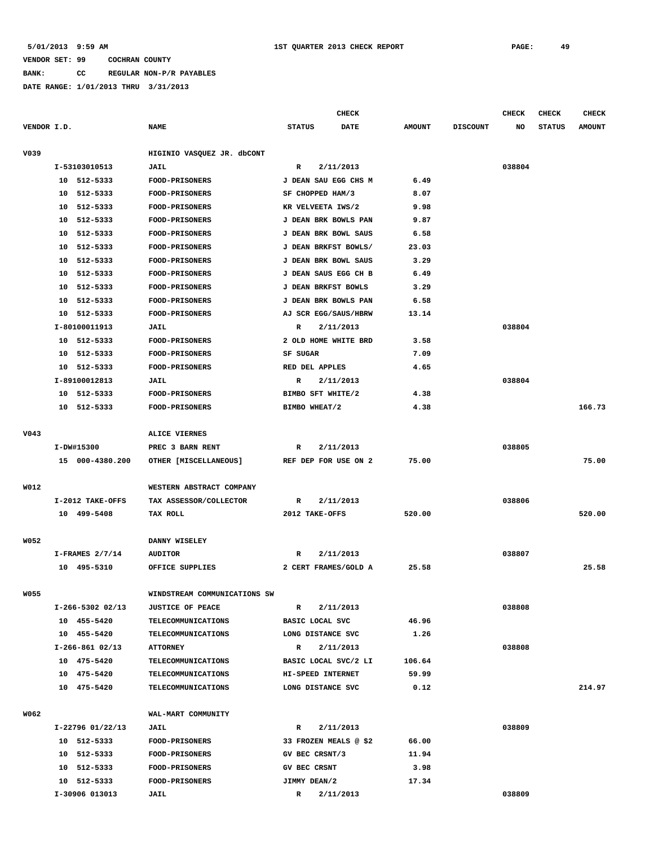**BANK: CC REGULAR NON-P/R PAYABLES**

|             |                            |                                                | CHECK                        |               |                 | <b>CHECK</b> | <b>CHECK</b>  | <b>CHECK</b>  |
|-------------|----------------------------|------------------------------------------------|------------------------------|---------------|-----------------|--------------|---------------|---------------|
| VENDOR I.D. |                            | <b>NAME</b>                                    | <b>STATUS</b><br><b>DATE</b> | <b>AMOUNT</b> | <b>DISCOUNT</b> | NO           | <b>STATUS</b> | <b>AMOUNT</b> |
| V039        |                            | HIGINIO VASQUEZ JR. dbCONT                     |                              |               |                 |              |               |               |
|             | I-53103010513              | <b>JAIL</b>                                    | 2/11/2013<br>R               |               |                 | 038804       |               |               |
|             | 10 512-5333                | <b>FOOD-PRISONERS</b>                          | J DEAN SAU EGG CHS M         | 6.49          |                 |              |               |               |
|             | 10 512-5333                | FOOD-PRISONERS                                 | SF CHOPPED HAM/3             | 8.07          |                 |              |               |               |
|             | 512-5333<br>10             | <b>FOOD-PRISONERS</b>                          | KR VELVEETA IWS/2            | 9.98          |                 |              |               |               |
|             | 512-5333<br>10             | FOOD-PRISONERS                                 | J DEAN BRK BOWLS PAN         | 9.87          |                 |              |               |               |
|             | 512-5333<br>10             | FOOD-PRISONERS                                 | J DEAN BRK BOWL SAUS         | 6.58          |                 |              |               |               |
|             | 10<br>512-5333             | <b>FOOD-PRISONERS</b>                          | J DEAN BRKFST BOWLS/         | 23.03         |                 |              |               |               |
|             | 512-5333<br>10             | <b>FOOD-PRISONERS</b>                          | J DEAN BRK BOWL SAUS         | 3.29          |                 |              |               |               |
|             | 512-5333<br>10             | <b>FOOD-PRISONERS</b>                          | J DEAN SAUS EGG CH B         | 6.49          |                 |              |               |               |
|             | 512-5333<br>10             | <b>FOOD-PRISONERS</b>                          | J DEAN BRKFST BOWLS          | 3.29          |                 |              |               |               |
|             | 512-5333<br>10             | <b>FOOD-PRISONERS</b>                          | J DEAN BRK BOWLS PAN         | 6.58          |                 |              |               |               |
|             | 10 512-5333                | <b>FOOD-PRISONERS</b>                          | AJ SCR EGG/SAUS/HBRW         | 13.14         |                 |              |               |               |
|             | I-80100011913              | <b>JAIL</b>                                    | 2/11/2013<br>R               |               |                 | 038804       |               |               |
|             | 10 512-5333                | <b>FOOD-PRISONERS</b>                          | 2 OLD HOME WHITE BRD         | 3.58          |                 |              |               |               |
|             | 10<br>512-5333             | <b>FOOD-PRISONERS</b>                          | SF SUGAR                     | 7.09          |                 |              |               |               |
|             | 10<br>512-5333             | <b>FOOD-PRISONERS</b>                          | RED DEL APPLES               | 4.65          |                 |              |               |               |
|             | I-89100012813              | <b>JAIL</b>                                    | 2/11/2013<br>R               |               |                 | 038804       |               |               |
|             | 10 512-5333                | FOOD-PRISONERS                                 | BIMBO SFT WHITE/2            | 4.38          |                 |              |               |               |
|             | 512-5333<br>10             | <b>FOOD-PRISONERS</b>                          | BIMBO WHEAT/2                | 4.38          |                 |              |               | 166.73        |
|             |                            |                                                |                              |               |                 |              |               |               |
| V043        |                            | ALICE VIERNES                                  |                              |               |                 |              |               |               |
|             | I-DW#15300                 | PREC 3 BARN RENT                               | 2/11/2013<br>R               |               |                 | 038805       |               |               |
|             | 15 000-4380.200            | OTHER [MISCELLANEOUS]                          | REF DEP FOR USE ON 2         | 75.00         |                 |              |               | 75.00         |
| W012        |                            | WESTERN ABSTRACT COMPANY                       |                              |               |                 |              |               |               |
|             | I-2012 TAKE-OFFS           | TAX ASSESSOR/COLLECTOR                         | 2/11/2013<br>R               |               |                 | 038806       |               |               |
|             | 10 499-5408                | TAX ROLL                                       | 2012 TAKE-OFFS               | 520.00        |                 |              |               | 520.00        |
|             |                            |                                                |                              |               |                 |              |               |               |
| W052        |                            | DANNY WISELEY                                  |                              |               |                 |              |               |               |
|             | $I$ -FRAMES $2/7/14$       | <b>AUDITOR</b>                                 | 2/11/2013<br>R               |               |                 | 038807       |               |               |
|             | 10 495-5310                | OFFICE SUPPLIES                                | 2 CERT FRAMES/GOLD A         | 25.58         |                 |              |               | 25.58         |
|             |                            |                                                |                              |               |                 |              |               |               |
| <b>W055</b> |                            | WINDSTREAM COMMUNICATIONS SW                   |                              |               |                 |              |               |               |
|             | I-266-5302 02/13           | <b>JUSTICE OF PEACE</b>                        | R<br>2/11/2013               |               |                 | 038808       |               |               |
|             | 10 455-5420                | <b>TELECOMMUNICATIONS</b>                      | BASIC LOCAL SVC              | 46.96         |                 |              |               |               |
|             | 10 455-5420                | TELECOMMUNICATIONS                             | LONG DISTANCE SVC            | 1.26          |                 |              |               |               |
|             | $I-266-861$ 02/13          | <b>ATTORNEY</b>                                | R<br>2/11/2013               |               |                 | 038808       |               |               |
|             | 10 475-5420                | <b>TELECOMMUNICATIONS</b>                      | BASIC LOCAL SVC/2 LI         | 106.64        |                 |              |               |               |
|             | 10 475-5420                | TELECOMMUNICATIONS                             | HI-SPEED INTERNET            | 59.99         |                 |              |               |               |
|             | 10 475-5420                | <b>TELECOMMUNICATIONS</b>                      | LONG DISTANCE SVC            | 0.12          |                 |              |               | 214.97        |
|             |                            |                                                |                              |               |                 |              |               |               |
| W062        |                            | WAL-MART COMMUNITY                             |                              |               |                 |              |               |               |
|             | I-22796 01/22/13           | <b>JAIL</b>                                    | R<br>2/11/2013               |               |                 | 038809       |               |               |
|             | 10 512-5333                | <b>FOOD-PRISONERS</b>                          | 33 FROZEN MEALS @ \$2        | 66.00         |                 |              |               |               |
|             | 10 512-5333                | <b>FOOD-PRISONERS</b>                          | GV BEC CRSNT/3               | 11.94         |                 |              |               |               |
|             | 10 512-5333<br>10 512-5333 | <b>FOOD-PRISONERS</b><br><b>FOOD-PRISONERS</b> | GV BEC CRSNT<br>JIMMY DEAN/2 | 3.98<br>17.34 |                 |              |               |               |
|             | I-30906 013013             | <b>JAIL</b>                                    | 2/11/2013<br>$\mathbb{R}$    |               |                 | 038809       |               |               |
|             |                            |                                                |                              |               |                 |              |               |               |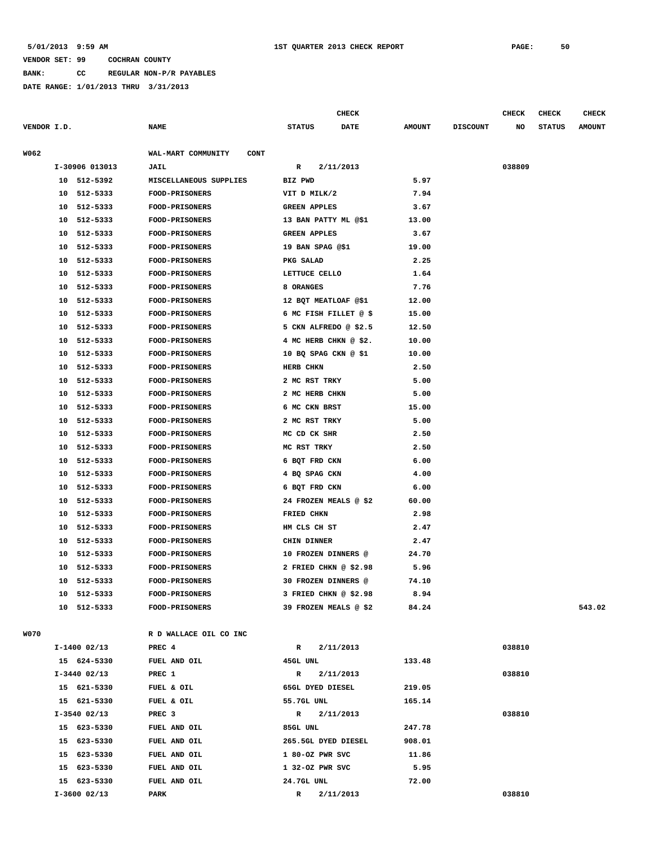**BANK: CC REGULAR NON-P/R PAYABLES**

|                |                                   |                       | CHECK       |               |                 | <b>CHECK</b> | <b>CHECK</b>  | <b>CHECK</b>  |
|----------------|-----------------------------------|-----------------------|-------------|---------------|-----------------|--------------|---------------|---------------|
| VENDOR I.D.    | <b>NAME</b>                       | <b>STATUS</b>         | <b>DATE</b> | <b>AMOUNT</b> | <b>DISCOUNT</b> | NO           | <b>STATUS</b> | <b>AMOUNT</b> |
| W062           | WAL-MART COMMUNITY<br><b>CONT</b> |                       |             |               |                 |              |               |               |
| I-30906 013013 | <b>JAIL</b>                       | R                     | 2/11/2013   |               |                 | 038809       |               |               |
| 10 512-5392    | MISCELLANEOUS SUPPLIES            | BIZ PWD               |             | 5.97          |                 |              |               |               |
| 512-5333<br>10 | <b>FOOD-PRISONERS</b>             | VIT D MILK/2          |             | 7.94          |                 |              |               |               |
| 512-5333<br>10 | <b>FOOD-PRISONERS</b>             | <b>GREEN APPLES</b>   |             | 3.67          |                 |              |               |               |
| 512-5333<br>10 | <b>FOOD-PRISONERS</b>             | 13 BAN PATTY ML @\$1  |             | 13.00         |                 |              |               |               |
| 512-5333<br>10 | FOOD-PRISONERS                    | <b>GREEN APPLES</b>   |             | 3.67          |                 |              |               |               |
| 512-5333<br>10 | <b>FOOD-PRISONERS</b>             | 19 BAN SPAG @\$1      |             | 19.00         |                 |              |               |               |
| 512-5333<br>10 | FOOD-PRISONERS                    | PKG SALAD             |             | 2.25          |                 |              |               |               |
| 512-5333<br>10 | FOOD-PRISONERS                    | LETTUCE CELLO         |             | 1.64          |                 |              |               |               |
| 512-5333<br>10 | <b>FOOD-PRISONERS</b>             | 8 ORANGES             |             | 7.76          |                 |              |               |               |
| 512-5333<br>10 | FOOD-PRISONERS                    | 12 BQT MEATLOAF @\$1  |             | 12.00         |                 |              |               |               |
| 512-5333<br>10 | FOOD-PRISONERS                    | 6 MC FISH FILLET @ \$ |             | 15.00         |                 |              |               |               |
| 512-5333<br>10 | <b>FOOD-PRISONERS</b>             | 5 CKN ALFREDO @ \$2.5 |             | 12.50         |                 |              |               |               |
| 512-5333<br>10 | <b>FOOD-PRISONERS</b>             | 4 MC HERB CHKN @ \$2. |             | 10.00         |                 |              |               |               |
| 512-5333<br>10 | <b>FOOD-PRISONERS</b>             | 10 BQ SPAG CKN @ \$1  |             | 10.00         |                 |              |               |               |
| 512-5333<br>10 | FOOD-PRISONERS                    | HERB CHKN             |             | 2.50          |                 |              |               |               |
| 512-5333<br>10 | FOOD-PRISONERS                    | 2 MC RST TRKY         |             | 5.00          |                 |              |               |               |
| 512-5333<br>10 | FOOD-PRISONERS                    | 2 MC HERB CHKN        |             | 5.00          |                 |              |               |               |
| 512-5333<br>10 | <b>FOOD-PRISONERS</b>             | 6 MC CKN BRST         |             | 15.00         |                 |              |               |               |
| 512-5333<br>10 | FOOD-PRISONERS                    | 2 MC RST TRKY         |             | 5.00          |                 |              |               |               |
| 512-5333<br>10 | FOOD-PRISONERS                    | MC CD CK SHR          |             | 2.50          |                 |              |               |               |
| 512-5333<br>10 | FOOD-PRISONERS                    | MC RST TRKY           |             | 2.50          |                 |              |               |               |
| 512-5333<br>10 | FOOD-PRISONERS                    | 6 BQT FRD CKN         |             | 6.00          |                 |              |               |               |
| 512-5333<br>10 | <b>FOOD-PRISONERS</b>             | 4 BQ SPAG CKN         |             | 4.00          |                 |              |               |               |
| 10<br>512-5333 | <b>FOOD-PRISONERS</b>             | 6 BQT FRD CKN         |             | 6.00          |                 |              |               |               |
| 512-5333<br>10 | FOOD-PRISONERS                    | 24 FROZEN MEALS @ \$2 |             | 60.00         |                 |              |               |               |
| 512-5333<br>10 | <b>FOOD-PRISONERS</b>             | FRIED CHKN            |             | 2.98          |                 |              |               |               |
| 10<br>512-5333 | <b>FOOD-PRISONERS</b>             | HM CLS CH ST          |             | 2.47          |                 |              |               |               |
| 512-5333<br>10 | <b>FOOD-PRISONERS</b>             | CHIN DINNER           |             | 2.47          |                 |              |               |               |
| 512-5333<br>10 | <b>FOOD-PRISONERS</b>             | 10 FROZEN DINNERS @   |             | 24.70         |                 |              |               |               |
| 512-5333<br>10 | <b>FOOD-PRISONERS</b>             | 2 FRIED CHKN @ \$2.98 |             | 5.96          |                 |              |               |               |
| 10<br>512-5333 | <b>FOOD-PRISONERS</b>             | 30 FROZEN DINNERS @   |             | 74.10         |                 |              |               |               |
| 10 512-5333    | <b>FOOD-PRISONERS</b>             | 3 FRIED CHKN @ \$2.98 |             | 8.94          |                 |              |               |               |
| 10 512-5333    | <b>FOOD-PRISONERS</b>             | 39 FROZEN MEALS @ \$2 |             | 84.24         |                 |              |               | 543.02        |
| <b>W070</b>    | R D WALLACE OIL CO INC            |                       |             |               |                 |              |               |               |
| I-1400 02/13   | PREC 4                            | $\mathbf{R}$          | 2/11/2013   |               |                 | 038810       |               |               |
| 15 624-5330    | FUEL AND OIL                      | 45GL UNL              |             | 133.48        |                 |              |               |               |
| $I-3440$ 02/13 | PREC 1                            | $\mathbf{R}$          | 2/11/2013   |               |                 | 038810       |               |               |
| 15 621-5330    | FUEL & OIL                        | 65GL DYED DIESEL      |             | 219.05        |                 |              |               |               |
| 15 621-5330    | FUEL & OIL                        | 55.7GL UNL            |             | 165.14        |                 |              |               |               |
| $I-3540$ 02/13 | PREC <sub>3</sub>                 | $\mathbb{R}$          | 2/11/2013   |               |                 | 038810       |               |               |
| 15 623-5330    | FUEL AND OIL                      | 85GL UNL              |             | 247.78        |                 |              |               |               |
| 15 623-5330    | FUEL AND OIL                      | 265.5GL DYED DIESEL   |             | 908.01        |                 |              |               |               |
| 15 623-5330    | FUEL AND OIL                      | 1 80-OZ PWR SVC       |             | 11.86         |                 |              |               |               |
| 15 623-5330    | FUEL AND OIL                      | 1 32-OZ PWR SVC       |             | 5.95          |                 |              |               |               |
| 15 623-5330    | FUEL AND OIL                      | 24.7GL UNL            |             | 72.00         |                 |              |               |               |
| $I-3600$ 02/13 | PARK                              | $\mathbb{R}$          | 2/11/2013   |               |                 | 038810       |               |               |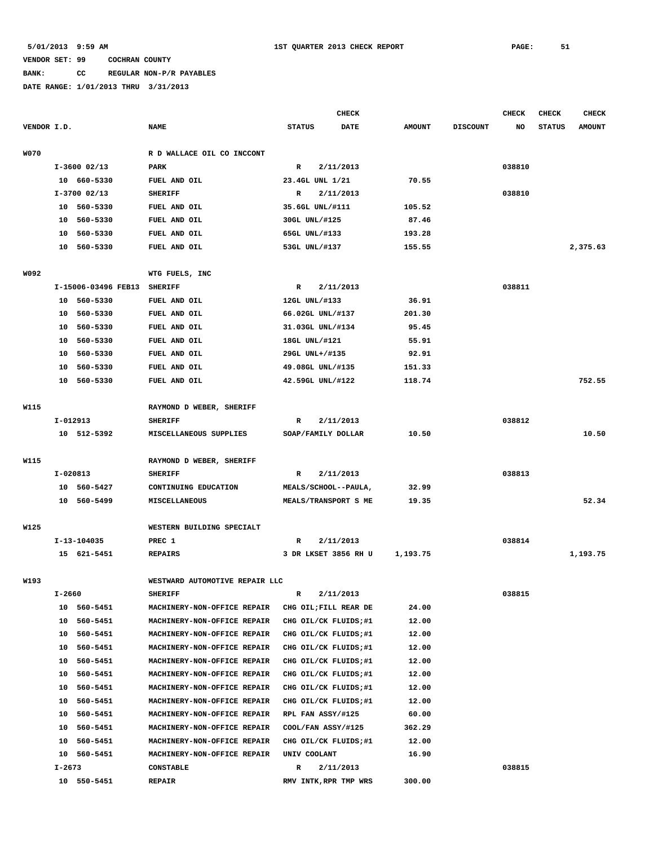# **BANK: CC REGULAR NON-P/R PAYABLES**

|             |          |                     |                                |                       | <b>CHECK</b>          |               |                 | <b>CHECK</b> | <b>CHECK</b>  | <b>CHECK</b>  |
|-------------|----------|---------------------|--------------------------------|-----------------------|-----------------------|---------------|-----------------|--------------|---------------|---------------|
| VENDOR I.D. |          |                     | <b>NAME</b>                    | <b>STATUS</b>         | <b>DATE</b>           | <b>AMOUNT</b> | <b>DISCOUNT</b> | NO           | <b>STATUS</b> | <b>AMOUNT</b> |
| <b>W070</b> |          |                     | R D WALLACE OIL CO INCCONT     |                       |                       |               |                 |              |               |               |
|             |          | $I-3600$ 02/13      | PARK                           | R                     | 2/11/2013             |               |                 | 038810       |               |               |
|             |          | 10 660-5330         | FUEL AND OIL                   | 23.4GL UNL 1/21       |                       | 70.55         |                 |              |               |               |
|             |          | $I-3700$ 02/13      | <b>SHERIFF</b>                 | R                     | 2/11/2013             |               |                 | 038810       |               |               |
|             | 10       | 560-5330            | FUEL AND OIL                   | 35.6GL UNL/#111       |                       | 105.52        |                 |              |               |               |
|             | 10       | 560-5330            | FUEL AND OIL                   | 30GL UNL/#125         |                       | 87.46         |                 |              |               |               |
|             | 10       | 560-5330            | FUEL AND OIL                   | 65GL UNL/#133         |                       | 193.28        |                 |              |               |               |
|             |          | 10 560-5330         | FUEL AND OIL                   | 53GL UNL/#137         |                       | 155.55        |                 |              |               | 2,375.63      |
| W092        |          |                     | WTG FUELS, INC                 |                       |                       |               |                 |              |               |               |
|             |          | I-15006-03496 FEB13 | <b>SHERIFF</b>                 | R                     | 2/11/2013             |               |                 | 038811       |               |               |
|             |          | 10 560-5330         | FUEL AND OIL                   | 12GL UNL/#133         |                       | 36.91         |                 |              |               |               |
|             |          | 10 560-5330         | FUEL AND OIL                   | 66.02GL UNL/#137      |                       | 201.30        |                 |              |               |               |
|             | 10       | 560-5330            | FUEL AND OIL                   | 31.03GL UNL/#134      |                       | 95.45         |                 |              |               |               |
|             | 10       | 560-5330            | FUEL AND OIL                   | 18GL UNL/#121         |                       | 55.91         |                 |              |               |               |
|             | 10       | 560-5330            | FUEL AND OIL                   | 29GL UNL+/#135        |                       | 92.91         |                 |              |               |               |
|             | 10       | 560-5330            | FUEL AND OIL                   | 49.08GL UNL/#135      |                       | 151.33        |                 |              |               |               |
|             | 10       | 560-5330            | FUEL AND OIL                   | 42.59GL UNL/#122      |                       | 118.74        |                 |              |               | 752.55        |
|             |          |                     |                                |                       |                       |               |                 |              |               |               |
| W115        |          |                     | RAYMOND D WEBER, SHERIFF       |                       |                       |               |                 |              |               |               |
|             | I-012913 |                     | <b>SHERIFF</b>                 | R                     | 2/11/2013             |               |                 | 038812       |               |               |
|             |          | 10 512-5392         | MISCELLANEOUS SUPPLIES         | SOAP/FAMILY DOLLAR    |                       | 10.50         |                 |              |               | 10.50         |
| <b>W115</b> |          |                     | RAYMOND D WEBER, SHERIFF       |                       |                       |               |                 |              |               |               |
|             | I-020813 |                     | <b>SHERIFF</b>                 | R                     | 2/11/2013             |               |                 | 038813       |               |               |
|             |          | 10 560-5427         | CONTINUING EDUCATION           | MEALS/SCHOOL--PAULA,  |                       | 32.99         |                 |              |               |               |
|             |          | 10 560-5499         | MISCELLANEOUS                  | MEALS/TRANSPORT S ME  |                       | 19.35         |                 |              |               | 52.34         |
|             |          |                     |                                |                       |                       |               |                 |              |               |               |
| W125        |          |                     | WESTERN BUILDING SPECIALT      |                       |                       |               |                 |              |               |               |
|             |          | $I - 13 - 104035$   | PREC 1                         | R                     | 2/11/2013             |               |                 | 038814       |               |               |
|             |          | 15 621-5451         | <b>REPAIRS</b>                 | 3 DR LKSET 3856 RH U  |                       | 1,193.75      |                 |              |               | 1,193.75      |
| W193        |          |                     | WESTWARD AUTOMOTIVE REPAIR LLC |                       |                       |               |                 |              |               |               |
|             | I-2660   |                     | <b>SHERIFF</b>                 | R                     | 2/11/2013             |               |                 | 038815       |               |               |
|             |          | 10 560-5451         | MACHINERY-NON-OFFICE REPAIR    |                       | CHG OIL; FILL REAR DE | 24.00         |                 |              |               |               |
|             | 10       | 560-5451            | MACHINERY-NON-OFFICE REPAIR    | CHG OIL/CK FLUIDS;#1  |                       | 12.00         |                 |              |               |               |
|             | 10       | 560-5451            | MACHINERY-NON-OFFICE REPAIR    | CHG OIL/CK FLUIDS;#1  |                       | 12.00         |                 |              |               |               |
|             | 10       | 560-5451            | MACHINERY-NON-OFFICE REPAIR    | CHG OIL/CK FLUIDS;#1  |                       | 12.00         |                 |              |               |               |
|             | 10       | 560-5451            | MACHINERY-NON-OFFICE REPAIR    | CHG OIL/CK FLUIDS;#1  |                       | 12.00         |                 |              |               |               |
|             | 10       | 560-5451            | MACHINERY-NON-OFFICE REPAIR    | CHG OIL/CK FLUIDS;#1  |                       | 12.00         |                 |              |               |               |
|             | 10       | 560-5451            | MACHINERY-NON-OFFICE REPAIR    | CHG OIL/CK FLUIDS;#1  |                       | 12.00         |                 |              |               |               |
|             | 10       | 560-5451            | MACHINERY-NON-OFFICE REPAIR    | CHG OIL/CK FLUIDS;#1  |                       | 12.00         |                 |              |               |               |
|             | 10       | 560-5451            | MACHINERY-NON-OFFICE REPAIR    | RPL FAN ASSY/#125     |                       | 60.00         |                 |              |               |               |
|             | 10       | 560-5451            | MACHINERY-NON-OFFICE REPAIR    | COOL/FAN ASSY/#125    |                       | 362.29        |                 |              |               |               |
|             | 10       | 560-5451            | MACHINERY-NON-OFFICE REPAIR    | CHG OIL/CK FLUIDS;#1  |                       | 12.00         |                 |              |               |               |
|             |          | 10 560-5451         | MACHINERY-NON-OFFICE REPAIR    | UNIV COOLANT          |                       | 16.90         |                 |              |               |               |
|             | I-2673   |                     | <b>CONSTABLE</b>               | R                     | 2/11/2013             |               |                 | 038815       |               |               |
|             |          | 10 550-5451         | <b>REPAIR</b>                  | RMV INTK, RPR TMP WRS |                       | 300.00        |                 |              |               |               |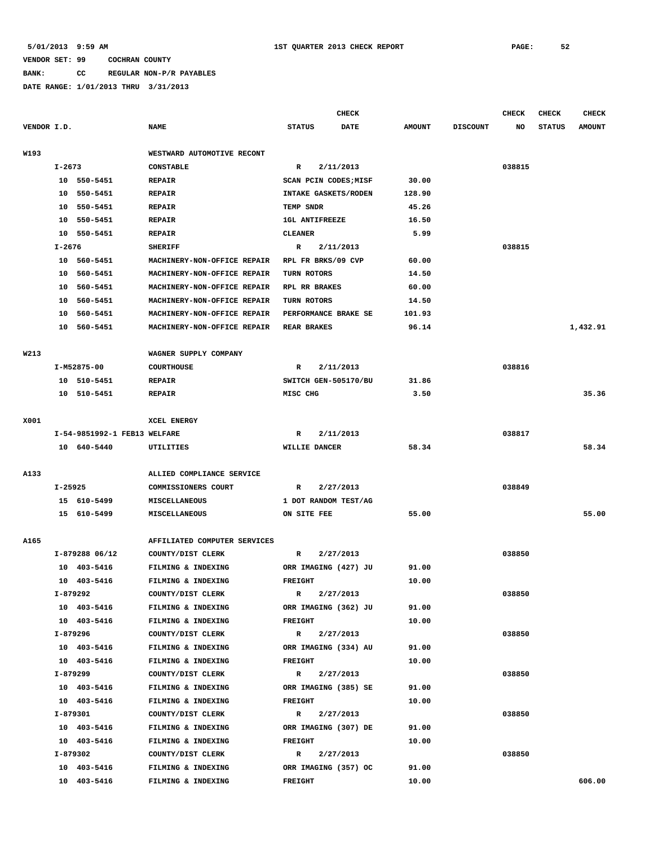# **BANK: CC REGULAR NON-P/R PAYABLES**

|             |            |                              |                              |                       | CHECK       |               |                 | <b>CHECK</b> | <b>CHECK</b>  | <b>CHECK</b>  |
|-------------|------------|------------------------------|------------------------------|-----------------------|-------------|---------------|-----------------|--------------|---------------|---------------|
| VENDOR I.D. |            |                              | <b>NAME</b>                  | <b>STATUS</b>         | <b>DATE</b> | <b>AMOUNT</b> | <b>DISCOUNT</b> | NO           | <b>STATUS</b> | <b>AMOUNT</b> |
| W193        |            |                              | WESTWARD AUTOMOTIVE RECONT   |                       |             |               |                 |              |               |               |
|             | I-2673     |                              | <b>CONSTABLE</b>             | $\mathbf{R}$          | 2/11/2013   |               |                 | 038815       |               |               |
|             |            | 10 550-5451                  | <b>REPAIR</b>                | SCAN PCIN CODES; MISF |             | 30.00         |                 |              |               |               |
|             |            | 10 550-5451                  | <b>REPAIR</b>                | INTAKE GASKETS/RODEN  |             | 128.90        |                 |              |               |               |
|             |            | 10 550-5451                  | <b>REPAIR</b>                | TEMP SNDR             |             | 45.26         |                 |              |               |               |
|             | 10         | 550-5451                     | <b>REPAIR</b>                | <b>1GL ANTIFREEZE</b> |             | 16.50         |                 |              |               |               |
|             | 10         | 550-5451                     | <b>REPAIR</b>                | <b>CLEANER</b>        |             | 5.99          |                 |              |               |               |
|             | $I - 2676$ |                              | <b>SHERIFF</b>               | R                     | 2/11/2013   |               |                 | 038815       |               |               |
|             |            | 10 560-5451                  | MACHINERY-NON-OFFICE REPAIR  | RPL FR BRKS/09 CVP    |             | 60.00         |                 |              |               |               |
|             | 10         | 560-5451                     | MACHINERY-NON-OFFICE REPAIR  | TURN ROTORS           |             | 14.50         |                 |              |               |               |
|             | 10         | 560-5451                     | MACHINERY-NON-OFFICE REPAIR  | RPL RR BRAKES         |             | 60.00         |                 |              |               |               |
|             | 10         | 560-5451                     | MACHINERY-NON-OFFICE REPAIR  | TURN ROTORS           |             | 14.50         |                 |              |               |               |
|             | 10         | 560-5451                     | MACHINERY-NON-OFFICE REPAIR  | PERFORMANCE BRAKE SE  |             | 101.93        |                 |              |               |               |
|             |            | 10 560-5451                  | MACHINERY-NON-OFFICE REPAIR  | <b>REAR BRAKES</b>    |             | 96.14         |                 |              |               | 1,432.91      |
|             |            |                              |                              |                       |             |               |                 |              |               |               |
| W213        |            |                              | WAGNER SUPPLY COMPANY        |                       |             |               |                 |              |               |               |
|             |            | I-M52875-00                  | <b>COURTHOUSE</b>            | $\mathbb{R}$          | 2/11/2013   |               |                 | 038816       |               |               |
|             |            | 10 510-5451                  | <b>REPAIR</b>                | SWITCH GEN-505170/BU  |             | 31.86         |                 |              |               |               |
|             |            | 10 510-5451                  | <b>REPAIR</b>                | MISC CHG              |             | 3.50          |                 |              |               | 35.36         |
| X001        |            |                              | XCEL ENERGY                  |                       |             |               |                 |              |               |               |
|             |            | I-54-9851992-1 FEB13 WELFARE |                              | $\mathbb{R}$          | 2/11/2013   |               |                 | 038817       |               |               |
|             |            | 10 640-5440                  | UTILITIES                    | WILLIE DANCER         |             | 58.34         |                 |              |               | 58.34         |
|             |            |                              |                              |                       |             |               |                 |              |               |               |
| A133        |            |                              | ALLIED COMPLIANCE SERVICE    | $\mathbb{R}$          |             |               |                 |              |               |               |
|             | I-25925    |                              | COMMISSIONERS COURT          |                       | 2/27/2013   |               |                 | 038849       |               |               |
|             |            | 15 610-5499                  | MISCELLANEOUS                | 1 DOT RANDOM TEST/AG  |             |               |                 |              |               |               |
|             |            | 15 610-5499                  | MISCELLANEOUS                | ON SITE FEE           |             | 55.00         |                 |              |               | 55.00         |
| A165        |            |                              | AFFILIATED COMPUTER SERVICES |                       |             |               |                 |              |               |               |
|             |            | I-879288 06/12               | COUNTY/DIST CLERK            | R                     | 2/27/2013   |               |                 | 038850       |               |               |
|             |            | 10 403-5416                  | FILMING & INDEXING           | ORR IMAGING (427) JU  |             | 91.00         |                 |              |               |               |
|             |            | 10 403-5416                  | FILMING & INDEXING           | <b>FREIGHT</b>        |             | 10.00         |                 |              |               |               |
|             | I-879292   |                              | COUNTY/DIST CLERK            | R                     | 2/27/2013   |               |                 | 038850       |               |               |
|             |            | 10 403-5416                  | FILMING & INDEXING           | ORR IMAGING (362) JU  |             | 91.00         |                 |              |               |               |
|             |            | 10 403-5416                  | FILMING & INDEXING           | <b>FREIGHT</b>        |             | 10.00         |                 |              |               |               |
|             |            | I-879296                     | COUNTY/DIST CLERK            | R                     | 2/27/2013   |               |                 | 038850       |               |               |
|             |            | 10 403-5416                  | FILMING & INDEXING           | ORR IMAGING (334) AU  |             | 91.00         |                 |              |               |               |
|             |            | 10 403-5416                  | FILMING & INDEXING           | FREIGHT               |             | 10.00         |                 |              |               |               |
|             |            | I-879299                     | COUNTY/DIST CLERK            | $\mathbf{R}$          | 2/27/2013   |               |                 | 038850       |               |               |
|             |            | 10 403-5416                  | FILMING & INDEXING           | ORR IMAGING (385) SE  |             | 91.00         |                 |              |               |               |
|             |            | 10 403-5416                  | FILMING & INDEXING           | FREIGHT               |             | 10.00         |                 |              |               |               |
|             | I-879301   |                              | COUNTY/DIST CLERK            | $\mathbf{R}$          | 2/27/2013   |               |                 | 038850       |               |               |
|             |            | 10 403-5416                  | FILMING & INDEXING           | ORR IMAGING (307) DE  |             | 91.00         |                 |              |               |               |
|             |            | 10 403-5416                  | FILMING & INDEXING           | <b>FREIGHT</b>        |             | 10.00         |                 |              |               |               |
|             |            | I-879302                     | COUNTY/DIST CLERK            | $\mathbf{R}$          | 2/27/2013   |               |                 | 038850       |               |               |
|             |            | 10 403-5416                  | FILMING & INDEXING           | ORR IMAGING (357) OC  |             | 91.00         |                 |              |               |               |
|             |            | 10 403-5416                  | FILMING & INDEXING           | <b>FREIGHT</b>        |             | 10.00         |                 |              |               | 606.00        |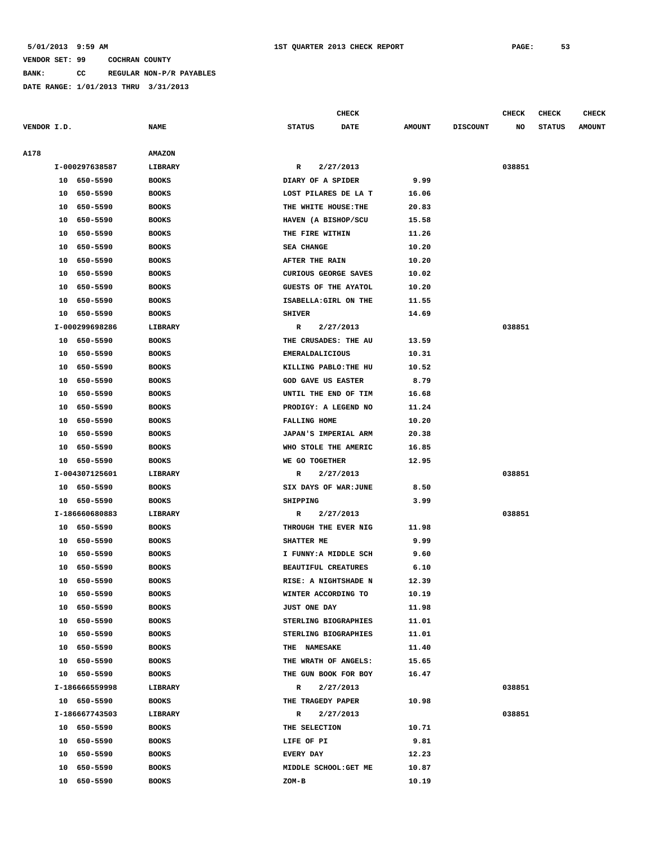**BANK: CC REGULAR NON-P/R PAYABLES**

**DATE RANGE: 1/01/2013 THRU 3/31/2013**

**CHECK CHECK CHECK CHECK CHECK CHECK CHECK VENDOR I.D. NAME STATUS DATE AMOUNT DISCOUNT NO STATUS AMOUNT**

**A178 AMAZON I-000297638587 LIBRARY R 2/27/2013 038851 10 650-5590 BOOKS DIARY OF A SPIDER 9.99 10 650-5590 BOOKS LOST PILARES DE LA T 16.06 10 650-5590 BOOKS THE WHITE HOUSE:THE 20.83 10 650-5590 BOOKS HAVEN (A BISHOP/SCU 15.58 10 650-5590 BOOKS THE FIRE WITHIN 11.26 10 650-5590 BOOKS SEA CHANGE 10.20 10 650-5590 BOOKS AFTER THE RAIN 10.20 10 650-5590 BOOKS CURIOUS GEORGE SAVES 10.02 10 650-5590 BOOKS GUESTS OF THE AYATOL 10.20 10 650-5590 BOOKS ISABELLA:GIRL ON THE 11.55 10 650-5590 BOOKS SHIVER 14.69 I-000299698286 LIBRARY R 2/27/2013 038851 10 650-5590 BOOKS THE CRUSADES: THE AU 13.59 10 650-5590 BOOKS EMERALDALICIOUS 10.31 10 650-5590 BOOKS KILLING PABLO:THE HU 10.52 10 650-5590 BOOKS GOD GAVE US EASTER 8.79 10 650-5590 BOOKS UNTIL THE END OF TIM 16.68 10 650-5590 BOOKS PRODIGY: A LEGEND NO 11.24 10 650-5590 BOOKS FALLING HOME 10.20 10 650-5590 BOOKS JAPAN'S IMPERIAL ARM 20.38 10 650-5590 BOOKS WHO STOLE THE AMERIC 16.85 10 650-5590 BOOKS WE GO TOGETHER 12.95 I-004307125601 LIBRARY R 2/27/2013 038851 10 650-5590 BOOKS SIX DAYS OF WAR:JUNE 8.50 10 650-5590 BOOKS SHIPPING 3.99 I-186660680883 LIBRARY R 2/27/2013 038851 10 650-5590 BOOKS THROUGH THE EVER NIG 11.98 10 650-5590 BOOKS SHATTER ME 9.99 10 650-5590 BOOKS I FUNNY:A MIDDLE SCH 9.60 10 650-5590 BOOKS BEAUTIFUL CREATURES 6.10 10 650-5590 BOOKS RISE: A NIGHTSHADE N 12.39 10 650-5590 BOOKS WINTER ACCORDING TO 10.19 10 650-5590 BOOKS JUST ONE DAY 11.98 10 650-5590 BOOKS STERLING BIOGRAPHIES 11.01 10 650-5590 BOOKS STERLING BIOGRAPHIES 11.01 10 650-5590 BOOKS THE NAMESAKE 11.40 10 650-5590 BOOKS THE WRATH OF ANGELS: 15.65 10 650-5590 BOOKS THE GUN BOOK FOR BOY 16.47 I-186666559998 LIBRARY R 2/27/2013 038851 10 650-5590 BOOKS THE TRAGEDY PAPER 10.98 I-186667743503 LIBRARY R 2/27/2013 038851 10 650-5590 BOOKS THE SELECTION 10.71 10 650-5590 BOOKS LIFE OF PI 9.81 10 650-5590 BOOKS EVERY DAY 12.23 10 650-5590 BOOKS MIDDLE SCHOOL:GET ME 10.87 10 650-5590 BOOKS ZOM-B 10.19**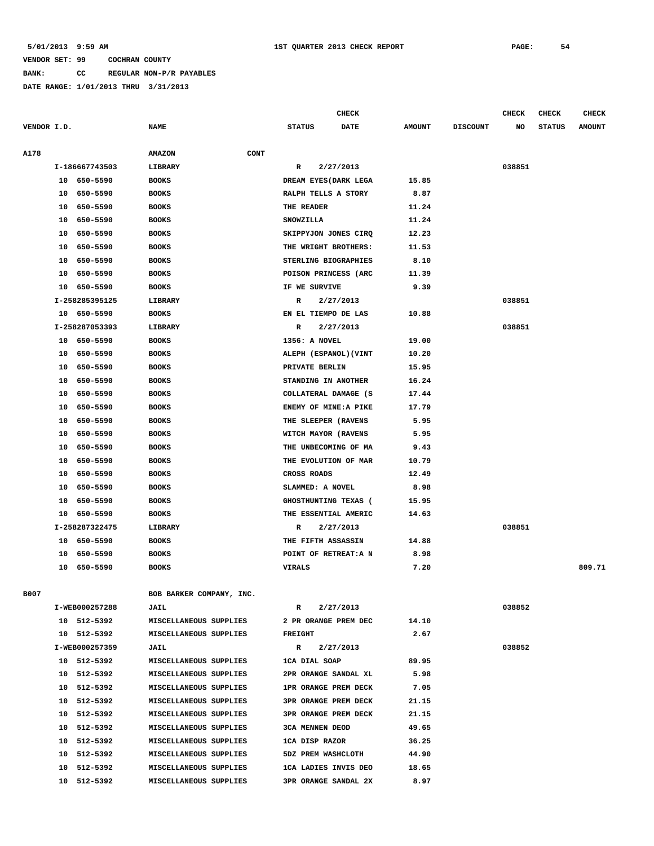**BANK: CC REGULAR NON-P/R PAYABLES**

|             |    |                |                              |                             | <b>CHECK</b> |               |                 | CHECK  | <b>CHECK</b>  | <b>CHECK</b>  |
|-------------|----|----------------|------------------------------|-----------------------------|--------------|---------------|-----------------|--------|---------------|---------------|
| VENDOR I.D. |    |                | NAME                         | <b>STATUS</b>               | <b>DATE</b>  | <b>AMOUNT</b> | <b>DISCOUNT</b> | NO     | <b>STATUS</b> | <b>AMOUNT</b> |
|             |    |                |                              |                             |              |               |                 |        |               |               |
| A178        |    |                | <b>CONT</b><br><b>AMAZON</b> |                             |              |               |                 |        |               |               |
|             |    | I-186667743503 | LIBRARY                      | R                           | 2/27/2013    |               |                 | 038851 |               |               |
|             |    | 10 650-5590    | <b>BOOKS</b>                 | DREAM EYES (DARK LEGA       |              | 15.85         |                 |        |               |               |
|             |    | 10 650-5590    | <b>BOOKS</b>                 | RALPH TELLS A STORY         |              | 8.87          |                 |        |               |               |
|             | 10 | 650-5590       | <b>BOOKS</b>                 | THE READER                  |              | 11.24         |                 |        |               |               |
|             | 10 | 650-5590       | <b>BOOKS</b>                 | <b>SNOWZILLA</b>            |              | 11.24         |                 |        |               |               |
|             | 10 | 650-5590       | <b>BOOKS</b>                 | SKIPPYJON JONES CIRQ        |              | 12.23         |                 |        |               |               |
|             | 10 | 650-5590       | <b>BOOKS</b>                 | THE WRIGHT BROTHERS:        |              | 11.53         |                 |        |               |               |
|             |    | 10 650-5590    | <b>BOOKS</b>                 | STERLING BIOGRAPHIES        |              | 8.10          |                 |        |               |               |
|             | 10 | 650-5590       | <b>BOOKS</b>                 | POISON PRINCESS (ARC        |              | 11.39         |                 |        |               |               |
|             | 10 | 650-5590       | <b>BOOKS</b>                 | IF WE SURVIVE               |              | 9.39          |                 |        |               |               |
|             |    | I-258285395125 | LIBRARY                      | R                           | 2/27/2013    |               |                 | 038851 |               |               |
|             |    | 10 650-5590    | <b>BOOKS</b>                 | EN EL TIEMPO DE LAS         |              | 10.88         |                 |        |               |               |
|             |    | I-258287053393 | LIBRARY                      | R                           | 2/27/2013    |               |                 | 038851 |               |               |
|             |    | 10 650-5590    | <b>BOOKS</b>                 | 1356: A NOVEL               |              | 19.00         |                 |        |               |               |
|             |    | 10 650-5590    | <b>BOOKS</b>                 | ALEPH (ESPANOL) (VINT       |              | 10.20         |                 |        |               |               |
|             | 10 | 650-5590       | <b>BOOKS</b>                 | PRIVATE BERLIN              |              | 15.95         |                 |        |               |               |
|             | 10 | 650-5590       | <b>BOOKS</b>                 | STANDING IN ANOTHER         |              | 16.24         |                 |        |               |               |
|             | 10 | 650-5590       | <b>BOOKS</b>                 | COLLATERAL DAMAGE (S        |              | 17.44         |                 |        |               |               |
|             | 10 | 650-5590       | <b>BOOKS</b>                 | ENEMY OF MINE: A PIKE       |              | 17.79         |                 |        |               |               |
|             | 10 | 650-5590       | <b>BOOKS</b>                 | THE SLEEPER (RAVENS         |              | 5.95          |                 |        |               |               |
|             | 10 | 650-5590       | <b>BOOKS</b>                 | WITCH MAYOR (RAVENS         |              | 5.95          |                 |        |               |               |
|             | 10 | 650-5590       | <b>BOOKS</b>                 | THE UNBECOMING OF MA        |              | 9.43          |                 |        |               |               |
|             | 10 | 650-5590       | <b>BOOKS</b>                 | THE EVOLUTION OF MAR        |              | 10.79         |                 |        |               |               |
|             | 10 | 650-5590       | <b>BOOKS</b>                 | CROSS ROADS                 |              | 12.49         |                 |        |               |               |
|             | 10 | 650-5590       | <b>BOOKS</b>                 | SLAMMED: A NOVEL            |              | 8.98          |                 |        |               |               |
|             | 10 | 650-5590       | <b>BOOKS</b>                 | GHOSTHUNTING TEXAS (        |              | 15.95         |                 |        |               |               |
|             | 10 | 650-5590       | <b>BOOKS</b>                 | THE ESSENTIAL AMERIC        |              | 14.63         |                 |        |               |               |
|             |    | I-258287322475 | LIBRARY                      | R                           | 2/27/2013    |               |                 | 038851 |               |               |
|             | 10 | 650-5590       | <b>BOOKS</b>                 | THE FIFTH ASSASSIN          |              | 14.88         |                 |        |               |               |
|             | 10 | 650-5590       | <b>BOOKS</b>                 | POINT OF RETREAT: A N       |              | 8.98          |                 |        |               |               |
|             | 10 | 650-5590       | <b>BOOKS</b>                 | VIRALS                      |              | 7.20          |                 |        |               | 809.71        |
|             |    |                |                              |                             |              |               |                 |        |               |               |
| B007        |    |                | BOB BARKER COMPANY, INC.     |                             |              |               |                 |        |               |               |
|             |    | I-WEB000257288 | JAIL                         | R                           | 2/27/2013    |               |                 | 038852 |               |               |
|             |    | 10 512-5392    | MISCELLANEOUS SUPPLIES       | 2 PR ORANGE PREM DEC        |              | 14.10         |                 |        |               |               |
|             |    | 10 512-5392    | MISCELLANEOUS SUPPLIES       | <b>FREIGHT</b>              |              | 2.67          |                 |        |               |               |
|             |    | I-WEB000257359 | JAIL                         | $\mathbb{R}$                | 2/27/2013    |               |                 | 038852 |               |               |
|             |    | 10 512-5392    | MISCELLANEOUS SUPPLIES       | 1CA DIAL SOAP               |              | 89.95         |                 |        |               |               |
|             |    | 10 512-5392    | MISCELLANEOUS SUPPLIES       | 2PR ORANGE SANDAL XL        |              | 5.98          |                 |        |               |               |
|             |    | 10 512-5392    | MISCELLANEOUS SUPPLIES       | 1PR ORANGE PREM DECK        |              | 7.05          |                 |        |               |               |
|             |    | 10 512-5392    | MISCELLANEOUS SUPPLIES       | <b>3PR ORANGE PREM DECK</b> |              | 21.15         |                 |        |               |               |
|             |    | 10 512-5392    | MISCELLANEOUS SUPPLIES       | 3PR ORANGE PREM DECK        |              | 21.15         |                 |        |               |               |
|             |    | 10 512-5392    | MISCELLANEOUS SUPPLIES       | 3CA MENNEN DEOD             |              | 49.65         |                 |        |               |               |
|             |    | 10 512-5392    | MISCELLANEOUS SUPPLIES       | 1CA DISP RAZOR              |              | 36.25         |                 |        |               |               |
|             |    | 10 512-5392    | MISCELLANEOUS SUPPLIES       | 5DZ PREM WASHCLOTH          |              | 44.90         |                 |        |               |               |
|             |    | 10 512-5392    | MISCELLANEOUS SUPPLIES       | 1CA LADIES INVIS DEO        |              | 18.65         |                 |        |               |               |
|             |    | 10 512-5392    | MISCELLANEOUS SUPPLIES       | 3PR ORANGE SANDAL 2X        |              | 8.97          |                 |        |               |               |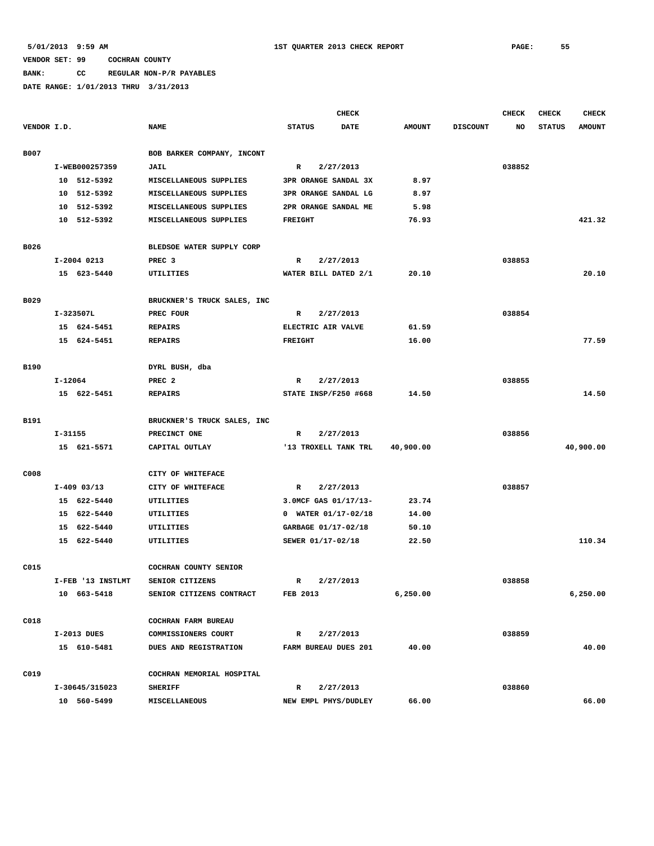**BANK: CC REGULAR NON-P/R PAYABLES**

|             |           |                   |                             |                      | <b>CHECK</b> |               |                 | <b>CHECK</b> | <b>CHECK</b>  | <b>CHECK</b>  |
|-------------|-----------|-------------------|-----------------------------|----------------------|--------------|---------------|-----------------|--------------|---------------|---------------|
| VENDOR I.D. |           |                   | <b>NAME</b>                 | <b>STATUS</b>        | <b>DATE</b>  | <b>AMOUNT</b> | <b>DISCOUNT</b> | NO           | <b>STATUS</b> | <b>AMOUNT</b> |
| <b>B007</b> |           |                   | BOB BARKER COMPANY, INCONT  |                      |              |               |                 |              |               |               |
|             |           | I-WEB000257359    | <b>JAIL</b>                 | R                    | 2/27/2013    |               |                 | 038852       |               |               |
|             |           | 10 512-5392       | MISCELLANEOUS SUPPLIES      | 3PR ORANGE SANDAL 3X |              | 8.97          |                 |              |               |               |
|             |           | 10 512-5392       | MISCELLANEOUS SUPPLIES      | 3PR ORANGE SANDAL LG |              | 8.97          |                 |              |               |               |
|             |           | 10 512-5392       | MISCELLANEOUS SUPPLIES      | 2PR ORANGE SANDAL ME |              | 5.98          |                 |              |               |               |
|             |           | 10 512-5392       | MISCELLANEOUS SUPPLIES      | <b>FREIGHT</b>       |              | 76.93         |                 |              |               | 421.32        |
|             |           |                   |                             |                      |              |               |                 |              |               |               |
| B026        |           |                   | BLEDSOE WATER SUPPLY CORP   |                      |              |               |                 |              |               |               |
|             |           | I-2004 0213       | PREC <sub>3</sub>           | R                    | 2/27/2013    |               |                 | 038853       |               |               |
|             |           | 15 623-5440       | UTILITIES                   | WATER BILL DATED 2/1 |              | 20.10         |                 |              |               | 20.10         |
| B029        |           |                   | BRUCKNER'S TRUCK SALES, INC |                      |              |               |                 |              |               |               |
|             | I-323507L |                   | PREC FOUR                   | R                    | 2/27/2013    |               |                 | 038854       |               |               |
|             |           | 15 624-5451       | <b>REPAIRS</b>              | ELECTRIC AIR VALVE   |              | 61.59         |                 |              |               |               |
|             |           | 15 624-5451       | <b>REPAIRS</b>              | <b>FREIGHT</b>       |              | 16.00         |                 |              |               | 77.59         |
|             |           |                   |                             |                      |              |               |                 |              |               |               |
| B190        |           |                   | DYRL BUSH, dba              |                      |              |               |                 |              |               |               |
|             | I-12064   |                   | PREC <sub>2</sub>           | R                    | 2/27/2013    |               |                 | 038855       |               |               |
|             |           | 15 622-5451       | <b>REPAIRS</b>              | STATE INSP/F250 #668 |              | 14.50         |                 |              |               | 14.50         |
| B191        |           |                   | BRUCKNER'S TRUCK SALES, INC |                      |              |               |                 |              |               |               |
|             | I-31155   |                   | PRECINCT ONE                | R                    | 2/27/2013    |               |                 | 038856       |               |               |
|             |           | 15 621-5571       | CAPITAL OUTLAY              | '13 TROXELL TANK TRL |              | 40,900.00     |                 |              |               | 40,900.00     |
|             |           |                   |                             |                      |              |               |                 |              |               |               |
| C008        |           |                   | CITY OF WHITEFACE           |                      |              |               |                 |              |               |               |
|             |           | $I-409$ 03/13     | CITY OF WHITEFACE           | R                    | 2/27/2013    |               |                 | 038857       |               |               |
|             |           | 15 622-5440       | UTILITIES                   | 3.0MCF GAS 01/17/13- |              | 23.74         |                 |              |               |               |
|             |           | 15 622-5440       | UTILITIES                   | 0 WATER 01/17-02/18  |              | 14.00         |                 |              |               |               |
|             |           | 15 622-5440       | UTILITIES                   | GARBAGE 01/17-02/18  |              | 50.10         |                 |              |               |               |
|             |           | 15 622-5440       | UTILITIES                   | SEWER 01/17-02/18    |              | 22.50         |                 |              |               | 110.34        |
| C015        |           |                   | COCHRAN COUNTY SENIOR       |                      |              |               |                 |              |               |               |
|             |           | I-FEB '13 INSTLMT | SENIOR CITIZENS             | R                    | 2/27/2013    |               |                 | 038858       |               |               |
|             |           | 10 663-5418       | SENIOR CITIZENS CONTRACT    | <b>FEB 2013</b>      |              | 6,250.00      |                 |              |               | 6,250.00      |
|             |           |                   |                             |                      |              |               |                 |              |               |               |
| C018        |           |                   | COCHRAN FARM BUREAU         |                      |              |               |                 |              |               |               |
|             |           | I-2013 DUES       | COMMISSIONERS COURT         | $\mathbf{R}$         | 2/27/2013    |               |                 | 038859       |               |               |
|             |           | 15 610-5481       | DUES AND REGISTRATION       | FARM BUREAU DUES 201 |              | 40.00         |                 |              |               | 40.00         |
| C019        |           |                   | COCHRAN MEMORIAL HOSPITAL   |                      |              |               |                 |              |               |               |
|             |           | I-30645/315023    | <b>SHERIFF</b>              | R                    | 2/27/2013    |               |                 | 038860       |               |               |
|             |           | 10 560-5499       | MISCELLANEOUS               | NEW EMPL PHYS/DUDLEY |              | 66.00         |                 |              |               | 66.00         |
|             |           |                   |                             |                      |              |               |                 |              |               |               |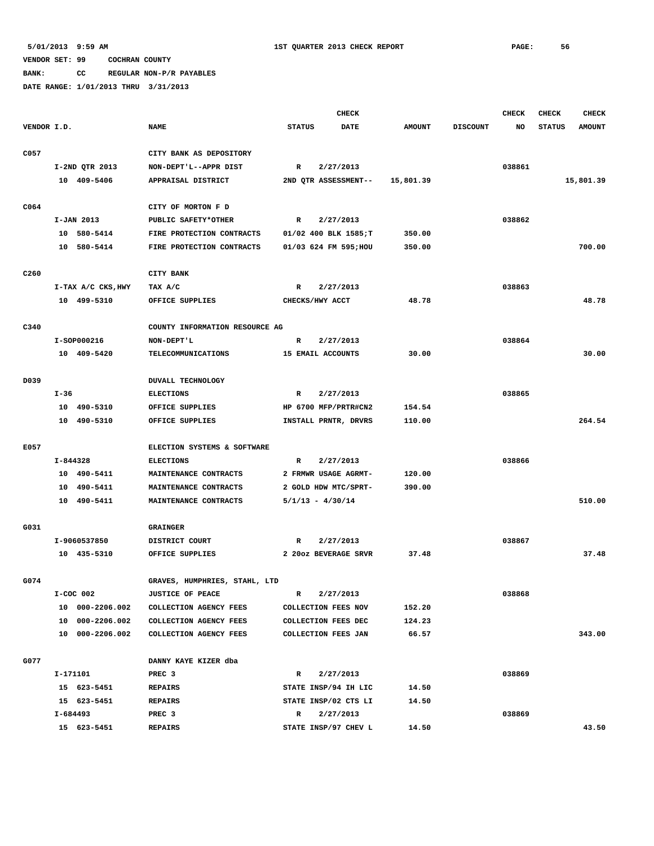**BANK: CC REGULAR NON-P/R PAYABLES**

|                  |          |                    |                                   |               | <b>CHECK</b>          |               |                 | <b>CHECK</b> | <b>CHECK</b>  | <b>CHECK</b>  |
|------------------|----------|--------------------|-----------------------------------|---------------|-----------------------|---------------|-----------------|--------------|---------------|---------------|
| VENDOR I.D.      |          |                    | <b>NAME</b>                       | <b>STATUS</b> | DATE                  | <b>AMOUNT</b> | <b>DISCOUNT</b> | NO           | <b>STATUS</b> | <b>AMOUNT</b> |
|                  |          |                    |                                   |               |                       |               |                 |              |               |               |
| C057             |          |                    | CITY BANK AS DEPOSITORY           |               |                       |               |                 |              |               |               |
|                  |          | I-2ND QTR 2013     | NON-DEPT'L--APPR DIST             | $\mathbb{R}$  | 2/27/2013             |               |                 | 038861       |               |               |
|                  |          | 10 409-5406        | APPRAISAL DISTRICT                |               | 2ND QTR ASSESSMENT--  | 15,801.39     |                 |              |               | 15,801.39     |
|                  |          |                    |                                   |               |                       |               |                 |              |               |               |
| C064             |          |                    | CITY OF MORTON F D                |               |                       |               |                 |              |               |               |
|                  |          | I-JAN 2013         | PUBLIC SAFETY*OTHER               | R             | 2/27/2013             |               |                 | 038862       |               |               |
|                  |          | 10 580-5414        | FIRE PROTECTION CONTRACTS         |               | 01/02 400 BLK 1585;T  | 350.00        |                 |              |               |               |
|                  |          | 10 580-5414        | FIRE PROTECTION CONTRACTS         |               | 01/03 624 FM 595; HOU | 350.00        |                 |              |               | 700.00        |
| C <sub>260</sub> |          |                    | CITY BANK                         |               |                       |               |                 |              |               |               |
|                  |          | I-TAX A/C CKS, HWY | TAX A/C                           | $\mathbb{R}$  | 2/27/2013             |               |                 | 038863       |               |               |
|                  |          | 10 499-5310        | OFFICE SUPPLIES                   |               | CHECKS/HWY ACCT       | 48.78         |                 |              |               | 48.78         |
|                  |          |                    |                                   |               |                       |               |                 |              |               |               |
| C340             |          |                    | COUNTY INFORMATION RESOURCE AG    |               |                       |               |                 |              |               |               |
|                  |          | I-SOP000216        | NON-DEPT'L                        | R             | 2/27/2013             |               |                 | 038864       |               |               |
|                  |          | 10 409-5420        | <b>TELECOMMUNICATIONS</b>         |               | 15 EMAIL ACCOUNTS     | 30.00         |                 |              |               | 30.00         |
|                  |          |                    |                                   |               |                       |               |                 |              |               |               |
| D039             |          |                    | <b>DUVALL TECHNOLOGY</b>          |               |                       |               |                 |              |               |               |
|                  | I-36     |                    | <b>ELECTIONS</b>                  | R             | 2/27/2013             |               |                 | 038865       |               |               |
|                  |          | 10 490-5310        | OFFICE SUPPLIES                   |               | HP 6700 MFP/PRTR#CN2  | 154.54        |                 |              |               |               |
|                  |          | 10 490-5310        | OFFICE SUPPLIES                   |               | INSTALL PRNTR, DRVRS  | 110.00        |                 |              |               | 264.54        |
|                  |          |                    |                                   |               |                       |               |                 |              |               |               |
| E057             |          |                    | ELECTION SYSTEMS & SOFTWARE       |               |                       |               |                 |              |               |               |
|                  | I-844328 |                    | <b>ELECTIONS</b>                  | R             | 2/27/2013             |               |                 | 038866       |               |               |
|                  |          | 10 490-5411        | MAINTENANCE CONTRACTS             |               | 2 FRMWR USAGE AGRMT-  | 120.00        |                 |              |               |               |
|                  |          | 10 490-5411        | MAINTENANCE CONTRACTS             |               | 2 GOLD HDW MTC/SPRT-  | 390.00        |                 |              |               |               |
|                  |          | 10 490-5411        | MAINTENANCE CONTRACTS             |               | $5/1/13 - 4/30/14$    |               |                 |              |               | 510.00        |
|                  |          |                    |                                   |               |                       |               |                 |              |               |               |
| G031             |          | I-9060537850       | <b>GRAINGER</b><br>DISTRICT COURT | R             | 2/27/2013             |               |                 | 038867       |               |               |
|                  |          | 10 435-5310        | OFFICE SUPPLIES                   |               | 2 20oz BEVERAGE SRVR  | 37.48         |                 |              |               | 37.48         |
|                  |          |                    |                                   |               |                       |               |                 |              |               |               |
| G074             |          |                    | GRAVES, HUMPHRIES, STAHL, LTD     |               |                       |               |                 |              |               |               |
|                  |          | $I-COC$ 002        | <b>JUSTICE OF PEACE</b>           | R             | 2/27/2013             |               |                 | 038868       |               |               |
|                  |          | 10 000-2206.002    | COLLECTION AGENCY FEES            |               | COLLECTION FEES NOV   | 152.20        |                 |              |               |               |
|                  |          | 10 000-2206.002    | COLLECTION AGENCY FEES            |               | COLLECTION FEES DEC   | 124.23        |                 |              |               |               |
|                  |          | 10 000-2206.002    | COLLECTION AGENCY FEES            |               | COLLECTION FEES JAN   | 66.57         |                 |              |               | 343.00        |
| G077             |          |                    | DANNY KAYE KIZER dba              |               |                       |               |                 |              |               |               |
|                  | I-171101 |                    | PREC <sub>3</sub>                 | R             | 2/27/2013             |               |                 | 038869       |               |               |
|                  |          | 15 623-5451        | <b>REPAIRS</b>                    |               | STATE INSP/94 IH LIC  | 14.50         |                 |              |               |               |
|                  |          | 15 623-5451        | <b>REPAIRS</b>                    |               | STATE INSP/02 CTS LI  | 14.50         |                 |              |               |               |
|                  |          | I-684493           | PREC <sub>3</sub>                 | R             | 2/27/2013             |               |                 | 038869       |               |               |
|                  |          | 15 623-5451        | <b>REPAIRS</b>                    |               | STATE INSP/97 CHEV L  | 14.50         |                 |              |               | 43.50         |
|                  |          |                    |                                   |               |                       |               |                 |              |               |               |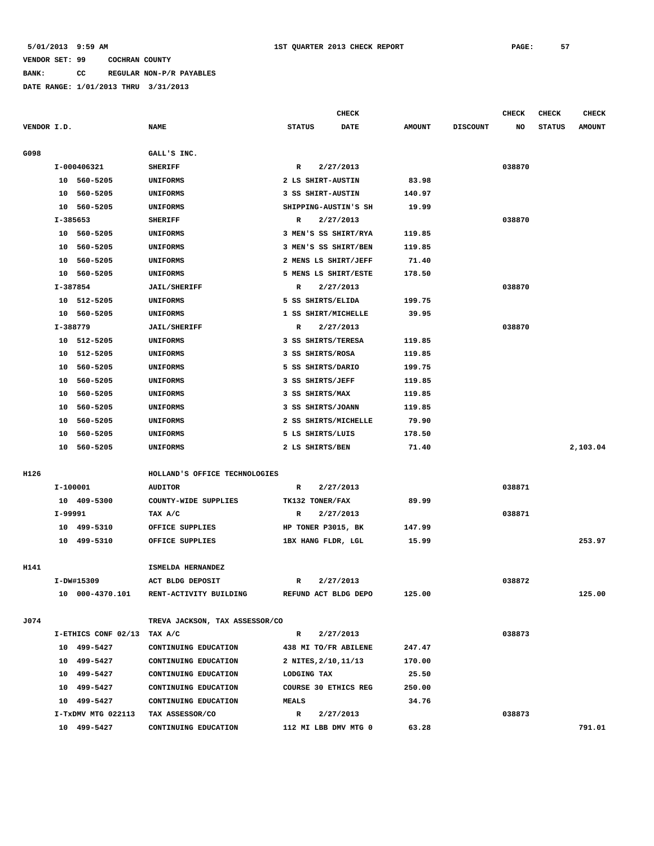**BANK: CC REGULAR NON-P/R PAYABLES**

|             |          |                             |                                |                      | <b>CHECK</b> |               |                 | <b>CHECK</b> | <b>CHECK</b>  | <b>CHECK</b>  |
|-------------|----------|-----------------------------|--------------------------------|----------------------|--------------|---------------|-----------------|--------------|---------------|---------------|
| VENDOR I.D. |          |                             | <b>NAME</b>                    | <b>STATUS</b>        | <b>DATE</b>  | <b>AMOUNT</b> | <b>DISCOUNT</b> | NO           | <b>STATUS</b> | <b>AMOUNT</b> |
|             |          |                             |                                |                      |              |               |                 |              |               |               |
| G098        |          |                             | GALL'S INC.                    |                      |              |               |                 |              |               |               |
|             |          | I-000406321                 | <b>SHERIFF</b>                 | R                    | 2/27/2013    |               |                 | 038870       |               |               |
|             |          | 10 560-5205                 | <b>UNIFORMS</b>                | 2 LS SHIRT-AUSTIN    |              | 83.98         |                 |              |               |               |
|             | 10       | 560-5205                    | <b>UNIFORMS</b>                | 3 SS SHIRT-AUSTIN    |              | 140.97        |                 |              |               |               |
|             | 10       | 560-5205                    | <b>UNIFORMS</b>                | SHIPPING-AUSTIN'S SH |              | 19.99         |                 |              |               |               |
|             | I-385653 |                             | <b>SHERIFF</b>                 | R                    | 2/27/2013    |               |                 | 038870       |               |               |
|             |          | 10 560-5205                 | <b>UNIFORMS</b>                | 3 MEN'S SS SHIRT/RYA |              | 119.85        |                 |              |               |               |
|             | 10       | 560-5205                    | <b>UNIFORMS</b>                | 3 MEN'S SS SHIRT/BEN |              | 119.85        |                 |              |               |               |
|             | 10       | 560-5205                    | <b>UNIFORMS</b>                | 2 MENS LS SHIRT/JEFF |              | 71.40         |                 |              |               |               |
|             | 10       | 560-5205                    | UNIFORMS                       | 5 MENS LS SHIRT/ESTE |              | 178.50        |                 |              |               |               |
|             | I-387854 |                             | <b>JAIL/SHERIFF</b>            | R                    | 2/27/2013    |               |                 | 038870       |               |               |
|             | 10       | 512-5205                    | <b>UNIFORMS</b>                | 5 SS SHIRTS/ELIDA    |              | 199.75        |                 |              |               |               |
|             | 10       | 560-5205                    | <b>UNIFORMS</b>                | 1 SS SHIRT/MICHELLE  |              | 39.95         |                 |              |               |               |
|             | I-388779 |                             | <b>JAIL/SHERIFF</b>            | R                    | 2/27/2013    |               |                 | 038870       |               |               |
|             |          | 10 512-5205                 | <b>UNIFORMS</b>                | 3 SS SHIRTS/TERESA   |              | 119.85        |                 |              |               |               |
|             | 10       | 512-5205                    | <b>UNIFORMS</b>                | 3 SS SHIRTS/ROSA     |              | 119.85        |                 |              |               |               |
|             | 10       | 560-5205                    | <b>UNIFORMS</b>                | 5 SS SHIRTS/DARIO    |              | 199.75        |                 |              |               |               |
|             | 10       | 560-5205                    | <b>UNIFORMS</b>                | 3 SS SHIRTS/JEFF     |              | 119.85        |                 |              |               |               |
|             | 10       | 560-5205                    | UNIFORMS                       | 3 SS SHIRTS/MAX      |              | 119.85        |                 |              |               |               |
|             | 10       | 560-5205                    | UNIFORMS                       | 3 SS SHIRTS/JOANN    |              | 119.85        |                 |              |               |               |
|             | 10       | 560-5205                    | <b>UNIFORMS</b>                | 2 SS SHIRTS/MICHELLE |              | 79.90         |                 |              |               |               |
|             | 10       | 560-5205                    | UNIFORMS                       | 5 LS SHIRTS/LUIS     |              | 178.50        |                 |              |               |               |
|             | 10       | 560-5205                    | <b>UNIFORMS</b>                | 2 LS SHIRTS/BEN      |              | 71.40         |                 |              |               | 2,103.04      |
|             |          |                             |                                |                      |              |               |                 |              |               |               |
| H126        |          |                             | HOLLAND'S OFFICE TECHNOLOGIES  |                      |              |               |                 |              |               |               |
|             | I-100001 |                             | <b>AUDITOR</b>                 | R                    | 2/27/2013    |               |                 | 038871       |               |               |
|             |          | 10 409-5300                 | COUNTY-WIDE SUPPLIES           | TK132 TONER/FAX      |              | 89.99         |                 |              |               |               |
|             | I-99991  |                             | TAX A/C                        | R                    | 2/27/2013    |               |                 | 038871       |               |               |
|             |          | 10 499-5310                 | OFFICE SUPPLIES                | HP TONER P3015, BK   |              | 147.99        |                 |              |               |               |
|             |          | 10 499-5310                 | OFFICE SUPPLIES                | 1BX HANG FLDR, LGL   |              | 15.99         |                 |              |               | 253.97        |
|             |          |                             |                                |                      |              |               |                 |              |               |               |
| H141        |          |                             | <b>ISMELDA HERNANDEZ</b>       |                      |              |               |                 |              |               |               |
|             |          | I-DW#15309                  | ACT BLDG DEPOSIT               | $\mathbb R$          | 2/27/2013    |               |                 | 038872       |               |               |
|             |          | 10 000-4370.101             | RENT-ACTIVITY BUILDING         | REFUND ACT BLDG DEPO |              | 125.00        |                 |              |               | 125.00        |
| J074        |          |                             | TREVA JACKSON, TAX ASSESSOR/CO |                      |              |               |                 |              |               |               |
|             |          | I-ETHICS CONF 02/13 TAX A/C |                                | $\mathbb{R}$         | 2/27/2013    |               |                 | 038873       |               |               |
|             |          | 10 499-5427                 | CONTINUING EDUCATION           | 438 MI TO/FR ABILENE |              | 247.47        |                 |              |               |               |
|             |          | 10 499-5427                 | CONTINUING EDUCATION           | 2 NITES, 2/10, 11/13 |              | 170.00        |                 |              |               |               |
|             |          | 10 499-5427                 | CONTINUING EDUCATION           | LODGING TAX          |              | 25.50         |                 |              |               |               |
|             |          | 10 499-5427                 | CONTINUING EDUCATION           | COURSE 30 ETHICS REG |              | 250.00        |                 |              |               |               |
|             |          | 10 499-5427                 | CONTINUING EDUCATION           | <b>MEALS</b>         |              | 34.76         |                 |              |               |               |
|             |          | I-TxDMV MTG 022113          | TAX ASSESSOR/CO                | $\mathbb{R}$         | 2/27/2013    |               |                 | 038873       |               |               |
|             |          | 10 499-5427                 | CONTINUING EDUCATION           | 112 MI LBB DMV MTG 0 |              | 63.28         |                 |              |               | 791.01        |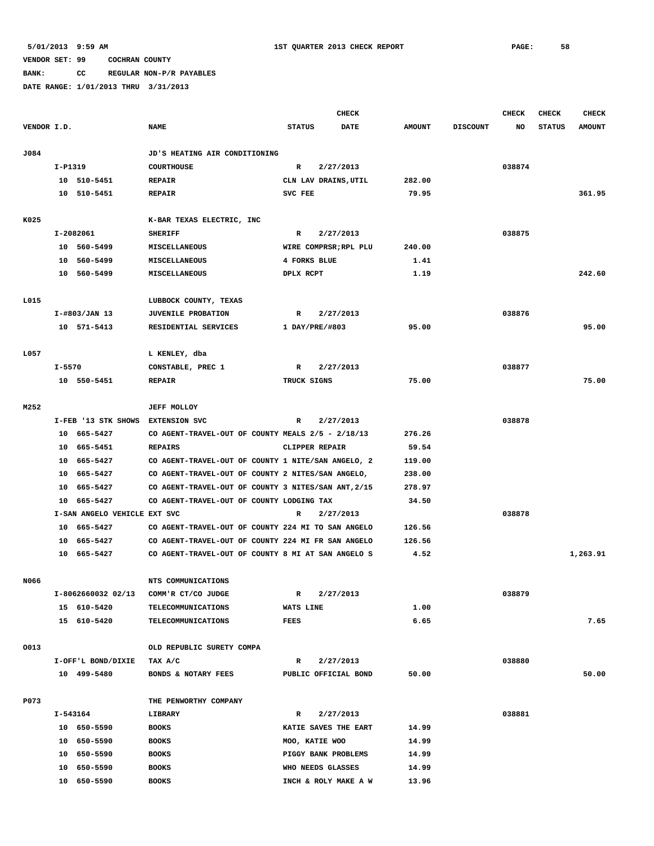**BANK: CC REGULAR NON-P/R PAYABLES**

|             |         |                                   |                                                     |                  | <b>CHECK</b>          |               |                 | <b>CHECK</b> | <b>CHECK</b>  | <b>CHECK</b>  |
|-------------|---------|-----------------------------------|-----------------------------------------------------|------------------|-----------------------|---------------|-----------------|--------------|---------------|---------------|
| VENDOR I.D. |         |                                   | <b>NAME</b>                                         | <b>STATUS</b>    | <b>DATE</b>           | <b>AMOUNT</b> | <b>DISCOUNT</b> | NO           | <b>STATUS</b> | <b>AMOUNT</b> |
| J084        |         |                                   | JD'S HEATING AIR CONDITIONING                       |                  |                       |               |                 |              |               |               |
|             | I-P1319 |                                   | <b>COURTHOUSE</b>                                   | $\mathbb{R}$     | 2/27/2013             |               |                 | 038874       |               |               |
|             |         | 10 510-5451                       | <b>REPAIR</b>                                       |                  | CLN LAV DRAINS, UTIL  | 282.00        |                 |              |               |               |
|             |         | 10 510-5451                       | <b>REPAIR</b>                                       | SVC FEE          |                       | 79.95         |                 |              |               | 361.95        |
| K025        |         |                                   | K-BAR TEXAS ELECTRIC, INC                           |                  |                       |               |                 |              |               |               |
|             |         | I-2082061                         | <b>SHERIFF</b>                                      | R                | 2/27/2013             |               |                 | 038875       |               |               |
|             |         | 10 560-5499                       | MISCELLANEOUS                                       |                  | WIRE COMPRSR; RPL PLU | 240.00        |                 |              |               |               |
|             |         | 10 560-5499                       | MISCELLANEOUS                                       | 4 FORKS BLUE     |                       | 1.41          |                 |              |               |               |
|             |         | 10 560-5499                       | <b>MISCELLANEOUS</b>                                | DPLX RCPT        |                       | 1.19          |                 |              |               | 242.60        |
|             |         |                                   |                                                     |                  |                       |               |                 |              |               |               |
| L015        |         |                                   | LUBBOCK COUNTY, TEXAS                               |                  |                       |               |                 |              |               |               |
|             |         | I-#803/JAN 13                     | <b>JUVENILE PROBATION</b>                           | R                | 2/27/2013             |               |                 | 038876       |               |               |
|             |         | 10 571-5413                       | RESIDENTIAL SERVICES                                | $1$ DAY/PRE/#803 |                       | 95.00         |                 |              |               | 95.00         |
| L057        |         |                                   | L KENLEY, dba                                       |                  |                       |               |                 |              |               |               |
|             | I-5570  |                                   | CONSTABLE, PREC 1                                   | R                | 2/27/2013             |               |                 | 038877       |               |               |
|             |         | 10 550-5451                       | <b>REPAIR</b>                                       | TRUCK SIGNS      |                       | 75.00         |                 |              |               | 75.00         |
|             |         |                                   |                                                     |                  |                       |               |                 |              |               |               |
| M252        |         |                                   | <b>JEFF MOLLOY</b>                                  |                  |                       |               |                 |              |               |               |
|             |         | I-FEB '13 STK SHOWS EXTENSION SVC |                                                     | $\mathbb{R}$     | 2/27/2013             |               |                 | 038878       |               |               |
|             |         | 10 665-5427                       | CO AGENT-TRAVEL-OUT OF COUNTY MEALS 2/5 - 2/18/13   |                  |                       | 276.26        |                 |              |               |               |
|             |         | 10 665-5451                       | <b>REPAIRS</b>                                      | CLIPPER REPAIR   |                       | 59.54         |                 |              |               |               |
|             |         | 10 665-5427                       | CO AGENT-TRAVEL-OUT OF COUNTY 1 NITE/SAN ANGELO, 2  |                  |                       | 119.00        |                 |              |               |               |
|             |         | 10 665-5427                       | CO AGENT-TRAVEL-OUT OF COUNTY 2 NITES/SAN ANGELO,   |                  |                       | 238.00        |                 |              |               |               |
|             | 10      | 665–5427                          | CO AGENT-TRAVEL-OUT OF COUNTY 3 NITES/SAN ANT, 2/15 |                  |                       | 278.97        |                 |              |               |               |
|             | 10      | 665-5427                          | CO AGENT-TRAVEL-OUT OF COUNTY LODGING TAX           |                  |                       | 34.50         |                 |              |               |               |
|             |         | I-SAN ANGELO VEHICLE EXT SVC      |                                                     | R                | 2/27/2013             |               |                 | 038878       |               |               |
|             |         | 10 665-5427                       | CO AGENT-TRAVEL-OUT OF COUNTY 224 MI TO SAN ANGELO  |                  |                       | 126.56        |                 |              |               |               |
|             |         | 10 665-5427                       | CO AGENT-TRAVEL-OUT OF COUNTY 224 MI FR SAN ANGELO  |                  |                       | 126.56        |                 |              |               |               |
|             |         | 10 665-5427                       | CO AGENT-TRAVEL-OUT OF COUNTY 8 MI AT SAN ANGELO S  |                  |                       | 4.52          |                 |              |               | 1,263.91      |
| N066        |         |                                   | NTS COMMUNICATIONS                                  |                  |                       |               |                 |              |               |               |
|             |         | I-8062660032 02/13                | COMM'R CT/CO JUDGE                                  | R                | 2/27/2013             |               |                 | 038879       |               |               |
|             |         | 15 610-5420                       | <b>TELECOMMUNICATIONS</b>                           | WATS LINE        |                       | 1.00          |                 |              |               |               |
|             |         | 15 610-5420                       | TELECOMMUNICATIONS                                  | FEES             |                       | 6.65          |                 |              |               | 7.65          |
|             |         |                                   |                                                     |                  |                       |               |                 |              |               |               |
| 0013        |         |                                   | OLD REPUBLIC SURETY COMPA                           |                  |                       |               |                 |              |               |               |
|             |         | I-OFF'L BOND/DIXIE                | TAX A/C                                             | $\mathbb{R}$     | 2/27/2013             |               |                 | 038880       |               |               |
|             |         | 10 499-5480                       | BONDS & NOTARY FEES                                 |                  | PUBLIC OFFICIAL BOND  | 50.00         |                 |              |               | 50.00         |
| P073        |         |                                   | THE PENWORTHY COMPANY                               |                  |                       |               |                 |              |               |               |
|             |         | I-543164                          | LIBRARY                                             | $\mathbb{R}$     | 2/27/2013             |               |                 | 038881       |               |               |
|             |         | 10 650-5590                       | <b>BOOKS</b>                                        |                  | KATIE SAVES THE EART  | 14.99         |                 |              |               |               |
|             |         | 10 650-5590                       | <b>BOOKS</b>                                        | MOO, KATIE WOO   |                       | 14.99         |                 |              |               |               |
|             |         | 10 650-5590                       | <b>BOOKS</b>                                        |                  | PIGGY BANK PROBLEMS   | 14.99         |                 |              |               |               |
|             |         | 10 650-5590                       | <b>BOOKS</b>                                        |                  | WHO NEEDS GLASSES     | 14.99         |                 |              |               |               |
|             |         | 10 650-5590                       | <b>BOOKS</b>                                        |                  | INCH & ROLY MAKE A W  | 13.96         |                 |              |               |               |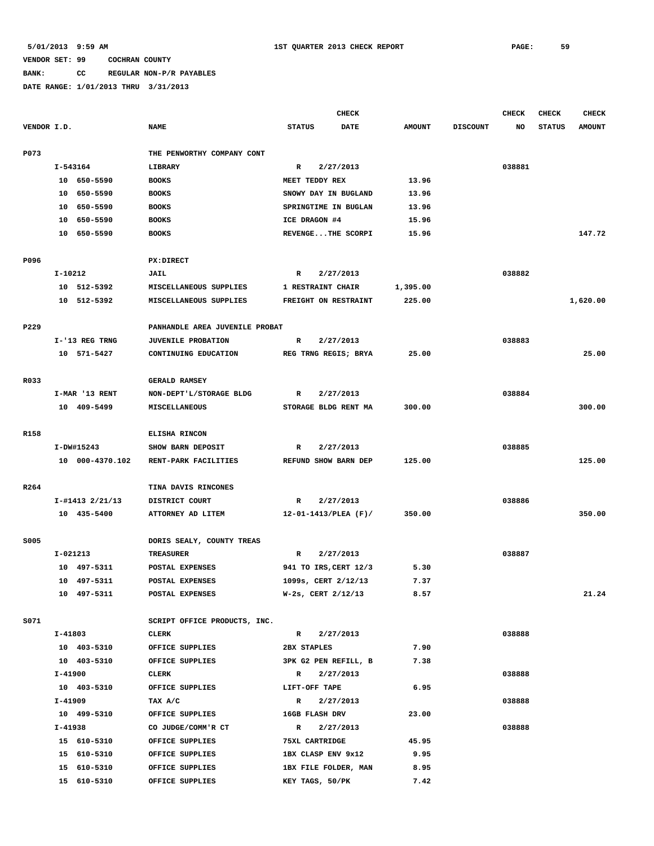# **BANK: CC REGULAR NON-P/R PAYABLES**

|             |           |                 |                                |                             | <b>CHECK</b> |               |                 | <b>CHECK</b> | CHECK         | <b>CHECK</b>  |
|-------------|-----------|-----------------|--------------------------------|-----------------------------|--------------|---------------|-----------------|--------------|---------------|---------------|
| VENDOR I.D. |           |                 | <b>NAME</b>                    | <b>STATUS</b>               | <b>DATE</b>  | <b>AMOUNT</b> | <b>DISCOUNT</b> | NO           | <b>STATUS</b> | <b>AMOUNT</b> |
| P073        |           |                 | THE PENWORTHY COMPANY CONT     |                             |              |               |                 |              |               |               |
|             |           | I-543164        | LIBRARY                        | R                           | 2/27/2013    |               |                 | 038881       |               |               |
|             |           | 10 650-5590     | <b>BOOKS</b>                   | MEET TEDDY REX              |              | 13.96         |                 |              |               |               |
|             |           | 10 650-5590     | <b>BOOKS</b>                   | SNOWY DAY IN BUGLAND        |              | 13.96         |                 |              |               |               |
|             |           | 10 650-5590     | <b>BOOKS</b>                   | SPRINGTIME IN BUGLAN        |              | 13.96         |                 |              |               |               |
|             |           | 10 650-5590     | <b>BOOKS</b>                   | ICE DRAGON #4               |              | 15.96         |                 |              |               |               |
|             |           | 10 650-5590     | <b>BOOKS</b>                   | REVENGETHE SCORPI           |              | 15.96         |                 |              |               | 147.72        |
|             |           |                 |                                |                             |              |               |                 |              |               |               |
| P096        |           |                 | <b>PX:DIRECT</b>               |                             |              |               |                 |              |               |               |
|             | $I-10212$ |                 | <b>JAIL</b>                    | R                           | 2/27/2013    |               |                 | 038882       |               |               |
|             |           | 10 512-5392     | MISCELLANEOUS SUPPLIES         | 1 RESTRAINT CHAIR           |              | 1,395.00      |                 |              |               |               |
|             |           | 10 512-5392     | MISCELLANEOUS SUPPLIES         | FREIGHT ON RESTRAINT        |              | 225.00        |                 |              |               | 1,620.00      |
| P229        |           |                 | PANHANDLE AREA JUVENILE PROBAT |                             |              |               |                 |              |               |               |
|             |           | I-'13 REG TRNG  | <b>JUVENILE PROBATION</b>      | R                           | 2/27/2013    |               |                 | 038883       |               |               |
|             |           | 10 571-5427     | CONTINUING EDUCATION           | REG TRNG REGIS; BRYA        |              | 25.00         |                 |              |               | 25.00         |
|             |           |                 |                                |                             |              |               |                 |              |               |               |
| R033        |           |                 | <b>GERALD RAMSEY</b>           |                             |              |               |                 |              |               |               |
|             |           | I-MAR '13 RENT  | NON-DEPT'L/STORAGE BLDG        | R                           | 2/27/2013    |               |                 | 038884       |               |               |
|             |           | 10 409-5499     | MISCELLANEOUS                  | STORAGE BLDG RENT MA        |              | 300.00        |                 |              |               | 300.00        |
| R158        |           |                 | ELISHA RINCON                  |                             |              |               |                 |              |               |               |
|             |           | I-DW#15243      | SHOW BARN DEPOSIT              | R                           | 2/27/2013    |               |                 | 038885       |               |               |
|             |           | 10 000-4370.102 | RENT-PARK FACILITIES           | REFUND SHOW BARN DEP        |              | 125.00        |                 |              |               | 125.00        |
|             |           |                 |                                |                             |              |               |                 |              |               |               |
| R264        |           |                 | TINA DAVIS RINCONES            |                             |              |               |                 |              |               |               |
|             |           | I-#1413 2/21/13 | DISTRICT COURT                 | R                           | 2/27/2013    |               |                 | 038886       |               |               |
|             |           | 10 435-5400     | ATTORNEY AD LITEM              | $12 - 01 - 1413$ /PLEA (F)/ |              | 350.00        |                 |              |               | 350.00        |
| S005        |           |                 | DORIS SEALY, COUNTY TREAS      |                             |              |               |                 |              |               |               |
|             |           | I-021213        | <b>TREASURER</b>               | R                           | 2/27/2013    |               |                 | 038887       |               |               |
|             |           | 10 497-5311     | POSTAL EXPENSES                | 941 TO IRS, CERT 12/3       |              | 5.30          |                 |              |               |               |
|             |           | 10 497-5311     | POSTAL EXPENSES                | 1099s, CERT 2/12/13         |              | 7.37          |                 |              |               |               |
|             |           | 10 497-5311     | POSTAL EXPENSES                | $W-2s$ , CERT $2/12/13$     |              | 8.57          |                 |              |               | 21.24         |
|             |           |                 |                                |                             |              |               |                 |              |               |               |
| S071        |           |                 | SCRIPT OFFICE PRODUCTS, INC.   |                             |              |               |                 |              |               |               |
|             | I-41803   |                 | CLERK                          | R 2/27/2013                 |              |               |                 | 038888       |               |               |
|             |           | 10 403-5310     | OFFICE SUPPLIES                | 2BX STAPLES                 |              | 7.90          |                 |              |               |               |
|             |           | 10 403-5310     | OFFICE SUPPLIES                | 3PK G2 PEN REFILL, B        |              | 7.38          |                 |              |               |               |
|             | I-41900   |                 | CLERK                          | R 2/27/2013                 |              |               |                 | 038888       |               |               |
|             |           | 10 403-5310     | OFFICE SUPPLIES                | LIFT-OFF TAPE               |              | 6.95          |                 |              |               |               |
|             | I-41909   |                 | TAX A/C                        | R 2/27/2013                 |              |               |                 | 038888       |               |               |
|             |           | 10 499-5310     | OFFICE SUPPLIES                | 16GB FLASH DRV              |              | 23.00         |                 |              |               |               |
|             | I-41938   |                 | CO JUDGE/COMM'R CT             | $\mathbb{R}$                | 2/27/2013    |               |                 | 038888       |               |               |
|             |           | 15 610-5310     | OFFICE SUPPLIES                | 75XL CARTRIDGE              |              | 45.95         |                 |              |               |               |
|             |           | 15 610-5310     | OFFICE SUPPLIES                | 1BX CLASP ENV 9x12          |              | 9.95          |                 |              |               |               |
|             |           | 15 610-5310     | OFFICE SUPPLIES                | 1BX FILE FOLDER, MAN        |              | 8.95          |                 |              |               |               |
|             |           | 15 610-5310     | OFFICE SUPPLIES                | KEY TAGS, 50/PK             |              | 7.42          |                 |              |               |               |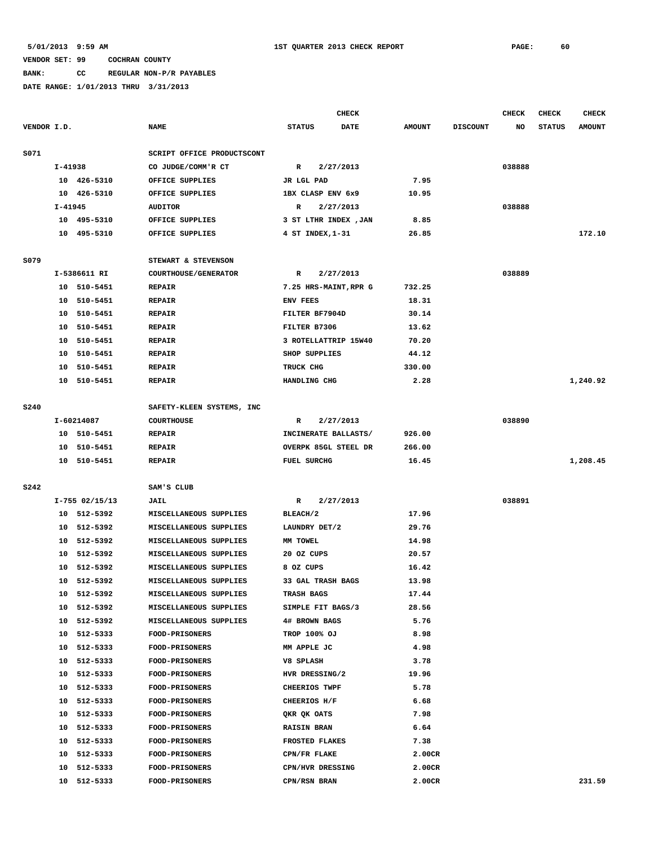# **BANK: CC REGULAR NON-P/R PAYABLES**

|             |         |                |                                                |                       | <b>CHECK</b> |               |                 | CHECK  | <b>CHECK</b>  | <b>CHECK</b>  |
|-------------|---------|----------------|------------------------------------------------|-----------------------|--------------|---------------|-----------------|--------|---------------|---------------|
| VENDOR I.D. |         |                | <b>NAME</b>                                    | <b>STATUS</b>         | <b>DATE</b>  | <b>AMOUNT</b> | <b>DISCOUNT</b> | NO     | <b>STATUS</b> | <b>AMOUNT</b> |
|             |         |                |                                                |                       |              |               |                 |        |               |               |
| S071        |         |                | SCRIPT OFFICE PRODUCTSCONT                     |                       |              |               |                 |        |               |               |
|             | I-41938 |                | CO JUDGE/COMM'R CT                             | R                     | 2/27/2013    |               |                 | 038888 |               |               |
|             |         | 10 426-5310    | OFFICE SUPPLIES                                | JR LGL PAD            |              | 7.95          |                 |        |               |               |
|             |         | 10 426-5310    | OFFICE SUPPLIES                                | 1BX CLASP ENV 6x9     |              | 10.95         |                 |        |               |               |
|             | I-41945 |                | <b>AUDITOR</b>                                 | R                     | 2/27/2013    |               |                 | 038888 |               |               |
|             |         | 10 495-5310    | OFFICE SUPPLIES                                | 3 ST LTHR INDEX , JAN |              | 8.85          |                 |        |               |               |
|             |         | 10 495-5310    | OFFICE SUPPLIES                                | 4 ST INDEX, 1-31      |              | 26.85         |                 |        |               | 172.10        |
|             |         |                |                                                |                       |              |               |                 |        |               |               |
| S079        |         |                | STEWART & STEVENSON                            |                       |              |               |                 |        |               |               |
|             |         | I-5386611 RI   | COURTHOUSE/GENERATOR                           | R                     | 2/27/2013    |               |                 | 038889 |               |               |
|             |         | 10 510-5451    | <b>REPAIR</b>                                  | 7.25 HRS-MAINT, RPR G |              | 732.25        |                 |        |               |               |
|             | 10      | 510-5451       | <b>REPAIR</b>                                  | ENV FEES              |              | 18.31         |                 |        |               |               |
|             | 10      | 510-5451       | <b>REPAIR</b>                                  | FILTER BF7904D        |              | 30.14         |                 |        |               |               |
|             | 10      | 510-5451       | <b>REPAIR</b>                                  | FILTER B7306          |              | 13.62         |                 |        |               |               |
|             | 10      | 510-5451       | <b>REPAIR</b>                                  | 3 ROTELLATTRIP 15W40  |              | 70.20         |                 |        |               |               |
|             | 10      | 510-5451       | <b>REPAIR</b>                                  | <b>SHOP SUPPLIES</b>  |              | 44.12         |                 |        |               |               |
|             | 10      | 510-5451       | <b>REPAIR</b>                                  | TRUCK CHG             |              | 330.00        |                 |        |               |               |
|             |         | 10 510-5451    | <b>REPAIR</b>                                  | HANDLING CHG          |              | 2.28          |                 |        |               | 1,240.92      |
|             |         |                |                                                |                       |              |               |                 |        |               |               |
| S240        |         |                | SAFETY-KLEEN SYSTEMS, INC                      |                       |              |               |                 |        |               |               |
|             |         | I-60214087     | <b>COURTHOUSE</b>                              | R                     | 2/27/2013    |               |                 | 038890 |               |               |
|             |         | 10 510-5451    | <b>REPAIR</b>                                  | INCINERATE BALLASTS/  |              | 926.00        |                 |        |               |               |
|             | 10      | 510-5451       | <b>REPAIR</b>                                  | OVERPK 85GL STEEL DR  |              | 266.00        |                 |        |               |               |
|             | 10      | 510-5451       | <b>REPAIR</b>                                  | <b>FUEL SURCHG</b>    |              | 16.45         |                 |        |               | 1,208.45      |
|             |         |                |                                                |                       |              |               |                 |        |               |               |
| S242        |         |                | SAM'S CLUB                                     |                       |              |               |                 |        |               |               |
|             |         | I-755 02/15/13 | <b>JAIL</b>                                    | R                     | 2/27/2013    |               |                 | 038891 |               |               |
|             | 10      | 512-5392       | MISCELLANEOUS SUPPLIES                         | BLEACH/2              |              | 17.96         |                 |        |               |               |
|             | 10      | 512-5392       | MISCELLANEOUS SUPPLIES                         | LAUNDRY DET/2         |              | 29.76         |                 |        |               |               |
|             | 10      | 512-5392       | MISCELLANEOUS SUPPLIES                         | MM TOWEL              |              | 14.98         |                 |        |               |               |
|             | 10      | 512-5392       | MISCELLANEOUS SUPPLIES                         | 20 OZ CUPS            |              | 20.57         |                 |        |               |               |
|             | 10      | 512-5392       | MISCELLANEOUS SUPPLIES                         | 8 OZ CUPS             |              | 16.42         |                 |        |               |               |
|             | 10      | 512-5392       | MISCELLANEOUS SUPPLIES                         | 33 GAL TRASH BAGS     |              | 13.98         |                 |        |               |               |
|             |         | 10 512-5392    | MISCELLANEOUS SUPPLIES                         | <b>TRASH BAGS</b>     |              | 17.44         |                 |        |               |               |
|             |         | 10 512-5392    | MISCELLANEOUS SUPPLIES                         | SIMPLE FIT BAGS/3     |              | 28.56         |                 |        |               |               |
|             |         | 10 512-5392    | MISCELLANEOUS SUPPLIES                         | 4# BROWN BAGS         |              | 5.76          |                 |        |               |               |
|             |         | 10 512-5333    | <b>FOOD-PRISONERS</b>                          | TROP 100% OJ          |              | 8.98          |                 |        |               |               |
|             | 10      | 512-5333       | <b>FOOD-PRISONERS</b>                          | MM APPLE JC           |              | 4.98          |                 |        |               |               |
|             | 10      | 512-5333       |                                                | V8 SPLASH             |              | 3.78          |                 |        |               |               |
|             |         |                | <b>FOOD-PRISONERS</b><br><b>FOOD-PRISONERS</b> | HVR DRESSING/2        |              | 19.96         |                 |        |               |               |
|             |         | 10 512-5333    |                                                |                       |              |               |                 |        |               |               |
|             |         | 10 512-5333    | <b>FOOD-PRISONERS</b>                          | CHEERIOS TWPF         |              | 5.78          |                 |        |               |               |
|             |         | 10 512-5333    | <b>FOOD-PRISONERS</b>                          | CHEERIOS H/F          |              | 6.68          |                 |        |               |               |
|             |         | 10 512-5333    | <b>FOOD-PRISONERS</b>                          | QKR QK OATS           |              | 7.98          |                 |        |               |               |
|             | 10      | 512-5333       | <b>FOOD-PRISONERS</b>                          | <b>RAISIN BRAN</b>    |              | 6.64          |                 |        |               |               |
|             | 10      | 512-5333       | <b>FOOD-PRISONERS</b>                          | FROSTED FLAKES        |              | 7.38          |                 |        |               |               |
|             | 10      | 512-5333       | <b>FOOD-PRISONERS</b>                          | CPN/FR FLAKE          |              | 2.00CR        |                 |        |               |               |
|             | 10      | 512-5333       | <b>FOOD-PRISONERS</b>                          | CPN/HVR DRESSING      |              | 2.00CR        |                 |        |               |               |
|             |         | 10 512-5333    | <b>FOOD-PRISONERS</b>                          | CPN/RSN BRAN          |              | 2.00CR        |                 |        |               | 231.59        |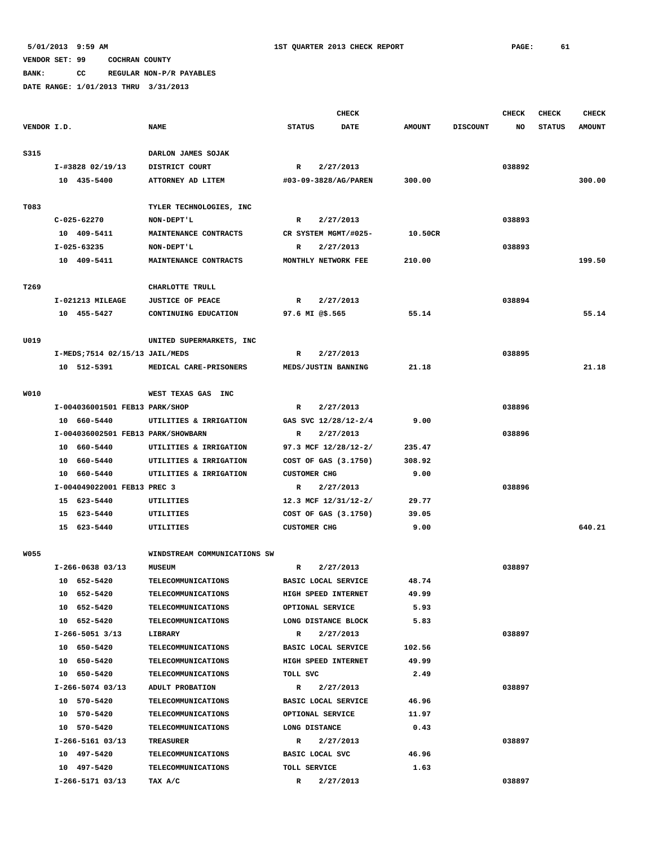**BANK: CC REGULAR NON-P/R PAYABLES**

|             |  |                                    |                                                        | <b>CHECK</b>  |                     |                      | <b>CHECK</b>   | <b>CHECK</b>    | <b>CHECK</b> |               |               |
|-------------|--|------------------------------------|--------------------------------------------------------|---------------|---------------------|----------------------|----------------|-----------------|--------------|---------------|---------------|
| VENDOR I.D. |  |                                    | <b>NAME</b>                                            | <b>STATUS</b> |                     | DATE                 | <b>AMOUNT</b>  | <b>DISCOUNT</b> | NO           | <b>STATUS</b> | <b>AMOUNT</b> |
|             |  |                                    |                                                        |               |                     |                      |                |                 |              |               |               |
| S315        |  |                                    | DARLON JAMES SOJAK                                     |               |                     |                      |                |                 |              |               |               |
|             |  | I-#3828 02/19/13                   | DISTRICT COURT                                         | R             |                     | 2/27/2013            |                |                 | 038892       |               |               |
|             |  | 10 435-5400                        | ATTORNEY AD LITEM                                      |               |                     | #03-09-3828/AG/PAREN | 300.00         |                 |              |               | 300.00        |
|             |  |                                    |                                                        |               |                     |                      |                |                 |              |               |               |
| T083        |  |                                    | TYLER TECHNOLOGIES, INC                                |               |                     |                      |                |                 |              |               |               |
|             |  | $C-025-62270$                      | NON-DEPT'L                                             | R             |                     | 2/27/2013            |                |                 | 038893       |               |               |
|             |  | 10 409-5411                        | MAINTENANCE CONTRACTS                                  |               |                     | CR SYSTEM MGMT/#025- | 10.50CR        |                 |              |               |               |
|             |  | I-025-63235                        | NON-DEPT'L                                             | R             |                     | 2/27/2013            |                |                 | 038893       |               |               |
|             |  | 10 409-5411                        | MAINTENANCE CONTRACTS                                  |               |                     | MONTHLY NETWORK FEE  | 210.00         |                 |              |               | 199.50        |
|             |  |                                    |                                                        |               |                     |                      |                |                 |              |               |               |
| T269        |  | I-021213 MILEAGE                   | CHARLOTTE TRULL<br><b>JUSTICE OF PEACE</b>             | $\mathbb{R}$  |                     | 2/27/2013            |                |                 | 038894       |               |               |
|             |  | 10 455-5427                        | CONTINUING EDUCATION                                   |               | 97.6 MI @\$.565     |                      | 55.14          |                 |              |               | 55.14         |
|             |  |                                    |                                                        |               |                     |                      |                |                 |              |               |               |
| U019        |  |                                    | UNITED SUPERMARKETS, INC                               |               |                     |                      |                |                 |              |               |               |
|             |  | I-MEDS;7514 02/15/13 JAIL/MEDS     |                                                        | R             |                     | 2/27/2013            |                |                 | 038895       |               |               |
|             |  | 10 512-5391                        | MEDICAL CARE-PRISONERS                                 |               |                     | MEDS/JUSTIN BANNING  | 21.18          |                 |              |               | 21.18         |
|             |  |                                    |                                                        |               |                     |                      |                |                 |              |               |               |
| W010        |  |                                    | WEST TEXAS GAS INC                                     |               |                     |                      |                |                 |              |               |               |
|             |  | I-004036001501 FEB13 PARK/SHOP     |                                                        | R             |                     | 2/27/2013            |                |                 | 038896       |               |               |
|             |  | 10 660-5440                        | UTILITIES & IRRIGATION                                 |               |                     | GAS SVC 12/28/12-2/4 | 9.00           |                 |              |               |               |
|             |  | I-004036002501 FEB13 PARK/SHOWBARN |                                                        | R             |                     | 2/27/2013            |                |                 | 038896       |               |               |
|             |  | 10 660-5440                        | UTILITIES & IRRIGATION                                 |               |                     | 97.3 MCF 12/28/12-2/ | 235.47         |                 |              |               |               |
|             |  | 10 660-5440                        | UTILITIES & IRRIGATION                                 |               |                     | COST OF GAS (3.1750) | 308.92         |                 |              |               |               |
|             |  | 10 660-5440                        | UTILITIES & IRRIGATION                                 |               | <b>CUSTOMER CHG</b> |                      | 9.00           |                 |              |               |               |
|             |  | I-004049022001 FEB13 PREC 3        |                                                        | R             |                     | 2/27/2013            |                |                 | 038896       |               |               |
|             |  | 15 623-5440                        | UTILITIES                                              |               |                     | 12.3 MCF 12/31/12-2/ | 29.77          |                 |              |               |               |
|             |  | 15 623-5440                        | UTILITIES                                              |               |                     | COST OF GAS (3.1750) | 39.05          |                 |              |               |               |
|             |  | 15 623-5440                        | UTILITIES                                              |               | <b>CUSTOMER CHG</b> |                      | 9.00           |                 |              |               | 640.21        |
|             |  |                                    |                                                        |               |                     |                      |                |                 |              |               |               |
| <b>W055</b> |  |                                    | WINDSTREAM COMMUNICATIONS SW                           |               |                     |                      |                |                 |              |               |               |
|             |  | $I-266-0638$ 03/13                 | <b>MUSEUM</b>                                          | R             |                     | 2/27/2013            |                |                 | 038897       |               |               |
|             |  | 10 652-5420                        | <b>TELECOMMUNICATIONS</b>                              |               |                     | BASIC LOCAL SERVICE  | 48.74          |                 |              |               |               |
|             |  | 10 652-5420                        | <b>TELECOMMUNICATIONS</b>                              |               |                     | HIGH SPEED INTERNET  | 49.99          |                 |              |               |               |
|             |  | 10 652-5420                        | <b>TELECOMMUNICATIONS</b>                              |               | OPTIONAL SERVICE    |                      | 5.93           |                 |              |               |               |
|             |  | 10 652-5420                        | <b>TELECOMMUNICATIONS</b>                              |               |                     | LONG DISTANCE BLOCK  | 5.83           |                 |              |               |               |
|             |  | $I-266-5051$ 3/13                  | LIBRARY                                                | $\mathbb{R}$  |                     | 2/27/2013            |                |                 | 038897       |               |               |
|             |  | 10 650-5420                        | <b>TELECOMMUNICATIONS</b>                              |               |                     | BASIC LOCAL SERVICE  | 102.56         |                 |              |               |               |
|             |  | 10 650-5420                        | <b>TELECOMMUNICATIONS</b>                              | TOLL SVC      |                     | HIGH SPEED INTERNET  | 49.99          |                 |              |               |               |
|             |  | 10 650-5420                        | <b>TELECOMMUNICATIONS</b>                              |               |                     |                      | 2.49           |                 |              |               |               |
|             |  | I-266-5074 03/13                   | ADULT PROBATION                                        | $\mathbb{R}$  |                     | 2/27/2013            |                |                 | 038897       |               |               |
|             |  | 10 570-5420<br>10 570-5420         | <b>TELECOMMUNICATIONS</b><br><b>TELECOMMUNICATIONS</b> |               | OPTIONAL SERVICE    | BASIC LOCAL SERVICE  | 46.96<br>11.97 |                 |              |               |               |
|             |  | 10 570-5420                        | <b>TELECOMMUNICATIONS</b>                              |               | LONG DISTANCE       |                      | 0.43           |                 |              |               |               |
|             |  | I-266-5161 03/13                   | TREASURER                                              | $\mathbf R$   |                     | 2/27/2013            |                |                 | 038897       |               |               |
|             |  | 10 497-5420                        | <b>TELECOMMUNICATIONS</b>                              |               | BASIC LOCAL SVC     |                      | 46.96          |                 |              |               |               |
|             |  | 10 497-5420                        | <b>TELECOMMUNICATIONS</b>                              |               | TOLL SERVICE        |                      | 1.63           |                 |              |               |               |
|             |  | I-266-5171 03/13                   | TAX A/C                                                | $\mathbb{R}$  |                     | 2/27/2013            |                |                 | 038897       |               |               |
|             |  |                                    |                                                        |               |                     |                      |                |                 |              |               |               |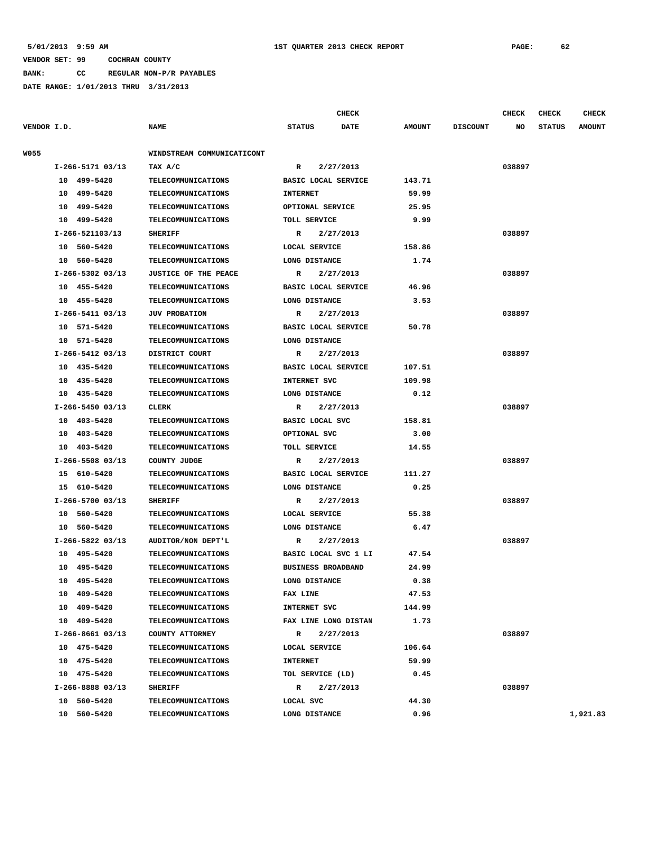**BANK: CC REGULAR NON-P/R PAYABLES**

| VENDOR I.D.<br><b>NAME</b><br><b>STATUS</b><br>DATE<br><b>AMOUNT</b><br><b>DISCOUNT</b><br>NO<br><b>STATUS</b><br><b>W055</b><br>WINDSTREAM COMMUNICATICONT<br>I-266-5171 03/13<br>2/27/2013<br>038897<br>TAX A/C<br>R<br>10 499-5420<br>TELECOMMUNICATIONS<br><b>BASIC LOCAL SERVICE</b><br>143.71<br>10 499-5420<br>TELECOMMUNICATIONS<br>59.99<br><b>INTERNET</b><br>25.95<br>10 499-5420<br><b>TELECOMMUNICATIONS</b><br>OPTIONAL SERVICE<br>10 499-5420<br><b>TELECOMMUNICATIONS</b><br>9.99<br>TOLL SERVICE<br>I-266-521103/13<br>2/27/2013<br>038897<br><b>SHERIFF</b><br>R<br>10 560-5420<br><b>TELECOMMUNICATIONS</b><br>LOCAL SERVICE<br>158.86<br>10 560-5420<br><b>TELECOMMUNICATIONS</b><br>LONG DISTANCE<br>1.74<br>I-266-5302 03/13<br>JUSTICE OF THE PEACE<br>R<br>2/27/2013<br>038897<br>10 455-5420<br>BASIC LOCAL SERVICE<br>46.96<br><b>TELECOMMUNICATIONS</b><br>10 455-5420<br><b>TELECOMMUNICATIONS</b><br>LONG DISTANCE<br>3.53<br>I-266-5411 03/13<br><b>JUV PROBATION</b><br>2/27/2013<br>038897<br>R<br>10 571-5420<br>BASIC LOCAL SERVICE<br>50.78<br><b>TELECOMMUNICATIONS</b><br>10 571-5420<br><b>TELECOMMUNICATIONS</b><br>LONG DISTANCE<br>$I-266-5412$ 03/13<br>DISTRICT COURT<br>2/27/2013<br>038897<br>R<br>10 435-5420<br>107.51<br><b>TELECOMMUNICATIONS</b><br>BASIC LOCAL SERVICE<br>10 435-5420<br>109.98<br><b>TELECOMMUNICATIONS</b><br>INTERNET SVC<br>10 435-5420<br><b>TELECOMMUNICATIONS</b><br>LONG DISTANCE<br>0.12<br>038897<br>I-266-5450 03/13<br>CLERK<br>R<br>2/27/2013<br>10 403-5420<br>TELECOMMUNICATIONS<br>BASIC LOCAL SVC<br>158.81<br>403-5420<br>TELECOMMUNICATIONS<br>OPTIONAL SVC<br>10<br>3.00<br>10 403-5420<br><b>TELECOMMUNICATIONS</b><br>TOLL SERVICE<br>14.55<br>I-266-5508 03/13<br>COUNTY JUDGE<br>2/27/2013<br>038897<br>R<br>15 610-5420<br><b>TELECOMMUNICATIONS</b><br>BASIC LOCAL SERVICE<br>111.27<br>15 610-5420<br>LONG DISTANCE<br>0.25<br><b>TELECOMMUNICATIONS</b><br>I-266-5700 03/13<br>2/27/2013<br>038897<br><b>SHERIFF</b><br>R<br>10 560-5420<br>TELECOMMUNICATIONS<br>LOCAL SERVICE<br>55.38<br>6.47<br>10 560-5420<br><b>TELECOMMUNICATIONS</b><br>LONG DISTANCE<br>I-266-5822 03/13<br>AUDITOR/NON DEPT'L<br>2/27/2013<br>038897<br>R<br>10 495-5420<br>BASIC LOCAL SVC 1 LI<br>47.54<br><b>TELECOMMUNICATIONS</b><br>24.99<br>10<br>495-5420<br>TELECOMMUNICATIONS<br><b>BUSINESS BROADBAND</b><br>10 495-5420<br><b>TELECOMMUNICATIONS</b><br>LONG DISTANCE<br>0.38<br>10 409-5420<br>TELECOMMUNICATIONS<br>FAX LINE<br>47.53<br>10 409-5420<br><b>INTERNET SVC</b><br>144.99<br><b>TELECOMMUNICATIONS</b><br>10 409-5420<br><b>TELECOMMUNICATIONS</b><br>FAX LINE LONG DISTAN<br>1.73<br>038897<br>I-266-8661 03/13<br>COUNTY ATTORNEY<br>2/27/2013<br>$\mathbb{R}$<br>10 475-5420<br>LOCAL SERVICE<br>106.64<br><b>TELECOMMUNICATIONS</b><br>10 475-5420<br><b>INTERNET</b><br>59.99<br><b>TELECOMMUNICATIONS</b><br>0.45<br>10 475-5420<br>TELECOMMUNICATIONS<br>TOL SERVICE (LD)<br>I-266-8888 03/13<br>2/27/2013<br>038897<br><b>SHERIFF</b><br>$\mathbf{R}$<br>10 560-5420<br>LOCAL SVC<br>44.30<br><b>TELECOMMUNICATIONS</b> |             |                           | <b>CHECK</b>  |      | CHECK | CHECK | <b>CHECK</b>  |
|------------------------------------------------------------------------------------------------------------------------------------------------------------------------------------------------------------------------------------------------------------------------------------------------------------------------------------------------------------------------------------------------------------------------------------------------------------------------------------------------------------------------------------------------------------------------------------------------------------------------------------------------------------------------------------------------------------------------------------------------------------------------------------------------------------------------------------------------------------------------------------------------------------------------------------------------------------------------------------------------------------------------------------------------------------------------------------------------------------------------------------------------------------------------------------------------------------------------------------------------------------------------------------------------------------------------------------------------------------------------------------------------------------------------------------------------------------------------------------------------------------------------------------------------------------------------------------------------------------------------------------------------------------------------------------------------------------------------------------------------------------------------------------------------------------------------------------------------------------------------------------------------------------------------------------------------------------------------------------------------------------------------------------------------------------------------------------------------------------------------------------------------------------------------------------------------------------------------------------------------------------------------------------------------------------------------------------------------------------------------------------------------------------------------------------------------------------------------------------------------------------------------------------------------------------------------------------------------------------------------------------------------------------------------------------------------------------------------------------------------------------------------------------------------------------------------------------------------------------------------------------------------------------------------------------------------------------------------------------------------------------------------------------------------------------------------------------------------------------------------------------|-------------|---------------------------|---------------|------|-------|-------|---------------|
|                                                                                                                                                                                                                                                                                                                                                                                                                                                                                                                                                                                                                                                                                                                                                                                                                                                                                                                                                                                                                                                                                                                                                                                                                                                                                                                                                                                                                                                                                                                                                                                                                                                                                                                                                                                                                                                                                                                                                                                                                                                                                                                                                                                                                                                                                                                                                                                                                                                                                                                                                                                                                                                                                                                                                                                                                                                                                                                                                                                                                                                                                                                                    |             |                           |               |      |       |       | <b>AMOUNT</b> |
|                                                                                                                                                                                                                                                                                                                                                                                                                                                                                                                                                                                                                                                                                                                                                                                                                                                                                                                                                                                                                                                                                                                                                                                                                                                                                                                                                                                                                                                                                                                                                                                                                                                                                                                                                                                                                                                                                                                                                                                                                                                                                                                                                                                                                                                                                                                                                                                                                                                                                                                                                                                                                                                                                                                                                                                                                                                                                                                                                                                                                                                                                                                                    |             |                           |               |      |       |       |               |
|                                                                                                                                                                                                                                                                                                                                                                                                                                                                                                                                                                                                                                                                                                                                                                                                                                                                                                                                                                                                                                                                                                                                                                                                                                                                                                                                                                                                                                                                                                                                                                                                                                                                                                                                                                                                                                                                                                                                                                                                                                                                                                                                                                                                                                                                                                                                                                                                                                                                                                                                                                                                                                                                                                                                                                                                                                                                                                                                                                                                                                                                                                                                    |             |                           |               |      |       |       |               |
|                                                                                                                                                                                                                                                                                                                                                                                                                                                                                                                                                                                                                                                                                                                                                                                                                                                                                                                                                                                                                                                                                                                                                                                                                                                                                                                                                                                                                                                                                                                                                                                                                                                                                                                                                                                                                                                                                                                                                                                                                                                                                                                                                                                                                                                                                                                                                                                                                                                                                                                                                                                                                                                                                                                                                                                                                                                                                                                                                                                                                                                                                                                                    |             |                           |               |      |       |       |               |
|                                                                                                                                                                                                                                                                                                                                                                                                                                                                                                                                                                                                                                                                                                                                                                                                                                                                                                                                                                                                                                                                                                                                                                                                                                                                                                                                                                                                                                                                                                                                                                                                                                                                                                                                                                                                                                                                                                                                                                                                                                                                                                                                                                                                                                                                                                                                                                                                                                                                                                                                                                                                                                                                                                                                                                                                                                                                                                                                                                                                                                                                                                                                    |             |                           |               |      |       |       |               |
|                                                                                                                                                                                                                                                                                                                                                                                                                                                                                                                                                                                                                                                                                                                                                                                                                                                                                                                                                                                                                                                                                                                                                                                                                                                                                                                                                                                                                                                                                                                                                                                                                                                                                                                                                                                                                                                                                                                                                                                                                                                                                                                                                                                                                                                                                                                                                                                                                                                                                                                                                                                                                                                                                                                                                                                                                                                                                                                                                                                                                                                                                                                                    |             |                           |               |      |       |       |               |
|                                                                                                                                                                                                                                                                                                                                                                                                                                                                                                                                                                                                                                                                                                                                                                                                                                                                                                                                                                                                                                                                                                                                                                                                                                                                                                                                                                                                                                                                                                                                                                                                                                                                                                                                                                                                                                                                                                                                                                                                                                                                                                                                                                                                                                                                                                                                                                                                                                                                                                                                                                                                                                                                                                                                                                                                                                                                                                                                                                                                                                                                                                                                    |             |                           |               |      |       |       |               |
|                                                                                                                                                                                                                                                                                                                                                                                                                                                                                                                                                                                                                                                                                                                                                                                                                                                                                                                                                                                                                                                                                                                                                                                                                                                                                                                                                                                                                                                                                                                                                                                                                                                                                                                                                                                                                                                                                                                                                                                                                                                                                                                                                                                                                                                                                                                                                                                                                                                                                                                                                                                                                                                                                                                                                                                                                                                                                                                                                                                                                                                                                                                                    |             |                           |               |      |       |       |               |
|                                                                                                                                                                                                                                                                                                                                                                                                                                                                                                                                                                                                                                                                                                                                                                                                                                                                                                                                                                                                                                                                                                                                                                                                                                                                                                                                                                                                                                                                                                                                                                                                                                                                                                                                                                                                                                                                                                                                                                                                                                                                                                                                                                                                                                                                                                                                                                                                                                                                                                                                                                                                                                                                                                                                                                                                                                                                                                                                                                                                                                                                                                                                    |             |                           |               |      |       |       |               |
|                                                                                                                                                                                                                                                                                                                                                                                                                                                                                                                                                                                                                                                                                                                                                                                                                                                                                                                                                                                                                                                                                                                                                                                                                                                                                                                                                                                                                                                                                                                                                                                                                                                                                                                                                                                                                                                                                                                                                                                                                                                                                                                                                                                                                                                                                                                                                                                                                                                                                                                                                                                                                                                                                                                                                                                                                                                                                                                                                                                                                                                                                                                                    |             |                           |               |      |       |       |               |
|                                                                                                                                                                                                                                                                                                                                                                                                                                                                                                                                                                                                                                                                                                                                                                                                                                                                                                                                                                                                                                                                                                                                                                                                                                                                                                                                                                                                                                                                                                                                                                                                                                                                                                                                                                                                                                                                                                                                                                                                                                                                                                                                                                                                                                                                                                                                                                                                                                                                                                                                                                                                                                                                                                                                                                                                                                                                                                                                                                                                                                                                                                                                    |             |                           |               |      |       |       |               |
|                                                                                                                                                                                                                                                                                                                                                                                                                                                                                                                                                                                                                                                                                                                                                                                                                                                                                                                                                                                                                                                                                                                                                                                                                                                                                                                                                                                                                                                                                                                                                                                                                                                                                                                                                                                                                                                                                                                                                                                                                                                                                                                                                                                                                                                                                                                                                                                                                                                                                                                                                                                                                                                                                                                                                                                                                                                                                                                                                                                                                                                                                                                                    |             |                           |               |      |       |       |               |
|                                                                                                                                                                                                                                                                                                                                                                                                                                                                                                                                                                                                                                                                                                                                                                                                                                                                                                                                                                                                                                                                                                                                                                                                                                                                                                                                                                                                                                                                                                                                                                                                                                                                                                                                                                                                                                                                                                                                                                                                                                                                                                                                                                                                                                                                                                                                                                                                                                                                                                                                                                                                                                                                                                                                                                                                                                                                                                                                                                                                                                                                                                                                    |             |                           |               |      |       |       |               |
|                                                                                                                                                                                                                                                                                                                                                                                                                                                                                                                                                                                                                                                                                                                                                                                                                                                                                                                                                                                                                                                                                                                                                                                                                                                                                                                                                                                                                                                                                                                                                                                                                                                                                                                                                                                                                                                                                                                                                                                                                                                                                                                                                                                                                                                                                                                                                                                                                                                                                                                                                                                                                                                                                                                                                                                                                                                                                                                                                                                                                                                                                                                                    |             |                           |               |      |       |       |               |
|                                                                                                                                                                                                                                                                                                                                                                                                                                                                                                                                                                                                                                                                                                                                                                                                                                                                                                                                                                                                                                                                                                                                                                                                                                                                                                                                                                                                                                                                                                                                                                                                                                                                                                                                                                                                                                                                                                                                                                                                                                                                                                                                                                                                                                                                                                                                                                                                                                                                                                                                                                                                                                                                                                                                                                                                                                                                                                                                                                                                                                                                                                                                    |             |                           |               |      |       |       |               |
|                                                                                                                                                                                                                                                                                                                                                                                                                                                                                                                                                                                                                                                                                                                                                                                                                                                                                                                                                                                                                                                                                                                                                                                                                                                                                                                                                                                                                                                                                                                                                                                                                                                                                                                                                                                                                                                                                                                                                                                                                                                                                                                                                                                                                                                                                                                                                                                                                                                                                                                                                                                                                                                                                                                                                                                                                                                                                                                                                                                                                                                                                                                                    |             |                           |               |      |       |       |               |
|                                                                                                                                                                                                                                                                                                                                                                                                                                                                                                                                                                                                                                                                                                                                                                                                                                                                                                                                                                                                                                                                                                                                                                                                                                                                                                                                                                                                                                                                                                                                                                                                                                                                                                                                                                                                                                                                                                                                                                                                                                                                                                                                                                                                                                                                                                                                                                                                                                                                                                                                                                                                                                                                                                                                                                                                                                                                                                                                                                                                                                                                                                                                    |             |                           |               |      |       |       |               |
|                                                                                                                                                                                                                                                                                                                                                                                                                                                                                                                                                                                                                                                                                                                                                                                                                                                                                                                                                                                                                                                                                                                                                                                                                                                                                                                                                                                                                                                                                                                                                                                                                                                                                                                                                                                                                                                                                                                                                                                                                                                                                                                                                                                                                                                                                                                                                                                                                                                                                                                                                                                                                                                                                                                                                                                                                                                                                                                                                                                                                                                                                                                                    |             |                           |               |      |       |       |               |
|                                                                                                                                                                                                                                                                                                                                                                                                                                                                                                                                                                                                                                                                                                                                                                                                                                                                                                                                                                                                                                                                                                                                                                                                                                                                                                                                                                                                                                                                                                                                                                                                                                                                                                                                                                                                                                                                                                                                                                                                                                                                                                                                                                                                                                                                                                                                                                                                                                                                                                                                                                                                                                                                                                                                                                                                                                                                                                                                                                                                                                                                                                                                    |             |                           |               |      |       |       |               |
|                                                                                                                                                                                                                                                                                                                                                                                                                                                                                                                                                                                                                                                                                                                                                                                                                                                                                                                                                                                                                                                                                                                                                                                                                                                                                                                                                                                                                                                                                                                                                                                                                                                                                                                                                                                                                                                                                                                                                                                                                                                                                                                                                                                                                                                                                                                                                                                                                                                                                                                                                                                                                                                                                                                                                                                                                                                                                                                                                                                                                                                                                                                                    |             |                           |               |      |       |       |               |
|                                                                                                                                                                                                                                                                                                                                                                                                                                                                                                                                                                                                                                                                                                                                                                                                                                                                                                                                                                                                                                                                                                                                                                                                                                                                                                                                                                                                                                                                                                                                                                                                                                                                                                                                                                                                                                                                                                                                                                                                                                                                                                                                                                                                                                                                                                                                                                                                                                                                                                                                                                                                                                                                                                                                                                                                                                                                                                                                                                                                                                                                                                                                    |             |                           |               |      |       |       |               |
|                                                                                                                                                                                                                                                                                                                                                                                                                                                                                                                                                                                                                                                                                                                                                                                                                                                                                                                                                                                                                                                                                                                                                                                                                                                                                                                                                                                                                                                                                                                                                                                                                                                                                                                                                                                                                                                                                                                                                                                                                                                                                                                                                                                                                                                                                                                                                                                                                                                                                                                                                                                                                                                                                                                                                                                                                                                                                                                                                                                                                                                                                                                                    |             |                           |               |      |       |       |               |
|                                                                                                                                                                                                                                                                                                                                                                                                                                                                                                                                                                                                                                                                                                                                                                                                                                                                                                                                                                                                                                                                                                                                                                                                                                                                                                                                                                                                                                                                                                                                                                                                                                                                                                                                                                                                                                                                                                                                                                                                                                                                                                                                                                                                                                                                                                                                                                                                                                                                                                                                                                                                                                                                                                                                                                                                                                                                                                                                                                                                                                                                                                                                    |             |                           |               |      |       |       |               |
|                                                                                                                                                                                                                                                                                                                                                                                                                                                                                                                                                                                                                                                                                                                                                                                                                                                                                                                                                                                                                                                                                                                                                                                                                                                                                                                                                                                                                                                                                                                                                                                                                                                                                                                                                                                                                                                                                                                                                                                                                                                                                                                                                                                                                                                                                                                                                                                                                                                                                                                                                                                                                                                                                                                                                                                                                                                                                                                                                                                                                                                                                                                                    |             |                           |               |      |       |       |               |
|                                                                                                                                                                                                                                                                                                                                                                                                                                                                                                                                                                                                                                                                                                                                                                                                                                                                                                                                                                                                                                                                                                                                                                                                                                                                                                                                                                                                                                                                                                                                                                                                                                                                                                                                                                                                                                                                                                                                                                                                                                                                                                                                                                                                                                                                                                                                                                                                                                                                                                                                                                                                                                                                                                                                                                                                                                                                                                                                                                                                                                                                                                                                    |             |                           |               |      |       |       |               |
|                                                                                                                                                                                                                                                                                                                                                                                                                                                                                                                                                                                                                                                                                                                                                                                                                                                                                                                                                                                                                                                                                                                                                                                                                                                                                                                                                                                                                                                                                                                                                                                                                                                                                                                                                                                                                                                                                                                                                                                                                                                                                                                                                                                                                                                                                                                                                                                                                                                                                                                                                                                                                                                                                                                                                                                                                                                                                                                                                                                                                                                                                                                                    |             |                           |               |      |       |       |               |
|                                                                                                                                                                                                                                                                                                                                                                                                                                                                                                                                                                                                                                                                                                                                                                                                                                                                                                                                                                                                                                                                                                                                                                                                                                                                                                                                                                                                                                                                                                                                                                                                                                                                                                                                                                                                                                                                                                                                                                                                                                                                                                                                                                                                                                                                                                                                                                                                                                                                                                                                                                                                                                                                                                                                                                                                                                                                                                                                                                                                                                                                                                                                    |             |                           |               |      |       |       |               |
|                                                                                                                                                                                                                                                                                                                                                                                                                                                                                                                                                                                                                                                                                                                                                                                                                                                                                                                                                                                                                                                                                                                                                                                                                                                                                                                                                                                                                                                                                                                                                                                                                                                                                                                                                                                                                                                                                                                                                                                                                                                                                                                                                                                                                                                                                                                                                                                                                                                                                                                                                                                                                                                                                                                                                                                                                                                                                                                                                                                                                                                                                                                                    |             |                           |               |      |       |       |               |
|                                                                                                                                                                                                                                                                                                                                                                                                                                                                                                                                                                                                                                                                                                                                                                                                                                                                                                                                                                                                                                                                                                                                                                                                                                                                                                                                                                                                                                                                                                                                                                                                                                                                                                                                                                                                                                                                                                                                                                                                                                                                                                                                                                                                                                                                                                                                                                                                                                                                                                                                                                                                                                                                                                                                                                                                                                                                                                                                                                                                                                                                                                                                    |             |                           |               |      |       |       |               |
|                                                                                                                                                                                                                                                                                                                                                                                                                                                                                                                                                                                                                                                                                                                                                                                                                                                                                                                                                                                                                                                                                                                                                                                                                                                                                                                                                                                                                                                                                                                                                                                                                                                                                                                                                                                                                                                                                                                                                                                                                                                                                                                                                                                                                                                                                                                                                                                                                                                                                                                                                                                                                                                                                                                                                                                                                                                                                                                                                                                                                                                                                                                                    |             |                           |               |      |       |       |               |
|                                                                                                                                                                                                                                                                                                                                                                                                                                                                                                                                                                                                                                                                                                                                                                                                                                                                                                                                                                                                                                                                                                                                                                                                                                                                                                                                                                                                                                                                                                                                                                                                                                                                                                                                                                                                                                                                                                                                                                                                                                                                                                                                                                                                                                                                                                                                                                                                                                                                                                                                                                                                                                                                                                                                                                                                                                                                                                                                                                                                                                                                                                                                    |             |                           |               |      |       |       |               |
|                                                                                                                                                                                                                                                                                                                                                                                                                                                                                                                                                                                                                                                                                                                                                                                                                                                                                                                                                                                                                                                                                                                                                                                                                                                                                                                                                                                                                                                                                                                                                                                                                                                                                                                                                                                                                                                                                                                                                                                                                                                                                                                                                                                                                                                                                                                                                                                                                                                                                                                                                                                                                                                                                                                                                                                                                                                                                                                                                                                                                                                                                                                                    |             |                           |               |      |       |       |               |
|                                                                                                                                                                                                                                                                                                                                                                                                                                                                                                                                                                                                                                                                                                                                                                                                                                                                                                                                                                                                                                                                                                                                                                                                                                                                                                                                                                                                                                                                                                                                                                                                                                                                                                                                                                                                                                                                                                                                                                                                                                                                                                                                                                                                                                                                                                                                                                                                                                                                                                                                                                                                                                                                                                                                                                                                                                                                                                                                                                                                                                                                                                                                    |             |                           |               |      |       |       |               |
|                                                                                                                                                                                                                                                                                                                                                                                                                                                                                                                                                                                                                                                                                                                                                                                                                                                                                                                                                                                                                                                                                                                                                                                                                                                                                                                                                                                                                                                                                                                                                                                                                                                                                                                                                                                                                                                                                                                                                                                                                                                                                                                                                                                                                                                                                                                                                                                                                                                                                                                                                                                                                                                                                                                                                                                                                                                                                                                                                                                                                                                                                                                                    |             |                           |               |      |       |       |               |
|                                                                                                                                                                                                                                                                                                                                                                                                                                                                                                                                                                                                                                                                                                                                                                                                                                                                                                                                                                                                                                                                                                                                                                                                                                                                                                                                                                                                                                                                                                                                                                                                                                                                                                                                                                                                                                                                                                                                                                                                                                                                                                                                                                                                                                                                                                                                                                                                                                                                                                                                                                                                                                                                                                                                                                                                                                                                                                                                                                                                                                                                                                                                    |             |                           |               |      |       |       |               |
|                                                                                                                                                                                                                                                                                                                                                                                                                                                                                                                                                                                                                                                                                                                                                                                                                                                                                                                                                                                                                                                                                                                                                                                                                                                                                                                                                                                                                                                                                                                                                                                                                                                                                                                                                                                                                                                                                                                                                                                                                                                                                                                                                                                                                                                                                                                                                                                                                                                                                                                                                                                                                                                                                                                                                                                                                                                                                                                                                                                                                                                                                                                                    |             |                           |               |      |       |       |               |
|                                                                                                                                                                                                                                                                                                                                                                                                                                                                                                                                                                                                                                                                                                                                                                                                                                                                                                                                                                                                                                                                                                                                                                                                                                                                                                                                                                                                                                                                                                                                                                                                                                                                                                                                                                                                                                                                                                                                                                                                                                                                                                                                                                                                                                                                                                                                                                                                                                                                                                                                                                                                                                                                                                                                                                                                                                                                                                                                                                                                                                                                                                                                    |             |                           |               |      |       |       |               |
|                                                                                                                                                                                                                                                                                                                                                                                                                                                                                                                                                                                                                                                                                                                                                                                                                                                                                                                                                                                                                                                                                                                                                                                                                                                                                                                                                                                                                                                                                                                                                                                                                                                                                                                                                                                                                                                                                                                                                                                                                                                                                                                                                                                                                                                                                                                                                                                                                                                                                                                                                                                                                                                                                                                                                                                                                                                                                                                                                                                                                                                                                                                                    |             |                           |               |      |       |       |               |
|                                                                                                                                                                                                                                                                                                                                                                                                                                                                                                                                                                                                                                                                                                                                                                                                                                                                                                                                                                                                                                                                                                                                                                                                                                                                                                                                                                                                                                                                                                                                                                                                                                                                                                                                                                                                                                                                                                                                                                                                                                                                                                                                                                                                                                                                                                                                                                                                                                                                                                                                                                                                                                                                                                                                                                                                                                                                                                                                                                                                                                                                                                                                    |             |                           |               |      |       |       |               |
|                                                                                                                                                                                                                                                                                                                                                                                                                                                                                                                                                                                                                                                                                                                                                                                                                                                                                                                                                                                                                                                                                                                                                                                                                                                                                                                                                                                                                                                                                                                                                                                                                                                                                                                                                                                                                                                                                                                                                                                                                                                                                                                                                                                                                                                                                                                                                                                                                                                                                                                                                                                                                                                                                                                                                                                                                                                                                                                                                                                                                                                                                                                                    |             |                           |               |      |       |       |               |
|                                                                                                                                                                                                                                                                                                                                                                                                                                                                                                                                                                                                                                                                                                                                                                                                                                                                                                                                                                                                                                                                                                                                                                                                                                                                                                                                                                                                                                                                                                                                                                                                                                                                                                                                                                                                                                                                                                                                                                                                                                                                                                                                                                                                                                                                                                                                                                                                                                                                                                                                                                                                                                                                                                                                                                                                                                                                                                                                                                                                                                                                                                                                    |             |                           |               |      |       |       |               |
|                                                                                                                                                                                                                                                                                                                                                                                                                                                                                                                                                                                                                                                                                                                                                                                                                                                                                                                                                                                                                                                                                                                                                                                                                                                                                                                                                                                                                                                                                                                                                                                                                                                                                                                                                                                                                                                                                                                                                                                                                                                                                                                                                                                                                                                                                                                                                                                                                                                                                                                                                                                                                                                                                                                                                                                                                                                                                                                                                                                                                                                                                                                                    |             |                           |               |      |       |       |               |
|                                                                                                                                                                                                                                                                                                                                                                                                                                                                                                                                                                                                                                                                                                                                                                                                                                                                                                                                                                                                                                                                                                                                                                                                                                                                                                                                                                                                                                                                                                                                                                                                                                                                                                                                                                                                                                                                                                                                                                                                                                                                                                                                                                                                                                                                                                                                                                                                                                                                                                                                                                                                                                                                                                                                                                                                                                                                                                                                                                                                                                                                                                                                    |             |                           |               |      |       |       |               |
|                                                                                                                                                                                                                                                                                                                                                                                                                                                                                                                                                                                                                                                                                                                                                                                                                                                                                                                                                                                                                                                                                                                                                                                                                                                                                                                                                                                                                                                                                                                                                                                                                                                                                                                                                                                                                                                                                                                                                                                                                                                                                                                                                                                                                                                                                                                                                                                                                                                                                                                                                                                                                                                                                                                                                                                                                                                                                                                                                                                                                                                                                                                                    |             |                           |               |      |       |       |               |
|                                                                                                                                                                                                                                                                                                                                                                                                                                                                                                                                                                                                                                                                                                                                                                                                                                                                                                                                                                                                                                                                                                                                                                                                                                                                                                                                                                                                                                                                                                                                                                                                                                                                                                                                                                                                                                                                                                                                                                                                                                                                                                                                                                                                                                                                                                                                                                                                                                                                                                                                                                                                                                                                                                                                                                                                                                                                                                                                                                                                                                                                                                                                    | 10 560-5420 | <b>TELECOMMUNICATIONS</b> | LONG DISTANCE | 0.96 |       |       | 1,921.83      |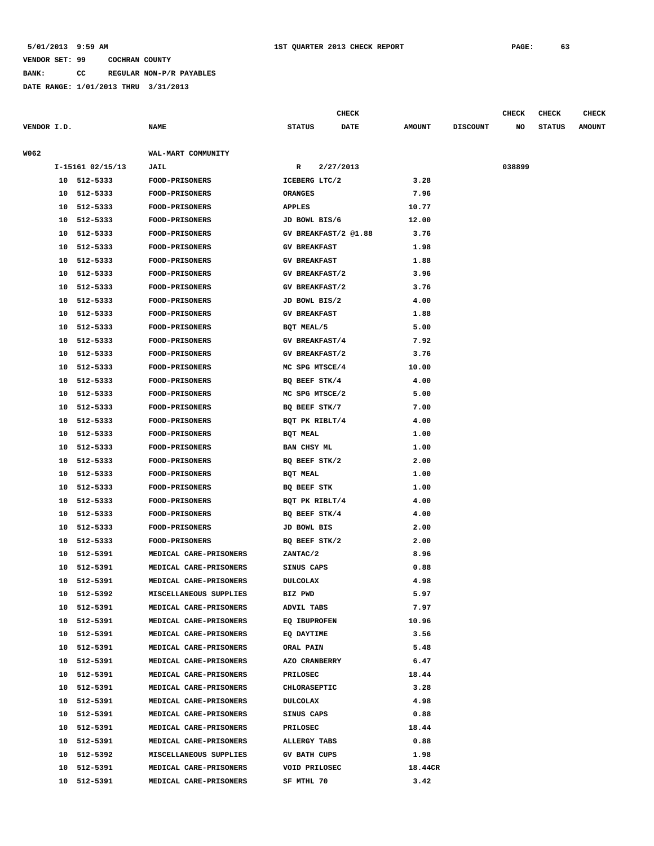**BANK: CC REGULAR NON-P/R PAYABLES**

**DATE RANGE: 1/01/2013 THRU 3/31/2013**

**CHECK CHECK CHECK CHECK CHECK CHECK CHECK** 

| VENDOR I.D. |    |                  | <b>NAME</b>            | STATUS                | <b>DATE</b> | <b>AMOUNT</b> | <b>DISCOUNT</b> | NO     | <b>STATUS</b> | <b>AMOUNT</b> |
|-------------|----|------------------|------------------------|-----------------------|-------------|---------------|-----------------|--------|---------------|---------------|
| W062        |    |                  | WAL-MART COMMUNITY     |                       |             |               |                 |        |               |               |
|             |    | I-15161 02/15/13 | <b>JAIL</b>            | R                     | 2/27/2013   |               |                 | 038899 |               |               |
|             |    | 10 512-5333      | <b>FOOD-PRISONERS</b>  | ICEBERG LTC/2         |             | 3.28          |                 |        |               |               |
|             |    | 10 512-5333      | FOOD-PRISONERS         | ORANGES               |             | 7.96          |                 |        |               |               |
|             | 10 | 512-5333         | <b>FOOD-PRISONERS</b>  | APPLES                |             | 10.77         |                 |        |               |               |
|             | 10 | 512-5333         | <b>FOOD-PRISONERS</b>  | JD BOWL BIS/6         |             | 12.00         |                 |        |               |               |
|             | 10 | 512-5333         | <b>FOOD-PRISONERS</b>  | GV BREAKFAST/2 @1.88  |             | 3.76          |                 |        |               |               |
|             | 10 | 512-5333         | <b>FOOD-PRISONERS</b>  | <b>GV BREAKFAST</b>   |             | 1.98          |                 |        |               |               |
|             | 10 | 512-5333         | <b>FOOD-PRISONERS</b>  | <b>GV BREAKFAST</b>   |             | 1.88          |                 |        |               |               |
|             | 10 | 512-5333         | FOOD-PRISONERS         | <b>GV BREAKFAST/2</b> |             | 3.96          |                 |        |               |               |
|             | 10 | 512-5333         | <b>FOOD-PRISONERS</b>  | GV BREAKFAST/2        |             | 3.76          |                 |        |               |               |
|             | 10 | 512-5333         | <b>FOOD-PRISONERS</b>  | JD BOWL BIS/2         |             | 4.00          |                 |        |               |               |
|             | 10 | 512-5333         | <b>FOOD-PRISONERS</b>  | <b>GV BREAKFAST</b>   |             | 1.88          |                 |        |               |               |
|             | 10 | 512-5333         | <b>FOOD-PRISONERS</b>  | BQT MEAL/5            |             | 5.00          |                 |        |               |               |
|             | 10 | 512-5333         | <b>FOOD-PRISONERS</b>  | GV BREAKFAST/4        |             | 7.92          |                 |        |               |               |
|             | 10 | 512-5333         | FOOD-PRISONERS         | GV BREAKFAST/2        |             | 3.76          |                 |        |               |               |
|             | 10 | 512-5333         | <b>FOOD-PRISONERS</b>  | MC SPG MTSCE/4        |             | 10.00         |                 |        |               |               |
|             | 10 | 512-5333         | <b>FOOD-PRISONERS</b>  | BQ BEEF STK/4         |             | 4.00          |                 |        |               |               |
|             | 10 | 512-5333         | <b>FOOD-PRISONERS</b>  | MC SPG MTSCE/2        |             | 5.00          |                 |        |               |               |
|             | 10 | 512-5333         | <b>FOOD-PRISONERS</b>  | BQ BEEF STK/7         |             | 7.00          |                 |        |               |               |
|             | 10 | 512-5333         | <b>FOOD-PRISONERS</b>  | BOT PK RIBLT/4        |             | 4.00          |                 |        |               |               |
|             | 10 | 512-5333         | FOOD-PRISONERS         | BQT MEAL              |             | 1.00          |                 |        |               |               |
|             | 10 | 512-5333         | <b>FOOD-PRISONERS</b>  | BAN CHSY ML           |             | 1.00          |                 |        |               |               |
|             | 10 | 512-5333         | <b>FOOD-PRISONERS</b>  | BQ BEEF STK/2         |             | 2.00          |                 |        |               |               |
|             | 10 | 512-5333         | <b>FOOD-PRISONERS</b>  | BQT MEAL              |             | 1.00          |                 |        |               |               |
|             | 10 | 512-5333         | <b>FOOD-PRISONERS</b>  | BQ BEEF STK           |             | 1.00          |                 |        |               |               |
|             | 10 | 512-5333         | <b>FOOD-PRISONERS</b>  | BQT PK RIBLT/4        |             | 4.00          |                 |        |               |               |
|             | 10 | 512-5333         | FOOD-PRISONERS         | BQ BEEF STK/4         |             | 4.00          |                 |        |               |               |
|             | 10 | 512-5333         | <b>FOOD-PRISONERS</b>  | JD BOWL BIS           |             | 2.00          |                 |        |               |               |
|             | 10 | 512-5333         | <b>FOOD-PRISONERS</b>  | BQ BEEF STK/2         |             | 2.00          |                 |        |               |               |
|             | 10 | 512-5391         | MEDICAL CARE-PRISONERS | ZANTAC/2              |             | 8.96          |                 |        |               |               |
|             | 10 | 512-5391         | MEDICAL CARE-PRISONERS | SINUS CAPS            |             | 0.88          |                 |        |               |               |
|             | 10 | 512-5391         | MEDICAL CARE-PRISONERS | DULCOLAX              |             | 4.98          |                 |        |               |               |
|             | 10 | 512-5392         | MISCELLANEOUS SUPPLIES | BIZ PWD               |             | 5.97          |                 |        |               |               |
|             | 10 | 512-5391         | MEDICAL CARE-PRISONERS | ADVIL TABS            |             | 7.97          |                 |        |               |               |
|             | 10 | 512-5391         | MEDICAL CARE-PRISONERS | EQ IBUPROFEN          |             | 10.96         |                 |        |               |               |
|             | 10 | 512-5391         | MEDICAL CARE-PRISONERS | EQ DAYTIME            |             | 3.56          |                 |        |               |               |
|             | 10 | 512-5391         | MEDICAL CARE-PRISONERS | ORAL PAIN             |             | 5.48          |                 |        |               |               |
|             | 10 | 512-5391         | MEDICAL CARE-PRISONERS | AZO CRANBERRY         |             | 6.47          |                 |        |               |               |
|             | 10 | 512-5391         | MEDICAL CARE-PRISONERS | <b>PRILOSEC</b>       |             | 18.44         |                 |        |               |               |
|             | 10 | 512-5391         | MEDICAL CARE-PRISONERS | <b>CHLORASEPTIC</b>   |             | 3.28          |                 |        |               |               |
|             | 10 | 512-5391         | MEDICAL CARE-PRISONERS | DULCOLAX              |             | 4.98          |                 |        |               |               |
|             | 10 | 512-5391         | MEDICAL CARE-PRISONERS | SINUS CAPS            |             | 0.88          |                 |        |               |               |
|             | 10 | 512-5391         | MEDICAL CARE-PRISONERS | <b>PRILOSEC</b>       |             | 18.44         |                 |        |               |               |
|             | 10 | 512-5391         | MEDICAL CARE-PRISONERS | <b>ALLERGY TABS</b>   |             | 0.88          |                 |        |               |               |
|             | 10 | 512-5392         | MISCELLANEOUS SUPPLIES | GV BATH CUPS          |             | 1.98          |                 |        |               |               |
|             | 10 | 512-5391         | MEDICAL CARE-PRISONERS | VOID PRILOSEC         |             | 18.44CR       |                 |        |               |               |
|             | 10 | 512-5391         | MEDICAL CARE-PRISONERS | SF MTHL 70            |             | 3.42          |                 |        |               |               |
|             |    |                  |                        |                       |             |               |                 |        |               |               |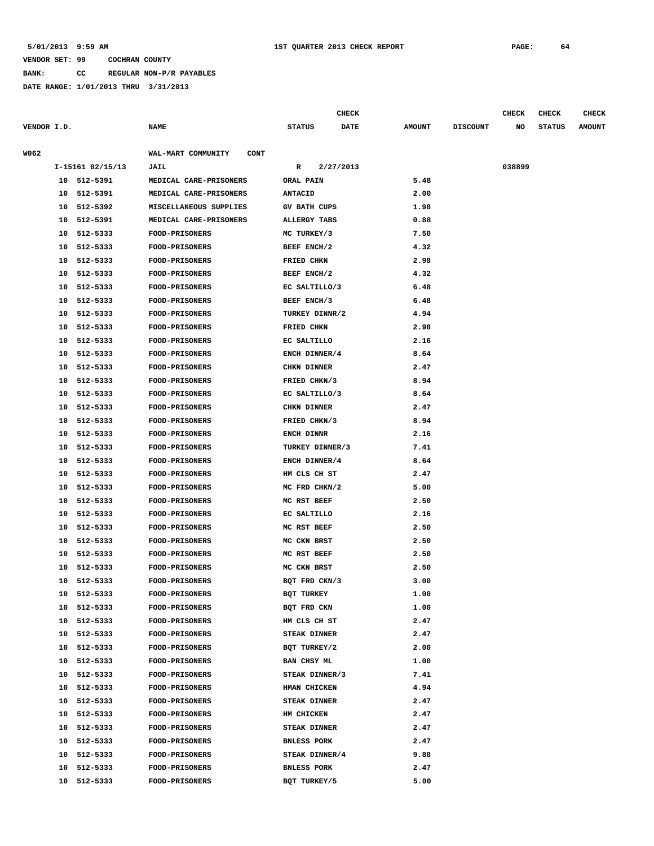**BANK: CC REGULAR NON-P/R PAYABLES**

|             |    |                  |                                   |                     | CHECK       |               |                 | <b>CHECK</b> | <b>CHECK</b>  | <b>CHECK</b>  |
|-------------|----|------------------|-----------------------------------|---------------------|-------------|---------------|-----------------|--------------|---------------|---------------|
| VENDOR I.D. |    |                  | <b>NAME</b>                       | <b>STATUS</b>       | <b>DATE</b> | <b>AMOUNT</b> | <b>DISCOUNT</b> | NO           | <b>STATUS</b> | <b>AMOUNT</b> |
| W062        |    |                  | WAL-MART COMMUNITY<br><b>CONT</b> |                     |             |               |                 |              |               |               |
|             |    | I-15161 02/15/13 | JAIL                              | R                   | 2/27/2013   |               |                 | 038899       |               |               |
|             |    | 10 512-5391      | MEDICAL CARE-PRISONERS            | ORAL PAIN           |             | 5.48          |                 |              |               |               |
|             | 10 | 512-5391         | MEDICAL CARE-PRISONERS            | ANTACID             |             | 2.00          |                 |              |               |               |
|             | 10 | 512-5392         | MISCELLANEOUS SUPPLIES            | GV BATH CUPS        |             | 1.98          |                 |              |               |               |
|             | 10 | 512-5391         | MEDICAL CARE-PRISONERS            | <b>ALLERGY TABS</b> |             | 0.88          |                 |              |               |               |
|             | 10 | 512-5333         | FOOD-PRISONERS                    | MC TURKEY/3         |             | 7.50          |                 |              |               |               |
|             | 10 | 512-5333         | FOOD-PRISONERS                    | BEEF ENCH/2         |             | 4.32          |                 |              |               |               |
|             | 10 | 512-5333         | <b>FOOD-PRISONERS</b>             | FRIED CHKN          |             | 2.98          |                 |              |               |               |
|             | 10 | 512-5333         | <b>FOOD-PRISONERS</b>             | BEEF ENCH/2         |             | 4.32          |                 |              |               |               |
|             | 10 | 512-5333         | <b>FOOD-PRISONERS</b>             | EC SALTILLO/3       |             | 6.48          |                 |              |               |               |
|             | 10 | 512-5333         | <b>FOOD-PRISONERS</b>             | BEEF ENCH/3         |             | 6.48          |                 |              |               |               |
|             | 10 | 512-5333         | <b>FOOD-PRISONERS</b>             | TURKEY DINNR/2      |             | 4.94          |                 |              |               |               |
|             | 10 | 512-5333         | FOOD-PRISONERS                    | FRIED CHKN          |             | 2.98          |                 |              |               |               |
|             | 10 | 512-5333         | FOOD-PRISONERS                    | EC SALTILLO         |             | 2.16          |                 |              |               |               |
|             | 10 | 512-5333         | <b>FOOD-PRISONERS</b>             | ENCH DINNER/4       |             | 8.64          |                 |              |               |               |
|             | 10 | 512-5333         | FOOD-PRISONERS                    | CHKN DINNER         |             | 2.47          |                 |              |               |               |
|             | 10 | 512-5333         | <b>FOOD-PRISONERS</b>             | FRIED CHKN/3        |             | 8.94          |                 |              |               |               |
|             | 10 | 512-5333         | FOOD-PRISONERS                    | EC SALTILLO/3       |             | 8.64          |                 |              |               |               |
|             | 10 | 512-5333         | FOOD-PRISONERS                    | CHKN DINNER         |             | 2.47          |                 |              |               |               |
|             | 10 | 512-5333         | FOOD-PRISONERS                    | FRIED CHKN/3        |             | 8.94          |                 |              |               |               |
|             | 10 | 512-5333         | <b>FOOD-PRISONERS</b>             | ENCH DINNR          |             | 2.16          |                 |              |               |               |
|             | 10 | 512-5333         | <b>FOOD-PRISONERS</b>             | TURKEY DINNER/3     |             | 7.41          |                 |              |               |               |
|             | 10 | 512-5333         | FOOD-PRISONERS                    | ENCH DINNER/4       |             | 8.64          |                 |              |               |               |
|             | 10 | 512-5333         | FOOD-PRISONERS                    | HM CLS CH ST        |             | 2.47          |                 |              |               |               |
|             | 10 | 512-5333         | <b>FOOD-PRISONERS</b>             | MC FRD CHKN/2       |             | 5.00          |                 |              |               |               |
|             | 10 | 512-5333         | <b>FOOD-PRISONERS</b>             | MC RST BEEF         |             | 2.50          |                 |              |               |               |
|             | 10 | 512-5333         | <b>FOOD-PRISONERS</b>             | EC SALTILLO         |             | 2.16          |                 |              |               |               |
|             | 10 | 512-5333         | <b>FOOD-PRISONERS</b>             | MC RST BEEF         |             | 2.50          |                 |              |               |               |
|             | 10 | 512-5333         | <b>FOOD-PRISONERS</b>             | MC CKN BRST         |             | 2.50          |                 |              |               |               |
|             | 10 | 512-5333         | <b>FOOD-PRISONERS</b>             | MC RST BEEF         |             | 2.50          |                 |              |               |               |
|             | 10 | 512-5333         | FOOD-PRISONERS                    | MC CKN BRST         |             | 2.50          |                 |              |               |               |
|             | 10 | 512-5333         | <b>FOOD-PRISONERS</b>             | BQT FRD CKN/3       |             | 3.00          |                 |              |               |               |
|             | 10 | 512-5333         | <b>FOOD-PRISONERS</b>             | BQT TURKEY          |             | 1.00          |                 |              |               |               |
|             | 10 | 512-5333         | <b>FOOD-PRISONERS</b>             | BOT FRD CKN         |             | 1.00          |                 |              |               |               |
|             | 10 | 512-5333         | <b>FOOD-PRISONERS</b>             | HM CLS CH ST        |             | 2.47          |                 |              |               |               |
|             | 10 | 512-5333         | <b>FOOD-PRISONERS</b>             | STEAK DINNER        |             | 2.47          |                 |              |               |               |
|             | 10 | 512-5333         | <b>FOOD-PRISONERS</b>             | BOT TURKEY/2        |             | 2.00          |                 |              |               |               |
|             | 10 | 512-5333         | <b>FOOD-PRISONERS</b>             | BAN CHSY ML         |             | 1.00          |                 |              |               |               |
|             | 10 | 512-5333         | <b>FOOD-PRISONERS</b>             | STEAK DINNER/3      |             | 7.41          |                 |              |               |               |
|             | 10 | 512-5333         | <b>FOOD-PRISONERS</b>             | HMAN CHICKEN        |             | 4.94          |                 |              |               |               |
|             |    | 10 512-5333      | FOOD-PRISONERS                    | <b>STEAK DINNER</b> |             | 2.47          |                 |              |               |               |
|             |    | 10 512-5333      | FOOD-PRISONERS                    | HM CHICKEN          |             | 2.47          |                 |              |               |               |
|             | 10 | 512-5333         | <b>FOOD-PRISONERS</b>             | STEAK DINNER        |             | 2.47          |                 |              |               |               |
|             |    | 10 512-5333      | <b>FOOD-PRISONERS</b>             | <b>BNLESS PORK</b>  |             | 2.47          |                 |              |               |               |
|             | 10 | 512-5333         | <b>FOOD-PRISONERS</b>             | STEAK DINNER/4      |             | 9.88          |                 |              |               |               |
|             | 10 | 512-5333         | <b>FOOD-PRISONERS</b>             | <b>BNLESS PORK</b>  |             | 2.47          |                 |              |               |               |
|             |    | 10 512-5333      | <b>FOOD-PRISONERS</b>             | BQT TURKEY/5        |             | 5.00          |                 |              |               |               |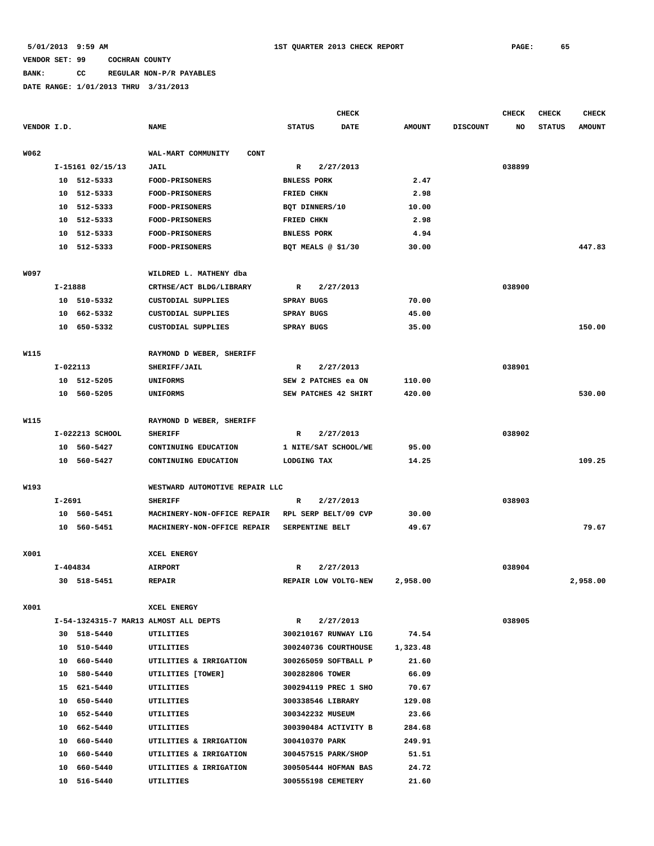# **BANK: CC REGULAR NON-P/R PAYABLES**

|             |          |                  |                                       |                    | <b>CHECK</b>         |               |                 | <b>CHECK</b> | <b>CHECK</b>  | <b>CHECK</b>  |
|-------------|----------|------------------|---------------------------------------|--------------------|----------------------|---------------|-----------------|--------------|---------------|---------------|
| VENDOR I.D. |          |                  | <b>NAME</b>                           | <b>STATUS</b>      | DATE                 | <b>AMOUNT</b> | <b>DISCOUNT</b> | NO           | <b>STATUS</b> | <b>AMOUNT</b> |
| W062        |          |                  | WAL-MART COMMUNITY<br><b>CONT</b>     |                    |                      |               |                 |              |               |               |
|             |          | I-15161 02/15/13 | <b>JAIL</b>                           | R                  | 2/27/2013            |               |                 | 038899       |               |               |
|             |          | 10 512-5333      | FOOD-PRISONERS                        | <b>BNLESS PORK</b> |                      | 2.47          |                 |              |               |               |
|             |          | 10 512-5333      | FOOD-PRISONERS                        | FRIED CHKN         |                      | 2.98          |                 |              |               |               |
|             |          | 10 512-5333      | <b>FOOD-PRISONERS</b>                 | BQT DINNERS/10     |                      | 10.00         |                 |              |               |               |
|             | 10       | 512-5333         | <b>FOOD-PRISONERS</b>                 | FRIED CHKN         |                      | 2.98          |                 |              |               |               |
|             | 10       | 512-5333         | <b>FOOD-PRISONERS</b>                 | <b>BNLESS PORK</b> |                      | 4.94          |                 |              |               |               |
|             | 10       | 512-5333         | <b>FOOD-PRISONERS</b>                 |                    | BQT MEALS @ \$1/30   | 30.00         |                 |              |               | 447.83        |
| W097        |          |                  | WILDRED L. MATHENY dba                |                    |                      |               |                 |              |               |               |
|             | I-21888  |                  | CRTHSE/ACT BLDG/LIBRARY               | R                  | 2/27/2013            |               |                 | 038900       |               |               |
|             |          | 10 510-5332      | CUSTODIAL SUPPLIES                    | <b>SPRAY BUGS</b>  |                      | 70.00         |                 |              |               |               |
|             | 10       | 662-5332         | CUSTODIAL SUPPLIES                    | SPRAY BUGS         |                      | 45.00         |                 |              |               |               |
|             | 10       | 650-5332         | CUSTODIAL SUPPLIES                    | <b>SPRAY BUGS</b>  |                      | 35.00         |                 |              |               | 150.00        |
|             |          |                  |                                       |                    |                      |               |                 |              |               |               |
| W115        |          |                  | RAYMOND D WEBER, SHERIFF              |                    |                      |               |                 |              |               |               |
|             | I-022113 |                  | SHERIFF/JAIL                          | R                  | 2/27/2013            |               |                 | 038901       |               |               |
|             |          | 10 512-5205      | <b>UNIFORMS</b>                       |                    | SEW 2 PATCHES ea ON  | 110.00        |                 |              |               |               |
|             |          | 10 560-5205      | <b>UNIFORMS</b>                       |                    | SEW PATCHES 42 SHIRT | 420.00        |                 |              |               | 530.00        |
| W115        |          |                  | RAYMOND D WEBER, SHERIFF              |                    |                      |               |                 |              |               |               |
|             |          | I-022213 SCHOOL  | <b>SHERIFF</b>                        | R                  | 2/27/2013            |               |                 | 038902       |               |               |
|             |          | 10 560-5427      | CONTINUING EDUCATION                  |                    | 1 NITE/SAT SCHOOL/WE | 95.00         |                 |              |               |               |
|             |          | 10 560-5427      | CONTINUING EDUCATION                  | LODGING TAX        |                      | 14.25         |                 |              |               | 109.25        |
|             |          |                  |                                       |                    |                      |               |                 |              |               |               |
| W193        |          |                  | WESTWARD AUTOMOTIVE REPAIR LLC        |                    |                      |               |                 |              |               |               |
|             | I-2691   |                  | <b>SHERIFF</b>                        | R                  | 2/27/2013            |               |                 | 038903       |               |               |
|             |          | 10 560-5451      | MACHINERY-NON-OFFICE REPAIR           |                    | RPL SERP BELT/09 CVP | 30.00         |                 |              |               |               |
|             |          | 10 560-5451      | MACHINERY-NON-OFFICE REPAIR           |                    | SERPENTINE BELT      | 49.67         |                 |              |               | 79.67         |
| X001        |          |                  | XCEL ENERGY                           |                    |                      |               |                 |              |               |               |
|             | I-404834 |                  | <b>AIRPORT</b>                        | R                  | 2/27/2013            |               |                 | 038904       |               |               |
|             |          | 30 518-5451      | <b>REPAIR</b>                         |                    | REPAIR LOW VOLTG-NEW | 2,958.00      |                 |              |               | 2,958.00      |
| X001        |          |                  | XCEL ENERGY                           |                    |                      |               |                 |              |               |               |
|             |          |                  | I-54-1324315-7 MAR13 ALMOST ALL DEPTS | $\mathbb{R}$       | 2/27/2013            |               |                 | 038905       |               |               |
|             |          | 30 518-5440      | UTILITIES                             |                    | 300210167 RUNWAY LIG | 74.54         |                 |              |               |               |
|             |          | 10 510-5440      | UTILITIES                             |                    | 300240736 COURTHOUSE | 1,323.48      |                 |              |               |               |
|             |          | 10 660-5440      | UTILITIES & IRRIGATION                |                    | 300265059 SOFTBALL P | 21.60         |                 |              |               |               |
|             |          | 10 580-5440      | UTILITIES [TOWER]                     |                    | 300282806 TOWER      | 66.09         |                 |              |               |               |
|             |          | 15 621-5440      | UTILITIES                             |                    | 300294119 PREC 1 SHO | 70.67         |                 |              |               |               |
|             |          | 10 650-5440      | UTILITIES                             |                    | 300338546 LIBRARY    | 129.08        |                 |              |               |               |
|             |          | 10 652-5440      | UTILITIES                             |                    | 300342232 MUSEUM     | 23.66         |                 |              |               |               |
|             |          | 10 662-5440      | <b>UTILITIES</b>                      |                    | 300390484 ACTIVITY B | 284.68        |                 |              |               |               |
|             |          | 10 660-5440      | UTILITIES & IRRIGATION                | 300410370 PARK     |                      | 249.91        |                 |              |               |               |
|             |          | 10 660-5440      | UTILITIES & IRRIGATION                |                    | 300457515 PARK/SHOP  | 51.51         |                 |              |               |               |
|             |          | 10 660-5440      | UTILITIES & IRRIGATION                |                    | 300505444 HOFMAN BAS | 24.72         |                 |              |               |               |
|             |          | 10 516-5440      | UTILITIES                             |                    | 300555198 CEMETERY   | 21.60         |                 |              |               |               |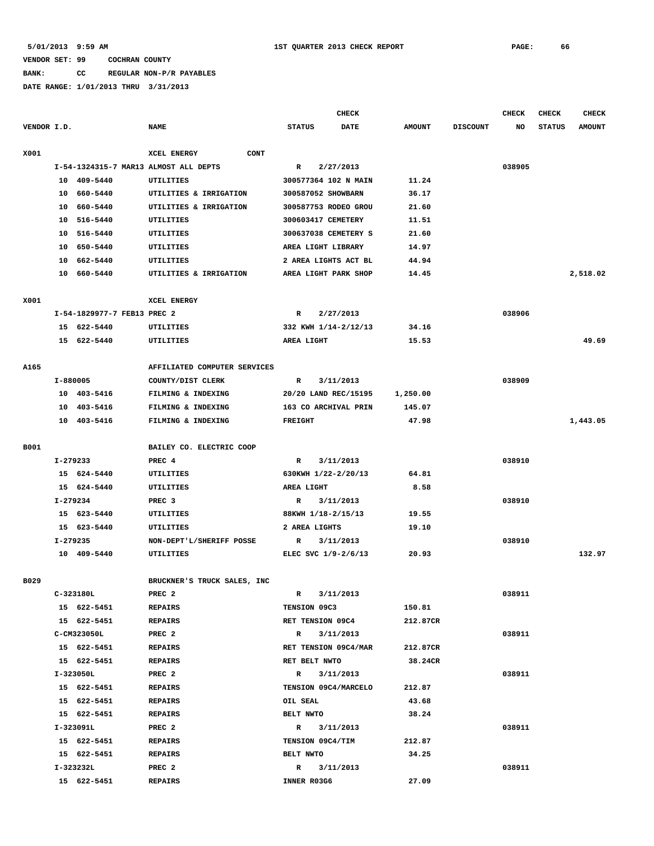**BANK: CC REGULAR NON-P/R PAYABLES**

|             |          |                             |                                       |                         | <b>CHECK</b>         |               |                 | <b>CHECK</b> | <b>CHECK</b>  | <b>CHECK</b>  |
|-------------|----------|-----------------------------|---------------------------------------|-------------------------|----------------------|---------------|-----------------|--------------|---------------|---------------|
| VENDOR I.D. |          |                             | <b>NAME</b>                           | <b>STATUS</b>           | <b>DATE</b>          | <b>AMOUNT</b> | <b>DISCOUNT</b> | NO           | <b>STATUS</b> | <b>AMOUNT</b> |
| X001        |          |                             | <b>CONT</b><br>XCEL ENERGY            |                         |                      |               |                 |              |               |               |
|             |          |                             | I-54-1324315-7 MAR13 ALMOST ALL DEPTS | R                       | 2/27/2013            |               |                 | 038905       |               |               |
|             |          | 10 409-5440                 | UTILITIES                             |                         | 300577364 102 N MAIN | 11.24         |                 |              |               |               |
|             | 10       | 660-5440                    | UTILITIES & IRRIGATION                | 300587052 SHOWBARN      |                      | 36.17         |                 |              |               |               |
|             | 10       | 660-5440                    | UTILITIES & IRRIGATION                |                         | 300587753 RODEO GROU | 21.60         |                 |              |               |               |
|             | 10       | 516-5440                    | UTILITIES                             | 300603417 CEMETERY      |                      | 11.51         |                 |              |               |               |
|             | 10       | 516-5440                    | UTILITIES                             |                         | 300637038 CEMETERY S | 21.60         |                 |              |               |               |
|             | 10       | 650-5440                    | UTILITIES                             | AREA LIGHT LIBRARY      |                      | 14.97         |                 |              |               |               |
|             | 10       | 662-5440                    | UTILITIES                             |                         | 2 AREA LIGHTS ACT BL | 44.94         |                 |              |               |               |
|             |          | 10 660-5440                 | UTILITIES & IRRIGATION                |                         | AREA LIGHT PARK SHOP | 14.45         |                 |              |               | 2,518.02      |
| X001        |          |                             | XCEL ENERGY                           |                         |                      |               |                 |              |               |               |
|             |          | I-54-1829977-7 FEB13 PREC 2 |                                       | R                       | 2/27/2013            |               |                 | 038906       |               |               |
|             |          | 15 622-5440                 | UTILITIES                             |                         | 332 KWH 1/14-2/12/13 | 34.16         |                 |              |               |               |
|             |          | 15 622-5440                 | UTILITIES                             | AREA LIGHT              |                      | 15.53         |                 |              |               | 49.69         |
|             |          |                             |                                       |                         |                      |               |                 |              |               |               |
| A165        |          |                             | AFFILIATED COMPUTER SERVICES          |                         |                      |               |                 |              |               |               |
|             | I-880005 |                             | COUNTY/DIST CLERK                     | R                       | 3/11/2013            |               |                 | 038909       |               |               |
|             |          | 10 403-5416                 | FILMING & INDEXING                    |                         | 20/20 LAND REC/15195 | 1,250.00      |                 |              |               |               |
|             | 10       | 403-5416                    | FILMING & INDEXING                    |                         | 163 CO ARCHIVAL PRIN | 145.07        |                 |              |               |               |
|             |          | 10 403-5416                 | FILMING & INDEXING                    | <b>FREIGHT</b>          |                      | 47.98         |                 |              |               | 1,443.05      |
| B001        |          |                             | BAILEY CO. ELECTRIC COOP              |                         |                      |               |                 |              |               |               |
|             | I-279233 |                             | PREC 4                                | R                       | 3/11/2013            |               |                 | 038910       |               |               |
|             |          | 15 624-5440                 | UTILITIES                             | 630KWH 1/22-2/20/13     |                      | 64.81         |                 |              |               |               |
|             |          | 15 624-5440                 | UTILITIES                             | AREA LIGHT              |                      | 8.58          |                 |              |               |               |
|             | I-279234 |                             | PREC <sub>3</sub>                     | R                       | 3/11/2013            |               |                 | 038910       |               |               |
|             |          | 15 623-5440                 | UTILITIES                             | 88KWH 1/18-2/15/13      |                      | 19.55         |                 |              |               |               |
|             |          | 15 623-5440                 | UTILITIES                             | 2 AREA LIGHTS           |                      | 19.10         |                 |              |               |               |
|             | I-279235 |                             | NON-DEPT'L/SHERIFF POSSE              | R                       | 3/11/2013            |               |                 | 038910       |               |               |
|             |          | 10 409-5440                 | UTILITIES                             | ELEC SVC 1/9-2/6/13     |                      | 20.93         |                 |              |               | 132.97        |
| B029        |          |                             | BRUCKNER'S TRUCK SALES, INC           |                         |                      |               |                 |              |               |               |
|             |          | C-323180L                   | PREC <sub>2</sub>                     | $\mathbb{R}$            | 3/11/2013            |               |                 | 038911       |               |               |
|             |          | 15 622-5451                 | <b>REPAIRS</b>                        | TENSION 09C3            |                      | 150.81        |                 |              |               |               |
|             |          | 15 622-5451                 | REPAIRS                               | <b>RET TENSION 09C4</b> |                      | 212.87CR      |                 |              |               |               |
|             |          | C-CM323050L                 | PREC <sub>2</sub>                     |                         | R 3/11/2013          |               |                 | 038911       |               |               |
|             |          | 15 622-5451                 | <b>REPAIRS</b>                        |                         | RET TENSION 09C4/MAR | 212.87CR      |                 |              |               |               |
|             |          | 15 622-5451                 | REPAIRS                               | RET BELT NWTO           |                      | 38.24CR       |                 |              |               |               |
|             |          | I-323050L                   | PREC <sub>2</sub>                     | R 3/11/2013             |                      |               |                 | 038911       |               |               |
|             |          | 15 622-5451                 | <b>REPAIRS</b>                        |                         | TENSION 09C4/MARCELO | 212.87        |                 |              |               |               |
|             |          | 15 622-5451                 | REPAIRS                               | OIL SEAL                |                      | 43.68         |                 |              |               |               |
|             |          | 15 622-5451                 | REPAIRS                               | BELT NWTO               |                      | 38.24         |                 |              |               |               |
|             |          | I-323091L                   | PREC <sub>2</sub>                     | R 3/11/2013             |                      |               |                 | 038911       |               |               |
|             |          | 15 622-5451                 | REPAIRS                               | TENSION 09C4/TIM        |                      | 212.87        |                 |              |               |               |
|             |          | 15 622-5451                 | REPAIRS                               | BELT NWTO               |                      | 34.25         |                 |              |               |               |
|             |          | I-323232L                   | PREC <sub>2</sub>                     |                         | R 3/11/2013          |               |                 | 038911       |               |               |
|             |          | 15 622-5451                 | REPAIRS                               | INNER R03G6             |                      | 27.09         |                 |              |               |               |
|             |          |                             |                                       |                         |                      |               |                 |              |               |               |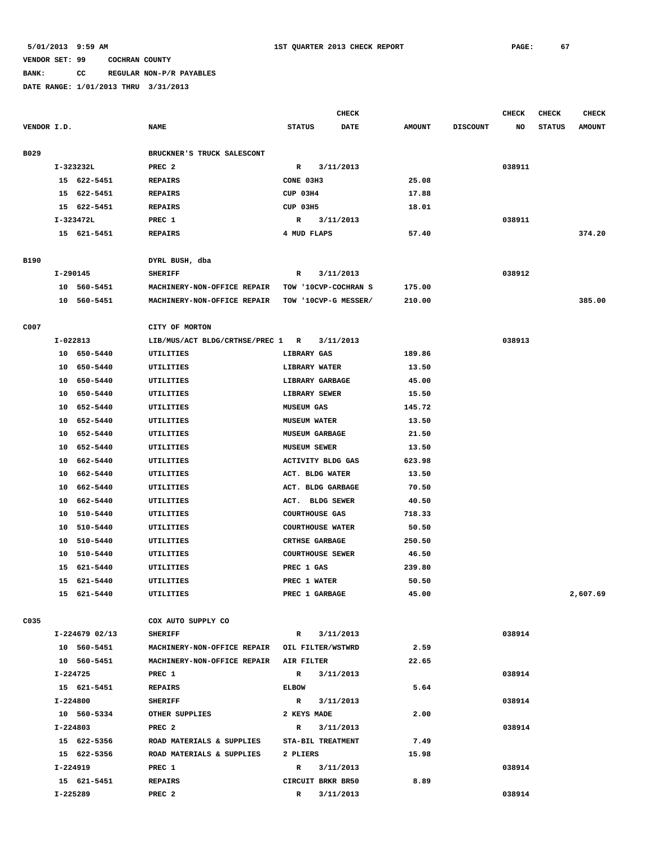# **BANK: CC REGULAR NON-P/R PAYABLES**

|             |          |                         |                                                  |                         | <b>CHECK</b>         |               |                 | <b>CHECK</b> | <b>CHECK</b>  | <b>CHECK</b>  |
|-------------|----------|-------------------------|--------------------------------------------------|-------------------------|----------------------|---------------|-----------------|--------------|---------------|---------------|
| VENDOR I.D. |          |                         | <b>NAME</b>                                      | <b>STATUS</b>           | <b>DATE</b>          | <b>AMOUNT</b> | <b>DISCOUNT</b> | NO           | <b>STATUS</b> | <b>AMOUNT</b> |
|             |          |                         |                                                  |                         |                      |               |                 |              |               |               |
| B029        |          |                         | BRUCKNER'S TRUCK SALESCONT                       |                         |                      |               |                 |              |               |               |
|             |          | I-323232L               | PREC <sub>2</sub>                                | R                       | 3/11/2013            |               |                 | 038911       |               |               |
|             |          | 15 622-5451             | <b>REPAIRS</b>                                   | CONE 03H3               |                      | 25.08         |                 |              |               |               |
|             |          | 15 622-5451             | <b>REPAIRS</b>                                   | CUP 03H4                |                      | 17.88         |                 |              |               |               |
|             |          | 15 622-5451             | <b>REPAIRS</b>                                   | CUP 03H5                |                      | 18.01         |                 |              |               |               |
|             |          | I-323472L               | PREC 1                                           | R                       | 3/11/2013            |               |                 | 038911       |               |               |
|             |          | 15 621-5451             | <b>REPAIRS</b>                                   | 4 MUD FLAPS             |                      | 57.40         |                 |              |               | 374.20        |
|             |          |                         |                                                  |                         |                      |               |                 |              |               |               |
| B190        | I-290145 |                         | DYRL BUSH, dba<br><b>SHERIFF</b>                 | R                       | 3/11/2013            |               |                 | 038912       |               |               |
|             |          | 10 560-5451             | MACHINERY-NON-OFFICE REPAIR                      |                         | TOW '10CVP-COCHRAN S | 175.00        |                 |              |               |               |
|             |          | 10 560-5451             | MACHINERY-NON-OFFICE REPAIR TOW '10CVP-G MESSER/ |                         |                      | 210.00        |                 |              |               | 385.00        |
|             |          |                         |                                                  |                         |                      |               |                 |              |               |               |
| C007        |          |                         | CITY OF MORTON                                   |                         |                      |               |                 |              |               |               |
|             | I-022813 |                         | LIB/MUS/ACT BLDG/CRTHSE/PREC 1 R                 |                         | 3/11/2013            |               |                 | 038913       |               |               |
|             |          | 10 650-5440             | UTILITIES                                        | LIBRARY GAS             |                      | 189.86        |                 |              |               |               |
|             |          | 10 650-5440             | UTILITIES                                        | LIBRARY WATER           |                      | 13.50         |                 |              |               |               |
|             |          | 10 650-5440             | UTILITIES                                        | LIBRARY GARBAGE         |                      | 45.00         |                 |              |               |               |
|             |          | 10 650-5440             | UTILITIES                                        | LIBRARY SEWER           |                      | 15.50         |                 |              |               |               |
|             | 10       | 652-5440                | UTILITIES                                        | <b>MUSEUM GAS</b>       |                      | 145.72        |                 |              |               |               |
|             | 10       | 652-5440                | UTILITIES                                        | <b>MUSEUM WATER</b>     |                      | 13.50         |                 |              |               |               |
|             | 10       | 652-5440                | UTILITIES                                        | <b>MUSEUM GARBAGE</b>   |                      | 21.50         |                 |              |               |               |
|             | 10       | 652-5440                | UTILITIES                                        | <b>MUSEUM SEWER</b>     |                      | 13.50         |                 |              |               |               |
|             | 10       | 662-5440                | UTILITIES                                        | ACTIVITY BLDG GAS       |                      | 623.98        |                 |              |               |               |
|             |          | 10 662-5440             | UTILITIES                                        | ACT. BLDG WATER         |                      | 13.50         |                 |              |               |               |
|             | 10       | 662-5440                | UTILITIES                                        | ACT. BLDG GARBAGE       |                      | 70.50         |                 |              |               |               |
|             | 10       | 662-5440                | UTILITIES                                        | ACT. BLDG SEWER         |                      | 40.50         |                 |              |               |               |
|             | 10       | 510-5440                | UTILITIES                                        | <b>COURTHOUSE GAS</b>   |                      | 718.33        |                 |              |               |               |
|             | 10       | 510-5440                | UTILITIES                                        | <b>COURTHOUSE WATER</b> |                      | 50.50         |                 |              |               |               |
|             |          | 10 510-5440             | UTILITIES                                        | <b>CRTHSE GARBAGE</b>   |                      | 250.50        |                 |              |               |               |
|             |          | 10 510-5440             | UTILITIES                                        | <b>COURTHOUSE SEWER</b> |                      | 46.50         |                 |              |               |               |
|             | 15       | 621-5440                | UTILITIES                                        | PREC 1 GAS              |                      | 239.80        |                 |              |               |               |
|             |          | 15 621-5440             | UTILITIES                                        | PREC 1 WATER            |                      | 50.50         |                 |              |               |               |
|             |          | 15 621-5440             | UTILITIES                                        | PREC 1 GARBAGE          |                      | 45.00         |                 |              |               | 2,607.69      |
|             |          |                         |                                                  |                         |                      |               |                 |              |               |               |
| C035        |          |                         | COX AUTO SUPPLY CO                               |                         |                      |               |                 |              |               |               |
|             |          | $I-224679$ 02/13        | <b>SHERIFF</b>                                   |                         | R 3/11/2013          |               |                 | 038914       |               |               |
|             |          | 10 560-5451             | MACHINERY-NON-OFFICE REPAIR OIL FILTER/WSTWRD    |                         |                      | 2.59          |                 |              |               |               |
|             |          | 10 560-5451             | MACHINERY-NON-OFFICE REPAIR AIR FILTER           |                         |                      | 22.65         |                 |              |               |               |
|             |          | I-224725                | PREC 1                                           | $\mathbb{R}$            | 3/11/2013            |               |                 | 038914       |               |               |
|             |          | 15 621-5451             | <b>REPAIRS</b>                                   | <b>ELBOW</b>            |                      | 5.64          |                 |              |               |               |
|             |          | I-224800                | <b>SHERIFF</b>                                   | $\mathbb{R}$            | 3/11/2013            |               |                 | 038914       |               |               |
|             |          | 10 560-5334             | OTHER SUPPLIES                                   | 2 KEYS MADE             |                      | 2.00          |                 |              |               |               |
|             |          | I-224803                | PREC <sub>2</sub>                                |                         | R 3/11/2013          |               |                 | 038914       |               |               |
|             |          | 15 622-5356             | ROAD MATERIALS & SUPPLIES                        | STA-BIL TREATMENT       |                      | 7.49          |                 |              |               |               |
|             |          | 15 622-5356<br>I-224919 | ROAD MATERIALS & SUPPLIES<br>PREC 1              | 2 PLIERS                |                      | 15.98         |                 | 038914       |               |               |
|             |          | 15 621-5451             | <b>REPAIRS</b>                                   | CIRCUIT BRKR BR50       | R 3/11/2013          | 8.89          |                 |              |               |               |
|             | I-225289 |                         | PREC <sub>2</sub>                                | $\mathbf{R}$            | 3/11/2013            |               |                 | 038914       |               |               |
|             |          |                         |                                                  |                         |                      |               |                 |              |               |               |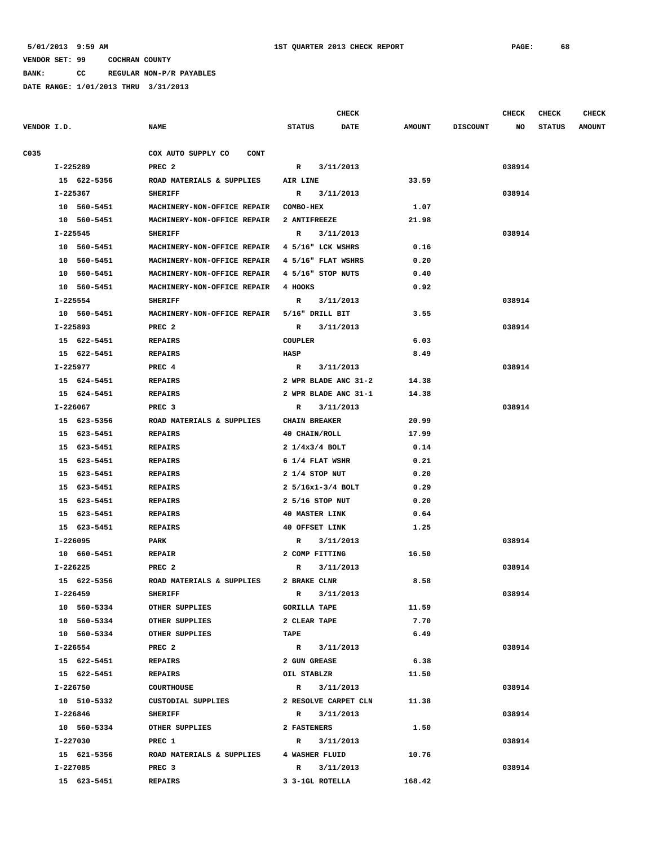**BANK: CC REGULAR NON-P/R PAYABLES**

|             |             |                                             | <b>CHECK</b>                 |               |                 | <b>CHECK</b> | <b>CHECK</b>  | CHECK         |
|-------------|-------------|---------------------------------------------|------------------------------|---------------|-----------------|--------------|---------------|---------------|
| VENDOR I.D. |             | <b>NAME</b>                                 | <b>STATUS</b><br><b>DATE</b> | <b>AMOUNT</b> | <b>DISCOUNT</b> | NO           | <b>STATUS</b> | <b>AMOUNT</b> |
| C035        |             | COX AUTO SUPPLY CO<br><b>CONT</b>           |                              |               |                 |              |               |               |
|             | I-225289    | PREC <sub>2</sub>                           | $\mathbf{R}$<br>3/11/2013    |               |                 | 038914       |               |               |
|             | 15 622-5356 | ROAD MATERIALS & SUPPLIES                   | AIR LINE                     | 33.59         |                 |              |               |               |
|             | I-225367    | <b>SHERIFF</b>                              | 3/11/2013<br>R               |               |                 | 038914       |               |               |
|             | 10 560-5451 | MACHINERY-NON-OFFICE REPAIR                 | <b>COMBO-HEX</b>             | 1.07          |                 |              |               |               |
|             | 10 560-5451 | MACHINERY-NON-OFFICE REPAIR                 | 2 ANTIFREEZE                 | 21.98         |                 |              |               |               |
|             | I-225545    | <b>SHERIFF</b>                              | 3/11/2013<br>$\mathbb{R}$    |               |                 | 038914       |               |               |
|             | 10 560-5451 | MACHINERY-NON-OFFICE REPAIR                 | 4 5/16" LCK WSHRS            | 0.16          |                 |              |               |               |
|             | 10 560-5451 | MACHINERY-NON-OFFICE REPAIR                 | 4 5/16" FLAT WSHRS           | 0.20          |                 |              |               |               |
|             | 10 560-5451 | MACHINERY-NON-OFFICE REPAIR                 | 4 5/16" STOP NUTS            | 0.40          |                 |              |               |               |
|             | 10 560-5451 | MACHINERY-NON-OFFICE REPAIR                 | 4 HOOKS                      | 0.92          |                 |              |               |               |
|             | I-225554    | <b>SHERIFF</b>                              | 3/11/2013<br>R               |               |                 | 038914       |               |               |
|             | 10 560-5451 | MACHINERY-NON-OFFICE REPAIR 5/16" DRILL BIT |                              | 3.55          |                 |              |               |               |
|             | I-225893    | PREC <sub>2</sub>                           | 3/11/2013<br>R               |               |                 | 038914       |               |               |
|             | 15 622-5451 | <b>REPAIRS</b>                              | <b>COUPLER</b>               | 6.03          |                 |              |               |               |
|             | 15 622-5451 | <b>REPAIRS</b>                              | <b>HASP</b>                  | 8.49          |                 |              |               |               |
|             | I-225977    | PREC 4                                      | 3/11/2013<br>R               |               |                 | 038914       |               |               |
|             | 15 624-5451 | <b>REPAIRS</b>                              | 2 WPR BLADE ANC 31-2         | 14.38         |                 |              |               |               |
|             | 15 624-5451 | <b>REPAIRS</b>                              | 2 WPR BLADE ANC 31-1         | 14.38         |                 |              |               |               |
|             | I-226067    | PREC 3                                      | R<br>3/11/2013               |               |                 | 038914       |               |               |
|             | 15 623-5356 | ROAD MATERIALS & SUPPLIES                   | <b>CHAIN BREAKER</b>         | 20.99         |                 |              |               |               |
|             | 15 623-5451 | <b>REPAIRS</b>                              | 40 CHAIN/ROLL                | 17.99         |                 |              |               |               |
|             | 15 623-5451 | <b>REPAIRS</b>                              | $2 \frac{1}{4x3/4}$ BOLT     | 0.14          |                 |              |               |               |
|             | 15 623-5451 | <b>REPAIRS</b>                              | 6 1/4 FLAT WSHR              | 0.21          |                 |              |               |               |
|             | 15 623-5451 | <b>REPAIRS</b>                              | $2 \frac{1}{4}$ STOP NUT     | 0.20          |                 |              |               |               |
|             | 15 623-5451 | <b>REPAIRS</b>                              | 2 5/16x1-3/4 BOLT            | 0.29          |                 |              |               |               |
|             | 15 623-5451 | <b>REPAIRS</b>                              | 2 5/16 STOP NUT              | 0.20          |                 |              |               |               |
|             | 15 623-5451 | <b>REPAIRS</b>                              | <b>40 MASTER LINK</b>        | 0.64          |                 |              |               |               |
|             | 15 623-5451 | <b>REPAIRS</b>                              | 40 OFFSET LINK               | 1.25          |                 |              |               |               |
|             | I-226095    | <b>PARK</b>                                 | R<br>3/11/2013               |               |                 | 038914       |               |               |
|             | 10 660-5451 | <b>REPAIR</b>                               | 2 COMP FITTING               | 16.50         |                 |              |               |               |
|             | I-226225    | PREC 2                                      | R<br>3/11/2013               |               |                 | 038914       |               |               |
|             | 15 622-5356 | ROAD MATERIALS & SUPPLIES                   | 2 BRAKE CLNR                 | 8.58          |                 |              |               |               |
|             | I-226459    | <b>SHERIFF</b>                              | $\mathbb{R}$<br>3/11/2013    |               |                 | 038914       |               |               |
|             | 10 560-5334 | OTHER SUPPLIES                              | <b>GORILLA TAPE</b>          | 11.59         |                 |              |               |               |
|             | 10 560-5334 | OTHER SUPPLIES                              | 2 CLEAR TAPE                 | 7.70          |                 |              |               |               |
|             | 10 560-5334 | OTHER SUPPLIES                              | <b>TAPE</b>                  | 6.49          |                 |              |               |               |
|             | I-226554    | PREC <sub>2</sub>                           | R 3/11/2013                  |               |                 | 038914       |               |               |
|             | 15 622-5451 | <b>REPAIRS</b>                              | 2 GUN GREASE                 | 6.38          |                 |              |               |               |
|             | 15 622-5451 | REPAIRS                                     | OIL STABLZR                  | 11.50         |                 |              |               |               |
|             | I-226750    | COURTHOUSE                                  | R 3/11/2013                  |               |                 | 038914       |               |               |
|             | 10 510-5332 | CUSTODIAL SUPPLIES                          | 2 RESOLVE CARPET CLN         | 11.38         |                 |              |               |               |
|             | I-226846    | <b>SHERIFF</b>                              | R 3/11/2013                  |               |                 | 038914       |               |               |
|             | 10 560-5334 | OTHER SUPPLIES                              | 2 FASTENERS                  | 1.50          |                 |              |               |               |
|             | I-227030    | PREC 1                                      | R<br>3/11/2013               |               |                 | 038914       |               |               |
|             |             | 15 621-5356 ROAD MATERIALS & SUPPLIES       | 4 WASHER FLUID               | 10.76         |                 |              |               |               |
|             | I-227085    | PREC 3                                      | R 3/11/2013                  |               |                 | 038914       |               |               |
|             | 15 623-5451 | REPAIRS                                     | 3 3-1GL ROTELLA              | 168.42        |                 |              |               |               |
|             |             |                                             |                              |               |                 |              |               |               |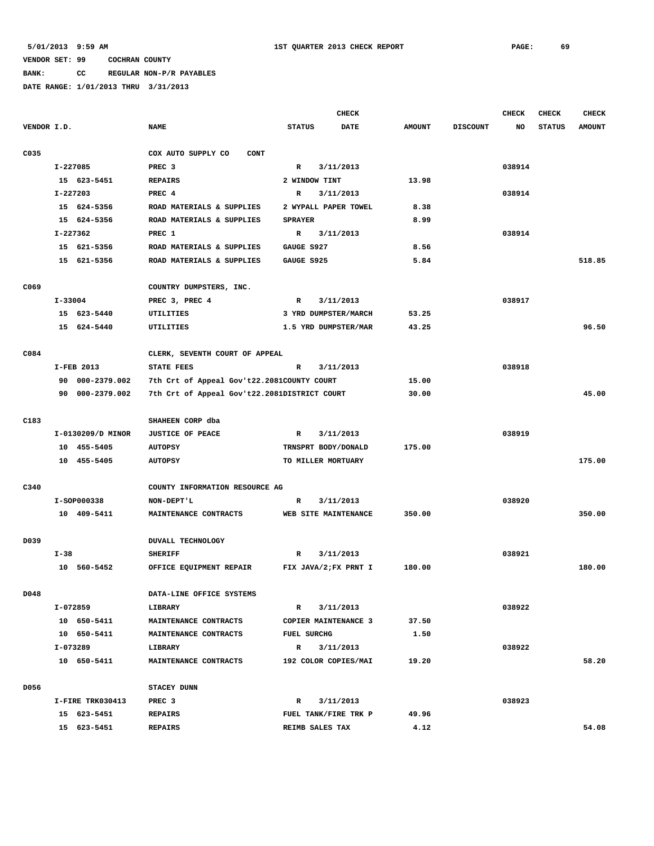# **BANK: CC REGULAR NON-P/R PAYABLES**

|                  |         |                   |                                              |                       | <b>CHECK</b>         |               |                 | <b>CHECK</b> | <b>CHECK</b>  | <b>CHECK</b>  |
|------------------|---------|-------------------|----------------------------------------------|-----------------------|----------------------|---------------|-----------------|--------------|---------------|---------------|
| VENDOR I.D.      |         |                   | <b>NAME</b>                                  | <b>STATUS</b>         | DATE                 | <b>AMOUNT</b> | <b>DISCOUNT</b> | NO           | <b>STATUS</b> | <b>AMOUNT</b> |
| C035             |         |                   | COX AUTO SUPPLY CO<br><b>CONT</b>            |                       |                      |               |                 |              |               |               |
|                  |         | I-227085          | PREC <sub>3</sub>                            | R                     | 3/11/2013            |               |                 | 038914       |               |               |
|                  |         | 15 623-5451       | <b>REPAIRS</b>                               | 2 WINDOW TINT         |                      | 13.98         |                 |              |               |               |
|                  |         | I-227203          | PREC 4                                       | R                     | 3/11/2013            |               |                 | 038914       |               |               |
|                  |         | 15 624-5356       | ROAD MATERIALS & SUPPLIES                    | 2 WYPALL PAPER TOWEL  |                      | 8.38          |                 |              |               |               |
|                  |         | 15 624-5356       | ROAD MATERIALS & SUPPLIES                    | <b>SPRAYER</b>        |                      | 8.99          |                 |              |               |               |
|                  |         | I-227362          | PREC 1                                       | R                     | 3/11/2013            |               |                 | 038914       |               |               |
|                  |         | 15 621-5356       | ROAD MATERIALS & SUPPLIES                    | GAUGE S927            |                      | 8.56          |                 |              |               |               |
|                  |         | 15 621-5356       | ROAD MATERIALS & SUPPLIES                    | GAUGE S925            |                      | 5.84          |                 |              |               | 518.85        |
|                  |         |                   |                                              |                       |                      |               |                 |              |               |               |
| C069             |         |                   | COUNTRY DUMPSTERS, INC.                      |                       |                      |               |                 |              |               |               |
|                  | I-33004 |                   | PREC 3, PREC 4                               | R                     | 3/11/2013            |               |                 | 038917       |               |               |
|                  |         | 15 623-5440       | UTILITIES                                    |                       | 3 YRD DUMPSTER/MARCH | 53.25         |                 |              |               |               |
|                  |         | 15 624-5440       | UTILITIES                                    |                       | 1.5 YRD DUMPSTER/MAR | 43.25         |                 |              |               | 96.50         |
| C084             |         |                   | CLERK, SEVENTH COURT OF APPEAL               |                       |                      |               |                 |              |               |               |
|                  |         | I-FEB 2013        | <b>STATE FEES</b>                            | R                     | 3/11/2013            |               |                 | 038918       |               |               |
|                  |         | 90 000-2379.002   | 7th Crt of Appeal Gov't22.2081COUNTY COURT   |                       |                      | 15.00         |                 |              |               |               |
|                  |         | 90 000-2379.002   | 7th Crt of Appeal Gov't22.2081DISTRICT COURT |                       |                      | 30.00         |                 |              |               | 45.00         |
| C <sub>183</sub> |         |                   | SHAHEEN CORP dba                             |                       |                      |               |                 |              |               |               |
|                  |         | I-0130209/D MINOR | <b>JUSTICE OF PEACE</b>                      | R                     | 3/11/2013            |               |                 | 038919       |               |               |
|                  |         | 10 455-5405       | <b>AUTOPSY</b>                               | TRNSPRT BODY/DONALD   |                      | 175.00        |                 |              |               |               |
|                  |         | 10 455-5405       | <b>AUTOPSY</b>                               | TO MILLER MORTUARY    |                      |               |                 |              |               | 175.00        |
|                  |         |                   |                                              |                       |                      |               |                 |              |               |               |
| C340             |         |                   | COUNTY INFORMATION RESOURCE AG               |                       |                      |               |                 |              |               |               |
|                  |         | I-SOP000338       | NON-DEPT'L                                   | R                     | 3/11/2013            |               |                 | 038920       |               |               |
|                  |         | 10 409-5411       | MAINTENANCE CONTRACTS                        |                       | WEB SITE MAINTENANCE | 350.00        |                 |              |               | 350.00        |
| D039             |         |                   | DUVALL TECHNOLOGY                            |                       |                      |               |                 |              |               |               |
|                  | $I-38$  |                   | <b>SHERIFF</b>                               | R                     | 3/11/2013            |               |                 | 038921       |               |               |
|                  |         | 10 560-5452       | OFFICE EQUIPMENT REPAIR                      | FIX JAVA/2; FX PRNT I |                      | 180.00        |                 |              |               | 180.00        |
| D048             |         |                   | DATA-LINE OFFICE SYSTEMS                     |                       |                      |               |                 |              |               |               |
|                  |         | I-072859          | LIBRARY                                      | R                     | 3/11/2013            |               |                 | 038922       |               |               |
|                  |         | 10 650-5411       | MAINTENANCE CONTRACTS                        |                       | COPIER MAINTENANCE 3 | 37.50         |                 |              |               |               |
|                  |         | 10 650-5411       | MAINTENANCE CONTRACTS                        | <b>FUEL SURCHG</b>    |                      | 1.50          |                 |              |               |               |
|                  |         | I-073289          | LIBRARY                                      | $\mathbb{R}$          | 3/11/2013            |               |                 | 038922       |               |               |
|                  |         | 10 650-5411       | MAINTENANCE CONTRACTS                        |                       | 192 COLOR COPIES/MAI | 19.20         |                 |              |               | 58.20         |
| D056             |         |                   | STACEY DUNN                                  |                       |                      |               |                 |              |               |               |
|                  |         | I-FIRE TRK030413  | PREC <sub>3</sub>                            | R                     | 3/11/2013            |               |                 | 038923       |               |               |
|                  |         | 15 623-5451       | <b>REPAIRS</b>                               |                       | FUEL TANK/FIRE TRK P | 49.96         |                 |              |               |               |
|                  |         | 15 623-5451       | <b>REPAIRS</b>                               | REIMB SALES TAX       |                      | 4.12          |                 |              |               | 54.08         |
|                  |         |                   |                                              |                       |                      |               |                 |              |               |               |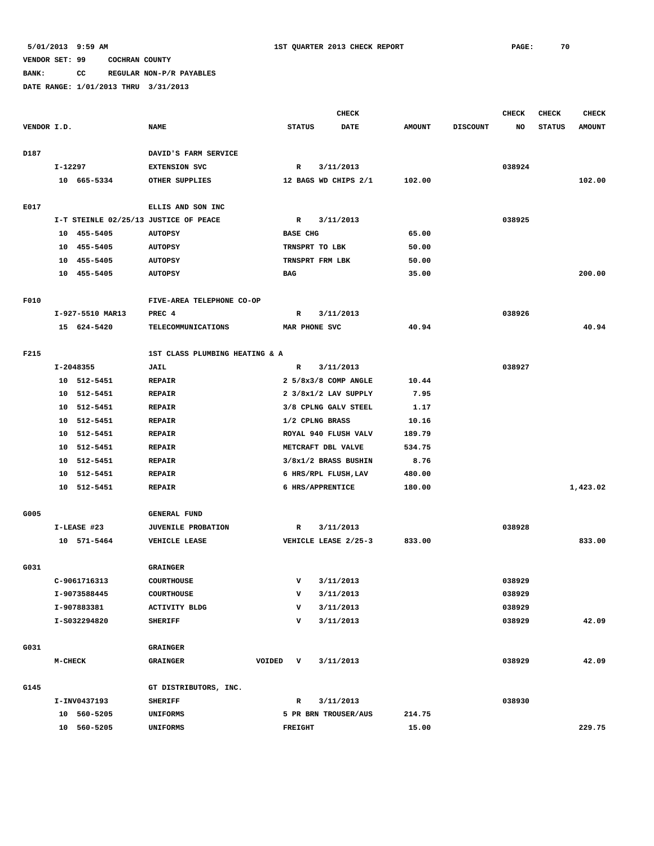**BANK: CC REGULAR NON-P/R PAYABLES**

|             |           |                  |                                       |        |                 | <b>CHECK</b>                         |               |                 | <b>CHECK</b> | <b>CHECK</b>  | <b>CHECK</b>  |
|-------------|-----------|------------------|---------------------------------------|--------|-----------------|--------------------------------------|---------------|-----------------|--------------|---------------|---------------|
| VENDOR I.D. |           |                  | <b>NAME</b>                           |        | <b>STATUS</b>   | DATE                                 | <b>AMOUNT</b> | <b>DISCOUNT</b> | NO           | <b>STATUS</b> | <b>AMOUNT</b> |
| D187        |           |                  | DAVID'S FARM SERVICE                  |        |                 |                                      |               |                 |              |               |               |
|             | I-12297   |                  | <b>EXTENSION SVC</b>                  |        | R               | 3/11/2013                            |               |                 | 038924       |               |               |
|             |           | 10 665-5334      | OTHER SUPPLIES                        |        |                 | 12 BAGS WD CHIPS 2/1                 | 102.00        |                 |              |               | 102.00        |
| E017        |           |                  | ELLIS AND SON INC                     |        |                 |                                      |               |                 |              |               |               |
|             |           |                  | I-T STEINLE 02/25/13 JUSTICE OF PEACE |        | R               | 3/11/2013                            |               |                 | 038925       |               |               |
|             | 10        | 455-5405         | <b>AUTOPSY</b>                        |        | <b>BASE CHG</b> |                                      | 65.00         |                 |              |               |               |
|             | 10        | 455-5405         | <b>AUTOPSY</b>                        |        |                 | TRNSPRT TO LBK                       | 50.00         |                 |              |               |               |
|             | 10        | 455-5405         | <b>AUTOPSY</b>                        |        |                 | TRNSPRT FRM LBK                      | 50.00         |                 |              |               |               |
|             | 10        | 455-5405         | <b>AUTOPSY</b>                        |        | <b>BAG</b>      |                                      | 35.00         |                 |              |               | 200.00        |
| F010        |           |                  | FIVE-AREA TELEPHONE CO-OP             |        |                 |                                      |               |                 |              |               |               |
|             |           | I-927-5510 MAR13 | PREC 4                                |        | R               | 3/11/2013                            |               |                 | 038926       |               |               |
|             |           | 15 624-5420      | TELECOMMUNICATIONS                    |        | MAR PHONE SVC   |                                      | 40.94         |                 |              |               | 40.94         |
| F215        |           |                  | 1ST CLASS PLUMBING HEATING & A        |        |                 |                                      |               |                 |              |               |               |
|             | I-2048355 |                  | <b>JAIL</b>                           |        | R               | 3/11/2013                            |               |                 | 038927       |               |               |
|             | 10        | 512-5451         | <b>REPAIR</b>                         |        |                 | $2\frac{5}{8} \times 3/8$ COMP ANGLE | 10.44         |                 |              |               |               |
|             | 10        | 512-5451         | <b>REPAIR</b>                         |        |                 | 2 3/8x1/2 LAV SUPPLY                 | 7.95          |                 |              |               |               |
|             |           |                  |                                       |        |                 | 3/8 CPLNG GALV STEEL                 |               |                 |              |               |               |
|             | 10        | 512-5451         | <b>REPAIR</b>                         |        |                 |                                      | 1.17          |                 |              |               |               |
|             | 10        | 512-5451         | <b>REPAIR</b>                         |        |                 | 1/2 CPLNG BRASS                      | 10.16         |                 |              |               |               |
|             | 10        | 512-5451         | <b>REPAIR</b>                         |        |                 | ROYAL 940 FLUSH VALV                 | 189.79        |                 |              |               |               |
|             | 10        | 512-5451         | <b>REPAIR</b>                         |        |                 | METCRAFT DBL VALVE                   | 534.75        |                 |              |               |               |
|             | 10        | 512-5451         | <b>REPAIR</b>                         |        |                 | 3/8x1/2 BRASS BUSHIN                 | 8.76          |                 |              |               |               |
|             | 10        | 512-5451         | <b>REPAIR</b>                         |        |                 | 6 HRS/RPL FLUSH, LAV                 | 480.00        |                 |              |               |               |
|             |           | 10 512-5451      | <b>REPAIR</b>                         |        |                 | 6 HRS/APPRENTICE                     | 180.00        |                 |              |               | 1,423.02      |
| G005        |           |                  | GENERAL FUND                          |        |                 |                                      |               |                 |              |               |               |
|             |           | I-LEASE #23      | JUVENILE PROBATION                    |        | R               | 3/11/2013                            |               |                 | 038928       |               |               |
|             |           | 10 571-5464      | <b>VEHICLE LEASE</b>                  |        |                 | VEHICLE LEASE 2/25-3                 | 833.00        |                 |              |               | 833.00        |
| G031        |           |                  | <b>GRAINGER</b>                       |        |                 |                                      |               |                 |              |               |               |
|             |           | C-9061716313     | COURTHOUSE                            |        | v               | 3/11/2013                            |               |                 | 038929       |               |               |
|             |           | I-9073588445     | COURTHOUSE                            |        | v               | 3/11/2013                            |               |                 | 038929       |               |               |
|             |           | I-907883381      | <b>ACTIVITY BLDG</b>                  |        | $\mathbf v$     | 3/11/2013                            |               |                 | 038929       |               |               |
|             |           | I-S032294820     | <b>SHERIFF</b>                        |        | v               | 3/11/2013                            |               |                 | 038929       |               | 42.09         |
| G031        |           |                  | <b>GRAINGER</b>                       |        |                 |                                      |               |                 |              |               |               |
|             | $M-CHECK$ |                  | <b>GRAINGER</b>                       | VOIDED | v               | 3/11/2013                            |               |                 | 038929       |               | 42.09         |
| G145        |           |                  | GT DISTRIBUTORS, INC.                 |        |                 |                                      |               |                 |              |               |               |
|             |           | I-INV0437193     | SHERIFF                               |        | $\mathbb{R}$    | 3/11/2013                            |               |                 | 038930       |               |               |
|             |           | 10 560-5205      | <b>UNIFORMS</b>                       |        |                 | 5 PR BRN TROUSER/AUS                 | 214.75        |                 |              |               |               |
|             |           | 10 560-5205      | UNIFORMS                              |        | FREIGHT         |                                      | 15.00         |                 |              |               | 229.75        |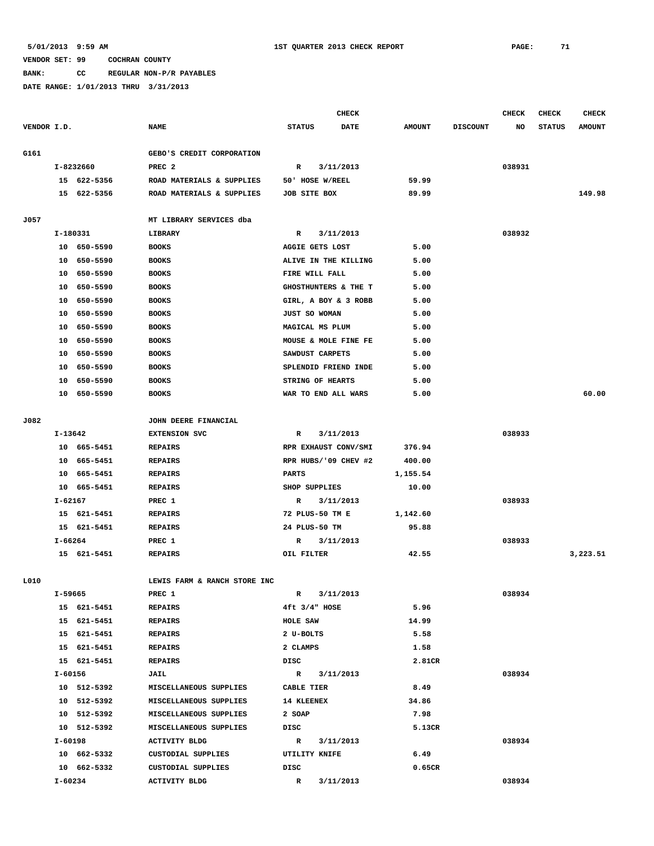**BANK: CC REGULAR NON-P/R PAYABLES**

|             |                      |                              |                        | <b>CHECK</b> |               |                 | <b>CHECK</b> | <b>CHECK</b>  | <b>CHECK</b>  |
|-------------|----------------------|------------------------------|------------------------|--------------|---------------|-----------------|--------------|---------------|---------------|
| VENDOR I.D. |                      | <b>NAME</b>                  | <b>STATUS</b>          | <b>DATE</b>  | <b>AMOUNT</b> | <b>DISCOUNT</b> | NO           | <b>STATUS</b> | <b>AMOUNT</b> |
|             |                      |                              |                        |              |               |                 |              |               |               |
| G161        |                      | GEBO'S CREDIT CORPORATION    |                        |              |               |                 |              |               |               |
|             | I-8232660            | PREC <sub>2</sub>            | R                      | 3/11/2013    |               |                 | 038931       |               |               |
|             | 15 622-5356          | ROAD MATERIALS & SUPPLIES    | 50' HOSE W/REEL        |              | 59.99         |                 |              |               |               |
|             | 15 622-5356          | ROAD MATERIALS & SUPPLIES    | JOB SITE BOX           |              | 89.99         |                 |              |               | 149.98        |
|             |                      |                              |                        |              |               |                 |              |               |               |
| J057        |                      | MT LIBRARY SERVICES dba      |                        |              |               |                 |              |               |               |
|             | I-180331             | LIBRARY                      | R                      | 3/11/2013    |               |                 | 038932       |               |               |
|             | 10 650-5590          | <b>BOOKS</b>                 | <b>AGGIE GETS LOST</b> |              | 5.00          |                 |              |               |               |
|             | 10 650-5590          | <b>BOOKS</b>                 | ALIVE IN THE KILLING   |              | 5.00          |                 |              |               |               |
|             | 650-5590<br>10       | <b>BOOKS</b>                 | FIRE WILL FALL         |              | 5.00          |                 |              |               |               |
|             | 650-5590<br>10       | <b>BOOKS</b>                 | GHOSTHUNTERS & THE T   |              | 5.00          |                 |              |               |               |
|             | 650-5590<br>10       | <b>BOOKS</b>                 | GIRL, A BOY & 3 ROBB   |              | 5.00          |                 |              |               |               |
|             | 650-5590<br>10       | <b>BOOKS</b>                 | <b>JUST SO WOMAN</b>   |              | 5.00          |                 |              |               |               |
|             | 650-5590<br>10       | <b>BOOKS</b>                 | MAGICAL MS PLUM        |              | 5.00          |                 |              |               |               |
|             | 10<br>650-5590       | <b>BOOKS</b>                 | MOUSE & MOLE FINE FE   |              | 5.00          |                 |              |               |               |
|             | 650-5590<br>10       | <b>BOOKS</b>                 | SAWDUST CARPETS        |              | 5.00          |                 |              |               |               |
|             | 650-5590<br>10       | <b>BOOKS</b>                 | SPLENDID FRIEND INDE   |              | 5.00          |                 |              |               |               |
|             | 650-5590<br>10       | <b>BOOKS</b>                 | STRING OF HEARTS       |              | 5.00          |                 |              |               |               |
|             | 10 650-5590          | <b>BOOKS</b>                 | WAR TO END ALL WARS    |              | 5.00          |                 |              |               | 60.00         |
|             |                      |                              |                        |              |               |                 |              |               |               |
| J082        | JOHN DEERE FINANCIAL |                              |                        |              |               |                 |              |               |               |
|             | I-13642              | <b>EXTENSION SVC</b>         | R                      | 3/11/2013    |               |                 | 038933       |               |               |
|             | 10 665-5451          | <b>REPAIRS</b>               | RPR EXHAUST CONV/SMI   |              | 376.94        |                 |              |               |               |
|             | 10 665-5451          | <b>REPAIRS</b>               | RPR HUBS/'09 CHEV #2   |              | 400.00        |                 |              |               |               |
|             | 10 665-5451          | <b>REPAIRS</b>               | <b>PARTS</b>           |              | 1,155.54      |                 |              |               |               |
|             | 10 665-5451          | <b>REPAIRS</b>               | SHOP SUPPLIES          |              | 10.00         |                 |              |               |               |
|             | I-62167              | PREC 1                       | R                      | 3/11/2013    |               |                 | 038933       |               |               |
|             | 15 621-5451          | <b>REPAIRS</b>               | 72 PLUS-50 TM E        |              | 1,142.60      |                 |              |               |               |
|             | 15 621-5451          | <b>REPAIRS</b>               | 24 PLUS-50 TM          |              | 95.88         |                 |              |               |               |
|             | I-66264              | PREC 1                       | R                      | 3/11/2013    |               |                 | 038933       |               |               |
|             | 15 621-5451          | <b>REPAIRS</b>               | OIL FILTER             |              | 42.55         |                 |              |               | 3,223.51      |
|             |                      |                              |                        |              |               |                 |              |               |               |
| L010        |                      | LEWIS FARM & RANCH STORE INC |                        |              |               |                 |              |               |               |
|             | I-59665              | PREC 1                       | $\mathbf{R}$           | 3/11/2013    |               |                 | 038934       |               |               |
|             | 15 621-5451          | <b>REPAIRS</b>               | $4$ ft $3/4$ " HOSE    |              | 5.96          |                 |              |               |               |
|             | 15 621-5451          | <b>REPAIRS</b>               | HOLE SAW               |              | 14.99         |                 |              |               |               |
|             | 15 621-5451          | REPAIRS                      | 2 U-BOLTS              |              | 5.58          |                 |              |               |               |
|             | 15 621-5451          | <b>REPAIRS</b>               | 2 CLAMPS               |              | 1.58          |                 |              |               |               |
|             | 15 621-5451          | REPAIRS                      | DISC                   |              | 2.81CR        |                 |              |               |               |
|             | I-60156              | JAIL                         | R 3/11/2013            |              |               |                 | 038934       |               |               |
|             | 10 512-5392          | MISCELLANEOUS SUPPLIES       | CABLE TIER             |              | 8.49          |                 |              |               |               |
|             | 10 512-5392          | MISCELLANEOUS SUPPLIES       | <b>14 KLEENEX</b>      |              | 34.86         |                 |              |               |               |
|             | 10 512-5392          | MISCELLANEOUS SUPPLIES       | 2 SOAP                 |              | 7.98          |                 |              |               |               |
|             | 10 512-5392          | MISCELLANEOUS SUPPLIES       | DISC                   |              | 5.13CR        |                 |              |               |               |
|             | I-60198              | <b>ACTIVITY BLDG</b>         | $\mathbb{R}$           | 3/11/2013    |               |                 | 038934       |               |               |
|             | 10 662-5332          | CUSTODIAL SUPPLIES           | UTILITY KNIFE          |              | 6.49          |                 |              |               |               |
|             | 10 662-5332          | CUSTODIAL SUPPLIES           | DISC                   |              | 0.65CR        |                 |              |               |               |
|             | I-60234              | <b>ACTIVITY BLDG</b>         | $\mathbf{R}$           | 3/11/2013    |               |                 | 038934       |               |               |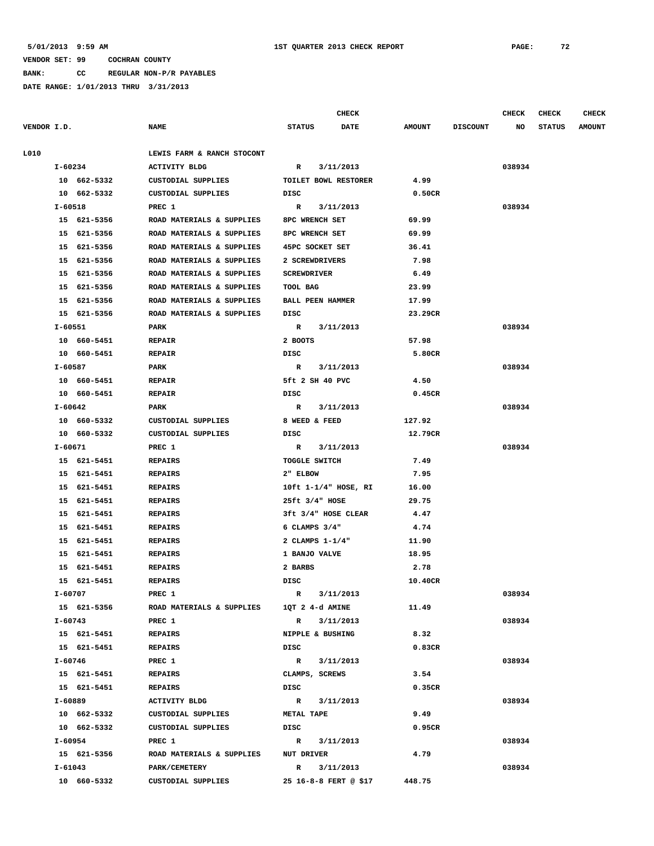**BANK: CC REGULAR NON-P/R PAYABLES**

|             |         |             |                            |               |                         | <b>CHECK</b>          |               |                 | <b>CHECK</b> | <b>CHECK</b>  | <b>CHECK</b>  |
|-------------|---------|-------------|----------------------------|---------------|-------------------------|-----------------------|---------------|-----------------|--------------|---------------|---------------|
| VENDOR I.D. |         |             | <b>NAME</b>                | <b>STATUS</b> |                         | <b>DATE</b>           | <b>AMOUNT</b> | <b>DISCOUNT</b> | NO           | <b>STATUS</b> | <b>AMOUNT</b> |
| L010        |         |             | LEWIS FARM & RANCH STOCONT |               |                         |                       |               |                 |              |               |               |
|             | I-60234 |             | <b>ACTIVITY BLDG</b>       | $\mathbb{R}$  |                         | 3/11/2013             |               |                 | 038934       |               |               |
|             |         | 10 662-5332 | CUSTODIAL SUPPLIES         |               |                         | TOILET BOWL RESTORER  | 4.99          |                 |              |               |               |
|             |         | 10 662-5332 | CUSTODIAL SUPPLIES         | DISC          |                         |                       | 0.50CR        |                 |              |               |               |
|             | I-60518 |             | PREC 1                     | $\mathbf{R}$  |                         | 3/11/2013             |               |                 | 038934       |               |               |
|             |         | 15 621-5356 | ROAD MATERIALS & SUPPLIES  |               | 8PC WRENCH SET          |                       | 69.99         |                 |              |               |               |
|             |         | 15 621-5356 | ROAD MATERIALS & SUPPLIES  |               | 8PC WRENCH SET          |                       | 69.99         |                 |              |               |               |
|             |         | 15 621-5356 | ROAD MATERIALS & SUPPLIES  |               | 45PC SOCKET SET         |                       | 36.41         |                 |              |               |               |
|             |         | 15 621-5356 | ROAD MATERIALS & SUPPLIES  |               | 2 SCREWDRIVERS          |                       | 7.98          |                 |              |               |               |
|             |         | 15 621-5356 | ROAD MATERIALS & SUPPLIES  |               | <b>SCREWDRIVER</b>      |                       | 6.49          |                 |              |               |               |
|             |         | 15 621-5356 | ROAD MATERIALS & SUPPLIES  | TOOL BAG      |                         |                       | 23.99         |                 |              |               |               |
|             |         | 15 621-5356 | ROAD MATERIALS & SUPPLIES  |               | <b>BALL PEEN HAMMER</b> |                       | 17.99         |                 |              |               |               |
|             |         | 15 621-5356 | ROAD MATERIALS & SUPPLIES  | DISC          |                         |                       | 23.29CR       |                 |              |               |               |
|             | I-60551 |             | PARK                       | $\mathbb{R}$  |                         | 3/11/2013             |               |                 | 038934       |               |               |
|             |         | 10 660-5451 | <b>REPAIR</b>              | 2 BOOTS       |                         |                       | 57.98         |                 |              |               |               |
|             |         | 10 660-5451 | <b>REPAIR</b>              | DISC          |                         |                       | 5.80CR        |                 |              |               |               |
|             | I-60587 |             | PARK                       | $\mathbb{R}$  |                         | 3/11/2013             |               |                 | 038934       |               |               |
|             |         | 10 660-5451 | <b>REPAIR</b>              |               | 5ft 2 SH 40 PVC         |                       | 4.50          |                 |              |               |               |
|             |         | 10 660-5451 | <b>REPAIR</b>              | DISC          |                         |                       | 0.45CR        |                 |              |               |               |
|             | I-60642 |             | PARK                       | $\mathbf{R}$  |                         | 3/11/2013             |               |                 | 038934       |               |               |
|             |         | 10 660-5332 | CUSTODIAL SUPPLIES         |               | 8 WEED & FEED           |                       | 127.92        |                 |              |               |               |
|             |         | 10 660-5332 | CUSTODIAL SUPPLIES         | DISC          |                         |                       | 12.79CR       |                 |              |               |               |
|             | I-60671 |             | PREC 1                     | $\mathbb{R}$  |                         | 3/11/2013             |               |                 | 038934       |               |               |
|             |         | 15 621-5451 | <b>REPAIRS</b>             |               | TOGGLE SWITCH           |                       | 7.49          |                 |              |               |               |
|             |         | 15 621-5451 | <b>REPAIRS</b>             | 2" ELBOW      |                         |                       | 7.95          |                 |              |               |               |
|             |         | 15 621-5451 | <b>REPAIRS</b>             |               |                         | 10ft 1-1/4" HOSE, RI  | 16.00         |                 |              |               |               |
|             |         | 15 621-5451 | <b>REPAIRS</b>             |               | 25ft 3/4" HOSE          |                       | 29.75         |                 |              |               |               |
|             |         | 15 621-5451 | <b>REPAIRS</b>             |               |                         | 3ft 3/4" HOSE CLEAR   | 4.47          |                 |              |               |               |
|             |         | 15 621-5451 | <b>REPAIRS</b>             |               | $6$ CLAMPS $3/4$ "      |                       | 4.74          |                 |              |               |               |
|             |         | 15 621-5451 | <b>REPAIRS</b>             |               | 2 CLAMPS 1-1/4"         |                       | 11.90         |                 |              |               |               |
|             |         | 15 621-5451 | <b>REPAIRS</b>             |               | 1 BANJO VALVE           |                       | 18.95         |                 |              |               |               |
|             |         | 15 621-5451 | <b>REPAIRS</b>             | 2 BARBS       |                         |                       | 2.78          |                 |              |               |               |
|             |         | 15 621-5451 | <b>REPAIRS</b>             | DISC          |                         |                       | 10.40CR       |                 |              |               |               |
|             | I-60707 |             | PREC 1                     |               | R 3/11/2013             |                       |               |                 | 038934       |               |               |
|             |         | 15 621-5356 | ROAD MATERIALS & SUPPLIES  |               | 1QT 2 4-d AMINE         |                       | 11.49         |                 |              |               |               |
|             | I-60743 |             | PREC 1                     | $\mathbf{R}$  |                         | 3/11/2013             |               |                 | 038934       |               |               |
|             |         | 15 621-5451 | REPAIRS                    |               | NIPPLE & BUSHING        |                       | 8.32          |                 |              |               |               |
|             |         | 15 621-5451 | <b>REPAIRS</b>             | DISC          |                         |                       | 0.83CR        |                 |              |               |               |
|             | I-60746 |             | PREC 1                     | $\mathbb{R}$  |                         | 3/11/2013             |               |                 | 038934       |               |               |
|             |         | 15 621-5451 | <b>REPAIRS</b>             |               | CLAMPS, SCREWS          |                       | 3.54          |                 |              |               |               |
|             |         | 15 621-5451 | <b>REPAIRS</b>             | DISC          |                         |                       | 0.35CR        |                 |              |               |               |
|             | I-60889 |             | <b>ACTIVITY BLDG</b>       |               | R 3/11/2013             |                       |               |                 | 038934       |               |               |
|             |         | 10 662-5332 | CUSTODIAL SUPPLIES         |               | <b>METAL TAPE</b>       |                       | 9.49          |                 |              |               |               |
|             |         | 10 662-5332 | CUSTODIAL SUPPLIES         | DISC          |                         |                       | 0.95CR        |                 |              |               |               |
|             | I-60954 |             | PREC 1                     |               | R 3/11/2013             |                       |               |                 | 038934       |               |               |
|             |         | 15 621-5356 | ROAD MATERIALS & SUPPLIES  |               | <b>NUT DRIVER</b>       |                       | 4.79          |                 |              |               |               |
|             | I-61043 |             | <b>PARK/CEMETERY</b>       |               | R 3/11/2013             |                       |               |                 | 038934       |               |               |
|             |         | 10 660-5332 | CUSTODIAL SUPPLIES         |               |                         | 25 16-8-8 FERT @ \$17 | 448.75        |                 |              |               |               |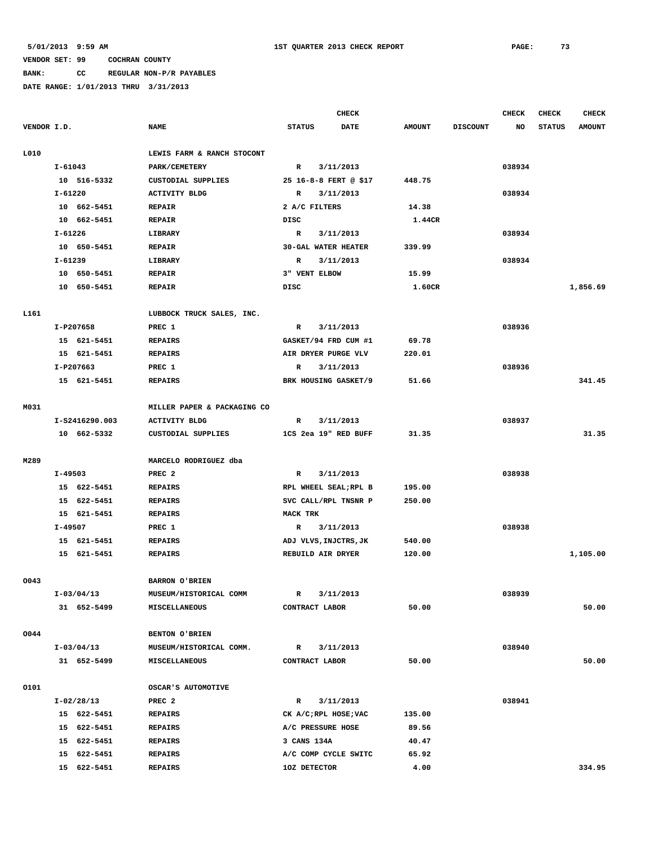# **BANK: CC REGULAR NON-P/R PAYABLES**

|             |                |                             |                            | <b>CHECK</b> |               |                 | <b>CHECK</b> | <b>CHECK</b>  | <b>CHECK</b>  |
|-------------|----------------|-----------------------------|----------------------------|--------------|---------------|-----------------|--------------|---------------|---------------|
| VENDOR I.D. |                | <b>NAME</b>                 | <b>STATUS</b>              | <b>DATE</b>  | <b>AMOUNT</b> | <b>DISCOUNT</b> | NO           | <b>STATUS</b> | <b>AMOUNT</b> |
| L010        |                | LEWIS FARM & RANCH STOCONT  |                            |              |               |                 |              |               |               |
|             | I-61043        | PARK/CEMETERY               | $\mathbb{R}$               | 3/11/2013    |               |                 | 038934       |               |               |
|             | 10 516-5332    | CUSTODIAL SUPPLIES          | 25 16-8-8 FERT @ \$17      |              | 448.75        |                 |              |               |               |
|             | $I - 61220$    | <b>ACTIVITY BLDG</b>        | $\mathbb{R}$               | 3/11/2013    |               |                 | 038934       |               |               |
|             | 10 662-5451    | <b>REPAIR</b>               | 2 A/C FILTERS              |              | 14.38         |                 |              |               |               |
|             | 10 662-5451    | <b>REPAIR</b>               | DISC                       |              | 1.44CR        |                 |              |               |               |
|             | I-61226        | <b>LIBRARY</b>              | R                          | 3/11/2013    |               |                 | 038934       |               |               |
|             | 10 650-5451    | <b>REPAIR</b>               | <b>30-GAL WATER HEATER</b> |              | 339.99        |                 |              |               |               |
|             | $I - 61239$    | LIBRARY                     | R                          | 3/11/2013    |               |                 | 038934       |               |               |
|             | 10 650-5451    | <b>REPAIR</b>               | <b>3" VENT ELBOW</b>       |              | 15.99         |                 |              |               |               |
|             | 10 650-5451    | <b>REPAIR</b>               | DISC                       |              | 1.60CR        |                 |              |               | 1,856.69      |
| L161        |                | LUBBOCK TRUCK SALES, INC.   |                            |              |               |                 |              |               |               |
|             | I-P207658      | PREC 1                      | R                          | 3/11/2013    |               |                 | 038936       |               |               |
|             | 15 621-5451    | <b>REPAIRS</b>              | GASKET/94 FRD CUM #1       |              | 69.78         |                 |              |               |               |
|             | 15 621-5451    | <b>REPAIRS</b>              | AIR DRYER PURGE VLV        |              | 220.01        |                 |              |               |               |
|             | I-P207663      | PREC 1                      | R                          | 3/11/2013    |               |                 | 038936       |               |               |
|             | 15 621-5451    | <b>REPAIRS</b>              | BRK HOUSING GASKET/9       |              | 51.66         |                 |              |               | 341.45        |
| M031        |                | MILLER PAPER & PACKAGING CO |                            |              |               |                 |              |               |               |
|             | I-S2416290.003 | <b>ACTIVITY BLDG</b>        | R                          | 3/11/2013    |               |                 | 038937       |               |               |
|             | 10 662-5332    | CUSTODIAL SUPPLIES          | 1CS 2ea 19" RED BUFF       |              | 31.35         |                 |              |               | 31.35         |
| M289        |                | MARCELO RODRIGUEZ dba       |                            |              |               |                 |              |               |               |
|             | I-49503        | PREC <sub>2</sub>           | $\mathbb{R}$               | 3/11/2013    |               |                 | 038938       |               |               |
|             | 15 622-5451    | <b>REPAIRS</b>              | RPL WHEEL SEAL; RPL B      |              | 195.00        |                 |              |               |               |
|             | 15 622-5451    | <b>REPAIRS</b>              | SVC CALL/RPL TNSNR P       |              | 250.00        |                 |              |               |               |
|             | 15 621-5451    | <b>REPAIRS</b>              | MACK TRK                   |              |               |                 |              |               |               |
|             | $I-49507$      | PREC 1                      | R                          | 3/11/2013    |               |                 | 038938       |               |               |
|             | 15 621-5451    | <b>REPAIRS</b>              | ADJ VLVS, INJCTRS, JK      |              | 540.00        |                 |              |               |               |
|             | 15 621-5451    | <b>REPAIRS</b>              | REBUILD AIR DRYER          |              | 120.00        |                 |              |               | 1,105.00      |
|             |                |                             |                            |              |               |                 |              |               |               |
| 0043        |                | BARRON O'BRIEN              |                            |              |               |                 |              |               |               |
|             | I-03/04/13     | MUSEUM/HISTORICAL COMM      | R                          | 3/11/2013    |               |                 | 038939       |               |               |
|             | 31 652-5499    | MISCELLANEOUS               | CONTRACT LABOR             |              | 50.00         |                 |              |               | 50.00         |
| 0044        |                | BENTON O'BRIEN              |                            |              |               |                 |              |               |               |
|             | I-03/04/13     | MUSEUM/HISTORICAL COMM.     | R                          | 3/11/2013    |               |                 | 038940       |               |               |
|             | 31 652-5499    | <b>MISCELLANEOUS</b>        | CONTRACT LABOR             |              | 50.00         |                 |              |               | 50.00         |
| 0101        |                | OSCAR'S AUTOMOTIVE          |                            |              |               |                 |              |               |               |
|             | $I-02/28/13$   | PREC <sub>2</sub>           | R                          | 3/11/2013    |               |                 | 038941       |               |               |
|             | 15 622-5451    | <b>REPAIRS</b>              | CK A/C;RPL HOSE;VAC        |              | 135.00        |                 |              |               |               |
|             | 15 622-5451    | <b>REPAIRS</b>              | A/C PRESSURE HOSE          |              | 89.56         |                 |              |               |               |
|             | 15 622-5451    | <b>REPAIRS</b>              | 3 CANS 134A                |              | 40.47         |                 |              |               |               |
|             | 15 622-5451    | <b>REPAIRS</b>              | A/C COMP CYCLE SWITC       |              | 65.92         |                 |              |               |               |
|             | 15 622-5451    | <b>REPAIRS</b>              | 10Z DETECTOR               |              | 4.00          |                 |              |               | 334.95        |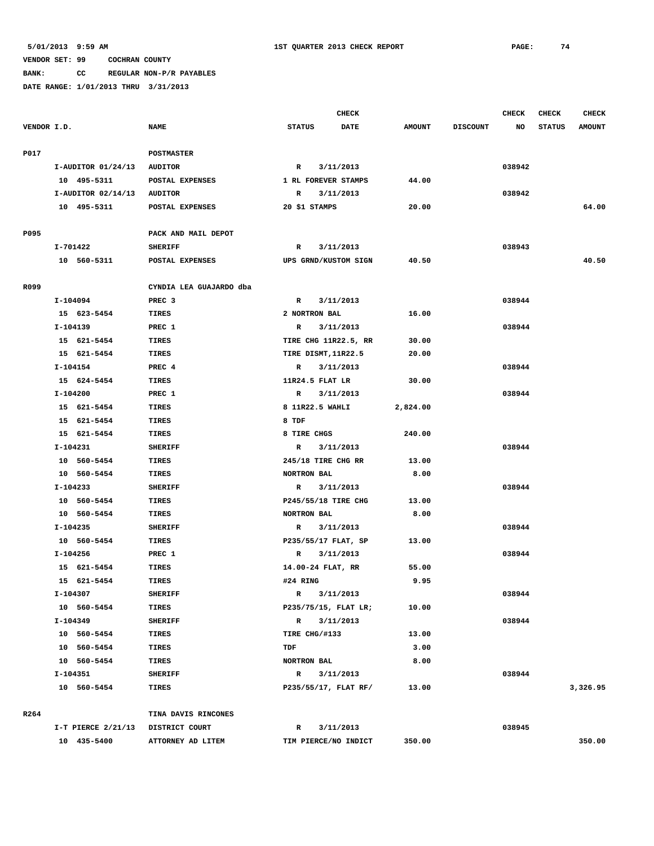# **BANK: CC REGULAR NON-P/R PAYABLES**

|             |                      |                         | <b>CHECK</b>         |             |               |                 | CHECK  | <b>CHECK</b>  | <b>CHECK</b>  |
|-------------|----------------------|-------------------------|----------------------|-------------|---------------|-----------------|--------|---------------|---------------|
| VENDOR I.D. |                      | <b>NAME</b>             | <b>STATUS</b>        | <b>DATE</b> | <b>AMOUNT</b> | <b>DISCOUNT</b> | NO     | <b>STATUS</b> | <b>AMOUNT</b> |
|             |                      |                         |                      |             |               |                 |        |               |               |
| P017        |                      | POSTMASTER              |                      |             |               |                 |        |               |               |
|             | $I-AUDITOR$ 01/24/13 | <b>AUDITOR</b>          | R                    | 3/11/2013   |               |                 | 038942 |               |               |
|             | 10 495-5311          | POSTAL EXPENSES         | 1 RL FOREVER STAMPS  |             | 44.00         |                 |        |               |               |
|             | $I-AUDITOR$ 02/14/13 | <b>AUDITOR</b>          | $\mathbb{R}$         | 3/11/2013   |               |                 | 038942 |               |               |
|             | 10 495-5311          | POSTAL EXPENSES         | 20 \$1 STAMPS        |             | 20.00         |                 |        |               | 64.00         |
|             |                      |                         |                      |             |               |                 |        |               |               |
| P095        |                      | PACK AND MAIL DEPOT     |                      |             |               |                 |        |               |               |
|             | I-701422             | <b>SHERIFF</b>          | R                    | 3/11/2013   |               |                 | 038943 |               |               |
|             | 10 560-5311          | POSTAL EXPENSES         | UPS GRND/KUSTOM SIGN |             | 40.50         |                 |        |               | 40.50         |
|             |                      |                         |                      |             |               |                 |        |               |               |
| R099        |                      | CYNDIA LEA GUAJARDO dba |                      |             |               |                 |        |               |               |
|             | I-104094             | PREC <sub>3</sub>       | R                    | 3/11/2013   |               |                 | 038944 |               |               |
|             | 15 623-5454          | TIRES                   | 2 NORTRON BAL        |             | 16.00         |                 |        |               |               |
|             | I-104139             | PREC 1                  | $\mathbf R$          | 3/11/2013   |               |                 | 038944 |               |               |
|             | 15 621-5454          | TIRES                   | TIRE CHG 11R22.5, RR |             | 30.00         |                 |        |               |               |
|             | 15 621-5454          | TIRES                   | TIRE DISMT, 11R22.5  |             | 20.00         |                 |        |               |               |
|             | I-104154             | PREC 4                  | $\mathbb{R}$         | 3/11/2013   |               |                 | 038944 |               |               |
|             | 15 624-5454          | <b>TIRES</b>            | 11R24.5 FLAT LR      |             | 30.00         |                 |        |               |               |
|             | I-104200             | PREC 1                  | $\mathbb{R}$         | 3/11/2013   |               |                 | 038944 |               |               |
|             | 15 621-5454          | TIRES                   | 8 11R22.5 WAHLI      |             | 2,824.00      |                 |        |               |               |
|             | 15 621-5454          | <b>TIRES</b>            | 8 TDF                |             |               |                 |        |               |               |
|             | 15 621-5454          | <b>TIRES</b>            | 8 TIRE CHGS          |             | 240.00        |                 |        |               |               |
|             | I-104231             | <b>SHERIFF</b>          | $\mathbf R$          | 3/11/2013   |               |                 | 038944 |               |               |
|             | 10 560-5454          | TIRES                   | 245/18 TIRE CHG RR   |             | 13.00         |                 |        |               |               |
|             | 10 560-5454          | <b>TIRES</b>            | <b>NORTRON BAL</b>   |             | 8.00          |                 |        |               |               |
|             | I-104233             | <b>SHERIFF</b>          | $\mathbb{R}$         | 3/11/2013   |               |                 | 038944 |               |               |
|             | 10 560-5454          | TIRES                   | P245/55/18 TIRE CHG  |             | 13.00         |                 |        |               |               |
|             | 10 560-5454          | TIRES                   | <b>NORTRON BAL</b>   |             | 8.00          |                 |        |               |               |
|             | I-104235             | <b>SHERIFF</b>          | R                    | 3/11/2013   |               |                 | 038944 |               |               |
|             | 10 560-5454          | TIRES                   | P235/55/17 FLAT, SP  |             | 13.00         |                 |        |               |               |
|             | I-104256             | PREC 1                  | R                    | 3/11/2013   |               |                 | 038944 |               |               |
|             | 15 621-5454          | TIRES                   | 14.00-24 FLAT, RR    |             | 55.00         |                 |        |               |               |
|             | 15 621-5454          | TIRES                   | #24 RING             |             | 9.95          |                 |        |               |               |
|             | I-104307             | <b>SHERIFF</b>          | R                    | 3/11/2013   |               |                 | 038944 |               |               |
|             | 10 560-5454          | TIRES                   | P235/75/15, FLAT LR; |             | 10.00         |                 |        |               |               |
|             | I-104349             | <b>SHERIFF</b>          | $\mathbf{R}$         | 3/11/2013   |               |                 | 038944 |               |               |
|             | 10 560-5454          | TIRES                   | TIRE CHG/#133        |             | 13.00         |                 |        |               |               |
|             | 10 560-5454          | TIRES                   | TDF                  |             | 3.00          |                 |        |               |               |
|             | 10 560-5454          | TIRES                   | <b>NORTRON BAL</b>   |             | 8.00          |                 |        |               |               |
|             | I-104351             | <b>SHERIFF</b>          | $\mathbb{R}$         | 3/11/2013   |               |                 | 038944 |               |               |
|             | 10 560-5454          | <b>TIRES</b>            | P235/55/17, FLAT RF/ |             | 13.00         |                 |        |               | 3,326.95      |
|             |                      |                         |                      |             |               |                 |        |               |               |
| R264        |                      | TINA DAVIS RINCONES     |                      |             |               |                 |        |               |               |
|             | I-T PIERCE 2/21/13   | DISTRICT COURT          | R                    | 3/11/2013   |               |                 | 038945 |               |               |
|             | 10 435-5400          | ATTORNEY AD LITEM       | TIM PIERCE/NO INDICT |             | 350.00        |                 |        |               | 350.00        |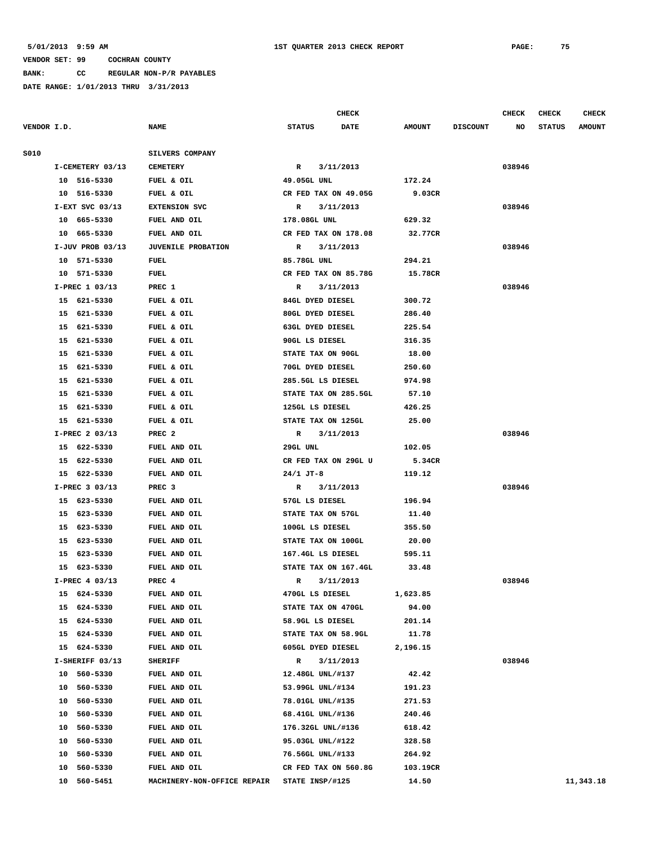**BANK: CC REGULAR NON-P/R PAYABLES**

**DATE RANGE: 1/01/2013 THRU 3/31/2013**

**CHECK CHECK CHECK CHECK CHECK CHECK CHECK VENDOR I.D. NAME STATUS DATE AMOUNT DISCOUNT NO STATUS AMOUNT**

S010 SILVERS COMPANY  **I-CEMETERY 03/13 CEMETERY R 3/11/2013 038946 10 516-5330 FUEL & OIL 49.05GL UNL 172.24 10 516-5330 FUEL & OIL CR FED TAX ON 49.05G 9.03CR I-EXT SVC 03/13 EXTENSION SVC R 3/11/2013 038946 10 665-5330 FUEL AND OIL 178.08GL UNL 629.32 10 665-5330 FUEL AND OIL CR FED TAX ON 178.08 32.77CR I-JUV PROB 03/13 JUVENILE PROBATION R 3/11/2013 038946 10 571-5330 FUEL 85.78GL UNL 294.21 10 571-5330 FUEL CR FED TAX ON 85.78G 15.78CR I-PREC 1 03/13 PREC 1 R 3/11/2013 038946 15 621-5330 FUEL & OIL 84GL DYED DIESEL 300.72 15 621-5330 FUEL & OIL 80GL DYED DIESEL 286.40 15 621-5330 FUEL & OIL 63GL DYED DIESEL 225.54 15 621-5330 FUEL & OIL 90GL LS DIESEL 316.35 15 621-5330 FUEL & OIL STATE TAX ON 90GL 18.00 15 621-5330 FUEL & OIL 70GL DYED DIESEL 250.60 15 621-5330 FUEL & OIL 285.5GL LS DIESEL 974.98 15 621-5330 FUEL & OIL STATE TAX ON 285.5GL 57.10 15 621-5330 FUEL & OIL 125GL LS DIESEL 426.25 15 621-5330 FUEL & OIL STATE TAX ON 125GL 25.00 I-PREC 2 03/13 PREC 2 R 3/11/2013 038946 15 622-5330 FUEL AND OIL 29GL UNL 102.05 15 622-5330 FUEL AND OIL CR FED TAX ON 29GL U 5.34CR 15 622-5330 FUEL AND OIL 24/1 JT-8 119.12 I-PREC 3 03/13 PREC 3 R 3/11/2013 038946 15 623-5330 FUEL AND OIL 57GL LS DIESEL 196.94 15 623-5330 FUEL AND OIL STATE TAX ON 57GL 11.40 15 623-5330 FUEL AND OIL 100GL LS DIESEL 355.50 15 623-5330 FUEL AND OIL STATE TAX ON 100GL 20.00 15 623-5330 FUEL AND OIL 167.4GL LS DIESEL 595.11 15 623-5330 FUEL AND OIL STATE TAX ON 167.4GL 33.48 I-PREC 4 03/13 PREC 4 R 3/11/2013 038946 15 624-5330 FUEL AND OIL 470GL LS DIESEL 1,623.85 15 624-5330 FUEL AND OIL STATE TAX ON 470GL 94.00 15 624-5330 FUEL AND OIL 58.9GL LS DIESEL 201.14 15 624-5330 FUEL AND OIL STATE TAX ON 58.9GL 11.78 15 624-5330 FUEL AND OIL 605GL DYED DIESEL 2,196.15 I-SHERIFF 03/13 SHERIFF R 3/11/2013 038946 10 560-5330 FUEL AND OIL 12.48GL UNL/#137 42.42 10 560-5330 FUEL AND OIL 53.99GL UNL/#134 191.23 10 560-5330 FUEL AND OIL 78.01GL UNL/#135 271.53 10 560-5330 FUEL AND OIL 68.41GL UNL/#136 240.46 10 560-5330 FUEL AND OIL 176.32GL UNL/#136 618.42 10 560-5330 FUEL AND OIL 95.03GL UNL/#122 328.58 10 560-5330 FUEL AND OIL 76.56GL UNL/#133 264.92 10 560-5330 FUEL AND OIL CR FED TAX ON 560.8G 103.19CR 10 560-5451 MACHINERY-NON-OFFICE REPAIR STATE INSP/#125 14.50 11,343.18**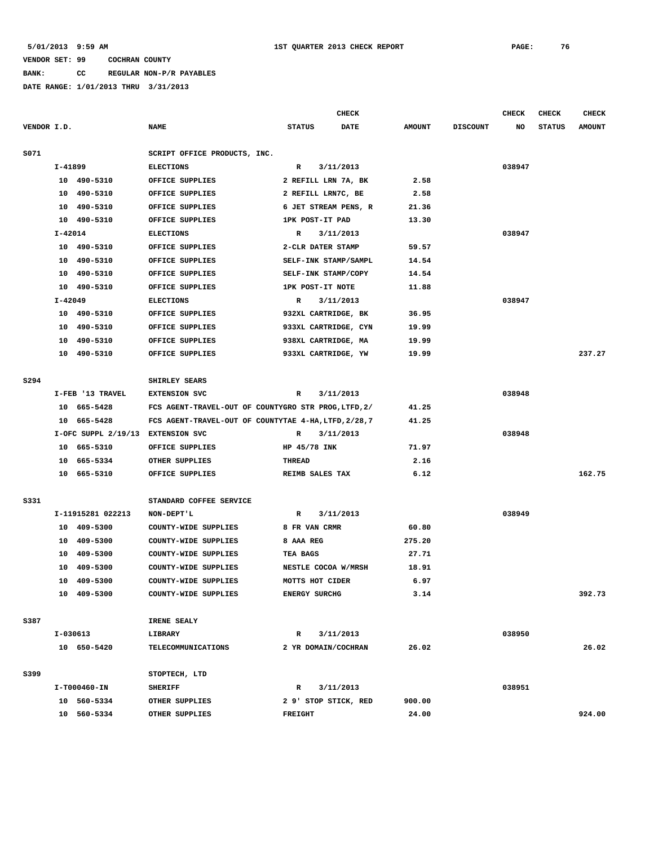**BANK: CC REGULAR NON-P/R PAYABLES**

|             |             |                                   |                                                       |                      | <b>CHECK</b> |               |                 | CHECK  | <b>CHECK</b>  | <b>CHECK</b>  |
|-------------|-------------|-----------------------------------|-------------------------------------------------------|----------------------|--------------|---------------|-----------------|--------|---------------|---------------|
| VENDOR I.D. |             |                                   | <b>NAME</b>                                           | <b>STATUS</b>        | <b>DATE</b>  | <b>AMOUNT</b> | <b>DISCOUNT</b> | NO     | <b>STATUS</b> | <b>AMOUNT</b> |
| S071        |             |                                   | SCRIPT OFFICE PRODUCTS, INC.                          |                      |              |               |                 |        |               |               |
|             | I-41899     |                                   | <b>ELECTIONS</b>                                      | R                    | 3/11/2013    |               |                 | 038947 |               |               |
|             |             | 10 490-5310                       | OFFICE SUPPLIES                                       | 2 REFILL LRN 7A, BK  |              | 2.58          |                 |        |               |               |
|             |             | 10 490-5310                       | OFFICE SUPPLIES                                       | 2 REFILL LRN7C, BE   |              | 2.58          |                 |        |               |               |
|             |             | 10 490-5310                       | OFFICE SUPPLIES                                       | 6 JET STREAM PENS, R |              | 21.36         |                 |        |               |               |
|             |             | 10 490-5310                       | OFFICE SUPPLIES                                       | 1PK POST-IT PAD      |              | 13.30         |                 |        |               |               |
|             | $I - 42014$ |                                   | <b>ELECTIONS</b>                                      | R                    | 3/11/2013    |               |                 | 038947 |               |               |
|             |             | 10 490-5310                       | OFFICE SUPPLIES                                       | 2-CLR DATER STAMP    |              | 59.57         |                 |        |               |               |
|             |             | 10 490-5310                       | OFFICE SUPPLIES                                       | SELF-INK STAMP/SAMPL |              | 14.54         |                 |        |               |               |
|             |             | 10 490-5310                       | OFFICE SUPPLIES                                       | SELF-INK STAMP/COPY  |              | 14.54         |                 |        |               |               |
|             |             | 10 490-5310                       | OFFICE SUPPLIES                                       | 1PK POST-IT NOTE     |              | 11.88         |                 |        |               |               |
|             | I-42049     |                                   | <b>ELECTIONS</b>                                      | R                    | 3/11/2013    |               |                 | 038947 |               |               |
|             |             | 10 490-5310                       | OFFICE SUPPLIES                                       | 932XL CARTRIDGE, BK  |              | 36.95         |                 |        |               |               |
|             |             | 10 490-5310                       | OFFICE SUPPLIES                                       | 933XL CARTRIDGE, CYN |              | 19.99         |                 |        |               |               |
|             |             | 10 490-5310                       | OFFICE SUPPLIES                                       | 938XL CARTRIDGE, MA  |              | 19.99         |                 |        |               |               |
|             |             | 10 490-5310                       | OFFICE SUPPLIES                                       | 933XL CARTRIDGE, YW  |              | 19.99         |                 |        |               | 237.27        |
|             |             |                                   |                                                       |                      |              |               |                 |        |               |               |
| S294        |             |                                   | SHIRLEY SEARS                                         |                      |              |               |                 |        |               |               |
|             |             | I-FEB '13 TRAVEL                  | <b>EXTENSION SVC</b>                                  | R                    | 3/11/2013    |               |                 | 038948 |               |               |
|             |             | 10 665-5428                       | FCS AGENT-TRAVEL-OUT OF COUNTYGRO STR PROG, LTFD, 2/  |                      |              | 41.25         |                 |        |               |               |
|             |             | 10 665-5428                       | FCS AGENT-TRAVEL-OUT OF COUNTYTAE 4-HA, LTFD, 2/28, 7 |                      |              | 41.25         |                 |        |               |               |
|             |             | I-OFC SUPPL 2/19/13 EXTENSION SVC |                                                       | $\mathbb{R}$         | 3/11/2013    |               |                 | 038948 |               |               |
|             |             | 10 665-5310                       | OFFICE SUPPLIES                                       | HP 45/78 INK         |              | 71.97         |                 |        |               |               |
|             |             | 10 665-5334                       | OTHER SUPPLIES                                        | THREAD               |              | 2.16          |                 |        |               |               |
|             |             | 10 665-5310                       | OFFICE SUPPLIES                                       | REIMB SALES TAX      |              | 6.12          |                 |        |               | 162.75        |
|             |             |                                   |                                                       |                      |              |               |                 |        |               |               |
| S331        |             |                                   | STANDARD COFFEE SERVICE                               |                      |              |               |                 |        |               |               |
|             |             | I-11915281 022213                 | NON-DEPT'L                                            | R                    | 3/11/2013    |               |                 | 038949 |               |               |
|             |             | 10 409-5300                       | COUNTY-WIDE SUPPLIES                                  | 8 FR VAN CRMR        |              | 60.80         |                 |        |               |               |
|             |             | 10 409-5300                       | COUNTY-WIDE SUPPLIES                                  | 8 AAA REG            |              | 275.20        |                 |        |               |               |
|             |             | 10 409-5300                       | COUNTY-WIDE SUPPLIES                                  | TEA BAGS             |              | 27.71         |                 |        |               |               |
|             | 10          | 409-5300                          | COUNTY-WIDE SUPPLIES                                  | NESTLE COCOA W/MRSH  |              | 18.91         |                 |        |               |               |
|             |             | 10 409-5300                       | COUNTY-WIDE SUPPLIES                                  | MOTTS HOT CIDER      |              | 6.97          |                 |        |               |               |
|             |             | 10 409-5300                       | COUNTY-WIDE SUPPLIES                                  | <b>ENERGY SURCHG</b> |              | 3.14          |                 |        |               | 392.73        |
|             |             |                                   |                                                       |                      |              |               |                 |        |               |               |
| S387        |             |                                   | IRENE SEALY                                           |                      |              |               |                 |        |               |               |
|             |             | I-030613                          | <b>LIBRARY</b>                                        | R                    | 3/11/2013    |               |                 | 038950 |               |               |
|             |             | 10 650-5420                       | <b>TELECOMMUNICATIONS</b>                             | 2 YR DOMAIN/COCHRAN  |              | 26.02         |                 |        |               | 26.02         |
| S399        |             |                                   | STOPTECH, LTD                                         |                      |              |               |                 |        |               |               |
|             |             | I-T000460-IN                      | <b>SHERIFF</b>                                        | $\mathbf{R}$         | 3/11/2013    |               |                 | 038951 |               |               |
|             |             | 10 560-5334                       | OTHER SUPPLIES                                        | 2 9' STOP STICK, RED |              | 900.00        |                 |        |               |               |
|             |             | 10 560-5334                       | OTHER SUPPLIES                                        | <b>FREIGHT</b>       |              | 24.00         |                 |        |               | 924.00        |
|             |             |                                   |                                                       |                      |              |               |                 |        |               |               |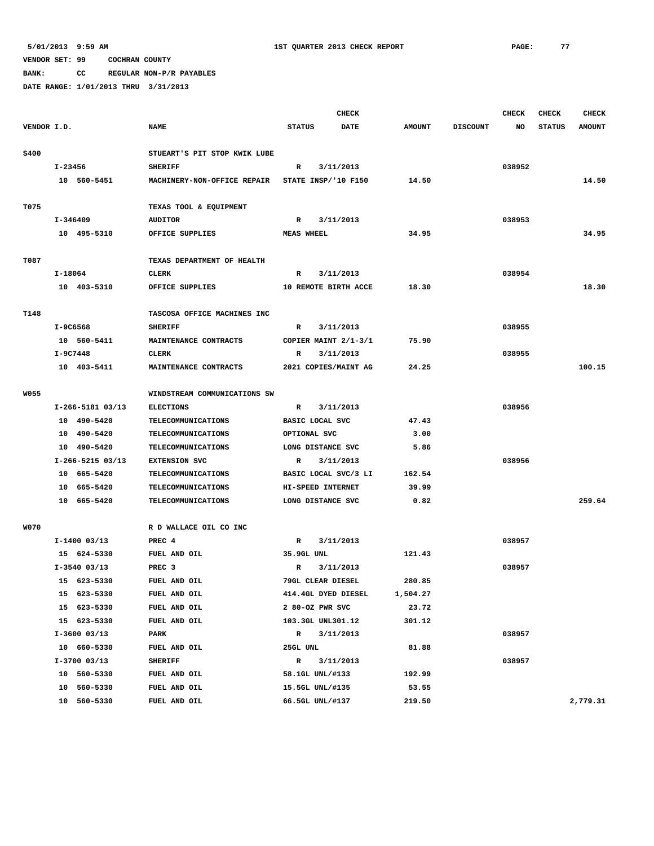**BANK: CC REGULAR NON-P/R PAYABLES**

|             |         |                    |                              |              |                   | <b>CHECK</b>         |               |                 | <b>CHECK</b> | <b>CHECK</b>  | <b>CHECK</b>  |
|-------------|---------|--------------------|------------------------------|--------------|-------------------|----------------------|---------------|-----------------|--------------|---------------|---------------|
| VENDOR I.D. |         |                    | <b>NAME</b>                  |              | <b>STATUS</b>     | <b>DATE</b>          | <b>AMOUNT</b> | <b>DISCOUNT</b> | NO           | <b>STATUS</b> | <b>AMOUNT</b> |
| <b>S400</b> |         |                    | STUEART'S PIT STOP KWIK LUBE |              |                   |                      |               |                 |              |               |               |
|             | I-23456 |                    | <b>SHERIFF</b>               | R            |                   | 3/11/2013            |               |                 | 038952       |               |               |
|             |         | 10 560-5451        | MACHINERY-NON-OFFICE REPAIR  |              |                   | STATE INSP/'10 F150  | 14.50         |                 |              |               | 14.50         |
| T075        |         |                    | TEXAS TOOL & EQUIPMENT       |              |                   |                      |               |                 |              |               |               |
|             |         | I-346409           | <b>AUDITOR</b>               | $\mathbf{R}$ |                   | 3/11/2013            |               |                 | 038953       |               |               |
|             |         | 10 495-5310        | OFFICE SUPPLIES              |              | <b>MEAS WHEEL</b> |                      | 34.95         |                 |              |               | 34.95         |
| T087        |         |                    | TEXAS DEPARTMENT OF HEALTH   |              |                   |                      |               |                 |              |               |               |
|             | I-18064 |                    | <b>CLERK</b>                 | R            |                   | 3/11/2013            |               |                 | 038954       |               |               |
|             |         | 10 403-5310        | OFFICE SUPPLIES              |              |                   | 10 REMOTE BIRTH ACCE | 18.30         |                 |              |               | 18.30         |
| T148        |         |                    | TASCOSA OFFICE MACHINES INC  |              |                   |                      |               |                 |              |               |               |
|             |         | I-9C6568           | <b>SHERIFF</b>               | R            |                   | 3/11/2013            |               |                 | 038955       |               |               |
|             |         | 10 560-5411        | MAINTENANCE CONTRACTS        |              |                   | COPIER MAINT 2/1-3/1 | 75.90         |                 |              |               |               |
|             |         | I-9C7448           | CLERK                        | R            |                   | 3/11/2013            |               |                 | 038955       |               |               |
|             |         | 10 403-5411        | MAINTENANCE CONTRACTS        |              |                   | 2021 COPIES/MAINT AG | 24.25         |                 |              |               | 100.15        |
| <b>W055</b> |         |                    | WINDSTREAM COMMUNICATIONS SW |              |                   |                      |               |                 |              |               |               |
|             |         | I-266-5181 03/13   | <b>ELECTIONS</b>             | $\mathbb{R}$ |                   | 3/11/2013            |               |                 | 038956       |               |               |
|             |         | 10 490-5420        | TELECOMMUNICATIONS           |              | BASIC LOCAL SVC   |                      | 47.43         |                 |              |               |               |
|             |         | 10 490-5420        | TELECOMMUNICATIONS           |              | OPTIONAL SVC      |                      | 3.00          |                 |              |               |               |
|             |         | 10 490-5420        | <b>TELECOMMUNICATIONS</b>    |              |                   | LONG DISTANCE SVC    | 5.86          |                 |              |               |               |
|             |         | $I-266-5215$ 03/13 | <b>EXTENSION SVC</b>         | $\mathbb{R}$ |                   | 3/11/2013            |               |                 | 038956       |               |               |
|             |         | 10 665-5420        | TELECOMMUNICATIONS           |              |                   | BASIC LOCAL SVC/3 LI | 162.54        |                 |              |               |               |
|             |         | 10 665-5420        | TELECOMMUNICATIONS           |              |                   | HI-SPEED INTERNET    | 39.99         |                 |              |               |               |
|             |         | 10 665-5420        | TELECOMMUNICATIONS           |              |                   | LONG DISTANCE SVC    | 0.82          |                 |              |               | 259.64        |
| <b>W070</b> |         |                    | R D WALLACE OIL CO INC       |              |                   |                      |               |                 |              |               |               |
|             |         | $I-1400$ 03/13     | PREC 4                       | $\mathbb{R}$ |                   | 3/11/2013            |               |                 | 038957       |               |               |
|             |         | 15 624-5330        | FUEL AND OIL                 |              | 35.9GL UNL        |                      | 121.43        |                 |              |               |               |
|             |         | $I-3540$ 03/13     | PREC <sub>3</sub>            | R            |                   | 3/11/2013            |               |                 | 038957       |               |               |
|             |         | 15 623-5330        | FUEL AND OIL                 |              |                   | 79GL CLEAR DIESEL    | 280.85        |                 |              |               |               |
|             |         | 15 623-5330        | <b>FUEL AND OIL</b>          |              |                   | 414.4GL DYED DIESEL  | 1,504.27      |                 |              |               |               |
|             |         | 15 623-5330        | FUEL AND OIL                 |              | 2 80-OZ PWR SVC   |                      | 23.72         |                 |              |               |               |
|             |         | 15 623-5330        | FUEL AND OIL                 |              |                   | 103.3GL UNL301.12    | 301.12        |                 |              |               |               |
|             |         | $I-3600$ 03/13     | PARK                         |              | R                 | 3/11/2013            |               |                 | 038957       |               |               |
|             |         | 10 660-5330        | FUEL AND OIL                 |              | 25GL UNL          |                      | 81.88         |                 |              |               |               |
|             |         | $I-3700$ 03/13     | <b>SHERIFF</b>               | R            |                   | 3/11/2013            |               |                 | 038957       |               |               |
|             |         | 10 560-5330        | FUEL AND OIL                 |              | 58.1GL UNL/#133   |                      | 192.99        |                 |              |               |               |
|             | 10      | 560-5330           | FUEL AND OIL                 |              | 15.5GL UNL/#135   |                      | 53.55         |                 |              |               |               |
|             |         | 10 560-5330        | FUEL AND OIL                 |              | 66.5GL UNL/#137   |                      | 219.50        |                 |              |               | 2,779.31      |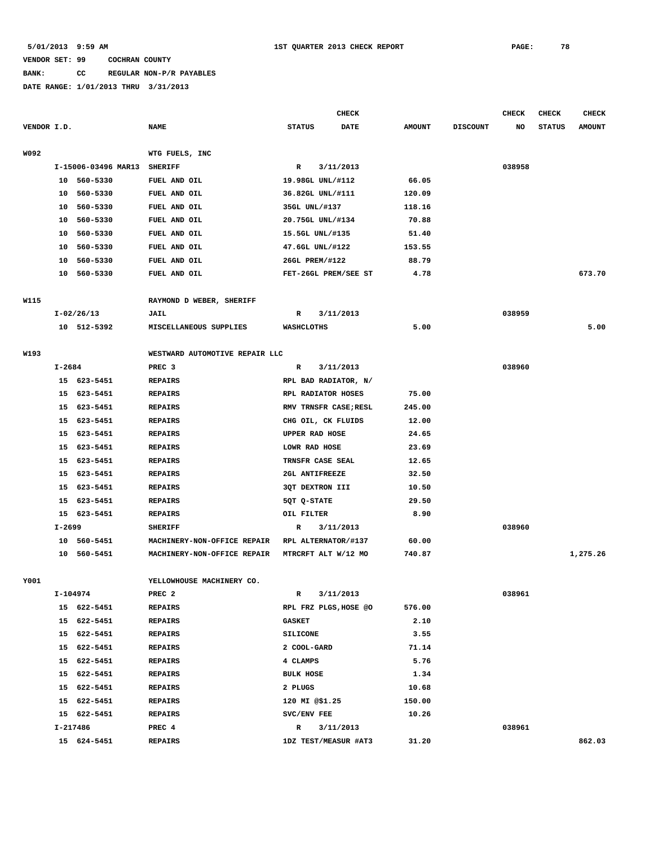# **BANK: CC REGULAR NON-P/R PAYABLES**

|             |            |                     |                                |                       | <b>CHECK</b>          |               |                 | <b>CHECK</b> | <b>CHECK</b>  | <b>CHECK</b>  |
|-------------|------------|---------------------|--------------------------------|-----------------------|-----------------------|---------------|-----------------|--------------|---------------|---------------|
| VENDOR I.D. |            |                     | <b>NAME</b>                    | <b>STATUS</b>         | <b>DATE</b>           | <b>AMOUNT</b> | <b>DISCOUNT</b> | NO           | <b>STATUS</b> | <b>AMOUNT</b> |
|             |            |                     |                                |                       |                       |               |                 |              |               |               |
| W092        |            |                     | WTG FUELS, INC                 |                       |                       |               |                 |              |               |               |
|             |            | I-15006-03496 MAR13 | <b>SHERIFF</b>                 | R                     | 3/11/2013             |               |                 | 038958       |               |               |
|             |            | 10 560-5330         | FUEL AND OIL                   | 19.98GL UNL/#112      |                       | 66.05         |                 |              |               |               |
|             |            | 10 560-5330         | FUEL AND OIL                   | 36.82GL UNL/#111      |                       | 120.09        |                 |              |               |               |
|             | 10         | 560-5330            | FUEL AND OIL                   | 35GL UNL/#137         |                       | 118.16        |                 |              |               |               |
|             | 10         | 560-5330            | FUEL AND OIL                   | 20.75GL UNL/#134      |                       | 70.88         |                 |              |               |               |
|             | 10         | 560-5330            | FUEL AND OIL                   | 15.5GL UNL/#135       |                       | 51.40         |                 |              |               |               |
|             | 10         | 560-5330            | FUEL AND OIL                   | 47.6GL UNL/#122       |                       | 153.55        |                 |              |               |               |
|             | 10         | 560-5330            | FUEL AND OIL                   | 26GL PREM/#122        |                       | 88.79         |                 |              |               |               |
|             |            | 10 560-5330         | FUEL AND OIL                   |                       | FET-26GL PREM/SEE ST  | 4.78          |                 |              |               | 673.70        |
|             |            |                     |                                |                       |                       |               |                 |              |               |               |
| <b>W115</b> |            |                     | RAYMOND D WEBER, SHERIFF       |                       |                       |               |                 |              |               |               |
|             |            | $I-02/26/13$        | <b>JAIL</b>                    | R                     | 3/11/2013             |               |                 | 038959       |               |               |
|             |            | 10 512-5392         | MISCELLANEOUS SUPPLIES         | WASHCLOTHS            |                       | 5.00          |                 |              |               | 5.00          |
|             |            |                     |                                |                       |                       |               |                 |              |               |               |
| W193        |            |                     | WESTWARD AUTOMOTIVE REPAIR LLC |                       | 3/11/2013             |               |                 | 038960       |               |               |
|             | I-2684     | 15 623-5451         | PREC 3                         | R                     |                       |               |                 |              |               |               |
|             |            |                     | <b>REPAIRS</b>                 |                       | RPL BAD RADIATOR, N/  |               |                 |              |               |               |
|             |            | 15 623-5451         | <b>REPAIRS</b>                 | RPL RADIATOR HOSES    |                       | 75.00         |                 |              |               |               |
|             |            | 15 623-5451         | <b>REPAIRS</b>                 |                       | RMV TRNSFR CASE; RESL | 245.00        |                 |              |               |               |
|             |            | 15 623-5451         | <b>REPAIRS</b>                 | CHG OIL, CK FLUIDS    |                       | 12.00         |                 |              |               |               |
|             |            | 15 623-5451         | <b>REPAIRS</b>                 | <b>UPPER RAD HOSE</b> |                       | 24.65         |                 |              |               |               |
|             |            | 15 623-5451         | <b>REPAIRS</b>                 | LOWR RAD HOSE         |                       | 23.69         |                 |              |               |               |
|             |            | 15 623-5451         | <b>REPAIRS</b>                 | TRNSFR CASE SEAL      |                       | 12.65         |                 |              |               |               |
|             |            | 15 623-5451         | <b>REPAIRS</b>                 | 2GL ANTIFREEZE        |                       | 32.50         |                 |              |               |               |
|             |            | 15 623-5451         | <b>REPAIRS</b>                 | 3QT DEXTRON III       |                       | 10.50         |                 |              |               |               |
|             | 15         | 623-5451            | <b>REPAIRS</b>                 | 5QT Q-STATE           |                       | 29.50         |                 |              |               |               |
|             |            | 15 623-5451         | <b>REPAIRS</b>                 | OIL FILTER            |                       | 8.90          |                 |              |               |               |
|             | $I - 2699$ |                     | <b>SHERIFF</b>                 | R                     | 3/11/2013             |               |                 | 038960       |               |               |
|             |            | 10 560-5451         | MACHINERY-NON-OFFICE REPAIR    | RPL ALTERNATOR/#137   |                       | 60.00         |                 |              |               |               |
|             |            | 10 560-5451         | MACHINERY-NON-OFFICE REPAIR    | MTRCRFT ALT W/12 MO   |                       | 740.87        |                 |              |               | 1,275.26      |
| Y001        |            |                     | YELLOWHOUSE MACHINERY CO.      |                       |                       |               |                 |              |               |               |
|             | I-104974   |                     | PREC <sub>2</sub>              | R                     | 3/11/2013             |               |                 | 038961       |               |               |
|             |            | 15 622-5451         | <b>REPAIRS</b>                 |                       | RPL FRZ PLGS, HOSE @O | 576.00        |                 |              |               |               |
|             |            | 15 622-5451         | <b>REPAIRS</b>                 | <b>GASKET</b>         |                       | 2.10          |                 |              |               |               |
|             |            | 15 622-5451         | <b>REPAIRS</b>                 | <b>SILICONE</b>       |                       | 3.55          |                 |              |               |               |
|             |            | 15 622-5451         | <b>REPAIRS</b>                 | 2 COOL-GARD           |                       | 71.14         |                 |              |               |               |
|             |            | 15 622-5451         | <b>REPAIRS</b>                 | 4 CLAMPS              |                       | 5.76          |                 |              |               |               |
|             |            | 15 622-5451         | <b>REPAIRS</b>                 | <b>BULK HOSE</b>      |                       | 1.34          |                 |              |               |               |
|             |            | 15 622-5451         | <b>REPAIRS</b>                 | 2 PLUGS               |                       | 10.68         |                 |              |               |               |
|             |            | 15 622-5451         | <b>REPAIRS</b>                 | 120 MI @\$1.25        |                       | 150.00        |                 |              |               |               |
|             |            | 15 622-5451         | REPAIRS                        | SVC/ENV FEE           |                       | 10.26         |                 |              |               |               |
|             | I-217486   |                     | PREC 4                         | R                     | 3/11/2013             |               |                 | 038961       |               |               |
|             |            | 15 624-5451         | <b>REPAIRS</b>                 |                       | 1DZ TEST/MEASUR #AT3  | 31.20         |                 |              |               | 862.03        |
|             |            |                     |                                |                       |                       |               |                 |              |               |               |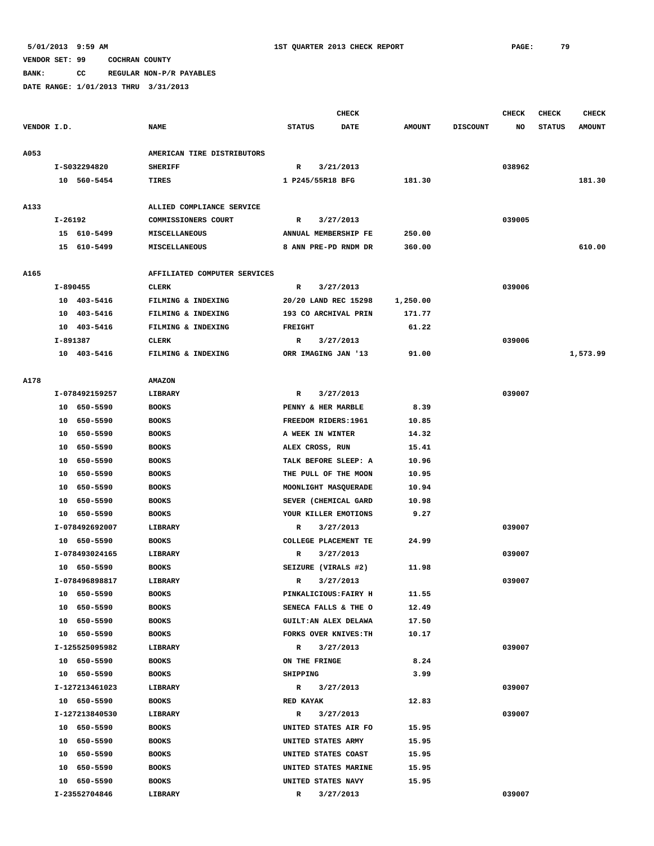**BANK: CC REGULAR NON-P/R PAYABLES**

|             |                |                              |                       | CHECK       |               |                 | <b>CHECK</b> | <b>CHECK</b>  | <b>CHECK</b>  |
|-------------|----------------|------------------------------|-----------------------|-------------|---------------|-----------------|--------------|---------------|---------------|
| VENDOR I.D. |                | <b>NAME</b>                  | <b>STATUS</b>         | <b>DATE</b> | <b>AMOUNT</b> | <b>DISCOUNT</b> | NO           | <b>STATUS</b> | <b>AMOUNT</b> |
| A053        |                | AMERICAN TIRE DISTRIBUTORS   |                       |             |               |                 |              |               |               |
|             | I-S032294820   | <b>SHERIFF</b>               | R                     | 3/21/2013   |               |                 | 038962       |               |               |
|             | 10 560-5454    | <b>TIRES</b>                 | 1 P245/55R18 BFG      |             | 181.30        |                 |              |               | 181.30        |
|             |                |                              |                       |             |               |                 |              |               |               |
| A133        |                | ALLIED COMPLIANCE SERVICE    |                       |             |               |                 |              |               |               |
|             | I-26192        | COMMISSIONERS COURT          | R                     | 3/27/2013   |               |                 | 039005       |               |               |
|             | 15 610-5499    | <b>MISCELLANEOUS</b>         | ANNUAL MEMBERSHIP FE  |             | 250.00        |                 |              |               |               |
|             | 15 610-5499    | <b>MISCELLANEOUS</b>         | 8 ANN PRE-PD RNDM DR  |             | 360.00        |                 |              |               | 610.00        |
| A165        |                | AFFILIATED COMPUTER SERVICES |                       |             |               |                 |              |               |               |
|             | I-890455       | CLERK                        | R                     | 3/27/2013   |               |                 | 039006       |               |               |
|             | 10 403-5416    | FILMING & INDEXING           | 20/20 LAND REC 15298  |             | 1,250.00      |                 |              |               |               |
|             | 10 403-5416    | FILMING & INDEXING           | 193 CO ARCHIVAL PRIN  |             | 171.77        |                 |              |               |               |
|             | 10 403-5416    | FILMING & INDEXING           | <b>FREIGHT</b>        |             | 61.22         |                 |              |               |               |
|             | I-891387       | CLERK                        | R                     | 3/27/2013   |               |                 | 039006       |               |               |
|             | 10 403-5416    | FILMING & INDEXING           | ORR IMAGING JAN '13   |             | 91.00         |                 |              |               | 1,573.99      |
|             |                |                              |                       |             |               |                 |              |               |               |
| A178        | I-078492159257 | <b>AMAZON</b><br>LIBRARY     | R                     | 3/27/2013   |               |                 | 039007       |               |               |
|             | 10 650-5590    | <b>BOOKS</b>                 | PENNY & HER MARBLE    |             | 8.39          |                 |              |               |               |
|             | 10 650-5590    | <b>BOOKS</b>                 | FREEDOM RIDERS: 1961  |             | 10.85         |                 |              |               |               |
|             | 10 650-5590    | <b>BOOKS</b>                 | A WEEK IN WINTER      |             | 14.32         |                 |              |               |               |
|             | 10 650-5590    | <b>BOOKS</b>                 | ALEX CROSS, RUN       |             | 15.41         |                 |              |               |               |
|             | 10 650-5590    | <b>BOOKS</b>                 | TALK BEFORE SLEEP: A  |             | 10.96         |                 |              |               |               |
|             | 10 650-5590    | <b>BOOKS</b>                 | THE PULL OF THE MOON  |             | 10.95         |                 |              |               |               |
|             | 10<br>650–5590 | <b>BOOKS</b>                 | MOONLIGHT MASQUERADE  |             | 10.94         |                 |              |               |               |
|             | 650-5590<br>10 | <b>BOOKS</b>                 | SEVER (CHEMICAL GARD  |             | 10.98         |                 |              |               |               |
|             | 10 650-5590    | <b>BOOKS</b>                 | YOUR KILLER EMOTIONS  |             | 9.27          |                 |              |               |               |
|             | I-078492692007 | <b>LIBRARY</b>               | R                     | 3/27/2013   |               |                 | 039007       |               |               |
|             | 10 650-5590    | <b>BOOKS</b>                 | COLLEGE PLACEMENT TE  |             | 24.99         |                 |              |               |               |
|             | I-078493024165 | LIBRARY                      | R                     | 3/27/2013   |               |                 | 039007       |               |               |
|             | 10 650-5590    | <b>BOOKS</b>                 | SEIZURE (VIRALS #2)   |             | 11.98         |                 |              |               |               |
|             | I-078496898817 | LIBRARY                      | R                     | 3/27/2013   |               |                 | 039007       |               |               |
|             | 10 650-5590    | <b>BOOKS</b>                 | PINKALICIOUS: FAIRY H |             | 11.55         |                 |              |               |               |
|             | 10 650-5590    | <b>BOOKS</b>                 | SENECA FALLS & THE O  |             | 12.49         |                 |              |               |               |
|             | 10 650-5590    | <b>BOOKS</b>                 | GUILT: AN ALEX DELAWA |             | 17.50         |                 |              |               |               |
|             | 10 650-5590    | <b>BOOKS</b>                 | FORKS OVER KNIVES: TH |             | 10.17         |                 |              |               |               |
|             | I-125525095982 | LIBRARY                      | $\mathbb{R}$          | 3/27/2013   |               |                 | 039007       |               |               |
|             | 10 650-5590    | <b>BOOKS</b>                 | ON THE FRINGE         |             | 8.24          |                 |              |               |               |
|             | 10 650-5590    | <b>BOOKS</b>                 | SHIPPING              |             | 3.99          |                 |              |               |               |
|             | I-127213461023 | LIBRARY                      | $\mathbb{R}$          | 3/27/2013   |               |                 | 039007       |               |               |
|             | 10 650-5590    | <b>BOOKS</b>                 | RED KAYAK             |             | 12.83         |                 |              |               |               |
|             | I-127213840530 | LIBRARY                      | R                     | 3/27/2013   |               |                 | 039007       |               |               |
|             | 10 650-5590    | <b>BOOKS</b>                 | UNITED STATES AIR FO  |             | 15.95         |                 |              |               |               |
|             | 10 650-5590    | <b>BOOKS</b>                 | UNITED STATES ARMY    |             | 15.95         |                 |              |               |               |
|             | 10 650-5590    | <b>BOOKS</b>                 | UNITED STATES COAST   |             | 15.95         |                 |              |               |               |
|             | 10 650-5590    | <b>BOOKS</b>                 | UNITED STATES MARINE  |             | 15.95         |                 |              |               |               |
|             | 10 650-5590    | <b>BOOKS</b>                 | UNITED STATES NAVY    |             | 15.95         |                 |              |               |               |
|             | I-23552704846  | LIBRARY                      | R                     | 3/27/2013   |               |                 | 039007       |               |               |
|             |                |                              |                       |             |               |                 |              |               |               |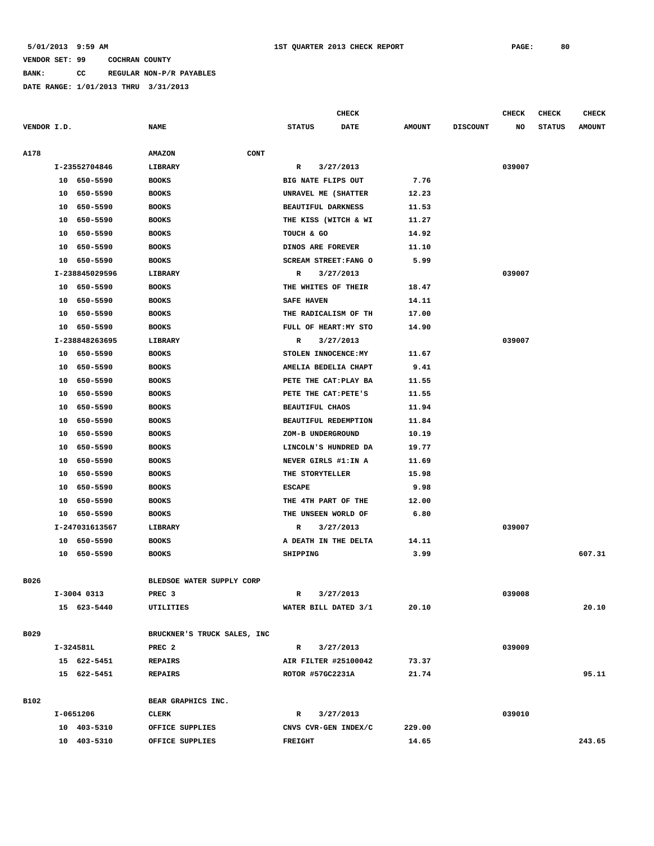**BANK: CC REGULAR NON-P/R PAYABLES**

|             |    |                |                             |                           | <b>CHECK</b> |               |                 | <b>CHECK</b> | <b>CHECK</b>  | <b>CHECK</b>  |
|-------------|----|----------------|-----------------------------|---------------------------|--------------|---------------|-----------------|--------------|---------------|---------------|
| VENDOR I.D. |    |                | <b>NAME</b>                 | <b>STATUS</b>             | <b>DATE</b>  | <b>AMOUNT</b> | <b>DISCOUNT</b> | NO           | <b>STATUS</b> | <b>AMOUNT</b> |
|             |    |                |                             |                           |              |               |                 |              |               |               |
| A178        |    |                | <b>AMAZON</b><br>CONT       |                           |              |               |                 |              |               |               |
|             |    | I-23552704846  | <b>LIBRARY</b>              | R                         | 3/27/2013    |               |                 | 039007       |               |               |
|             |    | 10 650-5590    | <b>BOOKS</b>                | BIG NATE FLIPS OUT        |              | 7.76          |                 |              |               |               |
|             | 10 | 650-5590       | <b>BOOKS</b>                | UNRAVEL ME (SHATTER       |              | 12.23         |                 |              |               |               |
|             | 10 | 650-5590       | <b>BOOKS</b>                | <b>BEAUTIFUL DARKNESS</b> |              | 11.53         |                 |              |               |               |
|             | 10 | 650-5590       | <b>BOOKS</b>                | THE KISS (WITCH & WI      |              | 11.27         |                 |              |               |               |
|             | 10 | 650-5590       | <b>BOOKS</b>                | TOUCH & GO                |              | 14.92         |                 |              |               |               |
|             | 10 | 650-5590       | <b>BOOKS</b>                | DINOS ARE FOREVER         |              | 11.10         |                 |              |               |               |
|             | 10 | 650-5590       | <b>BOOKS</b>                | SCREAM STREET: FANG O     |              | 5.99          |                 |              |               |               |
|             |    | I-238845029596 | LIBRARY                     | R                         | 3/27/2013    |               |                 | 039007       |               |               |
|             | 10 | 650-5590       | <b>BOOKS</b>                | THE WHITES OF THEIR       |              | 18.47         |                 |              |               |               |
|             | 10 | 650-5590       | <b>BOOKS</b>                | <b>SAFE HAVEN</b>         |              | 14.11         |                 |              |               |               |
|             | 10 | 650-5590       | <b>BOOKS</b>                | THE RADICALISM OF TH      |              | 17.00         |                 |              |               |               |
|             | 10 | 650-5590       | <b>BOOKS</b>                | FULL OF HEART: MY STO     |              | 14.90         |                 |              |               |               |
|             |    | I-238848263695 | LIBRARY                     | R                         | 3/27/2013    |               |                 | 039007       |               |               |
|             | 10 | 650-5590       | <b>BOOKS</b>                | STOLEN INNOCENCE: MY      |              | 11.67         |                 |              |               |               |
|             | 10 | 650-5590       | <b>BOOKS</b>                | AMELIA BEDELIA CHAPT      |              | 9.41          |                 |              |               |               |
|             | 10 | 650-5590       | <b>BOOKS</b>                | PETE THE CAT: PLAY BA     |              | 11.55         |                 |              |               |               |
|             | 10 | 650-5590       | <b>BOOKS</b>                | PETE THE CAT: PETE'S      |              | 11.55         |                 |              |               |               |
|             | 10 | 650-5590       | <b>BOOKS</b>                | <b>BEAUTIFUL CHAOS</b>    |              | 11.94         |                 |              |               |               |
|             | 10 | 650-5590       | <b>BOOKS</b>                | BEAUTIFUL REDEMPTION      |              | 11.84         |                 |              |               |               |
|             | 10 | 650-5590       | <b>BOOKS</b>                | ZOM-B UNDERGROUND         |              | 10.19         |                 |              |               |               |
|             | 10 | 650-5590       | <b>BOOKS</b>                | LINCOLN'S HUNDRED DA      |              | 19.77         |                 |              |               |               |
|             | 10 | 650-5590       | <b>BOOKS</b>                | NEVER GIRLS #1:IN A       |              | 11.69         |                 |              |               |               |
|             | 10 | 650-5590       | <b>BOOKS</b>                | THE STORYTELLER           |              | 15.98         |                 |              |               |               |
|             | 10 | 650-5590       | <b>BOOKS</b>                | <b>ESCAPE</b>             |              | 9.98          |                 |              |               |               |
|             | 10 | 650-5590       | <b>BOOKS</b>                | THE 4TH PART OF THE       |              | 12.00         |                 |              |               |               |
|             | 10 | 650-5590       | <b>BOOKS</b>                | THE UNSEEN WORLD OF       |              | 6.80          |                 |              |               |               |
|             |    | I-247031613567 | LIBRARY                     | R                         | 3/27/2013    |               |                 | 039007       |               |               |
|             | 10 | 650-5590       | <b>BOOKS</b>                | A DEATH IN THE DELTA      |              | 14.11         |                 |              |               |               |
|             |    | 10 650-5590    | <b>BOOKS</b>                | SHIPPING                  |              | 3.99          |                 |              |               | 607.31        |
|             |    |                |                             |                           |              |               |                 |              |               |               |
| B026        |    |                | BLEDSOE WATER SUPPLY CORP   |                           |              |               |                 |              |               |               |
|             |    | I-3004 0313    | PREC <sub>3</sub>           | R                         | 3/27/2013    |               |                 | 039008       |               |               |
|             |    | 15 623-5440    | UTILITIES                   | WATER BILL DATED 3/1      |              | 20.10         |                 |              |               | 20.10         |
|             |    |                |                             |                           |              |               |                 |              |               |               |
| B029        |    |                | BRUCKNER'S TRUCK SALES, INC |                           |              |               |                 |              |               |               |
|             |    | I-324581L      | PREC <sub>2</sub>           | $\mathbb{R}$              | 3/27/2013    |               |                 | 039009       |               |               |
|             |    | 15 622-5451    | <b>REPAIRS</b>              | AIR FILTER #25100042      |              | 73.37         |                 |              |               |               |
|             |    | 15 622-5451    | <b>REPAIRS</b>              | ROTOR #57GC2231A          |              | 21.74         |                 |              |               | 95.11         |
| B102        |    |                | BEAR GRAPHICS INC.          |                           |              |               |                 |              |               |               |
|             |    | I-0651206      | CLERK                       | R                         | 3/27/2013    |               |                 | 039010       |               |               |
|             |    | 10 403-5310    | OFFICE SUPPLIES             | CNVS CVR-GEN INDEX/C      |              | 229.00        |                 |              |               |               |
|             |    | 10 403-5310    | OFFICE SUPPLIES             | FREIGHT                   |              | 14.65         |                 |              |               | 243.65        |
|             |    |                |                             |                           |              |               |                 |              |               |               |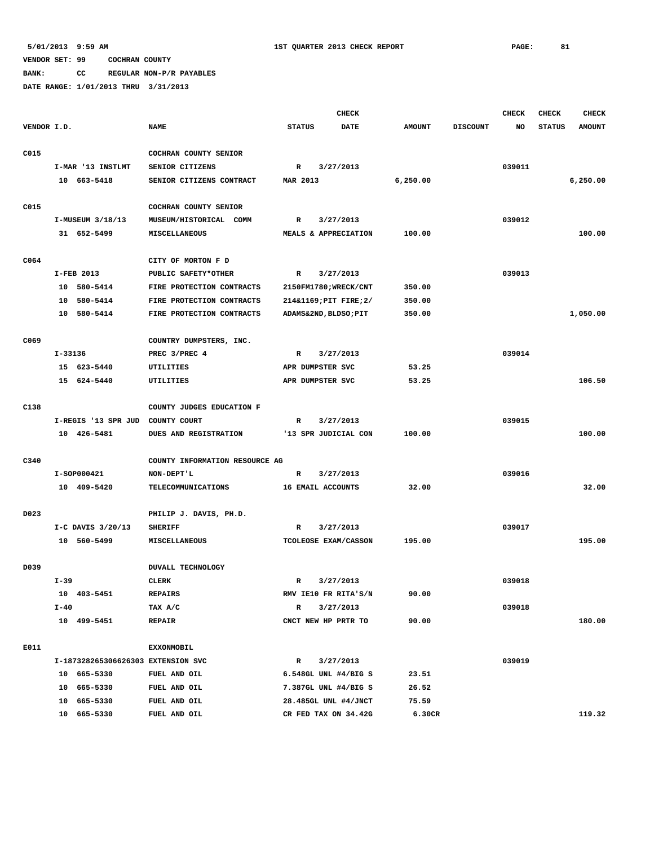**BANK: CC REGULAR NON-P/R PAYABLES**

|             |                                    |                                | <b>CHECK</b>                 |               |                 | <b>CHECK</b> | <b>CHECK</b>  | <b>CHECK</b>  |
|-------------|------------------------------------|--------------------------------|------------------------------|---------------|-----------------|--------------|---------------|---------------|
| VENDOR I.D. |                                    | <b>NAME</b>                    | <b>STATUS</b><br><b>DATE</b> | <b>AMOUNT</b> | <b>DISCOUNT</b> | NO           | <b>STATUS</b> | <b>AMOUNT</b> |
|             |                                    |                                |                              |               |                 |              |               |               |
| C015        |                                    | COCHRAN COUNTY SENIOR          |                              |               |                 |              |               |               |
|             | I-MAR '13 INSTLMT                  | SENIOR CITIZENS                | R<br>3/27/2013               |               |                 | 039011       |               |               |
|             | 10 663-5418                        | SENIOR CITIZENS CONTRACT       | MAR 2013                     | 6, 250.00     |                 |              |               | 6,250.00      |
|             |                                    |                                |                              |               |                 |              |               |               |
| C015        |                                    | COCHRAN COUNTY SENIOR          |                              |               |                 |              |               |               |
|             | I-MUSEUM 3/18/13                   | MUSEUM/HISTORICAL COMM         | R<br>3/27/2013               |               |                 | 039012       |               |               |
|             | 31 652-5499                        | MISCELLANEOUS                  | MEALS & APPRECIATION         | 100.00        |                 |              |               | 100.00        |
|             |                                    |                                |                              |               |                 |              |               |               |
| C064        |                                    | CITY OF MORTON F D             |                              |               |                 |              |               |               |
|             | I-FEB 2013                         | PUBLIC SAFETY*OTHER            | R<br>3/27/2013               |               |                 | 039013       |               |               |
|             | 10 580-5414                        | FIRE PROTECTION CONTRACTS      | 2150FM1780; WRECK/CNT        | 350.00        |                 |              |               |               |
|             | 10 580-5414                        | FIRE PROTECTION CONTRACTS      | 214&1169; PIT FIRE; 2/       | 350.00        |                 |              |               |               |
|             | 10 580-5414                        | FIRE PROTECTION CONTRACTS      | ADAMS&2ND, BLDSO; PIT        | 350.00        |                 |              |               | 1,050.00      |
|             |                                    |                                |                              |               |                 |              |               |               |
| C069        |                                    | COUNTRY DUMPSTERS, INC.        |                              |               |                 |              |               |               |
|             | $I - 33136$                        | PREC 3/PREC 4                  | $\mathbb{R}$<br>3/27/2013    |               |                 | 039014       |               |               |
|             | 15 623-5440                        | UTILITIES                      | APR DUMPSTER SVC             | 53.25         |                 |              |               |               |
|             | 15 624-5440                        | UTILITIES                      | APR DUMPSTER SVC             | 53.25         |                 |              |               | 106.50        |
|             |                                    |                                |                              |               |                 |              |               |               |
| C138        |                                    | COUNTY JUDGES EDUCATION F      |                              |               |                 |              |               |               |
|             | I-REGIS '13 SPR JUD                | COUNTY COURT                   | R<br>3/27/2013               |               |                 | 039015       |               |               |
|             | 10 426-5481                        | DUES AND REGISTRATION          | '13 SPR JUDICIAL CON         | 100.00        |                 |              |               | 100.00        |
|             |                                    |                                |                              |               |                 |              |               |               |
| C340        |                                    | COUNTY INFORMATION RESOURCE AG |                              |               |                 |              |               |               |
|             | I-SOP000421                        | NON-DEPT'L                     | 3/27/2013<br>R               |               |                 | 039016       |               |               |
|             | 10 409-5420                        | TELECOMMUNICATIONS             | 16 EMAIL ACCOUNTS            | 32.00         |                 |              |               | 32.00         |
|             |                                    |                                |                              |               |                 |              |               |               |
| D023        |                                    | PHILIP J. DAVIS, PH.D.         |                              |               |                 |              |               |               |
|             | I-C DAVIS 3/20/13                  | <b>SHERIFF</b>                 | 3/27/2013<br>R               |               |                 | 039017       |               |               |
|             | 10 560-5499                        | <b>MISCELLANEOUS</b>           | TCOLEOSE EXAM/CASSON         | 195.00        |                 |              |               | 195.00        |
|             |                                    |                                |                              |               |                 |              |               |               |
| D039        |                                    | <b>DUVALL TECHNOLOGY</b>       |                              |               |                 |              |               |               |
|             | $I-39$                             | <b>CLERK</b>                   | R<br>3/27/2013               |               |                 | 039018       |               |               |
|             | 10 403-5451                        | <b>REPAIRS</b>                 | RMV IE10 FR RITA'S/N         | 90.00         |                 |              |               |               |
|             | $I - 40$                           | TAX A/C                        | R<br>3/27/2013               |               |                 | 039018       |               |               |
|             | 10 499-5451                        | <b>REPAIR</b>                  | CNCT NEW HP PRTR TO          | 90.00         |                 |              |               | 180.00        |
|             |                                    |                                |                              |               |                 |              |               |               |
| E011        |                                    | EXXONMOBIL                     |                              |               |                 |              |               |               |
|             | I-187328265306626303 EXTENSION SVC |                                | R<br>3/27/2013               |               |                 | 039019       |               |               |
|             | 10 665-5330                        | FUEL AND OIL                   | 6.548GL UNL #4/BIG S         | 23.51         |                 |              |               |               |
|             | 10 665-5330                        | FUEL AND OIL                   | 7.387GL UNL #4/BIG S         | 26.52         |                 |              |               |               |
|             | 665-5330<br>10                     | FUEL AND OIL                   | 28.485GL UNL #4/JNCT         | 75.59         |                 |              |               |               |
|             | 665-5330<br>10                     | FUEL AND OIL                   | CR FED TAX ON 34.42G         | 6.30CR        |                 |              |               | 119.32        |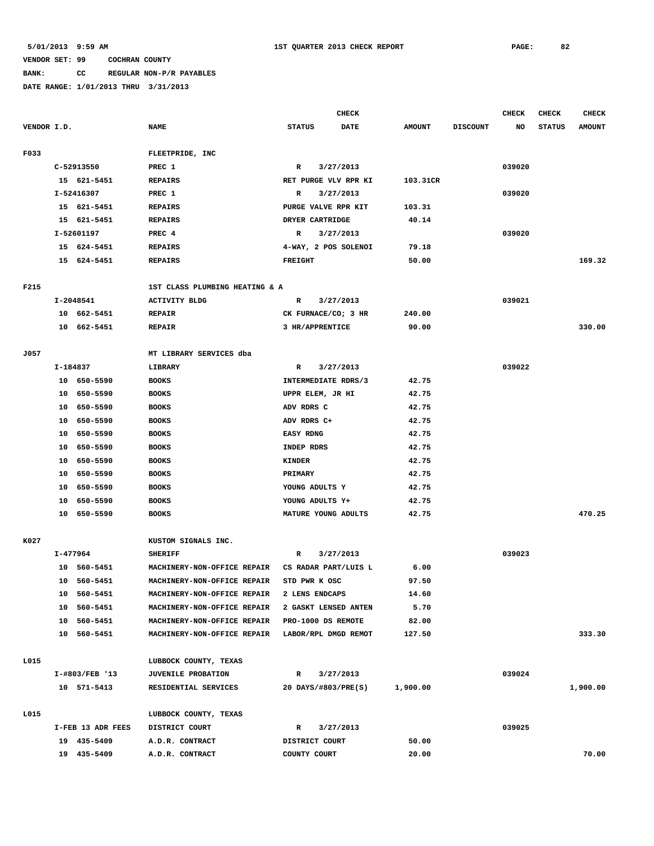# **BANK: CC REGULAR NON-P/R PAYABLES**

|             |    |                   |                                                  | <b>CHECK</b>     |                     |                      |               |                 | CHECK  | <b>CHECK</b>  | <b>CHECK</b>  |
|-------------|----|-------------------|--------------------------------------------------|------------------|---------------------|----------------------|---------------|-----------------|--------|---------------|---------------|
| VENDOR I.D. |    |                   | <b>NAME</b>                                      | <b>STATUS</b>    |                     | <b>DATE</b>          | <b>AMOUNT</b> | <b>DISCOUNT</b> | NO     | <b>STATUS</b> | <b>AMOUNT</b> |
|             |    |                   |                                                  |                  |                     |                      |               |                 |        |               |               |
| F033        |    |                   | FLEETPRIDE, INC                                  |                  |                     |                      |               |                 |        |               |               |
|             |    | C-52913550        | PREC 1                                           | R                | 3/27/2013           |                      |               |                 | 039020 |               |               |
|             |    | 15 621-5451       | <b>REPAIRS</b>                                   |                  |                     | RET PURGE VLV RPR KI | 103.31CR      |                 |        |               |               |
|             |    | I-52416307        | PREC 1                                           | R                | 3/27/2013           |                      |               |                 | 039020 |               |               |
|             |    | 15 621-5451       | <b>REPAIRS</b>                                   |                  | PURGE VALVE RPR KIT |                      | 103.31        |                 |        |               |               |
|             |    | 15 621-5451       | <b>REPAIRS</b>                                   |                  | DRYER CARTRIDGE     |                      | 40.14         |                 |        |               |               |
|             |    | I-52601197        | PREC 4                                           | R                | 3/27/2013           |                      |               |                 | 039020 |               |               |
|             |    | 15 624-5451       | <b>REPAIRS</b>                                   |                  |                     | 4-WAY, 2 POS SOLENOI | 79.18         |                 |        |               |               |
|             |    | 15 624-5451       | <b>REPAIRS</b>                                   | FREIGHT          |                     |                      | 50.00         |                 |        |               | 169.32        |
| F215        |    |                   | 1ST CLASS PLUMBING HEATING & A                   |                  |                     |                      |               |                 |        |               |               |
|             |    | I-2048541         | <b>ACTIVITY BLDG</b>                             | R                | 3/27/2013           |                      |               |                 | 039021 |               |               |
|             |    | 10 662-5451       | <b>REPAIR</b>                                    |                  |                     | CK FURNACE/CO; 3 HR  | 240.00        |                 |        |               |               |
|             |    | 10 662-5451       | <b>REPAIR</b>                                    |                  | 3 HR/APPRENTICE     |                      | 90.00         |                 |        |               | 330.00        |
|             |    |                   |                                                  |                  |                     |                      |               |                 |        |               |               |
| J057        |    |                   | MT LIBRARY SERVICES dba                          |                  |                     |                      |               |                 |        |               |               |
|             |    | I-184837          | LIBRARY                                          | $\mathbb{R}$     | 3/27/2013           |                      |               |                 | 039022 |               |               |
|             |    | 10 650-5590       | <b>BOOKS</b>                                     |                  |                     | INTERMEDIATE RDRS/3  | 42.75         |                 |        |               |               |
|             |    | 10 650-5590       | <b>BOOKS</b>                                     |                  | UPPR ELEM, JR HI    |                      | 42.75         |                 |        |               |               |
|             | 10 | 650-5590          | <b>BOOKS</b>                                     | ADV RDRS C       |                     |                      | 42.75         |                 |        |               |               |
|             |    | 10 650-5590       | <b>BOOKS</b>                                     | ADV RDRS C+      |                     |                      | 42.75         |                 |        |               |               |
|             | 10 | 650-5590          | <b>BOOKS</b>                                     | <b>EASY RDNG</b> |                     |                      | 42.75         |                 |        |               |               |
|             | 10 | 650-5590          | <b>BOOKS</b>                                     | INDEP RDRS       |                     |                      | 42.75         |                 |        |               |               |
|             | 10 | 650-5590          | <b>BOOKS</b>                                     | <b>KINDER</b>    |                     |                      | 42.75         |                 |        |               |               |
|             | 10 | 650-5590          | <b>BOOKS</b>                                     | PRIMARY          |                     |                      | 42.75         |                 |        |               |               |
|             | 10 | 650-5590          | <b>BOOKS</b>                                     |                  | YOUNG ADULTS Y      |                      | 42.75         |                 |        |               |               |
|             | 10 | 650-5590          | <b>BOOKS</b>                                     |                  | YOUNG ADULTS Y+     |                      | 42.75         |                 |        |               |               |
|             |    | 10 650-5590       | <b>BOOKS</b>                                     |                  |                     | MATURE YOUNG ADULTS  | 42.75         |                 |        |               | 470.25        |
|             |    |                   |                                                  |                  |                     |                      |               |                 |        |               |               |
| K027        |    |                   | KUSTOM SIGNALS INC.                              |                  |                     |                      |               |                 |        |               |               |
|             |    | I-477964          | <b>SHERIFF</b>                                   | R                | 3/27/2013           |                      |               |                 | 039023 |               |               |
|             |    | 10 560-5451       | MACHINERY-NON-OFFICE REPAIR                      |                  |                     | CS RADAR PART/LUIS L | 6.00          |                 |        |               |               |
|             |    | 10 560-5451       | MACHINERY-NON-OFFICE REPAIR                      |                  | STD PWR K OSC       |                      | 97.50         |                 |        |               |               |
|             |    | 10 560-5451       | MACHINERY-NON-OFFICE REPAIR                      |                  | 2 LENS ENDCAPS      |                      | 14.60         |                 |        |               |               |
|             |    | 10 560-5451       | MACHINERY-NON-OFFICE REPAIR                      |                  |                     | 2 GASKT LENSED ANTEN | 5.70          |                 |        |               |               |
|             |    | 10 560-5451       | MACHINERY-NON-OFFICE REPAIR                      |                  | PRO-1000 DS REMOTE  |                      | 82.00         |                 |        |               |               |
|             |    | 10 560-5451       | MACHINERY-NON-OFFICE REPAIR LABOR/RPL DMGD REMOT |                  |                     |                      | 127.50        |                 |        |               | 333.30        |
| L015        |    |                   | LUBBOCK COUNTY, TEXAS                            |                  |                     |                      |               |                 |        |               |               |
|             |    | I-#803/FEB '13    | <b>JUVENILE PROBATION</b>                        | $\mathbf{R}$     | 3/27/2013           |                      |               |                 | 039024 |               |               |
|             |    | 10 571-5413       | RESIDENTIAL SERVICES                             |                  |                     | 20 DAYS/#803/PRE(S)  | 1,900.00      |                 |        |               | 1,900.00      |
|             |    |                   |                                                  |                  |                     |                      |               |                 |        |               |               |
| L015        |    |                   | LUBBOCK COUNTY, TEXAS                            |                  |                     |                      |               |                 |        |               |               |
|             |    | I-FEB 13 ADR FEES | DISTRICT COURT                                   | $\mathbb{R}$     | 3/27/2013           |                      |               |                 | 039025 |               |               |
|             |    | 19 435-5409       | A.D.R. CONTRACT                                  |                  | DISTRICT COURT      |                      | 50.00         |                 |        |               |               |
|             |    | 19 435-5409       | A.D.R. CONTRACT                                  |                  | COUNTY COURT        |                      | 20.00         |                 |        |               | 70.00         |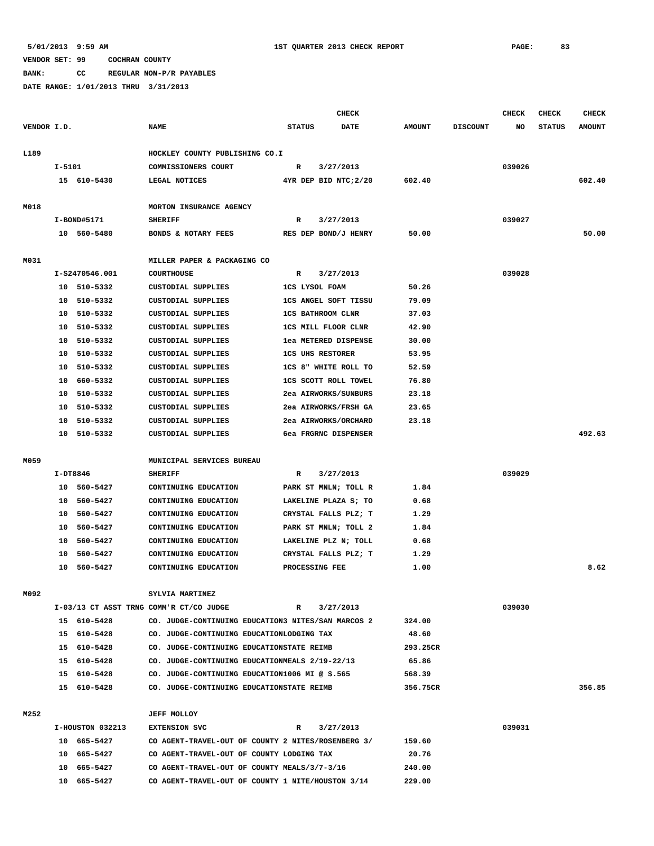**BANK: CC REGULAR NON-P/R PAYABLES**

|             |          |                  |                                                    |                          | <b>CHECK</b>               |               |                 | CHECK  | <b>CHECK</b>  | <b>CHECK</b>  |
|-------------|----------|------------------|----------------------------------------------------|--------------------------|----------------------------|---------------|-----------------|--------|---------------|---------------|
| VENDOR I.D. |          |                  | <b>NAME</b>                                        | <b>STATUS</b>            | <b>DATE</b>                | <b>AMOUNT</b> | <b>DISCOUNT</b> | NO     | <b>STATUS</b> | <b>AMOUNT</b> |
|             |          |                  |                                                    |                          |                            |               |                 |        |               |               |
| L189        |          |                  | HOCKLEY COUNTY PUBLISHING CO.I                     |                          |                            |               |                 |        |               |               |
|             | $I-5101$ |                  | COMMISSIONERS COURT                                | R                        | 3/27/2013                  |               |                 | 039026 |               |               |
|             |          | 15 610-5430      | LEGAL NOTICES                                      |                          | 4YR DEP BID NTC; 2/20      | 602.40        |                 |        |               | 602.40        |
| M018        |          |                  | MORTON INSURANCE AGENCY                            |                          |                            |               |                 |        |               |               |
|             |          | I-BOND#5171      | <b>SHERIFF</b>                                     | R                        | 3/27/2013                  |               |                 | 039027 |               |               |
|             |          | 10 560-5480      | BONDS & NOTARY FEES                                |                          | RES DEP BOND/J HENRY       | 50.00         |                 |        |               | 50.00         |
| M031        |          |                  | MILLER PAPER & PACKAGING CO                        |                          |                            |               |                 |        |               |               |
|             |          | I-S2470546.001   | <b>COURTHOUSE</b>                                  | R                        | 3/27/2013                  |               |                 | 039028 |               |               |
|             |          | 10 510-5332      | CUSTODIAL SUPPLIES                                 | <b>1CS LYSOL FOAM</b>    |                            | 50.26         |                 |        |               |               |
|             |          | 10 510-5332      | CUSTODIAL SUPPLIES                                 |                          | 1CS ANGEL SOFT TISSU       | 79.09         |                 |        |               |               |
|             |          | 10 510-5332      | CUSTODIAL SUPPLIES                                 | <b>1CS BATHROOM CLNR</b> |                            | 37.03         |                 |        |               |               |
|             |          | 10 510-5332      | CUSTODIAL SUPPLIES                                 |                          | <b>1CS MILL FLOOR CLNR</b> | 42.90         |                 |        |               |               |
|             |          | 10 510-5332      | CUSTODIAL SUPPLIES                                 |                          | 1ea METERED DISPENSE       | 30.00         |                 |        |               |               |
|             |          | 10 510-5332      | CUSTODIAL SUPPLIES                                 | <b>1CS UHS RESTORER</b>  |                            | 53.95         |                 |        |               |               |
|             |          | 10 510-5332      | CUSTODIAL SUPPLIES                                 |                          | 1CS 8" WHITE ROLL TO       | 52.59         |                 |        |               |               |
|             |          | 10 660-5332      | CUSTODIAL SUPPLIES                                 |                          | ICS SCOTT ROLL TOWEL       | 76.80         |                 |        |               |               |
|             |          | 10 510-5332      | CUSTODIAL SUPPLIES                                 |                          | 2ea AIRWORKS/SUNBURS       | 23.18         |                 |        |               |               |
|             |          | 10 510-5332      | CUSTODIAL SUPPLIES                                 |                          | 2ea AIRWORKS/FRSH GA       | 23.65         |                 |        |               |               |
|             | 10       | 510-5332         | CUSTODIAL SUPPLIES                                 |                          | 2ea AIRWORKS/ORCHARD       | 23.18         |                 |        |               |               |
|             |          | 10 510-5332      | CUSTODIAL SUPPLIES                                 |                          | 6ea FRGRNC DISPENSER       |               |                 |        |               | 492.63        |
| M059        |          |                  | MUNICIPAL SERVICES BUREAU                          |                          |                            |               |                 |        |               |               |
|             | I-DT8846 |                  | <b>SHERIFF</b>                                     | R                        | 3/27/2013                  |               |                 | 039029 |               |               |
|             |          | 10 560-5427      | CONTINUING EDUCATION                               |                          | PARK ST MNLN; TOLL R       | 1.84          |                 |        |               |               |
|             |          | 10 560-5427      | CONTINUING EDUCATION                               |                          | LAKELINE PLAZA S; TO       | 0.68          |                 |        |               |               |
|             |          | 10 560-5427      | CONTINUING EDUCATION                               |                          | CRYSTAL FALLS PLZ; T       | 1.29          |                 |        |               |               |
|             |          | 10 560-5427      | CONTINUING EDUCATION                               |                          | PARK ST MNLN; TOLL 2       | 1.84          |                 |        |               |               |
|             |          | 10 560-5427      | CONTINUING EDUCATION                               |                          | LAKELINE PLZ N; TOLL       | 0.68          |                 |        |               |               |
|             |          | 10 560-5427      | CONTINUING EDUCATION                               |                          | CRYSTAL FALLS PLZ; T       | 1.29          |                 |        |               |               |
|             | 10       | 560-5427         | CONTINUING EDUCATION                               | PROCESSING FEE           |                            | 1.00          |                 |        |               | 8.62          |
| M092        |          |                  | SYLVIA MARTINEZ                                    |                          |                            |               |                 |        |               |               |
|             |          |                  | I-03/13 CT ASST TRNG COMM'R CT/CO JUDGE            | $\mathbb{R}$             | 3/27/2013                  |               |                 | 039030 |               |               |
|             |          | 15 610-5428      | CO. JUDGE-CONTINUING EDUCATION3 NITES/SAN MARCOS 2 |                          |                            | 324.00        |                 |        |               |               |
|             |          | 15 610-5428      | CO. JUDGE-CONTINUING EDUCATIONLODGING TAX          |                          |                            | 48.60         |                 |        |               |               |
|             |          | 15 610-5428      | CO. JUDGE-CONTINUING EDUCATIONSTATE REIMB          |                          |                            | 293.25CR      |                 |        |               |               |
|             |          | 15 610-5428      | CO. JUDGE-CONTINUING EDUCATIONMEALS 2/19-22/13     |                          |                            | 65.86         |                 |        |               |               |
|             |          | 15 610-5428      | CO. JUDGE-CONTINUING EDUCATION1006 MI @ \$.565     |                          |                            | 568.39        |                 |        |               |               |
|             |          | 15 610-5428      | CO. JUDGE-CONTINUING EDUCATIONSTATE REIMB          |                          |                            | 356.75CR      |                 |        |               | 356.85        |
| M252        |          |                  | <b>JEFF MOLLOY</b>                                 |                          |                            |               |                 |        |               |               |
|             |          | I-HOUSTON 032213 | <b>EXTENSION SVC</b>                               | R                        | 3/27/2013                  |               |                 | 039031 |               |               |
|             |          | 10 665-5427      | CO AGENT-TRAVEL-OUT OF COUNTY 2 NITES/ROSENBERG 3/ |                          |                            | 159.60        |                 |        |               |               |
|             |          | 10 665-5427      | CO AGENT-TRAVEL-OUT OF COUNTY LODGING TAX          |                          |                            | 20.76         |                 |        |               |               |
|             |          | 10 665-5427      | CO AGENT-TRAVEL-OUT OF COUNTY MEALS/3/7-3/16       |                          |                            | 240.00        |                 |        |               |               |
|             |          | 10 665-5427      | CO AGENT-TRAVEL-OUT OF COUNTY 1 NITE/HOUSTON 3/14  |                          |                            | 229.00        |                 |        |               |               |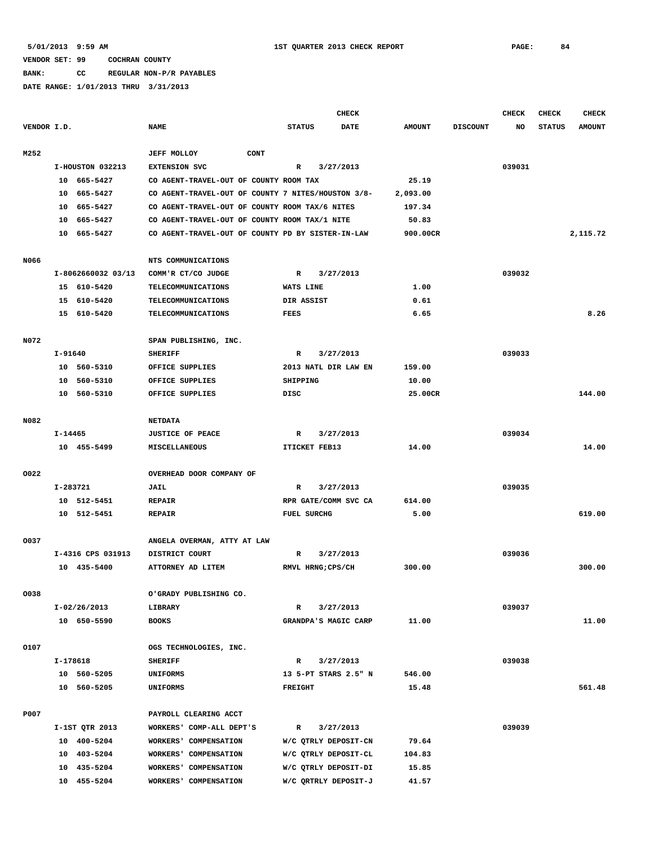**BANK: CC REGULAR NON-P/R PAYABLES**

|             |           |                    |                                                    |                      | <b>CHECK</b> |               |                 | <b>CHECK</b> | <b>CHECK</b>  | <b>CHECK</b>  |
|-------------|-----------|--------------------|----------------------------------------------------|----------------------|--------------|---------------|-----------------|--------------|---------------|---------------|
| VENDOR I.D. |           |                    | <b>NAME</b>                                        | <b>STATUS</b>        | <b>DATE</b>  | <b>AMOUNT</b> | <b>DISCOUNT</b> | <b>NO</b>    | <b>STATUS</b> | <b>AMOUNT</b> |
| M252        |           |                    | <b>CONT</b><br><b>JEFF MOLLOY</b>                  |                      |              |               |                 |              |               |               |
|             |           | I-HOUSTON 032213   | <b>EXTENSION SVC</b>                               | R                    | 3/27/2013    |               |                 | 039031       |               |               |
|             |           | 10 665-5427        | CO AGENT-TRAVEL-OUT OF COUNTY ROOM TAX             |                      |              | 25.19         |                 |              |               |               |
|             | 10        | 665-5427           | CO AGENT-TRAVEL-OUT OF COUNTY 7 NITES/HOUSTON 3/8- |                      |              | 2,093.00      |                 |              |               |               |
|             | 10        | 665-5427           | CO AGENT-TRAVEL-OUT OF COUNTY ROOM TAX/6 NITES     |                      |              | 197.34        |                 |              |               |               |
|             | 10        | 665-5427           | CO AGENT-TRAVEL-OUT OF COUNTY ROOM TAX/1 NITE      |                      |              | 50.83         |                 |              |               |               |
|             | 10        | 665-5427           | CO AGENT-TRAVEL-OUT OF COUNTY PD BY SISTER-IN-LAW  |                      |              | 900.00CR      |                 |              |               | 2,115.72      |
|             |           |                    |                                                    |                      |              |               |                 |              |               |               |
| N066        |           |                    | NTS COMMUNICATIONS                                 |                      |              |               |                 |              |               |               |
|             |           | I-8062660032 03/13 | COMM'R CT/CO JUDGE                                 | $\mathbb{R}$         | 3/27/2013    |               |                 | 039032       |               |               |
|             |           | 15 610-5420        | TELECOMMUNICATIONS                                 | WATS LINE            |              | 1.00          |                 |              |               |               |
|             |           | 15 610-5420        | TELECOMMUNICATIONS                                 | DIR ASSIST           |              | 0.61          |                 |              |               |               |
|             | 15        | 610-5420           | <b>TELECOMMUNICATIONS</b>                          | <b>FEES</b>          |              | 6.65          |                 |              |               | 8.26          |
|             |           |                    |                                                    |                      |              |               |                 |              |               |               |
| N072        |           |                    | SPAN PUBLISHING, INC.                              |                      |              |               |                 |              |               |               |
|             | $I-91640$ |                    | <b>SHERIFF</b>                                     | R                    | 3/27/2013    |               |                 | 039033       |               |               |
|             |           | 10 560-5310        | OFFICE SUPPLIES                                    | 2013 NATL DIR LAW EN |              | 159.00        |                 |              |               |               |
|             | 10        | 560-5310           | OFFICE SUPPLIES                                    | SHIPPING             |              | 10.00         |                 |              |               |               |
|             | 10        | 560-5310           | OFFICE SUPPLIES                                    | DISC                 |              | 25.00CR       |                 |              |               | 144.00        |
| N082        |           |                    | <b>NETDATA</b>                                     |                      |              |               |                 |              |               |               |
|             | I-14465   |                    | <b>JUSTICE OF PEACE</b>                            | $\mathbb{R}$         | 3/27/2013    |               |                 | 039034       |               |               |
|             |           | 10 455-5499        | MISCELLANEOUS                                      | ITICKET FEB13        |              | 14.00         |                 |              |               | 14.00         |
| 0022        |           |                    | OVERHEAD DOOR COMPANY OF                           |                      |              |               |                 |              |               |               |
|             |           |                    |                                                    |                      |              |               |                 |              |               |               |
|             | I-283721  |                    | JAIL                                               | $\mathbb{R}$         | 3/27/2013    |               |                 | 039035       |               |               |
|             |           | 10 512-5451        | <b>REPAIR</b>                                      | RPR GATE/COMM SVC CA |              | 614.00        |                 |              |               |               |
|             | 10        | 512-5451           | <b>REPAIR</b>                                      | <b>FUEL SURCHG</b>   |              | 5.00          |                 |              |               | 619.00        |
| 0037        |           |                    | ANGELA OVERMAN, ATTY AT LAW                        |                      |              |               |                 |              |               |               |
|             |           | I-4316 CPS 031913  | DISTRICT COURT                                     | R                    | 3/27/2013    |               |                 | 039036       |               |               |
|             |           | 10 435-5400        | ATTORNEY AD LITEM                                  | RMVL HRNG; CPS/CH    |              | 300.00        |                 |              |               | 300.00        |
| 0038        |           |                    | O'GRADY PUBLISHING CO.                             |                      |              |               |                 |              |               |               |
|             |           | I-02/26/2013       | LIBRARY                                            | $\mathbf R$          | 3/27/2013    |               |                 | 039037       |               |               |
|             |           | 10 650-5590        | <b>BOOKS</b>                                       | GRANDPA'S MAGIC CARP |              | 11.00         |                 |              |               | 11.00         |
|             |           |                    |                                                    |                      |              |               |                 |              |               |               |
| 0107        |           |                    | OGS TECHNOLOGIES, INC.                             |                      |              |               |                 |              |               |               |
|             | I-178618  |                    | <b>SHERIFF</b>                                     | R                    | 3/27/2013    |               |                 | 039038       |               |               |
|             |           | 10 560-5205        | UNIFORMS                                           | 13 5-PT STARS 2.5" N |              | 546.00        |                 |              |               |               |
|             |           | 10 560-5205        | UNIFORMS                                           | <b>FREIGHT</b>       |              | 15.48         |                 |              |               | 561.48        |
| P007        |           |                    | PAYROLL CLEARING ACCT                              |                      |              |               |                 |              |               |               |
|             |           | I-1ST QTR 2013     | WORKERS' COMP-ALL DEPT'S                           | $\mathbf R$          | 3/27/2013    |               |                 | 039039       |               |               |
|             |           | 10 400-5204        | WORKERS' COMPENSATION                              | W/C QTRLY DEPOSIT-CN |              | 79.64         |                 |              |               |               |
|             |           | 10 403-5204        | WORKERS' COMPENSATION                              | W/C QTRLY DEPOSIT-CL |              | 104.83        |                 |              |               |               |
|             |           | 10 435-5204        | WORKERS' COMPENSATION                              | W/C QTRLY DEPOSIT-DI |              | 15.85         |                 |              |               |               |
|             |           | 10 455-5204        |                                                    | W/C QRTRLY DEPOSIT-J |              | 41.57         |                 |              |               |               |
|             |           |                    | WORKERS' COMPENSATION                              |                      |              |               |                 |              |               |               |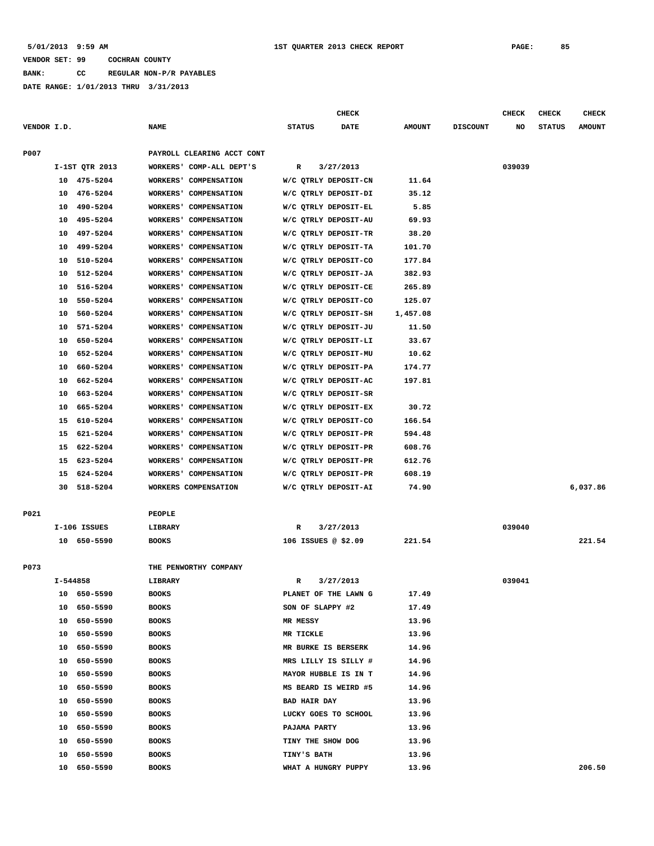**BANK: CC REGULAR NON-P/R PAYABLES**

|             |    |                |                              |                     | CHECK                |               |                 | <b>CHECK</b> | CHECK         | <b>CHECK</b>  |
|-------------|----|----------------|------------------------------|---------------------|----------------------|---------------|-----------------|--------------|---------------|---------------|
| VENDOR I.D. |    |                | <b>NAME</b>                  | <b>STATUS</b>       | DATE                 | <b>AMOUNT</b> | <b>DISCOUNT</b> | NO           | <b>STATUS</b> | <b>AMOUNT</b> |
| P007        |    |                | PAYROLL CLEARING ACCT CONT   |                     |                      |               |                 |              |               |               |
|             |    | I-1ST QTR 2013 | WORKERS' COMP-ALL DEPT'S     | R                   | 3/27/2013            |               |                 | 039039       |               |               |
|             |    | 10 475-5204    | WORKERS' COMPENSATION        |                     | W/C QTRLY DEPOSIT-CN | 11.64         |                 |              |               |               |
|             | 10 | 476-5204       | WORKERS' COMPENSATION        |                     | W/C QTRLY DEPOSIT-DI | 35.12         |                 |              |               |               |
|             | 10 | 490-5204       | <b>WORKERS' COMPENSATION</b> |                     | W/C QTRLY DEPOSIT-EL | 5.85          |                 |              |               |               |
|             | 10 | 495-5204       | WORKERS' COMPENSATION        |                     | W/C QTRLY DEPOSIT-AU | 69.93         |                 |              |               |               |
|             | 10 | 497-5204       | WORKERS' COMPENSATION        |                     | W/C QTRLY DEPOSIT-TR | 38.20         |                 |              |               |               |
|             | 10 | 499-5204       | WORKERS' COMPENSATION        |                     | W/C QTRLY DEPOSIT-TA | 101.70        |                 |              |               |               |
|             | 10 | 510-5204       | WORKERS' COMPENSATION        |                     | W/C QTRLY DEPOSIT-CO | 177.84        |                 |              |               |               |
|             | 10 | 512-5204       | WORKERS' COMPENSATION        |                     | W/C QTRLY DEPOSIT-JA | 382.93        |                 |              |               |               |
|             | 10 | 516-5204       | <b>WORKERS' COMPENSATION</b> |                     | W/C QTRLY DEPOSIT-CE | 265.89        |                 |              |               |               |
|             | 10 | 550-5204       | WORKERS' COMPENSATION        |                     | W/C QTRLY DEPOSIT-CO | 125.07        |                 |              |               |               |
|             | 10 | 560-5204       | WORKERS' COMPENSATION        |                     | W/C QTRLY DEPOSIT-SH | 1,457.08      |                 |              |               |               |
|             | 10 | 571-5204       | <b>WORKERS' COMPENSATION</b> |                     | W/C QTRLY DEPOSIT-JU | 11.50         |                 |              |               |               |
|             | 10 | 650-5204       | WORKERS' COMPENSATION        |                     | W/C QTRLY DEPOSIT-LI | 33.67         |                 |              |               |               |
|             | 10 | 652-5204       | WORKERS' COMPENSATION        |                     | W/C QTRLY DEPOSIT-MU | 10.62         |                 |              |               |               |
|             | 10 | 660-5204       | WORKERS' COMPENSATION        |                     | W/C QTRLY DEPOSIT-PA | 174.77        |                 |              |               |               |
|             | 10 | 662-5204       | <b>WORKERS' COMPENSATION</b> |                     | W/C QTRLY DEPOSIT-AC | 197.81        |                 |              |               |               |
|             | 10 | 663-5204       | WORKERS' COMPENSATION        |                     | W/C QTRLY DEPOSIT-SR |               |                 |              |               |               |
|             | 10 | 665-5204       | WORKERS' COMPENSATION        |                     | W/C QTRLY DEPOSIT-EX | 30.72         |                 |              |               |               |
|             | 15 | 610-5204       | WORKERS' COMPENSATION        |                     | W/C QTRLY DEPOSIT-CO | 166.54        |                 |              |               |               |
|             | 15 | 621-5204       | <b>WORKERS' COMPENSATION</b> |                     | W/C QTRLY DEPOSIT-PR | 594.48        |                 |              |               |               |
|             | 15 | 622-5204       | <b>WORKERS' COMPENSATION</b> |                     | W/C QTRLY DEPOSIT-PR | 608.76        |                 |              |               |               |
|             | 15 | 623-5204       | WORKERS' COMPENSATION        |                     | W/C QTRLY DEPOSIT-PR | 612.76        |                 |              |               |               |
|             | 15 | 624-5204       | WORKERS' COMPENSATION        |                     | W/C QTRLY DEPOSIT-PR | 608.19        |                 |              |               |               |
|             | 30 | 518-5204       | WORKERS COMPENSATION         |                     | W/C QTRLY DEPOSIT-AI | 74.90         |                 |              |               | 6,037.86      |
|             |    |                |                              |                     |                      |               |                 |              |               |               |
| P021        |    |                | PEOPLE                       |                     |                      |               |                 |              |               |               |
|             |    | I-106 ISSUES   | LIBRARY                      | R                   | 3/27/2013            |               |                 | 039040       |               |               |
|             |    | 10 650-5590    | <b>BOOKS</b>                 | 106 ISSUES @ \$2.09 |                      | 221.54        |                 |              |               | 221.54        |
| P073        |    |                | THE PENWORTHY COMPANY        |                     |                      |               |                 |              |               |               |
|             |    | I-544858       | LIBRARY                      | R                   | 3/27/2013            |               |                 | 039041       |               |               |
|             | 10 | 650-5590       | <b>BOOKS</b>                 |                     | PLANET OF THE LAWN G | 17.49         |                 |              |               |               |
|             | 10 | 650-5590       | <b>BOOKS</b>                 | SON OF SLAPPY #2    |                      | 17.49         |                 |              |               |               |
|             | 10 | 650-5590       | <b>BOOKS</b>                 | MR MESSY            |                      | 13.96         |                 |              |               |               |
|             | 10 | 650-5590       | <b>BOOKS</b>                 | MR TICKLE           |                      | 13.96         |                 |              |               |               |
|             | 10 | 650-5590       | <b>BOOKS</b>                 |                     | MR BURKE IS BERSERK  | 14.96         |                 |              |               |               |
|             | 10 | 650-5590       | <b>BOOKS</b>                 |                     | MRS LILLY IS SILLY # | 14.96         |                 |              |               |               |
|             | 10 | 650-5590       | <b>BOOKS</b>                 |                     | MAYOR HUBBLE IS IN T | 14.96         |                 |              |               |               |
|             | 10 | 650-5590       | <b>BOOKS</b>                 |                     | MS BEARD IS WEIRD #5 | 14.96         |                 |              |               |               |
|             | 10 | 650-5590       | <b>BOOKS</b>                 | <b>BAD HAIR DAY</b> |                      | 13.96         |                 |              |               |               |
|             | 10 | 650-5590       | <b>BOOKS</b>                 |                     | LUCKY GOES TO SCHOOL | 13.96         |                 |              |               |               |
|             | 10 | 650-5590       | <b>BOOKS</b>                 | PAJAMA PARTY        |                      | 13.96         |                 |              |               |               |
|             | 10 | 650-5590       | <b>BOOKS</b>                 | TINY THE SHOW DOG   |                      | 13.96         |                 |              |               |               |
|             | 10 | 650-5590       | <b>BOOKS</b>                 | TINY'S BATH         |                      | 13.96         |                 |              |               |               |
|             | 10 | 650-5590       | <b>BOOKS</b>                 |                     | WHAT A HUNGRY PUPPY  | 13.96         |                 |              |               | 206.50        |
|             |    |                |                              |                     |                      |               |                 |              |               |               |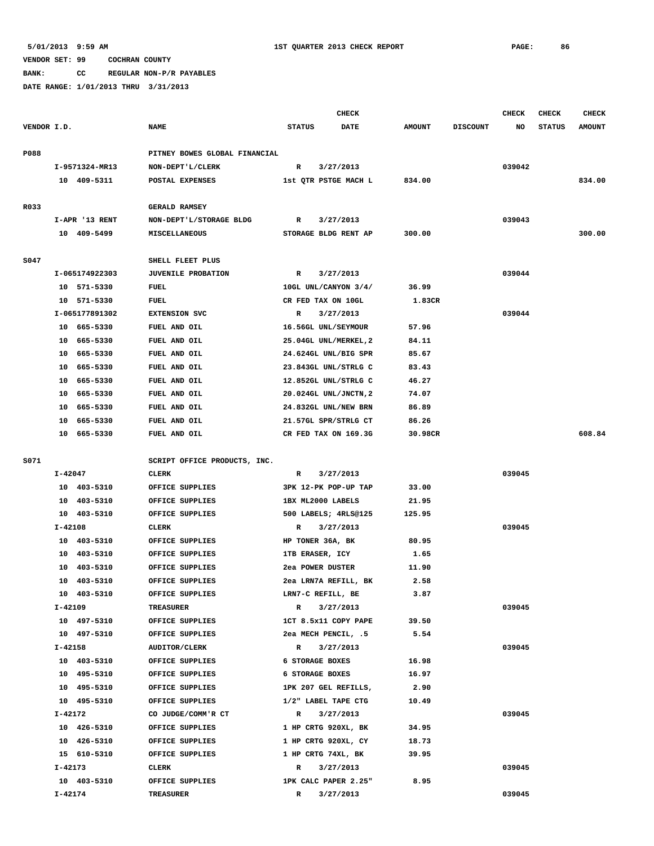**BANK: CC REGULAR NON-P/R PAYABLES**

|             |                |                               | <b>CHECK</b>          |             |               |                 | <b>CHECK</b> | <b>CHECK</b>  | <b>CHECK</b>  |
|-------------|----------------|-------------------------------|-----------------------|-------------|---------------|-----------------|--------------|---------------|---------------|
| VENDOR I.D. |                | <b>NAME</b>                   | <b>STATUS</b>         | <b>DATE</b> | <b>AMOUNT</b> | <b>DISCOUNT</b> | NO           | <b>STATUS</b> | <b>AMOUNT</b> |
| P088        |                | PITNEY BOWES GLOBAL FINANCIAL |                       |             |               |                 |              |               |               |
|             | I-9571324-MR13 | NON-DEPT'L/CLERK              | R                     | 3/27/2013   |               |                 | 039042       |               |               |
|             | 10 409-5311    | POSTAL EXPENSES               | 1st QTR PSTGE MACH L  |             | 834.00        |                 |              |               | 834.00        |
|             |                |                               |                       |             |               |                 |              |               |               |
| R033        |                | <b>GERALD RAMSEY</b>          |                       |             |               |                 |              |               |               |
|             | I-APR '13 RENT | NON-DEPT'L/STORAGE BLDG       | R                     | 3/27/2013   |               |                 | 039043       |               |               |
|             | 10 409-5499    | <b>MISCELLANEOUS</b>          | STORAGE BLDG RENT AP  |             | 300.00        |                 |              |               | 300.00        |
| S047        |                | SHELL FLEET PLUS              |                       |             |               |                 |              |               |               |
|             | I-065174922303 | <b>JUVENILE PROBATION</b>     | R                     | 3/27/2013   |               |                 | 039044       |               |               |
|             | 10 571-5330    | FUEL                          | 10GL UNL/CANYON 3/4/  |             | 36.99         |                 |              |               |               |
|             | 10 571-5330    | FUEL                          | CR FED TAX ON 10GL    |             | 1.83CR        |                 |              |               |               |
|             | I-065177891302 | <b>EXTENSION SVC</b>          | R                     | 3/27/2013   |               |                 | 039044       |               |               |
|             | 10 665-5330    | FUEL AND OIL                  | 16.56GL UNL/SEYMOUR   |             | 57.96         |                 |              |               |               |
|             | 10 665-5330    | FUEL AND OIL                  | 25.04GL UNL/MERKEL, 2 |             | 84.11         |                 |              |               |               |
|             | 10 665-5330    | FUEL AND OIL                  | 24.624GL UNL/BIG SPR  |             | 85.67         |                 |              |               |               |
|             | 10 665-5330    | FUEL AND OIL                  | 23.843GL UNL/STRLG C  |             | 83.43         |                 |              |               |               |
|             | 10 665-5330    | FUEL AND OIL                  | 12.852GL UNL/STRLG C  |             | 46.27         |                 |              |               |               |
|             | 10 665-5330    | FUEL AND OIL                  | 20.024GL UNL/JNCTN, 2 |             | 74.07         |                 |              |               |               |
|             | 10 665-5330    | FUEL AND OIL                  | 24.832GL UNL/NEW BRN  |             | 86.89         |                 |              |               |               |
|             | 10 665-5330    | FUEL AND OIL                  | 21.57GL SPR/STRLG CT  |             | 86.26         |                 |              |               |               |
|             | 10 665-5330    | FUEL AND OIL                  | CR FED TAX ON 169.3G  |             | 30.98CR       |                 |              |               | 608.84        |
|             |                |                               |                       |             |               |                 |              |               |               |
| S071        |                | SCRIPT OFFICE PRODUCTS, INC.  |                       |             |               |                 |              |               |               |
|             | I-42047        | <b>CLERK</b>                  | R                     | 3/27/2013   |               |                 | 039045       |               |               |
|             | 10 403-5310    | OFFICE SUPPLIES               | 3PK 12-PK POP-UP TAP  |             | 33.00         |                 |              |               |               |
|             | 10 403-5310    | OFFICE SUPPLIES               | 1BX ML2000 LABELS     |             | 21.95         |                 |              |               |               |
|             | 10 403-5310    | OFFICE SUPPLIES               | 500 LABELS; 4RLS@125  |             | 125.95        |                 |              |               |               |
|             | I-42108        | <b>CLERK</b>                  | $\mathbb{R}$          | 3/27/2013   |               |                 | 039045       |               |               |
|             | 10 403-5310    | OFFICE SUPPLIES               | HP TONER 36A, BK      |             | 80.95         |                 |              |               |               |
|             | 10 403-5310    | OFFICE SUPPLIES               | 1TB ERASER, ICY       |             | 1.65          |                 |              |               |               |
|             | 10 403-5310    | OFFICE SUPPLIES               | 2ea POWER DUSTER      |             | 11.90         |                 |              |               |               |
|             | 10 403-5310    | OFFICE SUPPLIES               | 2ea LRN7A REFILL, BK  |             | 2.58          |                 |              |               |               |
|             | 10 403-5310    | OFFICE SUPPLIES               | LRN7-C REFILL, BE     |             | 3.87          |                 |              |               |               |
|             | I-42109        | TREASURER                     | R 3/27/2013           |             |               |                 | 039045       |               |               |
|             | 10 497-5310    | OFFICE SUPPLIES               | 1CT 8.5x11 COPY PAPE  |             | 39.50         |                 |              |               |               |
|             | 10 497-5310    | OFFICE SUPPLIES               | 2ea MECH PENCIL, .5   |             | 5.54          |                 |              |               |               |
|             | I-42158        | AUDITOR/CLERK                 | $\mathbf{R}$          | 3/27/2013   |               |                 | 039045       |               |               |
|             | 10 403-5310    | OFFICE SUPPLIES               | 6 STORAGE BOXES       |             | 16.98         |                 |              |               |               |
|             | 10 495-5310    | OFFICE SUPPLIES               | 6 STORAGE BOXES       |             | 16.97         |                 |              |               |               |
|             | 10 495-5310    | OFFICE SUPPLIES               | 1PK 207 GEL REFILLS,  |             | 2.90          |                 |              |               |               |
|             | 10 495-5310    | OFFICE SUPPLIES               | 1/2" LABEL TAPE CTG   |             | 10.49         |                 |              |               |               |
|             | I-42172        | CO JUDGE/COMM'R CT            | $\mathbf{R}$          | 3/27/2013   |               |                 | 039045       |               |               |
|             | 10 426-5310    | OFFICE SUPPLIES               | 1 HP CRTG 920XL, BK   |             | 34.95         |                 |              |               |               |
|             | 10 426-5310    | OFFICE SUPPLIES               | 1 HP CRTG 920XL, CY   |             | 18.73         |                 |              |               |               |
|             | 15 610-5310    | OFFICE SUPPLIES               | 1 HP CRTG 74XL, BK    |             | 39.95         |                 |              |               |               |
|             | I-42173        | CLERK                         | $\mathbf{R}$          | 3/27/2013   |               |                 | 039045       |               |               |
|             | 10 403-5310    | OFFICE SUPPLIES               | 1PK CALC PAPER 2.25"  |             | 8.95          |                 |              |               |               |
|             | I-42174        | TREASURER                     | $\mathbf{R}$          | 3/27/2013   |               |                 | 039045       |               |               |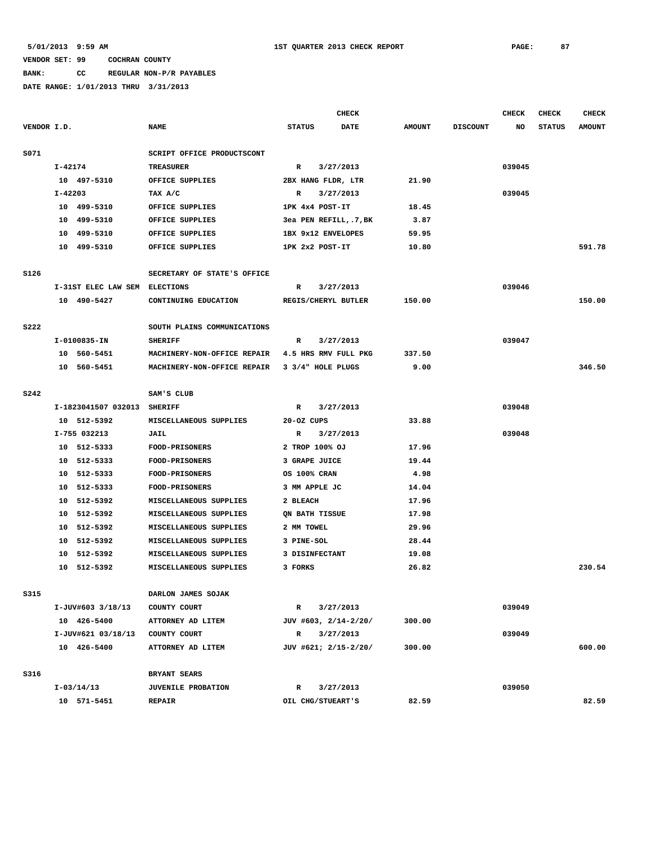# **BANK: CC REGULAR NON-P/R PAYABLES**

|             |           |                               |                                               |               | <b>CHECK</b>                   |               |                 | <b>CHECK</b> | <b>CHECK</b>  | <b>CHECK</b>  |
|-------------|-----------|-------------------------------|-----------------------------------------------|---------------|--------------------------------|---------------|-----------------|--------------|---------------|---------------|
| VENDOR I.D. |           |                               | <b>NAME</b>                                   | <b>STATUS</b> | <b>DATE</b>                    | <b>AMOUNT</b> | <b>DISCOUNT</b> | NO.          | <b>STATUS</b> | <b>AMOUNT</b> |
| S071        |           |                               | SCRIPT OFFICE PRODUCTSCONT                    |               |                                |               |                 |              |               |               |
|             | I-42174   |                               | <b>TREASURER</b>                              | $\mathbb{R}$  | 3/27/2013                      |               |                 | 039045       |               |               |
|             |           | 10 497-5310                   | OFFICE SUPPLIES                               |               | 2BX HANG FLDR, LTR             | 21.90         |                 |              |               |               |
|             | $I-42203$ |                               | TAX A/C                                       | R             | 3/27/2013                      |               |                 | 039045       |               |               |
|             |           | 10 499-5310                   | OFFICE SUPPLIES                               |               | 1PK 4x4 POST-IT                | 18.45         |                 |              |               |               |
|             |           | 10 499-5310                   | OFFICE SUPPLIES                               |               | 3ea PEN REFILL, .7, BK         | 3.87          |                 |              |               |               |
|             | 10        | 499-5310                      | OFFICE SUPPLIES                               |               | 1BX 9x12 ENVELOPES             | 59.95         |                 |              |               |               |
|             |           | 10 499-5310                   | OFFICE SUPPLIES                               |               | 1PK 2x2 POST-IT                | 10.80         |                 |              |               | 591.78        |
| S126        |           |                               | SECRETARY OF STATE'S OFFICE                   |               |                                |               |                 |              |               |               |
|             |           | I-31ST ELEC LAW SEM ELECTIONS |                                               | $\mathbb{R}$  | 3/27/2013                      |               |                 | 039046       |               |               |
|             |           | 10 490-5427                   | CONTINUING EDUCATION                          |               | REGIS/CHERYL BUTLER            | 150.00        |                 |              |               | 150.00        |
|             |           |                               |                                               |               |                                |               |                 |              |               |               |
| <b>S222</b> |           |                               | SOUTH PLAINS COMMUNICATIONS                   |               |                                |               |                 |              |               |               |
|             |           | I-0100835-IN                  | <b>SHERIFF</b>                                | R             | 3/27/2013                      |               |                 | 039047       |               |               |
|             |           | 10 560-5451                   | MACHINERY-NON-OFFICE REPAIR                   |               | 4.5 HRS RMV FULL PKG           | 337.50        |                 |              |               |               |
|             |           | 10 560-5451                   | MACHINERY-NON-OFFICE REPAIR 3 3/4" HOLE PLUGS |               |                                | 9.00          |                 |              |               | 346.50        |
| <b>S242</b> |           |                               | SAM'S CLUB                                    |               |                                |               |                 |              |               |               |
|             |           | I-1823041507 032013 SHERIFF   |                                               | R             | 3/27/2013                      |               |                 | 039048       |               |               |
|             |           | 10 512-5392                   | MISCELLANEOUS SUPPLIES                        | 20-OZ CUPS    |                                | 33.88         |                 |              |               |               |
|             |           | I-755 032213                  | JAIL                                          | $\mathbb{R}$  | 3/27/2013                      |               |                 | 039048       |               |               |
|             |           | 10 512-5333                   | FOOD-PRISONERS                                |               | 2 TROP 100% OJ                 | 17.96         |                 |              |               |               |
|             |           | 10 512-5333                   | FOOD-PRISONERS                                |               | 3 GRAPE JUICE                  | 19.44         |                 |              |               |               |
|             |           | 10 512-5333                   | <b>FOOD-PRISONERS</b>                         | OS 100% CRAN  |                                | 4.98          |                 |              |               |               |
|             |           | 10 512-5333                   | FOOD-PRISONERS                                | 3 MM APPLE JC |                                | 14.04         |                 |              |               |               |
|             |           | 10 512-5392                   | MISCELLANEOUS SUPPLIES                        | 2 BLEACH      |                                | 17.96         |                 |              |               |               |
|             | 10        | 512-5392                      | MISCELLANEOUS SUPPLIES                        |               | ON BATH TISSUE                 | 17.98         |                 |              |               |               |
|             | 10        | 512-5392                      | MISCELLANEOUS SUPPLIES                        | 2 MM TOWEL    |                                | 29.96         |                 |              |               |               |
|             | 10        | 512-5392                      | MISCELLANEOUS SUPPLIES                        | 3 PINE-SOL    |                                | 28.44         |                 |              |               |               |
|             | 10        | 512-5392                      | MISCELLANEOUS SUPPLIES                        |               | 3 DISINFECTANT                 | 19.08         |                 |              |               |               |
|             |           | 10 512-5392                   | MISCELLANEOUS SUPPLIES                        | 3 FORKS       |                                | 26.82         |                 |              |               | 230.54        |
| S315        |           |                               | DARLON JAMES SOJAK                            |               |                                |               |                 |              |               |               |
|             |           | I-JUV#603 3/18/13             | COUNTY COURT                                  | $\mathbb{R}$  | 3/27/2013                      |               |                 | 039049       |               |               |
|             |           | 10 426-5400                   | ATTORNEY AD LITEM                             |               | JUV #603, 2/14-2/20/           | 300.00        |                 |              |               |               |
|             |           | I-JUV#621 03/18/13            | COUNTY COURT                                  | $\mathbb{R}$  | 3/27/2013                      |               |                 | 039049       |               |               |
|             |           | 10 426-5400                   | ATTORNEY AD LITEM                             |               | JUV #621; 2/15-2/20/           | 300.00        |                 |              |               | 600.00        |
| S316        |           |                               |                                               |               |                                |               |                 |              |               |               |
|             |           | I-03/14/13                    | BRYANT SEARS<br><b>JUVENILE PROBATION</b>     | R             |                                |               |                 | 039050       |               |               |
|             |           |                               |                                               |               | 3/27/2013<br>OIL CHG/STUEART'S |               |                 |              |               |               |
|             |           | 10 571-5451                   | <b>REPAIR</b>                                 |               |                                | 82.59         |                 |              |               | 82.59         |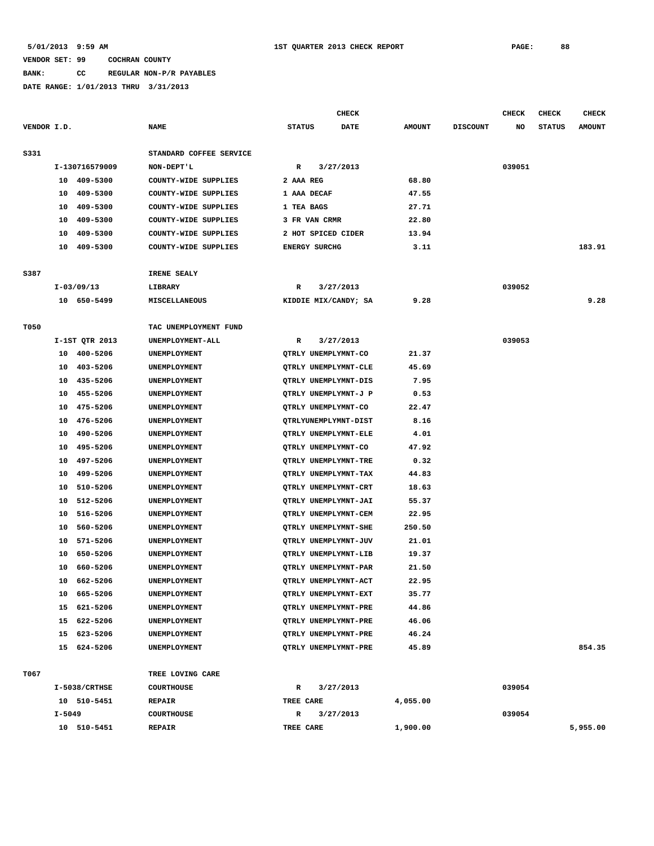# **BANK: CC REGULAR NON-P/R PAYABLES**

|             |            |                |                         |               |                      | <b>CHECK</b>         |               |                 | <b>CHECK</b> | <b>CHECK</b>  | <b>CHECK</b>  |
|-------------|------------|----------------|-------------------------|---------------|----------------------|----------------------|---------------|-----------------|--------------|---------------|---------------|
| VENDOR I.D. |            |                | <b>NAME</b>             | <b>STATUS</b> |                      | <b>DATE</b>          | <b>AMOUNT</b> | <b>DISCOUNT</b> | NO           | <b>STATUS</b> | <b>AMOUNT</b> |
|             |            |                |                         |               |                      |                      |               |                 |              |               |               |
| S331        |            |                | STANDARD COFFEE SERVICE |               |                      |                      |               |                 |              |               |               |
|             |            | I-130716579009 | NON-DEPT'L              | $\mathbb{R}$  |                      | 3/27/2013            |               |                 | 039051       |               |               |
|             |            | 10 409-5300    | COUNTY-WIDE SUPPLIES    |               | 2 AAA REG            |                      | 68.80         |                 |              |               |               |
|             | 10         | 409-5300       | COUNTY-WIDE SUPPLIES    |               | 1 AAA DECAF          |                      | 47.55         |                 |              |               |               |
|             | 10         | 409-5300       | COUNTY-WIDE SUPPLIES    |               | 1 TEA BAGS           |                      | 27.71         |                 |              |               |               |
|             | 10         | 409-5300       | COUNTY-WIDE SUPPLIES    |               | 3 FR VAN CRMR        |                      | 22.80         |                 |              |               |               |
|             | 10         | 409-5300       | COUNTY-WIDE SUPPLIES    |               | 2 HOT SPICED CIDER   |                      | 13.94         |                 |              |               |               |
|             | 10         | 409-5300       | COUNTY-WIDE SUPPLIES    |               | <b>ENERGY SURCHG</b> |                      | 3.11          |                 |              |               | 183.91        |
|             |            |                |                         |               |                      |                      |               |                 |              |               |               |
| S387        |            |                | IRENE SEALY             |               |                      |                      |               |                 |              |               |               |
|             |            | $I-03/09/13$   | LIBRARY                 | R             |                      | 3/27/2013            |               |                 | 039052       |               |               |
|             |            | 10 650-5499    | MISCELLANEOUS           |               |                      | KIDDIE MIX/CANDY; SA | 9.28          |                 |              |               | 9.28          |
|             |            |                |                         |               |                      |                      |               |                 |              |               |               |
| T050        |            |                | TAC UNEMPLOYMENT FUND   |               |                      |                      |               |                 |              |               |               |
|             |            | I-1ST QTR 2013 | UNEMPLOYMENT-ALL        | R             |                      | 3/27/2013            |               |                 | 039053       |               |               |
|             |            | 10 400-5206    | UNEMPLOYMENT            |               |                      | QTRLY UNEMPLYMNT-CO  | 21.37         |                 |              |               |               |
|             | 10         | 403-5206       | UNEMPLOYMENT            |               |                      | QTRLY UNEMPLYMNT-CLE | 45.69         |                 |              |               |               |
|             | 10         | 435-5206       | UNEMPLOYMENT            |               |                      | QTRLY UNEMPLYMNT-DIS | 7.95          |                 |              |               |               |
|             | 10         | 455-5206       | UNEMPLOYMENT            |               |                      | QTRLY UNEMPLYMNT-J P | 0.53          |                 |              |               |               |
|             | 10         | 475-5206       | UNEMPLOYMENT            |               |                      | QTRLY UNEMPLYMNT-CO  | 22.47         |                 |              |               |               |
|             | 10         | 476-5206       | UNEMPLOYMENT            |               |                      | QTRLYUNEMPLYMNT-DIST | 8.16          |                 |              |               |               |
|             | 10         | 490-5206       | UNEMPLOYMENT            |               |                      | QTRLY UNEMPLYMNT-ELE | 4.01          |                 |              |               |               |
|             | 10         | 495-5206       | UNEMPLOYMENT            |               |                      | QTRLY UNEMPLYMNT-CO  | 47.92         |                 |              |               |               |
|             | 10         | 497-5206       | UNEMPLOYMENT            |               |                      | QTRLY UNEMPLYMNT-TRE | 0.32          |                 |              |               |               |
|             | 10         | 499–5206       | UNEMPLOYMENT            |               |                      | QTRLY UNEMPLYMNT-TAX | 44.83         |                 |              |               |               |
|             | 10         | 510-5206       | UNEMPLOYMENT            |               |                      | QTRLY UNEMPLYMNT-CRT | 18.63         |                 |              |               |               |
|             | 10         | 512-5206       | UNEMPLOYMENT            |               |                      | QTRLY UNEMPLYMNT-JAI | 55.37         |                 |              |               |               |
|             | 10         | 516-5206       | UNEMPLOYMENT            |               |                      | QTRLY UNEMPLYMNT-CEM | 22.95         |                 |              |               |               |
|             | 10         | 560-5206       | UNEMPLOYMENT            |               |                      | QTRLY UNEMPLYMNT-SHE | 250.50        |                 |              |               |               |
|             | 10         | 571-5206       | UNEMPLOYMENT            |               |                      | QTRLY UNEMPLYMNT-JUV | 21.01         |                 |              |               |               |
|             | 10         | 650-5206       | UNEMPLOYMENT            |               |                      | QTRLY UNEMPLYMNT-LIB | 19.37         |                 |              |               |               |
|             | 10         | 660-5206       | UNEMPLOYMENT            |               |                      | QTRLY UNEMPLYMNT-PAR | 21.50         |                 |              |               |               |
|             | 10         | 662-5206       | UNEMPLOYMENT            |               |                      | QTRLY UNEMPLYMNT-ACT | 22.95         |                 |              |               |               |
|             |            | 10 665-5206    | UNEMPLOYMENT            |               |                      | QTRLY UNEMPLYMNT-EXT | 35.77         |                 |              |               |               |
|             |            | 15 621-5206    | UNEMPLOYMENT            |               |                      | QTRLY UNEMPLYMNT-PRE | 44.86         |                 |              |               |               |
|             |            | 15 622-5206    | UNEMPLOYMENT            |               |                      | QTRLY UNEMPLYMNT-PRE | 46.06         |                 |              |               |               |
|             |            | 15 623-5206    | UNEMPLOYMENT            |               |                      | QTRLY UNEMPLYMNT-PRE | 46.24         |                 |              |               |               |
|             |            | 15 624-5206    | UNEMPLOYMENT            |               |                      | QTRLY UNEMPLYMNT-PRE | 45.89         |                 |              |               | 854.35        |
|             |            |                |                         |               |                      |                      |               |                 |              |               |               |
| T067        |            |                | TREE LOVING CARE        |               |                      |                      |               |                 |              |               |               |
|             |            | I-5038/CRTHSE  | <b>COURTHOUSE</b>       | R             |                      | 3/27/2013            |               |                 | 039054       |               |               |
|             |            | 10 510-5451    | <b>REPAIR</b>           |               | TREE CARE            |                      | 4,055.00      |                 |              |               |               |
|             | $I - 5049$ |                | COURTHOUSE              | R             |                      | 3/27/2013            |               |                 | 039054       |               |               |
|             |            | 10 510-5451    | <b>REPAIR</b>           |               | TREE CARE            |                      | 1,900.00      |                 |              |               | 5,955.00      |
|             |            |                |                         |               |                      |                      |               |                 |              |               |               |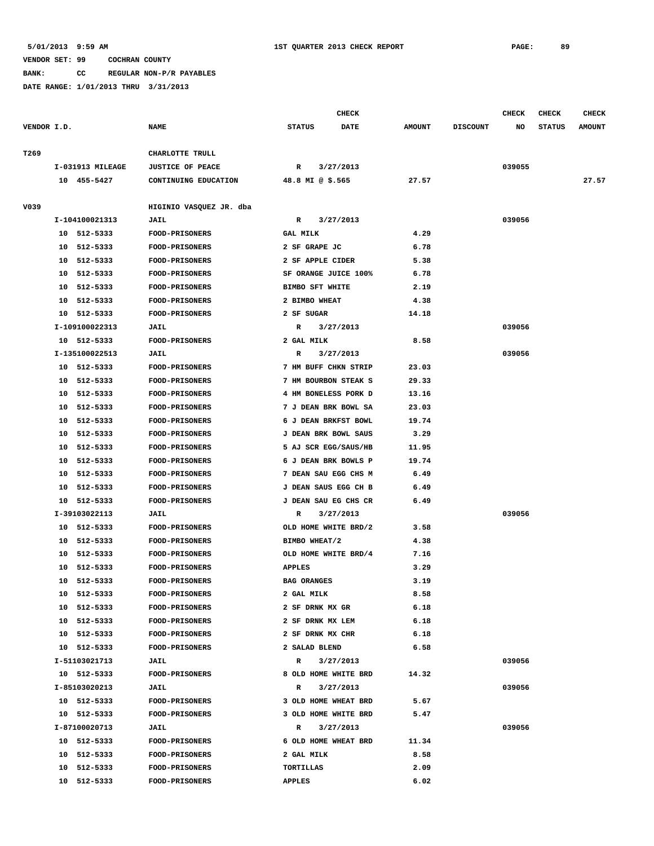**BANK: CC REGULAR NON-P/R PAYABLES**

**DATE RANGE: 1/01/2013 THRU 3/31/2013**

**CHECK CHECK CHECK CHECK** 

| VENDOR I.D. |    |                  | <b>NAME</b>             | <b>STATUS</b>                  | <b>DATE</b>          | <b>AMOUNT</b> | <b>DISCOUNT</b> | NO     | <b>STATUS</b> | <b>AMOUNT</b> |
|-------------|----|------------------|-------------------------|--------------------------------|----------------------|---------------|-----------------|--------|---------------|---------------|
| т269        |    |                  | CHARLOTTE TRULL         |                                |                      |               |                 |        |               |               |
|             |    | I-031913 MILEAGE | <b>JUSTICE OF PEACE</b> | R 3/27/2013                    |                      |               |                 | 039055 |               |               |
|             |    | 10 455-5427      | CONTINUING EDUCATION    | 48.8 MI @ \$.565               |                      | 27.57         |                 |        |               | 27.57         |
|             |    |                  |                         |                                |                      |               |                 |        |               |               |
| V039        |    |                  | HIGINIO VASQUEZ JR. dba |                                |                      |               |                 |        |               |               |
|             |    | I-104100021313   | JAIL                    | R 3/27/2013<br><b>GAL MILK</b> |                      |               |                 | 039056 |               |               |
|             |    | 10 512-5333      | FOOD-PRISONERS          |                                |                      | 4.29          |                 |        |               |               |
|             |    | 10 512-5333      | <b>FOOD-PRISONERS</b>   | 2 SF GRAPE JC                  |                      | 6.78          |                 |        |               |               |
|             |    | 10 512-5333      | FOOD-PRISONERS          | 2 SF APPLE CIDER               |                      | 5.38          |                 |        |               |               |
|             |    | 10 512-5333      | <b>FOOD-PRISONERS</b>   |                                | SF ORANGE JUICE 100% | 6.78          |                 |        |               |               |
|             | 10 | 512-5333         | <b>FOOD-PRISONERS</b>   | BIMBO SFT WHITE                |                      | 2.19          |                 |        |               |               |
|             |    | 10 512-5333      | <b>FOOD-PRISONERS</b>   | 2 BIMBO WHEAT                  |                      | 4.38          |                 |        |               |               |
|             |    | 10 512-5333      | <b>FOOD-PRISONERS</b>   | 2 SF SUGAR                     |                      | 14.18         |                 |        |               |               |
|             |    | I-109100022313   | JAIL                    | R 3/27/2013                    |                      |               |                 | 039056 |               |               |
|             |    | 10 512-5333      | <b>FOOD-PRISONERS</b>   | 2 GAL MILK                     |                      | 8.58          |                 |        |               |               |
|             |    | I-135100022513   | <b>JAIL</b>             | R                              | 3/27/2013            |               |                 | 039056 |               |               |
|             |    | 10 512-5333      | <b>FOOD-PRISONERS</b>   | 7 HM BUFF CHKN STRIP           |                      | 23.03         |                 |        |               |               |
|             |    | 10 512-5333      | <b>FOOD-PRISONERS</b>   | 7 HM BOURBON STEAK S           |                      | 29.33         |                 |        |               |               |
|             |    | 10 512-5333      | <b>FOOD-PRISONERS</b>   | 4 HM BONELESS PORK D           |                      | 13.16         |                 |        |               |               |
|             |    | 10 512-5333      | <b>FOOD-PRISONERS</b>   |                                | 7 J DEAN BRK BOWL SA | 23.03         |                 |        |               |               |
|             |    | 10 512-5333      | <b>FOOD-PRISONERS</b>   | 6 J DEAN BRKFST BOWL           |                      | 19.74         |                 |        |               |               |
|             |    | 10 512-5333      | FOOD-PRISONERS          |                                | J DEAN BRK BOWL SAUS | 3.29          |                 |        |               |               |
|             | 10 | 512-5333         | <b>FOOD-PRISONERS</b>   |                                | 5 AJ SCR EGG/SAUS/HB | 11.95         |                 |        |               |               |
|             |    | 10 512-5333      | <b>FOOD-PRISONERS</b>   | 6 J DEAN BRK BOWLS P           |                      | 19.74         |                 |        |               |               |
|             |    | 10 512-5333      | FOOD-PRISONERS          |                                | 7 DEAN SAU EGG CHS M | 6.49          |                 |        |               |               |
|             |    | 10 512-5333      | <b>FOOD-PRISONERS</b>   |                                | J DEAN SAUS EGG CH B | 6.49          |                 |        |               |               |
|             |    | 10 512-5333      | <b>FOOD-PRISONERS</b>   |                                | J DEAN SAU EG CHS CR | 6.49          |                 |        |               |               |
|             |    | I-39103022113    | <b>JAIL</b>             | R                              | 3/27/2013            |               |                 | 039056 |               |               |
|             |    | 10 512-5333      | <b>FOOD-PRISONERS</b>   |                                | OLD HOME WHITE BRD/2 | 3.58          |                 |        |               |               |
|             |    | 10 512-5333      | <b>FOOD-PRISONERS</b>   | BIMBO WHEAT/2                  |                      | 4.38          |                 |        |               |               |
|             |    | 10 512-5333      | <b>FOOD-PRISONERS</b>   |                                | OLD HOME WHITE BRD/4 | 7.16          |                 |        |               |               |
|             |    | 10 512-5333      | <b>FOOD-PRISONERS</b>   | <b>APPLES</b>                  |                      | 3.29          |                 |        |               |               |
|             |    | 10 512-5333      | <b>FOOD-PRISONERS</b>   | <b>BAG ORANGES</b>             |                      | 3.19          |                 |        |               |               |
|             |    | 10 512-5333      | <b>FOOD-PRISONERS</b>   | 2 GAL MILK                     |                      | 8.58          |                 |        |               |               |
|             |    | 10 512-5333      | <b>FOOD-PRISONERS</b>   | 2 SF DRNK MX GR                |                      | 6.18          |                 |        |               |               |
|             |    | 10 512-5333      | <b>FOOD-PRISONERS</b>   | 2 SF DRNK MX LEM               |                      | 6.18          |                 |        |               |               |
|             |    | 10 512-5333      | FOOD-PRISONERS          | 2 SF DRNK MX CHR               |                      | 6.18          |                 |        |               |               |
|             |    | 10 512-5333      | <b>FOOD-PRISONERS</b>   | 2 SALAD BLEND                  |                      | 6.58          |                 |        |               |               |
|             |    | I-51103021713    | JAIL                    | $\mathbb{R}$                   | 3/27/2013            |               |                 | 039056 |               |               |
|             |    | 10 512-5333      | FOOD-PRISONERS          |                                | 8 OLD HOME WHITE BRD | 14.32         |                 |        |               |               |
|             |    | I-85103020213    | <b>JAIL</b>             | R                              | 3/27/2013            |               |                 | 039056 |               |               |
|             |    | 10 512-5333      | <b>FOOD-PRISONERS</b>   |                                | 3 OLD HOME WHEAT BRD | 5.67          |                 |        |               |               |
|             |    | 10 512-5333      | FOOD-PRISONERS          |                                | 3 OLD HOME WHITE BRD | 5.47          |                 |        |               |               |
|             |    | I-87100020713    | <b>JAIL</b>             | R                              | 3/27/2013            |               |                 | 039056 |               |               |
|             |    | 10 512-5333      | <b>FOOD-PRISONERS</b>   |                                | 6 OLD HOME WHEAT BRD | 11.34         |                 |        |               |               |
|             |    | 10 512-5333      | <b>FOOD-PRISONERS</b>   | 2 GAL MILK                     |                      | 8.58          |                 |        |               |               |
|             |    | 10 512-5333      | <b>FOOD-PRISONERS</b>   | TORTILLAS                      |                      | 2.09          |                 |        |               |               |
|             |    | 10 512-5333      | FOOD-PRISONERS          | <b>APPLES</b>                  |                      | 6.02          |                 |        |               |               |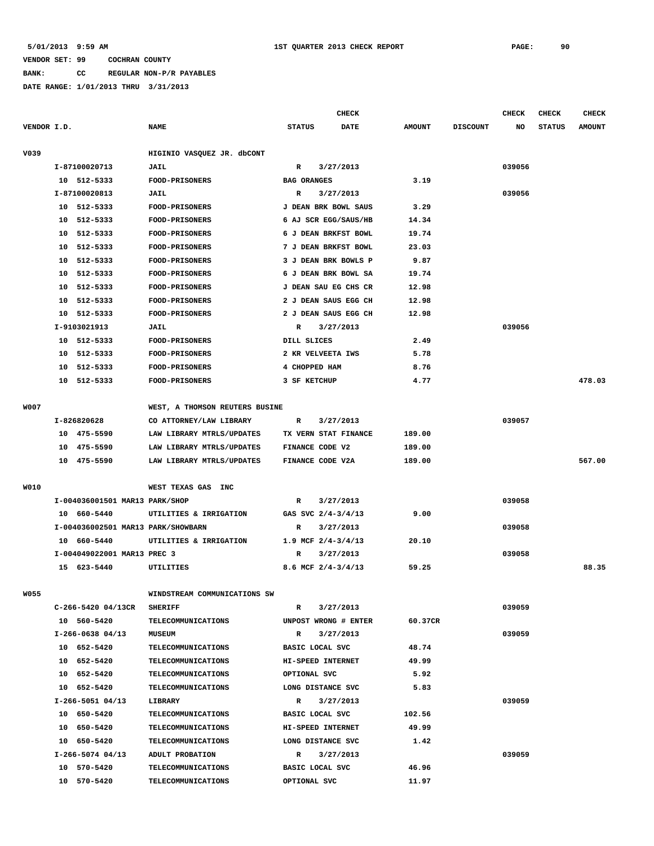**BANK: CC REGULAR NON-P/R PAYABLES**

|             |    |                                    |                                |                        | <b>CHECK</b> |               |                 | <b>CHECK</b> | <b>CHECK</b>  | <b>CHECK</b>  |
|-------------|----|------------------------------------|--------------------------------|------------------------|--------------|---------------|-----------------|--------------|---------------|---------------|
| VENDOR I.D. |    |                                    | <b>NAME</b>                    | <b>STATUS</b>          | <b>DATE</b>  | <b>AMOUNT</b> | <b>DISCOUNT</b> | NO           | <b>STATUS</b> | <b>AMOUNT</b> |
| V039        |    |                                    | HIGINIO VASQUEZ JR. dbCONT     |                        |              |               |                 |              |               |               |
|             |    | I-87100020713                      | <b>JAIL</b>                    | $\mathbb{R}$           | 3/27/2013    |               |                 | 039056       |               |               |
|             |    | 10 512-5333                        | <b>FOOD-PRISONERS</b>          | <b>BAG ORANGES</b>     |              | 3.19          |                 |              |               |               |
|             |    | I-87100020813                      | <b>JAIL</b>                    | R                      | 3/27/2013    |               |                 | 039056       |               |               |
|             |    | 10 512-5333                        | FOOD-PRISONERS                 | J DEAN BRK BOWL SAUS   |              | 3.29          |                 |              |               |               |
|             | 10 | 512-5333                           | FOOD-PRISONERS                 | 6 AJ SCR EGG/SAUS/HB   |              | 14.34         |                 |              |               |               |
|             | 10 | 512-5333                           | <b>FOOD-PRISONERS</b>          | 6 J DEAN BRKFST BOWL   |              | 19.74         |                 |              |               |               |
|             | 10 | 512-5333                           | <b>FOOD-PRISONERS</b>          | 7 J DEAN BRKFST BOWL   |              | 23.03         |                 |              |               |               |
|             |    | 10 512-5333                        | FOOD-PRISONERS                 | 3 J DEAN BRK BOWLS P   |              | 9.87          |                 |              |               |               |
|             | 10 | 512-5333                           | <b>FOOD-PRISONERS</b>          | 6 J DEAN BRK BOWL SA   |              | 19.74         |                 |              |               |               |
|             | 10 | 512-5333                           | FOOD-PRISONERS                 | J DEAN SAU EG CHS CR   |              | 12.98         |                 |              |               |               |
|             | 10 | 512-5333                           | <b>FOOD-PRISONERS</b>          | 2 J DEAN SAUS EGG CH   |              | 12.98         |                 |              |               |               |
|             |    | 10 512-5333                        | <b>FOOD-PRISONERS</b>          | 2 J DEAN SAUS EGG CH   |              | 12.98         |                 |              |               |               |
|             |    | I-9103021913                       | JAIL                           | R                      | 3/27/2013    |               |                 | 039056       |               |               |
|             |    | 10 512-5333                        | FOOD-PRISONERS                 | DILL SLICES            |              | 2.49          |                 |              |               |               |
|             | 10 | 512-5333                           | FOOD-PRISONERS                 | 2 KR VELVEETA IWS      |              | 5.78          |                 |              |               |               |
|             | 10 | 512-5333                           | FOOD-PRISONERS                 | 4 CHOPPED HAM          |              | 8.76          |                 |              |               |               |
|             | 10 | 512-5333                           | <b>FOOD-PRISONERS</b>          | 3 SF KETCHUP           |              | 4.77          |                 |              |               | 478.03        |
| <b>W007</b> |    |                                    | WEST, A THOMSON REUTERS BUSINE |                        |              |               |                 |              |               |               |
|             |    | I-826820628                        | CO ATTORNEY/LAW LIBRARY        | $\mathbb{R}$           | 3/27/2013    |               |                 | 039057       |               |               |
|             |    | 10 475-5590                        | LAW LIBRARY MTRLS/UPDATES      | TX VERN STAT FINANCE   |              | 189.00        |                 |              |               |               |
|             | 10 | 475-5590                           | LAW LIBRARY MTRLS/UPDATES      | FINANCE CODE V2        |              | 189.00        |                 |              |               |               |
|             |    | 10 475-5590                        | LAW LIBRARY MTRLS/UPDATES      | FINANCE CODE V2A       |              | 189.00        |                 |              |               | 567.00        |
| W010        |    |                                    | WEST TEXAS GAS<br>INC          |                        |              |               |                 |              |               |               |
|             |    | I-004036001501 MAR13 PARK/SHOP     |                                | R                      | 3/27/2013    |               |                 | 039058       |               |               |
|             |    | 10 660-5440                        | UTILITIES & IRRIGATION         | GAS SVC 2/4-3/4/13     |              | 9.00          |                 |              |               |               |
|             |    | I-004036002501 MAR13 PARK/SHOWBARN |                                | R                      | 3/27/2013    |               |                 | 039058       |               |               |
|             |    | 10 660-5440                        | UTILITIES & IRRIGATION         | 1.9 MCF $2/4 - 3/4/13$ |              | 20.10         |                 |              |               |               |
|             |    | I-004049022001 MAR13 PREC 3        |                                | R                      | 3/27/2013    |               |                 | 039058       |               |               |
|             |    | 15 623-5440                        | <b>UTILITIES</b>               | 8.6 MCF $2/4 - 3/4/13$ |              | 59.25         |                 |              |               | 88.35         |
| W055        |    |                                    | WINDSTREAM COMMUNICATIONS SW   |                        |              |               |                 |              |               |               |
|             |    | C-266-5420 04/13CR                 | <b>SHERIFF</b>                 | R                      | 3/27/2013    |               |                 | 039059       |               |               |
|             |    | 10 560-5420                        | TELECOMMUNICATIONS             | UNPOST WRONG # ENTER   |              | 60.37CR       |                 |              |               |               |
|             |    | I-266-0638 04/13                   | <b>MUSEUM</b>                  | R                      | 3/27/2013    |               |                 | 039059       |               |               |
|             |    | 10 652-5420                        | <b>TELECOMMUNICATIONS</b>      | BASIC LOCAL SVC        |              | 48.74         |                 |              |               |               |
|             |    | 10 652-5420                        | TELECOMMUNICATIONS             | HI-SPEED INTERNET      |              | 49.99         |                 |              |               |               |
|             |    | 10 652-5420                        | <b>TELECOMMUNICATIONS</b>      | OPTIONAL SVC           |              | 5.92          |                 |              |               |               |
|             |    | 10 652-5420                        | <b>TELECOMMUNICATIONS</b>      | LONG DISTANCE SVC      |              | 5.83          |                 |              |               |               |
|             |    | I-266-5051 04/13                   | LIBRARY                        | $\mathbb{R}$           | 3/27/2013    |               |                 | 039059       |               |               |
|             |    | 10 650-5420                        | <b>TELECOMMUNICATIONS</b>      | BASIC LOCAL SVC        |              | 102.56        |                 |              |               |               |
|             |    | 10 650-5420                        | <b>TELECOMMUNICATIONS</b>      | HI-SPEED INTERNET      |              | 49.99         |                 |              |               |               |
|             |    | 10 650-5420                        | <b>TELECOMMUNICATIONS</b>      | LONG DISTANCE SVC      |              | 1.42          |                 |              |               |               |
|             |    | I-266-5074 04/13                   | ADULT PROBATION                | R                      | 3/27/2013    |               |                 | 039059       |               |               |
|             |    | 10 570-5420                        | <b>TELECOMMUNICATIONS</b>      | BASIC LOCAL SVC        |              | 46.96         |                 |              |               |               |
|             |    | 10 570-5420                        | TELECOMMUNICATIONS             | OPTIONAL SVC           |              | 11.97         |                 |              |               |               |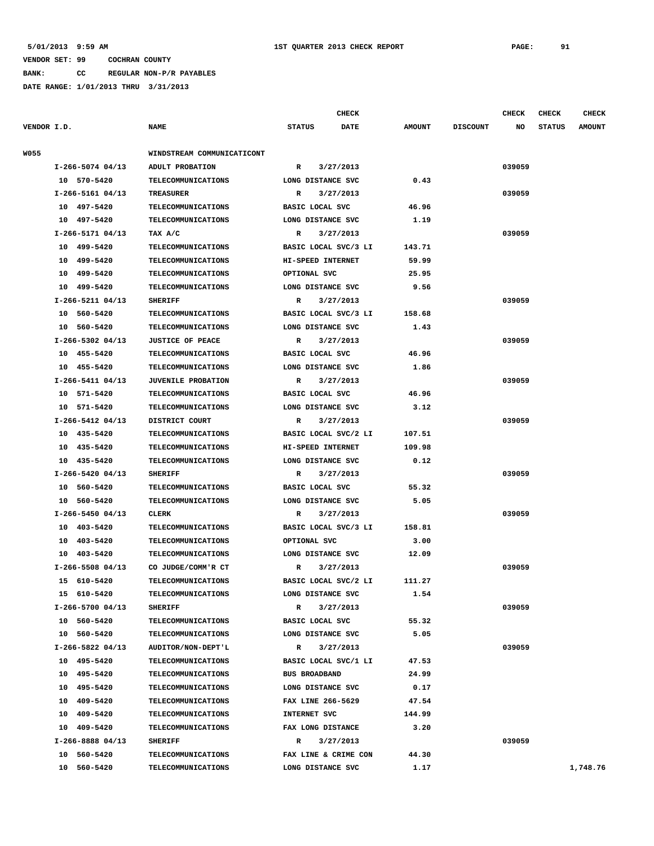**BANK: CC REGULAR NON-P/R PAYABLES**

|             |                    |                            |                        | <b>CHECK</b> |               |                 | <b>CHECK</b> | <b>CHECK</b>  | <b>CHECK</b>  |
|-------------|--------------------|----------------------------|------------------------|--------------|---------------|-----------------|--------------|---------------|---------------|
| VENDOR I.D. |                    | <b>NAME</b>                | <b>STATUS</b>          | <b>DATE</b>  | <b>AMOUNT</b> | <b>DISCOUNT</b> | NO           | <b>STATUS</b> | <b>AMOUNT</b> |
| W055        |                    | WINDSTREAM COMMUNICATICONT |                        |              |               |                 |              |               |               |
|             | $I-266-5074$ 04/13 | ADULT PROBATION            | $\mathbb{R}$           | 3/27/2013    |               |                 | 039059       |               |               |
|             | 10 570-5420        | <b>TELECOMMUNICATIONS</b>  | LONG DISTANCE SVC      |              | 0.43          |                 |              |               |               |
|             | $I-266-5161$ 04/13 | <b>TREASURER</b>           | R                      | 3/27/2013    |               |                 | 039059       |               |               |
|             | 10 497-5420        | <b>TELECOMMUNICATIONS</b>  | BASIC LOCAL SVC        |              | 46.96         |                 |              |               |               |
|             | 10 497-5420        | <b>TELECOMMUNICATIONS</b>  | LONG DISTANCE SVC      |              | 1.19          |                 |              |               |               |
|             | I-266-5171 04/13   | TAX A/C                    | R                      | 3/27/2013    |               |                 | 039059       |               |               |
|             | 10 499-5420        | <b>TELECOMMUNICATIONS</b>  | BASIC LOCAL SVC/3 LI   |              | 143.71        |                 |              |               |               |
|             | 10 499-5420        | <b>TELECOMMUNICATIONS</b>  | HI-SPEED INTERNET      |              | 59.99         |                 |              |               |               |
|             | 10 499-5420        | <b>TELECOMMUNICATIONS</b>  | OPTIONAL SVC           |              | 25.95         |                 |              |               |               |
|             | 10 499-5420        | <b>TELECOMMUNICATIONS</b>  | LONG DISTANCE SVC      |              | 9.56          |                 |              |               |               |
|             | $I-266-5211$ 04/13 | <b>SHERIFF</b>             | R                      | 3/27/2013    |               |                 | 039059       |               |               |
|             | 10 560-5420        | TELECOMMUNICATIONS         | BASIC LOCAL SVC/3 LI   |              | 158.68        |                 |              |               |               |
|             | 10 560-5420        | <b>TELECOMMUNICATIONS</b>  | LONG DISTANCE SVC      |              | 1.43          |                 |              |               |               |
|             | $I-266-5302$ 04/13 | <b>JUSTICE OF PEACE</b>    | R                      | 3/27/2013    |               |                 | 039059       |               |               |
|             | 10 455-5420        | TELECOMMUNICATIONS         | <b>BASIC LOCAL SVC</b> |              | 46.96         |                 |              |               |               |
|             | 10 455-5420        | <b>TELECOMMUNICATIONS</b>  | LONG DISTANCE SVC      |              | 1.86          |                 |              |               |               |
|             | $I-266-5411$ 04/13 | <b>JUVENILE PROBATION</b>  | $\mathbb{R}$           | 3/27/2013    |               |                 | 039059       |               |               |
|             | 10 571-5420        | <b>TELECOMMUNICATIONS</b>  | BASIC LOCAL SVC        |              | 46.96         |                 |              |               |               |
|             | 10 571-5420        | <b>TELECOMMUNICATIONS</b>  | LONG DISTANCE SVC      |              | 3.12          |                 |              |               |               |
|             | $I-266-5412$ 04/13 | DISTRICT COURT             | R                      | 3/27/2013    |               |                 | 039059       |               |               |
|             | 10 435-5420        | <b>TELECOMMUNICATIONS</b>  | BASIC LOCAL SVC/2 LI   |              | 107.51        |                 |              |               |               |
|             | 10 435-5420        | <b>TELECOMMUNICATIONS</b>  | HI-SPEED INTERNET      |              | 109.98        |                 |              |               |               |
|             | 10 435-5420        | <b>TELECOMMUNICATIONS</b>  | LONG DISTANCE SVC      |              | 0.12          |                 |              |               |               |
|             | $I-266-5420$ 04/13 | <b>SHERIFF</b>             | $\mathbb{R}$           | 3/27/2013    |               |                 | 039059       |               |               |
|             | 10 560-5420        | <b>TELECOMMUNICATIONS</b>  | BASIC LOCAL SVC        |              | 55.32         |                 |              |               |               |
|             | 10 560-5420        | <b>TELECOMMUNICATIONS</b>  | LONG DISTANCE SVC      |              | 5.05          |                 |              |               |               |
|             | $I-266-5450$ 04/13 | CLERK                      | R                      | 3/27/2013    |               |                 | 039059       |               |               |
|             | 10 403-5420        | <b>TELECOMMUNICATIONS</b>  | BASIC LOCAL SVC/3 LI   |              | 158.81        |                 |              |               |               |
|             | 10 403-5420        | <b>TELECOMMUNICATIONS</b>  | OPTIONAL SVC           |              | 3.00          |                 |              |               |               |
|             | 10 403-5420        | <b>TELECOMMUNICATIONS</b>  | LONG DISTANCE SVC      |              | 12.09         |                 |              |               |               |
|             | $I-266-5508$ 04/13 | CO JUDGE/COMM'R CT         | R                      | 3/27/2013    |               |                 | 039059       |               |               |
|             | 15 610-5420        | <b>TELECOMMUNICATIONS</b>  | BASIC LOCAL SVC/2 LI   |              | 111.27        |                 |              |               |               |
|             | 15 610-5420        | TELECOMMUNICATIONS         | LONG DISTANCE SVC      |              | 1.54          |                 |              |               |               |
|             | $I-266-5700$ 04/13 | <b>SHERIFF</b>             | R                      | 3/27/2013    |               |                 | 039059       |               |               |
|             | 10 560-5420        | <b>TELECOMMUNICATIONS</b>  | BASIC LOCAL SVC        |              | 55.32         |                 |              |               |               |
|             | 10 560-5420        | TELECOMMUNICATIONS         | LONG DISTANCE SVC      |              | 5.05          |                 |              |               |               |
|             | $I-266-5822$ 04/13 | AUDITOR/NON-DEPT'L         | R                      | 3/27/2013    |               |                 | 039059       |               |               |
|             | 10 495-5420        | <b>TELECOMMUNICATIONS</b>  | BASIC LOCAL SVC/1 LI   |              | 47.53         |                 |              |               |               |
|             | 10 495-5420        | <b>TELECOMMUNICATIONS</b>  | <b>BUS BROADBAND</b>   |              | 24.99         |                 |              |               |               |
|             | 10 495-5420        | <b>TELECOMMUNICATIONS</b>  | LONG DISTANCE SVC      |              | 0.17          |                 |              |               |               |
|             | 10 409-5420        | <b>TELECOMMUNICATIONS</b>  | FAX LINE 266-5629      |              | 47.54         |                 |              |               |               |
|             | 10 409-5420        | <b>TELECOMMUNICATIONS</b>  | INTERNET SVC           |              | 144.99        |                 |              |               |               |
|             | 10 409-5420        | <b>TELECOMMUNICATIONS</b>  | FAX LONG DISTANCE      |              | 3.20          |                 |              |               |               |
|             | I-266-8888 04/13   | <b>SHERIFF</b>             | R                      | 3/27/2013    |               |                 | 039059       |               |               |
|             |                    |                            |                        |              |               |                 |              |               |               |
|             | 10 560-5420        | <b>TELECOMMUNICATIONS</b>  | FAX LINE & CRIME CON   |              | 44.30<br>1.17 |                 |              |               |               |
|             | 10 560-5420        | <b>TELECOMMUNICATIONS</b>  | LONG DISTANCE SVC      |              |               |                 |              |               | 1,748.76      |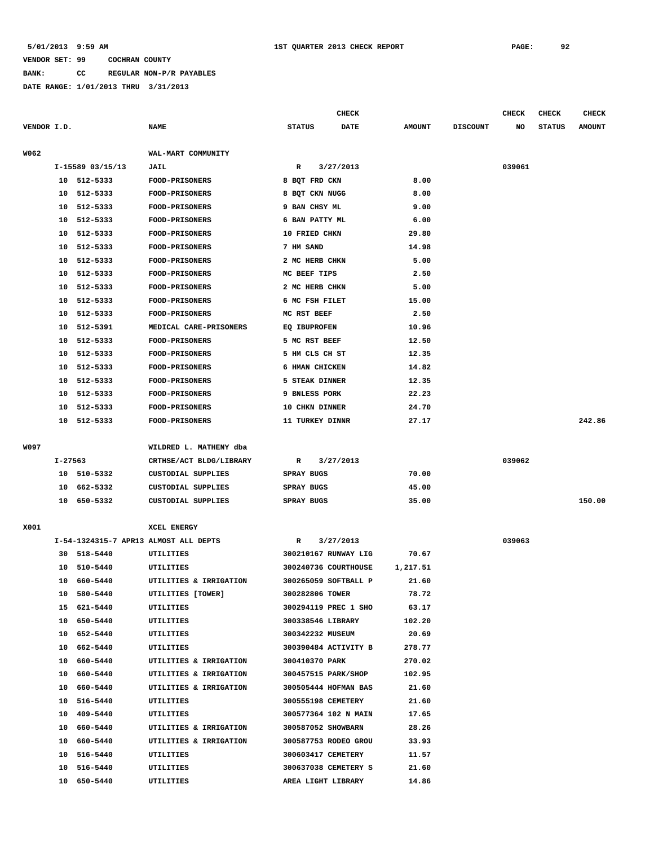**BANK: CC REGULAR NON-P/R PAYABLES**

**DATE RANGE: 1/01/2013 THRU 3/31/2013**

**CHECK CHECK CHECK CHECK CHECK CHECK CHECK** 

| VENDOR I.D. |             |                  | <b>NAME</b>                           | <b>STATUS</b> |                   | <b>DATE</b>          | <b>AMOUNT</b> | <b>DISCOUNT</b> | NO     | <b>STATUS</b> | <b>AMOUNT</b> |
|-------------|-------------|------------------|---------------------------------------|---------------|-------------------|----------------------|---------------|-----------------|--------|---------------|---------------|
| W062        |             |                  | WAL-MART COMMUNITY                    |               |                   |                      |               |                 |        |               |               |
|             |             | I-15589 03/15/13 | JAIL                                  | R             |                   | 3/27/2013            |               |                 | 039061 |               |               |
|             |             | 10 512-5333      | FOOD-PRISONERS                        |               | 8 BQT FRD CKN     |                      | 8.00          |                 |        |               |               |
|             |             | 10 512-5333      | FOOD-PRISONERS                        |               |                   | 8 BOT CKN NUGG       | 8.00          |                 |        |               |               |
|             |             | 10 512-5333      | FOOD-PRISONERS                        |               | 9 BAN CHSY ML     |                      | 9.00          |                 |        |               |               |
|             |             | 10 512-5333      | FOOD-PRISONERS                        |               |                   | 6 BAN PATTY ML       | 6.00          |                 |        |               |               |
|             |             | 10 512-5333      | FOOD-PRISONERS                        |               | 10 FRIED CHKN     |                      | 29.80         |                 |        |               |               |
|             | 10          | 512-5333         | FOOD-PRISONERS                        |               | 7 HM SAND         |                      | 14.98         |                 |        |               |               |
|             | 10          | 512-5333         | <b>FOOD-PRISONERS</b>                 |               |                   | 2 MC HERB CHKN       | 5.00          |                 |        |               |               |
|             | 10          | 512-5333         | <b>FOOD-PRISONERS</b>                 |               | MC BEEF TIPS      |                      | 2.50          |                 |        |               |               |
|             | 10          | 512-5333         | FOOD-PRISONERS                        |               |                   | 2 MC HERB CHKN       | 5.00          |                 |        |               |               |
|             | 10          | 512-5333         | <b>FOOD-PRISONERS</b>                 |               | 6 MC FSH FILET    |                      | 15.00         |                 |        |               |               |
|             | 10          | 512-5333         | <b>FOOD-PRISONERS</b>                 | MC RST BEEF   |                   |                      | 2.50          |                 |        |               |               |
|             | 10          | 512-5391         | MEDICAL CARE-PRISONERS                |               | EQ IBUPROFEN      |                      | 10.96         |                 |        |               |               |
|             | 10          | 512-5333         | <b>FOOD-PRISONERS</b>                 |               | 5 MC RST BEEF     |                      | 12.50         |                 |        |               |               |
|             | 10          | 512-5333         | <b>FOOD-PRISONERS</b>                 |               |                   | 5 HM CLS CH ST       | 12.35         |                 |        |               |               |
|             | 10          | 512-5333         | <b>FOOD-PRISONERS</b>                 |               |                   | 6 HMAN CHICKEN       | 14.82         |                 |        |               |               |
|             | 10          | 512-5333         | <b>FOOD-PRISONERS</b>                 |               |                   | 5 STEAK DINNER       | 12.35         |                 |        |               |               |
|             | 10          | 512-5333         | <b>FOOD-PRISONERS</b>                 |               | 9 BNLESS PORK     |                      | 22.23         |                 |        |               |               |
|             |             | 10 512-5333      | FOOD-PRISONERS                        |               |                   | 10 CHKN DINNER       | 24.70         |                 |        |               |               |
|             |             | 10 512-5333      | <b>FOOD-PRISONERS</b>                 |               |                   | 11 TURKEY DINNR      | 27.17         |                 |        |               | 242.86        |
| W097        |             |                  | WILDRED L. MATHENY dba                |               |                   |                      |               |                 |        |               |               |
|             | $I - 27563$ |                  | CRTHSE/ACT BLDG/LIBRARY               | R             |                   | 3/27/2013            |               |                 | 039062 |               |               |
|             |             | 10 510-5332      | CUSTODIAL SUPPLIES                    |               | <b>SPRAY BUGS</b> |                      | 70.00         |                 |        |               |               |
|             |             | 10 662-5332      | CUSTODIAL SUPPLIES                    |               | <b>SPRAY BUGS</b> |                      | 45.00         |                 |        |               |               |
|             |             | 10 650-5332      | CUSTODIAL SUPPLIES                    |               | SPRAY BUGS        |                      | 35.00         |                 |        |               | 150.00        |
| X001        |             |                  | XCEL ENERGY                           |               |                   |                      |               |                 |        |               |               |
|             |             |                  | I-54-1324315-7 APR13 ALMOST ALL DEPTS | R             |                   | 3/27/2013            |               |                 | 039063 |               |               |
|             |             | 30 518-5440      | UTILITIES                             |               |                   | 300210167 RUNWAY LIG | 70.67         |                 |        |               |               |
|             |             | 10 510-5440      | UTILITIES                             |               |                   | 300240736 COURTHOUSE | 1,217.51      |                 |        |               |               |
|             |             | 10 660-5440      | UTILITIES & IRRIGATION                |               |                   | 300265059 SOFTBALL P | 21.60         |                 |        |               |               |
|             |             | 10 580-5440      | UTILITIES [TOWER]                     |               |                   | 300282806 TOWER      | 78.72         |                 |        |               |               |
|             |             | 15 621-5440      | UTILITIES                             |               |                   | 300294119 PREC 1 SHO | 63.17         |                 |        |               |               |
|             |             |                  |                                       |               |                   |                      |               |                 |        |               |               |

 **10 650-5440 UTILITIES 300338546 LIBRARY 102.20 10 652-5440 UTILITIES 300342232 MUSEUM 20.69 10 662-5440 UTILITIES 300390484 ACTIVITY B 278.77 10 660-5440 UTILITIES & IRRIGATION 300410370 PARK 270.02 10 660-5440 UTILITIES & IRRIGATION 300457515 PARK/SHOP 102.95 10 660-5440 UTILITIES & IRRIGATION 300505444 HOFMAN BAS 21.60 10 516-5440 UTILITIES 300555198 CEMETERY 21.60 10 409-5440 UTILITIES 300577364 102 N MAIN 17.65 10 660-5440 UTILITIES & IRRIGATION 300587052 SHOWBARN 28.26 10 660-5440 UTILITIES & IRRIGATION 300587753 RODEO GROU 33.93 10 516-5440 UTILITIES 300603417 CEMETERY 11.57 10 516-5440 UTILITIES 300637038 CEMETERY S 21.60 10 650-5440 UTILITIES AREA LIGHT LIBRARY 14.86**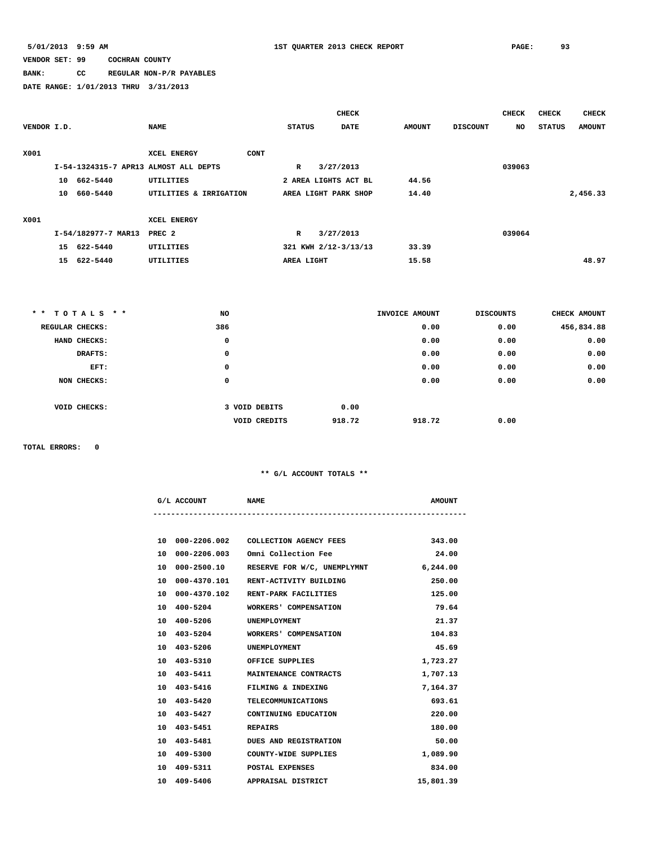# **BANK: CC REGULAR NON-P/R PAYABLES**

**DATE RANGE: 1/01/2013 THRU 3/31/2013**

|             |    |                     |                                       |               | <b>CHECK</b>         |               |                 | <b>CHECK</b> | <b>CHECK</b>  | <b>CHECK</b>  |
|-------------|----|---------------------|---------------------------------------|---------------|----------------------|---------------|-----------------|--------------|---------------|---------------|
| VENDOR I.D. |    |                     | <b>NAME</b>                           | <b>STATUS</b> | <b>DATE</b>          | <b>AMOUNT</b> | <b>DISCOUNT</b> | <b>NO</b>    | <b>STATUS</b> | <b>AMOUNT</b> |
|             |    |                     |                                       |               |                      |               |                 |              |               |               |
| X001        |    |                     | <b>CONT</b><br>XCEL ENERGY            |               |                      |               |                 |              |               |               |
|             |    |                     | I-54-1324315-7 APR13 ALMOST ALL DEPTS | $\mathbb{R}$  | 3/27/2013            |               |                 | 039063       |               |               |
|             | 10 | 662-5440            | <b>UTILITIES</b>                      |               | 2 AREA LIGHTS ACT BL | 44.56         |                 |              |               |               |
|             | 10 | 660-5440            | UTILITIES & IRRIGATION                |               | AREA LIGHT PARK SHOP | 14.40         |                 |              |               | 2,456.33      |
|             |    |                     |                                       |               |                      |               |                 |              |               |               |
| X001        |    |                     | XCEL ENERGY                           |               |                      |               |                 |              |               |               |
|             |    | I-54/182977-7 MAR13 | PREC <sub>2</sub>                     | $\mathbb{R}$  | 3/27/2013            |               |                 | 039064       |               |               |
|             |    | 15 622-5440         | <b>UTILITIES</b>                      |               | 321 KWH 2/12-3/13/13 | 33.39         |                 |              |               |               |
|             | 15 | 622-5440            | <b>UTILITIES</b>                      | AREA LIGHT    |                      | 15.58         |                 |              |               | 48.97         |

| ** TOTALS **    | NO  |                     | INVOICE AMOUNT   | <b>DISCOUNTS</b> | CHECK AMOUNT |
|-----------------|-----|---------------------|------------------|------------------|--------------|
| REGULAR CHECKS: | 386 |                     | 0.00             | 0.00             | 456,834.88   |
| HAND CHECKS:    |     | 0                   | 0.00             | 0.00             | 0.00         |
| DRAFTS:         |     | 0                   | 0.00             | 0.00             | 0.00         |
| EFT:            |     | 0                   | 0.00             | 0.00             | 0.00         |
| NON CHECKS:     |     | 0                   | 0.00             | 0.00             | 0.00         |
|                 |     |                     |                  |                  |              |
| VOID CHECKS:    |     | 3 VOID DEBITS       | 0.00             |                  |              |
|                 |     | <b>VOID CREDITS</b> | 918.72<br>918.72 | 0.00             |              |

**TOTAL ERRORS: 0**

|    | G/L ACCOUNT     | <b>NAME</b>                            | <b>AMOUNT</b> |
|----|-----------------|----------------------------------------|---------------|
|    |                 |                                        |               |
|    |                 | 10 000-2206.002 COLLECTION AGENCY FEES | 343.00        |
|    |                 | 10 000-2206.003 Omni Collection Fee    | 24.00         |
|    | 10 000-2500.10  | RESERVE FOR W/C, UNEMPLYMNT            | 6, 244.00     |
|    | 10 000-4370.101 | RENT-ACTIVITY BUILDING                 | 250.00        |
|    | 10 000-4370.102 | RENT-PARK FACILITIES                   | 125.00        |
|    | 10 400-5204     | WORKERS' COMPENSATION                  | 79.64         |
|    | 10 400-5206     | UNEMPLOYMENT                           | 21.37         |
|    | 10 403-5204     | WORKERS' COMPENSATION                  | 104.83        |
|    | 10 403-5206     | UNEMPLOYMENT                           | 45.69         |
|    | 10 403-5310     | OFFICE SUPPLIES                        | 1,723.27      |
|    | 10 403-5411     | MAINTENANCE CONTRACTS                  | 1,707.13      |
|    | 10 403-5416     | FILMING & INDEXING                     | 7,164.37      |
|    | 10 403-5420     | <b>TELECOMMUNICATIONS</b>              | 693.61        |
|    | 10 403-5427     | CONTINUING EDUCATION                   | 220.00        |
|    | 10 403-5451     | <b>REPAIRS</b>                         | 180.00        |
|    | 10 403-5481     | DUES AND REGISTRATION                  | 50.00         |
|    | 10 409-5300     | COUNTY-WIDE SUPPLIES                   | 1,089.90      |
|    | 10 409-5311     | POSTAL EXPENSES                        | 834.00        |
| 10 | 409–5406        | APPRAISAL DISTRICT                     | 15,801.39     |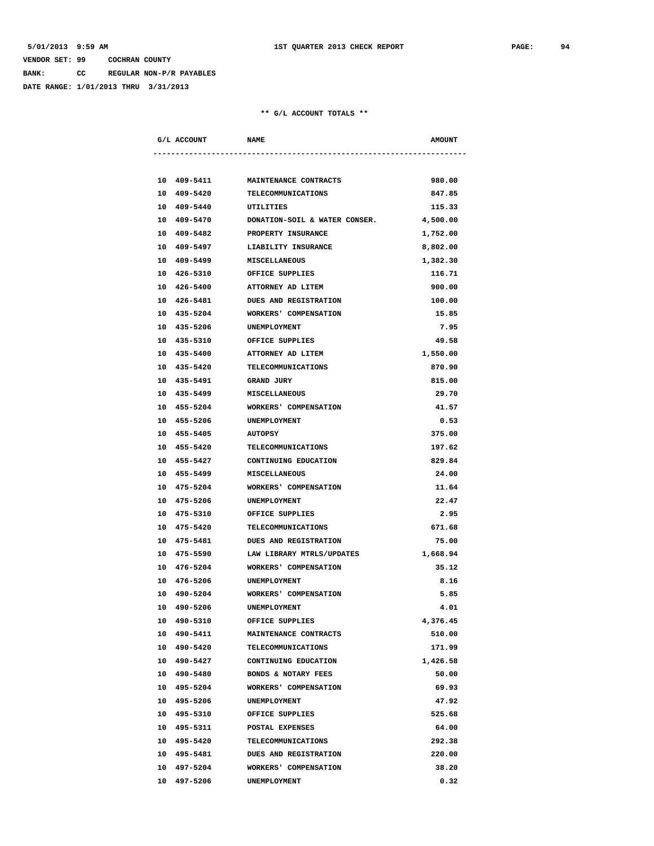**BANK: CC REGULAR NON-P/R PAYABLES**

**DATE RANGE: 1/01/2013 THRU 3/31/2013**

|  | G/L ACCOUNT | <b>NAME</b>                       | <b>AMOUNT</b> |
|--|-------------|-----------------------------------|---------------|
|  |             |                                   |               |
|  |             | 10 409-5411 MAINTENANCE CONTRACTS | 980.00        |
|  | 10 409-5420 | TELECOMMUNICATIONS                | 847.85        |
|  | 10 409-5440 | UTILITIES                         | 115.33        |
|  | 10 409-5470 | DONATION-SOIL & WATER CONSER.     | 4,500.00      |
|  | 10 409-5482 | PROPERTY INSURANCE                | 1,752.00      |
|  | 10 409-5497 | LIABILITY INSURANCE               | 8,802.00      |
|  | 10 409-5499 | <b>MISCELLANEOUS</b>              | 1,382.30      |
|  | 10 426-5310 | OFFICE SUPPLIES                   | 116.71        |
|  | 10 426-5400 | ATTORNEY AD LITEM                 | 900.00        |
|  | 10 426-5481 | <b>DUES AND REGISTRATION</b>      | 100.00        |
|  | 10 435-5204 | WORKERS' COMPENSATION             | 15.85         |
|  | 10 435-5206 | UNEMPLOYMENT                      | 7.95          |
|  | 10 435-5310 | OFFICE SUPPLIES                   | 49.58         |
|  |             | 10 435-5400 ATTORNEY AD LITEM     | 1,550.00      |
|  | 10 435-5420 | TELECOMMUNICATIONS                | 870.90        |
|  | 10 435-5491 | GRAND JURY                        | 815.00        |
|  | 10 435-5499 | <b>MISCELLANEOUS</b>              | 29.70         |
|  | 10 455-5204 | WORKERS' COMPENSATION             | 41.57         |
|  | 10 455-5206 | UNEMPLOYMENT                      | 0.53          |
|  | 10 455-5405 | <b>AUTOPSY</b>                    | 375.00        |
|  | 10 455-5420 | TELECOMMUNICATIONS                | 197.62        |
|  | 10 455-5427 | CONTINUING EDUCATION              | 829.84        |
|  | 10 455-5499 | <b>MISCELLANEOUS</b>              | 24.00         |
|  | 10 475-5204 | WORKERS' COMPENSATION             | 11.64         |
|  | 10 475-5206 | UNEMPLOYMENT                      | 22.47         |
|  | 10 475-5310 | OFFICE SUPPLIES                   | 2.95          |
|  | 10 475-5420 | <b>TELECOMMUNICATIONS</b>         | 671.68        |
|  | 10 475-5481 | <b>DUES AND REGISTRATION</b>      | 75.00         |
|  | 10 475-5590 | LAW LIBRARY MTRLS/UPDATES         | 1,668.94      |
|  | 10 476-5204 | WORKERS' COMPENSATION             | 35.12         |
|  | 10 476-5206 | UNEMPLOYMENT                      | 8.16          |
|  | 10 490-5204 | WORKERS' COMPENSATION             | 5.85          |
|  | 10 490-5206 | UNEMPLOYMENT                      | 4.01          |
|  | 10 490-5310 | OFFICE SUPPLIES                   | 4,376.45      |
|  | 10 490-5411 | MAINTENANCE CONTRACTS             | 510.00        |
|  | 10 490-5420 | <b>TELECOMMUNICATIONS</b>         | 171.99        |
|  | 10 490-5427 | CONTINUING EDUCATION              | 1,426.58      |
|  | 10 490-5480 | BONDS & NOTARY FEES               | 50.00         |
|  | 10 495-5204 | WORKERS' COMPENSATION             | 69.93         |
|  | 10 495-5206 | UNEMPLOYMENT                      | 47.92         |
|  | 10 495-5310 | OFFICE SUPPLIES                   | 525.68        |
|  | 10 495-5311 | POSTAL EXPENSES                   | 64.00         |
|  | 10 495-5420 | <b>TELECOMMUNICATIONS</b>         | 292.38        |
|  | 10 495-5481 | DUES AND REGISTRATION             | 220.00        |
|  | 10 497-5204 | WORKERS' COMPENSATION             | 38.20         |
|  | 10 497-5206 | UNEMPLOYMENT                      | 0.32          |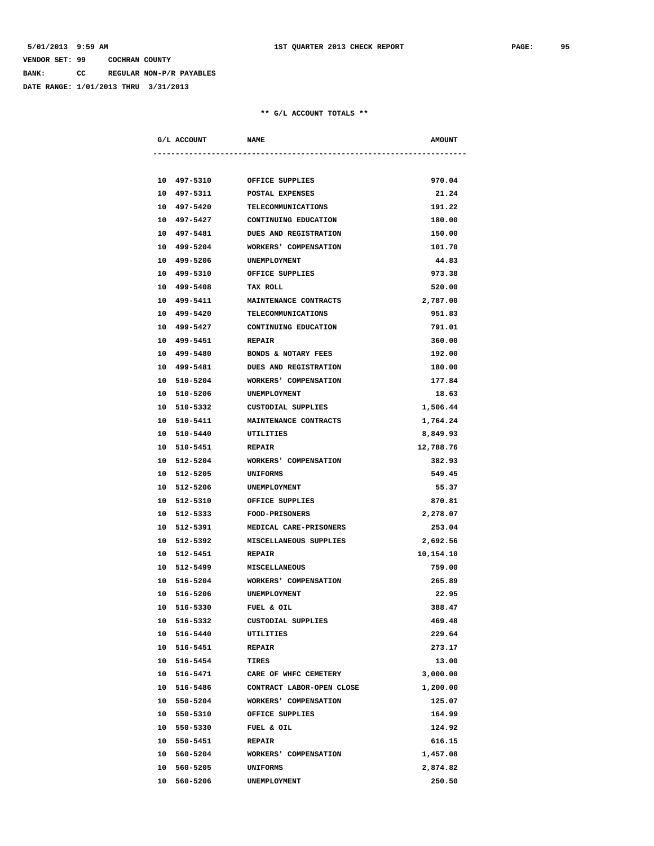**BANK: CC REGULAR NON-P/R PAYABLES**

**DATE RANGE: 1/01/2013 THRU 3/31/2013**

| G/L ACCOUNT | <b>NAME</b>                  | <b>AMOUNT</b> |
|-------------|------------------------------|---------------|
|             |                              |               |
| 10 497-5310 | OFFICE SUPPLIES              | 970.04        |
| 10 497-5311 | <b>POSTAL EXPENSES</b>       | 21.24         |
| 10 497-5420 | TELECOMMUNICATIONS           | 191.22        |
| 10 497-5427 | CONTINUING EDUCATION         | 180.00        |
| 10 497-5481 | <b>DUES AND REGISTRATION</b> | 150.00        |
| 10 499-5204 | WORKERS' COMPENSATION        | 101.70        |
| 10 499-5206 | UNEMPLOYMENT                 | 44.83         |
| 10 499-5310 | OFFICE SUPPLIES              | 973.38        |
| 10 499-5408 | TAX ROLL                     | 520.00        |
| 10 499-5411 | MAINTENANCE CONTRACTS        | 2,787.00      |
| 10 499-5420 | TELECOMMUNICATIONS           | 951.83        |
| 10 499-5427 | CONTINUING EDUCATION         | 791.01        |
| 10 499-5451 | <b>REPAIR</b>                | 360.00        |
| 10 499-5480 | BONDS & NOTARY FEES          | 192.00        |
| 10 499-5481 | DUES AND REGISTRATION        | 180.00        |
| 10 510-5204 | WORKERS' COMPENSATION        | 177.84        |
| 10 510-5206 | UNEMPLOYMENT                 | 18.63         |
| 10 510-5332 | CUSTODIAL SUPPLIES           | 1,506.44      |
| 10 510-5411 | <b>MAINTENANCE CONTRACTS</b> | 1,764.24      |
| 10 510-5440 | UTILITIES                    | 8,849.93      |
| 10 510-5451 | <b>REPAIR</b>                | 12,788.76     |
| 10 512-5204 | WORKERS' COMPENSATION        | 382.93        |
| 10 512-5205 | UNIFORMS                     | 549.45        |
| 10 512-5206 | <b>UNEMPLOYMENT</b>          | 55.37         |
| 10 512-5310 | OFFICE SUPPLIES              | 870.81        |
| 10 512-5333 | <b>FOOD-PRISONERS</b>        | 2,278.07      |
| 10 512-5391 | MEDICAL CARE-PRISONERS       | 253.04        |
| 10 512-5392 | MISCELLANEOUS SUPPLIES       | 2,692.56      |
| 10 512-5451 | <b>REPAIR</b>                | 10,154.10     |
| 10 512-5499 | <b>MISCELLANEOUS</b>         | 759.00        |
| 10 516-5204 | WORKERS' COMPENSATION        | 265.89        |
| 10 516-5206 | UNEMPLOYMENT                 | 22.95         |
| 10 516-5330 | FUEL & OIL                   | 388.47        |
| 10 516-5332 | CUSTODIAL SUPPLIES           | 469.48        |
| 10 516-5440 | UTILITIES                    | 229.64        |
| 10 516-5451 | <b>REPAIR</b>                | 273.17        |
| 10 516-5454 | <b>TIRES</b>                 | 13.00         |
| 10 516-5471 | CARE OF WHFC CEMETERY        | 3,000.00      |
| 10 516-5486 | CONTRACT LABOR-OPEN CLOSE    | 1,200.00      |
| 10 550-5204 | WORKERS' COMPENSATION        | 125.07        |
| 10 550-5310 | OFFICE SUPPLIES              | 164.99        |
| 10 550-5330 | FUEL & OIL                   | 124.92        |
| 10 550-5451 | <b>REPAIR</b>                | 616.15        |
| 10 560-5204 | WORKERS' COMPENSATION        | 1,457.08      |
| 10 560-5205 | UNIFORMS                     | 2,874.82      |
| 10 560-5206 | UNEMPLOYMENT                 | 250.50        |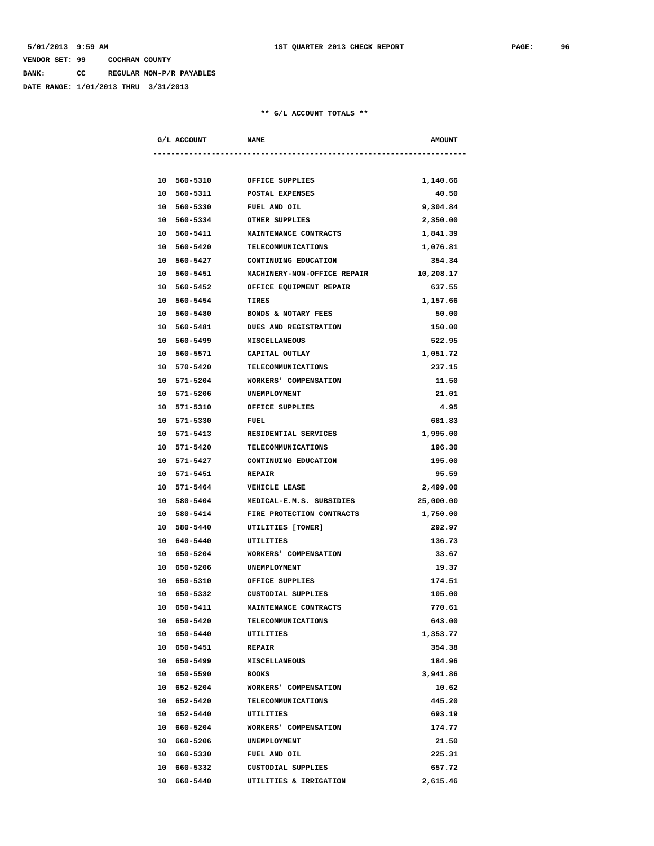**BANK: CC REGULAR NON-P/R PAYABLES**

**DATE RANGE: 1/01/2013 THRU 3/31/2013**

| G/L ACCOUNT                 | <b>NAME</b>                  | <b>AMOUNT</b> |
|-----------------------------|------------------------------|---------------|
|                             |                              |               |
| 10 560-5310 OFFICE SUPPLIES |                              | 1,140.66      |
| 10 560-5311                 | POSTAL EXPENSES              | 40.50         |
| 10 560-5330                 | FUEL AND OIL                 | 9,304.84      |
| 10 560-5334                 | OTHER SUPPLIES               | 2,350.00      |
| 10 560-5411                 | <b>MAINTENANCE CONTRACTS</b> | 1,841.39      |
| 10 560-5420                 | TELECOMMUNICATIONS           | 1,076.81      |
| 10 560-5427                 | CONTINUING EDUCATION         | 354.34        |
| 10 560-5451                 | MACHINERY-NON-OFFICE REPAIR  | 10,208.17     |
| 10 560-5452                 | OFFICE EQUIPMENT REPAIR      | 637.55        |
| 10 560-5454                 | TIRES                        | 1,157.66      |
| 10 560-5480                 | BONDS & NOTARY FEES          | 50.00         |
| 10 560-5481                 | <b>DUES AND REGISTRATION</b> | 150.00        |
| 10 560-5499                 | <b>MISCELLANEOUS</b>         | 522.95        |
| 10 560-5571                 | CAPITAL OUTLAY               | 1,051.72      |
| 10 570-5420                 | TELECOMMUNICATIONS           | 237.15        |
| 10 571-5204                 | WORKERS' COMPENSATION        | 11.50         |
| 10 571-5206                 | UNEMPLOYMENT                 | 21.01         |
| 10 571-5310                 | OFFICE SUPPLIES              | 4.95          |
| 10 571-5330                 | FUEL                         | 681.83        |
| 10 571-5413                 | RESIDENTIAL SERVICES         | 1,995.00      |
| 10 571-5420                 | <b>TELECOMMUNICATIONS</b>    | 196.30        |
| 10 571-5427                 | CONTINUING EDUCATION         | 195.00        |
| 10 571-5451                 | <b>REPAIR</b>                | 95.59         |
| 10 571-5464                 | <b>VEHICLE LEASE</b>         | 2,499.00      |
| 10 580-5404                 | MEDICAL-E.M.S. SUBSIDIES     | 25,000.00     |
| 10 580-5414                 | FIRE PROTECTION CONTRACTS    | 1,750.00      |
| 10 580-5440                 | UTILITIES [TOWER]            | 292.97        |
| 10 640-5440                 | UTILITIES                    | 136.73        |
| 10 650-5204                 | WORKERS' COMPENSATION        | 33.67         |
| 10 650-5206                 | UNEMPLOYMENT                 | 19.37         |
| 10 650-5310                 | OFFICE SUPPLIES              | 174.51        |
| 10 650-5332                 | CUSTODIAL SUPPLIES           | 105.00        |
| 10 650-5411                 | MAINTENANCE CONTRACTS        | 770.61        |
| 10 650-5420                 | <b>TELECOMMUNICATIONS</b>    | 643.00        |
| 10 650-5440                 | UTILITIES                    | 1,353.77      |
| 10 650-5451                 | <b>REPAIR</b>                | 354.38        |
| 10 650-5499                 | MISCELLANEOUS                | 184.96        |
| 10 650-5590                 | <b>BOOKS</b>                 | 3,941.86      |
| 10 652-5204                 | WORKERS' COMPENSATION        | 10.62         |
| 10 652-5420                 | <b>TELECOMMUNICATIONS</b>    | 445.20        |
| 10 652-5440                 | UTILITIES                    | 693.19        |
| 10 660-5204                 | WORKERS' COMPENSATION        | 174.77        |
| 10 660-5206                 | UNEMPLOYMENT                 | 21.50         |
| 10 660-5330                 | FUEL AND OIL                 | 225.31        |
| 10 660-5332                 | CUSTODIAL SUPPLIES           | 657.72        |
| 10 660-5440                 | UTILITIES & IRRIGATION       | 2,615.46      |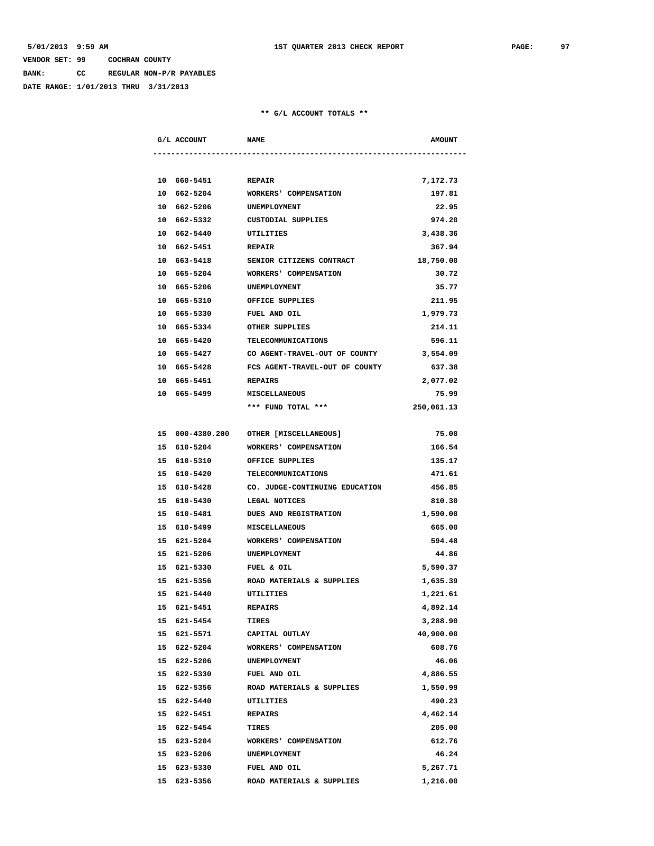**BANK: CC REGULAR NON-P/R PAYABLES**

**DATE RANGE: 1/01/2013 THRU 3/31/2013**

| G/L ACCOUNT        | <b>NAME</b>                                | <b>AMOUNT</b> |
|--------------------|--------------------------------------------|---------------|
|                    |                                            |               |
| 10 660-5451 REPAIR |                                            | 7,172.73      |
| 10 662-5204        | WORKERS' COMPENSATION                      | 197.81        |
| 10 662-5206        | UNEMPLOYMENT                               | 22.95         |
| 10 662-5332        | CUSTODIAL SUPPLIES                         | 974.20        |
| 10 662-5440        | UTILITIES                                  | 3,438.36      |
| 10 662-5451        | <b>REPAIR</b>                              | 367.94        |
| 10 663-5418        | SENIOR CITIZENS CONTRACT                   | 18,750.00     |
| 10 665-5204        | WORKERS' COMPENSATION                      | 30.72         |
| 10 665-5206        | UNEMPLOYMENT                               | 35.77         |
| 10 665-5310        | OFFICE SUPPLIES                            | 211.95        |
|                    | 10 665-5330 FUEL AND OIL                   | 1,979.73      |
|                    | 10 665-5334 OTHER SUPPLIES                 | 214.11        |
|                    | 10 665-5420 TELECOMMUNICATIONS             | 596.11        |
|                    | 10 665-5427 CO AGENT-TRAVEL-OUT OF COUNTY  | 3,554.09      |
| 10 665-5428        | FCS AGENT-TRAVEL-OUT OF COUNTY             | 637.38        |
| 10 665-5451        | <b>REPAIRS</b>                             | 2,077.02      |
| 10 665-5499        | <b>MISCELLANEOUS</b>                       | 75.99         |
|                    | *** FUND TOTAL ***                         | 250,061.13    |
|                    |                                            |               |
|                    | 15 000-4380.200 OTHER [MISCELLANEOUS]      | 75.00         |
| 15 610-5204        | WORKERS' COMPENSATION                      | 166.54        |
|                    | 15 610-5310 OFFICE SUPPLIES                | 135.17        |
|                    | 15 610-5420 TELECOMMUNICATIONS             | 471.61        |
|                    | 15 610-5428 CO. JUDGE-CONTINUING EDUCATION | 456.85        |
|                    | 15 610-5430 LEGAL NOTICES                  | 810.30        |
| 15 610-5481        | <b>DUES AND REGISTRATION</b>               | 1,590.00      |
| 15 610-5499        | <b>MISCELLANEOUS</b>                       | 665.00        |
| 15 621-5204        | <b>WORKERS' COMPENSATION</b>               | 594.48        |
| 15 621-5206        | <b>UNEMPLOYMENT</b>                        | 44.86         |
| 15 621-5330        | FUEL & OIL                                 | 5,590.37      |
| 15 621-5356        | ROAD MATERIALS & SUPPLIES                  | 1,635.39      |
| 15 621-5440        | UTILITIES                                  | 1,221.61      |
| 15 621-5451        | <b>REPAIRS</b>                             | 4,892.14      |
| 15 621-5454        | TIRES                                      | 3,288.90      |
| 15 621-5571        | CAPITAL OUTLAY                             | 40,900.00     |
| 15 622-5204        | WORKERS' COMPENSATION                      | 608.76        |
| 15 622-5206        | UNEMPLOYMENT                               | 46.06         |
| 15 622-5330        | FUEL AND OIL                               | 4,886.55      |
| 15 622-5356        | ROAD MATERIALS & SUPPLIES                  | 1,550.99      |
| 15 622-5440        | <b>UTILITIES</b>                           | 490.23        |
| 15 622-5451        | <b>REPAIRS</b>                             | 4,462.14      |
| 15 622-5454        | TIRES                                      | 205.00        |
| 15 623-5204        | WORKERS' COMPENSATION                      | 612.76        |
| 15 623-5206        | UNEMPLOYMENT                               | 46.24         |
| 15 623-5330        | FUEL AND OIL                               | 5,267.71      |
| 15 623-5356        | ROAD MATERIALS & SUPPLIES                  | 1,216.00      |
|                    |                                            |               |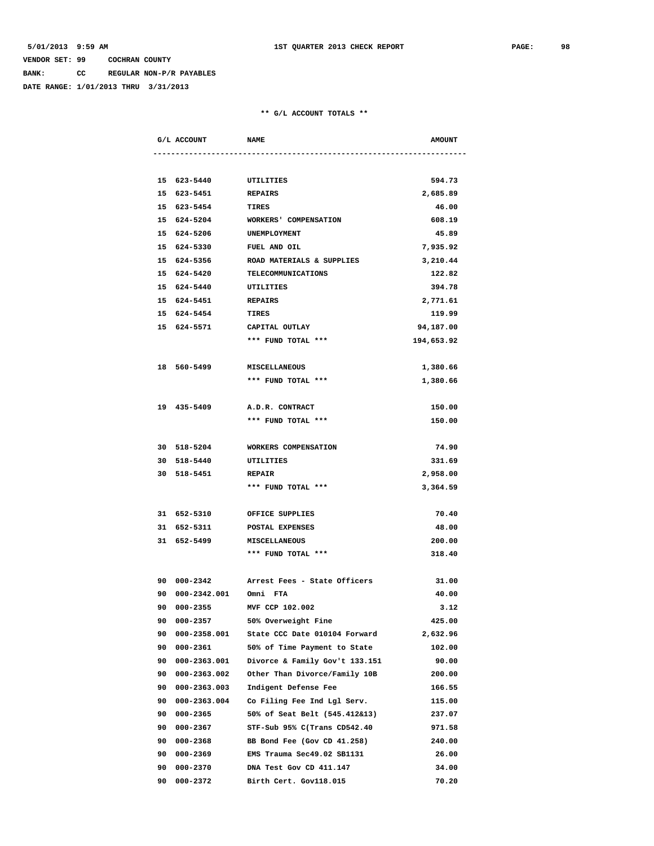**BANK: CC REGULAR NON-P/R PAYABLES**

**DATE RANGE: 1/01/2013 THRU 3/31/2013**

|    | G/L ACCOUNT               | <b>NAME</b>                              | <b>AMOUNT</b> |
|----|---------------------------|------------------------------------------|---------------|
|    |                           |                                          |               |
|    | 15 623-5440               | UTILITIES                                | 594.73        |
|    | 15 623-5451               | <b>REPAIRS</b>                           | 2,685.89      |
|    | 15 623-5454               | TIRES                                    | 46.00         |
|    | 15 624-5204               | WORKERS' COMPENSATION                    | 608.19        |
|    | 15 624-5206               | UNEMPLOYMENT                             | 45.89         |
|    | 15 624-5330               | <b>FUEL AND OIL</b>                      | 7,935.92      |
|    | 15 624-5356               | ROAD MATERIALS & SUPPLIES                | 3,210.44      |
|    | 15 624-5420               | TELECOMMUNICATIONS                       | 122.82        |
|    | 15 624-5440               | UTILITIES                                | 394.78        |
|    | 15 624-5451               | <b>REPAIRS</b>                           | 2,771.61      |
|    | 15 624-5454               | TIRES                                    | 119.99        |
|    | 15 624-5571               | CAPITAL OUTLAY                           | 94,187.00     |
|    |                           | *** FUND TOTAL ***                       | 194,653.92    |
|    |                           |                                          |               |
|    | 18 560-5499 MISCELLANEOUS |                                          | 1,380.66      |
|    |                           | *** FUND TOTAL ***                       | 1,380.66      |
|    |                           |                                          |               |
|    | 19 435-5409               | A.D.R. CONTRACT                          | 150.00        |
|    |                           | *** FUND TOTAL ***                       | 150.00        |
|    |                           |                                          |               |
|    | 30 518-5204               | WORKERS COMPENSATION                     | 74.90         |
|    | 30 518-5440               | UTILITIES                                | 331.69        |
|    | 30 518-5451               | <b>REPAIR</b>                            | 2,958.00      |
|    |                           | *** FUND TOTAL ***                       | 3,364.59      |
|    |                           |                                          |               |
|    | 31 652-5310               | OFFICE SUPPLIES                          | 70.40         |
|    | 31 652-5311               | POSTAL EXPENSES                          | 48.00         |
|    | 31 652-5499               | <b>MISCELLANEOUS</b>                     | 200.00        |
|    |                           | *** FUND TOTAL ***                       | 318.40        |
|    |                           |                                          |               |
|    |                           | 90 000-2342 Arrest Fees - State Officers | 31.00         |
|    | 90 000-2342.001           | Omni FTA                                 | 40.00         |
|    | 90 000-2355               | MVF CCP 102.002                          | 3.12          |
| 90 | 000-2357                  | 50% Overweight Fine                      | 425.00        |
| 90 | 000-2358.001              | State CCC Date 010104 Forward            | 2,632.96      |
| 90 | 000-2361                  | 50% of Time Payment to State             | 102.00        |
| 90 | 000-2363.001              | Divorce & Family Gov't 133.151           | 90.00         |
| 90 | 000-2363.002              | Other Than Divorce/Family 10B            | 200.00        |
| 90 | 000-2363.003              | Indigent Defense Fee                     | 166.55        |
| 90 | 000-2363.004              | Co Filing Fee Ind Lgl Serv.              | 115.00        |
| 90 | 000-2365                  | 50% of Seat Belt (545.412&13)            | 237.07        |
| 90 | 000-2367                  | STF-Sub 95% C(Trans CD542.40             | 971.58        |
| 90 | 000-2368                  | BB Bond Fee (Gov CD 41.258)              | 240.00        |
| 90 | 000-2369                  | EMS Trauma Sec49.02 SB1131               | 26.00         |
| 90 | 000-2370                  | DNA Test Gov CD 411.147                  | 34.00         |
| 90 | 000-2372                  | Birth Cert. Gov118.015                   | 70.20         |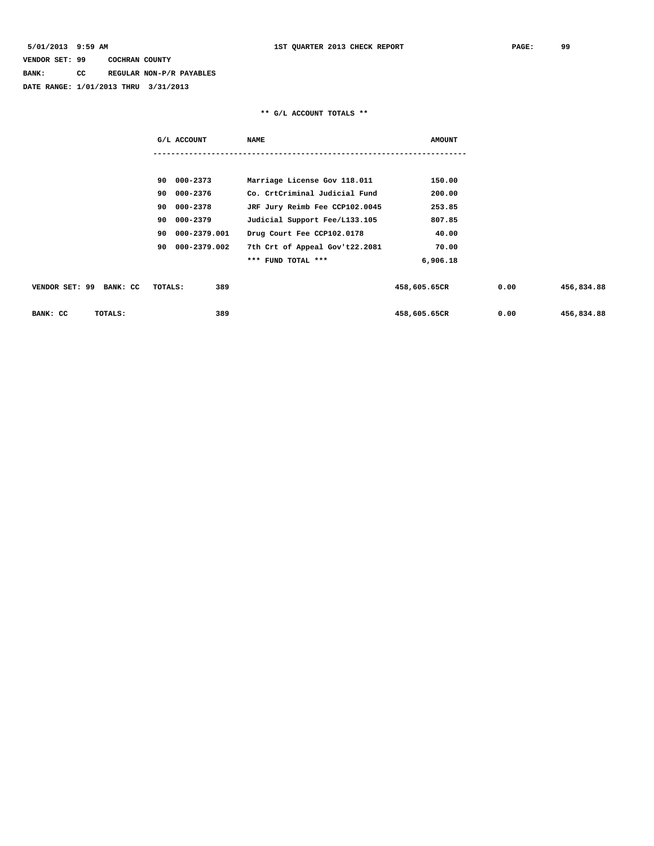**BANK: CC REGULAR NON-P/R PAYABLES**

**DATE RANGE: 1/01/2013 THRU 3/31/2013**

|                            | G/L ACCOUNT        | <b>NAME</b>                    | <b>AMOUNT</b> |      |            |
|----------------------------|--------------------|--------------------------------|---------------|------|------------|
|                            |                    |                                |               |      |            |
|                            | 90 000-2373        | Marriage License Gov 118.011   | 150.00        |      |            |
|                            | 000-2376<br>90     | Co. CrtCriminal Judicial Fund  | 200.00        |      |            |
|                            | 90<br>000-2378     | JRF Jury Reimb Fee CCP102.0045 | 253.85        |      |            |
|                            | 000-2379<br>90     | Judicial Support Fee/L133.105  | 807.85        |      |            |
|                            | 000-2379.001<br>90 | Drug Court Fee CCP102.0178     | 40.00         |      |            |
|                            | 000-2379.002<br>90 | 7th Crt of Appeal Gov't22.2081 | 70.00         |      |            |
|                            |                    | *** FUND TOTAL ***             | 6,906.18      |      |            |
|                            |                    |                                |               |      |            |
| VENDOR SET: 99<br>BANK: CC | 389<br>TOTALS:     |                                | 458,605.65CR  | 0.00 | 456,834.88 |
|                            |                    |                                |               |      |            |
| BANK: CC<br>TOTALS:        | 389                |                                | 458,605.65CR  | 0.00 | 456,834.88 |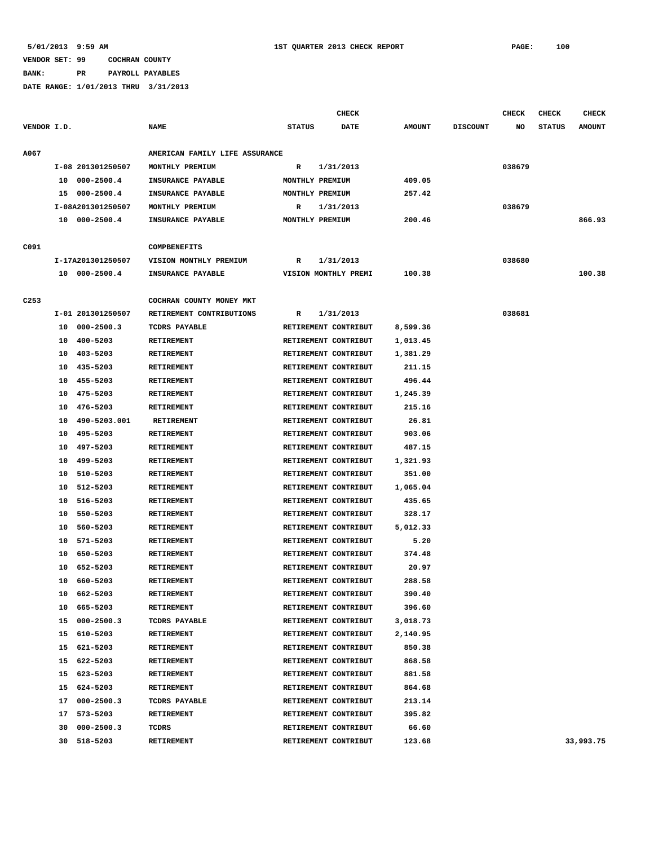**5/01/2013 9:59 AM 1ST QUARTER 2013 CHECK REPORT PAGE: 100**

# **VENDOR SET: 99 COCHRAN COUNTY**

**BANK: PR PAYROLL PAYABLES**

|                  |                      |                                | <b>CHECK</b>          |               |                 | <b>CHECK</b> | <b>CHECK</b>  | <b>CHECK</b>  |
|------------------|----------------------|--------------------------------|-----------------------|---------------|-----------------|--------------|---------------|---------------|
| VENDOR I.D.      |                      | <b>NAME</b>                    | <b>STATUS</b><br>DATE | <b>AMOUNT</b> | <b>DISCOUNT</b> | NO           | <b>STATUS</b> | <b>AMOUNT</b> |
| A067             |                      | AMERICAN FAMILY LIFE ASSURANCE |                       |               |                 |              |               |               |
|                  | I-08 201301250507    | MONTHLY PREMIUM                | 1/31/2013<br>R        |               |                 | 038679       |               |               |
|                  | $000 - 2500.4$<br>10 | INSURANCE PAYABLE              | MONTHLY PREMIUM       | 409.05        |                 |              |               |               |
|                  | 15 000-2500.4        | INSURANCE PAYABLE              | MONTHLY PREMIUM       | 257.42        |                 |              |               |               |
|                  | I-08A201301250507    | MONTHLY PREMIUM                | R<br>1/31/2013        |               |                 | 038679       |               |               |
|                  | 10 000-2500.4        | INSURANCE PAYABLE              | MONTHLY PREMIUM       | 200.46        |                 |              |               | 866.93        |
| C091             |                      | COMPBENEFITS                   |                       |               |                 |              |               |               |
|                  | I-17A201301250507    | VISION MONTHLY PREMIUM         | 1/31/2013<br>R        |               |                 | 038680       |               |               |
|                  | 10 000-2500.4        | INSURANCE PAYABLE              | VISION MONTHLY PREMI  | 100.38        |                 |              |               | 100.38        |
| C <sub>253</sub> |                      | COCHRAN COUNTY MONEY MKT       |                       |               |                 |              |               |               |
|                  | I-01 201301250507    | RETIREMENT CONTRIBUTIONS       | 1/31/2013<br>R        |               |                 | 038681       |               |               |
|                  | $000 - 2500.3$<br>10 | TCDRS PAYABLE                  | RETIREMENT CONTRIBUT  | 8,599.36      |                 |              |               |               |
|                  | 400-5203<br>10       | <b>RETIREMENT</b>              | RETIREMENT CONTRIBUT  | 1,013.45      |                 |              |               |               |
|                  | 403-5203<br>10       | <b>RETIREMENT</b>              | RETIREMENT CONTRIBUT  | 1,381.29      |                 |              |               |               |
|                  | 435-5203<br>10       | <b>RETIREMENT</b>              | RETIREMENT CONTRIBUT  | 211.15        |                 |              |               |               |
|                  | 455-5203<br>10       | <b>RETIREMENT</b>              | RETIREMENT CONTRIBUT  | 496.44        |                 |              |               |               |
|                  | 475-5203<br>10       | RETIREMENT                     | RETIREMENT CONTRIBUT  | 1,245.39      |                 |              |               |               |
|                  | 10<br>476-5203       | <b>RETIREMENT</b>              | RETIREMENT CONTRIBUT  | 215.16        |                 |              |               |               |
|                  | 490-5203.001<br>10   | <b>RETIREMENT</b>              | RETIREMENT CONTRIBUT  | 26.81         |                 |              |               |               |
|                  | 495-5203<br>10       | RETIREMENT                     | RETIREMENT CONTRIBUT  | 903.06        |                 |              |               |               |
|                  | 497-5203<br>10       | RETIREMENT                     | RETIREMENT CONTRIBUT  | 487.15        |                 |              |               |               |
|                  | 499-5203<br>10       | RETIREMENT                     | RETIREMENT CONTRIBUT  | 1,321.93      |                 |              |               |               |
|                  | 510-5203<br>10       | RETIREMENT                     | RETIREMENT CONTRIBUT  | 351.00        |                 |              |               |               |
|                  | 512-5203<br>10       | RETIREMENT                     | RETIREMENT CONTRIBUT  | 1,065.04      |                 |              |               |               |
|                  | 516-5203<br>10       | <b>RETIREMENT</b>              | RETIREMENT CONTRIBUT  | 435.65        |                 |              |               |               |
|                  | 550-5203<br>10       | <b>RETIREMENT</b>              | RETIREMENT CONTRIBUT  | 328.17        |                 |              |               |               |
|                  | 560-5203<br>10       | <b>RETIREMENT</b>              | RETIREMENT CONTRIBUT  | 5,012.33      |                 |              |               |               |
|                  | 571-5203<br>10       | <b>RETIREMENT</b>              | RETIREMENT CONTRIBUT  | 5.20          |                 |              |               |               |
|                  | 650-5203<br>10       | RETIREMENT                     | RETIREMENT CONTRIBUT  | 374.48        |                 |              |               |               |
|                  | 652-5203<br>10       | <b>RETIREMENT</b>              | RETIREMENT CONTRIBUT  | 20.97         |                 |              |               |               |
|                  | 660-5203<br>10       | <b>RETIREMENT</b>              | RETIREMENT CONTRIBUT  | 288.58        |                 |              |               |               |
|                  | 662-5203<br>10       | <b>RETIREMENT</b>              | RETIREMENT CONTRIBUT  | 390.40        |                 |              |               |               |
|                  | 10 665-5203          | <b>RETIREMENT</b>              | RETIREMENT CONTRIBUT  | 396.60        |                 |              |               |               |
|                  | 15 000-2500.3        | TCDRS PAYABLE                  | RETIREMENT CONTRIBUT  | 3,018.73      |                 |              |               |               |
|                  | 610-5203<br>15       | RETIREMENT                     | RETIREMENT CONTRIBUT  | 2,140.95      |                 |              |               |               |
|                  | 621-5203<br>15       | RETIREMENT                     | RETIREMENT CONTRIBUT  | 850.38        |                 |              |               |               |
|                  | 15 622-5203          | RETIREMENT                     | RETIREMENT CONTRIBUT  | 868.58        |                 |              |               |               |
|                  | 623-5203<br>15       | RETIREMENT                     | RETIREMENT CONTRIBUT  | 881.58        |                 |              |               |               |
|                  | 15<br>624-5203       | RETIREMENT                     | RETIREMENT CONTRIBUT  | 864.68        |                 |              |               |               |
|                  | $000 - 2500.3$<br>17 | TCDRS PAYABLE                  | RETIREMENT CONTRIBUT  | 213.14        |                 |              |               |               |
|                  | 17 573-5203          | RETIREMENT                     | RETIREMENT CONTRIBUT  | 395.82        |                 |              |               |               |
|                  | $000 - 2500.3$<br>30 | TCDRS                          | RETIREMENT CONTRIBUT  | 66.60         |                 |              |               |               |
|                  | 30 518-5203          | RETIREMENT                     | RETIREMENT CONTRIBUT  | 123.68        |                 |              |               | 33,993.75     |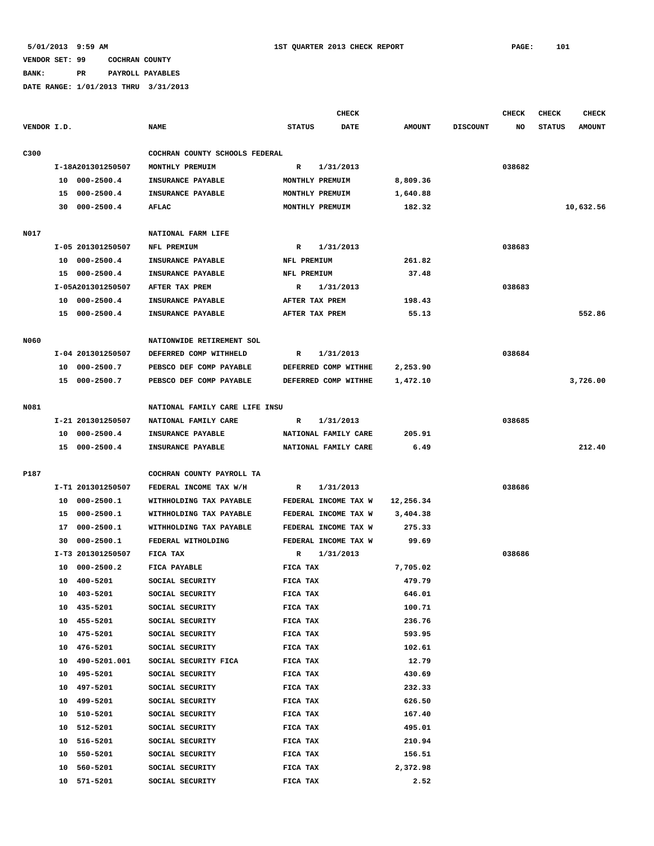**BANK: PR PAYROLL PAYABLES**

|             |    |                   |                                |                | <b>CHECK</b>         |               |                 | <b>CHECK</b> | <b>CHECK</b>  | <b>CHECK</b>  |
|-------------|----|-------------------|--------------------------------|----------------|----------------------|---------------|-----------------|--------------|---------------|---------------|
| VENDOR I.D. |    |                   | <b>NAME</b>                    | <b>STATUS</b>  | <b>DATE</b>          | <b>AMOUNT</b> | <b>DISCOUNT</b> | NO           | <b>STATUS</b> | <b>AMOUNT</b> |
| C300        |    |                   | COCHRAN COUNTY SCHOOLS FEDERAL |                |                      |               |                 |              |               |               |
|             |    | I-18A201301250507 | MONTHLY PREMUIM                | R              | 1/31/2013            |               |                 | 038682       |               |               |
|             |    | 10 000-2500.4     | INSURANCE PAYABLE              |                | MONTHLY PREMUIM      | 8,809.36      |                 |              |               |               |
|             | 15 | $000 - 2500.4$    | INSURANCE PAYABLE              |                | MONTHLY PREMUIM      | 1,640.88      |                 |              |               |               |
|             |    | 30 000-2500.4     | <b>AFLAC</b>                   |                | MONTHLY PREMUIM      | 182.32        |                 |              |               | 10,632.56     |
|             |    |                   |                                |                |                      |               |                 |              |               |               |
| N017        |    |                   | NATIONAL FARM LIFE             |                |                      |               |                 |              |               |               |
|             |    | I-05 201301250507 | NFL PREMIUM                    | R              | 1/31/2013            |               |                 | 038683       |               |               |
|             | 10 | $000 - 2500.4$    | INSURANCE PAYABLE              | NFL PREMIUM    |                      | 261.82        |                 |              |               |               |
|             |    | 15 000-2500.4     | INSURANCE PAYABLE              | NFL PREMIUM    |                      | 37.48         |                 |              |               |               |
|             |    | I-05A201301250507 | AFTER TAX PREM                 | R              | 1/31/2013            |               |                 | 038683       |               |               |
|             |    | 10 000-2500.4     | INSURANCE PAYABLE              | AFTER TAX PREM |                      | 198.43        |                 |              |               |               |
|             |    | 15 000-2500.4     | INSURANCE PAYABLE              | AFTER TAX PREM |                      | 55.13         |                 |              |               | 552.86        |
|             |    |                   |                                |                |                      |               |                 |              |               |               |
| N060        |    |                   | NATIONWIDE RETIREMENT SOL      |                |                      |               |                 |              |               |               |
|             |    | I-04 201301250507 | DEFERRED COMP WITHHELD         | R              | 1/31/2013            |               |                 | 038684       |               |               |
|             |    | 10 000-2500.7     | PEBSCO DEF COMP PAYABLE        |                | DEFERRED COMP WITHHE | 2,253.90      |                 |              |               |               |
|             |    | 15 000-2500.7     | PEBSCO DEF COMP PAYABLE        |                | DEFERRED COMP WITHHE | 1,472.10      |                 |              |               | 3,726.00      |
|             |    |                   |                                |                |                      |               |                 |              |               |               |
| N081        |    |                   | NATIONAL FAMILY CARE LIFE INSU |                |                      |               |                 |              |               |               |
|             |    | I-21 201301250507 | NATIONAL FAMILY CARE           | R              | 1/31/2013            |               |                 | 038685       |               |               |
|             |    | 10 000-2500.4     | INSURANCE PAYABLE              |                | NATIONAL FAMILY CARE | 205.91        |                 |              |               |               |
|             |    | 15 000-2500.4     | INSURANCE PAYABLE              |                | NATIONAL FAMILY CARE | 6.49          |                 |              |               | 212.40        |
|             |    |                   |                                |                |                      |               |                 |              |               |               |
| P187        |    |                   | COCHRAN COUNTY PAYROLL TA      |                |                      |               |                 |              |               |               |
|             |    | I-T1 201301250507 | FEDERAL INCOME TAX W/H         | R              | 1/31/2013            |               |                 | 038686       |               |               |
|             | 10 | 000-2500.1        | WITHHOLDING TAX PAYABLE        |                | FEDERAL INCOME TAX W | 12,256.34     |                 |              |               |               |
|             | 15 | 000-2500.1        | WITHHOLDING TAX PAYABLE        |                | FEDERAL INCOME TAX W | 3,404.38      |                 |              |               |               |
|             | 17 | $000 - 2500.1$    | WITHHOLDING TAX PAYABLE        |                | FEDERAL INCOME TAX W | 275.33        |                 |              |               |               |
|             | 30 | $000 - 2500.1$    | FEDERAL WITHOLDING             |                | FEDERAL INCOME TAX W | 99.69         |                 |              |               |               |
|             |    | I-T3 201301250507 | FICA TAX                       | R              | 1/31/2013            |               |                 | 038686       |               |               |
|             | 10 | $000 - 2500.2$    | FICA PAYABLE                   | FICA TAX       |                      | 7,705.02      |                 |              |               |               |
|             | 10 | 400-5201          | SOCIAL SECURITY                | FICA TAX       |                      | 479.79        |                 |              |               |               |
|             | 10 | 403-5201          | SOCIAL SECURITY                | FICA TAX       |                      | 646.01        |                 |              |               |               |
|             | 10 | 435-5201          | SOCIAL SECURITY                | FICA TAX       |                      | 100.71        |                 |              |               |               |
|             | 10 | 455-5201          | SOCIAL SECURITY                | FICA TAX       |                      | 236.76        |                 |              |               |               |
|             | 10 | 475-5201          | SOCIAL SECURITY                | FICA TAX       |                      | 593.95        |                 |              |               |               |
|             | 10 | 476-5201          | SOCIAL SECURITY                | FICA TAX       |                      | 102.61        |                 |              |               |               |
|             | 10 | 490-5201.001      |                                |                |                      | 12.79         |                 |              |               |               |
|             |    |                   | SOCIAL SECURITY FICA           | FICA TAX       |                      |               |                 |              |               |               |
|             | 10 | 495-5201          | SOCIAL SECURITY                | FICA TAX       |                      | 430.69        |                 |              |               |               |
|             | 10 | 497-5201          | SOCIAL SECURITY                | FICA TAX       |                      | 232.33        |                 |              |               |               |
|             | 10 | 499-5201          | SOCIAL SECURITY                | FICA TAX       |                      | 626.50        |                 |              |               |               |
|             | 10 | 510-5201          | SOCIAL SECURITY                | FICA TAX       |                      | 167.40        |                 |              |               |               |
|             | 10 | 512-5201          | SOCIAL SECURITY                | FICA TAX       |                      | 495.01        |                 |              |               |               |
|             | 10 | 516-5201          | SOCIAL SECURITY                | FICA TAX       |                      | 210.94        |                 |              |               |               |
|             | 10 | 550-5201          | SOCIAL SECURITY                | FICA TAX       |                      | 156.51        |                 |              |               |               |
|             | 10 | 560-5201          | SOCIAL SECURITY                | FICA TAX       |                      | 2,372.98      |                 |              |               |               |
|             | 10 | 571-5201          | SOCIAL SECURITY                | FICA TAX       |                      | 2.52          |                 |              |               |               |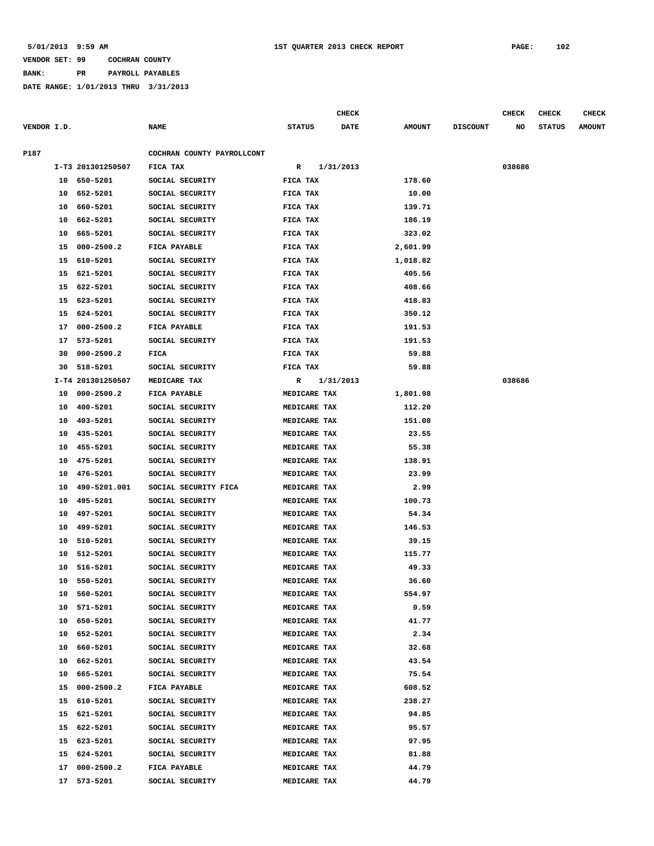**BANK: PR PAYROLL PAYABLES**

|             |    |                   |                            |               | <b>CHECK</b> |               |                 | CHECK  | <b>CHECK</b>  | <b>CHECK</b>  |
|-------------|----|-------------------|----------------------------|---------------|--------------|---------------|-----------------|--------|---------------|---------------|
| VENDOR I.D. |    |                   | <b>NAME</b>                | <b>STATUS</b> | <b>DATE</b>  | <b>AMOUNT</b> | <b>DISCOUNT</b> | NO     | <b>STATUS</b> | <b>AMOUNT</b> |
|             |    |                   |                            |               |              |               |                 |        |               |               |
| P187        |    |                   | COCHRAN COUNTY PAYROLLCONT |               |              |               |                 |        |               |               |
|             |    | I-T3 201301250507 | FICA TAX                   | R             | 1/31/2013    |               |                 | 038686 |               |               |
|             | 10 | 650-5201          | SOCIAL SECURITY            | FICA TAX      |              | 178.60        |                 |        |               |               |
|             | 10 | 652-5201          | SOCIAL SECURITY            | FICA TAX      |              | 10.00         |                 |        |               |               |
|             | 10 | 660-5201          | SOCIAL SECURITY            | FICA TAX      |              | 139.71        |                 |        |               |               |
|             | 10 | 662-5201          | SOCIAL SECURITY            | FICA TAX      |              | 186.19        |                 |        |               |               |
|             | 10 | 665-5201          | SOCIAL SECURITY            | FICA TAX      |              | 323.02        |                 |        |               |               |
|             | 15 | $000 - 2500.2$    | FICA PAYABLE               | FICA TAX      |              | 2,601.99      |                 |        |               |               |
|             | 15 | 610-5201          | SOCIAL SECURITY            | FICA TAX      |              | 1,018.82      |                 |        |               |               |
|             | 15 | 621-5201          | SOCIAL SECURITY            | FICA TAX      |              | 405.56        |                 |        |               |               |
|             | 15 | 622-5201          | SOCIAL SECURITY            | FICA TAX      |              | 408.66        |                 |        |               |               |
|             | 15 | 623-5201          | SOCIAL SECURITY            | FICA TAX      |              | 418.83        |                 |        |               |               |
|             | 15 | 624-5201          | SOCIAL SECURITY            | FICA TAX      |              | 350.12        |                 |        |               |               |
|             | 17 | $000 - 2500.2$    | FICA PAYABLE               | FICA TAX      |              | 191.53        |                 |        |               |               |
|             | 17 | 573-5201          | SOCIAL SECURITY            | FICA TAX      |              | 191.53        |                 |        |               |               |
|             | 30 | $000 - 2500.2$    | FICA                       | FICA TAX      |              | 59.88         |                 |        |               |               |
|             | 30 | 518-5201          | SOCIAL SECURITY            | FICA TAX      |              | 59.88         |                 |        |               |               |
|             |    | I-T4 201301250507 | MEDICARE TAX               | R             | 1/31/2013    |               |                 | 038686 |               |               |
|             | 10 | $000 - 2500.2$    | FICA PAYABLE               | MEDICARE TAX  |              | 1,801.98      |                 |        |               |               |
|             | 10 | 400-5201          | SOCIAL SECURITY            | MEDICARE TAX  |              | 112.20        |                 |        |               |               |
|             | 10 | 403-5201          | SOCIAL SECURITY            | MEDICARE TAX  |              | 151.08        |                 |        |               |               |
|             | 10 | 435-5201          | SOCIAL SECURITY            | MEDICARE TAX  |              | 23.55         |                 |        |               |               |
|             | 10 | 455-5201          | SOCIAL SECURITY            | MEDICARE TAX  |              | 55.38         |                 |        |               |               |
|             | 10 | 475-5201          | SOCIAL SECURITY            | MEDICARE TAX  |              | 138.91        |                 |        |               |               |
|             | 10 | 476-5201          | SOCIAL SECURITY            | MEDICARE TAX  |              | 23.99         |                 |        |               |               |
|             | 10 | 490-5201.001      | SOCIAL SECURITY FICA       | MEDICARE TAX  |              | 2.99          |                 |        |               |               |
|             | 10 | 495-5201          | SOCIAL SECURITY            | MEDICARE TAX  |              | 100.73        |                 |        |               |               |
|             | 10 | 497-5201          | SOCIAL SECURITY            | MEDICARE TAX  |              | 54.34         |                 |        |               |               |
|             | 10 | 499-5201          | SOCIAL SECURITY            | MEDICARE TAX  |              | 146.53        |                 |        |               |               |
|             | 10 | 510-5201          | SOCIAL SECURITY            | MEDICARE TAX  |              | 39.15         |                 |        |               |               |
|             | 10 | 512-5201          | SOCIAL SECURITY            | MEDICARE TAX  |              | 115.77        |                 |        |               |               |
|             | 10 | 516-5201          | SOCIAL SECURITY            | MEDICARE TAX  |              | 49.33         |                 |        |               |               |
|             | 10 | 550-5201          | SOCIAL SECURITY            | MEDICARE TAX  |              | 36.60         |                 |        |               |               |
|             |    | 10 560-5201       | SOCIAL SECURITY            | MEDICARE TAX  |              | 554.97        |                 |        |               |               |
|             |    | 10 571-5201       | SOCIAL SECURITY            | MEDICARE TAX  |              | 0.59          |                 |        |               |               |
|             | 10 | 650-5201          | SOCIAL SECURITY            | MEDICARE TAX  |              | 41.77         |                 |        |               |               |
|             | 10 | 652-5201          | SOCIAL SECURITY            | MEDICARE TAX  |              | 2.34          |                 |        |               |               |
|             |    | 10 660-5201       | SOCIAL SECURITY            | MEDICARE TAX  |              | 32.68         |                 |        |               |               |
|             |    | 10 662-5201       | SOCIAL SECURITY            | MEDICARE TAX  |              | 43.54         |                 |        |               |               |
|             |    | 10 665-5201       | SOCIAL SECURITY            | MEDICARE TAX  |              | 75.54         |                 |        |               |               |
|             |    | 15 000-2500.2     | FICA PAYABLE               | MEDICARE TAX  |              | 608.52        |                 |        |               |               |
|             |    | 15 610-5201       | SOCIAL SECURITY            | MEDICARE TAX  |              | 238.27        |                 |        |               |               |
|             |    | 15 621-5201       | SOCIAL SECURITY            | MEDICARE TAX  |              | 94.85         |                 |        |               |               |
|             |    | 15 622-5201       | SOCIAL SECURITY            | MEDICARE TAX  |              | 95.57         |                 |        |               |               |
|             |    | 15 623-5201       | SOCIAL SECURITY            | MEDICARE TAX  |              | 97.95         |                 |        |               |               |
|             |    | 15 624-5201       | SOCIAL SECURITY            | MEDICARE TAX  |              | 81.88         |                 |        |               |               |
|             |    | 17 000-2500.2     | FICA PAYABLE               | MEDICARE TAX  |              | 44.79         |                 |        |               |               |
|             |    | 17 573-5201       | SOCIAL SECURITY            | MEDICARE TAX  |              | 44.79         |                 |        |               |               |
|             |    |                   |                            |               |              |               |                 |        |               |               |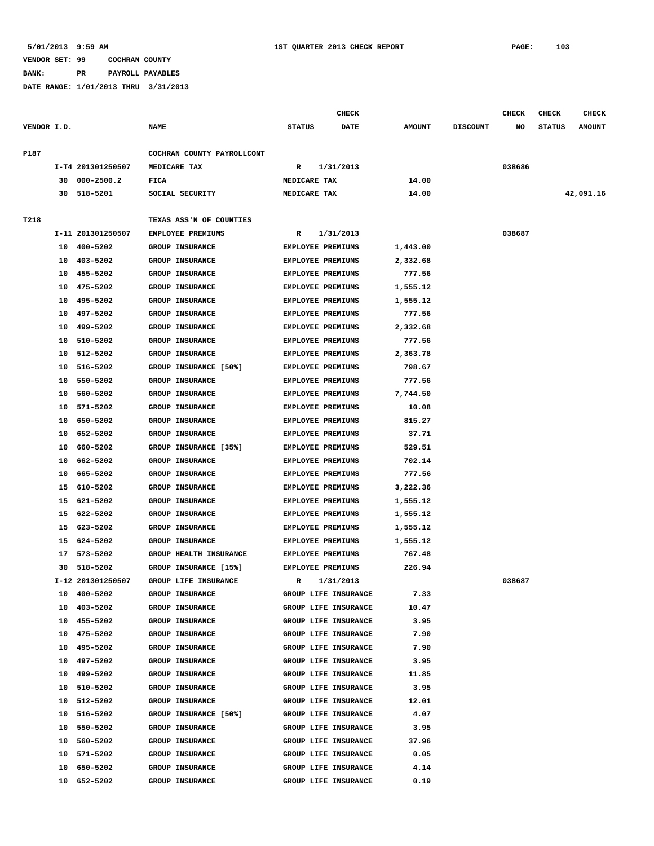**BANK: PR PAYROLL PAYABLES**

|             |    |                   |                            |                          | <b>CHECK</b>         |               |                 | <b>CHECK</b> | CHECK         | <b>CHECK</b>  |
|-------------|----|-------------------|----------------------------|--------------------------|----------------------|---------------|-----------------|--------------|---------------|---------------|
| VENDOR I.D. |    |                   | <b>NAME</b>                | <b>STATUS</b>            | <b>DATE</b>          | <b>AMOUNT</b> | <b>DISCOUNT</b> | NO           | <b>STATUS</b> | <b>AMOUNT</b> |
| P187        |    |                   | COCHRAN COUNTY PAYROLLCONT |                          |                      |               |                 |              |               |               |
|             |    | I-T4 201301250507 | MEDICARE TAX               | R                        | 1/31/2013            |               |                 | 038686       |               |               |
|             | 30 | $000 - 2500.2$    | FICA                       | MEDICARE TAX             |                      | 14.00         |                 |              |               |               |
|             | 30 | 518-5201          | SOCIAL SECURITY            | MEDICARE TAX             |                      | 14.00         |                 |              |               | 42,091.16     |
| T218        |    |                   | TEXAS ASS'N OF COUNTIES    |                          |                      |               |                 |              |               |               |
|             |    | I-11 201301250507 | EMPLOYEE PREMIUMS          | R                        | 1/31/2013            |               |                 | 038687       |               |               |
|             | 10 | 400-5202          | <b>GROUP INSURANCE</b>     | <b>EMPLOYEE PREMIUMS</b> |                      | 1,443.00      |                 |              |               |               |
|             | 10 | 403-5202          | <b>GROUP INSURANCE</b>     | <b>EMPLOYEE PREMIUMS</b> |                      | 2,332.68      |                 |              |               |               |
|             | 10 | 455-5202          | <b>GROUP INSURANCE</b>     | <b>EMPLOYEE PREMIUMS</b> |                      | 777.56        |                 |              |               |               |
|             | 10 | 475-5202          | <b>GROUP INSURANCE</b>     | <b>EMPLOYEE PREMIUMS</b> |                      | 1,555.12      |                 |              |               |               |
|             | 10 | 495-5202          | <b>GROUP INSURANCE</b>     | <b>EMPLOYEE PREMIUMS</b> |                      | 1,555.12      |                 |              |               |               |
|             | 10 | 497-5202          | GROUP INSURANCE            | EMPLOYEE PREMIUMS        |                      | 777.56        |                 |              |               |               |
|             |    | 499-5202          | <b>GROUP INSURANCE</b>     | <b>EMPLOYEE PREMIUMS</b> |                      | 2,332.68      |                 |              |               |               |
|             | 10 |                   |                            |                          |                      |               |                 |              |               |               |
|             | 10 | 510-5202          | <b>GROUP INSURANCE</b>     | <b>EMPLOYEE PREMIUMS</b> |                      | 777.56        |                 |              |               |               |
|             | 10 | 512-5202          | GROUP INSURANCE            | EMPLOYEE PREMIUMS        |                      | 2,363.78      |                 |              |               |               |
|             | 10 | 516-5202          | GROUP INSURANCE [50%]      | <b>EMPLOYEE PREMIUMS</b> |                      | 798.67        |                 |              |               |               |
|             | 10 | 550-5202          | <b>GROUP INSURANCE</b>     | <b>EMPLOYEE PREMIUMS</b> |                      | 777.56        |                 |              |               |               |
|             | 10 | 560-5202          | <b>GROUP INSURANCE</b>     | <b>EMPLOYEE PREMIUMS</b> |                      | 7,744.50      |                 |              |               |               |
|             | 10 | 571-5202          | <b>GROUP INSURANCE</b>     | <b>EMPLOYEE PREMIUMS</b> |                      | 10.08         |                 |              |               |               |
|             | 10 | 650-5202          | <b>GROUP INSURANCE</b>     | <b>EMPLOYEE PREMIUMS</b> |                      | 815.27        |                 |              |               |               |
|             | 10 | 652-5202          | GROUP INSURANCE            | <b>EMPLOYEE PREMIUMS</b> |                      | 37.71         |                 |              |               |               |
|             | 10 | 660-5202          | GROUP INSURANCE [35%]      | <b>EMPLOYEE PREMIUMS</b> |                      | 529.51        |                 |              |               |               |
|             | 10 | 662-5202          | <b>GROUP INSURANCE</b>     | <b>EMPLOYEE PREMIUMS</b> |                      | 702.14        |                 |              |               |               |
|             | 10 | 665-5202          | GROUP INSURANCE            | EMPLOYEE PREMIUMS        |                      | 777.56        |                 |              |               |               |
|             | 15 | 610-5202          | <b>GROUP INSURANCE</b>     | <b>EMPLOYEE PREMIUMS</b> |                      | 3,222.36      |                 |              |               |               |
|             | 15 | 621-5202          | <b>GROUP INSURANCE</b>     | <b>EMPLOYEE PREMIUMS</b> |                      | 1,555.12      |                 |              |               |               |
|             | 15 | 622-5202          | GROUP INSURANCE            | <b>EMPLOYEE PREMIUMS</b> |                      | 1,555.12      |                 |              |               |               |
|             | 15 | 623-5202          | <b>GROUP INSURANCE</b>     | <b>EMPLOYEE PREMIUMS</b> |                      | 1,555.12      |                 |              |               |               |
|             | 15 | 624-5202          | <b>GROUP INSURANCE</b>     | <b>EMPLOYEE PREMIUMS</b> |                      | 1,555.12      |                 |              |               |               |
|             | 17 | 573-5202          | GROUP HEALTH INSURANCE     | EMPLOYEE PREMIUMS        |                      | 767.48        |                 |              |               |               |
|             | 30 | 518-5202          | GROUP INSURANCE [15%]      | <b>EMPLOYEE PREMIUMS</b> |                      | 226.94        |                 |              |               |               |
|             |    | I-12 201301250507 | GROUP LIFE INSURANCE       | R                        | 1/31/2013            |               |                 | 038687       |               |               |
|             | 10 | 400-5202          | <b>GROUP INSURANCE</b>     |                          | GROUP LIFE INSURANCE | 7.33          |                 |              |               |               |
|             | 10 | 403-5202          | GROUP INSURANCE            |                          | GROUP LIFE INSURANCE | 10.47         |                 |              |               |               |
|             | 10 | 455-5202          | GROUP INSURANCE            |                          | GROUP LIFE INSURANCE | 3.95          |                 |              |               |               |
|             | 10 | 475-5202          | GROUP INSURANCE            |                          | GROUP LIFE INSURANCE | 7.90          |                 |              |               |               |
|             | 10 | 495-5202          | GROUP INSURANCE            |                          | GROUP LIFE INSURANCE | 7.90          |                 |              |               |               |
|             | 10 | 497-5202          | GROUP INSURANCE            |                          | GROUP LIFE INSURANCE | 3.95          |                 |              |               |               |
|             | 10 | 499-5202          | GROUP INSURANCE            |                          | GROUP LIFE INSURANCE | 11.85         |                 |              |               |               |
|             | 10 | 510-5202          | GROUP INSURANCE            |                          | GROUP LIFE INSURANCE | 3.95          |                 |              |               |               |
|             | 10 | 512-5202          | GROUP INSURANCE            |                          | GROUP LIFE INSURANCE | 12.01         |                 |              |               |               |
|             |    | 10 516-5202       | GROUP INSURANCE [50%]      |                          | GROUP LIFE INSURANCE | 4.07          |                 |              |               |               |
|             | 10 | 550-5202          | <b>GROUP INSURANCE</b>     |                          | GROUP LIFE INSURANCE | 3.95          |                 |              |               |               |
|             |    | 10 560-5202       | GROUP INSURANCE            |                          | GROUP LIFE INSURANCE | 37.96         |                 |              |               |               |
|             |    | 10 571-5202       | GROUP INSURANCE            |                          | GROUP LIFE INSURANCE | 0.05          |                 |              |               |               |
|             | 10 | 650-5202          | GROUP INSURANCE            |                          | GROUP LIFE INSURANCE | 4.14          |                 |              |               |               |
|             | 10 | 652-5202          | GROUP INSURANCE            |                          | GROUP LIFE INSURANCE | 0.19          |                 |              |               |               |
|             |    |                   |                            |                          |                      |               |                 |              |               |               |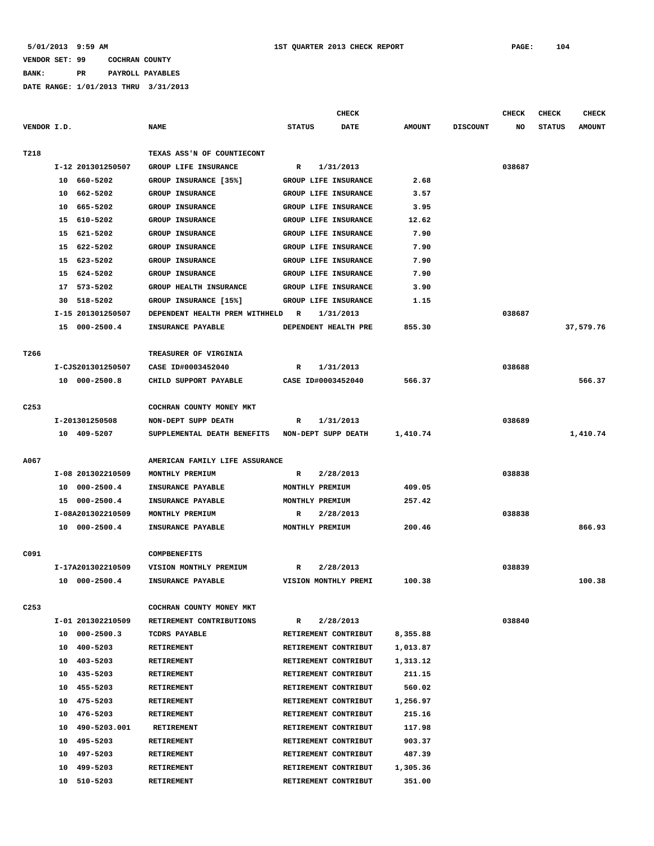**BANK: PR PAYROLL PAYABLES**

|                  |                                  |                                           |                                              | <b>CHECK</b> |                      |                 | <b>CHECK</b> | <b>CHECK</b>  | <b>CHECK</b>  |
|------------------|----------------------------------|-------------------------------------------|----------------------------------------------|--------------|----------------------|-----------------|--------------|---------------|---------------|
| VENDOR I.D.      |                                  | <b>NAME</b>                               | <b>STATUS</b>                                | <b>DATE</b>  | <b>AMOUNT</b>        | <b>DISCOUNT</b> | NO           | <b>STATUS</b> | <b>AMOUNT</b> |
|                  |                                  |                                           |                                              |              |                      |                 |              |               |               |
| T218             |                                  | TEXAS ASS'N OF COUNTIECONT                |                                              |              |                      |                 |              |               |               |
|                  | I-12 201301250507                | GROUP LIFE INSURANCE                      | R                                            | 1/31/2013    |                      |                 | 038687       |               |               |
|                  | 10 660-5202                      | GROUP INSURANCE [35%]                     | GROUP LIFE INSURANCE                         |              | 2.68                 |                 |              |               |               |
|                  | 662-5202<br>10                   | GROUP INSURANCE                           | GROUP LIFE INSURANCE                         |              | 3.57                 |                 |              |               |               |
|                  | 665-5202<br>10                   | <b>GROUP INSURANCE</b>                    | GROUP LIFE INSURANCE                         |              | 3.95                 |                 |              |               |               |
|                  | 15<br>610-5202                   | <b>GROUP INSURANCE</b>                    | GROUP LIFE INSURANCE                         |              | 12.62                |                 |              |               |               |
|                  | 15 621-5202                      | GROUP INSURANCE                           | GROUP LIFE INSURANCE                         |              | 7.90                 |                 |              |               |               |
|                  | 15<br>622-5202                   | <b>GROUP INSURANCE</b>                    | <b>GROUP LIFE INSURANCE</b>                  |              | 7.90                 |                 |              |               |               |
|                  | 623-5202<br>15                   | GROUP INSURANCE                           | GROUP LIFE INSURANCE                         |              | 7.90                 |                 |              |               |               |
|                  | 624-5202<br>15                   | GROUP INSURANCE                           | GROUP LIFE INSURANCE                         |              | 7.90                 |                 |              |               |               |
|                  | 573-5202<br>17                   | GROUP HEALTH INSURANCE                    | GROUP LIFE INSURANCE                         |              | 3.90                 |                 |              |               |               |
|                  | 518-5202<br>30                   | GROUP INSURANCE [15%]                     | GROUP LIFE INSURANCE                         |              | 1.15                 |                 |              |               |               |
|                  | I-15 201301250507                | DEPENDENT HEALTH PREM WITHHELD            | R                                            | 1/31/2013    |                      |                 | 038687       |               |               |
|                  | 15 000-2500.4                    | INSURANCE PAYABLE                         | DEPENDENT HEALTH PRE                         |              | 855.30               |                 |              |               | 37,579.76     |
|                  |                                  |                                           |                                              |              |                      |                 |              |               |               |
| T266             |                                  | TREASURER OF VIRGINIA                     |                                              |              |                      |                 |              |               |               |
|                  | I-CJS201301250507                | CASE ID#0003452040                        | R                                            | 1/31/2013    |                      |                 | 038688       |               |               |
|                  | 10 000-2500.8                    | CHILD SUPPORT PAYABLE                     | CASE ID#0003452040                           |              | 566.37               |                 |              |               | 566.37        |
|                  |                                  |                                           |                                              |              |                      |                 |              |               |               |
| C <sub>253</sub> |                                  | COCHRAN COUNTY MONEY MKT                  |                                              |              |                      |                 |              |               |               |
|                  | I-201301250508                   | NON-DEPT SUPP DEATH                       | R                                            | 1/31/2013    |                      |                 | 038689       |               |               |
|                  | 10 409-5207                      | SUPPLEMENTAL DEATH BENEFITS               | NON-DEPT SUPP DEATH                          |              | 1,410.74             |                 |              |               | 1,410.74      |
|                  |                                  |                                           |                                              |              |                      |                 |              |               |               |
| A067             |                                  | AMERICAN FAMILY LIFE ASSURANCE            |                                              |              |                      |                 |              |               |               |
|                  | I-08 201302210509                | MONTHLY PREMIUM                           | R                                            | 2/28/2013    |                      |                 | 038838       |               |               |
|                  | $000 - 2500.4$<br>10             | INSURANCE PAYABLE                         | MONTHLY PREMIUM                              |              | 409.05               |                 |              |               |               |
|                  | $000 - 2500.4$<br>15             | INSURANCE PAYABLE                         | MONTHLY PREMIUM                              |              | 257.42               |                 |              |               |               |
|                  | I-08A201302210509                | MONTHLY PREMIUM                           | R                                            | 2/28/2013    |                      |                 | 038838       |               |               |
|                  | 10 000-2500.4                    | INSURANCE PAYABLE                         | MONTHLY PREMIUM                              |              | 200.46               |                 |              |               | 866.93        |
|                  |                                  |                                           |                                              |              |                      |                 |              |               |               |
| C091             |                                  | COMPBENEFITS                              |                                              |              |                      |                 |              |               |               |
|                  | I-17A201302210509                | VISION MONTHLY PREMIUM                    | R                                            | 2/28/2013    |                      |                 | 038839       |               |               |
|                  | 10 000-2500.4                    | INSURANCE PAYABLE                         | VISION MONTHLY PREMI                         |              | 100.38               |                 |              |               | 100.38        |
|                  |                                  |                                           |                                              |              |                      |                 |              |               |               |
| C <sub>253</sub> | I-01 201302210509                | COCHRAN COUNTY MONEY MKT                  |                                              |              |                      |                 |              |               |               |
|                  | 10 000-2500.3                    | RETIREMENT CONTRIBUTIONS<br>TCDRS PAYABLE | R                                            | 2/28/2013    |                      |                 | 038840       |               |               |
|                  | 10 400-5203                      |                                           | RETIREMENT CONTRIBUT<br>RETIREMENT CONTRIBUT |              | 8,355.88             |                 |              |               |               |
|                  | 10 403-5203                      | <b>RETIREMENT</b><br><b>RETIREMENT</b>    | RETIREMENT CONTRIBUT                         |              | 1,013.87<br>1,313.12 |                 |              |               |               |
|                  | 10 435-5203                      |                                           | RETIREMENT CONTRIBUT                         |              | 211.15               |                 |              |               |               |
|                  |                                  | RETIREMENT                                |                                              |              |                      |                 |              |               |               |
|                  | 455-5203<br>10<br>475-5203<br>10 | <b>RETIREMENT</b>                         | RETIREMENT CONTRIBUT<br>RETIREMENT CONTRIBUT |              | 560.02               |                 |              |               |               |
|                  | 10 476-5203                      | <b>RETIREMENT</b><br>RETIREMENT           | RETIREMENT CONTRIBUT                         |              | 1,256.97<br>215.16   |                 |              |               |               |
|                  | 10<br>490-5203.001               | <b>RETIREMENT</b>                         | RETIREMENT CONTRIBUT                         |              | 117.98               |                 |              |               |               |
|                  | 495-5203<br>10                   | <b>RETIREMENT</b>                         | RETIREMENT CONTRIBUT                         |              | 903.37               |                 |              |               |               |
|                  | 497-5203<br>10                   | RETIREMENT                                | RETIREMENT CONTRIBUT                         |              | 487.39               |                 |              |               |               |
|                  | 499-5203<br>10                   | RETIREMENT                                | RETIREMENT CONTRIBUT                         |              | 1,305.36             |                 |              |               |               |
|                  | 10<br>510-5203                   | <b>RETIREMENT</b>                         | RETIREMENT CONTRIBUT                         |              | 351.00               |                 |              |               |               |
|                  |                                  |                                           |                                              |              |                      |                 |              |               |               |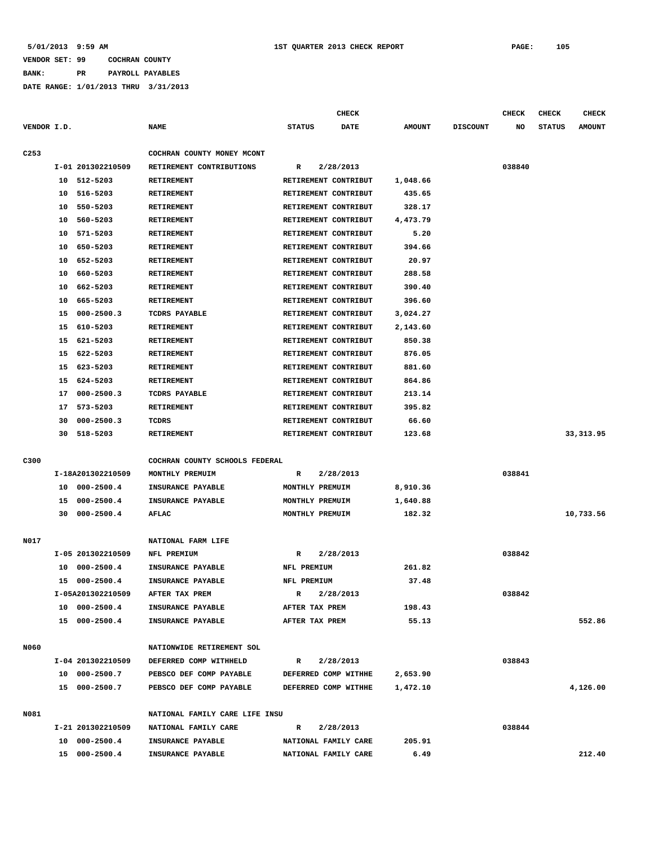# **VENDOR SET: 99 COCHRAN COUNTY BANK: PR PAYROLL PAYABLES**

|                  |    |                   |                                |                      | <b>CHECK</b> |               |                 | <b>CHECK</b> | <b>CHECK</b>  | <b>CHECK</b>  |
|------------------|----|-------------------|--------------------------------|----------------------|--------------|---------------|-----------------|--------------|---------------|---------------|
| VENDOR I.D.      |    |                   | <b>NAME</b>                    | <b>STATUS</b>        | <b>DATE</b>  | <b>AMOUNT</b> | <b>DISCOUNT</b> | NO           | <b>STATUS</b> | <b>AMOUNT</b> |
|                  |    |                   |                                |                      |              |               |                 |              |               |               |
| C <sub>253</sub> |    |                   | COCHRAN COUNTY MONEY MCONT     |                      |              |               |                 |              |               |               |
|                  |    | I-01 201302210509 | RETIREMENT CONTRIBUTIONS       | R                    | 2/28/2013    |               |                 | 038840       |               |               |
|                  |    | 10 512-5203       | <b>RETIREMENT</b>              | RETIREMENT CONTRIBUT |              | 1,048.66      |                 |              |               |               |
|                  | 10 | 516-5203          | RETIREMENT                     | RETIREMENT CONTRIBUT |              | 435.65        |                 |              |               |               |
|                  | 10 | 550-5203          | RETIREMENT                     | RETIREMENT CONTRIBUT |              | 328.17        |                 |              |               |               |
|                  | 10 | 560-5203          | RETIREMENT                     | RETIREMENT CONTRIBUT |              | 4,473.79      |                 |              |               |               |
|                  | 10 | 571-5203          | RETIREMENT                     | RETIREMENT CONTRIBUT |              | 5.20          |                 |              |               |               |
|                  | 10 | 650-5203          | RETIREMENT                     | RETIREMENT CONTRIBUT |              | 394.66        |                 |              |               |               |
|                  | 10 | 652-5203          | <b>RETIREMENT</b>              | RETIREMENT CONTRIBUT |              | 20.97         |                 |              |               |               |
|                  | 10 | 660-5203          | <b>RETIREMENT</b>              | RETIREMENT CONTRIBUT |              | 288.58        |                 |              |               |               |
|                  | 10 | 662-5203          | RETIREMENT                     | RETIREMENT CONTRIBUT |              | 390.40        |                 |              |               |               |
|                  | 10 | 665-5203          | <b>RETIREMENT</b>              | RETIREMENT CONTRIBUT |              | 396.60        |                 |              |               |               |
|                  | 15 | $000 - 2500.3$    | TCDRS PAYABLE                  | RETIREMENT CONTRIBUT |              | 3,024.27      |                 |              |               |               |
|                  | 15 | 610-5203          | <b>RETIREMENT</b>              | RETIREMENT CONTRIBUT |              | 2,143.60      |                 |              |               |               |
|                  | 15 | 621-5203          | <b>RETIREMENT</b>              | RETIREMENT CONTRIBUT |              | 850.38        |                 |              |               |               |
|                  | 15 | 622-5203          | RETIREMENT                     | RETIREMENT CONTRIBUT |              | 876.05        |                 |              |               |               |
|                  | 15 | 623-5203          | <b>RETIREMENT</b>              | RETIREMENT CONTRIBUT |              | 881.60        |                 |              |               |               |
|                  | 15 | 624-5203          | <b>RETIREMENT</b>              | RETIREMENT CONTRIBUT |              | 864.86        |                 |              |               |               |
|                  | 17 | $000 - 2500.3$    | TCDRS PAYABLE                  | RETIREMENT CONTRIBUT |              | 213.14        |                 |              |               |               |
|                  | 17 | 573-5203          | <b>RETIREMENT</b>              | RETIREMENT CONTRIBUT |              | 395.82        |                 |              |               |               |
|                  | 30 | $000 - 2500.3$    | TCDRS                          | RETIREMENT CONTRIBUT |              | 66.60         |                 |              |               |               |
|                  | 30 | 518-5203          | RETIREMENT                     | RETIREMENT CONTRIBUT |              | 123.68        |                 |              |               | 33, 313.95    |
|                  |    |                   |                                |                      |              |               |                 |              |               |               |
| C300             |    |                   | COCHRAN COUNTY SCHOOLS FEDERAL |                      |              |               |                 |              |               |               |
|                  |    | I-18A201302210509 | MONTHLY PREMUIM                | R                    | 2/28/2013    |               |                 | 038841       |               |               |
|                  | 10 | $000 - 2500.4$    | INSURANCE PAYABLE              | MONTHLY PREMUIM      |              | 8,910.36      |                 |              |               |               |
|                  | 15 | $000 - 2500.4$    | INSURANCE PAYABLE              | MONTHLY PREMUIM      |              | 1,640.88      |                 |              |               |               |
|                  | 30 | $000 - 2500.4$    | AFLAC                          | MONTHLY PREMUIM      |              | 182.32        |                 |              |               | 10,733.56     |
|                  |    |                   |                                |                      |              |               |                 |              |               |               |
| N017             |    |                   | NATIONAL FARM LIFE             |                      |              |               |                 |              |               |               |
|                  |    | I-05 201302210509 | NFL PREMIUM                    | R                    | 2/28/2013    |               |                 | 038842       |               |               |
|                  | 10 |                   |                                |                      |              | 261.82        |                 |              |               |               |
|                  |    | $000 - 2500.4$    | INSURANCE PAYABLE              | NFL PREMIUM          |              |               |                 |              |               |               |
|                  |    | 15 000-2500.4     | INSURANCE PAYABLE              | NFL PREMIUM          |              | 37.48         |                 |              |               |               |
|                  |    | I-05A201302210509 | AFTER TAX PREM                 | R                    | 2/28/2013    |               |                 | 038842       |               |               |
|                  |    | 10 000-2500.4     | INSURANCE PAYABLE              | AFTER TAX PREM       |              | 198.43        |                 |              |               |               |
|                  |    | 15 000-2500.4     | INSURANCE PAYABLE              | AFTER TAX PREM       |              | 55.13         |                 |              |               | 552.86        |
|                  |    |                   |                                |                      |              |               |                 |              |               |               |
| N060             |    |                   | NATIONWIDE RETIREMENT SOL      |                      |              |               |                 |              |               |               |
|                  |    | I-04 201302210509 | DEFERRED COMP WITHHELD         | $\mathbf{R}$         | 2/28/2013    |               |                 | 038843       |               |               |
|                  |    | 10 000-2500.7     | PEBSCO DEF COMP PAYABLE        | DEFERRED COMP WITHHE |              | 2,653.90      |                 |              |               |               |
|                  |    | 15 000-2500.7     | PEBSCO DEF COMP PAYABLE        | DEFERRED COMP WITHHE |              | 1,472.10      |                 |              |               | 4,126.00      |
|                  |    |                   |                                |                      |              |               |                 |              |               |               |
| N081             |    |                   | NATIONAL FAMILY CARE LIFE INSU |                      |              |               |                 |              |               |               |
|                  |    | I-21 201302210509 | NATIONAL FAMILY CARE           | R                    | 2/28/2013    |               |                 | 038844       |               |               |
|                  |    | 10 000-2500.4     | INSURANCE PAYABLE              | NATIONAL FAMILY CARE |              | 205.91        |                 |              |               |               |
|                  |    | 15 000-2500.4     | INSURANCE PAYABLE              | NATIONAL FAMILY CARE |              | 6.49          |                 |              |               | 212.40        |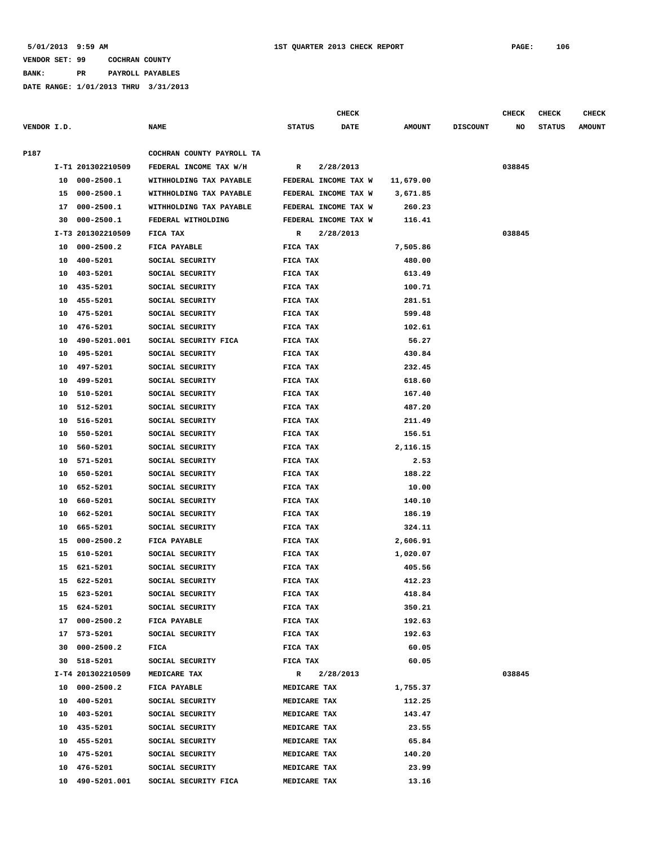# **VENDOR SET: 99 COCHRAN COUNTY BANK: PR PAYROLL PAYABLES**

|             |    |                   |                           |                      | <b>CHECK</b> |                  |                 | CHECK  | <b>CHECK</b>  | <b>CHECK</b>  |
|-------------|----|-------------------|---------------------------|----------------------|--------------|------------------|-----------------|--------|---------------|---------------|
| VENDOR I.D. |    |                   | NAME                      | <b>STATUS</b>        | <b>DATE</b>  | <b>AMOUNT</b>    | <b>DISCOUNT</b> | NO     | <b>STATUS</b> | <b>AMOUNT</b> |
| P187        |    |                   | COCHRAN COUNTY PAYROLL TA |                      |              |                  |                 |        |               |               |
|             |    | I-T1 201302210509 | FEDERAL INCOME TAX W/H    | R                    | 2/28/2013    |                  |                 | 038845 |               |               |
|             |    | 10 000-2500.1     | WITHHOLDING TAX PAYABLE   | FEDERAL INCOME TAX W |              | 11,679.00        |                 |        |               |               |
|             | 15 | 000-2500.1        | WITHHOLDING TAX PAYABLE   | FEDERAL INCOME TAX W |              | 3,671.85         |                 |        |               |               |
|             | 17 | $000 - 2500.1$    | WITHHOLDING TAX PAYABLE   | FEDERAL INCOME TAX W |              | 260.23           |                 |        |               |               |
|             | 30 | $000 - 2500.1$    | FEDERAL WITHOLDING        | FEDERAL INCOME TAX W |              | 116.41           |                 |        |               |               |
|             |    | I-T3 201302210509 | FICA TAX                  | R                    | 2/28/2013    |                  |                 | 038845 |               |               |
|             | 10 | $000 - 2500.2$    | FICA PAYABLE              | FICA TAX             |              | 7,505.86         |                 |        |               |               |
|             | 10 | 400-5201          | SOCIAL SECURITY           | FICA TAX             |              | 480.00           |                 |        |               |               |
|             | 10 | 403-5201          | SOCIAL SECURITY           | FICA TAX             |              | 613.49           |                 |        |               |               |
|             | 10 | 435-5201          | SOCIAL SECURITY           | FICA TAX             |              | 100.71           |                 |        |               |               |
|             | 10 | 455-5201          | SOCIAL SECURITY           | FICA TAX             |              | 281.51           |                 |        |               |               |
|             | 10 | 475-5201          | SOCIAL SECURITY           | FICA TAX             |              | 599.48           |                 |        |               |               |
|             | 10 | 476-5201          | SOCIAL SECURITY           | FICA TAX             |              | 102.61           |                 |        |               |               |
|             | 10 | 490-5201.001      | SOCIAL SECURITY FICA      | FICA TAX             |              | 56.27            |                 |        |               |               |
|             | 10 | 495-5201          | SOCIAL SECURITY           | FICA TAX             |              | 430.84           |                 |        |               |               |
|             | 10 | 497-5201          | SOCIAL SECURITY           | FICA TAX             |              | 232.45           |                 |        |               |               |
|             | 10 | 499-5201          | SOCIAL SECURITY           | FICA TAX             |              | 618.60           |                 |        |               |               |
|             | 10 | 510-5201          | SOCIAL SECURITY           | FICA TAX             |              | 167.40           |                 |        |               |               |
|             | 10 | 512-5201          | SOCIAL SECURITY           | FICA TAX             |              | 487.20           |                 |        |               |               |
|             | 10 | 516-5201          | SOCIAL SECURITY           | FICA TAX             |              | 211.49           |                 |        |               |               |
|             | 10 | 550-5201          | SOCIAL SECURITY           | FICA TAX             |              | 156.51           |                 |        |               |               |
|             | 10 | 560-5201          | SOCIAL SECURITY           | FICA TAX             |              | 2,116.15         |                 |        |               |               |
|             | 10 | 571-5201          | SOCIAL SECURITY           | FICA TAX             |              | 2.53             |                 |        |               |               |
|             | 10 | 650-5201          | SOCIAL SECURITY           | FICA TAX             |              | 188.22           |                 |        |               |               |
|             | 10 | 652-5201          | SOCIAL SECURITY           | FICA TAX             |              | 10.00            |                 |        |               |               |
|             | 10 | 660-5201          | SOCIAL SECURITY           | FICA TAX             |              | 140.10           |                 |        |               |               |
|             | 10 | 662-5201          | SOCIAL SECURITY           | FICA TAX             |              | 186.19           |                 |        |               |               |
|             | 10 | 665-5201          | SOCIAL SECURITY           | FICA TAX             |              | 324.11           |                 |        |               |               |
|             | 15 | $000 - 2500.2$    | FICA PAYABLE              | FICA TAX             |              | 2,606.91         |                 |        |               |               |
|             | 15 | 610-5201          | SOCIAL SECURITY           | FICA TAX             |              | 1,020.07         |                 |        |               |               |
|             | 15 | 621-5201          | SOCIAL SECURITY           | FICA TAX             |              | 405.56           |                 |        |               |               |
|             |    | 15 622-5201       | SOCIAL SECURITY           | FICA TAX             |              | 412.23           |                 |        |               |               |
|             |    | 15 623-5201       | SOCIAL SECURITY           | FICA TAX             |              | 418.84           |                 |        |               |               |
|             |    | 15 624-5201       | SOCIAL SECURITY           | FICA TAX             |              | 350.21           |                 |        |               |               |
|             |    | 17 000-2500.2     | FICA PAYABLE              | FICA TAX             |              | 192.63           |                 |        |               |               |
|             | 17 | 573-5201          | SOCIAL SECURITY           | FICA TAX             |              | 192.63           |                 |        |               |               |
|             | 30 | $000 - 2500.2$    | FICA                      | FICA TAX             |              | 60.05            |                 |        |               |               |
|             |    | 30 518-5201       | SOCIAL SECURITY           | FICA TAX             |              | 60.05            |                 |        |               |               |
|             |    | I-T4 201302210509 | MEDICARE TAX              | R                    | 2/28/2013    |                  |                 | 038845 |               |               |
|             |    | 10 000-2500.2     |                           | MEDICARE TAX         |              |                  |                 |        |               |               |
|             |    |                   | FICA PAYABLE              |                      |              | 1,755.37         |                 |        |               |               |
|             |    | 10 400-5201       | SOCIAL SECURITY           | MEDICARE TAX         |              | 112.25<br>143.47 |                 |        |               |               |
|             |    | 10 403-5201       | SOCIAL SECURITY           | MEDICARE TAX         |              |                  |                 |        |               |               |
|             |    | 10 435-5201       | SOCIAL SECURITY           | MEDICARE TAX         |              | 23.55            |                 |        |               |               |
|             |    | 10 455-5201       | SOCIAL SECURITY           | MEDICARE TAX         |              | 65.84            |                 |        |               |               |
|             |    | 10 475-5201       | SOCIAL SECURITY           | MEDICARE TAX         |              | 140.20           |                 |        |               |               |
|             |    | 10 476-5201       | SOCIAL SECURITY           | MEDICARE TAX         |              | 23.99            |                 |        |               |               |
|             |    | 10 490-5201.001   | SOCIAL SECURITY FICA      | MEDICARE TAX         |              | 13.16            |                 |        |               |               |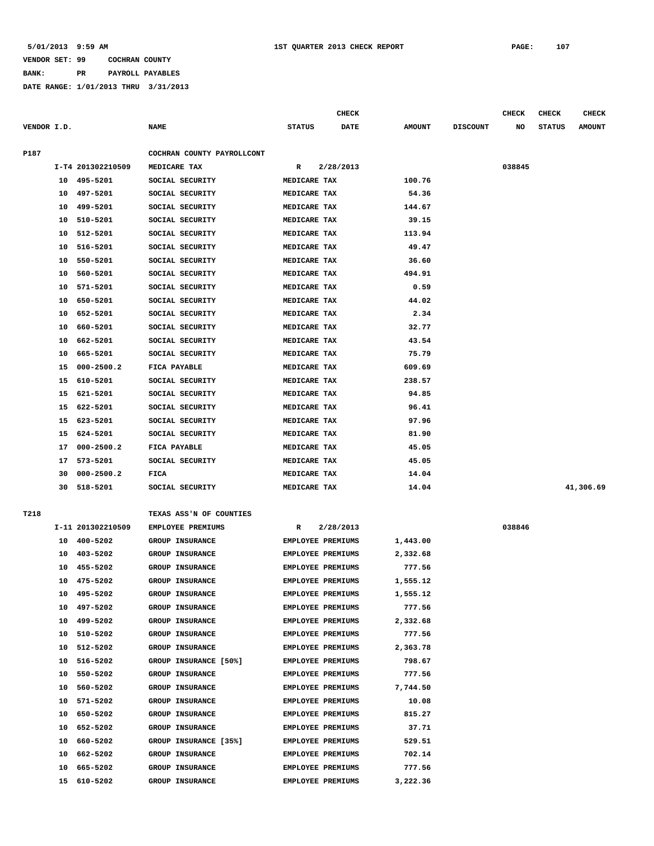**BANK: PR PAYROLL PAYABLES**

|             |    |                   |                                                     |                          | <b>CHECK</b> |               |                 | <b>CHECK</b> | <b>CHECK</b>  | <b>CHECK</b>  |
|-------------|----|-------------------|-----------------------------------------------------|--------------------------|--------------|---------------|-----------------|--------------|---------------|---------------|
| VENDOR I.D. |    |                   | <b>NAME</b>                                         | <b>STATUS</b>            | <b>DATE</b>  | <b>AMOUNT</b> | <b>DISCOUNT</b> | NO           | <b>STATUS</b> | <b>AMOUNT</b> |
|             |    |                   |                                                     |                          |              |               |                 |              |               |               |
| P187        |    |                   | COCHRAN COUNTY PAYROLLCONT                          |                          |              |               |                 |              |               |               |
|             |    | I-T4 201302210509 | MEDICARE TAX                                        | R                        | 2/28/2013    |               |                 | 038845       |               |               |
|             |    | 10 495-5201       | SOCIAL SECURITY                                     | MEDICARE TAX             |              | 100.76        |                 |              |               |               |
|             | 10 | 497-5201          | SOCIAL SECURITY                                     | MEDICARE TAX             |              | 54.36         |                 |              |               |               |
|             | 10 | 499-5201          | SOCIAL SECURITY                                     | MEDICARE TAX             |              | 144.67        |                 |              |               |               |
|             | 10 | 510-5201          | SOCIAL SECURITY                                     | MEDICARE TAX             |              | 39.15         |                 |              |               |               |
|             | 10 | 512-5201          | SOCIAL SECURITY                                     | MEDICARE TAX             |              | 113.94        |                 |              |               |               |
|             | 10 | 516-5201          | SOCIAL SECURITY                                     | MEDICARE TAX             |              | 49.47         |                 |              |               |               |
|             | 10 | 550-5201          | SOCIAL SECURITY                                     | MEDICARE TAX             |              | 36.60         |                 |              |               |               |
|             | 10 | 560-5201          | SOCIAL SECURITY                                     | MEDICARE TAX             |              | 494.91        |                 |              |               |               |
|             | 10 | 571-5201          | SOCIAL SECURITY                                     | MEDICARE TAX             |              | 0.59          |                 |              |               |               |
|             | 10 | 650-5201          | SOCIAL SECURITY                                     | MEDICARE TAX             |              | 44.02         |                 |              |               |               |
|             | 10 | 652-5201          | SOCIAL SECURITY                                     | MEDICARE TAX             |              | 2.34          |                 |              |               |               |
|             | 10 | 660-5201          | SOCIAL SECURITY                                     | MEDICARE TAX             |              | 32.77         |                 |              |               |               |
|             | 10 | 662-5201          | SOCIAL SECURITY                                     | MEDICARE TAX             |              | 43.54         |                 |              |               |               |
|             | 10 | 665-5201          | SOCIAL SECURITY                                     | MEDICARE TAX             |              | 75.79         |                 |              |               |               |
|             | 15 | $000 - 2500.2$    | FICA PAYABLE                                        | MEDICARE TAX             |              | 609.69        |                 |              |               |               |
|             | 15 | 610-5201          | SOCIAL SECURITY                                     | MEDICARE TAX             |              | 238.57        |                 |              |               |               |
|             | 15 | 621-5201          | SOCIAL SECURITY                                     | MEDICARE TAX             |              | 94.85         |                 |              |               |               |
|             | 15 | 622-5201          | SOCIAL SECURITY                                     | MEDICARE TAX             |              | 96.41         |                 |              |               |               |
|             | 15 | 623-5201          | SOCIAL SECURITY                                     | MEDICARE TAX             |              | 97.96         |                 |              |               |               |
|             | 15 | 624-5201          | SOCIAL SECURITY                                     | MEDICARE TAX             |              | 81.90         |                 |              |               |               |
|             | 17 | $000 - 2500.2$    | FICA PAYABLE                                        | MEDICARE TAX             |              | 45.05         |                 |              |               |               |
|             | 17 | 573-5201          | SOCIAL SECURITY                                     | MEDICARE TAX             |              | 45.05         |                 |              |               |               |
|             | 30 | $000 - 2500.2$    | FICA                                                | MEDICARE TAX             |              | 14.04         |                 |              |               |               |
|             | 30 | 518-5201          | SOCIAL SECURITY                                     | MEDICARE TAX             |              | 14.04         |                 |              |               | 41,306.69     |
| T218        |    |                   |                                                     |                          |              |               |                 |              |               |               |
|             |    | I-11 201302210509 | TEXAS ASS'N OF COUNTIES<br><b>EMPLOYEE PREMIUMS</b> | R                        | 2/28/2013    |               |                 | 038846       |               |               |
|             | 10 | 400-5202          | <b>GROUP INSURANCE</b>                              | EMPLOYEE PREMIUMS        |              | 1,443.00      |                 |              |               |               |
|             | 10 | 403-5202          | GROUP INSURANCE                                     | EMPLOYEE PREMIUMS        |              | 2,332.68      |                 |              |               |               |
|             | 10 | 455-5202          | <b>GROUP INSURANCE</b>                              | <b>EMPLOYEE PREMIUMS</b> |              | 777.56        |                 |              |               |               |
|             | 10 | 475-5202          | <b>GROUP INSURANCE</b>                              | EMPLOYEE PREMIUMS        |              | 1,555.12      |                 |              |               |               |
|             | 10 | 495-5202          | <b>GROUP INSURANCE</b>                              | EMPLOYEE PREMIUMS        |              | 1,555.12      |                 |              |               |               |
|             | 10 | 497-5202          | GROUP INSURANCE                                     | <b>EMPLOYEE PREMIUMS</b> |              | 777.56        |                 |              |               |               |
|             | 10 | 499-5202          | <b>GROUP INSURANCE</b>                              | EMPLOYEE PREMIUMS        |              | 2,332.68      |                 |              |               |               |
|             | 10 | 510-5202          | GROUP INSURANCE                                     | EMPLOYEE PREMIUMS        |              | 777.56        |                 |              |               |               |
|             | 10 | 512-5202          | <b>GROUP INSURANCE</b>                              | EMPLOYEE PREMIUMS        |              | 2,363.78      |                 |              |               |               |
|             | 10 | 516-5202          | GROUP INSURANCE [50%]                               | EMPLOYEE PREMIUMS        |              | 798.67        |                 |              |               |               |
|             | 10 | 550-5202          | GROUP INSURANCE                                     | EMPLOYEE PREMIUMS        |              | 777.56        |                 |              |               |               |
|             | 10 | 560-5202          | GROUP INSURANCE                                     | EMPLOYEE PREMIUMS        |              | 7,744.50      |                 |              |               |               |
|             | 10 | 571-5202          | GROUP INSURANCE                                     | EMPLOYEE PREMIUMS        |              | 10.08         |                 |              |               |               |
|             | 10 | 650-5202          | GROUP INSURANCE                                     | EMPLOYEE PREMIUMS        |              | 815.27        |                 |              |               |               |
|             | 10 | 652-5202          | GROUP INSURANCE                                     | EMPLOYEE PREMIUMS        |              | 37.71         |                 |              |               |               |
|             | 10 | 660-5202          | GROUP INSURANCE [35%]                               | EMPLOYEE PREMIUMS        |              | 529.51        |                 |              |               |               |
|             | 10 | 662-5202          | GROUP INSURANCE                                     | EMPLOYEE PREMIUMS        |              | 702.14        |                 |              |               |               |
|             | 10 | 665-5202          | GROUP INSURANCE                                     | EMPLOYEE PREMIUMS        |              | 777.56        |                 |              |               |               |
|             | 15 | 610-5202          | GROUP INSURANCE                                     | EMPLOYEE PREMIUMS        |              | 3,222.36      |                 |              |               |               |
|             |    |                   |                                                     |                          |              |               |                 |              |               |               |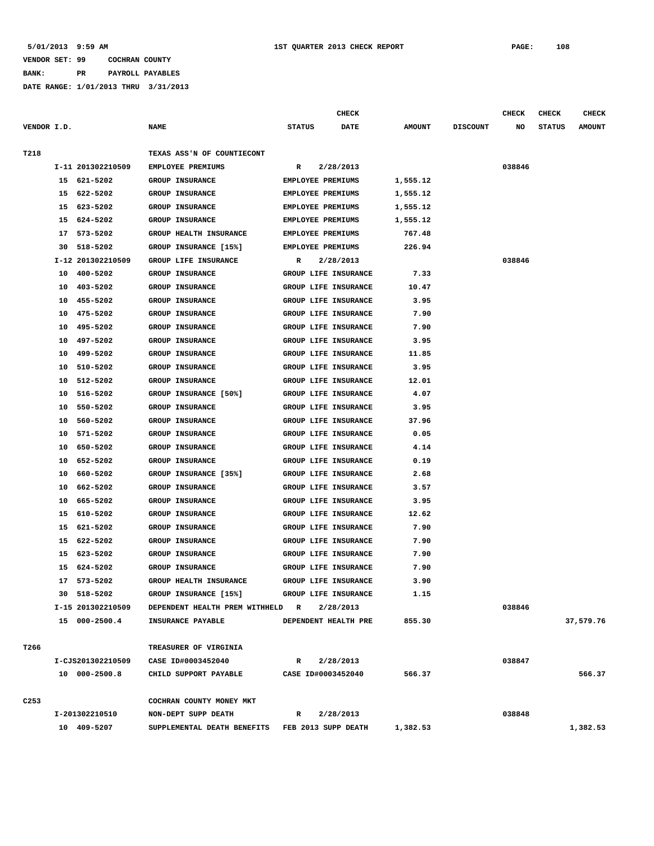## **VENDOR SET: 99 COCHRAN COUNTY BANK: PR PAYROLL PAYABLES**

|                   |                                                 | <b>CHECK</b>                 |               |                 | <b>CHECK</b> | <b>CHECK</b>  | <b>CHECK</b>  |
|-------------------|-------------------------------------------------|------------------------------|---------------|-----------------|--------------|---------------|---------------|
| VENDOR I.D.       | <b>NAME</b>                                     | <b>STATUS</b><br><b>DATE</b> | <b>AMOUNT</b> | <b>DISCOUNT</b> | NO           | <b>STATUS</b> | <b>AMOUNT</b> |
|                   |                                                 |                              |               |                 |              |               |               |
| T218              | TEXAS ASS'N OF COUNTIECONT                      |                              |               |                 |              |               |               |
| I-11 201302210509 | EMPLOYEE PREMIUMS                               | 2/28/2013<br>R               |               |                 | 038846       |               |               |
| 15 621-5202       | GROUP INSURANCE                                 | EMPLOYEE PREMIUMS            | 1,555.12      |                 |              |               |               |
| 622-5202<br>15    | <b>GROUP INSURANCE</b>                          | EMPLOYEE PREMIUMS            | 1,555.12      |                 |              |               |               |
| 15<br>623-5202    | <b>GROUP INSURANCE</b>                          | EMPLOYEE PREMIUMS            | 1,555.12      |                 |              |               |               |
| 624-5202<br>15    | <b>GROUP INSURANCE</b>                          | EMPLOYEE PREMIUMS            | 1,555.12      |                 |              |               |               |
| 573-5202<br>17    | GROUP HEALTH INSURANCE                          | <b>EMPLOYEE PREMIUMS</b>     | 767.48        |                 |              |               |               |
| 518-5202<br>30    | GROUP INSURANCE [15%]                           | EMPLOYEE PREMIUMS            | 226.94        |                 |              |               |               |
| I-12 201302210509 | GROUP LIFE INSURANCE                            | 2/28/2013<br>R               |               |                 | 038846       |               |               |
| 400-5202<br>10    | <b>GROUP INSURANCE</b>                          | <b>GROUP LIFE INSURANCE</b>  | 7.33          |                 |              |               |               |
| 403-5202<br>10    | <b>GROUP INSURANCE</b>                          | GROUP LIFE INSURANCE         | 10.47         |                 |              |               |               |
| 455-5202<br>10    | GROUP INSURANCE                                 | GROUP LIFE INSURANCE         | 3.95          |                 |              |               |               |
| 10<br>475-5202    | <b>GROUP INSURANCE</b>                          | GROUP LIFE INSURANCE         | 7.90          |                 |              |               |               |
| 495-5202<br>10    | GROUP INSURANCE                                 | GROUP LIFE INSURANCE         | 7.90          |                 |              |               |               |
| 497-5202<br>10    | GROUP INSURANCE                                 | GROUP LIFE INSURANCE         | 3.95          |                 |              |               |               |
| 499-5202<br>10    | <b>GROUP INSURANCE</b>                          | GROUP LIFE INSURANCE         | 11.85         |                 |              |               |               |
| 510-5202<br>10    | <b>GROUP INSURANCE</b>                          | GROUP LIFE INSURANCE         | 3.95          |                 |              |               |               |
| 512-5202<br>10    | <b>GROUP INSURANCE</b>                          | GROUP LIFE INSURANCE         | 12.01         |                 |              |               |               |
| 10<br>516-5202    | GROUP INSURANCE [50%]                           | GROUP LIFE INSURANCE         | 4.07          |                 |              |               |               |
| 550-5202<br>10    | <b>GROUP INSURANCE</b>                          | GROUP LIFE INSURANCE         | 3.95          |                 |              |               |               |
| 560-5202<br>10    | <b>GROUP INSURANCE</b>                          | GROUP LIFE INSURANCE         | 37.96         |                 |              |               |               |
| 571-5202<br>10    | <b>GROUP INSURANCE</b>                          | GROUP LIFE INSURANCE         | 0.05          |                 |              |               |               |
| 10<br>650-5202    | <b>GROUP INSURANCE</b>                          | GROUP LIFE INSURANCE         | 4.14          |                 |              |               |               |
| 652-5202<br>10    | GROUP INSURANCE                                 | GROUP LIFE INSURANCE         | 0.19          |                 |              |               |               |
| 10<br>660-5202    | GROUP INSURANCE [35%]                           | GROUP LIFE INSURANCE         | 2.68          |                 |              |               |               |
| 662-5202<br>10    | <b>GROUP INSURANCE</b>                          | GROUP LIFE INSURANCE         | 3.57          |                 |              |               |               |
| 665-5202<br>10    | GROUP INSURANCE                                 | GROUP LIFE INSURANCE         | 3.95          |                 |              |               |               |
| 610-5202<br>15    | <b>GROUP INSURANCE</b>                          | <b>GROUP LIFE INSURANCE</b>  | 12.62         |                 |              |               |               |
| 621-5202<br>15    | <b>GROUP INSURANCE</b>                          | GROUP LIFE INSURANCE         | 7.90          |                 |              |               |               |
| 622-5202<br>15    | GROUP INSURANCE                                 | GROUP LIFE INSURANCE         | 7.90          |                 |              |               |               |
| 15<br>623-5202    | <b>GROUP INSURANCE</b>                          | GROUP LIFE INSURANCE         | 7.90          |                 |              |               |               |
| 15<br>624-5202    | <b>GROUP INSURANCE</b>                          | GROUP LIFE INSURANCE         | 7.90          |                 |              |               |               |
| 17<br>573-5202    | GROUP HEALTH INSURANCE                          | GROUP LIFE INSURANCE         | 3.90          |                 |              |               |               |
| 30 518-5202       | GROUP INSURANCE [15%]                           | GROUP LIFE INSURANCE         | 1.15          |                 |              |               |               |
| I-15 201302210509 | DEPENDENT HEALTH PREM WITHHELD R                | 2/28/2013                    |               |                 | 038846       |               |               |
| 15 000-2500.4     | INSURANCE PAYABLE                               | DEPENDENT HEALTH PRE         | 855.30        |                 |              |               | 37,579.76     |
|                   |                                                 |                              |               |                 |              |               |               |
| T266              | TREASURER OF VIRGINIA                           |                              |               |                 |              |               |               |
| I-CJS201302210509 | CASE ID#0003452040                              | 2/28/2013<br>$\mathbf{R}$    |               |                 | 038847       |               |               |
| 10 000-2500.8     | CHILD SUPPORT PAYABLE                           | CASE ID#0003452040           | 566.37        |                 |              |               | 566.37        |
|                   |                                                 |                              |               |                 |              |               |               |
| C <sub>253</sub>  | COCHRAN COUNTY MONEY MKT                        |                              |               |                 |              |               |               |
| I-201302210510    | NON-DEPT SUPP DEATH                             | 2/28/2013<br>R               |               |                 | 038848       |               |               |
| 10 409-5207       | SUPPLEMENTAL DEATH BENEFITS FEB 2013 SUPP DEATH |                              | 1,382.53      |                 |              |               | 1,382.53      |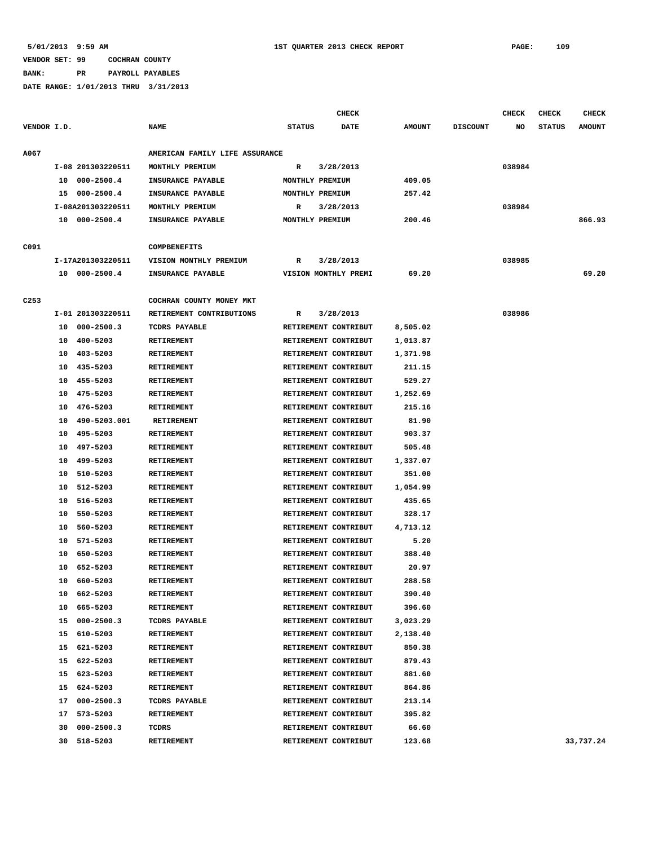**5/01/2013 9:59 AM 1ST QUARTER 2013 CHECK REPORT PAGE: 109**

## **VENDOR SET: 99 COCHRAN COUNTY**

**BANK: PR PAYROLL PAYABLES**

|                  |    |                   |                                |               | <b>CHECK</b>         |               |                 | CHECK  | <b>CHECK</b>  | <b>CHECK</b>  |
|------------------|----|-------------------|--------------------------------|---------------|----------------------|---------------|-----------------|--------|---------------|---------------|
| VENDOR I.D.      |    |                   | <b>NAME</b>                    | <b>STATUS</b> | <b>DATE</b>          | <b>AMOUNT</b> | <b>DISCOUNT</b> | NO     | <b>STATUS</b> | <b>AMOUNT</b> |
| A067             |    |                   | AMERICAN FAMILY LIFE ASSURANCE |               |                      |               |                 |        |               |               |
|                  |    | I-08 201303220511 | MONTHLY PREMIUM                | R             | 3/28/2013            |               |                 | 038984 |               |               |
|                  | 10 | $000 - 2500.4$    | INSURANCE PAYABLE              |               | MONTHLY PREMIUM      | 409.05        |                 |        |               |               |
|                  | 15 | $000 - 2500.4$    | INSURANCE PAYABLE              |               | MONTHLY PREMIUM      | 257.42        |                 |        |               |               |
|                  |    | I-08A201303220511 | MONTHLY PREMIUM                | R             | 3/28/2013            |               |                 | 038984 |               |               |
|                  |    | 10 000-2500.4     | INSURANCE PAYABLE              |               | MONTHLY PREMIUM      | 200.46        |                 |        |               | 866.93        |
|                  |    |                   |                                |               |                      |               |                 |        |               |               |
| C091             |    |                   | <b>COMPBENEFITS</b>            |               |                      |               |                 |        |               |               |
|                  |    | I-17A201303220511 | VISION MONTHLY PREMIUM         | R             | 3/28/2013            |               |                 | 038985 |               |               |
|                  |    | 10 000-2500.4     | INSURANCE PAYABLE              |               | VISION MONTHLY PREMI | 69.20         |                 |        |               | 69.20         |
| C <sub>253</sub> |    |                   | COCHRAN COUNTY MONEY MKT       |               |                      |               |                 |        |               |               |
|                  |    | I-01 201303220511 | RETIREMENT CONTRIBUTIONS       | R             | 3/28/2013            |               |                 | 038986 |               |               |
|                  | 10 | $000 - 2500.3$    | <b>TCDRS PAYABLE</b>           |               | RETIREMENT CONTRIBUT | 8,505.02      |                 |        |               |               |
|                  | 10 | 400-5203          | <b>RETIREMENT</b>              |               | RETIREMENT CONTRIBUT | 1,013.87      |                 |        |               |               |
|                  | 10 | 403-5203          | <b>RETIREMENT</b>              |               | RETIREMENT CONTRIBUT | 1,371.98      |                 |        |               |               |
|                  | 10 | 435-5203          | RETIREMENT                     |               | RETIREMENT CONTRIBUT | 211.15        |                 |        |               |               |
|                  | 10 | 455-5203          | <b>RETIREMENT</b>              |               | RETIREMENT CONTRIBUT | 529.27        |                 |        |               |               |
|                  | 10 | 475-5203          | RETIREMENT                     |               | RETIREMENT CONTRIBUT | 1,252.69      |                 |        |               |               |
|                  | 10 | 476-5203          | RETIREMENT                     |               | RETIREMENT CONTRIBUT | 215.16        |                 |        |               |               |
|                  | 10 | 490-5203.001      | <b>RETIREMENT</b>              |               | RETIREMENT CONTRIBUT | 81.90         |                 |        |               |               |
|                  | 10 | 495-5203          | <b>RETIREMENT</b>              |               | RETIREMENT CONTRIBUT | 903.37        |                 |        |               |               |
|                  | 10 | 497-5203          | RETIREMENT                     |               | RETIREMENT CONTRIBUT | 505.48        |                 |        |               |               |
|                  | 10 | 499-5203          | RETIREMENT                     |               | RETIREMENT CONTRIBUT | 1,337.07      |                 |        |               |               |
|                  | 10 | 510-5203          | RETIREMENT                     |               | RETIREMENT CONTRIBUT | 351.00        |                 |        |               |               |
|                  | 10 | 512-5203          | RETIREMENT                     |               | RETIREMENT CONTRIBUT | 1,054.99      |                 |        |               |               |
|                  | 10 | 516-5203          | <b>RETIREMENT</b>              |               | RETIREMENT CONTRIBUT | 435.65        |                 |        |               |               |
|                  | 10 | 550-5203          | RETIREMENT                     |               | RETIREMENT CONTRIBUT | 328.17        |                 |        |               |               |
|                  | 10 | 560-5203          | RETIREMENT                     |               | RETIREMENT CONTRIBUT | 4,713.12      |                 |        |               |               |
|                  | 10 | 571-5203          | <b>RETIREMENT</b>              |               | RETIREMENT CONTRIBUT | 5.20          |                 |        |               |               |
|                  | 10 | 650-5203          | <b>RETIREMENT</b>              |               | RETIREMENT CONTRIBUT | 388.40        |                 |        |               |               |
|                  | 10 | 652-5203          | <b>RETIREMENT</b>              |               | RETIREMENT CONTRIBUT | 20.97         |                 |        |               |               |
|                  | 10 | 660-5203          | <b>RETIREMENT</b>              |               | RETIREMENT CONTRIBUT | 288.58        |                 |        |               |               |
|                  | 10 | 662-5203          | RETIREMENT                     |               | RETIREMENT CONTRIBUT | 390.40        |                 |        |               |               |
|                  |    | 10 665-5203       | RETIREMENT                     |               | RETIREMENT CONTRIBUT | 396.60        |                 |        |               |               |
|                  | 15 | $000 - 2500.3$    | TCDRS PAYABLE                  |               | RETIREMENT CONTRIBUT | 3,023.29      |                 |        |               |               |
|                  | 15 | 610-5203          | RETIREMENT                     |               | RETIREMENT CONTRIBUT | 2,138.40      |                 |        |               |               |
|                  | 15 | 621-5203          | RETIREMENT                     |               | RETIREMENT CONTRIBUT | 850.38        |                 |        |               |               |
|                  | 15 | 622-5203          | RETIREMENT                     |               | RETIREMENT CONTRIBUT | 879.43        |                 |        |               |               |
|                  | 15 | 623-5203          | RETIREMENT                     |               | RETIREMENT CONTRIBUT | 881.60        |                 |        |               |               |
|                  | 15 | 624-5203          | RETIREMENT                     |               | RETIREMENT CONTRIBUT | 864.86        |                 |        |               |               |
|                  | 17 | $000 - 2500.3$    | TCDRS PAYABLE                  |               | RETIREMENT CONTRIBUT | 213.14        |                 |        |               |               |
|                  | 17 | 573-5203          | RETIREMENT                     |               | RETIREMENT CONTRIBUT | 395.82        |                 |        |               |               |
|                  | 30 | $000 - 2500.3$    | TCDRS                          |               | RETIREMENT CONTRIBUT | 66.60         |                 |        |               |               |
|                  |    | 30 518-5203       | RETIREMENT                     |               | RETIREMENT CONTRIBUT | 123.68        |                 |        |               | 33,737.24     |
|                  |    |                   |                                |               |                      |               |                 |        |               |               |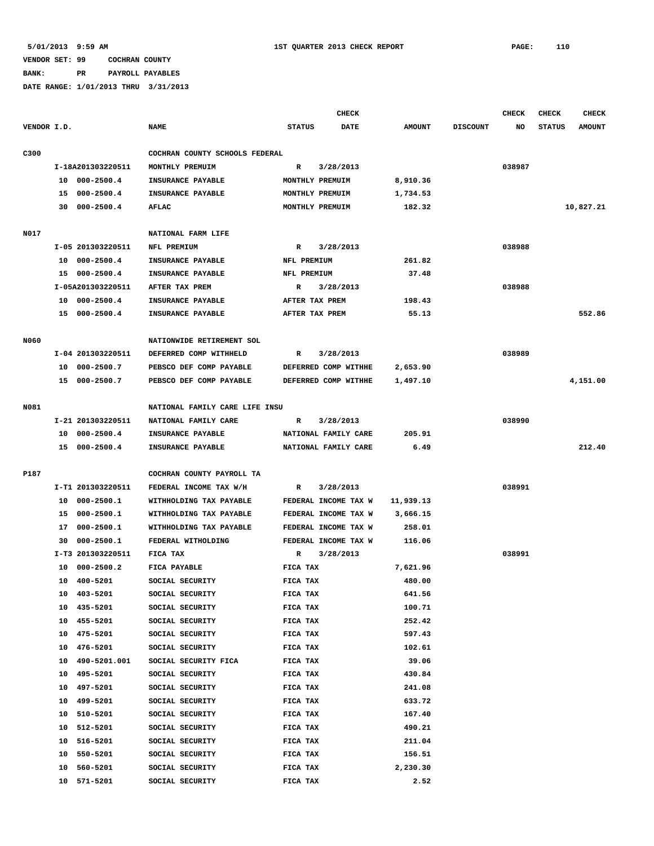**BANK: PR PAYROLL PAYABLES**

|             |    |                   |                                |                | CHECK                |               |                 | <b>CHECK</b> | CHECK         | <b>CHECK</b>  |
|-------------|----|-------------------|--------------------------------|----------------|----------------------|---------------|-----------------|--------------|---------------|---------------|
| VENDOR I.D. |    |                   | <b>NAME</b>                    | <b>STATUS</b>  | DATE                 | <b>AMOUNT</b> | <b>DISCOUNT</b> | NO           | <b>STATUS</b> | <b>AMOUNT</b> |
| C300        |    |                   | COCHRAN COUNTY SCHOOLS FEDERAL |                |                      |               |                 |              |               |               |
|             |    | I-18A201303220511 | MONTHLY PREMUIM                | R              | 3/28/2013            |               |                 | 038987       |               |               |
|             |    | 10 000-2500.4     | INSURANCE PAYABLE              |                | MONTHLY PREMUIM      | 8,910.36      |                 |              |               |               |
|             | 15 | $000 - 2500.4$    | INSURANCE PAYABLE              |                | MONTHLY PREMUIM      | 1,734.53      |                 |              |               |               |
|             |    | 30 000-2500.4     | AFLAC                          |                | MONTHLY PREMUIM      | 182.32        |                 |              |               | 10,827.21     |
|             |    |                   |                                |                |                      |               |                 |              |               |               |
| N017        |    |                   | NATIONAL FARM LIFE             |                |                      |               |                 |              |               |               |
|             |    | I-05 201303220511 | NFL PREMIUM                    | R              | 3/28/2013            |               |                 | 038988       |               |               |
|             | 10 | $000 - 2500.4$    | INSURANCE PAYABLE              | NFL PREMIUM    |                      | 261.82        |                 |              |               |               |
|             |    | 15 000-2500.4     | INSURANCE PAYABLE              | NFL PREMIUM    |                      | 37.48         |                 |              |               |               |
|             |    | I-05A201303220511 | AFTER TAX PREM                 | R              | 3/28/2013            |               |                 | 038988       |               |               |
|             |    | 10 000-2500.4     | INSURANCE PAYABLE              | AFTER TAX PREM |                      | 198.43        |                 |              |               |               |
|             |    | 15 000-2500.4     | INSURANCE PAYABLE              | AFTER TAX PREM |                      | 55.13         |                 |              |               | 552.86        |
|             |    |                   |                                |                |                      |               |                 |              |               |               |
| N060        |    |                   | NATIONWIDE RETIREMENT SOL      |                |                      |               |                 |              |               |               |
|             |    | I-04 201303220511 | DEFERRED COMP WITHHELD         | R              | 3/28/2013            |               |                 | 038989       |               |               |
|             |    | 10 000-2500.7     | PEBSCO DEF COMP PAYABLE        |                | DEFERRED COMP WITHHE | 2,653.90      |                 |              |               |               |
|             |    | 15 000-2500.7     | PEBSCO DEF COMP PAYABLE        |                | DEFERRED COMP WITHHE | 1,497.10      |                 |              |               | 4,151.00      |
|             |    |                   |                                |                |                      |               |                 |              |               |               |
| N081        |    |                   | NATIONAL FAMILY CARE LIFE INSU |                |                      |               |                 |              |               |               |
|             |    | I-21 201303220511 | NATIONAL FAMILY CARE           | R              | 3/28/2013            |               |                 | 038990       |               |               |
|             |    | 10 000-2500.4     | INSURANCE PAYABLE              |                | NATIONAL FAMILY CARE | 205.91        |                 |              |               | 212.40        |
|             |    | 15 000-2500.4     | INSURANCE PAYABLE              |                | NATIONAL FAMILY CARE | 6.49          |                 |              |               |               |
| P187        |    |                   | COCHRAN COUNTY PAYROLL TA      |                |                      |               |                 |              |               |               |
|             |    | I-T1 201303220511 | FEDERAL INCOME TAX W/H         | R              | 3/28/2013            |               |                 | 038991       |               |               |
|             |    | 10 000-2500.1     | WITHHOLDING TAX PAYABLE        |                | FEDERAL INCOME TAX W | 11,939.13     |                 |              |               |               |
|             | 15 | 000-2500.1        | WITHHOLDING TAX PAYABLE        |                | FEDERAL INCOME TAX W | 3,666.15      |                 |              |               |               |
|             | 17 | $000 - 2500.1$    | WITHHOLDING TAX PAYABLE        |                | FEDERAL INCOME TAX W | 258.01        |                 |              |               |               |
|             | 30 | 000-2500.1        | FEDERAL WITHOLDING             |                | FEDERAL INCOME TAX W | 116.06        |                 |              |               |               |
|             |    | I-T3 201303220511 | FICA TAX                       | R              | 3/28/2013            |               |                 | 038991       |               |               |
|             | 10 | $000 - 2500.2$    | FICA PAYABLE                   | FICA TAX       |                      | 7,621.96      |                 |              |               |               |
|             |    | 10 400-5201       | SOCIAL SECURITY                | FICA TAX       |                      | 480.00        |                 |              |               |               |
|             | 10 | 403-5201          | SOCIAL SECURITY                | FICA TAX       |                      | 641.56        |                 |              |               |               |
|             | 10 | 435-5201          | SOCIAL SECURITY                | FICA TAX       |                      | 100.71        |                 |              |               |               |
|             | 10 | 455-5201          | SOCIAL SECURITY                | FICA TAX       |                      | 252.42        |                 |              |               |               |
|             | 10 | 475-5201          | SOCIAL SECURITY                | FICA TAX       |                      | 597.43        |                 |              |               |               |
|             | 10 | 476-5201          | SOCIAL SECURITY                | FICA TAX       |                      | 102.61        |                 |              |               |               |
|             | 10 | 490-5201.001      | SOCIAL SECURITY FICA           | FICA TAX       |                      | 39.06         |                 |              |               |               |
|             | 10 | 495-5201          | SOCIAL SECURITY                | FICA TAX       |                      | 430.84        |                 |              |               |               |
|             | 10 | 497-5201          | SOCIAL SECURITY                | FICA TAX       |                      | 241.08        |                 |              |               |               |
|             | 10 | 499-5201          | SOCIAL SECURITY                | FICA TAX       |                      | 633.72        |                 |              |               |               |
|             | 10 | 510-5201          | SOCIAL SECURITY                | FICA TAX       |                      | 167.40        |                 |              |               |               |
|             | 10 | 512-5201          | SOCIAL SECURITY                | FICA TAX       |                      | 490.21        |                 |              |               |               |
|             | 10 | 516-5201          | SOCIAL SECURITY                | FICA TAX       |                      | 211.04        |                 |              |               |               |
|             | 10 | 550-5201          | SOCIAL SECURITY                | FICA TAX       |                      | 156.51        |                 |              |               |               |
|             | 10 | 560-5201          | SOCIAL SECURITY                | FICA TAX       |                      | 2,230.30      |                 |              |               |               |
|             | 10 | 571-5201          | SOCIAL SECURITY                | FICA TAX       |                      | 2.52          |                 |              |               |               |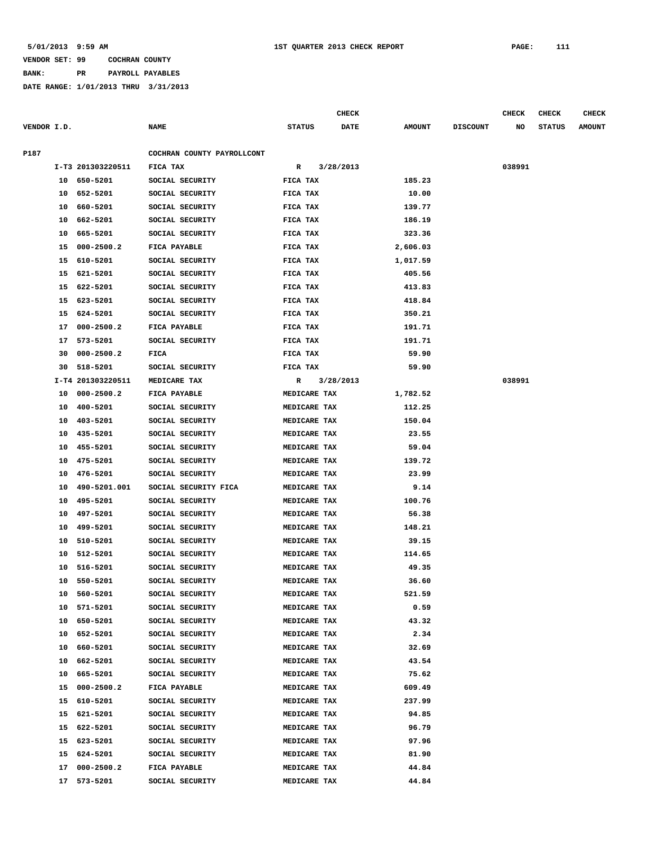**BANK: PR PAYROLL PAYABLES**

|             |    |                            |                            |               | <b>CHECK</b> |               |                 | <b>CHECK</b> | <b>CHECK</b>  | <b>CHECK</b>  |
|-------------|----|----------------------------|----------------------------|---------------|--------------|---------------|-----------------|--------------|---------------|---------------|
| VENDOR I.D. |    |                            | <b>NAME</b>                | <b>STATUS</b> | <b>DATE</b>  | <b>AMOUNT</b> | <b>DISCOUNT</b> | NO           | <b>STATUS</b> | <b>AMOUNT</b> |
| P187        |    |                            | COCHRAN COUNTY PAYROLLCONT |               |              |               |                 |              |               |               |
|             |    | I-T3 201303220511          | FICA TAX                   | $\mathbf{R}$  | 3/28/2013    |               |                 | 038991       |               |               |
|             |    | 10 650-5201                | SOCIAL SECURITY            | FICA TAX      |              | 185.23        |                 |              |               |               |
|             |    | 10 652-5201                | SOCIAL SECURITY            | FICA TAX      |              | 10.00         |                 |              |               |               |
|             | 10 | 660-5201                   | SOCIAL SECURITY            | FICA TAX      |              | 139.77        |                 |              |               |               |
|             | 10 | 662-5201                   | SOCIAL SECURITY            | FICA TAX      |              | 186.19        |                 |              |               |               |
|             | 10 | 665-5201                   | SOCIAL SECURITY            | FICA TAX      |              | 323.36        |                 |              |               |               |
|             |    | 15 000-2500.2              | FICA PAYABLE               | FICA TAX      |              | 2,606.03      |                 |              |               |               |
|             | 15 | 610-5201                   | SOCIAL SECURITY            | FICA TAX      |              | 1,017.59      |                 |              |               |               |
|             | 15 | 621-5201                   | SOCIAL SECURITY            | FICA TAX      |              | 405.56        |                 |              |               |               |
|             | 15 | 622-5201                   | SOCIAL SECURITY            | FICA TAX      |              | 413.83        |                 |              |               |               |
|             |    | 623-5201                   | SOCIAL SECURITY            | FICA TAX      |              | 418.84        |                 |              |               |               |
|             | 15 |                            | SOCIAL SECURITY            |               |              | 350.21        |                 |              |               |               |
|             | 15 | 624-5201<br>$000 - 2500.2$ |                            | FICA TAX      |              |               |                 |              |               |               |
|             | 17 |                            | FICA PAYABLE               | FICA TAX      |              | 191.71        |                 |              |               |               |
|             | 17 | 573-5201                   | SOCIAL SECURITY            | FICA TAX      |              | 191.71        |                 |              |               |               |
|             | 30 | $000 - 2500.2$             | FICA                       | FICA TAX      |              | 59.90         |                 |              |               |               |
|             | 30 | 518-5201                   | SOCIAL SECURITY            | FICA TAX      |              | 59.90         |                 |              |               |               |
|             |    | I-T4 201303220511          | MEDICARE TAX               | R             | 3/28/2013    |               |                 | 038991       |               |               |
|             | 10 | $000 - 2500.2$             | FICA PAYABLE               | MEDICARE TAX  |              | 1,782.52      |                 |              |               |               |
|             | 10 | 400-5201                   | SOCIAL SECURITY            | MEDICARE TAX  |              | 112.25        |                 |              |               |               |
|             | 10 | 403-5201                   | SOCIAL SECURITY            | MEDICARE TAX  |              | 150.04        |                 |              |               |               |
|             | 10 | 435-5201                   | SOCIAL SECURITY            | MEDICARE TAX  |              | 23.55         |                 |              |               |               |
|             | 10 | 455-5201                   | SOCIAL SECURITY            | MEDICARE TAX  |              | 59.04         |                 |              |               |               |
|             | 10 | 475-5201                   | SOCIAL SECURITY            | MEDICARE TAX  |              | 139.72        |                 |              |               |               |
|             | 10 | 476-5201                   | SOCIAL SECURITY            | MEDICARE TAX  |              | 23.99         |                 |              |               |               |
|             | 10 | 490-5201.001               | SOCIAL SECURITY FICA       | MEDICARE TAX  |              | 9.14          |                 |              |               |               |
|             | 10 | 495-5201                   | SOCIAL SECURITY            | MEDICARE TAX  |              | 100.76        |                 |              |               |               |
|             | 10 | 497-5201                   | SOCIAL SECURITY            | MEDICARE TAX  |              | 56.38         |                 |              |               |               |
|             | 10 | 499-5201                   | SOCIAL SECURITY            | MEDICARE TAX  |              | 148.21        |                 |              |               |               |
|             | 10 | 510-5201                   | SOCIAL SECURITY            | MEDICARE TAX  |              | 39.15         |                 |              |               |               |
|             | 10 | 512-5201                   | SOCIAL SECURITY            | MEDICARE TAX  |              | 114.65        |                 |              |               |               |
|             | 10 | 516-5201                   | SOCIAL SECURITY            | MEDICARE TAX  |              | 49.35         |                 |              |               |               |
|             |    | 10 550-5201                | SOCIAL SECURITY            | MEDICARE TAX  |              | 36.60         |                 |              |               |               |
|             |    | 10 560-5201                | SOCIAL SECURITY            | MEDICARE TAX  |              | 521.59        |                 |              |               |               |
|             |    | 10 571-5201                | SOCIAL SECURITY            | MEDICARE TAX  |              | 0.59          |                 |              |               |               |
|             |    | 10 650-5201                | SOCIAL SECURITY            | MEDICARE TAX  |              | 43.32         |                 |              |               |               |
|             |    | 10 652-5201                | SOCIAL SECURITY            | MEDICARE TAX  |              | 2.34          |                 |              |               |               |
|             |    | 10 660-5201                | SOCIAL SECURITY            | MEDICARE TAX  |              | 32.69         |                 |              |               |               |
|             |    | 10 662-5201                | SOCIAL SECURITY            | MEDICARE TAX  |              | 43.54         |                 |              |               |               |
|             |    | 10 665-5201                | SOCIAL SECURITY            | MEDICARE TAX  |              | 75.62         |                 |              |               |               |
|             |    | 15 000-2500.2              | FICA PAYABLE               | MEDICARE TAX  |              | 609.49        |                 |              |               |               |
|             |    | 15 610-5201                | SOCIAL SECURITY            | MEDICARE TAX  |              | 237.99        |                 |              |               |               |
|             |    | 15 621-5201                | SOCIAL SECURITY            | MEDICARE TAX  |              | 94.85         |                 |              |               |               |
|             |    | 15 622-5201                | SOCIAL SECURITY            | MEDICARE TAX  |              | 96.79         |                 |              |               |               |
|             |    | 15 623-5201                | SOCIAL SECURITY            | MEDICARE TAX  |              | 97.96         |                 |              |               |               |
|             |    | 15 624-5201                | SOCIAL SECURITY            | MEDICARE TAX  |              | 81.90         |                 |              |               |               |
|             |    | 17 000-2500.2              | FICA PAYABLE               | MEDICARE TAX  |              | 44.84         |                 |              |               |               |
|             |    | 17 573-5201                | SOCIAL SECURITY            | MEDICARE TAX  |              | 44.84         |                 |              |               |               |
|             |    |                            |                            |               |              |               |                 |              |               |               |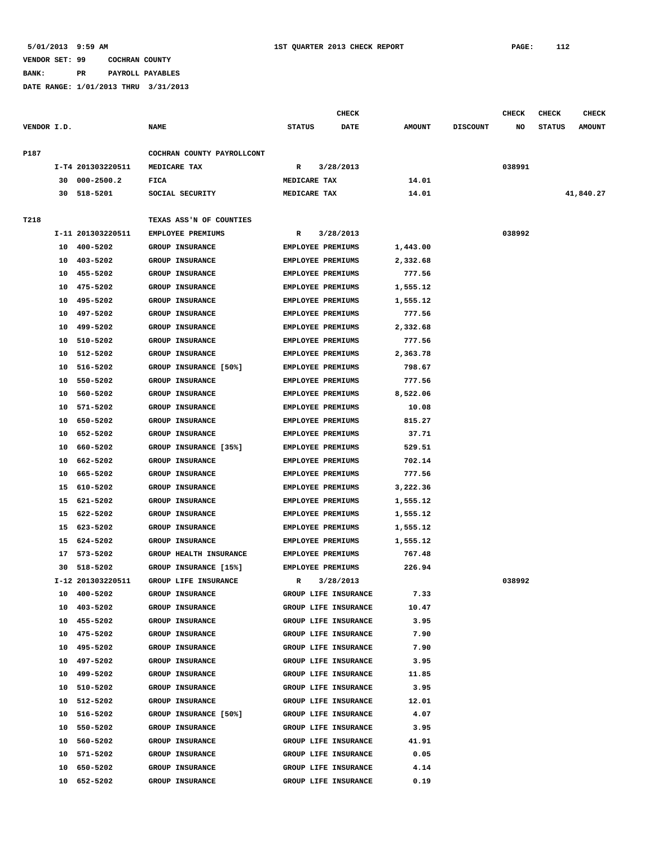**BANK: PR PAYROLL PAYABLES**

|             |    |                   |                            |                          | <b>CHECK</b>         |               |                 | CHECK  | <b>CHECK</b>  | <b>CHECK</b>  |
|-------------|----|-------------------|----------------------------|--------------------------|----------------------|---------------|-----------------|--------|---------------|---------------|
| VENDOR I.D. |    |                   | <b>NAME</b>                | <b>STATUS</b>            | DATE                 | <b>AMOUNT</b> | <b>DISCOUNT</b> | NO     | <b>STATUS</b> | <b>AMOUNT</b> |
| P187        |    |                   | COCHRAN COUNTY PAYROLLCONT |                          |                      |               |                 |        |               |               |
|             |    | I-T4 201303220511 | MEDICARE TAX               | R                        | 3/28/2013            |               |                 | 038991 |               |               |
|             | 30 | $000 - 2500.2$    | FICA                       | MEDICARE TAX             |                      | 14.01         |                 |        |               |               |
|             |    | 30 518-5201       | SOCIAL SECURITY            | MEDICARE TAX             |                      | 14.01         |                 |        |               | 41,840.27     |
| T218        |    |                   | TEXAS ASS'N OF COUNTIES    |                          |                      |               |                 |        |               |               |
|             |    | I-11 201303220511 | EMPLOYEE PREMIUMS          | R                        | 3/28/2013            |               |                 | 038992 |               |               |
|             |    | 10 400-5202       | <b>GROUP INSURANCE</b>     | <b>EMPLOYEE PREMIUMS</b> |                      | 1,443.00      |                 |        |               |               |
|             | 10 | 403-5202          | GROUP INSURANCE            | <b>EMPLOYEE PREMIUMS</b> |                      | 2,332.68      |                 |        |               |               |
|             | 10 | 455-5202          | <b>GROUP INSURANCE</b>     | <b>EMPLOYEE PREMIUMS</b> |                      | 777.56        |                 |        |               |               |
|             | 10 | 475-5202          | GROUP INSURANCE            | <b>EMPLOYEE PREMIUMS</b> |                      | 1,555.12      |                 |        |               |               |
|             | 10 | 495-5202          | GROUP INSURANCE            | <b>EMPLOYEE PREMIUMS</b> |                      | 1,555.12      |                 |        |               |               |
|             | 10 | 497-5202          | <b>GROUP INSURANCE</b>     | <b>EMPLOYEE PREMIUMS</b> |                      | 777.56        |                 |        |               |               |
|             | 10 | 499-5202          | <b>GROUP INSURANCE</b>     | <b>EMPLOYEE PREMIUMS</b> |                      | 2,332.68      |                 |        |               |               |
|             | 10 | 510-5202          | GROUP INSURANCE            | <b>EMPLOYEE PREMIUMS</b> |                      | 777.56        |                 |        |               |               |
|             | 10 | 512-5202          | <b>GROUP INSURANCE</b>     | <b>EMPLOYEE PREMIUMS</b> |                      | 2,363.78      |                 |        |               |               |
|             | 10 | 516-5202          | GROUP INSURANCE [50%]      | <b>EMPLOYEE PREMIUMS</b> |                      | 798.67        |                 |        |               |               |
|             | 10 | 550-5202          | GROUP INSURANCE            | <b>EMPLOYEE PREMIUMS</b> |                      | 777.56        |                 |        |               |               |
|             | 10 | 560-5202          | <b>GROUP INSURANCE</b>     | EMPLOYEE PREMIUMS        |                      | 8,522.06      |                 |        |               |               |
|             | 10 | 571-5202          | <b>GROUP INSURANCE</b>     | <b>EMPLOYEE PREMIUMS</b> |                      | 10.08         |                 |        |               |               |
|             | 10 | 650-5202          | GROUP INSURANCE            | <b>EMPLOYEE PREMIUMS</b> |                      | 815.27        |                 |        |               |               |
|             | 10 | 652-5202          | <b>GROUP INSURANCE</b>     | <b>EMPLOYEE PREMIUMS</b> |                      | 37.71         |                 |        |               |               |
|             | 10 | 660-5202          | GROUP INSURANCE [35%]      | <b>EMPLOYEE PREMIUMS</b> |                      | 529.51        |                 |        |               |               |
|             | 10 | 662-5202          | GROUP INSURANCE            | <b>EMPLOYEE PREMIUMS</b> |                      | 702.14        |                 |        |               |               |
|             | 10 | 665-5202          | <b>GROUP INSURANCE</b>     | <b>EMPLOYEE PREMIUMS</b> |                      | 777.56        |                 |        |               |               |
|             | 15 | 610-5202          | GROUP INSURANCE            | <b>EMPLOYEE PREMIUMS</b> |                      | 3,222.36      |                 |        |               |               |
|             | 15 | 621-5202          | GROUP INSURANCE            | <b>EMPLOYEE PREMIUMS</b> |                      | 1,555.12      |                 |        |               |               |
|             | 15 | 622-5202          | <b>GROUP INSURANCE</b>     | <b>EMPLOYEE PREMIUMS</b> |                      | 1,555.12      |                 |        |               |               |
|             | 15 | 623-5202          | GROUP INSURANCE            | <b>EMPLOYEE PREMIUMS</b> |                      | 1,555.12      |                 |        |               |               |
|             | 15 | 624-5202          | GROUP INSURANCE            | <b>EMPLOYEE PREMIUMS</b> |                      | 1,555.12      |                 |        |               |               |
|             | 17 | 573-5202          | GROUP HEALTH INSURANCE     | <b>EMPLOYEE PREMIUMS</b> |                      | 767.48        |                 |        |               |               |
|             | 30 | 518-5202          | GROUP INSURANCE [15%]      | <b>EMPLOYEE PREMIUMS</b> |                      | 226.94        |                 |        |               |               |
|             |    | I-12 201303220511 | GROUP LIFE INSURANCE       | R                        | 3/28/2013            |               |                 | 038992 |               |               |
|             | 10 | 400-5202          | GROUP INSURANCE            |                          | GROUP LIFE INSURANCE | 7.33          |                 |        |               |               |
|             | 10 | 403-5202          | GROUP INSURANCE            |                          | GROUP LIFE INSURANCE | 10.47         |                 |        |               |               |
|             | 10 | 455-5202          | GROUP INSURANCE            |                          | GROUP LIFE INSURANCE | 3.95          |                 |        |               |               |
|             | 10 | 475-5202          | GROUP INSURANCE            |                          | GROUP LIFE INSURANCE | 7.90          |                 |        |               |               |
|             | 10 | 495-5202          | GROUP INSURANCE            |                          | GROUP LIFE INSURANCE | 7.90          |                 |        |               |               |
|             | 10 | 497-5202          | GROUP INSURANCE            |                          | GROUP LIFE INSURANCE | 3.95          |                 |        |               |               |
|             | 10 | 499-5202          | <b>GROUP INSURANCE</b>     |                          | GROUP LIFE INSURANCE | 11.85         |                 |        |               |               |
|             | 10 | 510-5202          | GROUP INSURANCE            |                          | GROUP LIFE INSURANCE | 3.95          |                 |        |               |               |
|             | 10 | 512-5202          | GROUP INSURANCE            |                          | GROUP LIFE INSURANCE | 12.01         |                 |        |               |               |
|             | 10 | 516-5202          | GROUP INSURANCE [50%]      |                          | GROUP LIFE INSURANCE | 4.07          |                 |        |               |               |
|             | 10 | 550-5202          | GROUP INSURANCE            |                          | GROUP LIFE INSURANCE | 3.95          |                 |        |               |               |
|             | 10 | 560-5202          | GROUP INSURANCE            |                          | GROUP LIFE INSURANCE | 41.91         |                 |        |               |               |
|             | 10 | 571-5202          | GROUP INSURANCE            |                          | GROUP LIFE INSURANCE | 0.05          |                 |        |               |               |
|             | 10 | 650-5202          | GROUP INSURANCE            |                          | GROUP LIFE INSURANCE | 4.14          |                 |        |               |               |
|             |    | 10 652-5202       | GROUP INSURANCE            |                          | GROUP LIFE INSURANCE | 0.19          |                 |        |               |               |
|             |    |                   |                            |                          |                      |               |                 |        |               |               |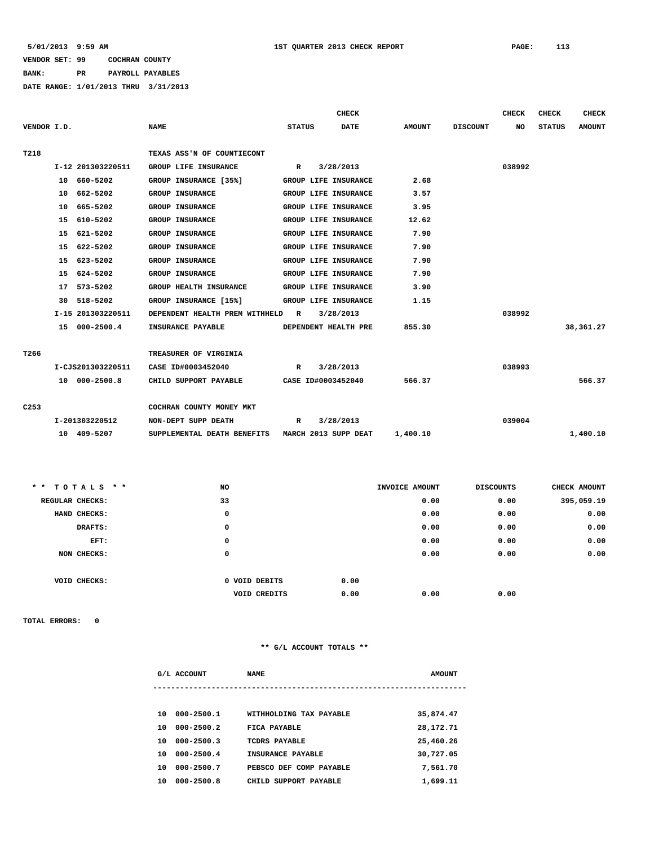**BANK: PR PAYROLL PAYABLES**

**DATE RANGE: 1/01/2013 THRU 3/31/2013**

|                  |                   |                                                        |                      | <b>CHECK</b>         |               |          | <b>CHECK</b> | <b>CHECK</b>  | <b>CHECK</b>  |
|------------------|-------------------|--------------------------------------------------------|----------------------|----------------------|---------------|----------|--------------|---------------|---------------|
| VENDOR I.D.      |                   | <b>NAME</b>                                            | <b>STATUS</b>        | <b>DATE</b>          | <b>AMOUNT</b> | DISCOUNT | NO           | <b>STATUS</b> | <b>AMOUNT</b> |
|                  |                   |                                                        |                      |                      |               |          |              |               |               |
| T218             |                   | TEXAS ASS'N OF COUNTIECONT                             |                      |                      |               |          |              |               |               |
|                  | I-12 201303220511 | GROUP LIFE INSURANCE                                   | $\mathbb{R}$         | 3/28/2013            |               |          | 038992       |               |               |
|                  | 10 660-5202       | GROUP INSURANCE [35%]                                  | GROUP LIFE INSURANCE |                      | 2.68          |          |              |               |               |
|                  | 10 662-5202       | <b>GROUP INSURANCE</b>                                 | GROUP LIFE INSURANCE |                      | 3.57          |          |              |               |               |
|                  | 10 665-5202       | <b>GROUP INSURANCE</b>                                 | GROUP LIFE INSURANCE |                      | 3.95          |          |              |               |               |
|                  | 15 610-5202       | <b>GROUP INSURANCE</b>                                 | GROUP LIFE INSURANCE |                      | 12.62         |          |              |               |               |
|                  | 15 621-5202       | <b>GROUP INSURANCE</b>                                 | GROUP LIFE INSURANCE |                      | 7.90          |          |              |               |               |
|                  | 15 622-5202       | <b>GROUP INSURANCE</b>                                 | GROUP LIFE INSURANCE |                      | 7.90          |          |              |               |               |
|                  | 15 623-5202       | <b>GROUP INSURANCE</b>                                 | GROUP LIFE INSURANCE |                      | 7.90          |          |              |               |               |
|                  | 15 624-5202       | <b>GROUP INSURANCE</b>                                 | GROUP LIFE INSURANCE |                      | 7.90          |          |              |               |               |
|                  | 17 573-5202       | GROUP HEALTH INSURANCE                                 | GROUP LIFE INSURANCE |                      | 3.90          |          |              |               |               |
|                  | 30 518-5202       | GROUP INSURANCE [15%]                                  | GROUP LIFE INSURANCE |                      | 1.15          |          |              |               |               |
|                  | I-15 201303220511 | DEPENDENT HEALTH PREM WITHHELD R                       |                      | 3/28/2013            |               |          | 038992       |               |               |
|                  | 15 000-2500.4     | <b>INSURANCE PAYABLE</b>                               |                      | DEPENDENT HEALTH PRE | 855.30        |          |              |               | 38,361.27     |
|                  |                   |                                                        |                      |                      |               |          |              |               |               |
| T266             |                   | TREASURER OF VIRGINIA                                  |                      |                      |               |          |              |               |               |
|                  | I-CJS201303220511 | CASE ID#0003452040 R                                   |                      | 3/28/2013            |               |          | 038993       |               |               |
|                  |                   | 10 000-2500.8 CHILD SUPPORT PAYABLE CASE ID#0003452040 |                      |                      | 566.37        |          |              |               | 566.37        |
|                  |                   |                                                        |                      |                      |               |          |              |               |               |
| C <sub>253</sub> |                   | COCHRAN COUNTY MONEY MKT                               |                      |                      |               |          |              |               |               |
|                  | I-201303220512    | NON-DEPT SUPP DEATH                                    | $\mathbb{R}$         | 3/28/2013            |               |          | 039004       |               |               |
|                  | 10 409-5207       | SUPPLEMENTAL DEATH BENEFITS                            | MARCH 2013 SUPP DEAT |                      | 1,400.10      |          |              |               | 1,400.10      |

| ** TOTALS **    | NO |               | INVOICE AMOUNT |      | <b>DISCOUNTS</b> | CHECK AMOUNT |
|-----------------|----|---------------|----------------|------|------------------|--------------|
| REGULAR CHECKS: | 33 |               |                | 0.00 | 0.00             | 395,059.19   |
| HAND CHECKS:    | 0  |               |                | 0.00 | 0.00             | 0.00         |
| DRAFTS:         | 0  |               |                | 0.00 | 0.00             | 0.00         |
| EFT:            | 0  |               |                | 0.00 | 0.00             | 0.00         |
| NON CHECKS:     | 0  |               |                | 0.00 | 0.00             | 0.00         |
|                 |    |               |                |      |                  |              |
| VOID CHECKS:    |    | 0 VOID DEBITS | 0.00           |      |                  |              |
|                 |    | VOID CREDITS  | 0.00           | 0.00 | 0.00             |              |
|                 |    |               |                |      |                  |              |

**TOTAL ERRORS: 0**

|    | G/L ACCOUNT    | <b>NAME</b>             | <b>AMOUNT</b> |
|----|----------------|-------------------------|---------------|
|    |                |                         |               |
| 10 | 000-2500.1     | WITHHOLDING TAX PAYABLE | 35,874.47     |
| 10 | $000 - 2500.2$ | FICA PAYABLE            | 28,172.71     |
| 10 | $000 - 2500.3$ | TCDRS PAYABLE           | 25,460.26     |
| 10 | $000 - 2500.4$ | INSURANCE PAYABLE       | 30,727.05     |
| 10 | $000 - 2500.7$ | PEBSCO DEF COMP PAYABLE | 7,561.70      |
| 10 | $000 - 2500.8$ | CHILD SUPPORT PAYABLE   | 1,699.11      |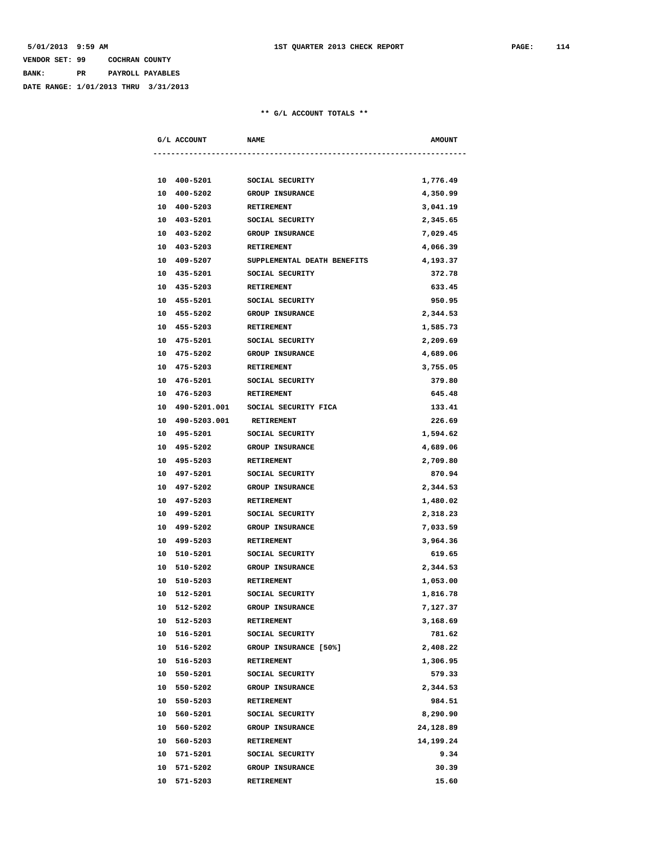| VENDOR SET: 99                       |     | COCHRAN COUNTY |                  |
|--------------------------------------|-----|----------------|------------------|
| <b>BANK:</b>                         | PR. |                | PAYROLL PAYABLES |
| DATE RANGE: 1/01/2013 THRU 3/31/2013 |     |                |                  |

| G/L ACCOUNT     | <b>NAME</b>                          | <b>AMOUNT</b> |
|-----------------|--------------------------------------|---------------|
|                 |                                      |               |
| 10 400-5201     | SOCIAL SECURITY                      | 1,776.49      |
| 10 400-5202     | <b>GROUP INSURANCE</b>               | 4,350.99      |
| 10 400-5203     | <b>RETIREMENT</b>                    | 3,041.19      |
| 10 403-5201     | SOCIAL SECURITY                      | 2,345.65      |
| 10<br>403-5202  | <b>GROUP INSURANCE</b>               | 7,029.45      |
| 403-5203<br>10  | <b>RETIREMENT</b>                    | 4,066.39      |
| 409-5207<br>10  | SUPPLEMENTAL DEATH BENEFITS          | 4,193.37      |
| 10<br>435-5201  | SOCIAL SECURITY                      | 372.78        |
| 435-5203<br>10  | RETIREMENT                           | 633.45        |
| 10<br>455-5201  | SOCIAL SECURITY                      | 950.95        |
| 455-5202<br>10  | <b>GROUP INSURANCE</b>               | 2,344.53      |
| 455-5203<br>10  | <b>RETIREMENT</b>                    | 1,585.73      |
| 475-5201<br>10  | SOCIAL SECURITY                      | 2,209.69      |
| 10 475-5202     | <b>GROUP INSURANCE</b>               | 4,689.06      |
| 10 475-5203     | <b>RETIREMENT</b>                    | 3,755.05      |
| 476-5201<br>10  | SOCIAL SECURITY                      | 379.80        |
| 10<br>476-5203  | <b>RETIREMENT</b>                    | 645.48        |
|                 | 10 490-5201.001 SOCIAL SECURITY FICA | 133.41        |
| 10 490-5203.001 | RETIREMENT                           | 226.69        |
| 10 495-5201     | SOCIAL SECURITY                      | 1,594.62      |
| 10 495-5202     | <b>GROUP INSURANCE</b>               | 4,689.06      |
| 495-5203<br>10  | <b>RETIREMENT</b>                    | 2,709.80      |
| 497-5201<br>10  | SOCIAL SECURITY                      | 870.94        |
| 497-5202<br>10  | <b>GROUP INSURANCE</b>               | 2,344.53      |
| 497-5203<br>10  | <b>RETIREMENT</b>                    | 1,480.02      |
| 499-5201<br>10  | SOCIAL SECURITY                      | 2,318.23      |
| 499-5202<br>10  | <b>GROUP INSURANCE</b>               | 7,033.59      |
| 499-5203<br>10  | RETIREMENT                           | 3,964.36      |
| 10<br>510-5201  | SOCIAL SECURITY                      | 619.65        |
| 510-5202<br>10  | <b>GROUP INSURANCE</b>               | 2,344.53      |
| 10<br>510-5203  | <b>RETIREMENT</b>                    | 1,053.00      |
| 512-5201<br>10  | SOCIAL SECURITY                      | 1,816.78      |
| 10<br>512-5202  | GROUP INSURANCE                      | 7,127.37      |
| 10 512-5203     | RETIREMENT                           | 3,168.69      |
| 10 516-5201     | SOCIAL SECURITY                      | 781.62        |
| 10 516-5202     | GROUP INSURANCE [50%]                | 2,408.22      |
| 10 516-5203     | RETIREMENT                           | 1,306.95      |
| 10 550-5201     | SOCIAL SECURITY                      | 579.33        |
| 10 550-5202     | GROUP INSURANCE                      | 2,344.53      |
| 10 550-5203     | RETIREMENT                           | 984.51        |
| 10 560-5201     | SOCIAL SECURITY                      | 8,290.90      |
| 10 560-5202     | GROUP INSURANCE                      | 24,128.89     |
| 10 560-5203     | RETIREMENT                           | 14,199.24     |
| 10 571-5201     | SOCIAL SECURITY                      | 9.34          |
| 10 571-5202     | GROUP INSURANCE                      | 30.39         |
| 10 571-5203     | RETIREMENT                           | 15.60         |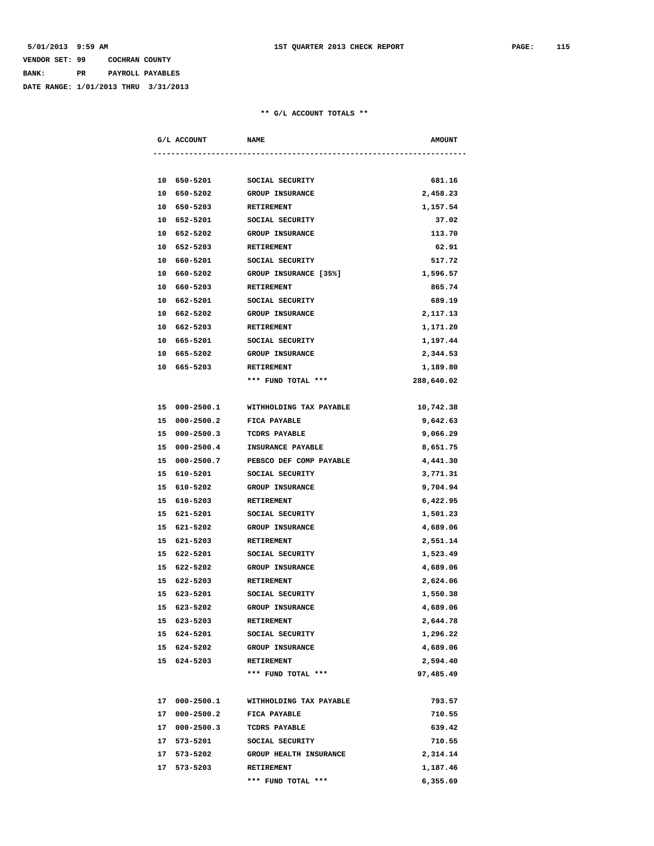**VENDOR SET: 99 COCHRAN COUNTY BANK: PR PAYROLL PAYABLES**

**DATE RANGE: 1/01/2013 THRU 3/31/2013**

| G/L ACCOUNT   | <b>NAME</b>              | <b>AMOUNT</b> |
|---------------|--------------------------|---------------|
|               |                          |               |
| 10 650-5201   | SOCIAL SECURITY          | 681.16        |
| 10 650-5202   | <b>GROUP INSURANCE</b>   | 2,458.23      |
| 10 650-5203   | <b>RETIREMENT</b>        | 1,157.54      |
| 10 652-5201   | SOCIAL SECURITY          | 37.02         |
| 10 652-5202   | <b>GROUP INSURANCE</b>   | 113.70        |
| 10 652-5203   | <b>RETIREMENT</b>        | 62.91         |
| 10 660-5201   | SOCIAL SECURITY          | 517.72        |
| 10 660-5202   | GROUP INSURANCE [35%]    | 1,596.57      |
| 10 660-5203   | RETIREMENT               | 865.74        |
| 10 662-5201   | SOCIAL SECURITY          | 689.19        |
| 10 662-5202   | <b>GROUP INSURANCE</b>   | 2,117.13      |
| 10 662-5203   | <b>RETIREMENT</b>        | 1,171.20      |
| 10 665-5201   | SOCIAL SECURITY          | 1,197.44      |
| 10 665-5202   | <b>GROUP INSURANCE</b>   | 2,344.53      |
| 10 665-5203   | RETIREMENT               | 1,189.80      |
|               | *** FUND TOTAL ***       | 288,640.02    |
| 15 000-2500.1 | WITHHOLDING TAX PAYABLE  | 10,742.38     |
| 15 000-2500.2 | <b>FICA PAYABLE</b>      | 9,642.63      |
| 15 000-2500.3 | <b>TCDRS PAYABLE</b>     | 9,066.29      |
| 15 000-2500.4 | <b>INSURANCE PAYABLE</b> | 8,651.75      |
| 15 000-2500.7 | PEBSCO DEF COMP PAYABLE  | 4,441.30      |
| 15 610-5201   | SOCIAL SECURITY          | 3,771.31      |
| 15 610-5202   | <b>GROUP INSURANCE</b>   | 9,704.94      |
| 15 610-5203   | RETIREMENT               | 6,422.95      |
| 15 621-5201   | SOCIAL SECURITY          | 1,501.23      |
| 15 621-5202   | GROUP INSURANCE          | 4,689.06      |
| 15 621-5203   | RETIREMENT               | 2,551.14      |
| 15 622-5201   | SOCIAL SECURITY          | 1,523.49      |
| 15 622-5202   | <b>GROUP INSURANCE</b>   | 4,689.06      |
| 15 622-5203   | RETIREMENT               | 2,624.06      |
| 15 623-5201   | SOCIAL SECURITY          | 1,550.38      |
| 15 623-5202   | GROUP INSURANCE          | 4,689.06      |
| 15 623-5203   | RETIREMENT               | 2,644.78      |
| 15 624-5201   | SOCIAL SECURITY          | 1,296.22      |
| 15 624-5202   | <b>GROUP INSURANCE</b>   | 4,689.06      |
| 15 624-5203   | <b>RETIREMENT</b>        | 2,594.40      |
|               | *** FUND TOTAL ***       | 97,485.49     |
| 17 000-2500.1 | WITHHOLDING TAX PAYABLE  | 793.57        |
| 17 000-2500.2 | <b>FICA PAYABLE</b>      | 710.55        |
| 17 000-2500.3 | <b>TCDRS PAYABLE</b>     | 639.42        |
| 17 573-5201   | SOCIAL SECURITY          | 710.55        |
| 17 573-5202   | GROUP HEALTH INSURANCE   | 2,314.14      |
| 17 573-5203   | RETIREMENT               | 1,187.46      |
|               | *** FUND TOTAL ***       | 6,355.69      |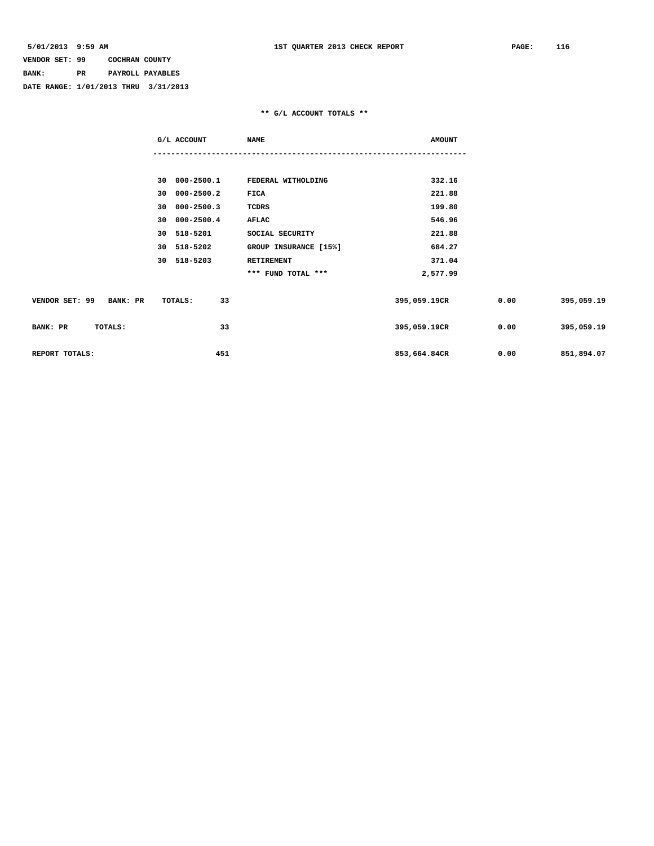**BANK: PR PAYROLL PAYABLES**

**DATE RANGE: 1/01/2013 THRU 3/31/2013**

|                            | G/L ACCOUNT   | <b>NAME</b>           | <b>AMOUNT</b> |      |            |
|----------------------------|---------------|-----------------------|---------------|------|------------|
|                            |               |                       |               |      |            |
|                            | 30 000-2500.1 | FEDERAL WITHOLDING    | 332.16        |      |            |
|                            | 30 000-2500.2 | FICA                  | 221.88        |      |            |
|                            | 30 000-2500.3 | TCDRS                 | 199.80        |      |            |
|                            | 30 000-2500.4 | AFLAC                 | 546.96        |      |            |
|                            | 30 518-5201   | SOCIAL SECURITY       | 221.88        |      |            |
|                            | 30 518-5202   | GROUP INSURANCE [15%] | 684.27        |      |            |
|                            | 30 518-5203   | RETIREMENT            | 371.04        |      |            |
|                            |               | *** FUND TOTAL ***    | 2,577.99      |      |            |
| VENDOR SET: 99<br>BANK: PR | 33<br>TOTALS: |                       | 395,059.19CR  | 0.00 | 395,059.19 |
| BANK: PR<br><b>TOTALS:</b> | 33            |                       | 395,059.19CR  | 0.00 | 395,059.19 |
| REPORT TOTALS:             | 451           |                       | 853,664.84CR  | 0.00 | 851,894.07 |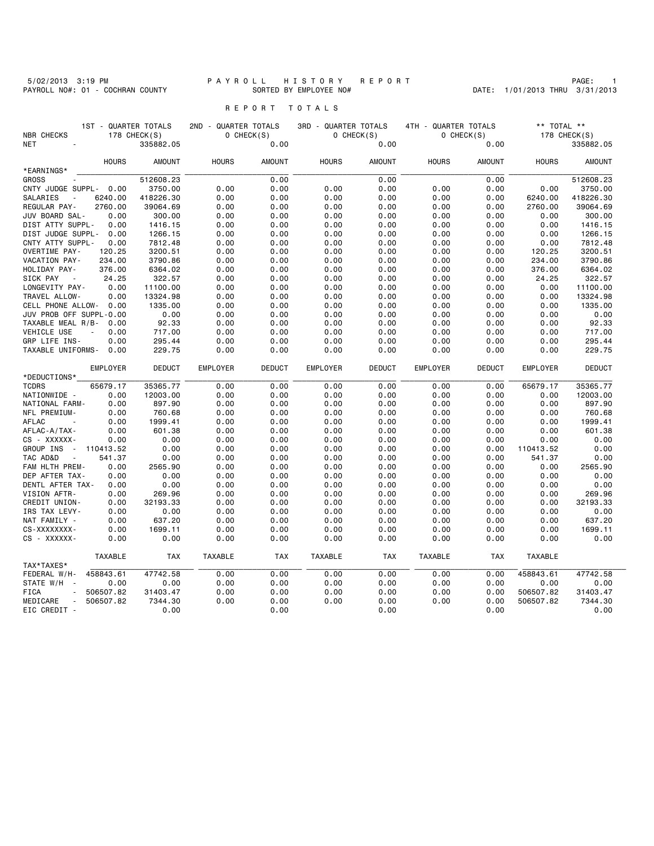#### 5/02/2013 3:19 PM P A Y R O L L H I S T O R Y R E P O R T PAGE: 1 PAYROLL NO#: 01 - COCHRAN COUNTY SORTED BY EMPLOYEE NO# DATE: 1/01/2013 THRU 3/31/2013

### R E P O R T T O T A L S

| 1ST - QUARTER TOTALS                                 |                           | 2ND - QUARTER TOTALS |                    | 3RD - QUARTER TOTALS |                    | 4TH - QUARTER TOTALS |                    | ** TOTAL **     |                           |
|------------------------------------------------------|---------------------------|----------------------|--------------------|----------------------|--------------------|----------------------|--------------------|-----------------|---------------------------|
| NBR CHECKS<br><b>NET</b>                             | 178 CHECK(S)<br>335882.05 |                      | 0 CHECK(S)<br>0.00 |                      | 0 CHECK(S)<br>0.00 |                      | 0 CHECK(S)<br>0.00 |                 | 178 CHECK(S)<br>335882.05 |
|                                                      |                           |                      |                    |                      |                    |                      |                    |                 |                           |
| <b>HOURS</b>                                         | <b>AMOUNT</b>             | <b>HOURS</b>         | <b>AMOUNT</b>      | <b>HOURS</b>         | <b>AMOUNT</b>      | <b>HOURS</b>         | <b>AMOUNT</b>      | <b>HOURS</b>    | <b>AMOUNT</b>             |
| *EARNINGS*                                           |                           |                      |                    |                      |                    |                      |                    |                 |                           |
| <b>GROSS</b><br>CNTY JUDGE SUPPL- 0.00               | 512608.23<br>3750.00      | 0.00                 | 0.00<br>0.00       | 0.00                 | 0.00<br>0.00       | 0.00                 | 0.00<br>0.00       | 0.00            | 512608.23<br>3750.00      |
| SALARIES                                             | 418226.30                 | 0.00                 | 0.00               | 0.00                 | 0.00               | 0.00                 | 0.00               | 6240.00         | 418226.30                 |
| 6240.00<br>REGULAR PAY-<br>2760.00                   | 39064.69                  | 0.00                 | 0.00               | 0.00                 | 0.00               | 0.00                 | 0.00               | 2760.00         | 39064.69                  |
| JUV BOARD SAL-<br>0.00                               | 300.00                    | 0.00                 | 0.00               | 0.00                 | 0.00               | 0.00                 | 0.00               | 0.00            | 300.00                    |
| DIST ATTY SUPPL-<br>0.00                             | 1416.15                   | 0.00                 | 0.00               | 0.00                 | 0.00               | 0.00                 | 0.00               | 0.00            | 1416.15                   |
| DIST JUDGE SUPPL-<br>0.00                            | 1266.15                   | 0.00                 | 0.00               | 0.00                 | 0.00               | 0.00                 | 0.00               | 0.00            | 1266.15                   |
| CNTY ATTY SUPPL-<br>0.00                             | 7812.48                   | 0.00                 | 0.00               | 0.00                 | 0.00               | 0.00                 | 0.00               | 0.00            | 7812.48                   |
| OVERTIME PAY-<br>120.25                              | 3200.51                   | 0.00                 | 0.00               | 0.00                 | 0.00               | 0.00                 | 0.00               | 120.25          | 3200.51                   |
| VACATION PAY-<br>234.00                              | 3790.86                   | 0.00                 | 0.00               | 0.00                 | 0.00               | 0.00                 | 0.00               | 234.00          | 3790.86                   |
| HOLIDAY PAY-<br>376.00                               | 6364.02                   | 0.00                 | 0.00               | 0.00                 | 0.00               | 0.00                 | 0.00               | 376.00          | 6364.02                   |
| 24.25<br>SICK PAY                                    | 322.57                    | 0.00                 | 0.00               | 0.00                 | 0.00               | 0.00                 | 0.00               | 24.25           | 322.57                    |
| 0.00<br>LONGEVITY PAY-                               | 11100.00                  | 0.00                 | 0.00               | 0.00                 | 0.00               | 0.00                 | 0.00               | 0.00            | 11100.00                  |
| 0.00<br>TRAVEL ALLOW-                                | 13324.98                  | 0.00                 | 0.00               | 0.00                 | 0.00               | 0.00                 | 0.00               | 0.00            | 13324.98                  |
| CELL PHONE ALLOW-<br>0.00                            | 1335.00                   | 0.00                 | 0.00               | 0.00                 | 0.00               | 0.00                 | 0.00               | 0.00            | 1335.00                   |
| JUV PROB OFF SUPPL-0.00                              | 0.00                      | 0.00                 | 0.00               | 0.00                 | 0.00               | 0.00                 | 0.00               | 0.00            | 0.00                      |
| TAXABLE MEAL R/B-<br>0.00                            | 92.33                     | 0.00                 | 0.00               | 0.00                 | 0.00               | 0.00                 | 0.00               | 0.00            | 92.33                     |
| <b>VEHICLE USE</b><br>0.00                           | 717.00                    | 0.00                 | 0.00               | 0.00                 | 0.00               | 0.00                 | 0.00               | 0.00            | 717.00                    |
| GRP LIFE INS-<br>0.00                                | 295.44                    | 0.00                 | 0.00               | 0.00                 | 0.00               | 0.00                 | 0.00               | 0.00            | 295.44                    |
| TAXABLE UNIFORMS-<br>0.00                            | 229.75                    | 0.00                 | 0.00               | 0.00                 | 0.00               | 0.00                 | 0.00               | 0.00            | 229.75                    |
|                                                      |                           |                      |                    |                      |                    |                      |                    |                 |                           |
| <b>EMPLOYER</b>                                      | <b>DEDUCT</b>             | <b>EMPLOYER</b>      | <b>DEDUCT</b>      | <b>EMPLOYER</b>      | <b>DEDUCT</b>      | <b>EMPLOYER</b>      | <b>DEDUCT</b>      | <b>EMPLOYER</b> | <b>DEDUCT</b>             |
| *DEDUCTIONS*                                         |                           |                      |                    |                      |                    |                      |                    |                 |                           |
| 65679.17<br><b>TCDRS</b>                             | 35365.77                  | 0.00                 | 0.00               | 0.00                 | 0.00               | 0.00                 | 0.00               | 65679.17        | 35365.77                  |
| NATIONWIDE -<br>0.00                                 | 12003.00                  | 0.00                 | 0.00               | 0.00                 | 0.00               | 0.00                 | 0.00               | 0.00            | 12003.00                  |
| 0.00<br>NATIONAL FARM-                               | 897.90                    | 0.00                 | 0.00               | 0.00                 | 0.00               | 0.00                 | 0.00               | 0.00            | 897.90                    |
| NFL PREMIUM-<br>0.00                                 | 760.68                    | 0.00                 | 0.00               | 0.00                 | 0.00               | 0.00                 | 0.00               | 0.00            | 760.68                    |
| 0.00<br>AFLAC<br>$\sim$                              | 1999.41                   | 0.00                 | 0.00               | 0.00                 | 0.00               | 0.00                 | 0.00               | 0.00            | 1999.41                   |
| 0.00<br>AFLAC-A/TAX-                                 | 601.38                    | 0.00                 | 0.00               | 0.00                 | 0.00               | 0.00                 | 0.00               | 0.00            | 601.38                    |
| CS - XXXXXX-<br>0.00                                 | 0.00                      | 0.00                 | 0.00               | 0.00                 | 0.00               | 0.00                 | 0.00               | 0.00            | 0.00                      |
| GROUP INS<br>$-110413.52$                            | 0.00                      | 0.00                 | 0.00               | 0.00                 | 0.00               | 0.00                 | 0.00               | 110413.52       | 0.00                      |
| TAC AD&D<br>541.37                                   | 0.00                      | 0.00                 | 0.00               | 0.00                 | 0.00               | 0.00                 | 0.00               | 541.37          | 0.00                      |
| FAM HLTH PREM-<br>0.00                               | 2565.90                   | 0.00                 | 0.00               | 0.00                 | 0.00               | 0.00                 | 0.00               | 0.00            | 2565.90                   |
| DEP AFTER TAX-<br>0.00                               | 0.00                      | 0.00                 | 0.00               | 0.00                 | 0.00               | 0.00                 | 0.00               | 0.00            | 0.00                      |
| DENTL AFTER TAX-<br>0.00                             | 0.00                      | 0.00                 | 0.00               | 0.00                 | 0.00               | 0.00                 | 0.00               | 0.00            | 0.00                      |
| VISION AFTR-<br>0.00                                 | 269.96                    | 0.00                 | 0.00               | 0.00                 | 0.00               | 0.00                 | 0.00               | 0.00            | 269.96                    |
| CREDIT UNION-<br>0.00                                | 32193.33                  | 0.00                 | 0.00               | 0.00                 | 0.00               | 0.00                 | 0.00               | 0.00            | 32193.33                  |
| IRS TAX LEVY-<br>0.00                                | 0.00                      | 0.00                 | 0.00               | 0.00                 | 0.00               | 0.00                 | 0.00               | 0.00            | 0.00                      |
| NAT FAMILY -<br>0.00                                 | 637.20                    | 0.00                 | 0.00               | 0.00                 | 0.00               | 0.00                 | 0.00               | 0.00            | 637.20                    |
| CS-XXXXXXXX-<br>0.00                                 | 1699.11                   | 0.00                 | 0.00               | 0.00                 | 0.00               | 0.00                 | 0.00               | 0.00            | 1699.11                   |
| CS - XXXXXX-<br>0.00                                 | 0.00                      | 0.00                 | 0.00               | 0.00                 | 0.00               | 0.00                 | 0.00               | 0.00            | 0.00                      |
| TAXABLE                                              | <b>TAX</b>                | TAXABLE              | <b>TAX</b>         | TAXABLE              | <b>TAX</b>         | <b>TAXABLE</b>       | <b>TAX</b>         | <b>TAXABLE</b>  |                           |
| TAX*TAXES*                                           |                           |                      |                    |                      |                    |                      |                    |                 |                           |
| FEDERAL W/H-<br>458843.61                            | 47742.58                  | 0.00                 | 0.00               | 0.00                 | 0.00               | 0.00                 | 0.00               | 458843.61       | 47742.58                  |
| STATE W/H -<br>0.00                                  | 0.00                      | 0.00                 | 0.00               | 0.00                 | 0.00               | 0.00                 | 0.00               | 0.00            | 0.00                      |
| FICA<br>506507.82                                    | 31403.47                  | 0.00                 | 0.00               | 0.00                 | 0.00               | 0.00                 | 0.00               | 506507.82       | 31403.47                  |
| MEDICARE<br>506507.82<br>$\mathcal{L}_{\mathcal{A}}$ | 7344.30                   | 0.00                 | 0.00               | 0.00                 | 0.00               | 0.00                 | 0.00               | 506507.82       | 7344.30                   |
| EIC CREDIT -                                         | 0.00                      |                      | 0.00               |                      | 0.00               |                      | 0.00               |                 | 0.00                      |